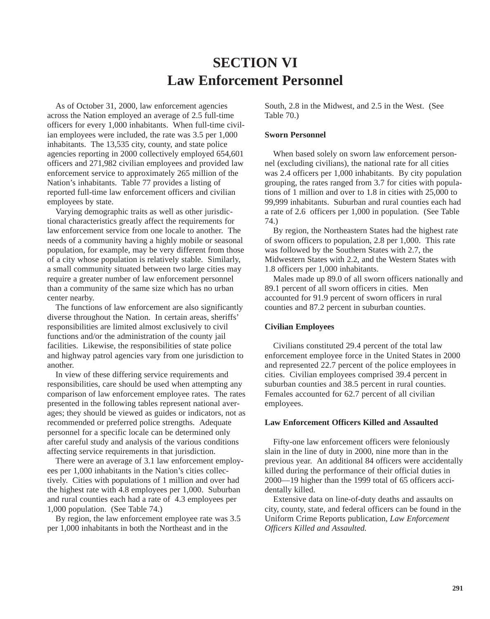# **SECTION VI Law Enforcement Personnel**

As of October 31, 2000, law enforcement agencies across the Nation employed an average of 2.5 full-time officers for every 1,000 inhabitants. When full-time civilian employees were included, the rate was 3.5 per 1,000 inhabitants. The 13,535 city, county, and state police agencies reporting in 2000 collectively employed 654,601 officers and 271,982 civilian employees and provided law enforcement service to approximately 265 million of the Nation's inhabitants. Table 77 provides a listing of reported full-time law enforcement officers and civilian employees by state.

Varying demographic traits as well as other jurisdictional characteristics greatly affect the requirements for law enforcement service from one locale to another. The needs of a community having a highly mobile or seasonal population, for example, may be very different from those of a city whose population is relatively stable. Similarly, a small community situated between two large cities may require a greater number of law enforcement personnel than a community of the same size which has no urban center nearby.

The functions of law enforcement are also significantly diverse throughout the Nation. In certain areas, sheriffs' responsibilities are limited almost exclusively to civil functions and/or the administration of the county jail facilities. Likewise, the responsibilities of state police and highway patrol agencies vary from one jurisdiction to another.

In view of these differing service requirements and responsibilities, care should be used when attempting any comparison of law enforcement employee rates. The rates presented in the following tables represent national averages; they should be viewed as guides or indicators, not as recommended or preferred police strengths. Adequate personnel for a specific locale can be determined only after careful study and analysis of the various conditions affecting service requirements in that jurisdiction.

There were an average of 3.1 law enforcement employees per 1,000 inhabitants in the Nation's cities collectively. Cities with populations of 1 million and over had the highest rate with 4.8 employees per 1,000. Suburban and rural counties each had a rate of 4.3 employees per 1,000 population. (See Table 74.)

By region, the law enforcement employee rate was 3.5 per 1,000 inhabitants in both the Northeast and in the

South, 2.8 in the Midwest, and 2.5 in the West. (See Table 70.)

#### **Sworn Personnel**

When based solely on sworn law enforcement personnel (excluding civilians), the national rate for all cities was 2.4 officers per 1,000 inhabitants. By city population grouping, the rates ranged from 3.7 for cities with populations of 1 million and over to 1.8 in cities with 25,000 to 99,999 inhabitants. Suburban and rural counties each had a rate of 2.6 officers per 1,000 in population. (See Table 74.)

By region, the Northeastern States had the highest rate of sworn officers to population, 2.8 per 1,000. This rate was followed by the Southern States with 2.7, the Midwestern States with 2.2, and the Western States with 1.8 officers per 1,000 inhabitants.

Males made up 89.0 of all sworn officers nationally and 89.1 percent of all sworn officers in cities. Men accounted for 91.9 percent of sworn officers in rural counties and 87.2 percent in suburban counties.

#### **Civilian Employees**

Civilians constituted 29.4 percent of the total law enforcement employee force in the United States in 2000 and represented 22.7 percent of the police employees in cities. Civilian employees comprised 39.4 percent in suburban counties and 38.5 percent in rural counties. Females accounted for 62.7 percent of all civilian employees.

#### **Law Enforcement Officers Killed and Assaulted**

Fifty-one law enforcement officers were feloniously slain in the line of duty in 2000, nine more than in the previous year. An additional 84 officers were accidentally killed during the performance of their official duties in 2000—19 higher than the 1999 total of 65 officers accidentally killed.

Extensive data on line-of-duty deaths and assaults on city, county, state, and federal officers can be found in the Uniform Crime Reports publication, *Law Enforcement Officers Killed and Assaulted.*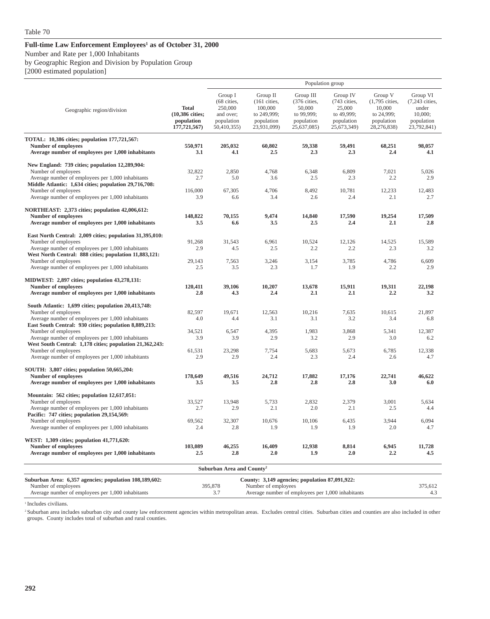#### Full-time Law Enforcement Employees<sup>1</sup> as of October 31, 2000

Number and Rate per 1,000 Inhabitants

by Geographic Region and Division by Population Group

[2000 estimated population]

|                                                                                                  |                                                               |                                                                             |                                                                                           |                                                                                | Population group                                                              |                                                                                |                                                                             |
|--------------------------------------------------------------------------------------------------|---------------------------------------------------------------|-----------------------------------------------------------------------------|-------------------------------------------------------------------------------------------|--------------------------------------------------------------------------------|-------------------------------------------------------------------------------|--------------------------------------------------------------------------------|-----------------------------------------------------------------------------|
| Geographic region/division                                                                       | <b>Total</b><br>(10,386 cities;<br>population<br>177,721,567) | Group I<br>(68 cities,<br>250,000<br>and over:<br>population<br>50,410,355) | Group II<br>$(161 \text{ cities},$<br>100,000<br>to 249,999;<br>population<br>23,931,099) | Group III<br>(376 cities,<br>50,000<br>to 99,999;<br>population<br>25,637,085) | Group IV<br>(743 cities,<br>25,000<br>to 49,999;<br>population<br>25,673,349) | Group V<br>(1,795 cities,<br>10,000<br>to 24,999;<br>population<br>28,276,838) | Group VI<br>(7,243 cities,<br>under<br>10,000;<br>population<br>23,792,841) |
| TOTAL: 10,386 cities; population 177,721,567:                                                    |                                                               |                                                                             |                                                                                           |                                                                                |                                                                               |                                                                                |                                                                             |
| <b>Number of employees</b>                                                                       | 550,971                                                       | 205,032                                                                     | 60,802                                                                                    | 59,338                                                                         | 59,491                                                                        | 68,251                                                                         | 98,057                                                                      |
| Average number of employees per 1,000 inhabitants                                                | 3.1                                                           | 4.1                                                                         | 2.5                                                                                       | 2.3                                                                            | 2.3                                                                           | 2.4                                                                            | 4.1                                                                         |
| New England: 739 cities; population 12,289,904:                                                  |                                                               |                                                                             |                                                                                           |                                                                                |                                                                               |                                                                                |                                                                             |
| Number of employees<br>Average number of employees per 1,000 inhabitants                         | 32,822<br>2.7                                                 | 2,850<br>5.0                                                                | 4,768                                                                                     | 6,348<br>2.5                                                                   | 6,809                                                                         | 7,021<br>2.2                                                                   | 5,026<br>2.9                                                                |
| Middle Atlantic: 1,634 cities; population 29,716,708:                                            |                                                               |                                                                             | 3.6                                                                                       |                                                                                | 2.3                                                                           |                                                                                |                                                                             |
| Number of employees                                                                              | 116,000                                                       | 67,305                                                                      | 4,706                                                                                     | 8,492                                                                          | 10,781                                                                        | 12,233                                                                         | 12,483                                                                      |
| Average number of employees per 1,000 inhabitants                                                | 3.9                                                           | 6.6                                                                         | 3.4                                                                                       | 2.6                                                                            | 2.4                                                                           | 2.1                                                                            | 2.7                                                                         |
| NORTHEAST: 2,373 cities; population 42,006,612:                                                  |                                                               |                                                                             |                                                                                           |                                                                                |                                                                               |                                                                                |                                                                             |
| <b>Number of employees</b>                                                                       | 148,822                                                       | 70,155                                                                      | 9,474                                                                                     | 14,840                                                                         | 17,590                                                                        | 19,254                                                                         | 17,509                                                                      |
| Average number of employees per 1,000 inhabitants                                                | 3.5                                                           | 6.6                                                                         | 3.5                                                                                       | 2.5                                                                            | 2.4                                                                           | 2.1                                                                            | 2.8                                                                         |
| East North Central: 2,009 cities; population 31,395,010:                                         |                                                               |                                                                             |                                                                                           |                                                                                |                                                                               |                                                                                |                                                                             |
| Number of employees                                                                              | 91,268                                                        | 31,543                                                                      | 6,961                                                                                     | 10,524                                                                         | 12,126                                                                        | 14,525                                                                         | 15,589                                                                      |
| Average number of employees per 1,000 inhabitants                                                | 2.9                                                           | 4.5                                                                         | 2.5                                                                                       | 2.2                                                                            | 2.2                                                                           | 2.3                                                                            | 3.2                                                                         |
| West North Central: 888 cities; population 11,883,121:<br>Number of employees                    | 29,143                                                        | 7,563                                                                       | 3,246                                                                                     | 3,154                                                                          | 3,785                                                                         | 4,786                                                                          | 6,609                                                                       |
| Average number of employees per 1,000 inhabitants                                                | 2.5                                                           | 3.5                                                                         | 2.3                                                                                       | 1.7                                                                            | 1.9                                                                           | 2.2                                                                            | 2.9                                                                         |
|                                                                                                  |                                                               |                                                                             |                                                                                           |                                                                                |                                                                               |                                                                                |                                                                             |
| <b>MIDWEST: 2,897 cities; population 43,278,131:</b><br><b>Number of employees</b>               | 120,411                                                       | 39,106                                                                      | 10,207                                                                                    | 13,678                                                                         | 15,911                                                                        | 19,311                                                                         | 22,198                                                                      |
| Average number of employees per 1,000 inhabitants                                                | 2.8                                                           | 4.3                                                                         | 2.4                                                                                       | 2.1                                                                            | 2.1                                                                           | 2.2                                                                            | 3.2                                                                         |
|                                                                                                  |                                                               |                                                                             |                                                                                           |                                                                                |                                                                               |                                                                                |                                                                             |
| South Atlantic: 1,699 cities; population 20,413,748:<br>Number of employees                      | 82,597                                                        | 19,671                                                                      | 12,563                                                                                    | 10,216                                                                         | 7,635                                                                         | 10,615                                                                         | 21,897                                                                      |
| Average number of employees per 1,000 inhabitants                                                | 4.0                                                           | 4.4                                                                         | 3.1                                                                                       | 3.1                                                                            | 3.2                                                                           | 3.4                                                                            | 6.8                                                                         |
| East South Central: 930 cities; population 8,889,213:                                            |                                                               |                                                                             |                                                                                           |                                                                                |                                                                               |                                                                                |                                                                             |
| Number of employees<br>Average number of employees per 1,000 inhabitants                         | 34,521<br>3.9                                                 | 6,547<br>3.9                                                                | 4,395<br>2.9                                                                              | 1,983<br>3.2                                                                   | 3,868<br>2.9                                                                  | 5,341<br>3.0                                                                   | 12,387<br>6.2                                                               |
| West South Central: 1,178 cities; population 21,362,243:                                         |                                                               |                                                                             |                                                                                           |                                                                                |                                                                               |                                                                                |                                                                             |
| Number of employees                                                                              | 61,531                                                        | 23,298                                                                      | 7,754                                                                                     | 5,683                                                                          | 5,673                                                                         | 6,785                                                                          | 12,338                                                                      |
| Average number of employees per 1,000 inhabitants                                                | 2.9                                                           | 2.9                                                                         | 2.4                                                                                       | 2.3                                                                            | 2.4                                                                           | 2.6                                                                            | 4.7                                                                         |
| SOUTH: 3,807 cities; population 50,665,204:                                                      |                                                               |                                                                             |                                                                                           |                                                                                |                                                                               |                                                                                |                                                                             |
| <b>Number of employees</b>                                                                       | 178,649                                                       | 49,516                                                                      | 24,712                                                                                    | 17,882                                                                         | 17,176                                                                        | 22,741                                                                         | 46,622                                                                      |
| Average number of employees per 1,000 inhabitants                                                | 3.5                                                           | 3.5                                                                         | 2.8                                                                                       | 2.8                                                                            | 2.8                                                                           | 3.0                                                                            | 6.0                                                                         |
| Mountain: 562 cities; population 12,617,051:                                                     |                                                               |                                                                             |                                                                                           |                                                                                |                                                                               |                                                                                |                                                                             |
| Number of employees                                                                              | 33,527                                                        | 13,948                                                                      | 5,733                                                                                     | 2,832                                                                          | 2,379                                                                         | 3,001                                                                          | 5,634                                                                       |
| Average number of employees per 1,000 inhabitants<br>Pacific: 747 cities; population 29,154,569: | 2.7                                                           | 2.9                                                                         | 2.1                                                                                       | 2.0                                                                            | 2.1                                                                           | 2.5                                                                            | 4.4                                                                         |
| Number of employees                                                                              | 69,562                                                        | 32,307                                                                      | 10,676                                                                                    | 10,106                                                                         | 6,435                                                                         | 3,944                                                                          | 6,094                                                                       |
| Average number of employees per 1,000 inhabitants                                                | 2.4                                                           | 2.8                                                                         | 1.9                                                                                       | 1.9                                                                            | 1.9                                                                           | 2.0                                                                            | 4.7                                                                         |
| WEST: 1,309 cities; population 41,771,620:                                                       |                                                               |                                                                             |                                                                                           |                                                                                |                                                                               |                                                                                |                                                                             |
| <b>Number of employees</b>                                                                       | 103,089                                                       | 46,255                                                                      | 16,409                                                                                    | 12,938                                                                         | 8,814                                                                         | 6,945                                                                          | 11,728                                                                      |
| Average number of employees per 1,000 inhabitants                                                | 2.5                                                           | 2.8                                                                         | 2.0                                                                                       | 1.9                                                                            | 2.0                                                                           | 2.2                                                                            | 4.5                                                                         |
|                                                                                                  |                                                               | Suburban Area and County <sup>2</sup>                                       |                                                                                           |                                                                                |                                                                               |                                                                                |                                                                             |
|                                                                                                  |                                                               |                                                                             |                                                                                           |                                                                                |                                                                               |                                                                                |                                                                             |
| Suburban Area: 6,357 agencies; population 108,189,602:<br>Number of employees                    |                                                               | 395,878                                                                     | County: 3,149 agencies; population 87,091,922:<br>Number of employees                     |                                                                                |                                                                               |                                                                                | 375,612                                                                     |
| Average number of employees per 1,000 inhabitants                                                |                                                               | 3.7                                                                         | Average number of employees per 1,000 inhabitants                                         |                                                                                |                                                                               |                                                                                | 4.3                                                                         |
|                                                                                                  |                                                               |                                                                             |                                                                                           |                                                                                |                                                                               |                                                                                |                                                                             |

<sup>1</sup> Includes civilians.

<sup>2</sup> Suburban area includes suburban city and county law enforcement agencies within metropolitan areas. Excludes central cities. Suburban cities and counties are also included in other groups. County includes total of suburban and rural counties.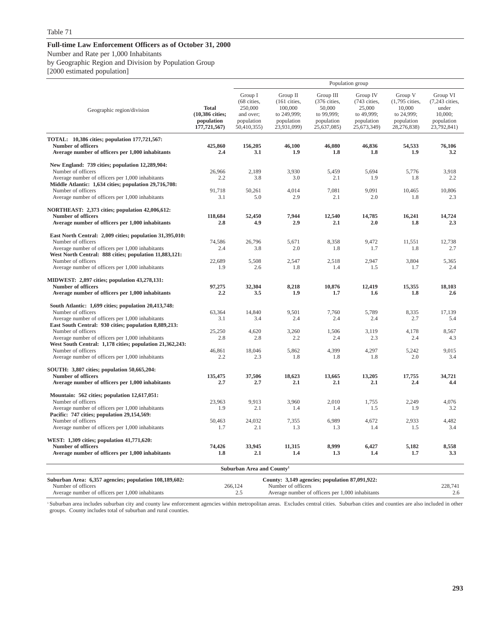#### **Full-time Law Enforcement Officers as of October 31, 2000** Number and Rate per 1,000 Inhabitants by Geographic Region and Division by Population Group [2000 estimated population]

|                                                                                                           |                                                               |                                                                             |                                                                                   |                                                                                | Population group                                                              |                                                                                  |                                                                             |
|-----------------------------------------------------------------------------------------------------------|---------------------------------------------------------------|-----------------------------------------------------------------------------|-----------------------------------------------------------------------------------|--------------------------------------------------------------------------------|-------------------------------------------------------------------------------|----------------------------------------------------------------------------------|-----------------------------------------------------------------------------|
| Geographic region/division                                                                                | <b>Total</b><br>(10,386 cities;<br>population<br>177,721,567) | Group I<br>(68 cities,<br>250,000<br>and over;<br>population<br>50,410,355) | Group II<br>$(161$ cities,<br>100,000<br>to 249,999;<br>population<br>23,931,099) | Group III<br>(376 cities,<br>50,000<br>to 99,999;<br>population<br>25,637,085) | Group IV<br>(743 cities,<br>25,000<br>to 49,999;<br>population<br>25,673,349) | Group V<br>$(1,795$ cities,<br>10,000<br>to 24,999;<br>population<br>28,276,838) | Group VI<br>(7,243 cities,<br>under<br>10,000;<br>population<br>23,792,841) |
| TOTAL: 10,386 cities; population 177,721,567:                                                             |                                                               |                                                                             |                                                                                   |                                                                                |                                                                               |                                                                                  |                                                                             |
| <b>Number of officers</b><br>Average number of officers per 1,000 inhabitants                             | 425,860<br>2.4                                                | 156,205<br>3.1                                                              | 46,100<br>1.9                                                                     | 46,080<br>1.8                                                                  | 46,836<br>1.8                                                                 | 54,533<br>1.9                                                                    | 76,106<br>3.2                                                               |
|                                                                                                           |                                                               |                                                                             |                                                                                   |                                                                                |                                                                               |                                                                                  |                                                                             |
| New England: 739 cities; population 12,289,904:                                                           |                                                               |                                                                             |                                                                                   |                                                                                |                                                                               |                                                                                  |                                                                             |
| Number of officers<br>Average number of officers per 1,000 inhabitants                                    | 26,966<br>2.2                                                 | 2,189<br>3.8                                                                | 3,930<br>3.0                                                                      | 5,459<br>2.1                                                                   | 5,694<br>1.9                                                                  | 5,776<br>1.8                                                                     | 3,918<br>2.2                                                                |
| Middle Atlantic: 1,634 cities; population 29,716,708:                                                     |                                                               |                                                                             |                                                                                   |                                                                                |                                                                               |                                                                                  |                                                                             |
| Number of officers                                                                                        | 91,718                                                        | 50,261                                                                      | 4,014                                                                             | 7,081                                                                          | 9,091                                                                         | 10,465                                                                           | 10,806                                                                      |
| Average number of officers per 1,000 inhabitants                                                          | 3.1                                                           | 5.0                                                                         | 2.9                                                                               | 2.1                                                                            | 2.0                                                                           | 1.8                                                                              | 2.3                                                                         |
| NORTHEAST: 2,373 cities; population 42,006,612:                                                           |                                                               |                                                                             |                                                                                   |                                                                                |                                                                               |                                                                                  |                                                                             |
| Number of officers                                                                                        | 118,684                                                       | 52,450                                                                      | 7,944                                                                             | 12,540                                                                         | 14,785                                                                        | 16,241                                                                           | 14,724                                                                      |
| Average number of officers per 1,000 inhabitants                                                          | 2.8                                                           | 4.9                                                                         | 2.9                                                                               | 2.1                                                                            | 2.0                                                                           | 1.8                                                                              | 2.3                                                                         |
| East North Central: 2,009 cities; population 31,395,010:                                                  |                                                               |                                                                             |                                                                                   |                                                                                |                                                                               |                                                                                  |                                                                             |
| Number of officers                                                                                        | 74,586                                                        | 26,796                                                                      | 5.671                                                                             | 8.358                                                                          | 9.472                                                                         | 11.551                                                                           | 12.738                                                                      |
| Average number of officers per 1,000 inhabitants                                                          | 2.4                                                           | 3.8                                                                         | 2.0                                                                               | 1.8                                                                            | 1.7                                                                           | 1.8                                                                              | 2.7                                                                         |
| West North Central: 888 cities; population 11,883,121:<br>Number of officers                              | 22,689                                                        | 5.508                                                                       | 2.547                                                                             | 2.518                                                                          | 2.947                                                                         | 3.804                                                                            | 5.365                                                                       |
| Average number of officers per 1,000 inhabitants                                                          | 1.9                                                           | 2.6                                                                         | 1.8                                                                               | 1.4                                                                            | 1.5                                                                           | 1.7                                                                              | 2.4                                                                         |
|                                                                                                           |                                                               |                                                                             |                                                                                   |                                                                                |                                                                               |                                                                                  |                                                                             |
| <b>MIDWEST: 2,897 cities; population 43,278,131:</b>                                                      |                                                               |                                                                             |                                                                                   |                                                                                |                                                                               |                                                                                  |                                                                             |
| Number of officers<br>Average number of officers per 1,000 inhabitants                                    | 97,275<br>2.2                                                 | 32,304<br>3.5                                                               | 8,218<br>1.9                                                                      | 10,876<br>1.7                                                                  | 12,419<br>1.6                                                                 | 15,355<br>1.8                                                                    | 18,103<br>2.6                                                               |
|                                                                                                           |                                                               |                                                                             |                                                                                   |                                                                                |                                                                               |                                                                                  |                                                                             |
| South Atlantic: 1,699 cities; population 20,413,748:                                                      |                                                               |                                                                             |                                                                                   |                                                                                |                                                                               |                                                                                  |                                                                             |
| Number of officers                                                                                        | 63,364                                                        | 14,840                                                                      | 9.501                                                                             | 7.760                                                                          | 5.789                                                                         | 8.335                                                                            | 17.139                                                                      |
| Average number of officers per 1,000 inhabitants<br>East South Central: 930 cities; population 8,889,213: | 3.1                                                           | 3.4                                                                         | 2.4                                                                               | 2.4                                                                            | 2.4                                                                           | 2.7                                                                              | 5.4                                                                         |
| Number of officers                                                                                        | 25,250                                                        | 4,620                                                                       | 3,260                                                                             | 1,506                                                                          | 3,119                                                                         | 4,178                                                                            | 8,567                                                                       |
| Average number of officers per 1,000 inhabitants                                                          | 2.8                                                           | 2.8                                                                         | 2.2                                                                               | 2.4                                                                            | 2.3                                                                           | 2.4                                                                              | 4.3                                                                         |
| West South Central: 1,178 cities; population 21,362,243:                                                  |                                                               |                                                                             |                                                                                   |                                                                                |                                                                               |                                                                                  |                                                                             |
| Number of officers<br>Average number of officers per 1,000 inhabitants                                    | 46,861<br>2.2                                                 | 18,046<br>2.3                                                               | 5,862<br>1.8                                                                      | 4,399<br>1.8                                                                   | 4,297<br>1.8                                                                  | 5,242<br>2.0                                                                     | 9,015<br>3.4                                                                |
|                                                                                                           |                                                               |                                                                             |                                                                                   |                                                                                |                                                                               |                                                                                  |                                                                             |
| SOUTH: 3,807 cities; population 50,665,204:                                                               |                                                               |                                                                             |                                                                                   |                                                                                |                                                                               |                                                                                  |                                                                             |
| <b>Number of officers</b>                                                                                 | 135,475                                                       | 37.506                                                                      | 18.623                                                                            | 13,665                                                                         | 13,205                                                                        | 17,755                                                                           | 34,721                                                                      |
| Average number of officers per 1,000 inhabitants                                                          | 2.7                                                           | 2.7                                                                         | 2.1                                                                               | 2.1                                                                            | 2.1                                                                           | 2.4                                                                              | 4.4                                                                         |
| Mountain: 562 cities; population 12,617,051:                                                              |                                                               |                                                                             |                                                                                   |                                                                                |                                                                               |                                                                                  |                                                                             |
| Number of officers                                                                                        | 23,963                                                        | 9,913                                                                       | 3,960                                                                             | 2,010                                                                          | 1,755                                                                         | 2,249                                                                            | 4,076                                                                       |
| Average number of officers per 1,000 inhabitants                                                          | 1.9                                                           | 2.1                                                                         | 1.4                                                                               | 1.4                                                                            | 1.5                                                                           | 1.9                                                                              | 3.2                                                                         |
| Pacific: 747 cities; population 29,154,569:<br>Number of officers                                         | 50,463                                                        | 24,032                                                                      | 7,355                                                                             | 6,989                                                                          | 4,672                                                                         | 2,933                                                                            | 4,482                                                                       |
| Average number of officers per 1,000 inhabitants                                                          | 1.7                                                           | 2.1                                                                         | 1.3                                                                               | 1.3                                                                            | 1.4                                                                           | 1.5                                                                              | 3.4                                                                         |
|                                                                                                           |                                                               |                                                                             |                                                                                   |                                                                                |                                                                               |                                                                                  |                                                                             |
| WEST: 1,309 cities; population 41,771,620:<br><b>Number of officers</b>                                   | 74,426                                                        | 33,945                                                                      | 11,315                                                                            | 8.999                                                                          | 6,427                                                                         | 5,182                                                                            | 8,558                                                                       |
| Average number of officers per 1,000 inhabitants                                                          | 1.8                                                           | 2.1                                                                         | 1.4                                                                               | 1.3                                                                            | 1.4                                                                           | 1.7                                                                              | 3.3                                                                         |
|                                                                                                           |                                                               |                                                                             |                                                                                   |                                                                                |                                                                               |                                                                                  |                                                                             |
|                                                                                                           |                                                               | Suburban Area and County <sup>1</sup>                                       |                                                                                   |                                                                                |                                                                               |                                                                                  |                                                                             |
| Suburban Area: 6,357 agencies; population 108,189,602:                                                    |                                                               |                                                                             | County: 3,149 agencies; population 87,091,922:                                    |                                                                                |                                                                               |                                                                                  |                                                                             |
| Number of officers                                                                                        |                                                               | 266,124                                                                     | Number of officers                                                                |                                                                                |                                                                               |                                                                                  | 228,741                                                                     |
| Average number of officers per 1,000 inhabitants                                                          |                                                               | 2.5                                                                         |                                                                                   | Average number of officers per 1,000 inhabitants                               |                                                                               |                                                                                  | 2.6                                                                         |

<sup>1</sup> Suburban area includes suburban city and county law enforcement agencies within metropolitan areas. Excludes central cities. Suburban cities and counties are also included in other groups. County includes total of suburban and rural counties.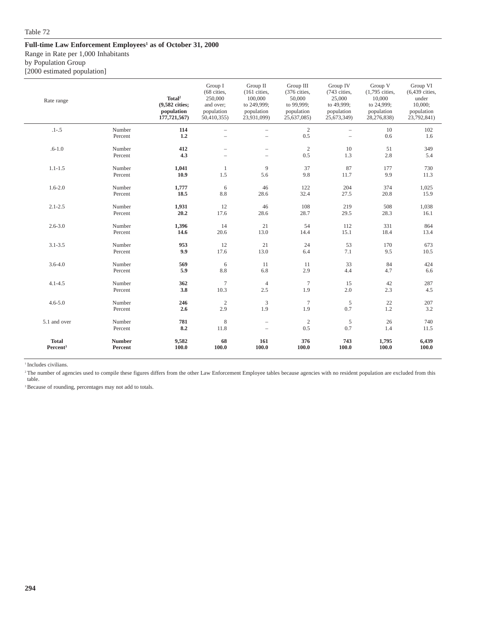#### Full-time Law Enforcement Employees<sup>1</sup> as of October 31, 2000

Range in Rate per 1,000 Inhabitants

by Population Group

[2000 estimated population]

| Rate range           |                   | Total <sup>2</sup><br>(9,582 cities;<br>population<br>177,721,567) | Group I<br>(68 cities,<br>250,000<br>and over;<br>population<br>50,410,355) | Group II<br>$(161$ cities,<br>100,000<br>to 249,999;<br>population<br>23,931,099) | Group III<br>(376 cities,<br>50,000<br>to 99,999;<br>population<br>25,637,085) | Group IV<br>(743 cities,<br>25,000<br>to 49,999;<br>population<br>25,673,349) | Group V<br>(1,795 cities,<br>10,000<br>to 24,999;<br>population<br>28,276,838) | Group VI<br>$(6,439$ cities,<br>under<br>10,000;<br>population<br>23,792,841) |
|----------------------|-------------------|--------------------------------------------------------------------|-----------------------------------------------------------------------------|-----------------------------------------------------------------------------------|--------------------------------------------------------------------------------|-------------------------------------------------------------------------------|--------------------------------------------------------------------------------|-------------------------------------------------------------------------------|
| $.1 - .5$            | Number<br>Percent | 114<br>1.2                                                         | $\overline{\phantom{a}}$<br>$\equiv$                                        | $\overline{\phantom{0}}$                                                          | $\overline{c}$<br>0.5                                                          | $\qquad \qquad -$<br>$\sim$                                                   | 10<br>0.6                                                                      | 102<br>1.6                                                                    |
| $.6 - 1.0$           | Number<br>Percent | 412<br>4.3                                                         | $\equiv$                                                                    | $\overline{\phantom{0}}$<br>L                                                     | $\overline{2}$<br>0.5                                                          | 10<br>1.3                                                                     | 51<br>2.8                                                                      | 349<br>5.4                                                                    |
| $1.1 - 1.5$          | Number            | 1,041                                                              | $\mathbf{1}$                                                                | 9                                                                                 | 37                                                                             | 87                                                                            | 177                                                                            | 730                                                                           |
|                      | Percent           | 10.9                                                               | 1.5                                                                         | 5.6                                                                               | 9.8                                                                            | 11.7                                                                          | 9.9                                                                            | 11.3                                                                          |
| $1.6 - 2.0$          | Number            | 1,777                                                              | $\sqrt{6}$                                                                  | 46                                                                                | 122                                                                            | 204                                                                           | 374                                                                            | 1,025                                                                         |
|                      | Percent           | 18.5                                                               | 8.8                                                                         | 28.6                                                                              | 32.4                                                                           | 27.5                                                                          | 20.8                                                                           | 15.9                                                                          |
| $2.1 - 2.5$          | Number            | 1,931                                                              | 12                                                                          | 46                                                                                | 108                                                                            | 219                                                                           | 508                                                                            | 1,038                                                                         |
|                      | Percent           | 20.2                                                               | 17.6                                                                        | 28.6                                                                              | 28.7                                                                           | 29.5                                                                          | 28.3                                                                           | 16.1                                                                          |
| $2.6 - 3.0$          | Number            | 1,396                                                              | 14                                                                          | 21                                                                                | 54                                                                             | 112                                                                           | 331                                                                            | 864                                                                           |
|                      | Percent           | 14.6                                                               | 20.6                                                                        | 13.0                                                                              | 14.4                                                                           | 15.1                                                                          | 18.4                                                                           | 13.4                                                                          |
| $3.1 - 3.5$          | Number            | 953                                                                | 12                                                                          | 21                                                                                | 24                                                                             | 53                                                                            | 170                                                                            | 673                                                                           |
|                      | Percent           | 9.9                                                                | 17.6                                                                        | 13.0                                                                              | 6.4                                                                            | 7.1                                                                           | 9.5                                                                            | 10.5                                                                          |
| $3.6 - 4.0$          | Number            | 569                                                                | 6                                                                           | 11                                                                                | 11                                                                             | 33                                                                            | 84                                                                             | 424                                                                           |
|                      | Percent           | 5.9                                                                | 8.8                                                                         | 6.8                                                                               | 2.9                                                                            | 4.4                                                                           | 4.7                                                                            | 6.6                                                                           |
| $4.1 - 4.5$          | Number            | 362                                                                | $\overline{7}$                                                              | $\overline{4}$                                                                    | $\tau$                                                                         | 15                                                                            | 42                                                                             | 287                                                                           |
|                      | Percent           | 3.8                                                                | 10.3                                                                        | 2.5                                                                               | 1.9                                                                            | 2.0                                                                           | 2.3                                                                            | 4.5                                                                           |
| $4.6 - 5.0$          | Number            | 246                                                                | $\sqrt{2}$                                                                  | 3                                                                                 | $\tau$                                                                         | $\sqrt{5}$                                                                    | 22                                                                             | 207                                                                           |
|                      | Percent           | 2.6                                                                | 2.9                                                                         | 1.9                                                                               | 1.9                                                                            | 0.7                                                                           | 1.2                                                                            | 3.2                                                                           |
| 5.1 and over         | Number            | 781                                                                | $\,$ 8 $\,$                                                                 | $\qquad \qquad -$                                                                 | $\overline{2}$                                                                 | $\sqrt{5}$                                                                    | 26                                                                             | 740                                                                           |
|                      | Percent           | 8.2                                                                | 11.8                                                                        | $\overline{\phantom{0}}$                                                          | 0.5                                                                            | 0.7                                                                           | 1.4                                                                            | 11.5                                                                          |
| <b>Total</b>         | <b>Number</b>     | 9,582                                                              | 68                                                                          | 161                                                                               | 376                                                                            | 743                                                                           | 1,795                                                                          | 6,439                                                                         |
| Percent <sup>3</sup> | Percent           | 100.0                                                              | 100.0                                                                       | 100.0                                                                             | 100.0                                                                          | 100.0                                                                         | 100.0                                                                          | 100.0                                                                         |

<sup>1</sup> Includes civilians.

<sup>2</sup>The number of agencies used to compile these figures differs from the other Law Enforcement Employee tables because agencies with no resident population are excluded from this table.

<sup>3</sup> Because of rounding, percentages may not add to totals.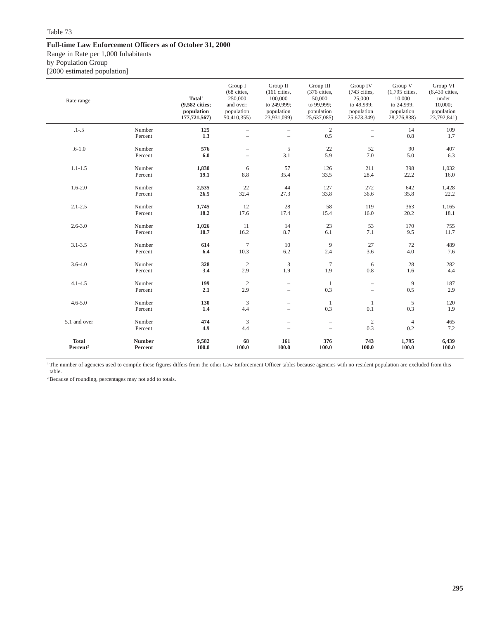#### **Full-time Law Enforcement Officers as of October 31, 2000**

Range in Rate per 1,000 Inhabitants

by Population Group

[2000 estimated population]

| Rate range                           |                          | Total <sup>1</sup><br>(9,582 cities;<br>population<br>177,721,567) | Group I<br>(68 cities,<br>250,000<br>and over:<br>population<br>50,410,355) | Group II<br>(161 cities,<br>100,000<br>to 249,999;<br>population<br>23,931,099) | Group III<br>(376 cities,<br>50,000<br>to 99,999;<br>population<br>25,637,085) | Group IV<br>(743 cities,<br>25,000<br>to 49,999;<br>population<br>25,673,349) | Group V<br>(1,795 cities,<br>10,000<br>to 24,999;<br>population<br>28,276,838) | Group VI<br>$(6,439$ cities,<br>under<br>10,000;<br>population<br>23,792,841) |
|--------------------------------------|--------------------------|--------------------------------------------------------------------|-----------------------------------------------------------------------------|---------------------------------------------------------------------------------|--------------------------------------------------------------------------------|-------------------------------------------------------------------------------|--------------------------------------------------------------------------------|-------------------------------------------------------------------------------|
| $.1 - .5$                            | Number                   | 125                                                                |                                                                             |                                                                                 | $\mathbf{2}$                                                                   | ÷                                                                             | 14                                                                             | 109                                                                           |
|                                      | Percent                  | 1.3                                                                |                                                                             |                                                                                 | 0.5                                                                            | L,                                                                            | $0.8\,$                                                                        | 1.7                                                                           |
| $.6 - 1.0$                           | Number                   | 576                                                                |                                                                             | 5                                                                               | $22\,$                                                                         | 52                                                                            | 90                                                                             | 407                                                                           |
|                                      | Percent                  | 6.0                                                                |                                                                             | 3.1                                                                             | 5.9                                                                            | 7.0                                                                           | 5.0                                                                            | 6.3                                                                           |
| $1.1 - 1.5$                          | Number                   | 1,830                                                              | $\sqrt{6}$                                                                  | 57                                                                              | 126                                                                            | 211                                                                           | 398                                                                            | 1,032                                                                         |
|                                      | Percent                  | 19.1                                                               | $8.8\,$                                                                     | 35.4                                                                            | 33.5                                                                           | 28.4                                                                          | 22.2                                                                           | 16.0                                                                          |
| $1.6 - 2.0$                          | Number                   | 2,535                                                              | 22                                                                          | 44                                                                              | 127                                                                            | 272                                                                           | 642                                                                            | 1,428                                                                         |
|                                      | Percent                  | 26.5                                                               | 32.4                                                                        | 27.3                                                                            | 33.8                                                                           | 36.6                                                                          | 35.8                                                                           | 22.2                                                                          |
| $2.1 - 2.5$                          | Number                   | 1,745                                                              | 12                                                                          | 28                                                                              | 58                                                                             | 119                                                                           | 363                                                                            | 1,165                                                                         |
|                                      | Percent                  | 18.2                                                               | 17.6                                                                        | 17.4                                                                            | 15.4                                                                           | 16.0                                                                          | 20.2                                                                           | 18.1                                                                          |
| $2.6 - 3.0$                          | Number                   | 1,026                                                              | 11                                                                          | 14                                                                              | 23                                                                             | 53                                                                            | 170                                                                            | 755                                                                           |
|                                      | Percent                  | 10.7                                                               | 16.2                                                                        | 8.7                                                                             | 6.1                                                                            | 7.1                                                                           | 9.5                                                                            | 11.7                                                                          |
| $3.1 - 3.5$                          | Number                   | 614                                                                | $7\phantom{.0}$                                                             | 10                                                                              | 9                                                                              | 27                                                                            | 72                                                                             | 489                                                                           |
|                                      | Percent                  | 6.4                                                                | 10.3                                                                        | 6.2                                                                             | 2.4                                                                            | 3.6                                                                           | 4.0                                                                            | 7.6                                                                           |
| $3.6 - 4.0$                          | Number                   | 328                                                                | $\sqrt{2}$                                                                  | $\mathfrak{Z}$                                                                  | $\tau$                                                                         | 6                                                                             | 28                                                                             | 282                                                                           |
|                                      | Percent                  | 3.4                                                                | 2.9                                                                         | 1.9                                                                             | 1.9                                                                            | 0.8                                                                           | 1.6                                                                            | 4.4                                                                           |
| $4.1 - 4.5$                          | Number                   | 199                                                                | $\sqrt{2}$                                                                  | $\qquad \qquad -$                                                               | $\mathbf{1}$                                                                   | $\hspace{1.0cm} - \hspace{1.0cm}$                                             | 9                                                                              | 187                                                                           |
|                                      | Percent                  | 2.1                                                                | 2.9                                                                         | ÷,                                                                              | 0.3                                                                            | ÷,                                                                            | 0.5                                                                            | 2.9                                                                           |
| $4.6 - 5.0$                          | Number                   | 130                                                                | $\mathfrak{Z}$                                                              | $\qquad \qquad -$                                                               | $\mathbf{1}$                                                                   | $\mathbf{1}$                                                                  | 5                                                                              | 120                                                                           |
|                                      | Percent                  | 1.4                                                                | 4.4                                                                         | $\equiv$                                                                        | 0.3                                                                            | 0.1                                                                           | 0.3                                                                            | 1.9                                                                           |
| 5.1 and over                         | Number                   | 474                                                                | $\mathfrak{Z}$                                                              | ÷                                                                               | $\overline{\phantom{0}}$                                                       | $\overline{2}$                                                                | $\overline{4}$                                                                 | 465                                                                           |
|                                      | Percent                  | 4.9                                                                | 4.4                                                                         | ÷                                                                               | ÷                                                                              | 0.3                                                                           | $0.2\,$                                                                        | 7.2                                                                           |
| <b>Total</b><br>Percent <sup>2</sup> | <b>Number</b><br>Percent | 9,582<br>100.0                                                     | 68<br>100.0                                                                 | 161<br>100.0                                                                    | 376<br>100.0                                                                   | 743<br>100.0                                                                  | 1,795<br>100.0                                                                 | 6,439<br>100.0                                                                |

<sup>1</sup>The number of agencies used to compile these figures differs from the other Law Enforcement Officer tables because agencies with no resident population are excluded from this table.

<sup>2</sup> Because of rounding, percentages may not add to totals.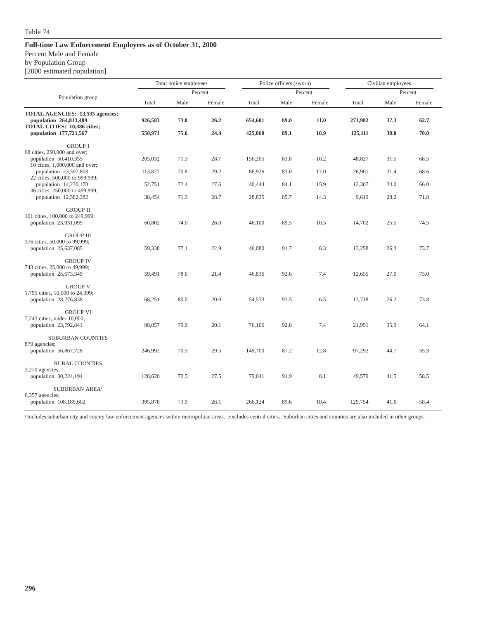Percent Male and Female

by Population Group

[2000 estimated population]

|                                                                                                                                                                                               |                              | Total police employees |                      | Police officers (sworn)     |                      |                      |                            | Civilian employees   |                      |
|-----------------------------------------------------------------------------------------------------------------------------------------------------------------------------------------------|------------------------------|------------------------|----------------------|-----------------------------|----------------------|----------------------|----------------------------|----------------------|----------------------|
| Population group                                                                                                                                                                              |                              |                        | Percent              |                             |                      | Percent              |                            |                      | Percent              |
|                                                                                                                                                                                               | Total                        | Male                   | Female               | Total                       | Male                 | Female               | Total                      | Male                 | Female               |
| TOTAL AGENCIES: 13,535 agencies;<br>population 264,813,489<br><b>TOTAL CITIES: 10,386 cities;</b><br>population 177,721,567                                                                   | 926,583<br>550,971           | 73.8<br>75.6           | 26.2<br>24.4         | 654,601<br>425,860          | 89.0<br>89.1         | 11.0<br>10.9         | 271,982<br>125,111         | 37.3<br>30.0         | 62.7<br>70.0         |
| <b>GROUP I</b><br>68 cities, 250,000 and over;<br>population 50,410,355<br>10 cities, 1,000,000 and over;<br>population 23,597,803<br>22 cities, 500,000 to 999,999;<br>population 14,230,170 | 205,032<br>113,827<br>52,751 | 71.3<br>70.8<br>72.4   | 28.7<br>29.2<br>27.6 | 156,205<br>86,926<br>40,444 | 83.8<br>83.0<br>84.1 | 16.2<br>17.0<br>15.9 | 48,827<br>26,901<br>12,307 | 31.5<br>31.4<br>34.0 | 68.5<br>68.6<br>66.0 |
| 36 cities, 250,000 to 499,999;<br>population 12,582,382                                                                                                                                       | 38,454                       | 71.3                   | 28.7                 | 28,835                      | 85.7                 | 14.3                 | 9,619                      | 28.2                 | 71.8                 |
| <b>GROUP II</b><br>161 cities, 100,000 to 249,999;<br>population 23,931,099                                                                                                                   | 60,802                       | 74.0                   | 26.0                 | 46,100                      | 89.5                 | 10.5                 | 14,702                     | 25.5                 | 74.5                 |
| <b>GROUP III</b><br>376 cities, 50,000 to 99,999;<br>population 25,637,085                                                                                                                    | 59,338                       | 77.1                   | 22.9                 | 46,080                      | 91.7                 | 8.3                  | 13,258                     | 26.3                 | 73.7                 |
| <b>GROUP IV</b><br>743 cities, 25,000 to 49,999;<br>population 25,673,349                                                                                                                     | 59,491                       | 78.6                   | 21.4                 | 46,836                      | 92.6                 | 7.4                  | 12,655                     | 27.0                 | 73.0                 |
| <b>GROUP V</b><br>1,795 cities, 10,000 to 24,999;<br>population 28,276,838                                                                                                                    | 68,251                       | 80.0                   | 20.0                 | 54,533                      | 93.5                 | 6.5                  | 13,718                     | 26.2                 | 73.8                 |
| <b>GROUP VI</b><br>7,243 cities, under 10,000;<br>population 23,792,841                                                                                                                       | 98,057                       | 79.9                   | 20.1                 | 76,106                      | 92.6                 | 7.4                  | 21,951                     | 35.9                 | 64.1                 |
| <b>SUBURBAN COUNTIES</b><br>879 agencies;<br>population 56,867,728                                                                                                                            | 246,992                      | 70.5                   | 29.5                 | 149,700                     | 87.2                 | 12.8                 | 97,292                     | 44.7                 | 55.3                 |
| <b>RURAL COUNTIES</b><br>2,270 agencies;<br>population 30,224,194                                                                                                                             | 128,620                      | 72.5                   | 27.5                 | 79,041                      | 91.9                 | 8.1                  | 49,579                     | 41.5                 | 58.5                 |
| SUBURBAN AREA <sup>1</sup><br>6,357 agencies;<br>population 108,189,602                                                                                                                       | 395,878                      | 73.9                   | 26.1                 | 266,124                     | 89.6                 | 10.4                 | 129,754                    | 41.6                 | 58.4                 |

<sup>1</sup> Includes suburban city and county law enforcement agencies within metropolitan areas. Excludes central cities. Suburban cities and counties are also included in other groups.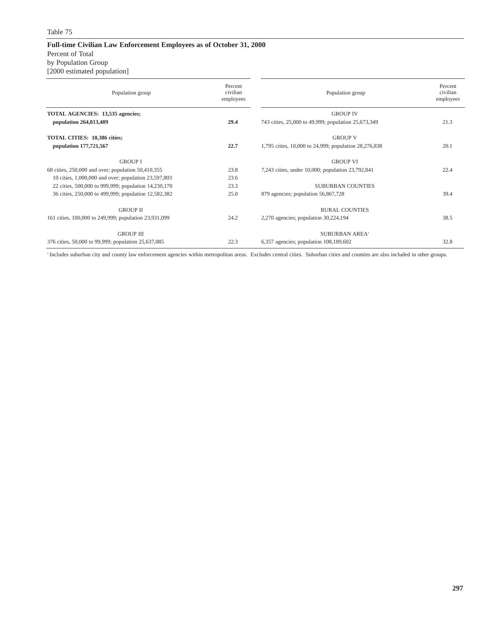#### **Full-time Civilian Law Enforcement Employees as of October 31, 2000** Percent of Total by Population Group

[2000 estimated population]

| Population group                                      | Percent<br>civilian<br>employees | Population group                                      | Percent<br>civilian<br>employees |
|-------------------------------------------------------|----------------------------------|-------------------------------------------------------|----------------------------------|
| TOTAL AGENCIES: 13,535 agencies;                      |                                  | <b>GROUP IV</b>                                       |                                  |
| population 264,813,489                                | 29.4                             | 743 cities, 25,000 to 49,999; population 25,673,349   | 21.3                             |
| TOTAL CITIES: 10,386 cities;                          |                                  | <b>GROUP V</b>                                        |                                  |
| population 177,721,567                                | 22.7                             | 1,795 cities, 10,000 to 24,999; population 28,276,838 | 20.1                             |
| <b>GROUP I</b>                                        |                                  | <b>GROUP VI</b>                                       |                                  |
| 68 cities, 250,000 and over; population 50,410,355    | 23.8                             | 7,243 cities, under 10,000; population 23,792,841     | 22.4                             |
| 10 cities, 1,000,000 and over; population 23,597,803  | 23.6                             |                                                       |                                  |
| 22 cities, 500,000 to 999,999; population 14,230,170  | 23.3                             | <b>SUBURBAN COUNTIES</b>                              |                                  |
| 36 cities, 250,000 to 499,999; population 12,582,382  | 25.0                             | 879 agencies; population 56,867,728                   | 39.4                             |
| <b>GROUP II</b>                                       |                                  | <b>RURAL COUNTIES</b>                                 |                                  |
| 161 cities, 100,000 to 249,999; population 23,931,099 | 24.2                             | $2,270$ agencies; population $30,224,194$             | 38.5                             |
| <b>GROUP III</b>                                      |                                  | <b>SUBURBAN AREA!</b>                                 |                                  |
| 376 cities, 50,000 to 99,999; population 25,637,085   | 22.3                             | $6,357$ agencies; population $108,189,602$            | 32.8                             |

<sup>1</sup> Includes suburban city and county law enforcement agencies within metropolitan areas. Excludes central cities. Suburban cities and counties are also included in other groups.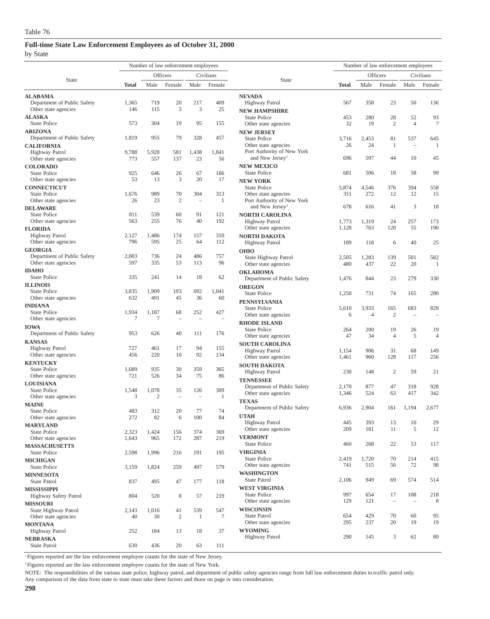by State

|                                               | Number of law enforcement employees |                |                          |                          |                 | Number of law enforcement employees                       |              |                |                          |                |                |
|-----------------------------------------------|-------------------------------------|----------------|--------------------------|--------------------------|-----------------|-----------------------------------------------------------|--------------|----------------|--------------------------|----------------|----------------|
|                                               |                                     |                | Officers                 |                          | Civilians       |                                                           |              |                | Officers                 |                | Civilians      |
| State                                         | <b>Total</b>                        | Male           | Female                   | Male                     | Female          | <b>State</b>                                              | <b>Total</b> | Male           | Female                   | Male           | Female         |
| <b>ALABAMA</b>                                |                                     |                |                          |                          |                 | <b>NEVADA</b>                                             |              |                |                          |                |                |
| Department of Public Safety                   | 1,365                               | 719            | 20                       | 217                      | 409             | <b>Highway Patrol</b>                                     | 567          | 358            | 23                       | 50             | 136            |
| Other state agencies                          | 146                                 | 115            | 3                        | 3                        | 25              | <b>NEW HAMPSHIRE</b>                                      |              |                |                          |                |                |
| <b>ALASKA</b>                                 |                                     |                |                          |                          |                 | <b>State Police</b>                                       | 453          | 280            | 28                       | 52             | 93             |
| <b>State Police</b>                           | 573                                 | 304            | 19                       | 95                       | 155             | Other state agencies                                      | 32           | 19             | $\overline{2}$           | $\overline{4}$ | $\tau$         |
| <b>ARIZONA</b>                                |                                     |                |                          |                          |                 | <b>NEW JERSEY</b>                                         |              |                |                          |                |                |
| Department of Public Safety                   | 1,819                               | 955            | 79                       | 328                      | 457             | <b>State Police</b><br>Other state agencies               | 3,716<br>26  | 2,453<br>24    | 81<br>$\mathbf{1}$       | 537<br>÷       | 645<br>-1      |
| <b>CALIFORNIA</b><br>Highway Patrol           | 9,788                               | 5,928          | 581                      | 1,438                    | 1,841           | Port Authority of New York                                |              |                |                          |                |                |
| Other state agencies                          | 773                                 | 557            | 137                      | 23                       | 56              | and New Jersey <sup>1</sup>                               | 696          | 597            | 44                       | 10             | 45             |
| <b>COLORADO</b>                               |                                     |                |                          |                          |                 | <b>NEW MEXICO</b>                                         |              |                |                          |                |                |
| <b>State Police</b>                           | 925                                 | 646            | 26                       | 67                       | 186             | <b>State Police</b>                                       | 681          | 506            | 18                       | 58             | 99             |
| Other state agencies                          | 53                                  | 13             | 3                        | 20                       | 17              | <b>NEW YORK</b>                                           |              |                |                          |                |                |
| <b>CONNECTICUT</b>                            |                                     |                |                          |                          |                 | <b>State Police</b>                                       | 5,874        | 4,546          | 376                      | 394            | 558            |
| <b>State Police</b>                           | 1,676<br>26                         | 989<br>23      | 70<br>$\mathfrak{2}$     | 304<br>$\sim$            | 313<br>1        | Other state agencies                                      | 311          | 272            | 12                       | 12             | 15             |
| Other state agencies                          |                                     |                |                          |                          |                 | Port Authority of New York<br>and New Jersey <sup>2</sup> | 678          | 616            | 41                       | 3              | 18             |
| <b>DELAWARE</b><br><b>State Police</b>        | 811                                 | 539            | 60                       | 91                       | 121             | <b>NORTH CAROLINA</b>                                     |              |                |                          |                |                |
| Other state agencies                          | 563                                 | 255            | 76                       | 40                       | 192             | <b>Highway Patrol</b>                                     | 1,773        | 1,319          | 24                       | 257            | 173            |
| <b>FLORIDA</b>                                |                                     |                |                          |                          |                 | Other state agencies                                      | 1,128        | 763            | 120                      | 55             | 190            |
| Highway Patrol                                | 2,127                               | 1,486          | 174                      | 157                      | 310             | <b>NORTH DAKOTA</b>                                       |              |                |                          |                |                |
| Other state agencies                          | 796                                 | 595            | 25                       | 64                       | 112             | Highway Patrol                                            | 189          | 118            | 6                        | 40             | 25             |
| <b>GEORGIA</b>                                |                                     |                |                          |                          |                 | <b>OHIO</b>                                               |              |                |                          |                |                |
| Department of Public Safety                   | 2,003                               | 736            | 24                       | 486                      | 757             | State Highway Patrol                                      | 2,505        | 1,283          | 139                      | 501            | 582            |
| Other state agencies                          | 597                                 | 335            | 53                       | 113                      | 96              | Other state agencies                                      | 480          | 437            | 22                       | 20             | -1             |
| <b>IDAHO</b><br><b>State Police</b>           | 335                                 | 241            | 14                       | 18                       | 62              | <b>OKLAHOMA</b>                                           |              |                |                          |                |                |
| <b>ILLINOIS</b>                               |                                     |                |                          |                          |                 | Department of Public Safety                               | 1,476        | 844            | 23                       | 279            | 330            |
| <b>State Police</b>                           | 3,835                               | 1,909          | 193                      | 692                      | 1,041           | <b>OREGON</b><br><b>State Police</b>                      | 1,250        | 731            | 74                       | 165            | 280            |
| Other state agencies                          | 632                                 | 491            | 45                       | 36                       | 60              |                                                           |              |                |                          |                |                |
| <b>INDIANA</b>                                |                                     |                |                          |                          |                 | <b>PENNSYLVANIA</b><br><b>State Police</b>                | 5,610        | 3,933          | 165                      | 683            | 829            |
| <b>State Police</b>                           | 1,934                               | 1,187          | 68                       | 252                      | 427             | Other state agencies                                      | 6            | $\overline{4}$ | $\overline{2}$           | $\sim$         | $\equiv$       |
| Other state agencies                          | $\tau$                              | $\overline{7}$ | $\overline{\phantom{0}}$ | $\overline{\phantom{a}}$ |                 | <b>RHODE ISLAND</b>                                       |              |                |                          |                |                |
| <b>IOWA</b>                                   |                                     |                |                          |                          |                 | <b>State Police</b>                                       | 264          | 200            | 19                       | 26             | 19             |
| Department of Public Safety                   | 953                                 | 626            | 40                       | 111                      | 176             | Other state agencies                                      | 47           | 34             | $\overline{4}$           | 5              | $\overline{4}$ |
| <b>KANSAS</b>                                 | 727                                 | 461            | 17                       | 94                       | 155             | <b>SOUTH CAROLINA</b>                                     |              |                |                          |                |                |
| <b>Highway Patrol</b><br>Other state agencies | 456                                 | 220            | 10                       | 92                       | 134             | <b>Highway Patrol</b>                                     | 1,154        | 906            | 31                       | 68             | 149            |
| <b>KENTUCKY</b>                               |                                     |                |                          |                          |                 | Other state agencies                                      | 1,461        | 960            | 128                      | 117            | 256            |
| <b>State Police</b>                           | 1,689                               | 935            | 30                       | 359                      | 365             | <b>SOUTH DAKOTA</b>                                       | 230          | 148            | $\overline{2}$           | 59             | 21             |
| Other state agencies                          | 721                                 | 526            | 34                       | 75                       | 86              | Highway Patrol                                            |              |                |                          |                |                |
| <b>LOUISIANA</b>                              |                                     |                |                          |                          |                 | <b>TENNESSEE</b><br>Department of Public Safety           | 2,170        | 877            | 47                       | 318            | 928            |
| <b>State Police</b>                           | 1,548                               | 1,078          | 35                       | 126                      | 309             | Other state agencies                                      | 1,346        | 524            | 63                       | 417            | 342            |
| Other state agencies                          | 3                                   | $\overline{2}$ |                          | $\overline{\phantom{a}}$ | 1               | <b>TEXAS</b>                                              |              |                |                          |                |                |
| <b>MAINE</b><br><b>State Police</b>           | 483                                 | 312            | 20                       | 77                       | 74              | Department of Public Safety                               | 6,936        | 2,904          | 161                      | 1,194          | 2,677          |
| Other state agencies                          | 272                                 | 82             | 6                        | $100\,$                  | 84              | <b>UTAH</b>                                               |              |                |                          |                |                |
| <b>MARYLAND</b>                               |                                     |                |                          |                          |                 | <b>Highway Patrol</b>                                     | 445          | 393            | 13                       | 10             | 29             |
| <b>State Police</b>                           | 2,323                               | 1,424          | 156                      | 374                      | 369             | Other state agencies                                      | 209          | 181            | 11                       | 5              | 12             |
| Other state agencies                          | 1,643                               | 965            | 172                      | 287                      | 219             | <b>VERMONT</b>                                            |              |                |                          |                |                |
| <b>MASSACHUSETTS</b>                          |                                     |                |                          |                          |                 | <b>State Police</b>                                       | 460          | 268            | 22                       | 53             | 117            |
| <b>State Police</b>                           | 2,598                               | 1,996          | 216                      | 191                      | 195             | <b>VIRGINIA</b>                                           |              |                | 70                       | 214            |                |
| <b>MICHIGAN</b>                               |                                     |                |                          |                          |                 | State Police<br>Other state agencies                      | 2,419<br>741 | 1,720<br>515   | 56                       | 72             | 415<br>98      |
| <b>State Police</b><br><b>MINNESOTA</b>       | 3,159                               | 1,824          | 259                      | 497                      | 579             | <b>WASHINGTON</b>                                         |              |                |                          |                |                |
| State Patrol                                  | 837                                 | 495            | 47                       | 177                      | 118             | State Patrol                                              | 2,106        | 949            | 69                       | 574            | 514            |
| <b>MISSISSIPPI</b>                            |                                     |                |                          |                          |                 | <b>WEST VIRGINIA</b>                                      |              |                |                          |                |                |
| Highway Safety Patrol                         | 804                                 | 520            | 8                        | 57                       | 219             | State Police                                              | 997          | 654            | 17                       | 108            | 218            |
| <b>MISSOURI</b>                               |                                     |                |                          |                          |                 | Other state agencies                                      | 129          | 121            | $\overline{\phantom{a}}$ |                | 8              |
| State Highway Patrol                          | 2,143                               | 1,016          | 41                       | 539                      | 547             | <b>WISCONSIN</b>                                          |              |                |                          |                |                |
| Other state agencies                          | 40                                  | 30             | $\overline{c}$           | $\mathbf{1}$             | $7\phantom{.0}$ | State Patrol                                              | 654          | 429            | 70                       | 60             | 95             |
| <b>MONTANA</b>                                |                                     |                |                          |                          |                 | Other state agencies                                      | 295          | 237            | 20                       | 19             | 19             |
| <b>Highway Patrol</b>                         | 252                                 | 184            | 13                       | 18                       | 37              | <b>WYOMING</b>                                            | 290          |                | 3                        | 62             | 80             |
| <b>NEBRASKA</b>                               |                                     |                |                          |                          |                 | Highway Patrol                                            |              | 145            |                          |                |                |
| State Patrol                                  | 630                                 | 436            | 20                       | 63                       | 111             |                                                           |              |                |                          |                |                |

<sup>1</sup> Figures reported are the law enforcement employee counts for the state of New Jersey.

<sup>2</sup> Figures reported are the law enforcement employee counts for the state of New York.

NOTE: The responsibilities of the various state police, highway patrol, and department of public safety agencies range from full law enforcement duties to traffic patrol only.

Any comparison of the data from state to state must take these factors and those on page iv into consideration.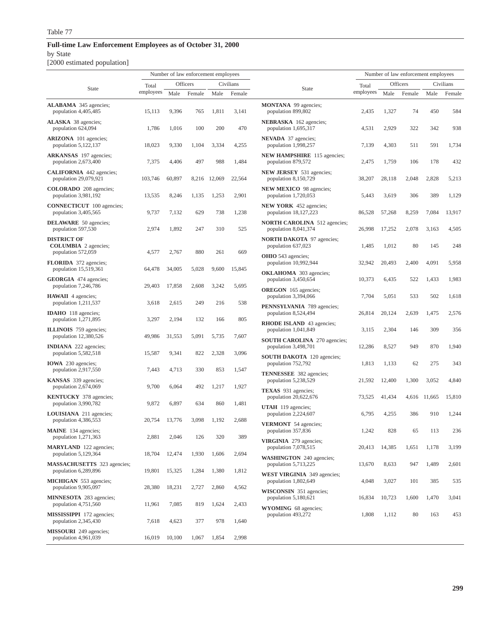#### **Full-time Law Enforcement Employees as of October 31, 2000** by State

[2000 estimated population]

|                                                            | Number of law enforcement employees |        |          |        |           | Number of law enforcement employees                         |           |        |          |        |           |
|------------------------------------------------------------|-------------------------------------|--------|----------|--------|-----------|-------------------------------------------------------------|-----------|--------|----------|--------|-----------|
| State                                                      | Total                               |        | Officers |        | Civilians | State                                                       | Total     |        | Officers |        | Civilians |
|                                                            | employees                           | Male   | Female   | Male   | Female    |                                                             | employees | Male   | Female   | Male   | Female    |
| <b>ALABAMA</b> 345 agencies;<br>population 4,405,485       | 15,113                              | 9,396  | 765      | 1,811  | 3,141     | <b>MONTANA</b> 99 agencies;<br>population 899,802           | 2,435     | 1,327  | 74       | 450    | 584       |
| <b>ALASKA</b> 38 agencies;<br>population 624,094           | 1,786                               | 1,016  | 100      | 200    | 470       | <b>NEBRASKA</b> 162 agencies;<br>population 1,695,317       | 4,531     | 2,929  | 322      | 342    | 938       |
| <b>ARIZONA</b> 101 agencies;<br>population 5,122,137       | 18,023                              | 9,330  | 1,104    | 3,334  | 4,255     | <b>NEVADA</b> 37 agencies;<br>population 1,998,257          | 7,139     | 4,303  | 511      | 591    | 1,734     |
| <b>ARKANSAS</b> 197 agencies;<br>population 2,673,400      | 7,375                               | 4,406  | 497      | 988    | 1,484     | <b>NEW HAMPSHIRE</b> 115 agencies;<br>population 879,572    | 2,475     | 1,759  | 106      | 178    | 432       |
| <b>CALIFORNIA</b> 442 agencies;<br>population 29,079,921   | 103,746                             | 60,897 | 8,216    | 12,069 | 22,564    | <b>NEW JERSEY</b> 531 agencies;<br>population 8,150,729     | 38,207    | 28,118 | 2,048    | 2,828  | 5,213     |
| <b>COLORADO</b> 208 agencies;<br>population 3,981,192      | 13,535                              | 8,246  | 1,135    | 1,253  | 2,901     | <b>NEW MEXICO</b> 98 agencies;<br>population 1,720,053      | 5,443     | 3,619  | 306      | 389    | 1,129     |
| <b>CONNECTICUT</b> 100 agencies;<br>population 3,405,565   | 9,737                               | 7,132  | 629      | 738    | 1,238     | <b>NEW YORK</b> 452 agencies;<br>population 18,127,223      | 86,528    | 57,268 | 8,259    | 7,084  | 13,917    |
| <b>DELAWARE</b> 50 agencies;<br>population 597,530         | 2,974                               | 1,892  | 247      | 310    | 525       | <b>NORTH CAROLINA</b> 512 agencies;<br>population 8,041,374 | 26,998    | 17.252 | 2,078    | 3,163  | 4,505     |
| <b>DISTRICT OF</b><br><b>COLUMBIA</b> 2 agencies;          |                                     |        |          |        |           | <b>NORTH DAKOTA</b> 97 agencies;<br>population 637,023      | 1,485     | 1,012  | 80       | 145    | 248       |
| population 572,059<br><b>FLORIDA</b> 372 agencies;         | 4,577                               | 2,767  | 880      | 261    | 669       | <b>OHIO</b> 543 agencies;<br>population 10,992,944          | 32,942    | 20,493 | 2,400    | 4,091  | 5,958     |
| population 15,519,361<br><b>GEORGIA</b> 474 agencies;      | 64,478                              | 34,005 | 5,028    | 9,600  | 15,845    | <b>OKLAHOMA</b> 303 agencies;<br>population 3,450,654       | 10,373    | 6,435  | 522      | 1,433  | 1,983     |
| population 7,246,786<br><b>HAWAII</b> 4 agencies;          | 29,403                              | 17,858 | 2,608    | 3,242  | 5,695     | <b>OREGON</b> 165 agencies;<br>population 3,394,066         | 7,704     | 5,051  | 533      | 502    | 1,618     |
| population 1,211,537<br><b>IDAHO</b> 118 agencies;         | 3,618                               | 2,615  | 249      | 216    | 538       | <b>PENNSYLVANIA</b> 789 agencies;<br>population 8,524,494   | 26,814    | 20,124 | 2,639    | 1,475  | 2,576     |
| population 1,271,895<br>ILLINOIS 759 agencies;             | 3,297                               | 2,194  | 132      | 166    | 805       | <b>RHODE ISLAND</b> 43 agencies;<br>population 1,041,849    | 3,115     | 2,304  | 146      | 309    | 356       |
| population 12,380,526<br><b>INDIANA</b> 222 agencies;      | 49,986                              | 31,553 | 5,091    | 5,735  | 7,607     | <b>SOUTH CAROLINA</b> 270 agencies;<br>population 3,498,701 | 12,286    | 8,527  | 949      | 870    | 1,940     |
| population 5,582,518<br><b>IOWA</b> 230 agencies;          | 15,587                              | 9,341  | 822      | 2,328  | 3,096     | <b>SOUTH DAKOTA</b> 120 agencies;<br>population 752,792     | 1,813     | 1,133  | 62       | 275    | 343       |
| population 2,917,550                                       | 7,443                               | 4,713  | 330      | 853    | 1,547     | <b>TENNESSEE</b> 382 agencies;                              |           |        |          |        |           |
| <b>KANSAS</b> 339 agencies;<br>population 2,674,069        | 9,700                               | 6,064  | 492      | 1,217  | 1,927     | population 5,238,529<br><b>TEXAS</b> 931 agencies;          | 21,592    | 12,400 | 1,300    | 3,052  | 4,840     |
| <b>KENTUCKY</b> 378 agencies;<br>population 3,990,782      | 9,872                               | 6,897  | 634      | 860    | 1,481     | population 20,622,676<br><b>UTAH</b> 119 agencies;          | 73,525    | 41,434 | 4,616    | 11,665 | 15,810    |
| <b>LOUISIANA</b> 211 agencies;<br>population 4,386,553     | 20,754                              | 13,776 | 3,098    | 1,192  | 2,688     | population 2,224,607<br><b>VERMONT</b> 54 agencies;         | 6,795     | 4,255  | 386      | 910    | 1,244     |
| <b>MAINE</b> 134 agencies;<br>population 1,271,363         | 2,881                               | 2,046  | 126      | 320    | 389       | population 357,836<br>VIRGINIA 279 agencies;                | 1,242     | 828    | 65       | 113    | 236       |
| <b>MARYLAND</b> 122 agencies;<br>population 5,129,364      | 18,704                              | 12,474 | 1,930    | 1,606  | 2,694     | population 7,078,515<br><b>WASHINGTON</b> 240 agencies;     | 20,413    | 14,385 | 1,651    | 1,178  | 3,199     |
| <b>MASSACHUSETTS</b> 323 agencies;<br>population 6,289,896 | 19,801                              | 15,325 | 1,284    | 1,380  | 1,812     | population 5,713,225<br><b>WEST VIRGINIA</b> 349 agencies;  | 13,670    | 8,633  | 947      | 1,489  | 2,601     |
| <b>MICHIGAN</b> 553 agencies;<br>population 9,905,097      | 28,380                              | 18,231 | 2,727    | 2,860  | 4,562     | population 1,802,649<br><b>WISCONSIN</b> 351 agencies;      | 4,048     | 3,027  | 101      | 385    | 535       |
| <b>MINNESOTA</b> 283 agencies;<br>population 4,751,560     | 11,961                              | 7,085  | 819      | 1,624  | 2,433     | population 5,180,621<br><b>WYOMING</b> 68 agencies;         | 16,834    | 10,723 | 1,600    | 1,470  | 3,041     |
| <b>MISSISSIPPI</b> 172 agencies;<br>population 2,345,430   | 7,618                               | 4,623  | 377      | 978    | 1,640     | population 493,272                                          | 1,808     | 1,112  | 80       | 163    | 453       |
| <b>MISSOURI</b> 249 agencies;<br>population 4,961,039      | 16,019                              | 10,100 | 1,067    | 1,854  | 2,998     |                                                             |           |        |          |        |           |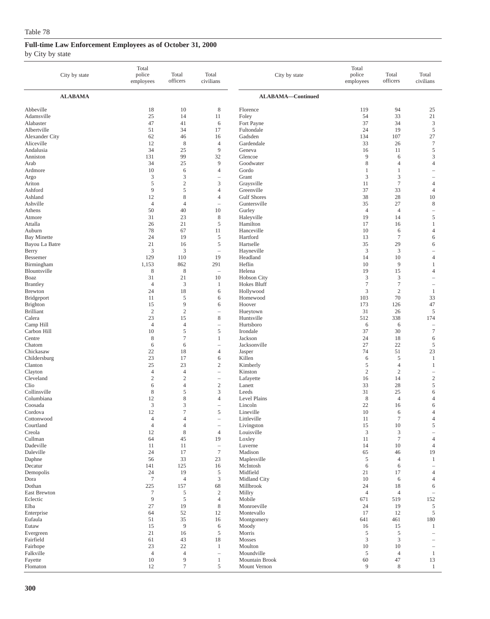#### by City by state

| City by state                       | Total<br>police<br>employees     | Total<br>officers                | Total<br>civilians                                  | City by state                      | Total<br>police<br>employees | Total<br>officers     | Total<br>civilians               |
|-------------------------------------|----------------------------------|----------------------------------|-----------------------------------------------------|------------------------------------|------------------------------|-----------------------|----------------------------------|
| <b>ALABAMA</b>                      |                                  |                                  |                                                     | ALABAMA-Continued                  |                              |                       |                                  |
| Abbeville<br>Adamsville             | 18<br>25                         | 10<br>14                         | 8<br>11                                             | Florence<br>Foley                  | 119<br>54                    | 94<br>33              | 25<br>21                         |
| Alabaster<br>Albertville            | 47<br>51                         | 41<br>34                         | 6<br>17                                             | Fort Payne<br>Fultondale           | 37<br>24                     | 34<br>19              | 3<br>$\sqrt{5}$                  |
| <b>Alexander City</b>               | 62                               | 46                               | 16                                                  | Gadsden                            | 134                          | 107                   | 27                               |
| Aliceville                          | 12                               | 8                                | $\overline{4}$                                      | Gardendale                         | 33                           | 26                    | $\tau$                           |
| Andalusia                           | 34                               | 25                               | $\overline{9}$                                      | Geneva                             | 16                           | 11                    | $\sqrt{5}$                       |
| Anniston<br>Arab                    | 131<br>34                        | 99<br>25                         | 32<br>9                                             | Glencoe<br>Goodwater               | 9<br>8                       | 6<br>$\overline{4}$   | 3<br>$\overline{4}$              |
| Ardmore                             | 10                               | 6                                | 4                                                   | Gordo                              | 1                            | $\mathbf{1}$          |                                  |
| Argo                                | 3                                | 3                                | $\qquad \qquad -$                                   | Grant                              | 3                            | 3                     |                                  |
| Ariton                              | 5                                | $\sqrt{2}$                       | 3                                                   | Graysville                         | 11                           | $\tau$                | $\overline{4}$                   |
| Ashford                             | 9                                | 5                                | $\overline{4}$                                      | Greenville                         | 37                           | 33                    | $\overline{4}$                   |
| Ashland<br>Ashville                 | 12<br>$\overline{4}$             | 8<br>$\overline{4}$              | $\overline{4}$<br>$\hspace{1.0cm} - \hspace{1.0cm}$ | <b>Gulf Shores</b><br>Guntersville | 38<br>35                     | 28<br>27              | 10<br>$\,$ 8 $\,$                |
| Athens                              | 50                               | 40                               | 10                                                  | Gurley                             | $\overline{4}$               | $\overline{4}$        | $\overline{\phantom{0}}$         |
| Atmore                              | 31                               | 23                               | $\,$ 8 $\,$                                         | Haleyville                         | 19                           | 14                    | $\sqrt{5}$                       |
| Attalla                             | 26                               | 21                               | 5                                                   | Hamilton                           | 17                           | 16                    | 1                                |
| Auburn<br><b>Bay Minette</b>        | 78<br>24                         | 67<br>19                         | 11<br>$\mathfrak s$                                 | Hanceville<br>Hartford             | 10<br>13                     | 6<br>$\boldsymbol{7}$ | 4<br>6                           |
| Bayou La Batre                      | 21                               | 16                               | 5                                                   | Hartselle                          | 35                           | 29                    | 6                                |
| Berry                               | 3                                | 3                                | $\overline{\phantom{a}}$                            | Hayneville                         | 3                            | 3                     | $\overline{\phantom{a}}$         |
| Bessemer                            | 129                              | 110                              | 19                                                  | Headland                           | 14                           | 10                    | $\overline{4}$                   |
| Birmingham                          | 1,153                            | 862                              | 291                                                 | Heflin                             | 10                           | 9                     | 1                                |
| Blountsville<br>Boaz                | 8<br>31                          | $\,$ 8 $\,$<br>21                | ÷<br>10                                             | Helena<br><b>Hobson City</b>       | 19<br>3                      | 15<br>3               | $\overline{4}$<br>÷              |
| <b>Brantley</b>                     | $\overline{4}$                   | $\mathfrak z$                    | $\mathbf{1}$                                        | Hokes Bluff                        | $\tau$                       | $\tau$                | $\overline{\phantom{a}}$         |
| <b>Brewton</b>                      | 24                               | 18                               | 6                                                   | Hollywood                          | 3                            | $\overline{c}$        | 1                                |
| Bridgeport                          | 11                               | 5                                | 6                                                   | Homewood                           | 103                          | 70                    | 33                               |
| <b>Brighton</b><br><b>Brilliant</b> | 15<br>$\overline{2}$             | 9<br>$\mathfrak{2}$              | 6                                                   | Hoover<br>Hueytown                 | 173<br>31                    | 126<br>26             | 47<br>5                          |
| Calera                              | 23                               | 15                               | 8                                                   | Huntsville                         | 512                          | 338                   | 174                              |
| Camp Hill                           | $\overline{4}$                   | $\overline{4}$                   | $\qquad \qquad -$                                   | Hurtsboro                          | 6                            | 6                     | $\overline{\phantom{a}}$         |
| Carbon Hill                         | 10                               | 5                                | $\mathfrak s$                                       | Irondale                           | 37                           | 30                    | $\tau$                           |
| Centre<br>Chatom                    | $\,$ 8 $\,$<br>6                 | $\tau$<br>6                      | 1                                                   | Jackson<br>Jacksonville            | 24<br>27                     | 18<br>22              | 6<br>5                           |
| Chickasaw                           | 22                               | 18                               | 4                                                   | Jasper                             | 74                           | 51                    | 23                               |
| Childersburg                        | 23                               | 17                               | 6                                                   | Killen                             | 6                            | 5                     | 1                                |
| Clanton                             | 25                               | 23                               | $\boldsymbol{2}$                                    | Kimberly                           | 5                            | $\overline{4}$        | 1                                |
| Clayton                             | $\overline{4}$<br>$\mathfrak{2}$ | $\overline{4}$<br>$\overline{2}$ | $\qquad \qquad -$                                   | Kinston                            | $\sqrt{2}$                   | $\sqrt{2}$<br>14      | $\overline{\phantom{a}}$         |
| Cleveland<br>Clio                   | 6                                | $\overline{4}$                   | $\overline{\phantom{a}}$<br>$\mathbf{2}$            | Lafayette<br>Lanett                | 16<br>33                     | 28                    | $\overline{c}$<br>$\sqrt{5}$     |
| Collinsville                        | 8                                | 5                                | 3                                                   | Leeds                              | 31                           | 25                    | 6                                |
| Columbiana                          | 12                               | 8                                | 4                                                   | Level Plains                       | 8                            | $\overline{4}$        | $\overline{4}$                   |
| Coosada                             | 3                                | 3                                | $\overline{\phantom{0}}$                            | Lincoln                            | 22                           | 16                    | 6                                |
| Cordova<br>Cottonwood               | 12<br>$\overline{4}$             | 7<br>$\Delta$                    | 5                                                   | Lineville<br>Littleville           | 10<br>11                     | 6<br>$\tau$           | $\overline{4}$<br>$\overline{4}$ |
| Courtland                           | $\overline{4}$                   | $\overline{4}$                   | $\qquad \qquad -$                                   | Livingston                         | 15                           | $10\,$                | 5                                |
| Creola                              | 12                               | $\,$ 8 $\,$                      | $\overline{4}$                                      | Louisville                         | 3                            | 3                     |                                  |
| Cullman                             | 64                               | 45                               | 19                                                  | Loxley                             | 11                           | $\tau$                | $\overline{4}$                   |
| Dadeville<br>Daleville              | 11<br>24                         | 11<br>17                         | $\overline{\phantom{a}}$<br>$\boldsymbol{7}$        | Luverne<br>Madison                 | 14<br>65                     | 10<br>46              | $\overline{4}$<br>19             |
| Daphne                              | 56                               | 33                               | 23                                                  | Maplesville                        | 5                            | $\overline{4}$        | 1                                |
| Decatur                             | 141                              | 125                              | 16                                                  | McIntosh                           | 6                            | 6                     |                                  |
| Demopolis                           | 24                               | 19                               | $\sqrt{5}$                                          | Midfield                           | 21                           | 17                    | $\overline{4}$                   |
| Dora<br>Dothan                      | $7\phantom{.0}$<br>225           | $\overline{4}$<br>157            | 3<br>68                                             | Midland City<br>Millbrook          | 10<br>24                     | 6<br>18               | $\overline{4}$<br>6              |
| East Brewton                        | $\boldsymbol{7}$                 | 5                                | $\overline{c}$                                      | Millry                             | $\overline{4}$               | $\overline{4}$        |                                  |
| Eclectic                            | 9                                | 5                                | $\overline{4}$                                      | Mobile                             | 671                          | 519                   | 152                              |
| Elba                                | $27\,$                           | 19                               | $\,$ 8 $\,$                                         | Monroeville                        | 24                           | 19                    | 5                                |
| Enterprise<br>Eufaula               | 64<br>51                         | 52                               | 12                                                  | Montevallo<br>Montgomery           | 17<br>641                    | 12                    | 5<br>180                         |
| Eutaw                               | 15                               | 35<br>9                          | 16<br>6                                             | Moody                              | 16                           | 461<br>15             | 1                                |
| Evergreen                           | 21                               | 16                               | 5                                                   | Morris                             | 5                            | 5                     | $\overline{\phantom{a}}$         |
| Fairfield                           | 61                               | 43                               | 18                                                  | Mosses                             | 3                            | 3                     |                                  |
| Fairhope<br>Falkville               | 23                               | 22                               | $\mathbf{1}$                                        | Moulton<br>Moundville              | 10                           | 10                    | $\overline{\phantom{0}}$         |
| Fayette                             | $\overline{4}$<br>10             | $\overline{4}$<br>9              | $\overline{\phantom{m}}$<br>$\mathbf{1}$            | Mountain Brook                     | 5<br>60                      | 4<br>47               | 1<br>13                          |
| Flomaton                            | 12                               | $\boldsymbol{7}$                 | 5                                                   | Mount Vernon                       | 9                            | 8                     | $\mathbf{1}$                     |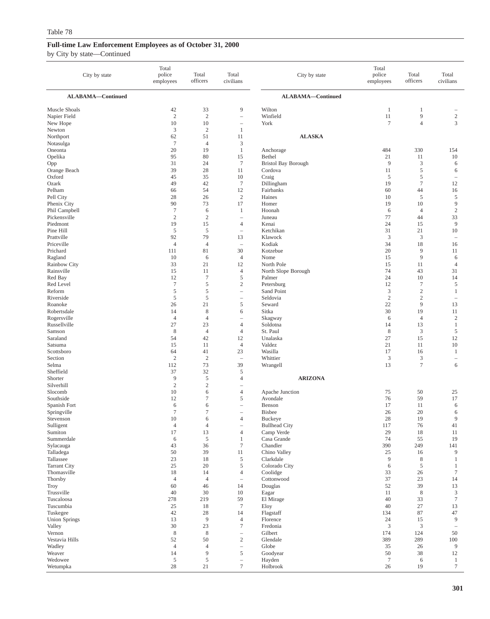| City by state                | Total<br>police<br>employees      | Total<br>officers              | Total<br>civilians                           | City by state                         | Total<br>police<br>employees | Total<br>officers              | Total<br>civilians                |
|------------------------------|-----------------------------------|--------------------------------|----------------------------------------------|---------------------------------------|------------------------------|--------------------------------|-----------------------------------|
| ALABAMA-Continued            |                                   |                                |                                              | ALABAMA-Continued                     |                              |                                |                                   |
| Muscle Shoals                | 42                                | 33                             | 9                                            | Wilton                                | $\mathbf{1}$                 | 1                              |                                   |
| Napier Field                 | $\overline{2}$<br>10              | $\sqrt{2}$<br>10               | $\qquad \qquad -$                            | Winfield<br>York                      | 11<br>$\tau$                 | 9<br>$\overline{4}$            | $\sqrt{2}$<br>3                   |
| New Hope<br>Newton           | $\mathfrak z$                     | $\sqrt{2}$                     | $\qquad \qquad -$<br>$\mathbf{1}$            |                                       |                              |                                |                                   |
| Northport                    | 62                                | 51                             | 11                                           | <b>ALASKA</b>                         |                              |                                |                                   |
| Notasulga                    | $\boldsymbol{7}$                  | $\overline{4}$                 | $\mathfrak z$                                |                                       |                              |                                |                                   |
| Oneonta                      | 20                                | 19                             | $\mathbf{1}$                                 | Anchorage                             | 484                          | 330                            | 154                               |
| Opelika                      | 95                                | 80                             | 15                                           | Bethel                                | 21                           | 11                             | 10                                |
| Opp<br>Orange Beach          | 31<br>39                          | 24<br>28                       | $\boldsymbol{7}$<br>11                       | <b>Bristol Bay Borough</b><br>Cordova | 9<br>11                      | 3<br>5                         | 6<br>6                            |
| Oxford                       | 45                                | 35                             | 10                                           | Craig                                 | 5                            | 5                              | $\overline{\phantom{a}}$          |
| Ozark                        | 49                                | 42                             | $\tau$                                       | Dillingham                            | 19                           | $\tau$                         | 12                                |
| Pelham                       | 66                                | 54                             | 12                                           | Fairbanks                             | 60                           | 44                             | 16                                |
| Pell City                    | 28<br>90                          | 26<br>73                       | $\sqrt{2}$<br>17                             | Haines<br>Homer                       | 10<br>19                     | $\sqrt{5}$<br>10               | 5<br>9                            |
| Phenix City<br>Phil Campbell | $\tau$                            | 6                              | 1                                            | Hoonah                                | 6                            | $\overline{4}$                 | $\sqrt{2}$                        |
| Pickensville                 | $\overline{2}$                    | $\sqrt{2}$                     | $\qquad \qquad -$                            | Juneau                                | 77                           | 44                             | 33                                |
| Piedmont                     | 19                                | 15                             | $\overline{4}$                               | Kenai                                 | 24                           | 15                             | 9                                 |
| Pine Hill                    | $\sqrt{5}$                        | $\sqrt{5}$                     | $\overline{\phantom{a}}$                     | Ketchikan                             | 31                           | 21                             | 10                                |
| Prattville<br>Priceville     | 92<br>$\overline{4}$              | 79<br>$\overline{4}$           | 13<br>$\overline{\phantom{a}}$               | Klawock                               | 3<br>34                      | 3<br>18                        | $\hspace{1.0cm} - \hspace{1.0cm}$ |
| Prichard                     | 111                               | 81                             | 30                                           | Kodiak<br>Kotzebue                    | 20                           | 9                              | 16<br>11                          |
| Ragland                      | 10                                | 6                              | $\overline{4}$                               | Nome                                  | 15                           | 9                              | 6                                 |
| Rainbow City                 | 33                                | 21                             | 12                                           | North Pole                            | 15                           | 11                             | $\overline{4}$                    |
| Rainsville                   | 15                                | 11                             | $\overline{4}$                               | North Slope Borough                   | 74                           | 43                             | 31                                |
| Red Bay                      | 12                                | $\tau$                         | 5                                            | Palmer                                | 24                           | 10                             | 14                                |
| Red Level<br>Reform          | $\boldsymbol{7}$<br>$\mathfrak s$ | $\mathfrak s$<br>$\mathfrak s$ | $\mathbf{2}$<br>÷,                           | Petersburg<br>Sand Point              | 12<br>$\mathfrak{Z}$         | $\boldsymbol{7}$<br>$\sqrt{2}$ | $\mathfrak s$<br>$\mathbf{1}$     |
| Riverside                    | $\sqrt{5}$                        | $\sqrt{5}$                     | $\qquad \qquad -$                            | Seldovia                              | $\overline{c}$               | $\sqrt{2}$                     | $\overline{\phantom{a}}$          |
| Roanoke                      | 26                                | 21                             | 5                                            | Seward                                | 22                           | 9                              | 13                                |
| Robertsdale                  | 14                                | 8                              | 6                                            | Sitka                                 | 30                           | 19                             | 11                                |
| Rogersville                  | $\overline{4}$                    | $\overline{4}$                 | $\overline{\phantom{0}}$                     | Skagway                               | 6                            | $\overline{4}$                 | $\sqrt{2}$                        |
| Russellville<br>Samson       | 27<br>$\,$ 8 $\,$                 | 23<br>$\overline{4}$           | $\overline{4}$<br>$\overline{4}$             | Soldotna<br>St. Paul                  | 14<br>$\,$ 8 $\,$            | 13<br>$\mathfrak{Z}$           | $\mathbf{1}$<br>5                 |
| Saraland                     | 54                                | 42                             | 12                                           | Unalaska                              | 27                           | 15                             | 12                                |
| Satsuma                      | 15                                | 11                             | $\overline{4}$                               | Valdez                                | 21                           | 11                             | 10                                |
| Scottsboro                   | 64                                | 41                             | 23                                           | Wasilla                               | 17                           | 16                             | $\mathbf{1}$                      |
| Section                      | $\sqrt{2}$                        | $\overline{c}$                 | $\qquad \qquad -$                            | Whittier                              | 3                            | 3                              | $\hspace{1.0cm} - \hspace{1.0cm}$ |
| Selma<br>Sheffield           | 112<br>37                         | 73<br>32                       | 39<br>5                                      | Wrangell                              | 13                           | $\tau$                         | 6                                 |
| Shorter                      | $\overline{9}$                    | $\mathfrak s$                  | $\overline{4}$                               | <b>ARIZONA</b>                        |                              |                                |                                   |
| Silverhill                   | $\sqrt{2}$                        | $\sqrt{2}$                     | $\qquad \qquad -$                            |                                       |                              |                                |                                   |
| Slocomb                      | 10                                | 6                              | $\overline{4}$                               | Apache Junction                       | 75                           | 50                             | 25                                |
| Southside                    | 12                                | 7                              | 5                                            | Avondale                              | 76                           | 59                             | 17                                |
| Spanish Fort<br>Springville  | 6<br>$\tau$                       | 6<br>$\tau$                    | $\qquad \qquad -$<br>$\equiv$                | Benson<br><b>Bisbee</b>               | 17<br>26                     | 11<br>20                       | 6<br>6                            |
| Stevenson                    | $10\,$                            | 6                              | 4                                            | Buckeye                               | $28\,$                       | 19                             | 9                                 |
| Sulligent                    | $\overline{4}$                    | $\overline{4}$                 | $\overline{\phantom{0}}$                     | <b>Bullhead City</b>                  | 117                          | 76                             | 41                                |
| Sumiton                      | 17                                | 13                             | $\overline{4}$                               | Camp Verde                            | 29                           | 18                             | 11                                |
| Summerdale                   | 6                                 | $\sqrt{5}$                     | $\mathbf{1}$                                 | Casa Grande                           | 74                           | 55                             | 19                                |
| Sylacauga<br>Talladega       | 43<br>50                          | 36<br>39                       | 7<br>11                                      | Chandler<br>Chino Valley              | 390<br>25                    | 249<br>16                      | 141<br>9                          |
| Tallassee                    | 23                                | 18                             | 5                                            | Clarkdale                             | $\overline{9}$               | 8                              | $\mathbf{1}$                      |
| <b>Tarrant City</b>          | 25                                | 20                             | 5                                            | Colorado City                         | 6                            | 5                              | $\mathbf{1}$                      |
| Thomasville                  | 18                                | 14                             | $\overline{4}$                               | Coolidge                              | 33                           | 26                             | $\tau$                            |
| Thorsby                      | $\overline{4}$                    | $\overline{4}$                 | $\qquad \qquad -$                            | Cottonwood                            | 37                           | 23                             | 14                                |
| <b>Troy</b><br>Trussville    | 60<br>40                          | 46<br>30                       | 14<br>10                                     | Douglas<br>Eagar                      | 52<br>11                     | 39<br>8                        | 13<br>$\ensuremath{\mathsf{3}}$   |
| Tuscaloosa                   | 278                               | 219                            | 59                                           | El Mirage                             | 40                           | 33                             | $\boldsymbol{7}$                  |
| Tuscumbia                    | 25                                | 18                             | $\tau$                                       | Eloy                                  | 40                           | 27                             | 13                                |
| Tuskegee                     | 42                                | 28                             | 14                                           | Flagstaff                             | 134                          | 87                             | 47                                |
| <b>Union Springs</b>         | 13                                | $\overline{9}$                 | $\overline{4}$                               | Florence                              | 24                           | 15                             | 9                                 |
| Valley<br>Vernon             | 30<br>$\,$ 8 $\,$                 | 23<br>$\,$ 8 $\,$              | $\boldsymbol{7}$<br>$\overline{\phantom{0}}$ | Fredonia<br>Gilbert                   | 3<br>174                     | 3<br>124                       | $\overline{\phantom{a}}$<br>50    |
| Vestavia Hills               | 52                                | 50                             | $\mathbf{2}$                                 | Glendale                              | 389                          | 289                            | 100                               |
| Wadley                       | $\overline{4}$                    | $\overline{4}$                 | $\qquad \qquad -$                            | Globe                                 | 35                           | 26                             | 9                                 |
| Weaver                       | 14                                | 9                              | 5                                            | Goodyear                              | 50                           | 38                             | 12                                |
| Wedowee                      | $\sqrt{5}$                        | $\sqrt{5}$                     | $\overline{\phantom{0}}$                     | Hayden                                | $\tau$                       | 6                              | $\mathbf{1}$                      |
| Wetumpka                     | $28\,$                            | 21                             | $\tau$                                       | Holbrook                              | 26                           | 19                             | $\boldsymbol{7}$                  |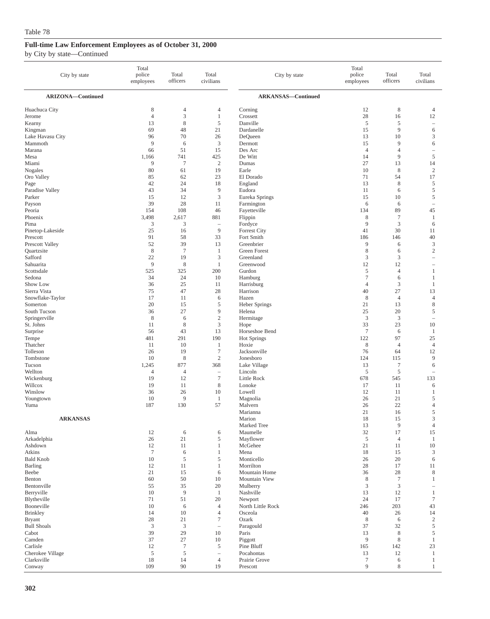| City by state               | Total<br>police<br>employees | Total<br>officers     | Total<br>civilians                | City by state                | Total<br>police<br>employees | Total<br>officers    | Total<br>civilians             |
|-----------------------------|------------------------------|-----------------------|-----------------------------------|------------------------------|------------------------------|----------------------|--------------------------------|
| <b>ARIZONA-Continued</b>    |                              |                       |                                   | <b>ARKANSAS-Continued</b>    |                              |                      |                                |
| Huachuca City               | 8                            | $\overline{4}$        | 4                                 | Corning                      | 12                           | 8                    | $\overline{4}$                 |
| Jerome                      | $\overline{4}$               | 3                     | $\mathbf{1}$                      | Crossett                     | 28                           | 16                   | 12                             |
| Kearny                      | 13                           | 8                     | 5                                 | Danville                     | 5                            | 5                    | $\overline{\phantom{a}}$       |
| Kingman                     | 69                           | 48                    | 21                                | Dardanelle                   | 15                           | 9                    | 6                              |
| Lake Havasu City<br>Mammoth | 96<br>9                      | 70<br>6               | 26<br>3                           | DeQueen<br>Dermott           | 13<br>15                     | 10<br>9              | $\mathfrak z$<br>6             |
| Marana                      | 66                           | 51                    | 15                                | Des Arc                      | $\overline{4}$               | $\overline{4}$       | $\overline{\phantom{0}}$       |
| Mesa                        | 1,166                        | 741                   | 425                               | De Witt                      | 14                           | 9                    | $\sqrt{5}$                     |
| Miami                       | 9                            | $\overline{7}$        | $\mathbf{2}$                      | Dumas                        | 27                           | 13                   | 14                             |
| Nogales                     | 80                           | 61                    | 19                                | Earle                        | 10                           | $\,$ 8 $\,$          | $\sqrt{2}$                     |
| Oro Valley                  | 85                           | 62                    | 23                                | El Dorado                    | 71                           | 54                   | 17                             |
| Page                        | 42                           | 24                    | 18                                | England                      | 13                           | 8                    | 5                              |
| Paradise Valley             | 43                           | 34                    | 9                                 | Eudora                       | 11                           | 6                    | $\sqrt{5}$                     |
| Parker                      | 15                           | 12                    | 3                                 | Eureka Springs               | 15                           | 10                   | 5                              |
| Payson<br>Peoria            | 39<br>154                    | 28<br>108             | 11<br>46                          | Farmington<br>Fayetteville   | 6<br>134                     | 6<br>89              | $\overline{\phantom{a}}$<br>45 |
| Phoenix                     | 3,498                        | 2,617                 | 881                               | Flippin                      | 8                            | $\overline{7}$       | $\mathbf{1}$                   |
| Pima                        | 3                            | 3                     | $\hspace{1.0cm} - \hspace{1.0cm}$ | Fordyce                      | 9                            | 3                    | 6                              |
| Pinetop-Lakeside            | 25                           | 16                    | 9                                 | <b>Forrest City</b>          | 41                           | 30                   | 11                             |
| Prescott                    | 91                           | 58                    | 33                                | Fort Smith                   | 186                          | 146                  | 40                             |
| Prescott Valley             | 52                           | 39                    | 13                                | Greenbrier                   | 9                            | 6                    | $\mathfrak z$                  |
| Quartzsite                  | 8                            | $\overline{7}$        | -1                                | <b>Green Forest</b>          | 8                            | 6                    | $\sqrt{2}$                     |
| Safford                     | 22                           | 19                    | 3                                 | Greenland                    | 3                            | 3                    | ÷,                             |
| Sahuarita                   | 9                            | 8                     | $\mathbf{1}$                      | Greenwood                    | 12                           | 12                   |                                |
| Scottsdale                  | 525                          | 325                   | 200                               | Gurdon                       | 5                            | 4                    | $\mathbf{1}$                   |
| Sedona                      | 34                           | 24                    | 10                                | Hamburg                      | 7                            | 6                    | $\mathbf{1}$                   |
| Show Low<br>Sierra Vista    | 36<br>75                     | 25<br>47              | 11                                | Harrisburg<br>Harrison       | 4<br>40                      | 3<br>27              | 1<br>13                        |
| Snowflake-Taylor            | 17                           | 11                    | 28<br>6                           | Hazen                        | 8                            | $\overline{4}$       | $\overline{4}$                 |
| Somerton                    | 20                           | 15                    | 5                                 | <b>Heber Springs</b>         | 21                           | 13                   | $\,$ 8 $\,$                    |
| South Tucson                | 36                           | 27                    | 9                                 | Helena                       | 25                           | 20                   | 5                              |
| Springerville               | 8                            | 6                     | $\sqrt{2}$                        | Hermitage                    | 3                            | 3                    | ÷,                             |
| St. Johns                   | 11                           | 8                     | $\mathfrak{Z}$                    | Hope                         | 33                           | 23                   | $10\,$                         |
| Surprise                    | 56                           | 43                    | 13                                | Horseshoe Bend               | $\overline{7}$               | 6                    | $\mathbf{1}$                   |
| Tempe                       | 481                          | 291                   | 190                               | <b>Hot Springs</b>           | 122                          | 97                   | 25                             |
| Thatcher                    | 11                           | 10                    | 1                                 | Hoxie                        | 8                            | $\overline{4}$       | $\overline{4}$                 |
| Tolleson                    | 26                           | 19                    | $\tau$                            | Jacksonville                 | 76                           | 64                   | 12                             |
| Tombstone                   | 10                           | 8                     | $\mathbf{2}$                      | Jonesboro                    | 124                          | 115                  | $\overline{9}$                 |
| Tucson<br>Wellton           | 1,245<br>$\overline{4}$      | 877<br>$\overline{4}$ | 368<br>$\overline{\phantom{m}}$   | Lake Village<br>Lincoln      | 13<br>$\overline{5}$         | $\tau$<br>$\sqrt{5}$ | 6<br>$\overline{\phantom{a}}$  |
| Wickenburg                  | 19                           | 12                    | $\tau$                            | Little Rock                  | 678                          | 545                  | 133                            |
| Willcox                     | 19                           | 11                    | $\,$ 8 $\,$                       | Lonoke                       | 17                           | 11                   | 6                              |
| Winslow                     | 36                           | 26                    | 10                                | Lowell                       | 12                           | 11                   | 1                              |
| Youngtown                   | 10                           | 9                     | -1                                | Magnolia                     | 26                           | 21                   | 5                              |
| Yuma                        | 187                          | 130                   | 57                                | Malvern                      | 26                           | 22                   | $\overline{4}$                 |
|                             |                              |                       |                                   | Marianna                     | 21                           | 16                   | 5                              |
| <b>ARKANSAS</b>             |                              |                       |                                   | Marion                       | 18                           | 15                   | $\mathfrak z$                  |
|                             |                              |                       |                                   | Marked Tree                  | 13                           | $\overline{9}$       | $\overline{4}$                 |
| Alma<br>Arkadelphia         | 12<br>26                     | 6<br>21               | 6<br>5                            | Maumelle<br>Mayflower        | 32<br>$\overline{5}$         | 17<br>$\overline{4}$ | 15<br>$\mathbf{1}$             |
| Ashdown                     | 12                           | 11                    | $\mathbf{1}$                      | McGehee                      | 21                           | 11                   | $10\,$                         |
| Atkins                      | $\boldsymbol{7}$             | 6                     | $\mathbf{1}$                      | Mena                         | 18                           | 15                   | 3                              |
| <b>Bald Knob</b>            | 10                           | 5                     | $\mathfrak s$                     | Monticello                   | 26                           | 20                   | 6                              |
| Barling                     | 12                           | 11                    | $\mathbf{1}$                      | Morrilton                    | 28                           | 17                   | 11                             |
| Beebe                       | 21                           | 15                    | 6                                 | Mountain Home                | 36                           | 28                   | $\,$ 8 $\,$                    |
| Benton                      | 60                           | 50                    | 10                                | <b>Mountain View</b>         | 8                            | $\tau$               | $\mathbf{1}$                   |
| Bentonville                 | 55                           | 35                    | 20                                | Mulberry                     | 3                            | $\mathfrak z$        | $\overline{\phantom{a}}$       |
| Berryville                  | $10\,$                       | 9                     | $\mathbf{1}$                      | Nashville                    | 13                           | 12                   | $\mathbf{1}$                   |
| Blytheville<br>Booneville   | 71                           | 51                    | 20<br>$\overline{4}$              | Newport<br>North Little Rock | 24                           | 17<br>203            | $\tau$                         |
| <b>Brinkley</b>             | 10<br>14                     | 6<br>10               | $\overline{4}$                    | Osceola                      | 246<br>40                    | 26                   | 43<br>14                       |
| <b>Bryant</b>               | 28                           | 21                    | $\boldsymbol{7}$                  | Ozark                        | 8                            | 6                    | $\sqrt{2}$                     |
| <b>Bull Shoals</b>          | $\mathfrak z$                | $\boldsymbol{\beta}$  | $\overline{\phantom{m}}$          | Paragould                    | 37                           | 32                   | $\mathfrak s$                  |
| Cabot                       | 39                           | 29                    | 10                                | Paris                        | 13                           | $\,$ 8 $\,$          | 5                              |
| Camden                      | 37                           | 27                    | 10                                | Piggott                      | $\overline{9}$               | $\,$ 8 $\,$          | $\mathbf{1}$                   |
| Carlisle                    | 12                           | $\tau$                | 5                                 | Pine Bluff                   | 165                          | 142                  | 23                             |
| Cherokee Village            | $\sqrt{5}$                   | $\mathfrak s$         | $\hspace{1.0cm} - \hspace{1.0cm}$ | Pocahontas                   | 13                           | 12                   | $\mathbf{1}$                   |
| Clarksville                 | 18                           | 14                    | $\overline{4}$                    | Prairie Grove                | $\tau$                       | 6                    | $\mathbf{1}$                   |
| Conway                      | 109                          | 90                    | 19                                | Prescott                     | 9                            | 8                    | $\mathbf{1}$                   |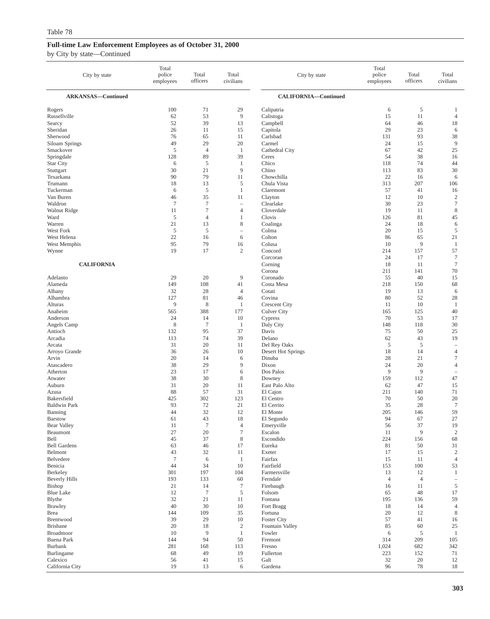| City by state                | Total<br>police<br>employees | Total<br>officers    | Total<br>civilians      | City by state                         | Total<br>police<br>employees | Total<br>officers | Total<br>civilians                |
|------------------------------|------------------------------|----------------------|-------------------------|---------------------------------------|------------------------------|-------------------|-----------------------------------|
| <b>ARKANSAS-Continued</b>    |                              |                      |                         | CALIFORNIA-Continued                  |                              |                   |                                   |
| Rogers                       | 100                          | 71                   | 29                      | Calipatria                            | 6                            | 5                 | 1                                 |
| Russellville                 | 62                           | 53                   | $\overline{9}$          | Calistoga                             | 15                           | 11                | $\overline{4}$                    |
| Searcy                       | 52                           | 39                   | 13                      | Campbell                              | 64                           | 46                | 18                                |
| Sheridan<br>Sherwood         | 26<br>76                     | 11<br>65             | 15<br>11                | Capitola<br>Carlsbad                  | 29<br>131                    | 23<br>93          | 6<br>38                           |
| Siloam Springs               | 49                           | 29                   | 20                      | Carmel                                | 24                           | 15                | 9                                 |
| Smackover                    | $\sqrt{5}$                   | $\overline{4}$       | 1                       | Cathedral City                        | 67                           | 42                | 25                                |
| Springdale                   | 128                          | 89                   | 39                      | Ceres                                 | 54                           | 38                | 16                                |
| <b>Star City</b>             | 6                            | 5                    | 1                       | Chico                                 | 118                          | 74                | 44                                |
| Stuttgart                    | 30                           | 21                   | 9                       | Chino                                 | 113                          | 83                | 30                                |
| Texarkana                    | 90                           | 79                   | 11                      | Chowchilla                            | 22                           | 16                | 6                                 |
| Trumann                      | 18                           | 13                   | 5                       | Chula Vista                           | 313                          | 207               | 106                               |
| Tuckerman<br>Van Buren       | 6                            | 5                    | $\mathbf{1}$            | Claremont                             | 57<br>12                     | 41<br>10          | 16                                |
| Waldron                      | 46<br>$\overline{7}$         | 35<br>$\overline{7}$ | 11<br>$\qquad \qquad -$ | Clayton<br>Clearlake                  | 30                           | 23                | $\boldsymbol{2}$<br>$\tau$        |
| Walnut Ridge                 | 11                           | $\tau$               | $\overline{4}$          | Cloverdale                            | 19                           | 11                | $\,$ 8 $\,$                       |
| Ward                         | $\sqrt{5}$                   | $\overline{4}$       | 1                       | Clovis                                | 126                          | 81                | 45                                |
| Warren                       | 21                           | 13                   | 8                       | Coalinga                              | 24                           | 18                | 6                                 |
| West Fork                    | 5                            | 5                    | $\qquad \qquad -$       | Colma                                 | 20                           | 15                | 5                                 |
| West Helena                  | 22                           | 16                   | 6                       | Colton                                | 86                           | 65                | 21                                |
| West Memphis                 | 95                           | 79                   | 16                      | Colusa                                | 10                           | 9                 | $\mathbf{1}$                      |
| Wynne                        | 19                           | 17                   | $\mathfrak{2}$          | Concord                               | 214                          | 157               | 57                                |
| <b>CALIFORNIA</b>            |                              |                      |                         | Corcoran                              | 24<br>18                     | 17<br>11          | 7<br>$\tau$                       |
|                              |                              |                      |                         | Corning<br>Corona                     | 211                          | 141               | 70                                |
| Adelanto                     | 29                           | 20                   | 9                       | Coronado                              | 55                           | 40                | 15                                |
| Alameda                      | 149                          | 108                  | 41                      | Costa Mesa                            | 218                          | 150               | 68                                |
| Albany                       | 32                           | 28                   | $\overline{4}$          | Cotati                                | 19                           | 13                | 6                                 |
| Alhambra                     | 127                          | 81                   | 46                      | Covina                                | 80                           | 52                | 28                                |
| Alturas                      | 9                            | $\,$ 8 $\,$          | 1                       | <b>Crescent City</b>                  | 11                           | 10                | $\mathbf{1}$                      |
| Anaheim                      | 565                          | 388                  | 177                     | <b>Culver City</b>                    | 165                          | 125               | 40                                |
| Anderson                     | 24                           | 14                   | 10                      | Cypress                               | 70                           | 53                | 17                                |
| Angels Camp<br>Antioch       | 8<br>132                     | $\tau$<br>95         | 1<br>37                 | Daly City<br>Davis                    | 148<br>75                    | 118<br>50         | 30<br>25                          |
| Arcadia                      | 113                          | 74                   | 39                      | Delano                                | 62                           | 43                | 19                                |
| Arcata                       | 31                           | 20                   | 11                      | Del Rey Oaks                          | 5                            | 5                 | ۰                                 |
| Arroyo Grande                | 36                           | 26                   | 10                      | Desert Hot Springs                    | 18                           | 14                | 4                                 |
| Arvin                        | 20                           | 14                   | 6                       | Dinuba                                | 28                           | 21                | 7                                 |
| Atascadero                   | 38                           | 29                   | 9                       | Dixon                                 | 24                           | 20                | $\overline{4}$                    |
| Atherton                     | 23                           | 17                   | 6                       | Dos Palos                             | 9                            | 9                 | $\hspace{1.0cm} - \hspace{1.0cm}$ |
| Atwater                      | 38                           | 30                   | 8                       | Downey                                | 159                          | 112               | 47                                |
| Auburn                       | 31<br>88                     | 20                   | 11                      | East Palo Alto                        | 62                           | 47                | 15                                |
| Azusa<br>Bakersfield         | 425                          | 57<br>302            | 31<br>123               | El Cajon<br>El Centro                 | 211<br>70                    | 140<br>50         | 71<br>20                          |
| <b>Baldwin Park</b>          | 93                           | 72                   | 21                      | El Cerrito                            | 35                           | 28                | $\tau$                            |
| Banning                      | 44                           | 32                   | 12                      | El Monte                              | 205                          | 146               | 59                                |
| <b>Barstow</b>               | 61                           | 43                   | 18                      | El Segundo                            | 94                           | 67                | $27\,$                            |
| <b>Bear Valley</b>           | 11                           | $\boldsymbol{7}$     | $\overline{4}$          | Emeryville                            | 56                           | 37                | 19                                |
| Beaumont                     | 27                           | 20                   | $\tau$                  | Escalon                               | 11                           | 9                 | $\overline{c}$                    |
| Bell                         | $45\,$                       | 37                   | $\,$ 8 $\,$             | Escondido                             | 224                          | 156               | 68                                |
| <b>Bell Gardens</b>          | 63                           | 46                   | 17                      | Eureka                                | 81                           | 50                | 31                                |
| Belmont<br>Belvedere         | 43<br>$\boldsymbol{7}$       | 32<br>6              | 11<br>$\mathbf{1}$      | Exeter<br>Fairfax                     | 17<br>15                     | 15<br>11          | $\sqrt{2}$<br>$\overline{4}$      |
| Benicia                      | 44                           | 34                   | 10                      | Fairfield                             | 153                          | 100               | 53                                |
| Berkeley                     | 301                          | 197                  | 104                     | Farmersville                          | 13                           | 12                | $\mathbf{1}$                      |
| <b>Beverly Hills</b>         | 193                          | 133                  | 60                      | Ferndale                              | $\overline{4}$               | $\overline{4}$    | $\qquad \qquad -$                 |
| Bishop                       | 21                           | 14                   | $\boldsymbol{7}$        | Firebaugh                             | 16                           | 11                | $\mathfrak s$                     |
| <b>Blue Lake</b>             | 12                           | $\tau$               | 5                       | Folsom                                | 65                           | 48                | 17                                |
| Blythe                       | 32                           | 21                   | 11                      | Fontana                               | 195                          | 136               | 59                                |
| <b>Brawley</b>               | 40                           | 30                   | 10                      | Fort Bragg                            | 18                           | 14                | $\overline{4}$                    |
| <b>Brea</b>                  | 144                          | 109                  | 35                      | Fortuna                               | 20                           | 12                | 8                                 |
| Brentwood<br><b>Brisbane</b> | 39<br>20                     | 29<br>18             | 10<br>$\sqrt{2}$        | <b>Foster City</b><br>Fountain Valley | 57<br>85                     | 41<br>60          | 16<br>25                          |
| Broadmoor                    | 10                           | 9                    | $\mathbf{1}$            | Fowler                                | 6                            | 5                 | $\mathbf{1}$                      |
| <b>Buena Park</b>            | 144                          | 94                   | 50                      | Fremont                               | 314                          | 209               | 105                               |
| Burbank                      | 281                          | 168                  | 113                     | Fresno                                | 1,024                        | 682               | 342                               |
| Burlingame                   | 68                           | 49                   | 19                      | Fullerton                             | 223                          | 152               | 71                                |
| Calexico                     | 56                           | 41                   | 15                      | Galt                                  | 32                           | 20                | 12                                |
| California City              | 19                           | 13                   | 6                       | Gardena                               | 96                           | 78                | 18                                |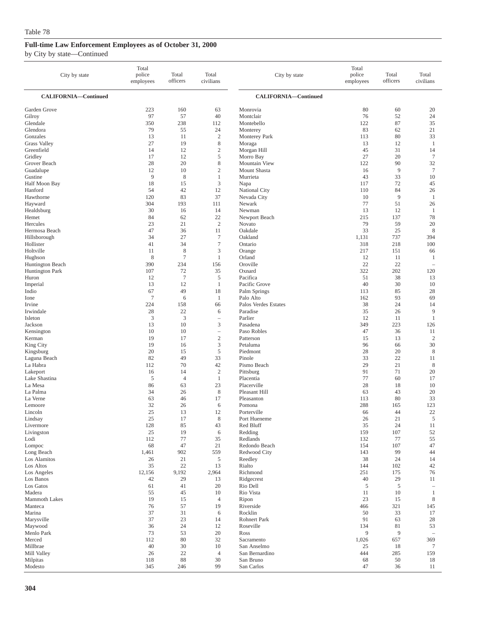| City by state                                      | Total<br>police<br>employees | Total<br>officers    | Total<br>civilians                                   | City by state                                    | Total<br>police<br>employees | Total<br>officers             | Total<br>civilians                |
|----------------------------------------------------|------------------------------|----------------------|------------------------------------------------------|--------------------------------------------------|------------------------------|-------------------------------|-----------------------------------|
| <b>CALIFORNIA-Continued</b>                        |                              |                      |                                                      | <b>CALIFORNIA-Continued</b>                      |                              |                               |                                   |
| Garden Grove                                       | 223                          | 160                  | 63                                                   | Monrovia                                         | 80                           | 60                            | 20                                |
| Gilroy                                             | 97                           | 57                   | 40                                                   | Montclair                                        | 76                           | 52                            | 24                                |
| Glendale                                           | 350                          | 238                  | 112                                                  | Montebello                                       | 122                          | 87                            | 35                                |
| Glendora                                           | 79                           | 55                   | 24                                                   | Monterey                                         | 83                           | 62                            | 21                                |
| Gonzales                                           | 13                           | 11                   | $\boldsymbol{2}$                                     | <b>Monterey Park</b>                             | 113                          | 80                            | 33                                |
| <b>Grass Valley</b>                                | 27                           | 19                   | 8                                                    | Moraga                                           | 13                           | 12                            | 1                                 |
| Greenfield                                         | 14                           | 12                   | $\mathbf{2}$                                         | Morgan Hill                                      | 45                           | 31                            | 14                                |
| Gridley                                            | 17                           | 12                   | 5                                                    | Morro Bay                                        | 27                           | 20                            | $\tau$                            |
| Grover Beach                                       | 28                           | 20                   | 8                                                    | Mountain View                                    | 122                          | 90                            | 32                                |
| Guadalupe                                          | 12                           | 10                   | $\mathbf{2}$                                         | Mount Shasta                                     | 16                           | 9                             | $\tau$                            |
| Gustine                                            | 9                            | 8                    | $\mathbf{1}$                                         | Murrieta                                         | 43                           | 33                            | 10                                |
| Half Moon Bay                                      | 18                           | 15                   | 3                                                    | Napa                                             | 117                          | 72                            | 45                                |
| Hanford                                            | 54                           | 42                   | 12                                                   | <b>National City</b>                             | 110                          | 84                            | 26                                |
| Hawthorne                                          | 120                          | 83                   | 37                                                   | Nevada City                                      | 10                           | 9                             | 1                                 |
| Hayward                                            | 304                          | 193                  | 111                                                  | Newark                                           | 77                           | 51                            | 26                                |
| Healdsburg                                         | 30                           | 16                   | 14                                                   | Newman                                           | 13                           | 12                            | 1                                 |
| Hemet                                              | 84                           | 62                   | 22                                                   | Newport Beach                                    | 215                          | 137                           | 78                                |
| Hercules                                           | 23                           | 21                   | $\overline{c}$                                       | Novato                                           | 79                           | 59                            | 20                                |
| Hermosa Beach                                      | 47                           | 36                   | 11                                                   | Oakdale                                          | 33                           | 25                            | 8                                 |
| Hillsborough                                       | 34                           | 27                   | $\tau$                                               | Oakland                                          | 1,131                        | 737                           | 394                               |
| Hollister                                          | 41                           | 34                   | $\tau$                                               | Ontario                                          | 318                          | 218                           | 100                               |
| Holtville                                          | 11                           | 8                    | 3                                                    | Orange                                           | 217                          | 151                           | 66                                |
| Hughson                                            | 8                            | $\tau$               | 1                                                    | Orland                                           | 12                           | 11                            | 1                                 |
| Huntington Beach                                   | 390                          | 234                  | 156                                                  | Oroville                                         | 22                           | 22                            | i.                                |
| <b>Huntington Park</b>                             | 107                          | 72                   | 35                                                   | Oxnard                                           | 322                          | 202                           | 120                               |
| Huron                                              | 12                           | $\tau$               | 5                                                    | Pacifica                                         | 51                           | 38                            | 13                                |
| Imperial                                           | 13                           | 12                   | $\mathbf{1}$                                         | Pacific Grove                                    | 40                           | 30                            | 10                                |
| Indio                                              | 67                           | 49                   | 18                                                   | Palm Springs                                     | 113                          | 85                            | 28                                |
| Ione                                               | $\overline{7}$               | 6                    | $\mathbf{1}$                                         | Palo Alto                                        | 162                          | 93                            | 69                                |
| Irvine                                             | 224                          | 158                  | 66                                                   | Palos Verdes Estates                             | 38                           | 24                            | 14                                |
| Irwindale                                          | 28                           | 22                   | 6                                                    | Paradise                                         | 35                           | 26                            | 9                                 |
| Isleton                                            | $\mathfrak z$                | 3                    | L,                                                   | Parlier                                          | 12                           | 11                            | $\mathbf{1}$                      |
| Jackson<br>Kensington<br>Kerman                    | 13<br>10<br>19<br>19         | 10<br>10<br>17<br>16 | 3<br>$\overline{\phantom{0}}$<br>$\mathfrak{2}$<br>3 | Pasadena<br>Paso Robles<br>Patterson<br>Petaluma | 349<br>47<br>15<br>96        | 223<br>36<br>13<br>66         | 126<br>11<br>$\overline{c}$<br>30 |
| King City<br>Kingsburg<br>Laguna Beach<br>La Habra | 20<br>82<br>112              | 15<br>49<br>70       | 5<br>33<br>42                                        | Piedmont<br>Pinole<br>Pismo Beach                | 28<br>33<br>29               | 20<br>22<br>21                | 8<br>11<br>$\,$ 8 $\,$            |
| Lakeport                                           | 16                           | 14                   | $\overline{c}$                                       | Pittsburg                                        | 91                           | 71                            | 20                                |
| Lake Shastina                                      | 5                            | $\overline{4}$       | $\mathbf{1}$                                         | Placentia                                        | 77                           | 60                            | 17                                |
| La Mesa                                            | 86                           | 63                   | 23                                                   | Placerville                                      | 28                           | 18                            | 10                                |
| La Palma                                           | 34                           | 26                   | 8                                                    | Pleasant Hill                                    | 63                           | 43                            | 20                                |
| La Verne                                           | 63                           | 46                   | 17                                                   | Pleasanton                                       | 113                          | 80                            | 33                                |
| Lemoore                                            | 32                           | 26                   | 6                                                    | Pomona                                           | 288                          | 165                           | 123                               |
| Lincoln                                            | 25                           | 13                   | 12                                                   | Porterville                                      | 66                           | 44                            | 22                                |
| Lindsay                                            | 25                           | 17                   | 8                                                    | Port Hueneme                                     | $26\,$                       | 21                            | $\mathfrak s$                     |
| Livermore                                          | 128                          | 85                   | 43                                                   | Red Bluff                                        | 35                           | 24                            | 11                                |
| Livingston                                         | 25                           | 19                   | 6                                                    | Redding                                          | 159                          | 107                           | 52                                |
| Lodi                                               | 112                          | $77 \,$              | 35                                                   | Redlands                                         | 132                          | 77                            | 55                                |
| Lompoc                                             | 68                           | 47                   | 21                                                   | Redondo Beach                                    | 154                          | 107                           | 47                                |
| Long Beach                                         | 1,461                        | 902                  | 559                                                  | Redwood City                                     | 143                          | 99                            | 44                                |
| Los Alamitos                                       | 26                           | 21                   | 5                                                    | Reedley                                          | 38                           | 24                            | 14                                |
| Los Altos                                          | 35                           | 22                   | 13                                                   | Rialto                                           | 144                          | 102                           | 42                                |
| Los Angeles<br>Los Banos<br>Los Gatos<br>Madera    | 12,156<br>42<br>61<br>55     | 9,192<br>29<br>41    | 2,964<br>13<br>20<br>10                              | Richmond<br>Ridgecrest<br>Rio Dell<br>Rio Vista  | 251<br>40<br>5<br>11         | 175<br>29<br>$\sqrt{5}$<br>10 | 76<br>11<br>$\mathbf{1}$          |
| Mammoth Lakes<br>Manteca<br>Marina                 | 19<br>76<br>37               | 45<br>15<br>57<br>31 | $\overline{4}$<br>19<br>6                            | Ripon<br>Riverside<br>Rocklin                    | 23<br>466<br>50              | 15<br>321<br>33               | $\,$ 8 $\,$<br>145<br>17          |
| Marysville                                         | 37                           | 23                   | 14                                                   | Rohnert Park                                     | 91                           | 63                            | 28                                |
| Maywood                                            | 36                           | 24                   | 12                                                   | Roseville                                        | 134                          | 81                            | 53                                |
| Menlo Park                                         | 73                           | 53                   | 20                                                   | Ross                                             | 9                            | $\overline{9}$                | $\overline{\phantom{a}}$          |
| Merced                                             | 112                          | 80                   | 32                                                   | Sacramento                                       | 1,026                        | 657                           | 369                               |
| Millbrae                                           | 40                           | 30                   | 10                                                   | San Anselmo                                      | 25                           | 18                            | 7                                 |
| Mill Valley                                        | 26                           | 22                   | $\overline{4}$                                       | San Bernardino                                   | 444                          | 285                           | 159                               |
| Milpitas                                           | 118                          | 88                   | 30                                                   | San Bruno                                        | 68                           | 50                            | 18                                |
| Modesto                                            | 345                          | 246                  | 99                                                   | San Carlos                                       | 47                           | 36                            | 11                                |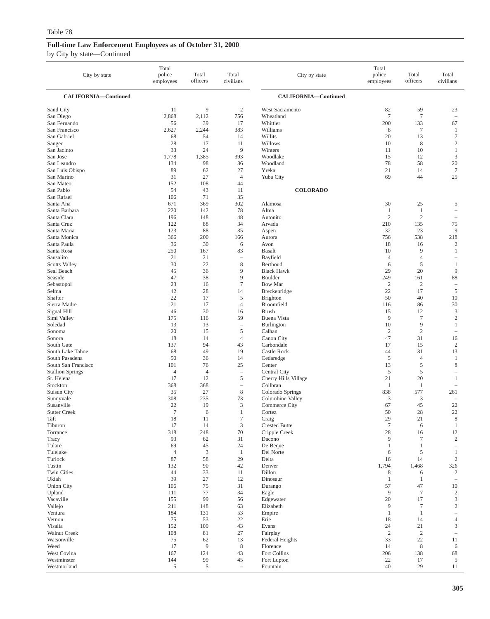| City by state                         | Total<br>police<br>employees | Total<br>officers   | Total<br>civilians             | City by state              | Total<br>police<br>employees | Total<br>officers   | Total<br>civilians                                  |
|---------------------------------------|------------------------------|---------------------|--------------------------------|----------------------------|------------------------------|---------------------|-----------------------------------------------------|
| CALIFORNIA-Continued                  |                              |                     |                                | CALIFORNIA-Continued       |                              |                     |                                                     |
| Sand City                             | 11                           | 9                   | $\overline{2}$                 | West Sacramento            | 82                           | 59                  | 23                                                  |
| San Diego                             | 2,868                        | 2,112               | 756                            | Wheatland                  | $\overline{7}$               | $\tau$              | $\sim$                                              |
| San Fernando                          | 56                           | 39                  | 17                             | Whittier                   | 200                          | 133                 | 67                                                  |
| San Francisco                         | 2,627                        | 2,244               | 383                            | Williams                   | 8                            | $\tau$              | $\mathbf{1}$                                        |
| San Gabriel<br>Sanger                 | 68<br>28                     | 54<br>17            | 14<br>11                       | Willits<br>Willows         | 20<br>10                     | 13<br>8             | $\tau$<br>2                                         |
| San Jacinto                           | 33                           | 24                  | 9                              | Winters                    | 11                           | 10                  | -1                                                  |
| San Jose                              | 1,778                        | 1,385               | 393                            | Woodlake                   | 15                           | 12                  | $\mathfrak{Z}$                                      |
| San Leandro                           | 134                          | 98                  | 36                             | Woodland                   | 78                           | 58                  | 20                                                  |
| San Luis Obispo                       | 89                           | 62                  | 27                             | Yreka                      | 21                           | 14                  | $7\phantom{.0}$                                     |
| San Marino                            | 31                           | 27                  | $\overline{4}$                 | Yuba City                  | 69                           | 44                  | 25                                                  |
| San Mateo                             | 152                          | 108                 | 44                             |                            |                              |                     |                                                     |
| San Pablo<br>San Rafael               | 54<br>106                    | 43<br>71            | 11<br>35                       | <b>COLORADO</b>            |                              |                     |                                                     |
| Santa Ana                             | 671                          | 369                 | 302                            | Alamosa                    | 30                           | 25                  | 5                                                   |
| Santa Barbara                         | 220                          | 142                 | 78                             | Alma                       | $\mathbf{1}$                 | -1                  | $\overline{\phantom{a}}$                            |
| Santa Clara                           | 196                          | 148                 | 48                             | Antonito                   | $\overline{c}$               | $\overline{c}$      |                                                     |
| Santa Cruz                            | 122                          | 88                  | 34                             | Arvada                     | 210                          | 135                 | 75                                                  |
| Santa Maria                           | 123                          | 88                  | 35                             | Aspen                      | 32                           | 23                  | 9                                                   |
| Santa Monica                          | 366                          | 200                 | 166                            | Aurora                     | 756                          | 538                 | 218                                                 |
| Santa Paula                           | 36                           | 30                  | 6                              | Avon                       | 18                           | 16                  | 2                                                   |
| Santa Rosa<br>Sausalito               | 250<br>21                    | 167<br>21           | 83<br>$\qquad \qquad -$        | <b>Basalt</b><br>Bayfield  | 10<br>$\overline{4}$         | 9<br>$\overline{4}$ | $\mathbf{1}$<br>$\overline{\phantom{a}}$            |
| <b>Scotts Valley</b>                  | 30                           | 22                  | 8                              | Berthoud                   | 6                            | 5                   | $\mathbf{1}$                                        |
| Seal Beach                            | 45                           | 36                  | 9                              | <b>Black Hawk</b>          | 29                           | 20                  | 9                                                   |
| Seaside                               | 47                           | 38                  | 9                              | Boulder                    | 249                          | 161                 | 88                                                  |
| Sebastopol                            | 23                           | 16                  | $\tau$                         | <b>Bow Mar</b>             | $\mathfrak{2}$               | $\mathfrak{2}$      | $\sim$                                              |
| Selma                                 | 42                           | 28                  | 14                             | Breckenridge               | 22                           | 17                  | $\overline{5}$                                      |
| Shafter                               | 22                           | 17                  | 5                              | <b>Brighton</b>            | 50                           | 40                  | 10                                                  |
| Sierra Madre<br>Signal Hill           | 21<br>46                     | 17<br>30            | 4<br>16                        | Broomfield<br><b>Brush</b> | 116<br>15                    | 86<br>12            | 30<br>$\mathfrak{Z}$                                |
| Simi Valley                           | 175                          | 116                 | 59                             | Buena Vista                | 9                            | $\tau$              | $\sqrt{2}$                                          |
| Soledad                               | 13                           | 13                  | $\qquad \qquad -$              | Burlington                 | 10                           | 9                   | $\mathbf{1}$                                        |
| Sonoma                                | 20                           | 15                  | 5                              | Calhan                     | $\overline{c}$               | $\mathbf{2}$        | $\hspace{1.0cm} - \hspace{1.0cm}$                   |
| Sonora                                | 18                           | 14                  | $\overline{4}$                 | Canon City                 | 47                           | 31                  | 16                                                  |
| South Gate                            | 137                          | 94                  | 43                             | Carbondale                 | 17                           | 15                  | $\overline{c}$                                      |
| South Lake Tahoe                      | 68                           | 49                  | 19                             | Castle Rock                | 44                           | 31                  | 13                                                  |
| South Pasadena<br>South San Francisco | 50<br>101                    | 36<br>76            | 14<br>25                       | Cedaredge<br>Center        | 5<br>13                      | $\overline{4}$<br>5 | $\mathbf{1}$<br>8                                   |
| <b>Stallion Springs</b>               | $\overline{4}$               | $\overline{4}$      | $\sim$                         | Central City               | 5                            | 5                   | $\overline{\phantom{a}}$                            |
| St. Helena                            | 17                           | 12                  | 5                              | Cherry Hills Village       | 21                           | 20                  | $\mathbf{1}$                                        |
| Stockton                              | 368                          | 368                 | $\qquad \qquad -$              | Collbran                   | $\mathbf{1}$                 | 1                   | $\sim$                                              |
| Suisun City                           | 35                           | 27                  | $\,$ 8 $\,$                    | Colorado Springs           | 838                          | 577                 | 261                                                 |
| Sunnyvale                             | 308                          | 235                 | 73                             | Columbine Valley           | 3                            | 3                   |                                                     |
| Susanville<br><b>Sutter Creek</b>     | 22<br>$\overline{7}$         | 19<br>6             | 3<br>$\mathbf{1}$              | Commerce City<br>Cortez    | 67<br>50                     | 45<br>28            | 22<br>22                                            |
| Taft                                  | 18                           | 11                  | $\tau$                         | Craig                      | 29                           | 21                  | 8                                                   |
| Tiburon                               | 17                           | 14                  | $\ensuremath{\mathfrak{Z}}$    | <b>Crested Butte</b>       | $\boldsymbol{7}$             | $\sqrt{6}$          | $\mathbf{1}$                                        |
| Torrance                              | 318                          | 248                 | 70                             | Cripple Creek              | 28                           | 16                  | $12\,$                                              |
| Tracy                                 | 93                           | 62                  | 31                             | Dacono                     | 9                            | $\boldsymbol{7}$    | $\overline{2}$                                      |
| Tulare                                | 69                           | 45                  | 24                             | De Beque                   | $\mathbf{1}$                 | $\mathbf{1}$        | $\hspace{0.1mm}-\hspace{0.1mm}$                     |
| Tulelake                              | $\overline{4}$               | 3                   | $\mathbf{1}$                   | Del Norte                  | 6                            | 5                   | $\mathbf{1}$                                        |
| Turlock<br>Tustin                     | 87<br>132                    | 58<br>90            | 29<br>42                       | Delta<br>Denver            | 16<br>1,794                  | 14<br>1,468         | $\overline{2}$<br>326                               |
| Twin Cities                           | 44                           | 33                  | 11                             | Dillon                     | 8                            | 6                   | $\overline{c}$                                      |
| Ukiah                                 | 39                           | 27                  | 12                             | Dinosaur                   | -1                           | $\mathbf{1}$        |                                                     |
| <b>Union City</b>                     | 106                          | 75                  | 31                             | Durango                    | 57                           | 47                  | 10                                                  |
| Upland                                | 111                          | 77                  | 34                             | Eagle                      | 9                            | $\boldsymbol{7}$    | $\sqrt{2}$                                          |
| Vacaville                             | 155                          | 99                  | 56                             | Edgewater                  | 20                           | 17                  | 3                                                   |
| Vallejo                               | 211<br>184                   | 148                 | 63                             | Elizabeth                  | 9<br>-1                      | $\tau$              | $\sqrt{2}$                                          |
| Ventura<br>Vernon                     | 75                           | 131<br>53           | 53<br>22                       | Empire<br>Erie             | 18                           | $\mathbf{1}$<br>14  | $\hspace{1.0cm} - \hspace{1.0cm}$<br>$\overline{4}$ |
| Visalia                               | 152                          | 109                 | 43                             | Evans                      | 24                           | 21                  | 3                                                   |
| Walnut Creek                          | 108                          | 81                  | 27                             | Fairplay                   | $\overline{2}$               | $\overline{2}$      |                                                     |
| Watsonville                           | 75                           | 62                  | 13                             | Federal Heights            | 33                           | 22                  | 11                                                  |
| Weed                                  | 17                           | 9                   | $\,8\,$                        | Florence                   | 14                           | $\,8\,$             | 6                                                   |
| West Covina                           | 167                          | 124                 | 43                             | Fort Collins               | 206                          | 138                 | 68                                                  |
| Westminster<br>Westmorland            | 144<br>5                     | 99<br>$\mathfrak s$ | 45<br>$\overline{\phantom{a}}$ | Fort Lupton<br>Fountain    | $22\,$<br>40                 | 17<br>29            | 5<br>11                                             |
|                                       |                              |                     |                                |                            |                              |                     |                                                     |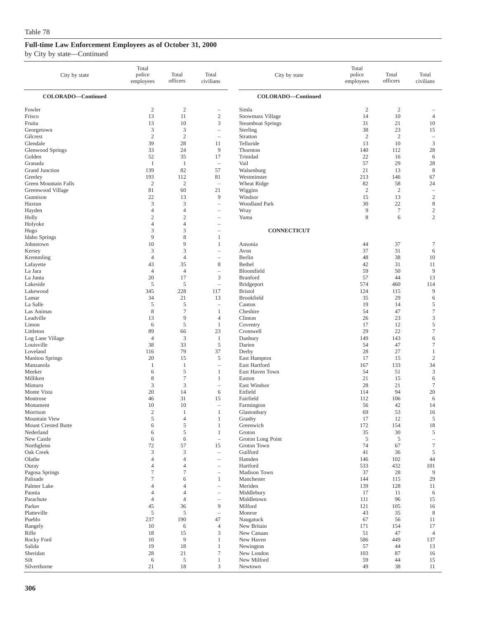| City by state                        | Total<br>police<br>employees    | Total<br>officers               | Total<br>civilians                                   | City by state                        | Total<br>police<br>employees | Total<br>officers      | Total<br>civilians        |
|--------------------------------------|---------------------------------|---------------------------------|------------------------------------------------------|--------------------------------------|------------------------------|------------------------|---------------------------|
| COLORADO-Continued                   |                                 |                                 |                                                      | COLORADO-Continued                   |                              |                        |                           |
| Fowler<br>Frisco                     | $\sqrt{2}$<br>13                | $\sqrt{2}$<br>11                | $\overline{\phantom{0}}$<br>$\sqrt{2}$               | Simla<br>Snowmass Village            | $\overline{c}$<br>14         | $\boldsymbol{2}$<br>10 | $\overline{4}$            |
| Fruita<br>Georgetown                 | 13<br>$\mathfrak z$             | 10<br>$\mathfrak z$             | 3<br>$\qquad \qquad -$                               | <b>Steamboat Springs</b><br>Sterling | 31<br>38                     | 21<br>23               | 10<br>15                  |
| Gilcrest                             | $\mathfrak{2}$                  | $\mathfrak{2}$                  | $\hspace{1.0cm} - \hspace{1.0cm}$                    | Stratton                             | $\overline{2}$               | $\overline{2}$         | $\overline{\phantom{a}}$  |
| Glendale                             | 39<br>33                        | 28<br>24                        | 11<br>9                                              | Telluride<br>Thornton                | 13<br>140                    | 10<br>112              | $\mathfrak z$             |
| Glenwood Springs<br>Golden           | 52                              | 35                              | 17                                                   | Trinidad                             | 22                           | 16                     | 28<br>6                   |
| Granada                              | $\mathbf{1}$                    | 1                               | $\overline{\phantom{a}}$                             | Vail                                 | 57                           | 29                     | 28                        |
| Grand Junction                       | 139                             | 82                              | 57                                                   | Walsenburg                           | 21                           | 13                     | $\,$ 8 $\,$               |
| Greeley<br>Green Mountain Falls      | 193<br>$\sqrt{2}$               | 112<br>$\mathbf{2}$             | 81<br>$\overline{\phantom{0}}$                       | Westminster<br>Wheat Ridge           | 213<br>82                    | 146<br>58              | 67<br>24                  |
| Greenwood Village                    | 81                              | 60                              | 21                                                   | Wiggins                              | $\overline{2}$               | $\overline{2}$         | $\overline{\phantom{0}}$  |
| Gunnison                             | 22                              | 13                              | 9                                                    | Windsor                              | 15                           | 13                     | $\sqrt{2}$                |
| Haxtun                               | 3<br>$\overline{4}$             | 3<br>$\overline{4}$             | $\overline{\phantom{0}}$<br>$\overline{\phantom{m}}$ | <b>Woodland Park</b>                 | 30<br>9                      | 22<br>$\tau$           | $\,$ 8 $\,$<br>$\sqrt{2}$ |
| Hayden<br>Holly                      | $\sqrt{2}$                      | $\mathbf{2}$                    |                                                      | Wray<br>Yuma                         | 8                            | 6                      | $\sqrt{2}$                |
| Holyoke                              | $\overline{4}$                  | $\overline{4}$                  |                                                      |                                      |                              |                        |                           |
| Hugo                                 | 3                               | 3                               | Ē,                                                   | <b>CONNECTICUT</b>                   |                              |                        |                           |
| Idaho Springs<br>Johnstown           | 9<br>10                         | 8<br>9                          | 1<br>1                                               | Ansonia                              | 44                           | 37                     | $\tau$                    |
| Kersey                               | 3                               | 3                               |                                                      | Avon                                 | 37                           | 31                     | 6                         |
| Kremmling                            | $\overline{4}$                  | $\overline{4}$                  | $\hspace{1.0cm} - \hspace{1.0cm}$                    | Berlin                               | 48                           | 38                     | 10                        |
| Lafayette                            | 43<br>$\overline{4}$            | 35                              | $\,$ 8 $\,$                                          | Bethel                               | 42<br>59                     | 31                     | 11<br>9                   |
| La Jara<br>La Junta                  | 20                              | $\overline{4}$<br>17            | $\overline{\phantom{0}}$<br>3                        | Bloomfield<br><b>Branford</b>        | 57                           | 50<br>44               | 13                        |
| Lakeside                             | $\sqrt{5}$                      | 5                               | $\qquad \qquad -$                                    | Bridgeport                           | 574                          | 460                    | 114                       |
| Lakewood                             | 345                             | 228                             | 117                                                  | <b>Bristol</b>                       | 124                          | 115                    | 9                         |
| Lamar<br>La Salle                    | 34<br>5                         | 21<br>5                         | 13<br>$\overline{\phantom{0}}$                       | Brookfield<br>Canton                 | 35<br>19                     | 29<br>14               | 6<br>$\sqrt{5}$           |
| Las Animas                           | $\,$ 8 $\,$                     | $\tau$                          | $\mathbf{1}$                                         | Cheshire                             | 54                           | 47                     | $\tau$                    |
| Leadville                            | 13                              | 9                               | $\overline{4}$                                       | Clinton                              | 26                           | 23                     | $\mathfrak z$             |
| Limon                                | 6                               | 5                               | 1                                                    | Coventry                             | 17                           | 12                     | $\sqrt{5}$                |
| Littleton<br>Log Lane Village        | 89<br>$\overline{4}$            | 66<br>3                         | 23<br>$\mathbf{1}$                                   | Cromwell<br>Danbury                  | 29<br>149                    | 22<br>143              | $\boldsymbol{7}$<br>6     |
| Louisville                           | 38                              | 33                              | 5                                                    | Darien                               | 54                           | 47                     | $\tau$                    |
| Loveland                             | 116                             | 79                              | 37                                                   | Derby                                | 28                           | 27                     | $\mathbf{1}$              |
| Manitou Springs                      | 20                              | 15                              | 5<br>$\overline{\phantom{a}}$                        | East Hampton<br>East Hartford        | 17                           | 15                     | $\overline{c}$            |
| Manzanola<br>Meeker                  | $\mathbf{1}$<br>6               | $\mathbf{1}$<br>5               | 1                                                    | East Haven Town                      | 167<br>54                    | 133<br>51              | 34<br>$\mathfrak z$       |
| Milliken                             | 8                               | $\tau$                          | 1                                                    | Easton                               | 21                           | 15                     | 6                         |
| Minturn                              | 3                               | 3                               | $\overline{\phantom{0}}$                             | East Windsor                         | 28                           | 21                     | $\boldsymbol{7}$          |
| Monte Vista<br>Montrose              | 20<br>46                        | 14<br>31                        | 6<br>15                                              | Enfield<br>Fairfield                 | 114<br>112                   | 94<br>106              | 20<br>6                   |
| Monument                             | 10                              | 10                              | Ē,                                                   | Farmington                           | 56                           | 42                     | 14                        |
| Morrison                             | $\mathbf{2}$                    | 1                               | $\mathbf{1}$                                         | Glastonbury                          | 69                           | 53                     | 16                        |
| Mountain View<br>Mount Crested Butte | $\mathfrak s$<br>6              | $\overline{4}$<br>$\sqrt{5}$    | $\mathbf{1}$<br>$\mathbf{1}$                         | Granby<br>Greenwich                  | 17                           | 12<br>154              | $\mathfrak s$<br>$18\,$   |
| Nederland                            | $\sqrt{6}$                      | 5                               | $\mathbf{1}$                                         | Groton                               | 172<br>35                    | 30                     | $\mathfrak s$             |
| New Castle                           | 6                               | 6                               | $\qquad \qquad -$                                    | Groton Long Point                    | $\sqrt{5}$                   | 5                      | $\qquad \qquad -$         |
| Northglenn                           | 72                              | 57                              | 15                                                   | Groton Town                          | 74                           | 67                     | $\boldsymbol{7}$          |
| Oak Creek<br>Olathe                  | $\mathfrak z$<br>$\overline{4}$ | $\mathfrak z$<br>$\overline{4}$ | $\equiv$<br>$\overline{\phantom{0}}$                 | Guilford<br>Hamden                   | 41<br>146                    | 36<br>102              | $\sqrt{5}$<br>44          |
| Ouray                                | $\overline{4}$                  | $\overline{4}$                  | $\qquad \qquad -$                                    | Hartford                             | 533                          | 432                    | 101                       |
| Pagosa Springs                       | $\tau$                          | $\tau$                          |                                                      | Madison Town                         | 37                           | 28                     | 9                         |
| Palisade<br>Palmer Lake              | $\tau$<br>$\overline{4}$        | 6<br>$\overline{4}$             | $\mathbf{1}$<br>$\overline{\phantom{0}}$             | Manchester<br>Meriden                | 144<br>139                   | 115<br>128             | 29<br>11                  |
| Paonia                               | $\overline{4}$                  | $\overline{4}$                  | $\hspace{1.0cm} - \hspace{1.0cm}$                    | Middlebury                           | 17                           | 11                     | 6                         |
| Parachute                            | $\overline{4}$                  | $\overline{4}$                  | $\overline{\phantom{0}}$                             | Middletown                           | 111                          | 96                     | 15                        |
| Parker                               | 45                              | 36                              | 9                                                    | Milford                              | 121                          | 105                    | 16                        |
| Platteville<br>Pueblo                | $\mathfrak s$<br>237            | 5<br>190                        | $\overline{\phantom{0}}$<br>47                       | Monroe<br>Naugatuck                  | 43<br>67                     | 35<br>56               | 8<br>11                   |
| Rangely                              | 10                              | 6                               | $\overline{4}$                                       | New Britain                          | 171                          | 154                    | 17                        |
| Rifle                                | 18                              | 15                              | 3                                                    | New Canaan                           | 51                           | 47                     | $\overline{4}$            |
| Rocky Ford<br>Salida                 | 10<br>19                        | 9<br>18                         | $\mathbf{1}$                                         | New Haven                            | 586<br>57                    | 449<br>44              | 137                       |
| Sheridan                             | $28\,$                          | 21                              | $\mathbf{1}$<br>$\tau$                               | Newington<br>New London              | 103                          | 87                     | 13<br>16                  |
| Silt                                 | 6                               | 5                               | $\mathbf{1}$                                         | New Milford                          | 59                           | 44                     | 15                        |
| Silverthorne                         | 21                              | 18                              | $\mathfrak{Z}$                                       | Newtown                              | 49                           | 38                     | 11                        |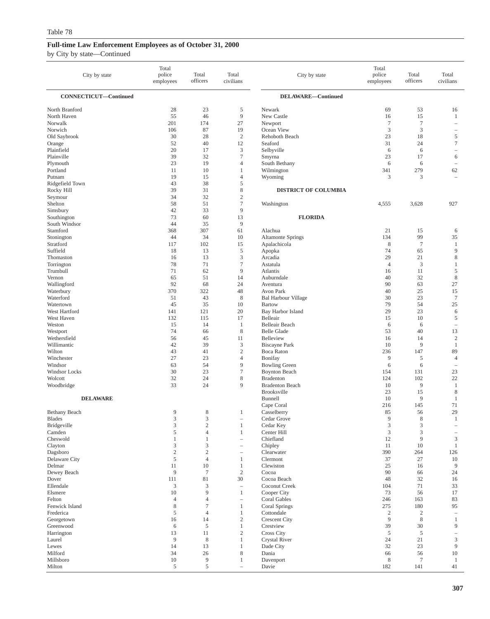| CONNECTICUT-Continued<br><b>DELAWARE-Continued</b><br>North Branford<br>23<br>5<br>53<br>28<br>Newark<br>69<br>16<br>55<br>46<br>9<br>15<br>North Haven<br>New Castle<br>16<br>$\mathbf{1}$<br>Norwalk<br>201<br>27<br>$\tau$<br>$\tau$<br>174<br>Newport<br>$\hspace{1.0cm} - \hspace{1.0cm}$<br>87<br>3<br>3<br>Norwich<br>19<br>106<br>Ocean View<br>$\overline{\phantom{a}}$<br>$\mathfrak{2}$<br>Old Saybrook<br>30<br>28<br>Rehoboth Beach<br>23<br>18<br>5<br>$\tau$<br>52<br>40<br>12<br>Seaford<br>31<br>24<br>Orange<br>20<br>3<br>Plainfield<br>17<br>Selbyville<br>6<br>6<br>$\overline{\phantom{0}}$<br>$\tau$<br>Plainville<br>39<br>32<br>23<br>17<br>Smyrna<br>6<br>23<br>19<br>South Bethany<br>6<br>6<br>Plymouth<br>4<br>$\overline{\phantom{a}}$<br>Portland<br>11<br>10<br>Wilmington<br>341<br>279<br>62<br>1<br>19<br>15<br>4<br>3<br>3<br>Putnam<br>Wyoming<br>$\overline{\phantom{a}}$<br>43<br>38<br>5<br>Ridgefield Town<br>8<br>39<br>31<br><b>DISTRICT OF COLUMBIA</b><br>Rocky Hill<br>$\overline{\mathbf{c}}$<br>34<br>32<br>Seymour<br>$\tau$<br>Shelton<br>58<br>51<br>Washington<br>4,555<br>3,628<br>927<br>9<br>42<br>33<br>Simsbury<br>73<br>60<br><b>FLORIDA</b><br>Southington<br>13<br>South Windsor<br>44<br>35<br>9<br>Stamford<br>368<br>307<br>61<br>Alachua<br>21<br>15<br>6<br>99<br>44<br>34<br>10<br><b>Altamonte Springs</b><br>134<br>35<br>Stonington<br>$\boldsymbol{7}$<br>Stratford<br>102<br>Apalachicola<br>8<br>117<br>15<br>$\mathbf{1}$<br>13<br>5<br>9<br>Suffield<br>18<br>74<br>65<br>Apopka<br>3<br>13<br>29<br>21<br>8<br>Thomaston<br>16<br>Arcadia<br>78<br>71<br>$\boldsymbol{7}$<br>$\mathfrak{Z}$<br>Torrington<br>$\overline{4}$<br>Astatula<br>1<br>9<br>Trumbull<br>71<br>62<br>11<br>5<br>Atlantis<br>16<br>$\,$ 8 $\,$<br>Vernon<br>65<br>51<br>14<br>40<br>32<br>Auburndale<br>92<br>68<br>90<br>27<br>Wallingford<br>24<br>63<br>Aventura<br>370<br>322<br>48<br>40<br>25<br>15<br>Waterbury<br>Avon Park<br>$\,$ 8 $\,$<br>23<br>$\boldsymbol{7}$<br>Waterford<br>51<br>43<br>30<br><b>Bal Harbour Village</b><br>Watertown<br>45<br>35<br>10<br><b>Bartow</b><br>79<br>54<br>25<br>West Hartford<br>141<br>20<br>Bay Harbor Island<br>29<br>23<br>121<br>6<br>132<br>5<br>West Haven<br>115<br>17<br>Belleair<br>15<br>10<br>Weston<br>15<br>14<br><b>Belleair Beach</b><br>-1<br>6<br>6<br>$\overline{\phantom{a}}$<br>$\,$ 8 $\,$<br>Westport<br>74<br><b>Belle Glade</b><br>53<br>40<br>13<br>66<br>Wethersfield<br>56<br>45<br>11<br>Belleview<br>$\overline{c}$<br>16<br>14<br>9<br>Willimantic<br>42<br>39<br>3<br><b>Biscayne Park</b><br>10<br>1<br>43<br>$\overline{\mathbf{c}}$<br>236<br>147<br>89<br>Wilton<br>41<br><b>Boca Raton</b><br>27<br>23<br>$\overline{4}$<br>Bonifay<br>9<br>5<br>Winchester<br>$\overline{4}$<br>54<br>9<br>6<br>Windsor<br>63<br><b>Bowling Green</b><br>6<br>$\overline{\phantom{a}}$<br>7<br><b>Windsor Locks</b><br>30<br>23<br><b>Boynton Beach</b><br>154<br>131<br>23<br>8<br>Wolcott<br>32<br>24<br><b>Bradenton</b><br>124<br>102<br>22<br>33<br>9<br>9<br>Woodbridge<br>24<br><b>Bradenton Beach</b><br>10<br>1<br><b>Brooksville</b><br>23<br>15<br>8<br>10<br>9<br><b>DELAWARE</b><br>Bunnell<br>1<br>216<br>145<br>71<br>Cape Coral<br>29<br>9<br>8<br>85<br>56<br><b>Bethany Beach</b><br>Casselberry<br>1<br>3<br>$\mathbf Q$<br>3<br>8<br><b>Blades</b><br>Cedar Grove<br>1<br>Bridgeville<br>3<br>$\sqrt{2}$<br>$\mathfrak{Z}$<br>3<br>$\mathbf{1}$<br>Cedar Key<br>5<br>$\mathfrak{Z}$<br>3<br>Camden<br>$\overline{4}$<br>$\mathbf{1}$<br>Center Hill<br>$\overline{\phantom{a}}$<br>Cheswold<br>Chiefland<br>9<br>$\mathbf{1}$<br>12<br>3<br>1<br>$\qquad \qquad -$<br>3<br>$\mathfrak z$<br>10<br>Clayton<br>Chipley<br>11<br>$\mathbf{1}$<br>$\equiv$<br>$\mathbf{2}$<br>$\overline{c}$<br>390<br>Dagsboro<br>Clearwater<br>264<br>126<br>$\overline{\phantom{a}}$<br>$\sqrt{5}$<br>Delaware City<br>$\overline{4}$<br>$\mathbf{1}$<br>Clermont<br>37<br>27<br>10<br>11<br>$\overline{9}$<br>Delmar<br>10<br>Clewiston<br>25<br>1<br>16<br>9<br>$\overline{7}$<br>$\mathbf{2}$<br>90<br>Dewey Beach<br>Cocoa<br>24<br>66<br>81<br>30<br>Dover<br>111<br>Cocoa Beach<br>48<br>32<br>16<br>Ellendale<br>3<br>3<br>104<br>Coconut Creek<br>71<br>33<br>$\overline{\phantom{a}}$<br>9<br>Elsmere<br>10<br>$\mathbf{1}$<br>Cooper City<br>73<br>56<br>17<br>$\overline{4}$<br>Felton<br>$\overline{4}$<br><b>Coral Gables</b><br>246<br>163<br>83<br>$\overline{\phantom{a}}$<br>8<br>275<br>Fenwick Island<br>7<br>Coral Springs<br>180<br>95<br>1<br>$\sqrt{5}$<br>$\sqrt{2}$<br>Frederica<br>$\overline{4}$<br>$\mathbf{1}$<br>Cottondale<br>$\boldsymbol{2}$<br>$\equiv$<br>$\sqrt{2}$<br>9<br>$\,$ 8 $\,$<br>Georgetown<br>16<br>14<br><b>Crescent City</b><br>1<br>Greenwood<br>6<br>5<br>$\mathbf{1}$<br>Crestview<br>39<br>30<br>9<br>$\mathbf{2}$<br>$\sqrt{5}$<br>$\sqrt{5}$<br>Harrington<br>13<br>11<br>Cross City<br>$\hspace{1.0cm} - \hspace{1.0cm}$<br>9<br>$\mathfrak{Z}$<br>Laurel<br>8<br>$\mathbf{1}$<br>Crystal River<br>24<br>21<br>Lewes<br>14<br>23<br>$\overline{9}$<br>13<br>$\mathbf{1}$<br>Dade City<br>32<br>Milford<br>8<br>34<br>26<br>Dania<br>56<br>10<br>66<br>Millsboro<br>10<br>9<br>Davenport<br>8<br>$\tau$<br>1<br>1<br>5<br>5<br>Milton<br>Davie<br>182<br>141<br>41<br>$\overline{\phantom{a}}$ | City by state | Total<br>police<br>employees | Total<br>officers | Total<br>civilians | City by state | Total<br>police<br>employees | Total<br>officers | Total<br>civilians |
|---------------------------------------------------------------------------------------------------------------------------------------------------------------------------------------------------------------------------------------------------------------------------------------------------------------------------------------------------------------------------------------------------------------------------------------------------------------------------------------------------------------------------------------------------------------------------------------------------------------------------------------------------------------------------------------------------------------------------------------------------------------------------------------------------------------------------------------------------------------------------------------------------------------------------------------------------------------------------------------------------------------------------------------------------------------------------------------------------------------------------------------------------------------------------------------------------------------------------------------------------------------------------------------------------------------------------------------------------------------------------------------------------------------------------------------------------------------------------------------------------------------------------------------------------------------------------------------------------------------------------------------------------------------------------------------------------------------------------------------------------------------------------------------------------------------------------------------------------------------------------------------------------------------------------------------------------------------------------------------------------------------------------------------------------------------------------------------------------------------------------------------------------------------------------------------------------------------------------------------------------------------------------------------------------------------------------------------------------------------------------------------------------------------------------------------------------------------------------------------------------------------------------------------------------------------------------------------------------------------------------------------------------------------------------------------------------------------------------------------------------------------------------------------------------------------------------------------------------------------------------------------------------------------------------------------------------------------------------------------------------------------------------------------------------------------------------------------------------------------------------------------------------------------------------------------------------------------------------------------------------------------------------------------------------------------------------------------------------------------------------------------------------------------------------------------------------------------------------------------------------------------------------------------------------------------------------------------------------------------------------------------------------------------------------------------------------------------------------------------------------------------------------------------------------------------------------------------------------------------------------------------------------------------------------------------------------------------------------------------------------------------------------------------------------------------------------------------------------------------------------------------------------------------------------------------------------------------------------------------------------------------------------------------------------------------------------------------------------------------------------------------------------------------------------------------------------------------------------------------------------------------------------------------------------------------------------------------------------------------------------------------------------------------------------------------------------------------------------------------------------------------------------------------------------------------------------------------------------------------------------------------------------------------------------------------------------------------------------------------------------------------------------------------------------------------------------------------------------------------------------------------------------------------------------------------------------------------------------------------------------------------------------------------------------------------------------------------------------------------------------------|---------------|------------------------------|-------------------|--------------------|---------------|------------------------------|-------------------|--------------------|
|                                                                                                                                                                                                                                                                                                                                                                                                                                                                                                                                                                                                                                                                                                                                                                                                                                                                                                                                                                                                                                                                                                                                                                                                                                                                                                                                                                                                                                                                                                                                                                                                                                                                                                                                                                                                                                                                                                                                                                                                                                                                                                                                                                                                                                                                                                                                                                                                                                                                                                                                                                                                                                                                                                                                                                                                                                                                                                                                                                                                                                                                                                                                                                                                                                                                                                                                                                                                                                                                                                                                                                                                                                                                                                                                                                                                                                                                                                                                                                                                                                                                                                                                                                                                                                                                                                                                                                                                                                                                                                                                                                                                                                                                                                                                                                                                                                                                                                                                                                                                                                                                                                                                                                                                                                                                                                                                                                                 |               |                              |                   |                    |               |                              |                   |                    |
|                                                                                                                                                                                                                                                                                                                                                                                                                                                                                                                                                                                                                                                                                                                                                                                                                                                                                                                                                                                                                                                                                                                                                                                                                                                                                                                                                                                                                                                                                                                                                                                                                                                                                                                                                                                                                                                                                                                                                                                                                                                                                                                                                                                                                                                                                                                                                                                                                                                                                                                                                                                                                                                                                                                                                                                                                                                                                                                                                                                                                                                                                                                                                                                                                                                                                                                                                                                                                                                                                                                                                                                                                                                                                                                                                                                                                                                                                                                                                                                                                                                                                                                                                                                                                                                                                                                                                                                                                                                                                                                                                                                                                                                                                                                                                                                                                                                                                                                                                                                                                                                                                                                                                                                                                                                                                                                                                                                 |               |                              |                   |                    |               |                              |                   |                    |
|                                                                                                                                                                                                                                                                                                                                                                                                                                                                                                                                                                                                                                                                                                                                                                                                                                                                                                                                                                                                                                                                                                                                                                                                                                                                                                                                                                                                                                                                                                                                                                                                                                                                                                                                                                                                                                                                                                                                                                                                                                                                                                                                                                                                                                                                                                                                                                                                                                                                                                                                                                                                                                                                                                                                                                                                                                                                                                                                                                                                                                                                                                                                                                                                                                                                                                                                                                                                                                                                                                                                                                                                                                                                                                                                                                                                                                                                                                                                                                                                                                                                                                                                                                                                                                                                                                                                                                                                                                                                                                                                                                                                                                                                                                                                                                                                                                                                                                                                                                                                                                                                                                                                                                                                                                                                                                                                                                                 |               |                              |                   |                    |               |                              |                   |                    |
|                                                                                                                                                                                                                                                                                                                                                                                                                                                                                                                                                                                                                                                                                                                                                                                                                                                                                                                                                                                                                                                                                                                                                                                                                                                                                                                                                                                                                                                                                                                                                                                                                                                                                                                                                                                                                                                                                                                                                                                                                                                                                                                                                                                                                                                                                                                                                                                                                                                                                                                                                                                                                                                                                                                                                                                                                                                                                                                                                                                                                                                                                                                                                                                                                                                                                                                                                                                                                                                                                                                                                                                                                                                                                                                                                                                                                                                                                                                                                                                                                                                                                                                                                                                                                                                                                                                                                                                                                                                                                                                                                                                                                                                                                                                                                                                                                                                                                                                                                                                                                                                                                                                                                                                                                                                                                                                                                                                 |               |                              |                   |                    |               |                              |                   |                    |
|                                                                                                                                                                                                                                                                                                                                                                                                                                                                                                                                                                                                                                                                                                                                                                                                                                                                                                                                                                                                                                                                                                                                                                                                                                                                                                                                                                                                                                                                                                                                                                                                                                                                                                                                                                                                                                                                                                                                                                                                                                                                                                                                                                                                                                                                                                                                                                                                                                                                                                                                                                                                                                                                                                                                                                                                                                                                                                                                                                                                                                                                                                                                                                                                                                                                                                                                                                                                                                                                                                                                                                                                                                                                                                                                                                                                                                                                                                                                                                                                                                                                                                                                                                                                                                                                                                                                                                                                                                                                                                                                                                                                                                                                                                                                                                                                                                                                                                                                                                                                                                                                                                                                                                                                                                                                                                                                                                                 |               |                              |                   |                    |               |                              |                   |                    |
|                                                                                                                                                                                                                                                                                                                                                                                                                                                                                                                                                                                                                                                                                                                                                                                                                                                                                                                                                                                                                                                                                                                                                                                                                                                                                                                                                                                                                                                                                                                                                                                                                                                                                                                                                                                                                                                                                                                                                                                                                                                                                                                                                                                                                                                                                                                                                                                                                                                                                                                                                                                                                                                                                                                                                                                                                                                                                                                                                                                                                                                                                                                                                                                                                                                                                                                                                                                                                                                                                                                                                                                                                                                                                                                                                                                                                                                                                                                                                                                                                                                                                                                                                                                                                                                                                                                                                                                                                                                                                                                                                                                                                                                                                                                                                                                                                                                                                                                                                                                                                                                                                                                                                                                                                                                                                                                                                                                 |               |                              |                   |                    |               |                              |                   |                    |
|                                                                                                                                                                                                                                                                                                                                                                                                                                                                                                                                                                                                                                                                                                                                                                                                                                                                                                                                                                                                                                                                                                                                                                                                                                                                                                                                                                                                                                                                                                                                                                                                                                                                                                                                                                                                                                                                                                                                                                                                                                                                                                                                                                                                                                                                                                                                                                                                                                                                                                                                                                                                                                                                                                                                                                                                                                                                                                                                                                                                                                                                                                                                                                                                                                                                                                                                                                                                                                                                                                                                                                                                                                                                                                                                                                                                                                                                                                                                                                                                                                                                                                                                                                                                                                                                                                                                                                                                                                                                                                                                                                                                                                                                                                                                                                                                                                                                                                                                                                                                                                                                                                                                                                                                                                                                                                                                                                                 |               |                              |                   |                    |               |                              |                   |                    |
|                                                                                                                                                                                                                                                                                                                                                                                                                                                                                                                                                                                                                                                                                                                                                                                                                                                                                                                                                                                                                                                                                                                                                                                                                                                                                                                                                                                                                                                                                                                                                                                                                                                                                                                                                                                                                                                                                                                                                                                                                                                                                                                                                                                                                                                                                                                                                                                                                                                                                                                                                                                                                                                                                                                                                                                                                                                                                                                                                                                                                                                                                                                                                                                                                                                                                                                                                                                                                                                                                                                                                                                                                                                                                                                                                                                                                                                                                                                                                                                                                                                                                                                                                                                                                                                                                                                                                                                                                                                                                                                                                                                                                                                                                                                                                                                                                                                                                                                                                                                                                                                                                                                                                                                                                                                                                                                                                                                 |               |                              |                   |                    |               |                              |                   |                    |
|                                                                                                                                                                                                                                                                                                                                                                                                                                                                                                                                                                                                                                                                                                                                                                                                                                                                                                                                                                                                                                                                                                                                                                                                                                                                                                                                                                                                                                                                                                                                                                                                                                                                                                                                                                                                                                                                                                                                                                                                                                                                                                                                                                                                                                                                                                                                                                                                                                                                                                                                                                                                                                                                                                                                                                                                                                                                                                                                                                                                                                                                                                                                                                                                                                                                                                                                                                                                                                                                                                                                                                                                                                                                                                                                                                                                                                                                                                                                                                                                                                                                                                                                                                                                                                                                                                                                                                                                                                                                                                                                                                                                                                                                                                                                                                                                                                                                                                                                                                                                                                                                                                                                                                                                                                                                                                                                                                                 |               |                              |                   |                    |               |                              |                   |                    |
|                                                                                                                                                                                                                                                                                                                                                                                                                                                                                                                                                                                                                                                                                                                                                                                                                                                                                                                                                                                                                                                                                                                                                                                                                                                                                                                                                                                                                                                                                                                                                                                                                                                                                                                                                                                                                                                                                                                                                                                                                                                                                                                                                                                                                                                                                                                                                                                                                                                                                                                                                                                                                                                                                                                                                                                                                                                                                                                                                                                                                                                                                                                                                                                                                                                                                                                                                                                                                                                                                                                                                                                                                                                                                                                                                                                                                                                                                                                                                                                                                                                                                                                                                                                                                                                                                                                                                                                                                                                                                                                                                                                                                                                                                                                                                                                                                                                                                                                                                                                                                                                                                                                                                                                                                                                                                                                                                                                 |               |                              |                   |                    |               |                              |                   |                    |
|                                                                                                                                                                                                                                                                                                                                                                                                                                                                                                                                                                                                                                                                                                                                                                                                                                                                                                                                                                                                                                                                                                                                                                                                                                                                                                                                                                                                                                                                                                                                                                                                                                                                                                                                                                                                                                                                                                                                                                                                                                                                                                                                                                                                                                                                                                                                                                                                                                                                                                                                                                                                                                                                                                                                                                                                                                                                                                                                                                                                                                                                                                                                                                                                                                                                                                                                                                                                                                                                                                                                                                                                                                                                                                                                                                                                                                                                                                                                                                                                                                                                                                                                                                                                                                                                                                                                                                                                                                                                                                                                                                                                                                                                                                                                                                                                                                                                                                                                                                                                                                                                                                                                                                                                                                                                                                                                                                                 |               |                              |                   |                    |               |                              |                   |                    |
|                                                                                                                                                                                                                                                                                                                                                                                                                                                                                                                                                                                                                                                                                                                                                                                                                                                                                                                                                                                                                                                                                                                                                                                                                                                                                                                                                                                                                                                                                                                                                                                                                                                                                                                                                                                                                                                                                                                                                                                                                                                                                                                                                                                                                                                                                                                                                                                                                                                                                                                                                                                                                                                                                                                                                                                                                                                                                                                                                                                                                                                                                                                                                                                                                                                                                                                                                                                                                                                                                                                                                                                                                                                                                                                                                                                                                                                                                                                                                                                                                                                                                                                                                                                                                                                                                                                                                                                                                                                                                                                                                                                                                                                                                                                                                                                                                                                                                                                                                                                                                                                                                                                                                                                                                                                                                                                                                                                 |               |                              |                   |                    |               |                              |                   |                    |
|                                                                                                                                                                                                                                                                                                                                                                                                                                                                                                                                                                                                                                                                                                                                                                                                                                                                                                                                                                                                                                                                                                                                                                                                                                                                                                                                                                                                                                                                                                                                                                                                                                                                                                                                                                                                                                                                                                                                                                                                                                                                                                                                                                                                                                                                                                                                                                                                                                                                                                                                                                                                                                                                                                                                                                                                                                                                                                                                                                                                                                                                                                                                                                                                                                                                                                                                                                                                                                                                                                                                                                                                                                                                                                                                                                                                                                                                                                                                                                                                                                                                                                                                                                                                                                                                                                                                                                                                                                                                                                                                                                                                                                                                                                                                                                                                                                                                                                                                                                                                                                                                                                                                                                                                                                                                                                                                                                                 |               |                              |                   |                    |               |                              |                   |                    |
|                                                                                                                                                                                                                                                                                                                                                                                                                                                                                                                                                                                                                                                                                                                                                                                                                                                                                                                                                                                                                                                                                                                                                                                                                                                                                                                                                                                                                                                                                                                                                                                                                                                                                                                                                                                                                                                                                                                                                                                                                                                                                                                                                                                                                                                                                                                                                                                                                                                                                                                                                                                                                                                                                                                                                                                                                                                                                                                                                                                                                                                                                                                                                                                                                                                                                                                                                                                                                                                                                                                                                                                                                                                                                                                                                                                                                                                                                                                                                                                                                                                                                                                                                                                                                                                                                                                                                                                                                                                                                                                                                                                                                                                                                                                                                                                                                                                                                                                                                                                                                                                                                                                                                                                                                                                                                                                                                                                 |               |                              |                   |                    |               |                              |                   |                    |
|                                                                                                                                                                                                                                                                                                                                                                                                                                                                                                                                                                                                                                                                                                                                                                                                                                                                                                                                                                                                                                                                                                                                                                                                                                                                                                                                                                                                                                                                                                                                                                                                                                                                                                                                                                                                                                                                                                                                                                                                                                                                                                                                                                                                                                                                                                                                                                                                                                                                                                                                                                                                                                                                                                                                                                                                                                                                                                                                                                                                                                                                                                                                                                                                                                                                                                                                                                                                                                                                                                                                                                                                                                                                                                                                                                                                                                                                                                                                                                                                                                                                                                                                                                                                                                                                                                                                                                                                                                                                                                                                                                                                                                                                                                                                                                                                                                                                                                                                                                                                                                                                                                                                                                                                                                                                                                                                                                                 |               |                              |                   |                    |               |                              |                   |                    |
|                                                                                                                                                                                                                                                                                                                                                                                                                                                                                                                                                                                                                                                                                                                                                                                                                                                                                                                                                                                                                                                                                                                                                                                                                                                                                                                                                                                                                                                                                                                                                                                                                                                                                                                                                                                                                                                                                                                                                                                                                                                                                                                                                                                                                                                                                                                                                                                                                                                                                                                                                                                                                                                                                                                                                                                                                                                                                                                                                                                                                                                                                                                                                                                                                                                                                                                                                                                                                                                                                                                                                                                                                                                                                                                                                                                                                                                                                                                                                                                                                                                                                                                                                                                                                                                                                                                                                                                                                                                                                                                                                                                                                                                                                                                                                                                                                                                                                                                                                                                                                                                                                                                                                                                                                                                                                                                                                                                 |               |                              |                   |                    |               |                              |                   |                    |
|                                                                                                                                                                                                                                                                                                                                                                                                                                                                                                                                                                                                                                                                                                                                                                                                                                                                                                                                                                                                                                                                                                                                                                                                                                                                                                                                                                                                                                                                                                                                                                                                                                                                                                                                                                                                                                                                                                                                                                                                                                                                                                                                                                                                                                                                                                                                                                                                                                                                                                                                                                                                                                                                                                                                                                                                                                                                                                                                                                                                                                                                                                                                                                                                                                                                                                                                                                                                                                                                                                                                                                                                                                                                                                                                                                                                                                                                                                                                                                                                                                                                                                                                                                                                                                                                                                                                                                                                                                                                                                                                                                                                                                                                                                                                                                                                                                                                                                                                                                                                                                                                                                                                                                                                                                                                                                                                                                                 |               |                              |                   |                    |               |                              |                   |                    |
|                                                                                                                                                                                                                                                                                                                                                                                                                                                                                                                                                                                                                                                                                                                                                                                                                                                                                                                                                                                                                                                                                                                                                                                                                                                                                                                                                                                                                                                                                                                                                                                                                                                                                                                                                                                                                                                                                                                                                                                                                                                                                                                                                                                                                                                                                                                                                                                                                                                                                                                                                                                                                                                                                                                                                                                                                                                                                                                                                                                                                                                                                                                                                                                                                                                                                                                                                                                                                                                                                                                                                                                                                                                                                                                                                                                                                                                                                                                                                                                                                                                                                                                                                                                                                                                                                                                                                                                                                                                                                                                                                                                                                                                                                                                                                                                                                                                                                                                                                                                                                                                                                                                                                                                                                                                                                                                                                                                 |               |                              |                   |                    |               |                              |                   |                    |
|                                                                                                                                                                                                                                                                                                                                                                                                                                                                                                                                                                                                                                                                                                                                                                                                                                                                                                                                                                                                                                                                                                                                                                                                                                                                                                                                                                                                                                                                                                                                                                                                                                                                                                                                                                                                                                                                                                                                                                                                                                                                                                                                                                                                                                                                                                                                                                                                                                                                                                                                                                                                                                                                                                                                                                                                                                                                                                                                                                                                                                                                                                                                                                                                                                                                                                                                                                                                                                                                                                                                                                                                                                                                                                                                                                                                                                                                                                                                                                                                                                                                                                                                                                                                                                                                                                                                                                                                                                                                                                                                                                                                                                                                                                                                                                                                                                                                                                                                                                                                                                                                                                                                                                                                                                                                                                                                                                                 |               |                              |                   |                    |               |                              |                   |                    |
|                                                                                                                                                                                                                                                                                                                                                                                                                                                                                                                                                                                                                                                                                                                                                                                                                                                                                                                                                                                                                                                                                                                                                                                                                                                                                                                                                                                                                                                                                                                                                                                                                                                                                                                                                                                                                                                                                                                                                                                                                                                                                                                                                                                                                                                                                                                                                                                                                                                                                                                                                                                                                                                                                                                                                                                                                                                                                                                                                                                                                                                                                                                                                                                                                                                                                                                                                                                                                                                                                                                                                                                                                                                                                                                                                                                                                                                                                                                                                                                                                                                                                                                                                                                                                                                                                                                                                                                                                                                                                                                                                                                                                                                                                                                                                                                                                                                                                                                                                                                                                                                                                                                                                                                                                                                                                                                                                                                 |               |                              |                   |                    |               |                              |                   |                    |
|                                                                                                                                                                                                                                                                                                                                                                                                                                                                                                                                                                                                                                                                                                                                                                                                                                                                                                                                                                                                                                                                                                                                                                                                                                                                                                                                                                                                                                                                                                                                                                                                                                                                                                                                                                                                                                                                                                                                                                                                                                                                                                                                                                                                                                                                                                                                                                                                                                                                                                                                                                                                                                                                                                                                                                                                                                                                                                                                                                                                                                                                                                                                                                                                                                                                                                                                                                                                                                                                                                                                                                                                                                                                                                                                                                                                                                                                                                                                                                                                                                                                                                                                                                                                                                                                                                                                                                                                                                                                                                                                                                                                                                                                                                                                                                                                                                                                                                                                                                                                                                                                                                                                                                                                                                                                                                                                                                                 |               |                              |                   |                    |               |                              |                   |                    |
|                                                                                                                                                                                                                                                                                                                                                                                                                                                                                                                                                                                                                                                                                                                                                                                                                                                                                                                                                                                                                                                                                                                                                                                                                                                                                                                                                                                                                                                                                                                                                                                                                                                                                                                                                                                                                                                                                                                                                                                                                                                                                                                                                                                                                                                                                                                                                                                                                                                                                                                                                                                                                                                                                                                                                                                                                                                                                                                                                                                                                                                                                                                                                                                                                                                                                                                                                                                                                                                                                                                                                                                                                                                                                                                                                                                                                                                                                                                                                                                                                                                                                                                                                                                                                                                                                                                                                                                                                                                                                                                                                                                                                                                                                                                                                                                                                                                                                                                                                                                                                                                                                                                                                                                                                                                                                                                                                                                 |               |                              |                   |                    |               |                              |                   |                    |
|                                                                                                                                                                                                                                                                                                                                                                                                                                                                                                                                                                                                                                                                                                                                                                                                                                                                                                                                                                                                                                                                                                                                                                                                                                                                                                                                                                                                                                                                                                                                                                                                                                                                                                                                                                                                                                                                                                                                                                                                                                                                                                                                                                                                                                                                                                                                                                                                                                                                                                                                                                                                                                                                                                                                                                                                                                                                                                                                                                                                                                                                                                                                                                                                                                                                                                                                                                                                                                                                                                                                                                                                                                                                                                                                                                                                                                                                                                                                                                                                                                                                                                                                                                                                                                                                                                                                                                                                                                                                                                                                                                                                                                                                                                                                                                                                                                                                                                                                                                                                                                                                                                                                                                                                                                                                                                                                                                                 |               |                              |                   |                    |               |                              |                   |                    |
|                                                                                                                                                                                                                                                                                                                                                                                                                                                                                                                                                                                                                                                                                                                                                                                                                                                                                                                                                                                                                                                                                                                                                                                                                                                                                                                                                                                                                                                                                                                                                                                                                                                                                                                                                                                                                                                                                                                                                                                                                                                                                                                                                                                                                                                                                                                                                                                                                                                                                                                                                                                                                                                                                                                                                                                                                                                                                                                                                                                                                                                                                                                                                                                                                                                                                                                                                                                                                                                                                                                                                                                                                                                                                                                                                                                                                                                                                                                                                                                                                                                                                                                                                                                                                                                                                                                                                                                                                                                                                                                                                                                                                                                                                                                                                                                                                                                                                                                                                                                                                                                                                                                                                                                                                                                                                                                                                                                 |               |                              |                   |                    |               |                              |                   |                    |
|                                                                                                                                                                                                                                                                                                                                                                                                                                                                                                                                                                                                                                                                                                                                                                                                                                                                                                                                                                                                                                                                                                                                                                                                                                                                                                                                                                                                                                                                                                                                                                                                                                                                                                                                                                                                                                                                                                                                                                                                                                                                                                                                                                                                                                                                                                                                                                                                                                                                                                                                                                                                                                                                                                                                                                                                                                                                                                                                                                                                                                                                                                                                                                                                                                                                                                                                                                                                                                                                                                                                                                                                                                                                                                                                                                                                                                                                                                                                                                                                                                                                                                                                                                                                                                                                                                                                                                                                                                                                                                                                                                                                                                                                                                                                                                                                                                                                                                                                                                                                                                                                                                                                                                                                                                                                                                                                                                                 |               |                              |                   |                    |               |                              |                   |                    |
|                                                                                                                                                                                                                                                                                                                                                                                                                                                                                                                                                                                                                                                                                                                                                                                                                                                                                                                                                                                                                                                                                                                                                                                                                                                                                                                                                                                                                                                                                                                                                                                                                                                                                                                                                                                                                                                                                                                                                                                                                                                                                                                                                                                                                                                                                                                                                                                                                                                                                                                                                                                                                                                                                                                                                                                                                                                                                                                                                                                                                                                                                                                                                                                                                                                                                                                                                                                                                                                                                                                                                                                                                                                                                                                                                                                                                                                                                                                                                                                                                                                                                                                                                                                                                                                                                                                                                                                                                                                                                                                                                                                                                                                                                                                                                                                                                                                                                                                                                                                                                                                                                                                                                                                                                                                                                                                                                                                 |               |                              |                   |                    |               |                              |                   |                    |
|                                                                                                                                                                                                                                                                                                                                                                                                                                                                                                                                                                                                                                                                                                                                                                                                                                                                                                                                                                                                                                                                                                                                                                                                                                                                                                                                                                                                                                                                                                                                                                                                                                                                                                                                                                                                                                                                                                                                                                                                                                                                                                                                                                                                                                                                                                                                                                                                                                                                                                                                                                                                                                                                                                                                                                                                                                                                                                                                                                                                                                                                                                                                                                                                                                                                                                                                                                                                                                                                                                                                                                                                                                                                                                                                                                                                                                                                                                                                                                                                                                                                                                                                                                                                                                                                                                                                                                                                                                                                                                                                                                                                                                                                                                                                                                                                                                                                                                                                                                                                                                                                                                                                                                                                                                                                                                                                                                                 |               |                              |                   |                    |               |                              |                   |                    |
|                                                                                                                                                                                                                                                                                                                                                                                                                                                                                                                                                                                                                                                                                                                                                                                                                                                                                                                                                                                                                                                                                                                                                                                                                                                                                                                                                                                                                                                                                                                                                                                                                                                                                                                                                                                                                                                                                                                                                                                                                                                                                                                                                                                                                                                                                                                                                                                                                                                                                                                                                                                                                                                                                                                                                                                                                                                                                                                                                                                                                                                                                                                                                                                                                                                                                                                                                                                                                                                                                                                                                                                                                                                                                                                                                                                                                                                                                                                                                                                                                                                                                                                                                                                                                                                                                                                                                                                                                                                                                                                                                                                                                                                                                                                                                                                                                                                                                                                                                                                                                                                                                                                                                                                                                                                                                                                                                                                 |               |                              |                   |                    |               |                              |                   |                    |
|                                                                                                                                                                                                                                                                                                                                                                                                                                                                                                                                                                                                                                                                                                                                                                                                                                                                                                                                                                                                                                                                                                                                                                                                                                                                                                                                                                                                                                                                                                                                                                                                                                                                                                                                                                                                                                                                                                                                                                                                                                                                                                                                                                                                                                                                                                                                                                                                                                                                                                                                                                                                                                                                                                                                                                                                                                                                                                                                                                                                                                                                                                                                                                                                                                                                                                                                                                                                                                                                                                                                                                                                                                                                                                                                                                                                                                                                                                                                                                                                                                                                                                                                                                                                                                                                                                                                                                                                                                                                                                                                                                                                                                                                                                                                                                                                                                                                                                                                                                                                                                                                                                                                                                                                                                                                                                                                                                                 |               |                              |                   |                    |               |                              |                   |                    |
|                                                                                                                                                                                                                                                                                                                                                                                                                                                                                                                                                                                                                                                                                                                                                                                                                                                                                                                                                                                                                                                                                                                                                                                                                                                                                                                                                                                                                                                                                                                                                                                                                                                                                                                                                                                                                                                                                                                                                                                                                                                                                                                                                                                                                                                                                                                                                                                                                                                                                                                                                                                                                                                                                                                                                                                                                                                                                                                                                                                                                                                                                                                                                                                                                                                                                                                                                                                                                                                                                                                                                                                                                                                                                                                                                                                                                                                                                                                                                                                                                                                                                                                                                                                                                                                                                                                                                                                                                                                                                                                                                                                                                                                                                                                                                                                                                                                                                                                                                                                                                                                                                                                                                                                                                                                                                                                                                                                 |               |                              |                   |                    |               |                              |                   |                    |
|                                                                                                                                                                                                                                                                                                                                                                                                                                                                                                                                                                                                                                                                                                                                                                                                                                                                                                                                                                                                                                                                                                                                                                                                                                                                                                                                                                                                                                                                                                                                                                                                                                                                                                                                                                                                                                                                                                                                                                                                                                                                                                                                                                                                                                                                                                                                                                                                                                                                                                                                                                                                                                                                                                                                                                                                                                                                                                                                                                                                                                                                                                                                                                                                                                                                                                                                                                                                                                                                                                                                                                                                                                                                                                                                                                                                                                                                                                                                                                                                                                                                                                                                                                                                                                                                                                                                                                                                                                                                                                                                                                                                                                                                                                                                                                                                                                                                                                                                                                                                                                                                                                                                                                                                                                                                                                                                                                                 |               |                              |                   |                    |               |                              |                   |                    |
|                                                                                                                                                                                                                                                                                                                                                                                                                                                                                                                                                                                                                                                                                                                                                                                                                                                                                                                                                                                                                                                                                                                                                                                                                                                                                                                                                                                                                                                                                                                                                                                                                                                                                                                                                                                                                                                                                                                                                                                                                                                                                                                                                                                                                                                                                                                                                                                                                                                                                                                                                                                                                                                                                                                                                                                                                                                                                                                                                                                                                                                                                                                                                                                                                                                                                                                                                                                                                                                                                                                                                                                                                                                                                                                                                                                                                                                                                                                                                                                                                                                                                                                                                                                                                                                                                                                                                                                                                                                                                                                                                                                                                                                                                                                                                                                                                                                                                                                                                                                                                                                                                                                                                                                                                                                                                                                                                                                 |               |                              |                   |                    |               |                              |                   |                    |
|                                                                                                                                                                                                                                                                                                                                                                                                                                                                                                                                                                                                                                                                                                                                                                                                                                                                                                                                                                                                                                                                                                                                                                                                                                                                                                                                                                                                                                                                                                                                                                                                                                                                                                                                                                                                                                                                                                                                                                                                                                                                                                                                                                                                                                                                                                                                                                                                                                                                                                                                                                                                                                                                                                                                                                                                                                                                                                                                                                                                                                                                                                                                                                                                                                                                                                                                                                                                                                                                                                                                                                                                                                                                                                                                                                                                                                                                                                                                                                                                                                                                                                                                                                                                                                                                                                                                                                                                                                                                                                                                                                                                                                                                                                                                                                                                                                                                                                                                                                                                                                                                                                                                                                                                                                                                                                                                                                                 |               |                              |                   |                    |               |                              |                   |                    |
|                                                                                                                                                                                                                                                                                                                                                                                                                                                                                                                                                                                                                                                                                                                                                                                                                                                                                                                                                                                                                                                                                                                                                                                                                                                                                                                                                                                                                                                                                                                                                                                                                                                                                                                                                                                                                                                                                                                                                                                                                                                                                                                                                                                                                                                                                                                                                                                                                                                                                                                                                                                                                                                                                                                                                                                                                                                                                                                                                                                                                                                                                                                                                                                                                                                                                                                                                                                                                                                                                                                                                                                                                                                                                                                                                                                                                                                                                                                                                                                                                                                                                                                                                                                                                                                                                                                                                                                                                                                                                                                                                                                                                                                                                                                                                                                                                                                                                                                                                                                                                                                                                                                                                                                                                                                                                                                                                                                 |               |                              |                   |                    |               |                              |                   |                    |
|                                                                                                                                                                                                                                                                                                                                                                                                                                                                                                                                                                                                                                                                                                                                                                                                                                                                                                                                                                                                                                                                                                                                                                                                                                                                                                                                                                                                                                                                                                                                                                                                                                                                                                                                                                                                                                                                                                                                                                                                                                                                                                                                                                                                                                                                                                                                                                                                                                                                                                                                                                                                                                                                                                                                                                                                                                                                                                                                                                                                                                                                                                                                                                                                                                                                                                                                                                                                                                                                                                                                                                                                                                                                                                                                                                                                                                                                                                                                                                                                                                                                                                                                                                                                                                                                                                                                                                                                                                                                                                                                                                                                                                                                                                                                                                                                                                                                                                                                                                                                                                                                                                                                                                                                                                                                                                                                                                                 |               |                              |                   |                    |               |                              |                   |                    |
|                                                                                                                                                                                                                                                                                                                                                                                                                                                                                                                                                                                                                                                                                                                                                                                                                                                                                                                                                                                                                                                                                                                                                                                                                                                                                                                                                                                                                                                                                                                                                                                                                                                                                                                                                                                                                                                                                                                                                                                                                                                                                                                                                                                                                                                                                                                                                                                                                                                                                                                                                                                                                                                                                                                                                                                                                                                                                                                                                                                                                                                                                                                                                                                                                                                                                                                                                                                                                                                                                                                                                                                                                                                                                                                                                                                                                                                                                                                                                                                                                                                                                                                                                                                                                                                                                                                                                                                                                                                                                                                                                                                                                                                                                                                                                                                                                                                                                                                                                                                                                                                                                                                                                                                                                                                                                                                                                                                 |               |                              |                   |                    |               |                              |                   |                    |
|                                                                                                                                                                                                                                                                                                                                                                                                                                                                                                                                                                                                                                                                                                                                                                                                                                                                                                                                                                                                                                                                                                                                                                                                                                                                                                                                                                                                                                                                                                                                                                                                                                                                                                                                                                                                                                                                                                                                                                                                                                                                                                                                                                                                                                                                                                                                                                                                                                                                                                                                                                                                                                                                                                                                                                                                                                                                                                                                                                                                                                                                                                                                                                                                                                                                                                                                                                                                                                                                                                                                                                                                                                                                                                                                                                                                                                                                                                                                                                                                                                                                                                                                                                                                                                                                                                                                                                                                                                                                                                                                                                                                                                                                                                                                                                                                                                                                                                                                                                                                                                                                                                                                                                                                                                                                                                                                                                                 |               |                              |                   |                    |               |                              |                   |                    |
|                                                                                                                                                                                                                                                                                                                                                                                                                                                                                                                                                                                                                                                                                                                                                                                                                                                                                                                                                                                                                                                                                                                                                                                                                                                                                                                                                                                                                                                                                                                                                                                                                                                                                                                                                                                                                                                                                                                                                                                                                                                                                                                                                                                                                                                                                                                                                                                                                                                                                                                                                                                                                                                                                                                                                                                                                                                                                                                                                                                                                                                                                                                                                                                                                                                                                                                                                                                                                                                                                                                                                                                                                                                                                                                                                                                                                                                                                                                                                                                                                                                                                                                                                                                                                                                                                                                                                                                                                                                                                                                                                                                                                                                                                                                                                                                                                                                                                                                                                                                                                                                                                                                                                                                                                                                                                                                                                                                 |               |                              |                   |                    |               |                              |                   |                    |
|                                                                                                                                                                                                                                                                                                                                                                                                                                                                                                                                                                                                                                                                                                                                                                                                                                                                                                                                                                                                                                                                                                                                                                                                                                                                                                                                                                                                                                                                                                                                                                                                                                                                                                                                                                                                                                                                                                                                                                                                                                                                                                                                                                                                                                                                                                                                                                                                                                                                                                                                                                                                                                                                                                                                                                                                                                                                                                                                                                                                                                                                                                                                                                                                                                                                                                                                                                                                                                                                                                                                                                                                                                                                                                                                                                                                                                                                                                                                                                                                                                                                                                                                                                                                                                                                                                                                                                                                                                                                                                                                                                                                                                                                                                                                                                                                                                                                                                                                                                                                                                                                                                                                                                                                                                                                                                                                                                                 |               |                              |                   |                    |               |                              |                   |                    |
|                                                                                                                                                                                                                                                                                                                                                                                                                                                                                                                                                                                                                                                                                                                                                                                                                                                                                                                                                                                                                                                                                                                                                                                                                                                                                                                                                                                                                                                                                                                                                                                                                                                                                                                                                                                                                                                                                                                                                                                                                                                                                                                                                                                                                                                                                                                                                                                                                                                                                                                                                                                                                                                                                                                                                                                                                                                                                                                                                                                                                                                                                                                                                                                                                                                                                                                                                                                                                                                                                                                                                                                                                                                                                                                                                                                                                                                                                                                                                                                                                                                                                                                                                                                                                                                                                                                                                                                                                                                                                                                                                                                                                                                                                                                                                                                                                                                                                                                                                                                                                                                                                                                                                                                                                                                                                                                                                                                 |               |                              |                   |                    |               |                              |                   |                    |
|                                                                                                                                                                                                                                                                                                                                                                                                                                                                                                                                                                                                                                                                                                                                                                                                                                                                                                                                                                                                                                                                                                                                                                                                                                                                                                                                                                                                                                                                                                                                                                                                                                                                                                                                                                                                                                                                                                                                                                                                                                                                                                                                                                                                                                                                                                                                                                                                                                                                                                                                                                                                                                                                                                                                                                                                                                                                                                                                                                                                                                                                                                                                                                                                                                                                                                                                                                                                                                                                                                                                                                                                                                                                                                                                                                                                                                                                                                                                                                                                                                                                                                                                                                                                                                                                                                                                                                                                                                                                                                                                                                                                                                                                                                                                                                                                                                                                                                                                                                                                                                                                                                                                                                                                                                                                                                                                                                                 |               |                              |                   |                    |               |                              |                   |                    |
|                                                                                                                                                                                                                                                                                                                                                                                                                                                                                                                                                                                                                                                                                                                                                                                                                                                                                                                                                                                                                                                                                                                                                                                                                                                                                                                                                                                                                                                                                                                                                                                                                                                                                                                                                                                                                                                                                                                                                                                                                                                                                                                                                                                                                                                                                                                                                                                                                                                                                                                                                                                                                                                                                                                                                                                                                                                                                                                                                                                                                                                                                                                                                                                                                                                                                                                                                                                                                                                                                                                                                                                                                                                                                                                                                                                                                                                                                                                                                                                                                                                                                                                                                                                                                                                                                                                                                                                                                                                                                                                                                                                                                                                                                                                                                                                                                                                                                                                                                                                                                                                                                                                                                                                                                                                                                                                                                                                 |               |                              |                   |                    |               |                              |                   |                    |
|                                                                                                                                                                                                                                                                                                                                                                                                                                                                                                                                                                                                                                                                                                                                                                                                                                                                                                                                                                                                                                                                                                                                                                                                                                                                                                                                                                                                                                                                                                                                                                                                                                                                                                                                                                                                                                                                                                                                                                                                                                                                                                                                                                                                                                                                                                                                                                                                                                                                                                                                                                                                                                                                                                                                                                                                                                                                                                                                                                                                                                                                                                                                                                                                                                                                                                                                                                                                                                                                                                                                                                                                                                                                                                                                                                                                                                                                                                                                                                                                                                                                                                                                                                                                                                                                                                                                                                                                                                                                                                                                                                                                                                                                                                                                                                                                                                                                                                                                                                                                                                                                                                                                                                                                                                                                                                                                                                                 |               |                              |                   |                    |               |                              |                   |                    |
|                                                                                                                                                                                                                                                                                                                                                                                                                                                                                                                                                                                                                                                                                                                                                                                                                                                                                                                                                                                                                                                                                                                                                                                                                                                                                                                                                                                                                                                                                                                                                                                                                                                                                                                                                                                                                                                                                                                                                                                                                                                                                                                                                                                                                                                                                                                                                                                                                                                                                                                                                                                                                                                                                                                                                                                                                                                                                                                                                                                                                                                                                                                                                                                                                                                                                                                                                                                                                                                                                                                                                                                                                                                                                                                                                                                                                                                                                                                                                                                                                                                                                                                                                                                                                                                                                                                                                                                                                                                                                                                                                                                                                                                                                                                                                                                                                                                                                                                                                                                                                                                                                                                                                                                                                                                                                                                                                                                 |               |                              |                   |                    |               |                              |                   |                    |
|                                                                                                                                                                                                                                                                                                                                                                                                                                                                                                                                                                                                                                                                                                                                                                                                                                                                                                                                                                                                                                                                                                                                                                                                                                                                                                                                                                                                                                                                                                                                                                                                                                                                                                                                                                                                                                                                                                                                                                                                                                                                                                                                                                                                                                                                                                                                                                                                                                                                                                                                                                                                                                                                                                                                                                                                                                                                                                                                                                                                                                                                                                                                                                                                                                                                                                                                                                                                                                                                                                                                                                                                                                                                                                                                                                                                                                                                                                                                                                                                                                                                                                                                                                                                                                                                                                                                                                                                                                                                                                                                                                                                                                                                                                                                                                                                                                                                                                                                                                                                                                                                                                                                                                                                                                                                                                                                                                                 |               |                              |                   |                    |               |                              |                   |                    |
|                                                                                                                                                                                                                                                                                                                                                                                                                                                                                                                                                                                                                                                                                                                                                                                                                                                                                                                                                                                                                                                                                                                                                                                                                                                                                                                                                                                                                                                                                                                                                                                                                                                                                                                                                                                                                                                                                                                                                                                                                                                                                                                                                                                                                                                                                                                                                                                                                                                                                                                                                                                                                                                                                                                                                                                                                                                                                                                                                                                                                                                                                                                                                                                                                                                                                                                                                                                                                                                                                                                                                                                                                                                                                                                                                                                                                                                                                                                                                                                                                                                                                                                                                                                                                                                                                                                                                                                                                                                                                                                                                                                                                                                                                                                                                                                                                                                                                                                                                                                                                                                                                                                                                                                                                                                                                                                                                                                 |               |                              |                   |                    |               |                              |                   |                    |
|                                                                                                                                                                                                                                                                                                                                                                                                                                                                                                                                                                                                                                                                                                                                                                                                                                                                                                                                                                                                                                                                                                                                                                                                                                                                                                                                                                                                                                                                                                                                                                                                                                                                                                                                                                                                                                                                                                                                                                                                                                                                                                                                                                                                                                                                                                                                                                                                                                                                                                                                                                                                                                                                                                                                                                                                                                                                                                                                                                                                                                                                                                                                                                                                                                                                                                                                                                                                                                                                                                                                                                                                                                                                                                                                                                                                                                                                                                                                                                                                                                                                                                                                                                                                                                                                                                                                                                                                                                                                                                                                                                                                                                                                                                                                                                                                                                                                                                                                                                                                                                                                                                                                                                                                                                                                                                                                                                                 |               |                              |                   |                    |               |                              |                   |                    |
|                                                                                                                                                                                                                                                                                                                                                                                                                                                                                                                                                                                                                                                                                                                                                                                                                                                                                                                                                                                                                                                                                                                                                                                                                                                                                                                                                                                                                                                                                                                                                                                                                                                                                                                                                                                                                                                                                                                                                                                                                                                                                                                                                                                                                                                                                                                                                                                                                                                                                                                                                                                                                                                                                                                                                                                                                                                                                                                                                                                                                                                                                                                                                                                                                                                                                                                                                                                                                                                                                                                                                                                                                                                                                                                                                                                                                                                                                                                                                                                                                                                                                                                                                                                                                                                                                                                                                                                                                                                                                                                                                                                                                                                                                                                                                                                                                                                                                                                                                                                                                                                                                                                                                                                                                                                                                                                                                                                 |               |                              |                   |                    |               |                              |                   |                    |
|                                                                                                                                                                                                                                                                                                                                                                                                                                                                                                                                                                                                                                                                                                                                                                                                                                                                                                                                                                                                                                                                                                                                                                                                                                                                                                                                                                                                                                                                                                                                                                                                                                                                                                                                                                                                                                                                                                                                                                                                                                                                                                                                                                                                                                                                                                                                                                                                                                                                                                                                                                                                                                                                                                                                                                                                                                                                                                                                                                                                                                                                                                                                                                                                                                                                                                                                                                                                                                                                                                                                                                                                                                                                                                                                                                                                                                                                                                                                                                                                                                                                                                                                                                                                                                                                                                                                                                                                                                                                                                                                                                                                                                                                                                                                                                                                                                                                                                                                                                                                                                                                                                                                                                                                                                                                                                                                                                                 |               |                              |                   |                    |               |                              |                   |                    |
|                                                                                                                                                                                                                                                                                                                                                                                                                                                                                                                                                                                                                                                                                                                                                                                                                                                                                                                                                                                                                                                                                                                                                                                                                                                                                                                                                                                                                                                                                                                                                                                                                                                                                                                                                                                                                                                                                                                                                                                                                                                                                                                                                                                                                                                                                                                                                                                                                                                                                                                                                                                                                                                                                                                                                                                                                                                                                                                                                                                                                                                                                                                                                                                                                                                                                                                                                                                                                                                                                                                                                                                                                                                                                                                                                                                                                                                                                                                                                                                                                                                                                                                                                                                                                                                                                                                                                                                                                                                                                                                                                                                                                                                                                                                                                                                                                                                                                                                                                                                                                                                                                                                                                                                                                                                                                                                                                                                 |               |                              |                   |                    |               |                              |                   |                    |
|                                                                                                                                                                                                                                                                                                                                                                                                                                                                                                                                                                                                                                                                                                                                                                                                                                                                                                                                                                                                                                                                                                                                                                                                                                                                                                                                                                                                                                                                                                                                                                                                                                                                                                                                                                                                                                                                                                                                                                                                                                                                                                                                                                                                                                                                                                                                                                                                                                                                                                                                                                                                                                                                                                                                                                                                                                                                                                                                                                                                                                                                                                                                                                                                                                                                                                                                                                                                                                                                                                                                                                                                                                                                                                                                                                                                                                                                                                                                                                                                                                                                                                                                                                                                                                                                                                                                                                                                                                                                                                                                                                                                                                                                                                                                                                                                                                                                                                                                                                                                                                                                                                                                                                                                                                                                                                                                                                                 |               |                              |                   |                    |               |                              |                   |                    |
|                                                                                                                                                                                                                                                                                                                                                                                                                                                                                                                                                                                                                                                                                                                                                                                                                                                                                                                                                                                                                                                                                                                                                                                                                                                                                                                                                                                                                                                                                                                                                                                                                                                                                                                                                                                                                                                                                                                                                                                                                                                                                                                                                                                                                                                                                                                                                                                                                                                                                                                                                                                                                                                                                                                                                                                                                                                                                                                                                                                                                                                                                                                                                                                                                                                                                                                                                                                                                                                                                                                                                                                                                                                                                                                                                                                                                                                                                                                                                                                                                                                                                                                                                                                                                                                                                                                                                                                                                                                                                                                                                                                                                                                                                                                                                                                                                                                                                                                                                                                                                                                                                                                                                                                                                                                                                                                                                                                 |               |                              |                   |                    |               |                              |                   |                    |
|                                                                                                                                                                                                                                                                                                                                                                                                                                                                                                                                                                                                                                                                                                                                                                                                                                                                                                                                                                                                                                                                                                                                                                                                                                                                                                                                                                                                                                                                                                                                                                                                                                                                                                                                                                                                                                                                                                                                                                                                                                                                                                                                                                                                                                                                                                                                                                                                                                                                                                                                                                                                                                                                                                                                                                                                                                                                                                                                                                                                                                                                                                                                                                                                                                                                                                                                                                                                                                                                                                                                                                                                                                                                                                                                                                                                                                                                                                                                                                                                                                                                                                                                                                                                                                                                                                                                                                                                                                                                                                                                                                                                                                                                                                                                                                                                                                                                                                                                                                                                                                                                                                                                                                                                                                                                                                                                                                                 |               |                              |                   |                    |               |                              |                   |                    |
|                                                                                                                                                                                                                                                                                                                                                                                                                                                                                                                                                                                                                                                                                                                                                                                                                                                                                                                                                                                                                                                                                                                                                                                                                                                                                                                                                                                                                                                                                                                                                                                                                                                                                                                                                                                                                                                                                                                                                                                                                                                                                                                                                                                                                                                                                                                                                                                                                                                                                                                                                                                                                                                                                                                                                                                                                                                                                                                                                                                                                                                                                                                                                                                                                                                                                                                                                                                                                                                                                                                                                                                                                                                                                                                                                                                                                                                                                                                                                                                                                                                                                                                                                                                                                                                                                                                                                                                                                                                                                                                                                                                                                                                                                                                                                                                                                                                                                                                                                                                                                                                                                                                                                                                                                                                                                                                                                                                 |               |                              |                   |                    |               |                              |                   |                    |
|                                                                                                                                                                                                                                                                                                                                                                                                                                                                                                                                                                                                                                                                                                                                                                                                                                                                                                                                                                                                                                                                                                                                                                                                                                                                                                                                                                                                                                                                                                                                                                                                                                                                                                                                                                                                                                                                                                                                                                                                                                                                                                                                                                                                                                                                                                                                                                                                                                                                                                                                                                                                                                                                                                                                                                                                                                                                                                                                                                                                                                                                                                                                                                                                                                                                                                                                                                                                                                                                                                                                                                                                                                                                                                                                                                                                                                                                                                                                                                                                                                                                                                                                                                                                                                                                                                                                                                                                                                                                                                                                                                                                                                                                                                                                                                                                                                                                                                                                                                                                                                                                                                                                                                                                                                                                                                                                                                                 |               |                              |                   |                    |               |                              |                   |                    |
|                                                                                                                                                                                                                                                                                                                                                                                                                                                                                                                                                                                                                                                                                                                                                                                                                                                                                                                                                                                                                                                                                                                                                                                                                                                                                                                                                                                                                                                                                                                                                                                                                                                                                                                                                                                                                                                                                                                                                                                                                                                                                                                                                                                                                                                                                                                                                                                                                                                                                                                                                                                                                                                                                                                                                                                                                                                                                                                                                                                                                                                                                                                                                                                                                                                                                                                                                                                                                                                                                                                                                                                                                                                                                                                                                                                                                                                                                                                                                                                                                                                                                                                                                                                                                                                                                                                                                                                                                                                                                                                                                                                                                                                                                                                                                                                                                                                                                                                                                                                                                                                                                                                                                                                                                                                                                                                                                                                 |               |                              |                   |                    |               |                              |                   |                    |
|                                                                                                                                                                                                                                                                                                                                                                                                                                                                                                                                                                                                                                                                                                                                                                                                                                                                                                                                                                                                                                                                                                                                                                                                                                                                                                                                                                                                                                                                                                                                                                                                                                                                                                                                                                                                                                                                                                                                                                                                                                                                                                                                                                                                                                                                                                                                                                                                                                                                                                                                                                                                                                                                                                                                                                                                                                                                                                                                                                                                                                                                                                                                                                                                                                                                                                                                                                                                                                                                                                                                                                                                                                                                                                                                                                                                                                                                                                                                                                                                                                                                                                                                                                                                                                                                                                                                                                                                                                                                                                                                                                                                                                                                                                                                                                                                                                                                                                                                                                                                                                                                                                                                                                                                                                                                                                                                                                                 |               |                              |                   |                    |               |                              |                   |                    |
|                                                                                                                                                                                                                                                                                                                                                                                                                                                                                                                                                                                                                                                                                                                                                                                                                                                                                                                                                                                                                                                                                                                                                                                                                                                                                                                                                                                                                                                                                                                                                                                                                                                                                                                                                                                                                                                                                                                                                                                                                                                                                                                                                                                                                                                                                                                                                                                                                                                                                                                                                                                                                                                                                                                                                                                                                                                                                                                                                                                                                                                                                                                                                                                                                                                                                                                                                                                                                                                                                                                                                                                                                                                                                                                                                                                                                                                                                                                                                                                                                                                                                                                                                                                                                                                                                                                                                                                                                                                                                                                                                                                                                                                                                                                                                                                                                                                                                                                                                                                                                                                                                                                                                                                                                                                                                                                                                                                 |               |                              |                   |                    |               |                              |                   |                    |
|                                                                                                                                                                                                                                                                                                                                                                                                                                                                                                                                                                                                                                                                                                                                                                                                                                                                                                                                                                                                                                                                                                                                                                                                                                                                                                                                                                                                                                                                                                                                                                                                                                                                                                                                                                                                                                                                                                                                                                                                                                                                                                                                                                                                                                                                                                                                                                                                                                                                                                                                                                                                                                                                                                                                                                                                                                                                                                                                                                                                                                                                                                                                                                                                                                                                                                                                                                                                                                                                                                                                                                                                                                                                                                                                                                                                                                                                                                                                                                                                                                                                                                                                                                                                                                                                                                                                                                                                                                                                                                                                                                                                                                                                                                                                                                                                                                                                                                                                                                                                                                                                                                                                                                                                                                                                                                                                                                                 |               |                              |                   |                    |               |                              |                   |                    |
|                                                                                                                                                                                                                                                                                                                                                                                                                                                                                                                                                                                                                                                                                                                                                                                                                                                                                                                                                                                                                                                                                                                                                                                                                                                                                                                                                                                                                                                                                                                                                                                                                                                                                                                                                                                                                                                                                                                                                                                                                                                                                                                                                                                                                                                                                                                                                                                                                                                                                                                                                                                                                                                                                                                                                                                                                                                                                                                                                                                                                                                                                                                                                                                                                                                                                                                                                                                                                                                                                                                                                                                                                                                                                                                                                                                                                                                                                                                                                                                                                                                                                                                                                                                                                                                                                                                                                                                                                                                                                                                                                                                                                                                                                                                                                                                                                                                                                                                                                                                                                                                                                                                                                                                                                                                                                                                                                                                 |               |                              |                   |                    |               |                              |                   |                    |
|                                                                                                                                                                                                                                                                                                                                                                                                                                                                                                                                                                                                                                                                                                                                                                                                                                                                                                                                                                                                                                                                                                                                                                                                                                                                                                                                                                                                                                                                                                                                                                                                                                                                                                                                                                                                                                                                                                                                                                                                                                                                                                                                                                                                                                                                                                                                                                                                                                                                                                                                                                                                                                                                                                                                                                                                                                                                                                                                                                                                                                                                                                                                                                                                                                                                                                                                                                                                                                                                                                                                                                                                                                                                                                                                                                                                                                                                                                                                                                                                                                                                                                                                                                                                                                                                                                                                                                                                                                                                                                                                                                                                                                                                                                                                                                                                                                                                                                                                                                                                                                                                                                                                                                                                                                                                                                                                                                                 |               |                              |                   |                    |               |                              |                   |                    |
|                                                                                                                                                                                                                                                                                                                                                                                                                                                                                                                                                                                                                                                                                                                                                                                                                                                                                                                                                                                                                                                                                                                                                                                                                                                                                                                                                                                                                                                                                                                                                                                                                                                                                                                                                                                                                                                                                                                                                                                                                                                                                                                                                                                                                                                                                                                                                                                                                                                                                                                                                                                                                                                                                                                                                                                                                                                                                                                                                                                                                                                                                                                                                                                                                                                                                                                                                                                                                                                                                                                                                                                                                                                                                                                                                                                                                                                                                                                                                                                                                                                                                                                                                                                                                                                                                                                                                                                                                                                                                                                                                                                                                                                                                                                                                                                                                                                                                                                                                                                                                                                                                                                                                                                                                                                                                                                                                                                 |               |                              |                   |                    |               |                              |                   |                    |
|                                                                                                                                                                                                                                                                                                                                                                                                                                                                                                                                                                                                                                                                                                                                                                                                                                                                                                                                                                                                                                                                                                                                                                                                                                                                                                                                                                                                                                                                                                                                                                                                                                                                                                                                                                                                                                                                                                                                                                                                                                                                                                                                                                                                                                                                                                                                                                                                                                                                                                                                                                                                                                                                                                                                                                                                                                                                                                                                                                                                                                                                                                                                                                                                                                                                                                                                                                                                                                                                                                                                                                                                                                                                                                                                                                                                                                                                                                                                                                                                                                                                                                                                                                                                                                                                                                                                                                                                                                                                                                                                                                                                                                                                                                                                                                                                                                                                                                                                                                                                                                                                                                                                                                                                                                                                                                                                                                                 |               |                              |                   |                    |               |                              |                   |                    |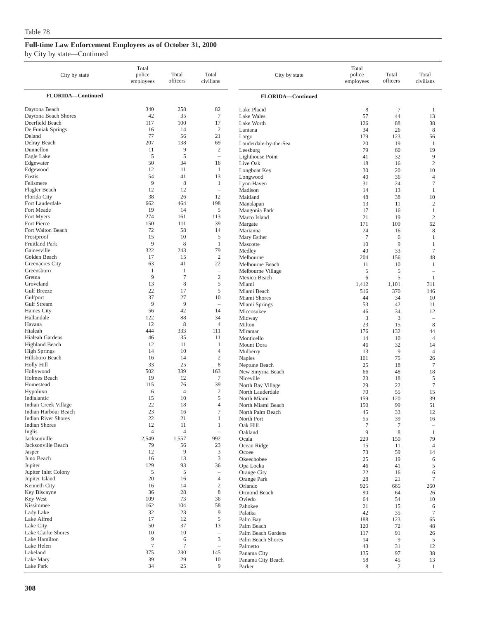| City by state                                | Total<br>police<br>employees | Total<br>officers | Total<br>civilians                | City by state                         | Total<br>police<br>employees | Total<br>officers | Total<br>civilians             |
|----------------------------------------------|------------------------------|-------------------|-----------------------------------|---------------------------------------|------------------------------|-------------------|--------------------------------|
| FLORIDA-Continued                            |                              |                   |                                   | FLORIDA-Continued                     |                              |                   |                                |
| Daytona Beach<br>Daytona Beach Shores        | 340<br>42                    | 258<br>35         | 82<br>$\overline{7}$              | Lake Placid<br>Lake Wales             | 8<br>57                      | $\tau$<br>44      | 1<br>13                        |
| Deerfield Beach                              | 117                          | 100               | 17                                | Lake Worth                            | 126                          | 88                | 38                             |
| De Funiak Springs                            | 16                           | 14                | $\boldsymbol{2}$                  | Lantana                               | 34                           | 26                | $\,$ 8 $\,$                    |
| Deland                                       | 77                           | 56                | 21                                | Largo                                 | 179                          | 123               | 56                             |
| Delray Beach<br>Dunnellon                    | 207<br>11                    | 138<br>9          | 69<br>$\mathfrak{2}$              | Lauderdale-by-the-Sea                 | 20                           | 19                | 1                              |
| Eagle Lake                                   | 5                            | 5                 | $\overline{\phantom{a}}$          | Leesburg<br><b>Lighthouse Point</b>   | 79<br>41                     | 60<br>32          | 19<br>9                        |
| Edgewater                                    | 50                           | 34                | 16                                | Live Oak                              | 18                           | 16                | $\mathbf{2}$                   |
| Edgewood                                     | 12                           | 11                | $\mathbf{1}$                      | Longboat Key                          | 30                           | 20                | 10                             |
| Eustis                                       | 54                           | 41                | 13                                | Longwood                              | 40                           | 36                | $\overline{4}$                 |
| Fellsmere                                    | 9                            | 8                 | $\mathbf{1}$                      | Lynn Haven                            | 31                           | 24                | $\tau$                         |
| Flagler Beach                                | 12                           | 12                | $\overline{\phantom{a}}$          | Madison                               | 14                           | 13                | 1                              |
| Florida City<br>Fort Lauderdale              | 38<br>662                    | 26<br>464         | 12<br>198                         | Maitland                              | 48                           | 38                | $10\,$                         |
| Fort Meade                                   | 19                           | 14                | 5                                 | Manalapan<br>Mangonia Park            | 13<br>17                     | 11<br>16          | $\mathfrak{2}$<br>$\mathbf{1}$ |
| Fort Myers                                   | 274                          | 161               | 113                               | Marco Island                          | 21                           | 19                | $\sqrt{2}$                     |
| Fort Pierce                                  | 150                          | 111               | 39                                | Margate                               | 171                          | 109               | 62                             |
| Fort Walton Beach                            | 72                           | 58                | 14                                | Marianna                              | 24                           | 16                | $\,$ 8 $\,$                    |
| Frostproof                                   | 15                           | 10                | $\sqrt{5}$                        | Mary Esther                           | $\overline{7}$               | 6                 | 1                              |
| Fruitland Park                               | 9                            | 8                 | $\mathbf{1}$                      | Mascotte                              | 10                           | 9                 | 1                              |
| Gainesville                                  | 322<br>17                    | 243<br>15         | 79<br>$\mathbf{2}$                | Medley<br>Melbourne                   | 40                           | 33                | $\tau$                         |
| Golden Beach<br>Greenacres City              | 63                           | 41                | 22                                | Melbourne Beach                       | 204<br>11                    | 156<br>10         | 48<br>1                        |
| Greensboro                                   | 1                            | 1                 | $\hspace{1.0cm} - \hspace{1.0cm}$ | Melbourne Village                     | 5                            | 5                 | $\overline{\phantom{a}}$       |
| Gretna                                       | 9                            | 7                 | $\sqrt{2}$                        | Mexico Beach                          | 6                            | 5                 | $\mathbf{1}$                   |
| Groveland                                    | 13                           | 8                 | 5                                 | Miami                                 | 1,412                        | 1,101             | 311                            |
| <b>Gulf Breeze</b>                           | 22                           | 17                | 5                                 | Miami Beach                           | 516                          | 370               | 146                            |
| Gulfport                                     | 37                           | 27                | 10                                | Miami Shores                          | 44                           | 34                | 10                             |
| Gulf Stream<br>Haines City                   | 9<br>56                      | 9<br>42           | $\overline{\phantom{a}}$<br>14    | Miami Springs                         | 53<br>46                     | 42<br>34          | 11<br>12                       |
| Hallandale                                   | 122                          | 88                | 34                                | Miccosukee<br>Midway                  | 3                            | 3                 | $\qquad \qquad -$              |
| Havana                                       | 12                           | 8                 | $\overline{4}$                    | Milton                                | 23                           | 15                | $\,$ 8 $\,$                    |
| Hialeah                                      | 444                          | 333               | 111                               | Miramar                               | 176                          | 132               | 44                             |
| Hialeah Gardens                              | 46                           | 35                | 11                                | Monticello                            | 14                           | 10                | $\overline{4}$                 |
| <b>Highland Beach</b>                        | 12                           | 11                | 1                                 | Mount Dora                            | 46                           | 32                | 14                             |
| <b>High Springs</b>                          | 14                           | 10<br>14          | 4<br>$\overline{c}$               | Mulberry                              | 13                           | 9                 | $\overline{4}$                 |
| Hillsboro Beach<br>Holly Hill                | 16<br>33                     | 25                | 8                                 | Naples<br>Neptune Beach               | 101<br>25                    | 75<br>18          | 26<br>$\tau$                   |
| Hollywood                                    | 502                          | 339               | 163                               | New Smyrna Beach                      | 66                           | 48                | 18                             |
| Holmes Beach                                 | 19                           | 12                | $\tau$                            | Niceville                             | 23                           | 18                | 5                              |
| Homestead                                    | 115                          | 76                | 39                                | North Bay Village                     | 29                           | 22                | $\tau$                         |
| Hypoluxo                                     | 6                            | $\overline{4}$    | $\boldsymbol{2}$                  | North Lauderdale                      | 70                           | 55                | 15                             |
| Indialantic                                  | 15                           | 10                | 5                                 | North Miami                           | 159                          | 120               | 39                             |
| Indian Creek Village<br>Indian Harbour Beach | 22<br>23                     | 18<br>16          | $\overline{4}$<br>7               | North Miami Beach<br>North Palm Beach | 150<br>45                    | 99<br>33          | 51<br>12                       |
| <b>Indian River Shores</b>                   | 22                           | 21                | 1                                 | North Port                            | 55                           | 39                | 16                             |
| <b>Indian Shores</b>                         | 12                           | 11                | $\mathbf{1}$                      | Oak Hill                              | $\boldsymbol{7}$             | $\tau$            | $\overline{\phantom{a}}$       |
| Inglis                                       | $\overline{4}$               | $\overline{4}$    | $\overline{\phantom{a}}$          | Oakland                               | 9                            | $\,$ 8 $\,$       | 1                              |
| Jacksonville                                 | 2,549                        | 1,557             | 992                               | Ocala                                 | 229                          | 150               | 79                             |
| Jacksonville Beach                           | 79                           | 56                | 23                                | Ocean Ridge                           | 15                           | 11                | 4                              |
| Jasper<br>Juno Beach                         | 12<br>16                     | 9<br>13           | 3<br>$\mathfrak{Z}$               | Ocoee                                 | 73                           | 59                | 14                             |
| Jupiter                                      | 129                          | 93                | 36                                | Okeechobee<br>Opa Locka               | 25<br>46                     | 19<br>41          | 6<br>5                         |
| Jupiter Inlet Colony                         | 5                            | 5                 | $\hspace{1.0cm} - \hspace{1.0cm}$ | Orange City                           | 22                           | 16                | 6                              |
| Jupiter Island                               | 20                           | 16                | $\overline{4}$                    | Orange Park                           | 28                           | 21                | 7                              |
| Kenneth City                                 | 16                           | 14                | $\sqrt{2}$                        | Orlando                               | 925                          | 665               | 260                            |
| Key Biscayne                                 | 36                           | 28                | $\,$ 8 $\,$                       | Ormond Beach                          | 90                           | 64                | 26                             |
| Key West<br>Kissimmee                        | 109<br>162                   | 73<br>104         | 36<br>58                          | Oviedo                                | 64                           | 54                | 10                             |
| Lady Lake                                    | 32                           | 23                | 9                                 | Pahokee                               | 21                           | 15                | 6                              |
| Lake Alfred                                  | 17                           | 12                | $\mathfrak s$                     | Palatka<br>Palm Bay                   | 42<br>188                    | 35<br>123         | 7<br>65                        |
| Lake City                                    | 50                           | 37                | 13                                | Palm Beach                            | 120                          | 72                | 48                             |
| Lake Clarke Shores                           | 10                           | 10                | $\overline{\phantom{a}}$          | Palm Beach Gardens                    | 117                          | 91                | 26                             |
| Lake Hamilton                                | 9                            | 6                 | $\mathfrak{Z}$                    | Palm Beach Shores                     | 14                           | 9                 | 5                              |
| Lake Helen                                   | $\tau$                       | $\tau$            | $\overline{\phantom{0}}$          | Palmetto                              | 43                           | 31                | 12                             |
| Lakeland<br>Lake Mary                        | 375<br>39                    | 230<br>29         | 145<br>10                         | Panama City                           | 135                          | 97<br>45          | 38                             |
| Lake Park                                    | 34                           | 25                | 9                                 | Panama City Beach<br>Parker           | 58<br>$\,$ 8 $\,$            | $\tau$            | 13<br>$\mathbf{1}$             |
|                                              |                              |                   |                                   |                                       |                              |                   |                                |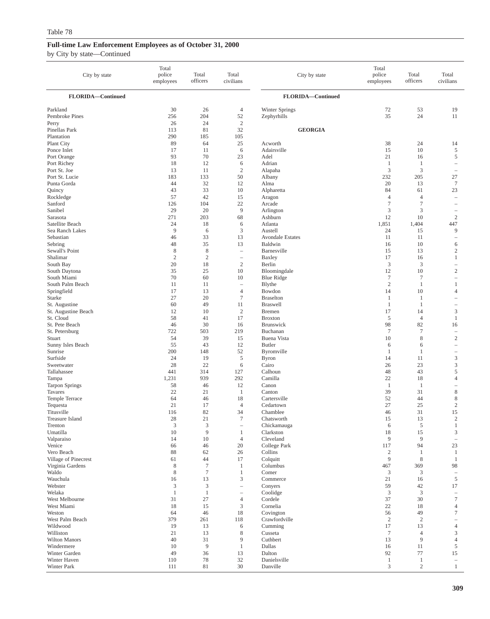| City by state                      | Total<br>police<br>employees    | Total<br>officers                | Total<br>civilians                                     | City by state                    | Total<br>police<br>employees     | Total<br>officers                | Total<br>civilians                          |
|------------------------------------|---------------------------------|----------------------------------|--------------------------------------------------------|----------------------------------|----------------------------------|----------------------------------|---------------------------------------------|
| FLORIDA-Continued                  |                                 |                                  |                                                        | FLORIDA-Continued                |                                  |                                  |                                             |
| Parkland                           | 30                              | 26                               | $\overline{4}$                                         | Winter Springs                   | 72                               | 53                               | 19                                          |
| Pembroke Pines<br>Perry            | 256<br>26                       | 204<br>24                        | 52<br>$\sqrt{2}$                                       | Zephyrhills                      | 35                               | 24                               | 11                                          |
| Pinellas Park                      | 113                             | 81                               | 32                                                     | <b>GEORGIA</b>                   |                                  |                                  |                                             |
| Plantation                         | 290                             | 185                              | 105                                                    |                                  |                                  |                                  |                                             |
| Plant City<br>Ponce Inlet          | 89<br>17                        | 64<br>11                         | 25<br>6                                                | Acworth<br>Adairsville           | 38<br>15                         | 24<br>10                         | 14<br>5                                     |
| Port Orange                        | 93                              | 70                               | 23                                                     | Adel                             | 21                               | 16                               | 5                                           |
| Port Richey                        | 18                              | 12                               | 6                                                      | Adrian                           | $\mathbf{1}$                     | $\mathbf{1}$                     | $\overline{\phantom{0}}$                    |
| Port St. Joe<br>Port St. Lucie     | 13<br>183                       | 11<br>133                        | $\sqrt{2}$<br>50                                       | Alapaha<br>Albany                | 3<br>232                         | 3<br>205                         | $\overline{\phantom{a}}$<br>27              |
| Punta Gorda                        | 44                              | 32                               | 12                                                     | Alma                             | 20                               | 13                               | $\tau$                                      |
| Quincy                             | 43                              | 33                               | 10                                                     | Alpharetta                       | 84                               | 61                               | 23                                          |
| Rockledge<br>Sanford               | 57<br>126                       | 42<br>104                        | 15<br>22                                               | Aragon<br>Arcade                 | $\overline{4}$<br>$\tau$         | $\overline{4}$<br>$\overline{7}$ | $\hspace{1.0cm} - \hspace{1.0cm}$<br>÷      |
| Sanibel                            | 29                              | 20                               | $\overline{9}$                                         | Arlington                        | 3                                | 3                                | $\qquad \qquad -$                           |
| Sarasota                           | 271                             | 203                              | 68                                                     | Ashburn                          | 12                               | 10                               | $\overline{c}$                              |
| Satellite Beach<br>Sea Ranch Lakes | 24<br>9                         | 18<br>6                          | 6<br>$\mathfrak z$                                     | Atlanta<br>Austell               | 1,851<br>24                      | 1,404<br>15                      | 447<br>9                                    |
| Sebastian                          | 46                              | 33                               | 13                                                     | <b>Avondale Estates</b>          | 11                               | 11                               | $\hspace{1.0cm} - \hspace{1.0cm}$           |
| Sebring                            | 48                              | 35                               | 13                                                     | Baldwin                          | 16                               | 10                               | 6                                           |
| Sewall's Point<br>Shalimar         | 8<br>$\overline{2}$             | 8<br>$\mathfrak{2}$              | $\overline{\phantom{a}}$<br>$\overline{\phantom{a}}$   | Barnesville<br>Baxley            | 15<br>17                         | 13<br>16                         | $\overline{c}$<br>$\mathbf{1}$              |
| South Bay                          | 20                              | 18                               | $\sqrt{2}$                                             | Berlin                           | 3                                | 3                                | $\qquad \qquad -$                           |
| South Daytona                      | 35                              | 25                               | 10                                                     | Bloomingdale                     | 12                               | 10                               | $\mathbf{2}$                                |
| South Miami<br>South Palm Beach    | 70                              | 60                               | 10                                                     | <b>Blue Ridge</b>                | $\boldsymbol{7}$<br>$\mathbf{2}$ | $\tau$                           | $\qquad \qquad -$                           |
| Springfield                        | 11<br>17                        | 11<br>13                         | $\hspace{1.0cm} - \hspace{1.0cm}$<br>$\overline{4}$    | Blythe<br>Bowdon                 | 14                               | $\mathbf{1}$<br>10               | 1<br>4                                      |
| Starke                             | 27                              | 20                               | $\tau$                                                 | <b>Braselton</b>                 | $\mathbf{1}$                     | $\mathbf{1}$                     | $\qquad \qquad -$                           |
| St. Augustine                      | 60                              | 49                               | 11                                                     | <b>Braswell</b>                  | 1                                | 1                                | $\qquad \qquad -$                           |
| St. Augustine Beach<br>St. Cloud   | 12<br>58                        | 10<br>41                         | $\mathfrak{2}$<br>17                                   | <b>B</b> remen<br><b>Broxton</b> | 17<br>5                          | 14<br>$\overline{4}$             | $\mathfrak{Z}$<br>$\mathbf{1}$              |
| St. Pete Beach                     | 46                              | 30                               | 16                                                     | Brunswick                        | 98                               | 82                               | 16                                          |
| St. Petersburg                     | 722                             | 503                              | 219                                                    | Buchanan                         | $\tau$                           | $\tau$                           | $\hspace{1.0cm} - \hspace{1.0cm}$           |
| Stuart<br>Sunny Isles Beach        | 54<br>55                        | 39<br>43                         | 15<br>12                                               | Buena Vista<br><b>Butler</b>     | 10<br>6                          | 8<br>6                           | $\mathbf{2}$<br>$\qquad \qquad -$           |
| Sunrise                            | 200                             | 148                              | 52                                                     | Byromville                       | -1                               | $\mathbf{1}$                     | $\overline{\phantom{0}}$                    |
| Surfside                           | 24                              | 19                               | $\sqrt{5}$                                             | <b>Byron</b>                     | 14                               | 11                               | $\mathfrak z$                               |
| Sweetwater<br>Tallahassee          | 28<br>441                       | 22<br>314                        | 6<br>127                                               | Cairo<br>Calhoun                 | 26<br>48                         | 23<br>43                         | 3<br>5                                      |
| Tampa                              | 1,231                           | 939                              | 292                                                    | Camilla                          | 22                               | 18                               | 4                                           |
| <b>Tarpon Springs</b>              | 58                              | 46                               | 12                                                     | Canon                            | -1                               | $\mathbf{1}$                     | ۰                                           |
| Tavares                            | 22                              | 21                               | $\mathbf{1}$                                           | Canton                           | 39<br>52                         | 31<br>44                         | $\,$ 8 $\,$                                 |
| Temple Terrace<br>Tequesta         | 64<br>21                        | 46<br>17                         | 18<br>$\overline{4}$                                   | Cartersville<br>Cedartown        | 27                               | 25                               | $\,$ 8 $\,$<br>$\mathbf{2}$                 |
| Titusville                         | 116                             | 82                               | 34                                                     | Chamblee                         | 46                               | 31                               | 15                                          |
| <b>Treasure Island</b>             | 28                              | 21                               | $\overline{7}$                                         | Chatsworth                       | 15                               | 13                               | $\boldsymbol{2}$                            |
| Trenton<br>Umatilla                | $\ensuremath{\mathsf{3}}$<br>10 | $\ensuremath{\mathfrak{Z}}$<br>9 | $\overline{\phantom{a}}$<br>$\mathbf{1}$               | Chickamauga<br>Clarkston         | 6<br>18                          | $\sqrt{5}$<br>15                 | $\mathbf{1}$<br>$\ensuremath{\mathfrak{Z}}$ |
| Valparaiso                         | 14                              | 10                               | $\overline{4}$                                         | Cleveland                        | 9                                | 9                                | $\overline{\phantom{0}}$                    |
| Venice                             | 66                              | 46                               | 20                                                     | College Park                     | 117                              | 94                               | 23                                          |
| Vero Beach<br>Village of Pinecrest | 88<br>61                        | 62<br>44                         | 26<br>17                                               | Collins<br>Colquitt              | $\overline{c}$<br>9              | $\mathbf{1}$<br>$\,$ 8 $\,$      | $\mathbf{1}$<br>-1                          |
| Virginia Gardens                   | $\,$ 8 $\,$                     | $\tau$                           | $\mathbf{1}$                                           | Columbus                         | 467                              | 369                              | 98                                          |
| Waldo                              | 8                               | $\tau$                           | $\mathbf{1}$                                           | Comer                            | 3                                | 3                                | $\overline{\phantom{0}}$                    |
| Wauchula<br>Webster                | 16<br>3                         | 13<br>$\mathfrak{Z}$             | $\mathfrak z$<br>$\hspace{1.0cm} \rule{1.5cm}{0.15cm}$ | Commerce<br>Conyers              | 21<br>59                         | 16<br>42                         | 5<br>17                                     |
| Welaka                             | $\mathbf{1}$                    | $\,1$                            | $\sim$                                                 | Coolidge                         | 3                                | 3                                | $\overline{\phantom{a}}$                    |
| West Melbourne                     | 31                              | 27                               | $\overline{4}$                                         | Cordele                          | 37                               | 30                               | $\boldsymbol{7}$                            |
| West Miami<br>Weston               | 18<br>64                        | 15<br>46                         | $\mathfrak z$<br>18                                    | Cornelia<br>Covington            | 22<br>56                         | 18<br>49                         | $\overline{4}$<br>7                         |
| West Palm Beach                    | 379                             | 261                              | 118                                                    | Crawfordville                    | $\overline{2}$                   | $\sqrt{2}$                       |                                             |
| Wildwood                           | 19                              | 13                               | 6                                                      | Cumming                          | 17                               | 13                               | $\overline{4}$                              |
| Williston<br>Wilton Manors         | 21<br>40                        | 13<br>31                         | $\,$ 8 $\,$<br>$\overline{9}$                          | Cusseta<br>Cuthbert              | $\boldsymbol{7}$<br>13           | $\overline{4}$<br>9              | $\mathfrak{Z}$<br>$\overline{4}$            |
| Windermere                         | 10                              | $\overline{9}$                   | $\mathbf{1}$                                           | Dallas                           | 16                               | 11                               | 5                                           |
| Winter Garden                      | 49                              | 36                               | 13                                                     | Dalton                           | 92                               | 77                               | 15                                          |
| Winter Haven<br>Winter Park        | 110<br>111                      | $78\,$<br>81                     | 32<br>30                                               | Danielsville<br>Danville         | -1<br>$\mathfrak{Z}$             | $\mathbf{1}$<br>$\sqrt{2}$       | $\overline{\phantom{a}}$<br>$\mathbf{1}$    |
|                                    |                                 |                                  |                                                        |                                  |                                  |                                  |                                             |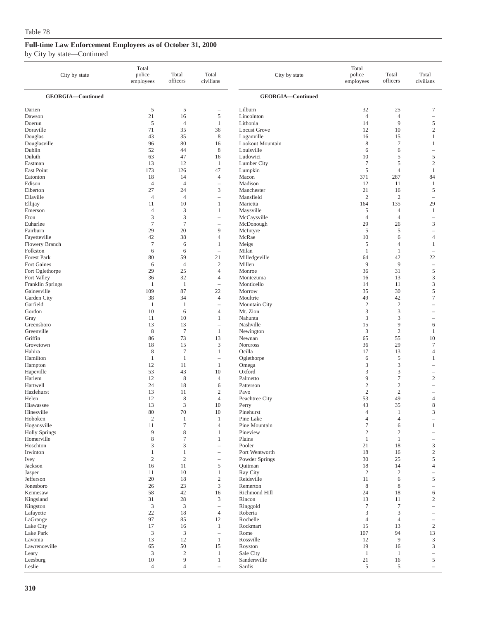| City by state                     | Total<br>police<br>employees | Total<br>officers                | Total<br>civilians                         | City by state                     | Total<br>police<br>employees | Total<br>officers     | Total<br>civilians                      |
|-----------------------------------|------------------------------|----------------------------------|--------------------------------------------|-----------------------------------|------------------------------|-----------------------|-----------------------------------------|
| GEORGIA-Continued                 |                              |                                  |                                            | <b>GEORGIA-Continued</b>          |                              |                       |                                         |
| Darien                            | 5                            | 5                                | -                                          | Lilburn                           | 32                           | 25                    | 7                                       |
| Dawson                            | 21                           | 16                               | $\mathfrak s$                              | Lincolnton                        | $\overline{4}$               | $\overline{4}$        | ÷,                                      |
| Doerun                            | 5                            | $\overline{4}$                   | $\mathbf{1}$                               | Lithonia                          | 14                           | 9                     | $\sqrt{5}$                              |
| Doraville<br>Douglas              | 71<br>43                     | 35<br>35                         | 36<br>$\,$ 8 $\,$                          | <b>Locust Grove</b><br>Loganville | 12<br>16                     | 10<br>15              | $\overline{c}$<br>1                     |
| Douglasville                      | 96                           | 80                               | 16                                         | Lookout Mountain                  | 8                            | $\tau$                | 1                                       |
| Dublin                            | 52                           | 44                               | 8                                          | Louisville                        | 6                            | 6                     | $\overline{\phantom{a}}$                |
| Duluth                            | 63                           | 47                               | 16                                         | Ludowici                          | 10                           | 5                     | $\sqrt{5}$                              |
| Eastman                           | 13                           | 12                               | 1                                          | Lumber City                       | $\tau$                       | 5                     | $\sqrt{2}$                              |
| East Point<br>Eatonton            | 173<br>18                    | 126<br>14                        | 47<br>$\overline{4}$                       | Lumpkin<br>Macon                  | 5<br>371                     | $\overline{4}$<br>287 | $\mathbf{1}$<br>84                      |
| Edison                            | $\overline{4}$               | $\overline{4}$                   | $\sim$                                     | Madison                           | 12                           | 11                    | $\mathbf{1}$                            |
| Elberton                          | 27                           | 24                               | 3                                          | Manchester                        | 21                           | 16                    | 5                                       |
| Ellaville                         | $\overline{4}$               | $\overline{4}$                   | $\overline{\phantom{a}}$                   | Mansfield                         | $\overline{2}$               | $\overline{c}$        | $\overline{\phantom{0}}$                |
| Ellijay                           | 11                           | 10                               | $\mathbf{1}$                               | Marietta                          | 164                          | 135                   | 29                                      |
| Emerson<br>Eton                   | $\overline{4}$<br>3          | 3<br>$\mathfrak z$               | 1<br>Ē,                                    | Maysville<br>McCaysville          | 5<br>$\overline{4}$          | 4<br>4                | 1<br>$\sim$                             |
| Euharlee                          | $\tau$                       | $\tau$                           | $\overline{\phantom{a}}$                   | McDonough                         | 29                           | 26                    | $\mathfrak z$                           |
| Fairburn                          | 29                           | 20                               | 9                                          | McIntyre                          | 5                            | 5                     | $\overline{\phantom{a}}$                |
| Fayetteville                      | 42                           | 38                               | $\overline{4}$                             | McRae                             | 10                           | 6                     | $\overline{4}$                          |
| Flowery Branch                    | $7\phantom{.0}$              | 6                                | 1                                          | Meigs                             | 5                            | 4                     | 1                                       |
| Folkston                          | 6                            | 6                                | ÷                                          | Milan                             | 1                            | 1                     | $\sim$                                  |
| <b>Forest Park</b><br>Fort Gaines | 80<br>6                      | 59<br>$\overline{4}$             | 21<br>$\boldsymbol{2}$                     | Milledgeville<br>Millen           | 64<br>9                      | 42<br>9               | 22<br>$\hspace{1.0cm} - \hspace{1.0cm}$ |
| Fort Oglethorpe                   | 29                           | 25                               | $\overline{4}$                             | Monroe                            | 36                           | 31                    | $\sqrt{5}$                              |
| Fort Valley                       | 36                           | 32                               | $\overline{4}$                             | Montezuma                         | 16                           | 13                    | 3                                       |
| Franklin Springs                  | 1                            | $\mathbf{1}$                     | ÷                                          | Monticello                        | 14                           | 11                    | 3                                       |
| Gainesville                       | 109                          | 87                               | 22                                         | Morrow                            | 35                           | 30                    | $\sqrt{5}$                              |
| Garden City<br>Garfield           | 38<br>-1                     | 34<br>$\mathbf{1}$               | $\overline{4}$<br>$\overline{\phantom{a}}$ | Moultrie<br>Mountain City         | 49<br>$\sqrt{2}$             | 42<br>$\overline{2}$  | $\tau$                                  |
| Gordon                            | 10                           | 6                                | $\overline{4}$                             | Mt. Zion                          | 3                            | 3                     | $\overline{\phantom{a}}$                |
| Gray                              | 11                           | 10                               | 1                                          | Nahunta                           | 3                            | 3                     | $\overline{\phantom{a}}$                |
| Greensboro                        | 13                           | 13                               | $\overline{\phantom{a}}$                   | Nashville                         | 15                           | 9                     | 6                                       |
| Greenville                        | 8                            | $\tau$                           | $\mathbf{1}$                               | Newington                         | 3                            | $\mathbf{2}$          | 1                                       |
| Griffin<br>Grovetown              | 86<br>18                     | 73<br>15                         | 13<br>3                                    | Newnan<br>Norcross                | 65<br>36                     | 55<br>29              | 10<br>$\tau$                            |
| Hahira                            | $\,$ 8 $\,$                  | $\boldsymbol{7}$                 | $\mathbf{1}$                               | Ocilla                            | 17                           | 13                    | $\overline{4}$                          |
| Hamilton                          | $\mathbf{1}$                 | $\mathbf{1}$                     | $\hspace{1.0cm} - \hspace{1.0cm}$          | Oglethorpe                        | 6                            | 5                     | 1                                       |
| Hampton                           | 12                           | 11                               | $\mathbf{1}$                               | Omega                             | 3                            | 3                     | $\overline{\phantom{a}}$                |
| Hapeville                         | 53                           | 43                               | 10                                         | Oxford                            | 3                            | 3                     | $\overline{\phantom{m}}$                |
| Harlem<br>Hartwell                | 12<br>24                     | 8<br>18                          | $\overline{4}$<br>6                        | Palmetto<br>Patterson             | 9<br>$\sqrt{2}$              | $\tau$<br>$\sqrt{2}$  | $\overline{c}$<br>i.                    |
| Hazlehurst                        | 13                           | 11                               | $\overline{c}$                             | Pavo                              | $\overline{c}$               | $\sqrt{2}$            |                                         |
| Helen                             | 12                           | 8                                | $\overline{4}$                             | Peachtree City                    | 53                           | 49                    | $\overline{4}$                          |
| Hiawassee                         | 13                           | $\mathfrak{Z}$                   | 10                                         | Perry                             | 43                           | 35                    | $\,$ 8 $\,$                             |
| Hinesville                        | 80                           | 70                               | 10                                         | Pinehurst                         | $\overline{4}$               | 1                     | 3                                       |
| Hoboken<br>Hogansville            | $\mathfrak{2}$<br>11         | $\mathbf{1}$<br>$\boldsymbol{7}$ | $\mathbf{1}$<br>$\overline{4}$             | Pine Lake<br>Pine Mountain        | 4<br>$\tau$                  | 4<br>6                | 1                                       |
| <b>Holly Springs</b>              | 9                            | $\,$ 8 $\,$                      | 1                                          | Pineview                          | $\sqrt{2}$                   | $\boldsymbol{2}$      |                                         |
| Homerville                        | 8                            | $\boldsymbol{7}$                 | 1                                          | Plains                            | $\mathbf{1}$                 | $\mathbf{1}$          | $\overline{\phantom{0}}$                |
| Hoschton                          | 3                            | 3                                | i.                                         | Pooler                            | 21                           | 18                    | 3                                       |
| Irwinton                          | 1                            | $\mathbf{1}$                     | -                                          | Port Wentworth                    | 18                           | 16                    | $\sqrt{2}$                              |
| Ivey<br>Jackson                   | $\sqrt{2}$<br>16             | $\overline{2}$<br>11             | $\sqrt{5}$                                 | Powder Springs<br>Quitman         | 30<br>18                     | 25<br>14              | 5<br>$\overline{4}$                     |
| Jasper                            | 11                           | 10                               | $\mathbf{1}$                               | Ray City                          | $\overline{2}$               | $\sqrt{2}$            | $\qquad \qquad -$                       |
| Jefferson                         | 20                           | 18                               | $\overline{c}$                             | Reidsville                        | 11                           | 6                     | 5                                       |
| Jonesboro                         | 26                           | 23                               | $\mathfrak{Z}$                             | Remerton                          | $\,$ 8 $\,$                  | 8                     | i.                                      |
| Kennesaw                          | 58                           | 42                               | 16                                         | Richmond Hill                     | 24                           | 18                    | 6                                       |
| Kingsland                         | 31                           | 28                               | 3                                          | Rincon                            | 13<br>$\overline{7}$         | 11                    | $\overline{c}$                          |
| Kingston<br>Lafayette             | $\mathfrak{Z}$<br>22         | $\mathfrak{Z}$<br>18             | $\qquad \qquad -$<br>$\overline{4}$        | Ringgold<br>Roberta               | 3                            | $\boldsymbol{7}$<br>3 |                                         |
| LaGrange                          | 97                           | 85                               | 12                                         | Rochelle                          | $\overline{4}$               | $\overline{4}$        | $\overline{\phantom{0}}$                |
| Lake City                         | 17                           | 16                               | 1                                          | Rockmart                          | 15                           | 13                    | $\overline{c}$                          |
| Lake Park                         | 3                            | $\mathfrak{Z}$                   | $\overline{\phantom{a}}$                   | Rome                              | 107                          | 94                    | 13                                      |
| Lavonia                           | 13                           | 12                               | $\mathbf{1}$                               | Rossville                         | 12                           | $\overline{9}$        | $\ensuremath{\mathfrak{Z}}$             |
| Lawrenceville<br>Leary            | 65<br>3                      | 50<br>$\overline{2}$             | 15<br>$\mathbf{1}$                         | Royston<br>Sale City              | 19<br>$\mathbf{1}$           | 16<br>$\mathbf{1}$    | 3<br>$\overline{\phantom{a}}$           |
| Leesburg                          | $10\,$                       | 9                                | 1                                          | Sandersville                      | $21\,$                       | 16                    | 5                                       |
| Leslie                            | $\overline{4}$               | $\overline{4}$                   | $\sim$                                     | Sardis                            | 5                            | 5                     | $\overline{\phantom{a}}$                |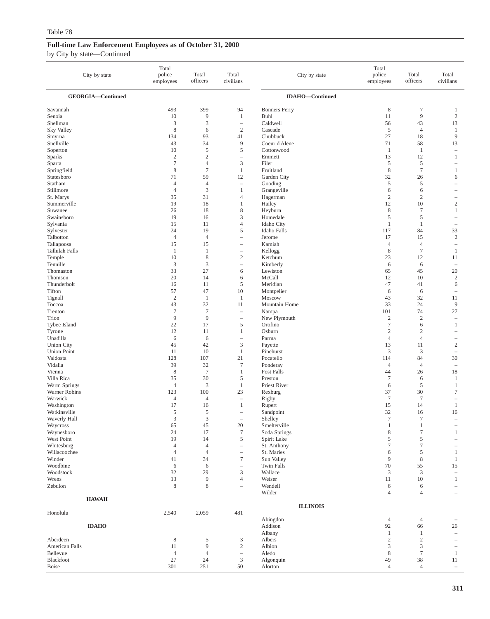|                            | City by state     | Total<br>police<br>employees | Total<br>officers         | Total<br>civilians                  | City by state               | Total<br>police<br>employees | Total<br>officers                | Total<br>civilians                                            |
|----------------------------|-------------------|------------------------------|---------------------------|-------------------------------------|-----------------------------|------------------------------|----------------------------------|---------------------------------------------------------------|
|                            | GEORGIA-Continued |                              |                           |                                     | <b>IDAHO-Continued</b>      |                              |                                  |                                                               |
| Savannah                   |                   | 493                          | 399                       | 94                                  | <b>Bonners Ferry</b>        | $\,$ 8 $\,$                  | $\boldsymbol{7}$                 | $\mathbf{1}$                                                  |
| Senoia                     |                   | 10                           | 9                         | $\mathbf{1}$                        | <b>Buhl</b>                 | 11                           | 9                                | $\overline{c}$                                                |
| Shellman                   |                   | 3                            | 3                         | $\qquad \qquad -$                   | Caldwell                    | 56                           | 43                               | 13                                                            |
| Sky Valley                 |                   | 8                            | 6                         | $\mathbf{2}$                        | Cascade                     | 5                            | $\overline{4}$                   | $\mathbf{1}$                                                  |
| Smyrna<br>Snellville       |                   | 134                          | 93<br>34                  | 41<br>9                             | Chubbuck<br>Coeur d'Alene   | 27<br>71                     | 18<br>58                         | 9<br>13                                                       |
| Soperton                   |                   | 43<br>10                     | 5                         | 5                                   | Cottonwood                  | -1                           | -1                               | $\hspace{1.0cm} - \hspace{1.0cm}$                             |
| <b>Sparks</b>              |                   | $\overline{c}$               | $\overline{c}$            | $\equiv$                            | Emmett                      | 13                           | 12                               | $\mathbf{1}$                                                  |
| Sparta                     |                   | $\overline{7}$               | $\overline{4}$            | 3                                   | Filer                       | 5                            | 5                                | $\hspace{1.0cm} - \hspace{1.0cm}$                             |
| Springfield                |                   | 8                            | $\tau$                    | $\mathbf{1}$                        | Fruitland                   | $\,$ 8 $\,$                  | $\tau$                           | $\mathbf{1}$                                                  |
| Statesboro                 |                   | 71                           | 59                        | 12                                  | Garden City                 | 32                           | 26                               | 6                                                             |
| Statham                    |                   | $\overline{4}$               | $\overline{4}$            | $\qquad \qquad -$                   | Gooding                     | 5                            | 5                                |                                                               |
| Stillmore                  |                   | $\overline{4}$               | 3                         | $\mathbf{1}$                        | Grangeville                 | 6                            | 6                                |                                                               |
| St. Marys<br>Summerville   |                   | 35<br>19                     | 31<br>18                  | $\overline{4}$<br>1                 | Hagerman<br>Hailey          | $\mathbf{2}$<br>12           | $\mathfrak{2}$<br>10             | ۰<br>$\sqrt{2}$                                               |
| Suwanee                    |                   | 26                           | 18                        | $\,$ 8 $\,$                         | Heyburn                     | $\,$ 8 $\,$                  | $\tau$                           | $\mathbf{1}$                                                  |
| Swainsboro                 |                   | 19                           | 16                        | 3                                   | Homedale                    | 5                            | 5                                | $\hspace{1.0cm} - \hspace{1.0cm}$                             |
| Sylvania                   |                   | 15                           | 11                        | 4                                   | Idaho City                  | 1                            | $\mathbf{1}$                     | $\overline{\phantom{a}}$                                      |
| Sylvester                  |                   | 24                           | 19                        | 5                                   | <b>Idaho Falls</b>          | 117                          | 84                               | 33                                                            |
| Talbotton                  |                   | $\overline{4}$               | $\overline{4}$            | $\overline{\phantom{m}}$            | Jerome                      | 17                           | 15                               | $\overline{c}$                                                |
| Tallapoosa                 |                   | 15                           | 15                        | $\qquad \qquad -$                   | Kamiah                      | $\overline{4}$               | $\overline{4}$                   | $\hspace{0.1mm}-\hspace{0.1mm}$                               |
| Tallulah Falls             |                   | $\mathbf{1}$                 | $\mathbf{1}$              | -                                   | Kellogg                     | 8                            | $7\phantom{.0}$                  | 1                                                             |
| Temple<br>Tennille         |                   | 10<br>3                      | $\,$ 8 $\,$<br>3          | $\mathfrak{2}$<br>$\qquad \qquad -$ | Ketchum                     | 23<br>6                      | 12<br>6                          | 11<br>$\equiv$                                                |
| Thomaston                  |                   | 33                           | 27                        | 6                                   | Kimberly<br>Lewiston        | 65                           | 45                               | 20                                                            |
| Thomson                    |                   | 20                           | 14                        | 6                                   | McCall                      | 12                           | 10                               | $\overline{c}$                                                |
| Thunderbolt                |                   | 16                           | 11                        | 5                                   | Meridian                    | 47                           | 41                               | 6                                                             |
| Tifton                     |                   | 57                           | 47                        | 10                                  | Montpelier                  | 6                            | 6                                | $\equiv$                                                      |
| Tignall                    |                   | $\overline{2}$               | 1                         | $\mathbf{1}$                        | Moscow                      | 43                           | 32                               | 11                                                            |
| Toccoa                     |                   | 43                           | 32                        | 11                                  | Mountain Home               | 33                           | 24                               | 9                                                             |
| Trenton                    |                   | $\overline{7}$               | $\tau$                    | $\overline{\phantom{a}}$            | Nampa                       | 101                          | 74                               | 27                                                            |
| Trion<br>Tybee Island      |                   | 9<br>22                      | 9<br>17                   | $\qquad \qquad -$<br>5              | New Plymouth<br>Orofino     | $\mathfrak{2}$<br>$\tau$     | $\mathbf{2}$<br>6                | $\hspace{1.0cm} - \hspace{1.0cm}$<br>$\mathbf{1}$             |
| Tyrone                     |                   | 12                           | 11                        | $\mathbf{1}$                        | Osburn                      | $\sqrt{2}$                   | $\mathfrak{2}$                   | $\overline{\phantom{a}}$                                      |
| Unadilla                   |                   | 6                            | 6                         | $\overline{\phantom{a}}$            | Parma                       | $\overline{4}$               | $\overline{4}$                   | $\overline{\phantom{m}}$                                      |
| <b>Union City</b>          |                   | 45                           | 42                        | 3                                   | Payette                     | 13                           | 11                               | $\overline{c}$                                                |
| <b>Union Point</b>         |                   | 11                           | 10                        | $\mathbf{1}$                        | Pinehurst                   | 3                            | 3                                | $\hspace{1.0cm} - \hspace{1.0cm}$                             |
| Valdosta                   |                   | 128                          | 107                       | 21                                  | Pocatello                   | 114                          | 84                               | 30                                                            |
| Vidalia                    |                   | 39                           | 32                        | $\tau$                              | Ponderay                    | $\overline{4}$               | $\overline{4}$                   | $\overline{\phantom{a}}$                                      |
| Vienna<br>Villa Rica       |                   | $\,$ 8 $\,$<br>35            | $\overline{7}$<br>30      | $\mathbf{1}$<br>5                   | Post Falls<br>Preston       | 44<br>$\tau$                 | 26<br>6                          | 18<br>$\mathbf{1}$                                            |
| Warm Springs               |                   | $\overline{4}$               | 3                         | $\mathbf{1}$                        | Priest River                | 6                            | 5                                | $\mathbf{1}$                                                  |
| Warner Robins              |                   | 123                          | 100                       | 23                                  | Rexburg                     | 37                           | 30                               | $\tau$                                                        |
| Warwick                    |                   | $\overline{4}$               | $\overline{4}$            | $\overline{\phantom{a}}$            | Rigby                       | $\tau$                       | $\overline{7}$                   | $\overline{\phantom{a}}$                                      |
| Washington                 |                   | 17                           | 16                        | 1                                   | Rupert                      | 15                           | 14                               | $\mathbf{1}$                                                  |
| Watkinsville               |                   | 5                            | 5                         | $\qquad \qquad -$                   | Sandpoint                   | 32                           | 16                               | 16                                                            |
| Waverly Hall               |                   | 3                            | $\ensuremath{\mathsf{3}}$ |                                     | Shelley                     | $\tau$                       | 7                                |                                                               |
| Waycross<br>Waynesboro     |                   | 65<br>24                     | 45<br>17                  | $20\,$<br>$7\phantom{.0}$           | Smelterville                | $\mathbf{1}$<br>$\,$ 8 $\,$  | $\mathbf{1}$<br>$\boldsymbol{7}$ | $\hspace{1.0cm} - \hspace{1.0cm}$<br>$\mathbf{1}$             |
| West Point                 |                   | 19                           | 14                        | 5                                   | Soda Springs<br>Spirit Lake | 5                            | 5                                | $\overline{\phantom{a}}$                                      |
| Whitesburg                 |                   | $\overline{4}$               | $\overline{4}$            | $\qquad \qquad -$                   | St. Anthony                 | $\tau$                       | $\boldsymbol{7}$                 | $\hspace{1.0cm} - \hspace{1.0cm}$                             |
| Willacoochee               |                   | $\overline{4}$               | $\overline{4}$            | $\qquad \qquad -$                   | St. Maries                  | 6                            | 5                                | $\mathbf{1}$                                                  |
| Winder                     |                   | 41                           | 34                        | $\boldsymbol{7}$                    | Sun Valley                  | 9                            | 8                                | -1                                                            |
| Woodbine                   |                   | 6                            | 6                         | $\qquad \qquad -$                   | <b>Twin Falls</b>           | $70\,$                       | 55                               | 15                                                            |
| Woodstock                  |                   | 32                           | 29                        | 3                                   | Wallace                     | 3                            | 3                                | $\overline{\phantom{a}}$                                      |
| Wrens<br>Zebulon           |                   | 13<br>$\,$ 8 $\,$            | 9<br>$\,$ 8 $\,$          | 4<br>-                              | Weiser<br>Wendell           | 11<br>6                      | 10                               | $\mathbf{1}$                                                  |
|                            |                   |                              |                           |                                     | Wilder                      | 4                            | 6<br>$\overline{4}$              | ÷                                                             |
|                            | <b>HAWAII</b>     |                              |                           |                                     |                             |                              |                                  |                                                               |
| Honolulu                   |                   | 2,540                        | 2,059                     | 481                                 | <b>ILLINOIS</b>             |                              |                                  |                                                               |
|                            |                   |                              |                           |                                     | Abingdon                    | $\overline{4}$               | $\overline{4}$                   |                                                               |
|                            | <b>IDAHO</b>      |                              |                           |                                     | Addison                     | 92                           | 66                               | 26                                                            |
|                            |                   |                              |                           |                                     | Albany                      | $\mathbf{1}$                 | $\mathbf{1}$                     | $\overline{\phantom{a}}$                                      |
| Aberdeen<br>American Falls |                   | 8<br>11                      | 5<br>9                    | 3<br>$\sqrt{2}$                     | Albers<br>Albion            | $\boldsymbol{2}$<br>3        | $\boldsymbol{2}$<br>3            | $\hspace{1.0cm} - \hspace{1.0cm}$<br>$\overline{\phantom{a}}$ |
| Bellevue                   |                   | $\overline{4}$               | $\overline{4}$            | $\overline{\phantom{a}}$            | Aledo                       | 8                            | $\boldsymbol{7}$                 | $\mathbf{1}$                                                  |
| Blackfoot                  |                   | 27                           | 24                        | 3                                   | Algonquin                   | 49                           | 38                               | 11                                                            |
| Boise                      |                   | 301                          | 251                       | 50                                  | Alorton                     | 4                            | $\overline{4}$                   | $\overline{\phantom{0}}$                                      |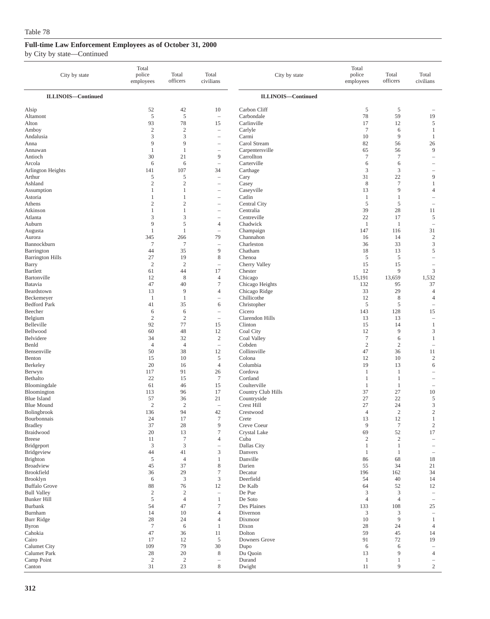| City by state                    | Total<br>police<br>employees | Total<br>officers            | Total<br>civilians                                            | City by state               | Total<br>police<br>employees | Total<br>officers      | Total<br>civilians                         |
|----------------------------------|------------------------------|------------------------------|---------------------------------------------------------------|-----------------------------|------------------------------|------------------------|--------------------------------------------|
| <b>ILLINOIS-Continued</b>        |                              |                              |                                                               | <b>ILLINOIS-Continued</b>   |                              |                        |                                            |
| Alsip                            | 52                           | 42                           | 10                                                            | Carbon Cliff                | 5                            | 5                      |                                            |
| Altamont                         | 5                            | 5                            | $\overline{\phantom{a}}$                                      | Carbondale                  | 78                           | 59                     | 19                                         |
| Alton                            | 93                           | 78                           | 15                                                            | Carlinville                 | 17                           | 12                     | 5                                          |
| Amboy                            | $\mathfrak{2}$               | $\overline{2}$               | $\hspace{1.0cm} - \hspace{1.0cm}$                             | Carlyle                     | $\overline{7}$               | 6                      | 1                                          |
| Andalusia<br>Anna                | 3<br>9                       | 3<br>9                       | $\overline{\phantom{m}}$<br>$\hspace{1.0cm} - \hspace{1.0cm}$ | Carmi<br>Carol Stream       | 10<br>82                     | 9<br>56                | 1<br>26                                    |
| Annawan                          | 1                            | 1                            | $\overline{\phantom{0}}$                                      | Carpentersville             | 65                           | 56                     | 9                                          |
| Antioch                          | 30                           | 21                           | 9                                                             | Carrollton                  | $\tau$                       | $\overline{7}$         | $\overline{\phantom{a}}$                   |
| Arcola                           | 6                            | 6                            | $\overline{\phantom{a}}$                                      | Carterville                 | 6                            | 6                      | $\overline{\phantom{a}}$                   |
| Arlington Heights                | 141                          | 107                          | 34                                                            | Carthage                    | 3                            | $\mathfrak z$          |                                            |
| Arthur                           | 5                            | 5                            | $\hspace{1.0cm} - \hspace{1.0cm}$                             | Cary                        | 31                           | 22                     | 9                                          |
| Ashland                          | $\mathfrak{2}$               | $\overline{2}$               | $\overline{\phantom{m}}$                                      | Casey                       | 8                            | $\tau$                 | $\mathbf{1}$                               |
| Assumption<br>Astoria            | 1<br>1                       | $\mathbf{1}$<br>$\mathbf{1}$ | $\overline{\phantom{0}}$                                      | Caseyville<br>Catlin        | 13<br>$\mathbf{1}$           | 9<br>1                 | $\overline{4}$<br>$\overline{\phantom{a}}$ |
| Athens                           | $\sqrt{2}$                   | $\mathbf{2}$                 | $\overline{\phantom{0}}$<br>$\overline{\phantom{0}}$          | Central City                | $\sqrt{5}$                   | $\sqrt{5}$             |                                            |
| Atkinson                         | $\mathbf{1}$                 | $\mathbf{1}$                 |                                                               | Centralia                   | 39                           | 28                     | 11                                         |
| Atlanta                          | 3                            | 3                            | $\overline{\phantom{a}}$                                      | Centreville                 | 22                           | 17                     | 5                                          |
| Auburn                           | 9                            | 5                            | $\overline{4}$                                                | Chadwick                    | $\mathbf{1}$                 | -1                     | $\overline{\phantom{0}}$                   |
| Augusta                          | $\mathbf{1}$                 | $\mathbf{1}$                 | $\overline{\phantom{0}}$                                      | Champaign                   | 147                          | 116                    | 31                                         |
| Aurora                           | 345                          | 266                          | 79                                                            | Channahon                   | 16                           | 14                     | $\sqrt{2}$                                 |
| Bannockburn                      | $\tau$                       | $\tau$                       | $\overline{\phantom{a}}$                                      | Charleston                  | 36                           | 33                     | 3                                          |
| Barrington                       | 44<br>27                     | 35<br>19                     | 9<br>$\,$ 8 $\,$                                              | Chatham<br>Chenoa           | 18<br>$\overline{5}$         | 13<br>5                | 5<br>i.                                    |
| <b>Barrington Hills</b><br>Barry | $\mathbf{2}$                 | $\mathbf{2}$                 | $\overline{\phantom{0}}$                                      | Cherry Valley               | 15                           | 15                     | $\overline{\phantom{a}}$                   |
| <b>Bartlett</b>                  | 61                           | 44                           | 17                                                            | Chester                     | 12                           | 9                      | $\mathfrak z$                              |
| Bartonville                      | 12                           | 8                            | $\overline{4}$                                                | Chicago                     | 15,191                       | 13,659                 | 1,532                                      |
| Batavia                          | 47                           | 40                           | $\overline{7}$                                                | Chicago Heights             | 132                          | 95                     | 37                                         |
| Beardstown                       | 13                           | 9                            | $\overline{4}$                                                | Chicago Ridge               | 33                           | 29                     | $\overline{4}$                             |
| Beckemeyer                       | $\mathbf{1}$                 | $\mathbf{1}$                 | $\hspace{1.0cm} - \hspace{1.0cm}$                             | Chillicothe                 | 12                           | 8                      | $\overline{4}$                             |
| <b>Bedford Park</b>              | 41                           | 35                           | 6                                                             | Christopher                 | $\overline{5}$               | $\sqrt{5}$             | $\overline{\phantom{a}}$                   |
| Beecher                          | 6<br>$\mathfrak{2}$          | 6<br>$\overline{2}$          | $\hspace{1.0cm} - \hspace{1.0cm}$                             | Cicero<br>Clarendon Hills   | 143<br>13                    | 128<br>13              | 15                                         |
| Belgium<br>Belleville            | 92                           | 77                           | $\overline{\phantom{a}}$<br>15                                | Clinton                     | 15                           | 14                     | $\qquad \qquad -$<br>1                     |
| Bellwood                         | 60                           | 48                           | 12                                                            | Coal City                   | 12                           | 9                      | 3                                          |
| Belvidere                        | 34                           | 32                           | $\sqrt{2}$                                                    | Coal Valley                 | $\boldsymbol{7}$             | 6                      | 1                                          |
| Benld                            | $\overline{4}$               | $\overline{4}$               | $\overline{\phantom{a}}$                                      | Cobden                      | $\overline{2}$               | $\mathfrak{2}$         |                                            |
| Bensenville                      | 50                           | 38                           | 12                                                            | Collinsville                | 47                           | 36                     | 11                                         |
| Benton                           | 15                           | 10                           | $\sqrt{5}$                                                    | Colona                      | 12                           | 10                     | $\sqrt{2}$                                 |
| Berkeley                         | 20                           | 16                           | $\overline{4}$                                                | Columbia                    | 19                           | 13                     | 6                                          |
| Berwyn<br>Bethalto               | 117<br>22                    | 91<br>15                     | 26<br>$\overline{7}$                                          | Cordova<br>Cortland         | 1<br>$\mathbf{1}$            | 1<br>$\mathbf{1}$      |                                            |
| Bloomingdale                     | 61                           | 46                           | 15                                                            | Coulterville                | $\mathbf{1}$                 | 1                      | $\overline{\phantom{a}}$                   |
| Bloomington                      | 113                          | 96                           | 17                                                            | Country Club Hills          | 37                           | 27                     | 10                                         |
| <b>Blue Island</b>               | 57                           | 36                           | 21                                                            | Countryside                 | 27                           | 22                     | 5                                          |
| <b>Blue Mound</b>                | $\mathfrak{2}$               | $\overline{c}$               | $\sim$                                                        | Crest Hill                  | 27                           | 24                     | 3                                          |
| Bolingbrook                      | 136                          | 94                           | 42                                                            | Crestwood                   | $\overline{4}$               | $\mathfrak{2}$         | $\mathfrak{2}$                             |
| Bourbonnais                      | 24                           | 17                           | $\tau$                                                        | Crete                       | 13                           | 12                     | $\mathbf{1}$                               |
| <b>Bradley</b><br>Braidwood      | 37<br>20                     | 28<br>13                     | 9<br>$\tau$                                                   | Creve Coeur<br>Crystal Lake | $\overline{9}$<br>69         | $\boldsymbol{7}$<br>52 | $\sqrt{2}$<br>17                           |
| <b>Breese</b>                    | 11                           | $\overline{7}$               | $\overline{4}$                                                | Cuba                        | $\overline{c}$               | $\sqrt{2}$             | $\overline{\phantom{m}}$                   |
| Bridgeport                       | 3                            | $\mathfrak{Z}$               | $\hspace{1.0cm} - \hspace{1.0cm}$                             | Dallas City                 | $\mathbf{1}$                 | $\mathbf{1}$           |                                            |
| Bridgeview                       | 44                           | 41                           | $\mathfrak{Z}$                                                | Danvers                     | -1                           | $\mathbf{1}$           | $\overline{\phantom{0}}$                   |
| <b>Brighton</b>                  | 5                            | $\overline{4}$               | 1                                                             | Danville                    | 86                           | 68                     | 18                                         |
| <b>Broadview</b>                 | 45                           | 37                           | $\,$ 8 $\,$                                                   | Darien                      | 55                           | 34                     | 21                                         |
| <b>Brookfield</b>                | 36                           | 29                           | $\boldsymbol{7}$                                              | Decatur                     | 196                          | 162                    | 34                                         |
| Brooklyn<br><b>Buffalo Grove</b> | 6                            | $\mathfrak{Z}$               | 3                                                             | Deerfield                   | 54                           | 40                     | 14                                         |
| <b>Bull Valley</b>               | 88<br>$\sqrt{2}$             | 76<br>$\overline{2}$         | 12<br>$\overline{\phantom{m}}$                                | De Kalb<br>De Pue           | 64<br>$\mathfrak{Z}$         | 52<br>$\mathfrak z$    | 12<br>$\qquad \qquad -$                    |
| <b>Bunker Hill</b>               | 5                            | $\overline{4}$               | $\mathbf{1}$                                                  | De Soto                     | $\overline{4}$               | $\overline{4}$         | $\qquad \qquad -$                          |
| <b>Burbank</b>                   | 54                           | 47                           | $\tau$                                                        | Des Plaines                 | 133                          | 108                    | 25                                         |
| Burnham                          | 14                           | 10                           | $\overline{4}$                                                | Divernon                    | 3                            | 3                      |                                            |
| <b>Burr Ridge</b>                | 28                           | 24                           | $\overline{4}$                                                | Dixmoor                     | 10                           | $\overline{9}$         | $\mathbf{1}$                               |
| <b>Byron</b>                     | $7\phantom{.0}$              | 6                            | 1                                                             | Dixon                       | 28                           | 24                     | $\overline{4}$                             |
| Cahokia                          | 47                           | 36                           | 11                                                            | Dolton                      | 59                           | 45                     | 14                                         |
| Cairo                            | 17<br>109                    | 12<br>79                     | $\sqrt{5}$<br>30                                              | Downers Grove               | 91<br>6                      | 72                     | 19                                         |
| Calumet City<br>Calumet Park     | 28                           | 20                           | 8                                                             | Dupo<br>Du Quoin            | 13                           | 6<br>9                 | $\overline{4}$                             |
| Camp Point                       | $\overline{2}$               | $\overline{2}$               | $\overline{\phantom{0}}$                                      | Durand                      | $\mathbf{1}$                 | 1                      |                                            |
| Canton                           | 31                           | 23                           | $\,$ 8 $\,$                                                   | Dwight                      | 11                           | 9                      | $\mathbf{2}$                               |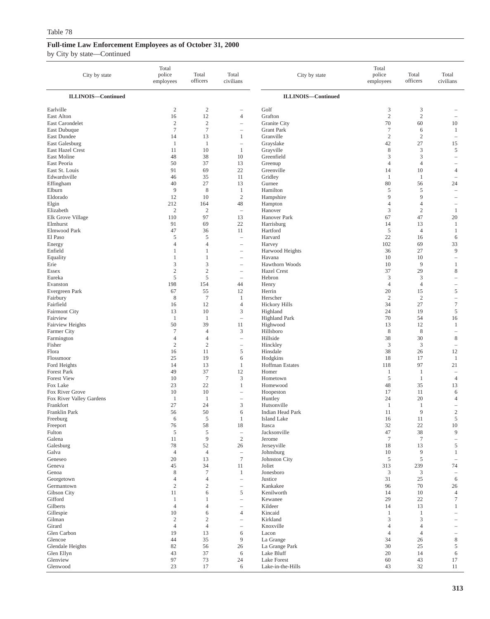| City by state                               | Total<br>police<br>employees | Total<br>officers                | Total<br>civilians                                   | City by state                | Total<br>police<br>employees | Total<br>officers            | Total<br>civilians                       |
|---------------------------------------------|------------------------------|----------------------------------|------------------------------------------------------|------------------------------|------------------------------|------------------------------|------------------------------------------|
| <b>ILLINOIS-Continued</b>                   |                              |                                  |                                                      | <b>ILLINOIS-Continued</b>    |                              |                              |                                          |
| Earlville                                   | $\boldsymbol{2}$             | $\boldsymbol{2}$                 | ۰                                                    | Golf                         | 3                            | 3                            |                                          |
| East Alton                                  | 16                           | 12                               | $\overline{4}$                                       | Grafton                      | $\mathbf{2}$                 | $\overline{2}$               | ۰                                        |
| East Carondelet                             | $\overline{c}$               | $\mathfrak{2}$                   | ÷,                                                   | Granite City                 | 70                           | 60                           | 10                                       |
| East Dubuque                                | $\overline{7}$               | $\tau$                           | $\overline{\phantom{a}}$                             | <b>Grant Park</b>            | $\tau$                       | 6                            | $\mathbf{1}$                             |
| East Dundee<br>East Galesburg               | 14                           | 13                               | $\mathbf{1}$                                         | Granville                    | $\mathfrak{2}$               | $\sqrt{2}$<br>27             | $\hspace{1.0cm} - \hspace{1.0cm}$        |
| East Hazel Crest                            | $\mathbf{1}$<br>11           | $\mathbf{1}$<br>10               | $\overline{\phantom{a}}$<br>1                        | Grayslake<br>Grayville       | 42<br>8                      | 3                            | 15<br>5                                  |
| East Moline                                 | 48                           | 38                               | 10                                                   | Greenfield                   | 3                            | 3                            | $\overline{\phantom{0}}$                 |
| East Peoria                                 | 50                           | 37                               | 13                                                   | Greenup                      | 4                            | $\overline{4}$               |                                          |
| East St. Louis                              | 91                           | 69                               | 22                                                   | Greenville                   | 14                           | 10                           | $\overline{4}$                           |
| Edwardsville                                | 46                           | 35                               | 11                                                   | Gridley                      | -1                           | $\mathbf{1}$                 | $\overline{\phantom{a}}$                 |
| Effingham                                   | 40                           | 27                               | 13                                                   | Gurnee                       | 80                           | 56                           | 24                                       |
| Elburn                                      | 9                            | 8                                | $\mathbf{1}$                                         | Hamilton                     | 5                            | 5                            | ۰                                        |
| Eldorado                                    | 12                           | 10                               | $\sqrt{2}$                                           | Hampshire                    | 9                            | 9                            |                                          |
| Elgin<br>Elizabeth                          | 212<br>$\overline{c}$        | 164<br>$\boldsymbol{2}$          | 48<br>$\overline{\phantom{a}}$                       | Hampton<br>Hanover           | $\overline{4}$<br>3          | $\overline{4}$<br>$\sqrt{2}$ | $\mathbf{1}$                             |
| Elk Grove Village                           | 110                          | 97                               | 13                                                   | Hanover Park                 | 67                           | 47                           | 20                                       |
| Elmhurst                                    | 91                           | 69                               | 22                                                   | Harrisburg                   | 14                           | 13                           | $\mathbf{1}$                             |
| Elmwood Park                                | 47                           | 36                               | 11                                                   | Hartford                     | $\sqrt{5}$                   | $\overline{4}$               | $\mathbf{1}$                             |
| El Paso                                     | 5                            | 5                                | $\hspace{1.0cm} - \hspace{1.0cm}$                    | Harvard                      | 22                           | 16                           | 6                                        |
| Energy                                      | $\overline{4}$               | 4                                | $\overline{\phantom{a}}$                             | Harvey                       | 102                          | 69                           | 33                                       |
| Enfield                                     | 1                            | $\mathbf{1}$                     | $\hspace{1.0cm} - \hspace{1.0cm}$                    | Harwood Heights              | 36                           | 27                           | 9                                        |
| Equality                                    | 1                            | 1                                | $\overline{\phantom{a}}$                             | Havana                       | 10                           | 10                           | $\overline{\phantom{a}}$                 |
| Erie                                        | 3                            | 3                                | $\qquad \qquad -$                                    | Hawthorn Woods               | 10                           | 9                            | $\mathbf{1}$                             |
| Essex<br>Eureka                             | $\overline{2}$<br>5          | $\overline{c}$<br>5              | $\overline{\phantom{0}}$<br>$\overline{\phantom{a}}$ | <b>Hazel Crest</b><br>Hebron | 37<br>3                      | 29<br>$\mathfrak{Z}$         | 8<br>۰                                   |
| Evanston                                    | 198                          | 154                              | 44                                                   | Henry                        | $\overline{4}$               | $\overline{4}$               | $\overline{\phantom{0}}$                 |
| Evergreen Park                              | 67                           | 55                               | 12                                                   | Herrin                       | 20                           | 15                           | 5                                        |
| Fairbury                                    | 8                            | $\tau$                           | 1                                                    | Herscher                     | $\sqrt{2}$                   | $\sqrt{2}$                   | $\overline{\phantom{0}}$                 |
| Fairfield                                   | 16                           | 12                               | $\overline{4}$                                       | <b>Hickory Hills</b>         | 34                           | 27                           | $\tau$                                   |
| <b>Fairmont City</b>                        | 13                           | 10                               | $\mathfrak z$                                        | Highland                     | 24                           | 19                           | 5                                        |
| Fairview                                    | $\mathbf{1}$                 | 1                                | $\overline{\phantom{0}}$                             | <b>Highland Park</b>         | 70                           | 54                           | 16                                       |
| <b>Fairview Heights</b>                     | 50                           | 39                               | 11                                                   | Highwood                     | 13                           | 12                           | $\mathbf{1}$                             |
| Farmer City                                 | $\tau$<br>$\overline{4}$     | $\overline{4}$<br>$\overline{4}$ | $\mathfrak z$                                        | Hillsboro<br>Hillside        | $\,$ 8 $\,$<br>38            | $\,$ 8 $\,$<br>30            | $\qquad \qquad -$<br>8                   |
| Farmington<br>Fisher                        | $\overline{c}$               | $\overline{c}$                   | $\overline{\phantom{0}}$<br>$\overline{\phantom{a}}$ | Hinckley                     | $\mathfrak{Z}$               | 3                            | $\overline{\phantom{a}}$                 |
| Flora                                       | 16                           | 11                               | $\sqrt{5}$                                           | Hinsdale                     | 38                           | 26                           | 12                                       |
| Flossmoor                                   | 25                           | 19                               | 6                                                    | Hodgkins                     | 18                           | 17                           | $\mathbf{1}$                             |
| Ford Heights                                | 14                           | 13                               | $\mathbf{1}$                                         | Hoffman Estates              | 118                          | 97                           | 21                                       |
| <b>Forest Park</b>                          | 49                           | 37                               | 12                                                   | Homer                        | $\mathbf{1}$                 | $\mathbf{1}$                 | $\overline{\phantom{0}}$                 |
| <b>Forest View</b>                          | 10                           | $\tau$                           | $\mathfrak z$                                        | Hometown                     | 5                            | $\mathbf{1}$                 | $\overline{4}$                           |
| Fox Lake                                    | 23                           | 22                               | $\mathbf{1}$                                         | Homewood                     | 48                           | 35                           | 13                                       |
| Fox River Grove<br>Fox River Valley Gardens | 10<br>1                      | 10<br>$\mathbf{1}$               | $\overline{\phantom{a}}$<br>$\overline{\phantom{a}}$ | Hoopeston                    | 17<br>24                     | 11<br>20                     | 6<br>4                                   |
| Frankfort                                   | 27                           | 24                               | 3                                                    | Huntley<br>Hutsonville       | -1                           | $\mathbf{1}$                 | $\qquad \qquad -$                        |
| Franklin Park                               | 56                           | 50                               | 6                                                    | Indian Head Park             | 11                           | 9                            | $\sqrt{2}$                               |
| Freeburg                                    | 6                            | 5                                | 1                                                    | Island Lake                  | 16                           | 11                           | 5                                        |
| Freeport                                    | 76                           | 58                               | 18                                                   | Itasca                       | 32                           | $22\,$                       | $10\,$                                   |
| Fulton                                      | 5                            | 5                                | $\overline{\phantom{a}}$                             | Jacksonville                 | 47                           | 38                           | 9                                        |
| Galena                                      | 11                           | $\overline{9}$                   | $\mathfrak{2}$                                       | Jerome                       | $\overline{7}$               | $\tau$                       | $\hspace{1.0cm} - \hspace{1.0cm}$        |
| Galesburg                                   | 78                           | 52<br>$\overline{4}$             | 26                                                   | Jerseyville                  | 18<br>$10\,$                 | 13<br>9                      | 5                                        |
| Galva<br>Geneseo                            | $\overline{4}$<br>20         | 13                               | $\overline{\phantom{m}}$<br>$\boldsymbol{7}$         | Johnsburg<br>Johnston City   | 5                            | $\sqrt{5}$                   | $\mathbf{1}$<br>$\overline{\phantom{m}}$ |
| Geneva                                      | 45                           | 34                               | 11                                                   | Joliet                       | 313                          | 239                          | 74                                       |
| Genoa                                       | 8                            | $\tau$                           | $\mathbf{1}$                                         | Jonesboro                    | 3                            | 3                            |                                          |
| Georgetown                                  | $\overline{4}$               | 4                                | $\equiv$                                             | Justice                      | 31                           | 25                           | 6                                        |
| Germantown                                  | $\sqrt{2}$                   | $\mathbf{2}$                     | $\overline{\phantom{a}}$                             | Kankakee                     | 96                           | 70                           | 26                                       |
| Gibson City                                 | 11                           | 6                                | $\mathfrak s$                                        | Kenilworth                   | 14                           | 10                           | $\overline{4}$                           |
| Gifford                                     | $\mathbf{1}$                 | 1                                | $\overline{\phantom{a}}$                             | Kewanee                      | 29                           | 22                           | $\boldsymbol{7}$                         |
| Gilberts                                    | $\overline{4}$               | $\overline{4}$                   | $\overline{\phantom{a}}$                             | Kildeer                      | 14                           | 13                           | $\mathbf{1}$                             |
| Gillespie<br>Gilman                         | 10<br>$\sqrt{2}$             | 6<br>$\mathbf{2}$                | $\overline{4}$<br>$\overline{\phantom{a}}$           | Kincaid<br>Kirkland          | -1<br>3                      | $\mathbf{1}$<br>3            |                                          |
| Girard                                      | $\overline{4}$               | $\overline{4}$                   | $\overline{\phantom{a}}$                             | Knoxville                    | $\overline{4}$               | $\overline{4}$               |                                          |
| Glen Carbon                                 | 19                           | 13                               | 6                                                    | Lacon                        | $\overline{4}$               | $\overline{4}$               |                                          |
| Glencoe                                     | 44                           | 35                               | $\overline{9}$                                       | La Grange                    | 34                           | 26                           | $\,$ 8 $\,$                              |
| Glendale Heights                            | 82                           | 56                               | 26                                                   | La Grange Park               | 30                           | 25                           | 5                                        |
| Glen Ellyn                                  | 43                           | 37                               | $\sqrt{6}$                                           | Lake Bluff                   | 20                           | 14                           | 6                                        |
| Glenview                                    | 97                           | 73                               | 24                                                   | <b>Lake Forest</b>           | 60                           | 43                           | 17                                       |
| Glenwood                                    | 23                           | 17                               | 6                                                    | Lake-in-the-Hills            | 43                           | 32                           | 11                                       |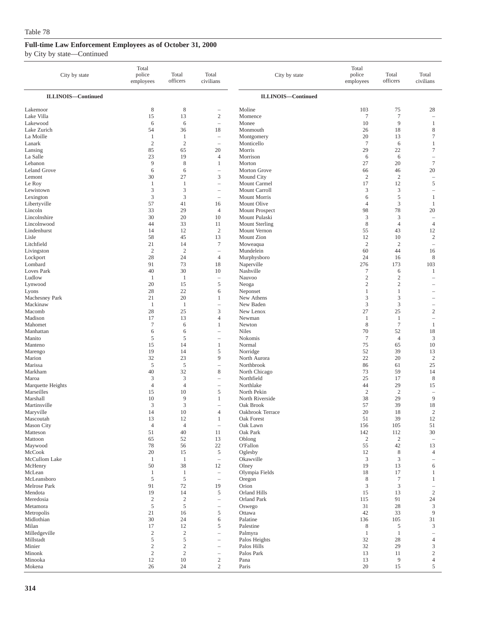| City by state                  | Total<br>police<br>employees  | Total<br>officers            | Total<br>civilians                                   | City by state                 | Total<br>police<br>employees | Total<br>officers              | Total<br>civilians               |
|--------------------------------|-------------------------------|------------------------------|------------------------------------------------------|-------------------------------|------------------------------|--------------------------------|----------------------------------|
| <b>ILLINOIS-Continued</b>      |                               |                              |                                                      | <b>ILLINOIS-Continued</b>     |                              |                                |                                  |
| Lakemoor                       | 8                             | 8                            | $\qquad \qquad -$                                    | Moline                        | 103                          | 75                             | 28                               |
| Lake Villa                     | 15                            | 13                           | $\mathbf{2}$                                         | Momence                       | $\boldsymbol{7}$             | $\tau$                         | ÷,                               |
| Lakewood                       | 6                             | 6                            | $\overline{\phantom{0}}$                             | Monee                         | 10                           | 9                              | 1                                |
| Lake Zurich<br>La Moille       | 54<br>1                       | 36<br>1                      | 18<br>$\overline{\phantom{0}}$                       | Monmouth<br>Montgomery        | 26<br>20                     | 18<br>13                       | 8<br>$\tau$                      |
| Lanark                         | $\overline{2}$                | $\overline{2}$               | $\overline{\phantom{a}}$                             | Monticello                    | $\overline{7}$               | 6                              | 1                                |
| Lansing                        | 85                            | 65                           | 20                                                   | Morris                        | 29                           | 22                             | $\tau$                           |
| La Salle                       | 23                            | 19                           | 4                                                    | Morrison                      | 6                            | 6                              | $\overline{\phantom{0}}$         |
| Lebanon<br><b>Leland Grove</b> | 9<br>6                        | 8<br>6                       | $\mathbf{1}$<br>$\qquad \qquad -$                    | Morton<br>Morton Grove        | 27<br>66                     | 20<br>46                       | $\tau$<br>20                     |
| Lemont                         | 30                            | 27                           | 3                                                    | Mound City                    | $\boldsymbol{2}$             | $\overline{2}$                 | $\overline{\phantom{a}}$         |
| Le Roy                         | 1                             | 1                            | Ē,                                                   | Mount Carmel                  | 17                           | 12                             | $\sqrt{5}$                       |
| Lewistown                      | 3                             | 3                            | $\overline{\phantom{0}}$                             | Mount Carroll                 | 3                            | $\mathfrak{Z}$                 | ÷,                               |
| Lexington                      | 3                             | 3                            | $\overline{\phantom{a}}$                             | Mount Morris                  | 6                            | 5                              | 1                                |
| Libertyville<br>Lincoln        | 57<br>33                      | 41<br>29                     | 16<br>$\overline{4}$                                 | Mount Olive<br>Mount Prospect | 4<br>98                      | 3<br>78                        | 1<br>20                          |
| Lincolnshire                   | 30                            | 20                           | 10                                                   | Mount Pulaski                 | 3                            | 3                              | $\overline{\phantom{a}}$         |
| Lincolnwood                    | 44                            | 33                           | 11                                                   | <b>Mount Sterling</b>         | 8                            | $\overline{4}$                 | $\overline{4}$                   |
| Lindenhurst                    | 14                            | 12                           | $\overline{c}$                                       | Mount Vernon                  | 55                           | 43                             | 12                               |
| Lisle                          | 58                            | 45                           | 13                                                   | Mount Zion                    | 12                           | 10                             | $\sqrt{2}$                       |
| Litchfield<br>Livingston       | 21<br>$\mathbf{2}$            | 14<br>$\sqrt{2}$             | $\tau$<br>$\overline{\phantom{a}}$                   | Moweaqua<br>Mundelein         | $\overline{c}$<br>60         | $\overline{2}$<br>44           | $\overline{\phantom{a}}$<br>16   |
| Lockport                       | 28                            | 24                           | $\overline{4}$                                       | Murphysboro                   | 24                           | 16                             | 8                                |
| Lombard                        | 91                            | 73                           | 18                                                   | Naperville                    | 276                          | 173                            | 103                              |
| Loves Park                     | 40                            | 30                           | 10                                                   | Nashville                     | 7                            | 6                              | 1                                |
| Ludlow                         | 1                             | -1                           | $\hspace{1.0cm} - \hspace{1.0cm}$                    | Nauvoo                        | $\mathfrak{2}$               | $\overline{\mathbf{c}}$        | ÷                                |
| Lynwood<br>Lyons               | 20<br>28                      | 15<br>22                     | 5<br>6                                               | Neoga<br>Neponset             | $\boldsymbol{2}$<br>1        | $\overline{c}$<br>$\mathbf{1}$ |                                  |
| Machesney Park                 | 21                            | 20                           | 1                                                    | New Athens                    | 3                            | 3                              |                                  |
| Mackinaw                       | $\mathbf{1}$                  | $\mathbf{1}$                 | ÷,                                                   | New Baden                     | 3                            | 3                              | $\overline{\phantom{m}}$         |
| Macomb                         | 28                            | 25                           | 3                                                    | New Lenox                     | 27                           | 25                             | $\overline{c}$                   |
| Madison                        | 17                            | 13                           | $\overline{4}$                                       | Newman                        | 1                            | $\mathbf{1}$<br>$\overline{7}$ | ÷,                               |
| Mahomet<br>Manhattan           | $\tau$<br>6                   | 6<br>6                       | 1<br>$\overline{\phantom{m}}$                        | Newton<br>Niles               | 8<br>70                      | 52                             | $\mathbf{1}$<br>18               |
| Manito                         | $\sqrt{5}$                    | 5                            | L,                                                   | Nokomis                       | $\tau$                       | $\overline{4}$                 | $\mathfrak z$                    |
| Manteno                        | 15                            | 14                           | $\mathbf{1}$                                         | Normal                        | 75                           | 65                             | 10                               |
| Marengo                        | 19                            | 14                           | 5                                                    | Norridge                      | 52                           | 39                             | 13                               |
| Marion<br>Marissa              | 32<br>5                       | 23<br>5                      | 9<br>$\overline{\phantom{m}}$                        | North Aurora<br>Northbrook    | 22<br>86                     | 20<br>61                       | $\sqrt{2}$<br>25                 |
| Markham                        | 40                            | 32                           | 8                                                    | North Chicago                 | 73                           | 59                             | 14                               |
| Maroa                          | 3                             | 3                            | Ē,                                                   | Northfield                    | 25                           | 17                             | 8                                |
| Marquette Heights              | $\overline{4}$                | $\overline{4}$               | $\overline{\phantom{a}}$                             | Northlake                     | 44                           | 29                             | 15                               |
| Marseilles                     | 15                            | 10                           | 5                                                    | North Pekin                   | $\sqrt{2}$                   | $\overline{2}$                 | ÷,                               |
| Marshall<br>Martinsville       | 10<br>3                       | 9<br>3                       | 1                                                    | North Riverside<br>Oak Brook  | 38<br>57                     | 29<br>39                       | 9<br>18                          |
| Maryville                      | 14                            | 10                           | 4                                                    | Oakbrook Terrace              | 20                           | 18                             | $\overline{c}$                   |
| Mascoutah                      | 13                            | 12                           | $\mathbf{1}$                                         | Oak Forest                    | 51                           | 39                             | 12                               |
| <b>Mason City</b>              | $\overline{4}$                | $\overline{4}$               | $\overline{\phantom{a}}$                             | Oak Lawn                      | 156                          | 105                            | 51                               |
| Matteson<br>Mattoon            | 51<br>65                      | 40<br>52                     | 11<br>13                                             | Oak Park<br>Oblong            | 142<br>$\boldsymbol{2}$      | 112<br>$\sqrt{2}$              | 30<br>$\overline{\phantom{a}}$   |
| Maywood                        | 78                            | 56                           | $22\,$                                               | O'Fallon                      | 55                           | 42                             | 13                               |
| McCook                         | 20                            | 15                           | 5                                                    | Oglesby                       | 12                           | $\,$ 8 $\,$                    | 4                                |
| McCullom Lake                  | $\mathbf{1}$                  | $\mathbf{1}$                 | $\overline{\phantom{0}}$                             | Okawville                     | $\mathfrak z$                | 3                              |                                  |
| McHenry                        | 50                            | 38                           | 12                                                   | Olney                         | 19                           | 13                             | 6                                |
| McLean<br>McLeansboro          | $\mathbf{1}$<br>$\mathfrak s$ | $\mathbf{1}$<br>5            | $\overline{\phantom{a}}$<br>$\overline{\phantom{a}}$ | Olympia Fields<br>Oregon      | 18<br>8                      | 17<br>$\tau$                   | 1<br>1                           |
| Melrose Park                   | 91                            | 72                           | 19                                                   | Orion                         | 3                            | $\mathfrak{Z}$                 |                                  |
| Mendota                        | 19                            | 14                           | 5                                                    | Orland Hills                  | 15                           | 13                             | $\sqrt{2}$                       |
| Meredosia                      | $\sqrt{2}$                    | $\sqrt{2}$                   | $\overline{\phantom{0}}$                             | <b>Orland Park</b>            | 115                          | 91                             | 24                               |
| Metamora                       | 5                             | $\sqrt{5}$                   | $\qquad \qquad -$                                    | Oswego                        | 31                           | 28                             | $\ensuremath{\mathfrak{Z}}$<br>9 |
| Metropolis<br>Midlothian       | 21<br>30                      | 16<br>24                     | 5<br>6                                               | Ottawa<br>Palatine            | 42<br>136                    | 33<br>105                      | 31                               |
| Milan                          | 17                            | 12                           | 5                                                    | Palestine                     | 8                            | 5                              | 3                                |
| Milledgeville                  | $\overline{c}$                | $\sqrt{2}$                   | $\qquad \qquad -$                                    | Palmyra                       | $\mathbf{1}$                 | $\mathbf{1}$                   |                                  |
| Millstadt                      | $\sqrt{5}$                    | 5                            | $\qquad \qquad -$                                    | Palos Heights                 | 32                           | 28                             | $\overline{4}$                   |
| Minier<br>Minonk               | $\overline{c}$<br>$\sqrt{2}$  | $\overline{c}$<br>$\sqrt{2}$ | $\overline{\phantom{m}}$<br>$\overline{\phantom{0}}$ | Palos Hills<br>Palos Park     | 32<br>13                     | 29<br>11                       | 3<br>$\sqrt{2}$                  |
| Minooka                        | $12\,$                        | 10                           | $\overline{c}$                                       | Pana                          | 13                           | 9                              | $\overline{4}$                   |
| Mokena                         | 26                            | 24                           | $\overline{c}$                                       | Paris                         | 20                           | 15                             | 5                                |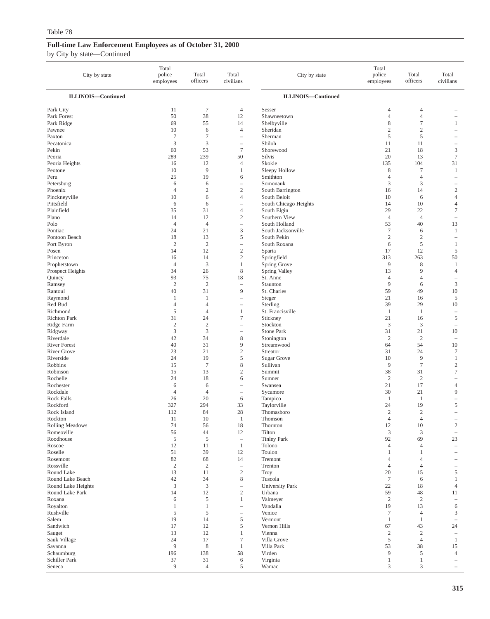| City by state                   | Total<br>police<br>employees | Total<br>officers          | Total<br>civilians                     | City by state                    | Total<br>police<br>employees | Total<br>officers                | Total<br>civilians                     |
|---------------------------------|------------------------------|----------------------------|----------------------------------------|----------------------------------|------------------------------|----------------------------------|----------------------------------------|
| <b>ILLINOIS-Continued</b>       |                              |                            |                                        | <b>ILLINOIS-Continued</b>        |                              |                                  |                                        |
| Park City                       | 11                           | $\boldsymbol{7}$           | 4                                      | Sesser                           | 4                            | $\overline{4}$                   |                                        |
| Park Forest                     | 50                           | 38                         | 12                                     | Shawneetown                      | $\overline{4}$               | $\overline{4}$                   |                                        |
| Park Ridge                      | 69                           | 55                         | 14                                     | Shelbyville                      | 8                            | $\tau$                           | 1                                      |
| Pawnee                          | 10                           | 6                          | $\overline{4}$                         | Sheridan                         | $\overline{c}$               | $\overline{c}$                   |                                        |
| Paxton<br>Pecatonica            | $\tau$<br>$\mathfrak z$      | $\tau$<br>$\mathfrak z$    | $\qquad \qquad -$<br>$\qquad \qquad -$ | Sherman<br>Shiloh                | 5<br>11                      | 5<br>11                          | -                                      |
| Pekin                           | 60                           | 53                         | $\overline{7}$                         | Shorewood                        | 21                           | 18                               | $\mathfrak z$                          |
| Peoria                          | 289                          | 239                        | 50                                     | Silvis                           | 20                           | 13                               | $\tau$                                 |
| Peoria Heights                  | 16                           | 12                         | $\overline{4}$                         | Skokie                           | 135                          | 104                              | 31                                     |
| Peotone                         | 10                           | 9                          | $\mathbf{1}$                           | Sleepy Hollow                    | 8                            | $\tau$                           | $\mathbf{1}$                           |
| Peru                            | 25                           | 19                         | 6                                      | Smithton                         | 4                            | $\overline{4}$                   | ÷                                      |
| Petersburg                      | 6<br>$\overline{4}$          | 6                          | $\overline{\phantom{0}}$<br>$\sqrt{2}$ | Somonauk                         | 3                            | 3<br>14                          | $\overline{\phantom{0}}$               |
| Phoenix<br>Pinckneyville        | 10                           | $\boldsymbol{2}$<br>6      | $\overline{4}$                         | South Barrington<br>South Beloit | 16<br>10                     | 6                                | $\boldsymbol{2}$<br>4                  |
| Pittsfield                      | 6                            | 6                          | $\qquad \qquad -$                      | South Chicago Heights            | 14                           | 10                               | 4                                      |
| Plainfield                      | 35                           | 31                         | $\overline{4}$                         | South Elgin                      | 29                           | 22                               | $\boldsymbol{7}$                       |
| Plano                           | 14                           | 12                         | $\mathbf{2}$                           | Southern View                    | $\overline{4}$               | $\overline{4}$                   | $\hspace{1.0cm} - \hspace{1.0cm}$      |
| Polo                            | $\overline{4}$               | $\overline{4}$             | $\qquad \qquad -$                      | South Holland                    | 53                           | 40                               | 13                                     |
| Pontiac                         | 24                           | 21                         | 3                                      | South Jacksonville               | $\tau$                       | 6                                | $\mathbf{1}$                           |
| Pontoon Beach                   | 18                           | 13                         | 5                                      | South Pekin                      | $\mathfrak{2}$               | $\overline{2}$                   | $\qquad \qquad -$                      |
| Port Byron<br>Posen             | $\sqrt{2}$<br>14             | $\overline{c}$<br>12       | $\qquad \qquad -$<br>$\sqrt{2}$        | South Roxana<br>Sparta           | 6<br>17                      | $\sqrt{5}$<br>12                 | $\mathbf{1}$<br>5                      |
| Princeton                       | 16                           | 14                         | $\sqrt{2}$                             | Springfield                      | 313                          | 263                              | 50                                     |
| Prophetstown                    | $\overline{4}$               | $\mathfrak{Z}$             | $\mathbf{1}$                           | Spring Grove                     | 9                            | 8                                | $\mathbf{1}$                           |
| Prospect Heights                | 34                           | 26                         | 8                                      | Spring Valley                    | 13                           | 9                                | $\overline{4}$                         |
| Quincy                          | 93                           | 75                         | 18                                     | St. Anne                         | 4                            | $\overline{4}$                   | $\overline{\phantom{a}}$               |
| Ramsey                          | $\overline{2}$               | $\overline{2}$             | $\qquad \qquad -$                      | Staunton                         | 9                            | 6                                | 3                                      |
| Rantoul                         | 40                           | 31                         | 9                                      | St. Charles                      | 59                           | 49                               | 10                                     |
| Raymond<br>Red Bud              | 1<br>$\overline{4}$          | 1<br>$\overline{4}$        | $\qquad \qquad -$                      | Steger                           | 21<br>39                     | 16<br>29                         | 5<br>10                                |
| Richmond                        | $\sqrt{5}$                   | $\overline{4}$             | $\qquad \qquad -$<br>1                 | Sterling<br>St. Francisville     | 1                            | $\mathbf{1}$                     | $\overline{\phantom{a}}$               |
| Richton Park                    | 31                           | 24                         | $\tau$                                 | Stickney                         | 21                           | 16                               | 5                                      |
| Ridge Farm                      | $\sqrt{2}$                   | $\sqrt{2}$                 | $\overline{\phantom{a}}$               | Stockton                         | 3                            | 3                                | $\hspace{1.0cm} - \hspace{1.0cm}$      |
| Ridgway                         | $\mathfrak z$                | $\mathfrak z$              | $\qquad \qquad -$                      | Stone Park                       | 31                           | 21                               | 10                                     |
| Riverdale                       | 42                           | 34                         | $\,$ 8 $\,$                            | Stonington                       | $\overline{2}$               | $\overline{2}$                   | $\overline{\phantom{0}}$               |
| <b>River Forest</b>             | 40                           | 31                         | 9                                      | Streamwood                       | 64                           | 54                               | 10                                     |
| <b>River Grove</b><br>Riverside | 23<br>24                     | 21<br>19                   | $\sqrt{2}$<br>5                        | Streator<br>Sugar Grove          | 31<br>10                     | 24<br>9                          | 7<br>$\mathbf{1}$                      |
| Robbins                         | 15                           | $\tau$                     | $\,$ 8 $\,$                            | Sullivan                         | 9                            | $\boldsymbol{7}$                 | $\sqrt{2}$                             |
| Robinson                        | 15                           | 13                         | $\mathfrak{2}$                         | Summit                           | 38                           | 31                               | $\tau$                                 |
| Rochelle                        | 24                           | 18                         | 6                                      | Sumner                           | $\overline{2}$               | $\overline{2}$                   | $\overline{\phantom{0}}$               |
| Rochester                       | 6                            | 6                          | ÷,                                     | Swansea                          | 21                           | 17                               | $\overline{4}$                         |
| Rockdale                        | $\overline{4}$               | $\overline{4}$             | $\qquad \qquad -$                      | Sycamore                         | 30                           | 21                               | 9                                      |
| Rock Falls                      | 26                           | 20                         | 6                                      | Tampico                          | $\mathbf{1}$                 | $\mathbf{1}$                     | $\qquad \qquad -$                      |
| Rockford<br>Rock Island         | 327<br>112                   | 294<br>84                  | 33<br>28                               | Taylorville<br>Thomasboro        | 24<br>$\overline{2}$         | 19<br>$\overline{2}$             | 5<br>$\overline{\phantom{0}}$          |
| Rockton                         | 11                           | 10                         | 1                                      | Thomson                          | $\overline{4}$               | 4                                |                                        |
| <b>Rolling Meadows</b>          | 74                           | 56                         | $18\,$                                 | Thornton                         | 12                           | $10\,$                           | $\boldsymbol{2}$                       |
| Romeoville                      | 56                           | 44                         | 12                                     | Tilton                           | 3                            | $\mathfrak{Z}$                   | $\overline{\phantom{a}}$               |
| Roodhouse                       | 5                            | 5                          | $\qquad \qquad -$                      | <b>Tinley Park</b>               | 92                           | 69                               | 23                                     |
| Roscoe                          | 12                           | 11                         | $\mathbf{1}$                           | Tolono                           | $\overline{4}$               | $\overline{4}$                   | $\overline{\phantom{a}}$               |
| Roselle                         | 51<br>82                     | 39                         | 12                                     | Toulon                           | 1                            | 1                                | $\overline{\phantom{0}}$               |
| Rosemont<br>Rossville           | $\sqrt{2}$                   | 68<br>$\sqrt{2}$           | 14<br>$\qquad \qquad -$                | Tremont<br>Trenton               | 4<br>$\overline{4}$          | $\overline{4}$<br>$\overline{4}$ | $\overline{\phantom{0}}$               |
| Round Lake                      | 13                           | 11                         | $\sqrt{2}$                             | <b>Troy</b>                      | 20                           | 15                               | 5                                      |
| Round Lake Beach                | 42                           | 34                         | $\,$ 8 $\,$                            | Tuscola                          | $\tau$                       | 6                                | $\mathbf{1}$                           |
| Round Lake Heights              | $\mathfrak z$                | $\mathfrak{Z}$             | $\qquad \qquad -$                      | <b>University Park</b>           | 22                           | 18                               | $\overline{4}$                         |
| Round Lake Park                 | 14                           | 12                         | $\mathbf{2}$                           | Urbana                           | 59                           | 48                               | 11                                     |
| Roxana                          | 6                            | $\mathfrak s$              | $\mathbf{1}$                           | Valmeyer                         | $\boldsymbol{2}$             | $\sqrt{2}$                       | $\overline{\phantom{0}}$               |
| Royalton                        | $\mathbf{1}$<br>$\sqrt{5}$   | $\mathbf{1}$<br>$\sqrt{5}$ | $\qquad \qquad -$                      | Vandalia                         | 19<br>$\boldsymbol{7}$       | 13                               | 6                                      |
| Rushville<br>Salem              | 19                           | 14                         | $\qquad \qquad -$<br>$\mathfrak s$     | Venice<br>Vermont                | $\mathbf{1}$                 | $\overline{4}$<br>$\mathbf{1}$   | 3<br>$\hspace{1.0cm} - \hspace{1.0cm}$ |
| Sandwich                        | 17                           | 12                         | 5                                      | Vernon Hills                     | 67                           | 43                               | 24                                     |
| Sauget                          | 13                           | 12                         | $\mathbf{1}$                           | Vienna                           | $\overline{c}$               | $\sqrt{2}$                       | $\hspace{1.0cm} - \hspace{1.0cm}$      |
| Sauk Village                    | 24                           | 17                         | $\tau$                                 | Villa Grove                      | 5                            | $\overline{4}$                   | $\mathbf{1}$                           |
| Savanna                         | $\overline{9}$               | 8                          | $\mathbf{1}$                           | Villa Park                       | 53                           | 38                               | 15                                     |
| Schaumburg                      | 196                          | 138                        | 58                                     | Virden                           | $\overline{9}$               | 5                                | $\overline{4}$                         |
| Schiller Park                   | 37<br>9                      | $31\,$                     | 6<br>5                                 | Virginia                         | $\mathbf{1}$<br>3            | $\mathbf{1}$<br>$\mathfrak{Z}$   | $\overline{\phantom{m}}$               |
| Seneca                          |                              | $\overline{4}$             |                                        | Wamac                            |                              |                                  | $\overline{\phantom{0}}$               |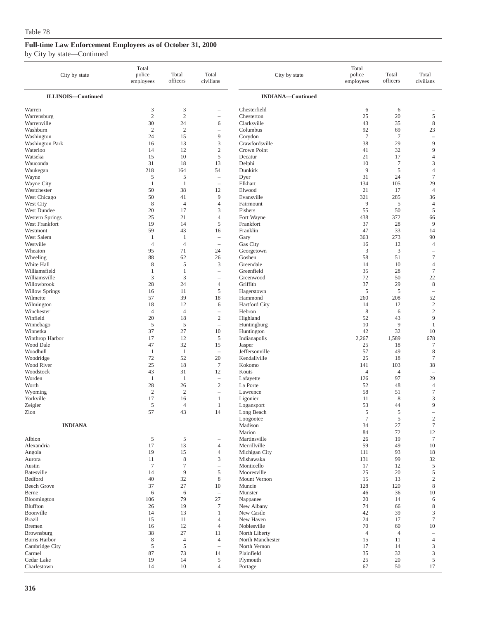| City by state                        | Total<br>police<br>employees | Total<br>officers    | Total<br>civilians                | City by state                 | Total<br>police<br>employees | Total<br>officers    | Total<br>civilians                         |
|--------------------------------------|------------------------------|----------------------|-----------------------------------|-------------------------------|------------------------------|----------------------|--------------------------------------------|
| <b>ILLINOIS-Continued</b>            |                              |                      |                                   | <b>INDIANA-Continued</b>      |                              |                      |                                            |
| Warren                               | 3                            | 3                    |                                   | Chesterfield                  | 6                            | 6                    |                                            |
| Warrensburg                          | $\overline{2}$               | $\mathbf{2}$         | $\overline{\phantom{0}}$          | Chesterton                    | 25                           | 20                   | $\sqrt{5}$                                 |
| Warrenville                          | 30                           | 24                   | 6                                 | Clarksville                   | 43                           | 35                   | $\,$ 8 $\,$                                |
| Washburn                             | $\mathbf{2}$                 | $\overline{2}$       | $\overline{\phantom{0}}$          | Columbus                      | 92                           | 69                   | 23                                         |
| Washington<br><b>Washington Park</b> | 24<br>16                     | 15<br>13             | 9<br>3                            | Corydon<br>Crawfordsville     | $7\phantom{.0}$<br>38        | $\overline{7}$<br>29 | $\overline{\phantom{0}}$<br>$\overline{9}$ |
| Waterloo                             | 14                           | 12                   | $\sqrt{2}$                        | Crown Point                   | 41                           | 32                   | $\overline{9}$                             |
| Watseka                              | 15                           | 10                   | $\mathfrak s$                     | Decatur                       | 21                           | 17                   | $\overline{4}$                             |
| Wauconda                             | 31                           | 18                   | 13                                | Delphi                        | 10                           | $\tau$               | 3                                          |
| Waukegan                             | 218                          | 164                  | 54                                | Dunkirk                       | 9                            | 5                    | $\overline{4}$                             |
| Wayne                                | 5                            | 5                    | $\overline{\phantom{a}}$          | Dyer                          | 31                           | 24                   | $\boldsymbol{7}$                           |
| Wayne City                           | 1                            | $\mathbf{1}$         | $\overline{\phantom{a}}$          | Elkhart                       | 134                          | 105                  | 29                                         |
| Westchester                          | 50                           | 38                   | 12                                | Elwood                        | 21                           | 17                   | $\overline{4}$                             |
| West Chicago                         | 50                           | 41                   | 9                                 | Evansville                    | 321                          | 285                  | 36                                         |
| West City<br>West Dundee             | 8<br>20                      | $\overline{4}$<br>17 | $\overline{4}$<br>3               | Fairmount<br>Fishers          | 9<br>55                      | 5<br>50              | $\overline{4}$<br>$\mathfrak s$            |
| Western Springs                      | 25                           | 21                   | $\overline{4}$                    | Fort Wayne                    | 438                          | 372                  | 66                                         |
| West Frankfort                       | 19                           | 14                   | 5                                 | Frankfort                     | 37                           | 28                   | 9                                          |
| Westmont                             | 59                           | 43                   | 16                                | Franklin                      | 47                           | 33                   | 14                                         |
| West Salem                           | 1                            | $\mathbf{1}$         | $\hspace{1.0cm} - \hspace{1.0cm}$ | Gary                          | 363                          | 273                  | 90                                         |
| Westville                            | $\overline{4}$               | $\overline{4}$       | $\overline{\phantom{0}}$          | Gas City                      | 16                           | 12                   | $\overline{4}$                             |
| Wheaton                              | 95                           | 71                   | 24                                | Georgetown                    | 3                            | 3                    | $\hspace{1.0cm} - \hspace{1.0cm}$          |
| Wheeling                             | 88                           | 62                   | 26                                | Goshen                        | 58                           | 51                   | $\boldsymbol{7}$                           |
| White Hall                           | 8<br>$\mathbf{1}$            | 5                    | 3                                 | Greendale<br>Greenfield       | 14                           | 10                   | $\overline{4}$                             |
| Williamsfield<br>Williamsville       | 3                            | $\mathbf{1}$<br>3    | $\overline{\phantom{a}}$          | Greenwood                     | 35<br>72                     | 28<br>50             | $\boldsymbol{7}$<br>22                     |
| Willowbrook                          | 28                           | 24                   | $\overline{4}$                    | Griffith                      | 37                           | 29                   | $\,$ 8 $\,$                                |
| <b>Willow Springs</b>                | 16                           | 11                   | 5                                 | Hagerstown                    | 5                            | 5                    | $\hspace{1.0cm} - \hspace{1.0cm}$          |
| Wilmette                             | 57                           | 39                   | 18                                | Hammond                       | 260                          | 208                  | 52                                         |
| Wilmington                           | 18                           | 12                   | 6                                 | <b>Hartford City</b>          | 14                           | 12                   | $\mathfrak{2}$                             |
| Winchester                           | $\overline{4}$               | $\overline{4}$       | $\overline{\phantom{a}}$          | Hebron                        | 8                            | 6                    | $\sqrt{2}$                                 |
| Winfield                             | 20                           | 18                   | $\sqrt{2}$                        | Highland                      | 52                           | 43                   | 9                                          |
| Winnebago                            | 5                            | 5                    | $\overline{\phantom{a}}$          | Huntingburg                   | 10                           | 9                    | $\mathbf{1}$                               |
| Winnetka                             | 37<br>17                     | 27<br>12             | 10<br>5                           | Huntington                    | 42                           | 32                   | 10                                         |
| Winthrop Harbor<br>Wood Dale         | 47                           | 32                   | 15                                | Indianapolis<br>Jasper        | 2,267<br>25                  | 1,589<br>18          | 678<br>$\tau$                              |
| Woodhull                             | 1                            | $\mathbf{1}$         | $\overline{\phantom{a}}$          | Jeffersonville                | 57                           | 49                   | $\,$ 8 $\,$                                |
| Woodridge                            | 72                           | 52                   | 20                                | Kendallville                  | 25                           | 18                   | $\tau$                                     |
| Wood River                           | 25                           | 18                   | $\boldsymbol{7}$                  | Kokomo                        | 141                          | 103                  | 38                                         |
| Woodstock                            | 43                           | 31                   | 12                                | Kouts                         | $\overline{4}$               | $\overline{4}$       | $\overline{\phantom{0}}$                   |
| Worden                               | 1                            | 1                    | $\overline{\phantom{a}}$          | Lafayette                     | 126                          | 97                   | 29                                         |
| Worth                                | 28                           | 26                   | $\overline{c}$                    | La Porte                      | 52                           | 48                   | $\overline{4}$                             |
| Wyoming<br>Yorkville                 | $\overline{c}$<br>17         | $\overline{2}$       | $\overline{\phantom{a}}$          | Lawrence<br>Ligonier          | 58                           | 51<br>$\,$ 8 $\,$    | $\tau$<br>3                                |
| Zeigler                              | 5                            | 16<br>$\overline{4}$ | $\mathbf{1}$<br>$\mathbf{1}$      | Logansport                    | 11<br>53                     | 44                   | 9                                          |
| Zion                                 | 57                           | 43                   | 14                                | Long Beach                    | $\mathfrak s$                | 5                    | ÷,                                         |
|                                      |                              |                      |                                   | Loogootee                     | $\tau$                       | 5                    | $\sqrt{2}$                                 |
| <b>INDIANA</b>                       |                              |                      |                                   | Madison                       | 34                           | 27                   | $\boldsymbol{7}$                           |
|                                      |                              |                      |                                   | Marion                        | 84                           | 72                   | 12                                         |
| Albion                               | 5                            | $\sqrt{5}$           |                                   | Martinsville                  | 26                           | 19                   | $\tau$                                     |
| Alexandria                           | 17                           | 13                   | $\overline{4}$                    | Merrillville<br>Michigan City | 59                           | 49                   | 10                                         |
| Angola<br>Aurora                     | 19<br>11                     | 15<br>$\,$ 8 $\,$    | $\overline{4}$<br>3               | Mishawaka                     | 111<br>131                   | 93<br>99             | 18<br>32                                   |
| Austin                               | $\tau$                       | $\boldsymbol{7}$     | $\overline{\phantom{m}}$          | Monticello                    | 17                           | 12                   | $\mathfrak s$                              |
| Batesville                           | 14                           | 9                    | 5                                 | Mooresville                   | 25                           | 20                   | $\mathfrak s$                              |
| Bedford                              | 40                           | 32                   | 8                                 | Mount Vernon                  | 15                           | 13                   | $\sqrt{2}$                                 |
| <b>Beech Grove</b>                   | 37                           | 27                   | 10                                | Muncie                        | 128                          | 120                  | $\,$ 8 $\,$                                |
| Berne                                | 6                            | 6                    | $\overline{\phantom{a}}$          | Munster                       | 46                           | 36                   | 10                                         |
| Bloomington                          | 106                          | 79                   | 27                                | Nappanee                      | 20                           | 14                   | 6                                          |
| Bluffton                             | 26                           | 19                   | $\tau$                            | New Albany                    | 74                           | 66                   | $\,$ 8 $\,$                                |
| Boonville<br><b>Brazil</b>           | 14                           | 13                   | 1                                 | New Castle                    | 42<br>24                     | 39                   | $\mathfrak z$<br>$\tau$                    |
| Bremen                               | 15<br>16                     | 11<br>12             | $\overline{4}$<br>$\overline{4}$  | New Haven<br>Noblesville      | 70                           | 17<br>60             | 10                                         |
| Brownsburg                           | 38                           | 27                   | 11                                | North Liberty                 | $\overline{4}$               | $\overline{4}$       | $\overline{\phantom{a}}$                   |
| <b>Burns Harbor</b>                  | 8                            | $\overline{4}$       | $\overline{4}$                    | North Manchester              | 15                           | 11                   | $\overline{4}$                             |
| Cambridge City                       | $\sqrt{5}$                   | 5                    | $\overline{\phantom{m}}$          | North Vernon                  | 17                           | 14                   | $\mathfrak z$                              |
| Carmel                               | 87                           | 73                   | 14                                | Plainfield                    | 35                           | 32                   | $\ensuremath{\mathfrak{Z}}$                |
| Cedar Lake                           | 19                           | 14                   | 5                                 | Plymouth                      | 25                           | 20                   | $\mathfrak s$                              |
| Charlestown                          | 14                           | 10                   | $\overline{4}$                    | Portage                       | 67                           | 50                   | 17                                         |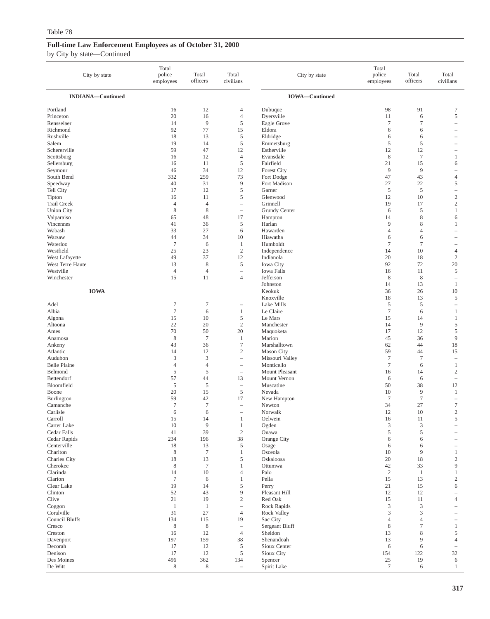| City by state                           | Total<br>police<br>employees  | Total<br>officers             | Total<br>civilians                         | City by state                         | Total<br>police<br>employees | Total<br>officers | Total<br>civilians                      |
|-----------------------------------------|-------------------------------|-------------------------------|--------------------------------------------|---------------------------------------|------------------------------|-------------------|-----------------------------------------|
| <b>INDIANA-Continued</b>                |                               |                               |                                            | <b>IOWA-Continued</b>                 |                              |                   |                                         |
| Portland                                | 16                            | 12                            | 4                                          | Dubuque                               | 98                           | 91                | $\tau$                                  |
| Princeton                               | 20                            | 16                            | $\overline{4}$                             | Dyersville                            | 11                           | 6                 | 5                                       |
| Rensselaer                              | 14                            | 9                             | $\sqrt{5}$                                 | Eagle Grove                           | $\tau$                       | $\boldsymbol{7}$  | $\overline{\phantom{0}}$                |
| Richmond                                | 92                            | 77                            | 15                                         | Eldora                                | 6                            | 6                 |                                         |
| Rushville                               | 18                            | 13                            | 5                                          | Eldridge                              | 6                            | 6                 |                                         |
| Salem<br>Schererville                   | 19<br>59                      | 14<br>47                      | $\sqrt{5}$<br>12                           | Emmetsburg<br>Estherville             | 5<br>12                      | $\sqrt{5}$<br>12  |                                         |
| Scottsburg                              | 16                            | 12                            | $\overline{4}$                             | Evansdale                             | $\,$ 8 $\,$                  | $\boldsymbol{7}$  | $\mathbf{1}$                            |
| Sellersburg                             | 16                            | 11                            | $\sqrt{5}$                                 | Fairfield                             | 21                           | 15                | 6                                       |
| Seymour                                 | 46                            | 34                            | 12                                         | <b>Forest City</b>                    | 9                            | 9                 | $\overline{\phantom{0}}$                |
| South Bend                              | 332                           | 259                           | 73                                         | Fort Dodge                            | 47                           | 43                | $\overline{4}$                          |
| Speedway                                | 40                            | 31                            | 9                                          | Fort Madison                          | 27                           | 22                | 5                                       |
| Tell City                               | 17                            | 12                            | 5                                          | Garner                                | 5                            | 5                 | $\overline{\phantom{0}}$                |
| Tipton                                  | 16                            | 11                            | 5                                          | Glenwood                              | 12                           | 10                | $\sqrt{2}$                              |
| <b>Trail Creek</b><br><b>Union City</b> | $\overline{4}$<br>$\,$ 8 $\,$ | $\overline{4}$<br>$\,$ 8 $\,$ | $\qquad \qquad -$<br>$\qquad \qquad -$     | Grinnell<br>Grundy Center             | 19<br>6                      | 17<br>5           | $\boldsymbol{2}$<br>$\mathbf{1}$        |
| Valparaiso                              | 65                            | 48                            | 17                                         | Hampton                               | 14                           | 8                 | 6                                       |
| Vincennes                               | 41                            | 36                            | 5                                          | Harlan                                | 9                            | 8                 | $\mathbf{1}$                            |
| Wabash                                  | 33                            | 27                            | 6                                          | Hawarden                              | $\overline{4}$               | $\overline{4}$    | $\equiv$                                |
| Warsaw                                  | 44                            | 34                            | 10                                         | Hiawatha                              | 6                            | 6                 | $\overline{\phantom{0}}$                |
| Waterloo                                | $\tau$                        | 6                             | 1                                          | Humboldt                              | $\tau$                       | $\tau$            | -                                       |
| Westfield                               | 25                            | 23                            | $\mathfrak{2}$                             | Independence                          | 14                           | 10                | $\overline{4}$                          |
| West Lafayette                          | 49                            | 37                            | 12                                         | Indianola                             | 20                           | 18                | $\sqrt{2}$                              |
| West Terre Haute<br>Westville           | 13<br>$\overline{4}$          | $\,$ 8 $\,$<br>$\overline{4}$ | 5                                          | <b>Iowa</b> City<br><b>Iowa Falls</b> | 92<br>16                     | 72                | 20                                      |
| Winchester                              | 15                            | 11                            | $\overline{\phantom{0}}$<br>$\overline{4}$ | Jefferson                             | $\,$ 8 $\,$                  | 11<br>8           | 5<br>$\hspace{1.0cm} - \hspace{1.0cm}$  |
|                                         |                               |                               |                                            | Johnston                              | 14                           | 13                | $\mathbf{1}$                            |
| <b>IOWA</b>                             |                               |                               |                                            | Keokuk                                | 36                           | 26                | 10                                      |
|                                         |                               |                               |                                            | Knoxville                             | 18                           | 13                | 5                                       |
| Adel                                    | $\tau$                        | $\tau$                        | $\overline{\phantom{0}}$                   | Lake Mills                            | 5                            | 5                 | $\qquad \qquad -$                       |
| Albia                                   | $\tau$                        | 6                             | $\mathbf{1}$                               | Le Claire                             | $\tau$                       | 6                 | $\mathbf{1}$                            |
| Algona                                  | 15                            | 10                            | 5                                          | Le Mars                               | 15                           | 14                | $\mathbf{1}$                            |
| Altoona<br>Ames                         | 22<br>70                      | 20<br>50                      | $\sqrt{2}$<br>20                           | Manchester<br>Maquoketa               | 14<br>17                     | 9<br>12           | 5<br>5                                  |
| Anamosa                                 | 8                             | $\overline{7}$                | 1                                          | Marion                                | 45                           | 36                | 9                                       |
| Ankeny                                  | 43                            | 36                            | $\tau$                                     | Marshalltown                          | 62                           | 44                | 18                                      |
| Atlantic                                | 14                            | 12                            | $\sqrt{2}$                                 | Mason City                            | 59                           | 44                | 15                                      |
| Audubon                                 | $\mathfrak z$                 | $\mathfrak z$                 | $\qquad \qquad -$                          | Missouri Valley                       | $\boldsymbol{7}$             | $\overline{7}$    | $\overline{\phantom{a}}$                |
| <b>Belle Plaine</b>                     | $\overline{4}$                | $\overline{4}$                | $\qquad \qquad -$                          | Monticello                            | $\tau$                       | 6                 | $\mathbf{1}$                            |
| Belmond                                 | 5                             | 5                             | $\qquad \qquad -$                          | Mount Pleasant                        | 16                           | 14                | $\mathbf{2}$                            |
| Bettendorf<br>Bloomfield                | 57<br>5                       | 44<br>5                       | 13                                         | Mount Vernon<br>Muscatine             | 6<br>50                      | 6<br>38           | $\overline{\phantom{0}}$<br>12          |
| Boone                                   | 20                            | 15                            | $\qquad \qquad -$<br>$\sqrt{5}$            | Nevada                                | 10                           | 9                 | $\mathbf{1}$                            |
| Burlington                              | 59                            | 42                            | 17                                         | New Hampton                           | $\boldsymbol{7}$             | $\boldsymbol{7}$  | $\overline{\phantom{0}}$                |
| Camanche                                | $\tau$                        | $\tau$                        | $\overline{\phantom{0}}$                   | Newton                                | 34                           | 27                | $\tau$                                  |
| Carlisle                                | 6                             | 6                             | $\qquad \qquad -$                          | Norwalk                               | 12                           | 10                | $\mathbf{2}$                            |
| Carroll                                 | 15                            | 14                            | 1                                          | Oelwein                               | 16                           | 11                | 5                                       |
| Carter Lake                             | 10                            | 9                             | $\mathbf{1}$                               | Ogden                                 | 3                            | 3                 |                                         |
| Cedar Falls<br>Cedar Rapids             | 41<br>234                     | 39<br>196                     | $\sqrt{2}$<br>38                           | Onawa<br>Orange City                  | $\mathfrak s$<br>6           | $\sqrt{5}$<br>6   |                                         |
| Centerville                             | 18                            | 13                            | $\mathfrak s$                              | Osage                                 | 6                            | 6                 |                                         |
| Chariton                                | $\,$ 8 $\,$                   | $\tau$                        | $\mathbf{1}$                               | Osceola                               | 10                           | 9                 | $\mathbf{1}$                            |
| Charles City                            | 18                            | 13                            | 5                                          | Oskaloosa                             | 20                           | 18                | $\overline{\mathbf{c}}$                 |
| Cherokee                                | $\,$ 8 $\,$                   | $\boldsymbol{7}$              | $\mathbf{1}$                               | Ottumwa                               | 42                           | 33                | 9                                       |
| Clarinda                                | 14                            | 10                            | $\overline{4}$                             | Palo                                  | $\overline{c}$               | $\mathbf{1}$      | $\mathbf{1}$                            |
| Clarion                                 | $\boldsymbol{7}$              | 6                             | $\mathbf{1}$                               | Pella                                 | 15                           | 13                | $\sqrt{2}$                              |
| Clear Lake<br>Clinton                   | 19<br>52                      | 14<br>43                      | 5<br>9                                     | Perry<br>Pleasant Hill                | 21<br>12                     | 15<br>12          | 6<br>$\overline{\phantom{0}}$           |
| Clive                                   | 21                            | 19                            | $\sqrt{2}$                                 | Red Oak                               | 15                           | 11                | 4                                       |
| Coggon                                  | $\mathbf{1}$                  | -1                            | $\qquad \qquad -$                          | Rock Rapids                           | 3                            | 3                 |                                         |
| Coralville                              | 31                            | 27                            | $\overline{4}$                             | <b>Rock Valley</b>                    | $\mathfrak{Z}$               | 3                 |                                         |
| Council Bluffs                          | 134                           | 115                           | 19                                         | Sac City                              | $\overline{4}$               | $\overline{4}$    |                                         |
| Cresco                                  | $\,$ 8 $\,$                   | $\,$ 8 $\,$                   | $\qquad \qquad -$                          | Sergeant Bluff                        | $\,$ 8 $\,$                  | $\boldsymbol{7}$  | $\mathbf{1}$                            |
| Creston                                 | 16                            | 12                            | $\overline{4}$                             | Sheldon                               | 13                           | $\,$ 8 $\,$       | $\mathfrak s$                           |
| Davenport                               | 197                           | 159                           | 38                                         | Shenandoah                            | 13                           | 9                 | 4                                       |
| Decorah<br>Denison                      | 17<br>17                      | 12<br>12                      | $\mathfrak s$<br>5                         | Sioux Center<br>Sioux City            | 6<br>154                     | 6<br>122          | $\hspace{1.0cm} - \hspace{1.0cm}$<br>32 |
| Des Moines                              | 496                           | 362                           | 134                                        | Spencer                               | 25                           | 19                | 6                                       |
| De Witt                                 | $\,$ 8 $\,$                   | $\,$ 8 $\,$                   | $\hspace{1.0cm} - \hspace{1.0cm}$          | Spirit Lake                           | $\boldsymbol{7}$             | 6                 | $\mathbf{1}$                            |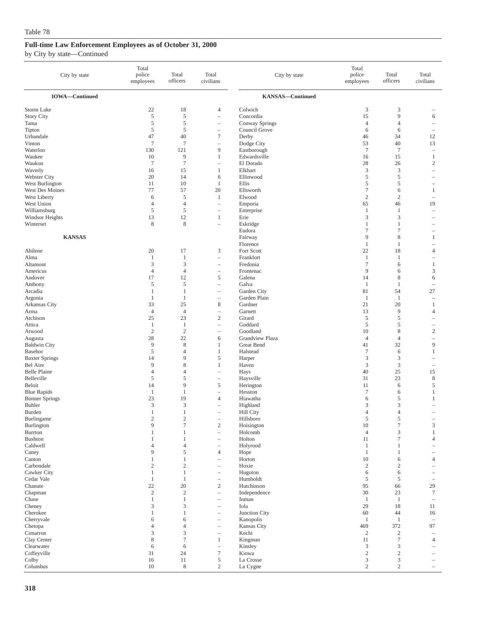| City by state                   | Total<br>police<br>employees | Total<br>officers                       | Total<br>civilians                                    | City by state                        | Total<br>police<br>employees | Total<br>officers    | Total<br>civilians                                   |
|---------------------------------|------------------------------|-----------------------------------------|-------------------------------------------------------|--------------------------------------|------------------------------|----------------------|------------------------------------------------------|
| <b>IOWA-Continued</b>           |                              |                                         |                                                       | KANSAS-Continued                     |                              |                      |                                                      |
| Storm Lake                      | 22                           | 18                                      | 4                                                     | Colwich                              | 3                            | 3                    |                                                      |
| <b>Story City</b>               | 5                            | 5                                       | $\overline{\phantom{a}}$                              | Concordia                            | 15                           | 9                    | 6                                                    |
| Tama                            | 5                            | 5                                       |                                                       | Conway Springs                       | $\overline{4}$               | $\overline{4}$       | $\overline{\phantom{a}}$                             |
| Tipton<br>Urbandale             | 5<br>47                      | 5<br>40                                 | $\hspace{1.0cm} - \hspace{1.0cm}$<br>$\boldsymbol{7}$ | Council Grove<br>Derby               | 6<br>46                      | 6<br>34              | $\overline{\phantom{a}}$<br>12                       |
| Vinton                          | $\tau$                       | $\tau$                                  | $\overline{\phantom{0}}$                              | Dodge City                           | 53                           | 40                   | 13                                                   |
| Waterloo                        | 130                          | 121                                     | 9                                                     | Eastborough                          | $\tau$                       | $\tau$               | $\sim$                                               |
| Waukee                          | 10                           | 9                                       | $\mathbf{1}$                                          | Edwardsville                         | 16                           | 15                   | $\mathbf{1}$                                         |
| Waukon                          | $\tau$                       | $\tau$                                  | $\hspace{1.0cm} - \hspace{1.0cm}$                     | El Dorado                            | 28                           | 26                   | $\overline{2}$                                       |
| Waverly<br>Webster City         | 16<br>20                     | 15<br>14                                | $\mathbf{1}$<br>6                                     | Elkhart<br>Ellinwood                 | 3<br>5                       | 3<br>5               | $\overline{\phantom{a}}$<br>$\overline{\phantom{a}}$ |
| West Burlington                 | 11                           | 10                                      | 1                                                     | Ellis                                | 5                            | 5                    | $\overline{\phantom{a}}$                             |
| West Des Moines                 | 77                           | 57                                      | 20                                                    | Ellsworth                            | 7                            | 6                    | 1                                                    |
| West Liberty                    | 6                            | 5                                       | $\mathbf{1}$                                          | Elwood                               | $\mathfrak{2}$               | $\sqrt{2}$           | $\overline{\phantom{0}}$                             |
| West Union                      | $\overline{4}$               | $\overline{4}$                          |                                                       | Emporia                              | 65                           | 46                   | 19                                                   |
| Williamsburg<br>Windsor Heights | $\sqrt{5}$<br>13             | 5<br>12                                 | $\hspace{1.0cm} - \hspace{1.0cm}$<br>$\mathbf{1}$     | Enterprise<br>Erie                   | 1<br>3                       | 1<br>3               | $\overline{\phantom{a}}$<br>۰                        |
| Winterset                       | 8                            | 8                                       | i.                                                    | Eskridge                             | 1                            | $\mathbf{1}$         |                                                      |
|                                 |                              |                                         |                                                       | Eudora                               | $\tau$                       | $\tau$               | $\overline{\phantom{0}}$                             |
| <b>KANSAS</b>                   |                              |                                         |                                                       | Fairway                              | 9                            | 8                    | 1                                                    |
|                                 |                              |                                         |                                                       | Florence                             | 1                            | 1                    | $\overline{\phantom{a}}$                             |
| Abilene                         | 20                           | 17                                      | 3                                                     | Fort Scott                           | 22                           | 18<br>$\mathbf{1}$   | $\overline{4}$                                       |
| Alma<br>Altamont                | $\mathbf{1}$<br>3            | 1<br>3                                  | $\overline{\phantom{0}}$<br>$\qquad \qquad -$         | Frankfort<br>Fredonia                | $\mathbf{1}$<br>$\tau$       | 6                    | $\overline{\phantom{a}}$<br>1                        |
| Americus                        | $\overline{4}$               | $\overline{4}$                          |                                                       | Frontenac                            | 9                            | 6                    | $\mathfrak z$                                        |
| Andover                         | 17                           | 12                                      | 5                                                     | Galena                               | 14                           | 8                    | 6                                                    |
| Anthony                         | 5                            | 5                                       | $\overline{\phantom{0}}$                              | Galva                                | $\mathbf{1}$                 | 1                    | $\overline{\phantom{a}}$                             |
| Arcadia                         | $\mathbf{1}$                 | 1                                       | $\overline{\phantom{0}}$                              | Garden City                          | 81                           | 54                   | 27                                                   |
| Argonia<br>Arkansas City        | 1<br>33                      | 1<br>25                                 | $\hspace{1.0cm} - \hspace{1.0cm}$<br>8                | Garden Plain<br>Gardner              | 1<br>21                      | $\mathbf{1}$<br>20   | $\overline{\phantom{0}}$<br>$\mathbf{1}$             |
| Arma                            | $\overline{4}$               | $\overline{4}$                          | $\overline{\phantom{0}}$                              | Garnett                              | 13                           | 9                    | $\overline{4}$                                       |
| Atchison                        | 25                           | 23                                      | $\sqrt{2}$                                            | Girard                               | 5                            | 5                    | $\overline{\phantom{a}}$                             |
| Attica                          | $\mathbf{1}$                 | $\mathbf{1}$                            |                                                       | Goddard                              | 5                            | 5                    | $\overline{\phantom{0}}$                             |
| Atwood                          | $\mathbf{2}$                 | $\overline{2}$                          | $\overline{\phantom{0}}$                              | Goodland                             | 10                           | 8                    | $\overline{c}$                                       |
| Augusta<br><b>Baldwin City</b>  | 28<br>9                      | 22<br>8                                 | 6<br>1                                                | <b>Grandview Plaza</b><br>Great Bend | 4<br>41                      | $\overline{4}$<br>32 | $\overline{\phantom{a}}$<br>$\overline{9}$           |
| Basehor                         | 5                            | $\overline{4}$                          | $\mathbf{1}$                                          | Halstead                             | $\tau$                       | 6                    | $\mathbf{1}$                                         |
| <b>Baxter Springs</b>           | 14                           | 9                                       | 5                                                     | Harper                               | 3                            | 3                    | $\overline{\phantom{a}}$                             |
| <b>Bel Aire</b>                 | 9                            | 8                                       | 1                                                     | Haven                                | 3                            | $\mathfrak z$        | $\overline{\phantom{a}}$                             |
| <b>Belle Plaine</b>             | $\overline{4}$               | $\overline{4}$                          |                                                       | Hays                                 | 40                           | 25                   | 15                                                   |
| Belleville                      | 5                            | 5<br>9                                  | $\hspace{1.0cm} - \hspace{1.0cm}$                     | Haysville                            | 31                           | 23                   | 8                                                    |
| Beloit<br><b>Blue Rapids</b>    | 14<br>$\mathbf{1}$           | 1                                       | 5                                                     | Herington<br>Hesston                 | 11<br>$\tau$                 | 6<br>6               | 5<br>$\mathbf{1}$                                    |
| <b>Bonner Springs</b>           | 23                           | 19                                      | $\overline{4}$                                        | Hiawatha                             | 6                            | 5                    | 1                                                    |
| <b>Buhler</b>                   | 3                            | 3                                       |                                                       | Highland                             | 3                            | 3                    |                                                      |
| Burden                          | $\mathbf{1}$                 | 1                                       | $\overline{\phantom{0}}$                              | <b>Hill City</b>                     | 4                            | $\overline{4}$       |                                                      |
| $\rm{Burlingame}$               | $\mathfrak{2}$<br>9          | $\overline{c}$<br>$\tau$                |                                                       | Hillsboro                            | 5<br>$10\,$                  | 5<br>$\tau$          |                                                      |
| Burlington<br>Burrton           | $\mathbf{1}$                 | 1                                       | $\sqrt{2}$<br>$\hspace{1.0cm} - \hspace{1.0cm}$       | Hoisington<br>Holcomb                | $\overline{4}$               | 3                    | $\ensuremath{\mathsf{3}}$<br>$\mathbf{1}$            |
| Bushton                         | $\mathbf{1}$                 | 1                                       |                                                       | Holton                               | 11                           | $\tau$               | $\overline{4}$                                       |
| Caldwell                        | $\overline{4}$               | $\overline{4}$                          | $\hspace{1.0cm} - \hspace{1.0cm}$                     | Holyrood                             | $\mathbf{1}$                 | 1                    | $\overline{\phantom{a}}$                             |
| Caney                           | 9                            | 5                                       | 4                                                     | Hope                                 | $\mathbf{1}$                 | $\mathbf{1}$         | ۰                                                    |
| Canton                          | $\mathbf{1}$                 | 1                                       |                                                       | Horton                               | $10\,$                       | 6                    | $\overline{4}$                                       |
| Carbondale<br>Cawker City       | $\sqrt{2}$<br>$\mathbf{1}$   | $\overline{\mathbf{c}}$<br>$\mathbf{1}$ | $\overline{\phantom{0}}$                              | Hoxie<br>Hugoton                     | $\sqrt{2}$<br>6              | $\sqrt{2}$<br>6      | $\overline{\phantom{a}}$<br>$\qquad \qquad -$        |
| Cedar Vale                      | $\mathbf{1}$                 | 1                                       | $\hspace{1.0cm} - \hspace{1.0cm}$                     | Humboldt                             | 5                            | $\mathfrak s$        | $\overline{\phantom{a}}$                             |
| Chanute                         | 22                           | $20\,$                                  | $\boldsymbol{2}$                                      | Hutchinson                           | 95                           | 66                   | 29                                                   |
| Chapman                         | $\sqrt{2}$                   | $\sqrt{2}$                              |                                                       | Independence                         | 30                           | 23                   | $\tau$                                               |
| Chase                           | $\mathbf{1}$                 | 1                                       |                                                       | Inman                                | $\mathbf{1}$                 | $\mathbf{1}$         | $\overline{\phantom{a}}$                             |
| Cheney<br>Cherokee              | 3<br>$\mathbf{1}$            | 3<br>1                                  | $\qquad \qquad -$                                     | Iola<br>Junction City                | 29<br>60                     | 18<br>44             | 11<br>16                                             |
| Cherryvale                      | 6                            | 6                                       | i.                                                    | Kanopolis                            | $\mathbf{1}$                 | $\mathbf{1}$         | $\overline{\phantom{a}}$                             |
| Chetopa                         | $\overline{4}$               | $\overline{4}$                          |                                                       | Kansas City                          | 469                          | 372                  | 97                                                   |
| Cimarron                        | 3                            | 3                                       | $\hspace{1.0cm} - \hspace{1.0cm}$                     | Kechi                                | $\sqrt{2}$                   | $\sqrt{2}$           | $\hspace{1.0cm} - \hspace{1.0cm}$                    |
| Clay Center                     | 8                            | $\tau$                                  | $\mathbf{1}$                                          | Kingman                              | 11                           | $\tau$               | $\overline{4}$                                       |
| Clearwater<br>Coffeyville       | 6<br>31                      | 6<br>24                                 | $\overline{\phantom{0}}$<br>$\boldsymbol{7}$          | Kinsley<br>Kiowa                     | 3<br>$\sqrt{2}$              | 3<br>$\sqrt{2}$      | $\overline{\phantom{a}}$                             |
| Colby                           | 16                           | 11                                      | 5                                                     | La Crosse                            | 3                            | 3                    |                                                      |
| Columbus                        | 10                           | $\,$ 8 $\,$                             | $\mathbf{2}$                                          | La Cygne                             | $\sqrt{2}$                   | $\sqrt{2}$           |                                                      |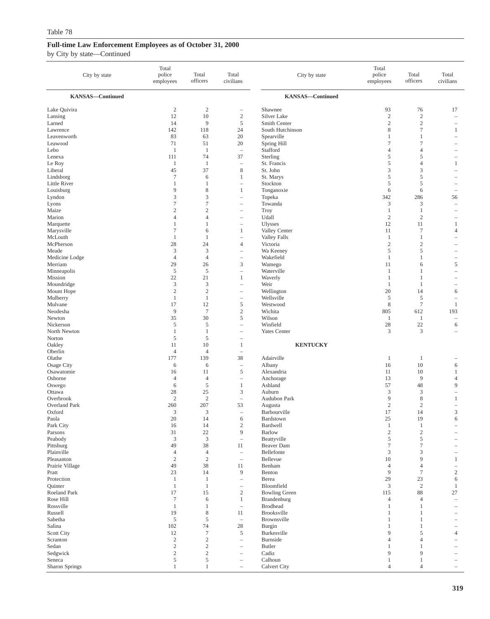| City by state            | Total<br>police<br>employees | Total<br>officers            | Total<br>civilians                                   | City by state                  | Total<br>police<br>employees | Total<br>officers            | Total<br>civilians                |
|--------------------------|------------------------------|------------------------------|------------------------------------------------------|--------------------------------|------------------------------|------------------------------|-----------------------------------|
| <b>KANSAS-Continued</b>  |                              |                              |                                                      | <b>KANSAS-Continued</b>        |                              |                              |                                   |
| Lake Quivira             | 2                            | $\overline{c}$               |                                                      | Shawnee                        | 93                           | 76                           | 17                                |
| Lansing                  | 12                           | 10                           | $\sqrt{2}$                                           | Silver Lake                    | $\overline{c}$               | $\sqrt{2}$                   | $\hspace{1.0cm} - \hspace{1.0cm}$ |
| Larned                   | 14                           | 9                            | 5                                                    | Smith Center                   | $\sqrt{2}$                   | $\overline{2}$               | $\qquad \qquad -$                 |
| Lawrence                 | 142                          | 118                          | 24                                                   | South Hutchinson               | 8                            | $\tau$                       | 1                                 |
| Leavenworth<br>Leawood   | 83<br>71                     | 63<br>51                     | 20<br>20                                             | Spearville<br>Spring Hill      | 1<br>$\tau$                  | 1<br>$\tau$                  | $\overline{\phantom{0}}$          |
| Lebo                     | $\mathbf{1}$                 | 1                            | $\overline{\phantom{a}}$                             | Stafford                       | 4                            | $\overline{4}$               |                                   |
| Lenexa                   | 111                          | 74                           | 37                                                   | Sterling                       | 5                            | 5                            | $\overline{\phantom{0}}$          |
| Le Roy                   | $\mathbf{1}$                 | $\mathbf{1}$                 | $\qquad \qquad -$                                    | St. Francis                    | 5                            | $\overline{4}$               | $\mathbf{1}$                      |
| Liberal                  | 45                           | 37                           | 8                                                    | St. John                       | 3                            | 3                            | $\equiv$                          |
| Lindsborg                | $\tau$                       | 6                            | $\mathbf{1}$                                         | St. Marys                      | 5                            | 5                            |                                   |
| Little River             | $\mathbf{1}$                 | 1                            | $\qquad \qquad -$                                    | Stockton                       | 5                            | 5                            |                                   |
| Louisburg                | 9<br>3                       | $\,$ 8 $\,$<br>3             | 1                                                    | Tonganoxie<br>Topeka           | 6<br>342                     | 6<br>286                     | $\overline{\phantom{0}}$          |
| Lyndon<br>Lyons          | $\tau$                       | $\tau$                       | $\qquad \qquad -$<br>$\overline{\phantom{a}}$        | Towanda                        | 3                            | 3                            | 56<br>÷                           |
| Maize                    | $\overline{2}$               | $\overline{c}$               |                                                      | Troy                           | $\mathbf{1}$                 | $\mathbf{1}$                 |                                   |
| Marion                   | $\overline{4}$               | $\overline{4}$               |                                                      | Udall                          | $\overline{2}$               | $\overline{2}$               | $\overline{\phantom{a}}$          |
| Marquette                | $\mathbf{1}$                 | 1                            | $\qquad \qquad -$                                    | <b>Ulysses</b>                 | 12                           | 11                           | $\mathbf{1}$                      |
| Marysville               | $\overline{7}$               | 6                            | 1                                                    | Valley Center                  | 11                           | $\tau$                       | $\overline{4}$                    |
| McLouth                  | $\mathbf{1}$                 | 1                            | i.                                                   | <b>Valley Falls</b>            | $\mathbf{1}$                 | 1                            | $\overline{\phantom{0}}$          |
| McPherson                | 28                           | 24                           | $\overline{4}$                                       | Victoria                       | $\mathbf{2}$                 | $\overline{2}$               |                                   |
| Meade<br>Medicine Lodge  | 3<br>$\overline{4}$          | 3<br>$\overline{4}$          | $\qquad \qquad -$                                    | Wa Keeney<br>Wakefield         | 5<br>1                       | 5<br>$\mathbf{1}$            | ÷<br>$\overline{\phantom{0}}$     |
| Merriam                  | 29                           | 26                           | $\mathfrak z$                                        | Wamego                         | 11                           | 6                            | 5                                 |
| Minneapolis              | $\sqrt{5}$                   | $\mathfrak s$                | $\overline{\phantom{0}}$                             | Waterville                     | $\mathbf{1}$                 | 1                            | $\overline{\phantom{0}}$          |
| Mission                  | 22                           | 21                           | 1                                                    | Waverly                        | $\mathbf{1}$                 | $\mathbf{1}$                 |                                   |
| Moundridge               | 3                            | 3                            | $\qquad \qquad -$                                    | Weir                           | -1                           | -1                           |                                   |
| Mount Hope               | $\sqrt{2}$                   | $\sqrt{2}$                   | $\qquad \qquad -$                                    | Wellington                     | 20                           | 14                           | 6                                 |
| Mulberry                 | $\mathbf{1}$<br>17           | $\mathbf{1}$                 | $\overline{\phantom{0}}$<br>$\sqrt{5}$               | Wellsville                     | 5<br>$\,$ 8 $\,$             | 5<br>$\overline{7}$          |                                   |
| Mulvane<br>Neodesha      | 9                            | 12<br>$\tau$                 | $\mathbf{2}$                                         | Westwood<br>Wichita            | 805                          | 612                          | $\mathbf{1}$<br>193               |
| Newton                   | 35                           | 30                           | 5                                                    | Wilson                         | 1                            | -1                           | $\overline{\phantom{0}}$          |
| Nickerson                | $\sqrt{5}$                   | 5                            | $\overline{\phantom{0}}$                             | Winfield                       | 28                           | 22                           | 6                                 |
| North Newton             | $\mathbf{1}$                 | $\mathbf{1}$                 | $\overline{\phantom{0}}$                             | Yates Center                   | 3                            | 3                            |                                   |
| Norton                   | 5                            | 5                            | $\overline{\phantom{a}}$                             |                                |                              |                              |                                   |
| Oakley                   | 11                           | 10                           | 1                                                    | <b>KENTUCKY</b>                |                              |                              |                                   |
| Oberlin<br>Olathe        | $\overline{4}$<br>177        | $\overline{4}$<br>139        | 38                                                   | Adairville                     | $\mathbf{1}$                 | $\mathbf{1}$                 |                                   |
| Osage City               | 6                            | 6                            | $\overline{\phantom{0}}$                             | Albany                         | 16                           | 10                           | 6                                 |
| Osawatomie               | 16                           | 11                           | $\sqrt{5}$                                           | Alexandria                     | 11                           | 10                           | $\mathbf{1}$                      |
| Osborne                  | $\overline{4}$               | $\overline{4}$               | $\qquad \qquad -$                                    | Anchorage                      | 13                           | 9                            | $\overline{4}$                    |
| Oswego                   | 6                            | 5                            | $\mathbf{1}$                                         | Ashland                        | 57                           | 48                           | 9                                 |
| Ottawa                   | 28                           | 25                           | $\mathfrak z$                                        | Auburn                         | 3                            | 3                            | $\qquad \qquad -$                 |
| Overbrook                | $\overline{2}$               | $\overline{c}$               | $\qquad \qquad -$                                    | Audubon Park                   | 9                            | 8                            | $\mathbf{1}$                      |
| Overland Park<br>Oxford  | 260<br>3                     | 207<br>3                     | 53<br>$\qquad \qquad -$                              | Augusta<br>Barbourville        | $\sqrt{2}$<br>17             | $\sqrt{2}$<br>14             | ÷<br>3                            |
| Paola                    | 20                           | 14                           | 6                                                    | Bardstown                      | 25                           | 19                           | 6                                 |
| Park City                | 16                           | 14                           | $\sqrt{2}$                                           | Bardwell                       | $\,1\,$                      | $\mathbf{1}$                 |                                   |
| Parsons                  | 31                           | $22\,$                       | 9                                                    | <b>Barlow</b>                  | $\sqrt{2}$                   | $\sqrt{2}$                   |                                   |
| Peabody                  | $\mathfrak z$                | $\mathfrak{Z}$               | $\overline{\phantom{a}}$                             | Beattyville                    | 5                            | 5                            |                                   |
| Pittsburg                | 49                           | 38                           | 11                                                   | Beaver Dam                     | $\tau$                       | $\tau$                       |                                   |
| Plainville<br>Pleasanton | $\overline{4}$<br>$\sqrt{2}$ | $\overline{4}$<br>$\sqrt{2}$ | $\overline{\phantom{a}}$<br>$\overline{\phantom{a}}$ | Bellefonte<br>Bellevue         | 3<br>10                      | 3<br>9                       | $\mathbf{1}$                      |
| Prairie Village          | 49                           | 38                           | 11                                                   | Benham                         | $\overline{4}$               | $\overline{4}$               | $\qquad \qquad -$                 |
| Pratt                    | 23                           | 14                           | $\overline{9}$                                       | Benton                         | 9                            | $\overline{7}$               | $\sqrt{2}$                        |
| Protection               | $\mathbf{1}$                 | $\mathbf{1}$                 | $\overline{\phantom{0}}$                             | Berea                          | 29                           | 23                           | 6                                 |
| Quinter                  | $\mathbf{1}$                 | $\mathbf{1}$                 | $\overline{\phantom{a}}$                             | Bloomfield                     | 3                            | 2                            | $\mathbf{1}$                      |
| Roeland Park             | 17                           | 15                           | $\sqrt{2}$                                           | <b>Bowling Green</b>           | 115                          | 88                           | 27                                |
| Rose Hill<br>Rossville   | $\tau$                       | 6                            | $\mathbf{1}$                                         | Brandenburg                    | $\overline{4}$               | $\overline{4}$               | $\hspace{1.0cm} - \hspace{1.0cm}$ |
| Russell                  | $\mathbf{1}$<br>19           | $\mathbf{1}$<br>$\,$ 8 $\,$  | $\overline{\phantom{a}}$<br>11                       | <b>Brodhead</b><br>Brooksville | $\mathbf{1}$<br>$\mathbf{1}$ | $\mathbf{1}$<br>$\mathbf{1}$ | $\overline{\phantom{0}}$          |
| Sabetha                  | $\sqrt{5}$                   | 5                            | $\qquad \qquad -$                                    | Brownsville                    | 1                            | 1                            |                                   |
| Salina                   | 102                          | 74                           | 28                                                   | Burgin                         | $\mathbf{1}$                 | $\mathbf{1}$                 | $\qquad \qquad -$                 |
| <b>Scott City</b>        | 12                           | $\tau$                       | $\mathfrak s$                                        | Burkesville                    | 9                            | 5                            | $\overline{4}$                    |
| Scranton                 | $\sqrt{2}$                   | $\sqrt{2}$                   | $\overline{\phantom{0}}$                             | Burnside                       | $\overline{4}$               | $\overline{4}$               | $\overline{\phantom{0}}$          |
| Sedan                    | $\sqrt{2}$                   | $\sqrt{2}$                   | $\qquad \qquad -$                                    | <b>Butler</b>                  | 1                            | 1                            |                                   |
| Sedgwick<br>Seneca       | $\sqrt{2}$<br>$\mathfrak s$  | $\sqrt{2}$<br>5              | $\qquad \qquad -$<br>$\qquad \qquad -$               | Cadiz<br>Calhoun               | 9<br>$\mathbf{1}$            | 9<br>$\mathbf{1}$            |                                   |
| Sharon Springs           | $\mathbf{1}$                 | $\mathbf{1}$                 | $\qquad \qquad -$                                    | Calvert City                   | $\overline{4}$               | $\overline{4}$               |                                   |
|                          |                              |                              |                                                      |                                |                              |                              |                                   |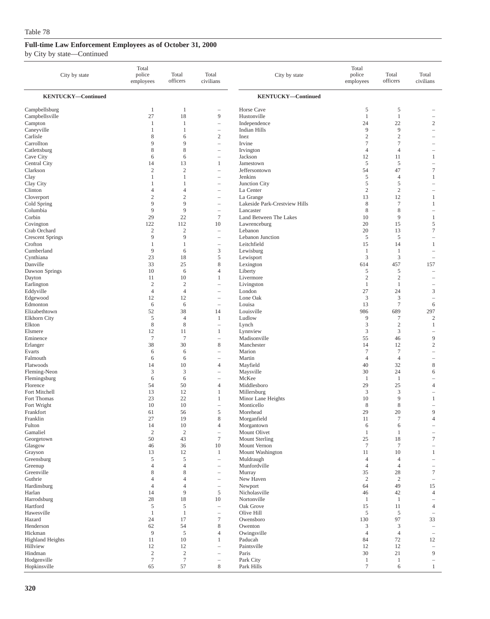| City by state             | Total<br>police<br>employees     | Total<br>officers                | Total<br>civilians                  | City by state                              | Total<br>police<br>employees     | Total<br>officers        | Total<br>civilians                            |
|---------------------------|----------------------------------|----------------------------------|-------------------------------------|--------------------------------------------|----------------------------------|--------------------------|-----------------------------------------------|
| <b>KENTUCKY-Continued</b> |                                  |                                  |                                     | <b>KENTUCKY-Continued</b>                  |                                  |                          |                                               |
| Campbellsburg             | 1                                | $\mathbf{1}$                     |                                     | Horse Cave                                 | 5                                | $\mathfrak s$            |                                               |
| Campbellsville            | 27                               | 18                               | 9                                   | Hustonville                                | $\mathbf{1}$                     | $\mathbf{1}$             |                                               |
| Campton                   | 1                                | 1                                | $\overline{\phantom{a}}$            | Independence                               | 24                               | 22                       | $\mathfrak{2}$                                |
| Caneyville<br>Carlisle    | 1<br>8                           | 1<br>6                           | $\qquad \qquad -$<br>$\overline{c}$ | <b>Indian Hills</b><br>Inez                | 9<br>$\overline{2}$              | 9<br>$\sqrt{2}$          | i.<br>$\overline{\phantom{a}}$                |
| Carrollton                | 9                                | 9                                | $\qquad \qquad -$                   | Irvine                                     | $\tau$                           | $\tau$                   | $\overline{\phantom{a}}$                      |
| Catlettsburg              | 8                                | 8                                | L.                                  | Irvington                                  | $\overline{4}$                   | $\overline{4}$           |                                               |
| Cave City                 | 6                                | 6                                | $\overline{\phantom{a}}$            | Jackson                                    | 12                               | 11                       | 1                                             |
| Central City              | 14                               | 13                               | 1                                   | Jamestown                                  | 5                                | 5                        | $\qquad \qquad -$                             |
| Clarkson                  | $\mathfrak{2}$                   | $\mathfrak{2}$                   | $\overline{\phantom{0}}$            | Jeffersontown                              | 54                               | 47                       | $\tau$                                        |
| Clay                      | 1                                | $\mathbf{1}$                     | $\qquad \qquad -$                   | Jenkins                                    | 5                                | $\overline{4}$           | 1                                             |
| Clay City                 | $\mathbf{1}$                     | $\mathbf{1}$                     | L.                                  | Junction City                              | 5                                | 5                        | i.                                            |
| Clinton                   | $\overline{4}$                   | $\overline{4}$                   | $\overline{\phantom{0}}$            | La Center                                  | $\overline{2}$                   | $\sqrt{2}$               |                                               |
| Cloverport                | $\overline{c}$<br>9              | $\mathfrak{2}$<br>9              | ÷                                   | La Grange                                  | 13<br>8                          | 12<br>$\tau$             | 1                                             |
| Cold Spring<br>Columbia   | 9                                | 9                                | ÷<br>$\overline{\phantom{a}}$       | Lakeside Park-Crestview Hills<br>Lancaster | $\,$ 8 $\,$                      | 8                        | 1                                             |
| Corbin                    | 29                               | 22                               | $\tau$                              | Land Between The Lakes                     | 10                               | 9                        | $\mathbf{1}$                                  |
| Covington                 | 122                              | 112                              | 10                                  | Lawrenceburg                               | 20                               | 15                       | 5                                             |
| Crab Orchard              | $\mathbf{2}$                     | $\sqrt{2}$                       | $\overline{\phantom{a}}$            | Lebanon                                    | 20                               | 13                       | $\overline{7}$                                |
| <b>Crescent Springs</b>   | 9                                | 9                                | ÷                                   | Lebanon Junction                           | 5                                | 5                        | $\overline{\phantom{a}}$                      |
| Crofton                   | 1                                | 1                                | $\overline{\phantom{a}}$            | Leitchfield                                | 15                               | 14                       | 1                                             |
| Cumberland                | 9                                | 6                                | 3                                   | Lewisburg                                  | $\mathbf{1}$                     | $\mathbf{1}$             | $\qquad \qquad -$                             |
| Cynthiana                 | 23                               | 18                               | 5                                   | Lewisport                                  | 3                                | $\mathfrak z$            | $\equiv$                                      |
| Danville                  | 33                               | 25                               | 8                                   | Lexington                                  | 614                              | 457                      | 157                                           |
| Dawson Springs            | 10                               | 6                                | $\overline{4}$                      | Liberty                                    | 5                                | 5                        | $\overline{\phantom{a}}$                      |
| Dayton                    | 11                               | 10                               | 1                                   | Livermore                                  | $\overline{2}$                   | $\overline{c}$           | $\overline{\phantom{0}}$                      |
| Earlington<br>Eddyville   | $\overline{2}$<br>$\overline{4}$ | $\mathfrak{2}$<br>$\overline{4}$ | L,<br>$\overline{\phantom{0}}$      | Livingston<br>London                       | $\mathbf{1}$<br>27               | $\mathbf{1}$<br>24       | $\overline{\phantom{a}}$<br>3                 |
| Edgewood                  | 12                               | 12                               | $\overline{\phantom{a}}$            | Lone Oak                                   | 3                                | 3                        | $\qquad \qquad -$                             |
| Edmonton                  | 6                                | 6                                | $\overline{\phantom{a}}$            | Louisa                                     | 13                               | $\tau$                   | 6                                             |
| Elizabethtown             | 52                               | 38                               | 14                                  | Louisville                                 | 986                              | 689                      | 297                                           |
| Elkhorn City              | 5                                | $\overline{4}$                   | $\mathbf{1}$                        | Ludlow                                     | 9                                | 7                        | $\mathfrak{2}$                                |
| Elkton                    | $\,$ 8 $\,$                      | 8                                | $\overline{\phantom{a}}$            | Lynch                                      | 3                                | $\overline{c}$           | 1                                             |
| Elsmere                   | 12                               | 11                               | 1                                   | Lynnview                                   | 3                                | 3                        | i.                                            |
| Eminence                  | $\tau$                           | $\overline{7}$                   | ÷                                   | Madisonville                               | 55                               | 46                       | 9                                             |
| Erlanger                  | 38                               | 30                               | 8                                   | Manchester                                 | 14                               | 12                       | $\mathbf{2}$                                  |
| Evarts<br>Falmouth        | 6<br>6                           | 6<br>6                           | L,<br>$\overline{\phantom{a}}$      | Marion<br>Martin                           | $\overline{7}$<br>$\overline{4}$ | $\tau$<br>$\overline{4}$ | $\qquad \qquad -$<br>$\overline{\phantom{a}}$ |
| Flatwoods                 | 14                               | 10                               | $\overline{4}$                      | Mayfield                                   | 40                               | 32                       | $\,$ 8 $\,$                                   |
| Fleming-Neon              | 3                                | 3                                | ÷                                   | Maysville                                  | 30                               | 24                       | 6                                             |
| Flemingsburg              | 6                                | 6                                | $\overline{\phantom{a}}$            | McKee                                      | 1                                | 1                        |                                               |
| Florence                  | 54                               | 50                               | $\overline{4}$                      | Middlesboro                                | 29                               | 25                       | $\overline{4}$                                |
| Fort Mitchell             | 13                               | 12                               | 1                                   | Millersburg                                | 3                                | 3                        |                                               |
| Fort Thomas               | 23                               | 22                               | 1                                   | Minor Lane Heights                         | 10                               | 9                        | 1                                             |
| Fort Wright               | 10                               | 10                               | ÷                                   | Monticello                                 | 8                                | $\,$ 8 $\,$              | $\overline{\phantom{a}}$                      |
| Frankfort                 | 61                               | 56                               | 5                                   | Morehead                                   | 29                               | 20<br>7                  | 9<br>$\Lambda$                                |
| Franklin<br>Fulton        | 27<br>14                         | 19<br>10                         | 8<br>4                              | Morganfield<br>Morgantown                  | 11<br>6                          | 6                        |                                               |
| Gamaliel                  | $\sqrt{2}$                       | $\sqrt{2}$                       | $\overline{\phantom{m}}$            | Mount Olivet                               | $\mathbf{1}$                     | 1                        |                                               |
| Georgetown                | 50                               | 43                               | $\boldsymbol{7}$                    | Mount Sterling                             | $25\,$                           | 18                       | 7                                             |
| Glasgow                   | 46                               | 36                               | 10                                  | Mount Vernon                               | $\overline{7}$                   | $\boldsymbol{7}$         | $\qquad \qquad -$                             |
| Grayson                   | 13                               | 12                               | 1                                   | Mount Washington                           | 11                               | 10                       | $\mathbf{1}$                                  |
| Greensburg                | 5                                | 5                                | $\overline{\phantom{0}}$            | Muldraugh                                  | $\overline{4}$                   | $\overline{4}$           | L,                                            |
| Greenup                   | $\overline{4}$                   | $\overline{4}$                   | $\overline{\phantom{a}}$            | Munfordville                               | $\overline{4}$                   | $\overline{4}$           | $\qquad \qquad -$                             |
| Greenville                | 8                                | 8                                | $\qquad \qquad -$                   | Murray                                     | 35                               | 28                       | $\boldsymbol{7}$                              |
| Guthrie<br>Hardinsburg    | $\overline{4}$<br>$\overline{4}$ | $\overline{4}$<br>$\overline{4}$ | $\overline{\phantom{a}}$            | New Haven<br>Newport                       | $\overline{c}$<br>64             | $\sqrt{2}$<br>49         | $\overline{\phantom{a}}$<br>15                |
| Harlan                    | 14                               | 9                                | $\overline{\phantom{a}}$<br>5       | Nicholasville                              | 46                               | 42                       | $\overline{4}$                                |
| Harrodsburg               | 28                               | 18                               | $10\,$                              | Nortonville                                | $\mathbf{1}$                     | $\mathbf{1}$             | $\qquad \qquad -$                             |
| Hartford                  | $\sqrt{5}$                       | 5                                | $\overline{\phantom{a}}$            | Oak Grove                                  | 15                               | 11                       | $\overline{4}$                                |
| Hawesville                | $\mathbf{1}$                     | $\mathbf{1}$                     | $\overline{\phantom{m}}$            | Olive Hill                                 | 5                                | $\sqrt{5}$               | $\qquad \qquad -$                             |
| Hazard                    | 24                               | 17                               | $\boldsymbol{7}$                    | Owensboro                                  | 130                              | 97                       | 33                                            |
| Henderson                 | 62                               | 54                               | 8                                   | Owenton                                    | 3                                | 3                        | i.                                            |
| Hickman                   | 9                                | $\sqrt{5}$                       | $\overline{4}$                      | Owingsville                                | $\overline{4}$                   | $\overline{4}$           | $\qquad \qquad -$                             |
| <b>Highland Heights</b>   | 11                               | 10                               | 1                                   | Paducah                                    | 84                               | 72                       | 12                                            |
| Hillview                  | 12                               | 12                               | $\overline{\phantom{a}}$            | Paintsville                                | 12                               | 12                       | $\overline{\phantom{a}}$                      |
| Hindman<br>Hodgenville    | $\sqrt{2}$<br>$\boldsymbol{7}$   | $\sqrt{2}$<br>$\tau$             | L,<br>$\overline{\phantom{m}}$      | Paris<br>Park City                         | 30<br>$\mathbf{1}$               | 21<br>$\mathbf{1}$       | 9<br>$\equiv$                                 |
| Hopkinsville              | 65                               | 57                               | $\,$ 8 $\,$                         | Park Hills                                 | $\tau$                           | 6                        | $\mathbf{1}$                                  |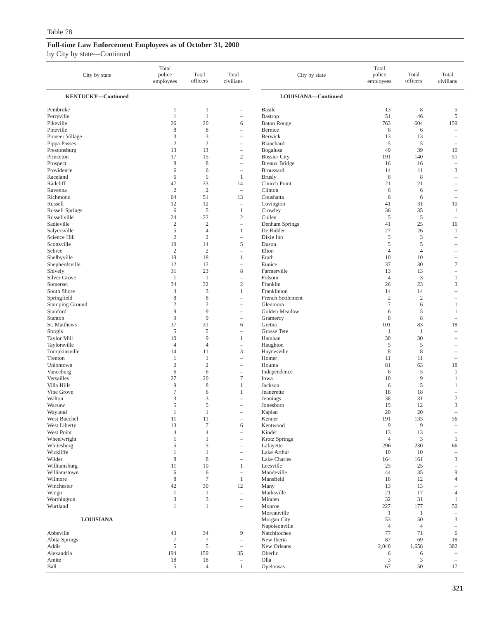| City by state                     | Total<br>police<br>employees              | Total<br>officers             | Total<br>civilians                       | City by state                | Total<br>police<br>employees | Total<br>officers   | Total<br>civilians                                   |
|-----------------------------------|-------------------------------------------|-------------------------------|------------------------------------------|------------------------------|------------------------------|---------------------|------------------------------------------------------|
| <b>KENTUCKY-Continued</b>         |                                           |                               |                                          | LOUISIANA-Continued          |                              |                     |                                                      |
| Pembroke                          | $\mathbf{1}$                              | 1                             | $\qquad \qquad -$                        | <b>Basile</b>                | 13                           | $\,$ 8 $\,$         | 5                                                    |
| Perryville                        | $\mathbf{1}$                              | $\mathbf{1}$                  | $\qquad \qquad -$                        | <b>Bastrop</b>               | 51                           | 46                  | 5                                                    |
| Pikeville                         | 26                                        | 20                            | 6                                        | <b>Baton Rouge</b>           | 763                          | 604                 | 159                                                  |
| Pineville                         | $\,$ 8 $\,$                               | $\,$ 8 $\,$                   | $\overline{\phantom{a}}$                 | Bernice                      | 6                            | 6                   | $\hspace{1.0cm} - \hspace{1.0cm}$                    |
| Pioneer Village<br>Pippa Passes   | 3<br>$\sqrt{2}$                           | $\mathfrak z$<br>$\sqrt{2}$   | $\qquad \qquad -$                        | Berwick<br>Blanchard         | 13<br>5                      | 13<br>5             | $\overline{\phantom{0}}$<br>$\overline{\phantom{a}}$ |
| Prestonsburg                      | 13                                        | 13                            | $\qquad \qquad -$<br>$\qquad \qquad -$   | Bogalusa                     | 49                           | 39                  | 10                                                   |
| Princeton                         | 17                                        | 15                            | $\sqrt{2}$                               | <b>Bossier City</b>          | 191                          | 140                 | 51                                                   |
| Prospect                          | $\,$ 8 $\,$                               | $\,$ 8 $\,$                   | $\overline{\phantom{0}}$                 | <b>Breaux Bridge</b>         | 16                           | 16                  | $\hspace{1.0cm} - \hspace{1.0cm}$                    |
| Providence                        | 6                                         | 6                             | $\qquad \qquad -$                        | <b>Broussard</b>             | 14                           | 11                  | 3                                                    |
| Raceland                          | 6                                         | $\mathfrak s$                 | $\mathbf{1}$                             | <b>Brusly</b>                | $\,$ 8 $\,$                  | 8                   | ÷                                                    |
| Radcliff                          | 47                                        | 33                            | 14                                       | Church Point                 | 21                           | 21                  |                                                      |
| Ravenna                           | $\sqrt{2}$                                | $\sqrt{2}$                    | $\overline{\phantom{a}}$                 | Clinton                      | 6                            | 6                   |                                                      |
| Richmond                          | 64                                        | 51                            | 13                                       | Coushatta                    | 6                            | 6                   | $\overline{\phantom{0}}$                             |
| Russell<br><b>Russell Springs</b> | 12<br>6                                   | 12<br>$\sqrt{5}$              | $\qquad \qquad -$<br>$\mathbf{1}$        | Covington<br>Crowley         | 41<br>36                     | 31<br>35            | 10<br>$\mathbf{1}$                                   |
| Russellville                      | 24                                        | 22                            | $\mathbf{2}$                             | Cullen                       | 5                            | 5                   | $\hspace{1.0cm} - \hspace{1.0cm}$                    |
| Sadieville                        | $\sqrt{2}$                                | $\sqrt{2}$                    | $\qquad \qquad -$                        | Denham Springs               | 41                           | 25                  | 16                                                   |
| Salyersville                      | $\sqrt{5}$                                | $\overline{4}$                | $\mathbf{1}$                             | De Ridder                    | 27                           | 26                  | $\mathbf{1}$                                         |
| Science Hill                      | $\overline{2}$                            | $\overline{c}$                | $\overline{a}$                           | Dixie Inn                    | 3                            | 3                   | $\overline{\phantom{0}}$                             |
| Scottsville                       | 19                                        | 14                            | 5                                        | Duson                        | 5                            | 5                   |                                                      |
| Sebree                            | $\overline{2}$                            | $\overline{2}$                | $\qquad \qquad -$                        | Elton                        | $\overline{4}$               | $\overline{4}$      |                                                      |
| Shelbyville                       | 19                                        | 18                            | $\mathbf{1}$                             | Erath                        | 10                           | 10                  |                                                      |
| Shepherdsville<br>Shively         | 12<br>31                                  | 12<br>23                      | $\qquad \qquad -$<br>$\,$ 8 $\,$         | Eunice<br>Farmerville        | 37<br>13                     | 30<br>13            | $\tau$<br>$\qquad \qquad -$                          |
| <b>Silver Grove</b>               | $\mathbf{1}$                              | -1                            | $\qquad \qquad -$                        | Folsom                       | $\overline{4}$               | 3                   | $\mathbf{1}$                                         |
| Somerset                          | 34                                        | 32                            | $\sqrt{2}$                               | Franklin                     | 26                           | 23                  | 3                                                    |
| South Shore                       | $\overline{4}$                            | $\mathfrak z$                 | $\mathbf{1}$                             | Franklinton                  | 14                           | 14                  | $\overline{\phantom{m}}$                             |
| Springfield                       | $\,$ 8 $\,$                               | $\,$ 8 $\,$                   | $\qquad \qquad -$                        | French Settlement            | $\overline{2}$               | $\overline{2}$      | $\qquad \qquad -$                                    |
| <b>Stamping Ground</b>            | $\mathfrak{2}$                            | $\overline{c}$                | $\qquad \qquad -$                        | Glenmora                     | $\tau$                       | 6                   | $\mathbf{1}$                                         |
| Stanford                          | 9                                         | 9                             | $\qquad \qquad -$                        | Golden Meadow                | 6                            | 5                   | $\mathbf{1}$                                         |
| Stanton                           | 9                                         | 9                             | $\qquad \qquad -$                        | Gramercy                     | 8                            | 8                   | $\overline{\phantom{a}}$                             |
| St. Matthews                      | 37<br>5                                   | 31<br>5                       | 6                                        | Gretna<br><b>Grosse Tete</b> | 101                          | 83                  | 18                                                   |
| Sturgis<br><b>Taylor Mill</b>     | 10                                        | 9                             | $\qquad \qquad -$<br>$\mathbf{1}$        | Harahan                      | $\mathbf{1}$<br>30           | $\mathbf{1}$<br>30  | $\overline{\phantom{0}}$<br>-                        |
| Taylorsville                      | $\overline{4}$                            | $\overline{4}$                | $\qquad \qquad -$                        | Haughton                     | 5                            | 5                   |                                                      |
| Tompkinsville                     | 14                                        | 11                            | 3                                        | Haynesville                  | 8                            | 8                   | $\overline{\phantom{0}}$                             |
| Trenton                           | 1                                         | $\mathbf{1}$                  | $\overline{\phantom{a}}$                 | Homer                        | 11                           | 11                  | $\overline{\phantom{0}}$                             |
| Uniontown                         | $\overline{2}$                            | $\sqrt{2}$                    | $\qquad \qquad -$                        | Houma                        | 81                           | 63                  | 18                                                   |
| Vanceburg                         | 6                                         | 6                             | $\qquad \qquad -$                        | Independence                 | 6                            | 5                   | 1                                                    |
| Versailles                        | 27                                        | 20                            | $\overline{7}$                           | Iowa<br>Jackson              | 10                           | 9                   | $\mathbf{1}$                                         |
| Villa Hills<br>Vine Grove         | 9<br>$\tau$                               | 8<br>6                        | $\mathbf{1}$<br>1                        | Jeanerette                   | 6<br>18                      | 5<br>18             | $\mathbf{1}$<br>$\overline{\phantom{0}}$             |
| Walton                            | $\mathfrak z$                             | 3                             | $\overline{\phantom{0}}$                 | Jennings                     | 38                           | 31                  | $\tau$                                               |
| Warsaw                            | 5                                         | 5                             | $\overline{\phantom{0}}$                 | Jonesboro                    | 15                           | 12                  | 3                                                    |
| Wayland                           | 1                                         | $\mathbf{1}$                  | $\qquad \qquad -$                        | Kaplan                       | 20                           | 20                  | ÷                                                    |
| West Buechel                      | 11                                        | 11                            |                                          | Kenner                       | 191                          | 135                 | 56                                                   |
| West Liberty                      | 13                                        | $\tau$                        | 6                                        | Kentwood                     | 9                            | 9                   | $\overline{\phantom{a}}$                             |
| West Point                        | $\overline{4}$                            | $\overline{4}$                | $\overline{\phantom{a}}$                 | Kinder                       | 13                           | 13                  | $\qquad \qquad -$                                    |
| Wheelwright<br>Whitesburg         | 1<br>5                                    | 1<br>5                        | $\qquad \qquad -$                        | <b>Krotz Springs</b>         | $\overline{4}$<br>296        | 3<br>230            | 1<br>66                                              |
| Wickliffe                         | $\mathbf{1}$                              | $\mathbf{1}$                  | $\qquad \qquad -$<br>$\qquad \qquad -$   | Lafayette<br>Lake Arthur     | 10                           | 10                  | $\overline{\phantom{a}}$                             |
| Wilder                            | $\,$ 8 $\,$                               | $\,$ 8 $\,$                   | $\hspace{1.0cm} - \hspace{1.0cm}$        | Lake Charles                 | 164                          | 161                 | $\mathfrak{Z}$                                       |
| Williamsburg                      | 11                                        | 10                            | $\mathbf{1}$                             | Leesville                    | 25                           | 25                  | $\overline{\phantom{0}}$                             |
| Williamstown                      | 6                                         | 6                             | $\qquad \qquad -$                        | Mandeville                   | 44                           | 35                  | 9                                                    |
| Wilmore                           | $\,$ 8 $\,$                               | $\tau$                        | $\mathbf{1}$                             | Mansfield                    | 16                           | 12                  | $\overline{4}$                                       |
| Winchester                        | 42                                        | 30                            | 12                                       | Many                         | 13                           | 13                  |                                                      |
| Wingo                             | $\mathbf{1}$                              | $\mathbf{1}$                  | $\overline{\phantom{a}}$                 | Marksville                   | 21                           | 17                  | $\overline{4}$                                       |
| Worthington<br>Wurtland           | $\ensuremath{\mathbf{3}}$<br>$\mathbf{1}$ | $\mathfrak z$<br>$\mathbf{1}$ | $\qquad \qquad -$                        | Minden                       | 32                           | 31                  | $\mathbf{1}$                                         |
|                                   |                                           |                               | $\overline{\phantom{0}}$                 | Monroe<br>Moreauville        | 227<br>1                     | 177<br>$\mathbf{1}$ | 50<br>$\hspace{1.0cm} - \hspace{1.0cm}$              |
| <b>LOUISIANA</b>                  |                                           |                               |                                          | Morgan City                  | 53                           | 50                  | 3                                                    |
|                                   |                                           |                               |                                          | Napoleonville                | $\overline{4}$               | $\overline{4}$      | $\overline{\phantom{0}}$                             |
| Abbeville                         | 43                                        | 34                            | 9                                        | Natchitoches                 | 77                           | 71                  | 6                                                    |
| Abita Springs                     | $\boldsymbol{7}$                          | $\tau$                        | $\qquad \qquad -$                        | New Iberia                   | 87                           | 69                  | 18                                                   |
| Addis                             | $\sqrt{5}$                                | $\sqrt{5}$                    | $\qquad \qquad -$                        | New Orleans                  | 2,040                        | 1,658               | 382                                                  |
| Alexandria                        | 194                                       | 159                           | 35                                       | Oberlin                      | 6                            | 6                   | $\overline{\phantom{0}}$                             |
| Amite<br>Ball                     | 18<br>$\sqrt{5}$                          | 18<br>$\overline{4}$          | $\overline{\phantom{0}}$<br>$\mathbf{1}$ | Olla                         | 3<br>67                      | 3<br>50             | $\overline{\phantom{a}}$                             |
|                                   |                                           |                               |                                          | Opelousas                    |                              |                     | 17                                                   |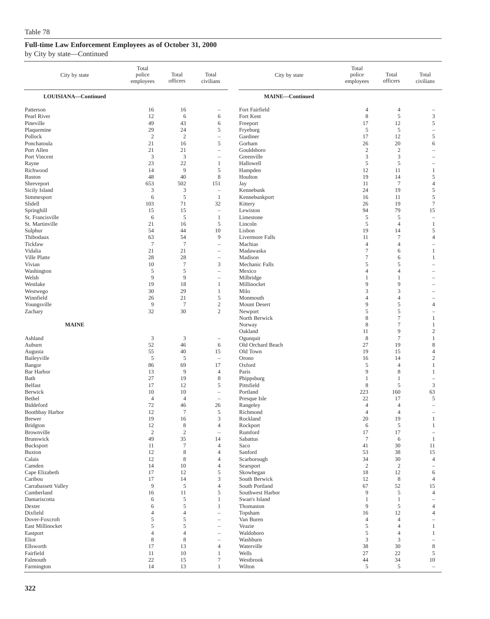| City by state             | Total<br>police<br>employees | Total<br>officers | Total<br>civilians                | City by state                     | Total<br>police<br>employees | Total<br>officers          | Total<br>civilians       |
|---------------------------|------------------------------|-------------------|-----------------------------------|-----------------------------------|------------------------------|----------------------------|--------------------------|
| LOUISIANA-Continued       |                              |                   |                                   | <b>MAINE-Continued</b>            |                              |                            |                          |
| Patterson                 | 16                           | 16                |                                   | Fort Fairfield                    | 4                            | $\overline{4}$             |                          |
| Pearl River               | 12                           | 6                 | 6                                 | Fort Kent                         | 8                            | $\mathfrak s$              | 3                        |
| Pineville                 | 49                           | 43                | 6                                 | Freeport                          | 17                           | 12                         | $\mathfrak s$            |
| Plaquemine                | 29                           | 24                | 5                                 | Fryeburg                          | 5                            | 5                          | $\overline{\phantom{a}}$ |
| Pollock                   | $\overline{2}$               | $\overline{c}$    | $\overline{\phantom{a}}$          | Gardiner                          | 17                           | 12                         | $\sqrt{5}$               |
| Ponchatoula               | 21                           | 16                | 5                                 | Gorham                            | 26                           | 20                         | 6                        |
| Port Allen                | 21                           | 21                | $\overline{\phantom{a}}$          | Gouldsboro                        | $\overline{2}$               | $\overline{2}$             | ÷,                       |
| Port Vincent              | $\mathfrak z$<br>23          | 3<br>22           | $\overline{\phantom{0}}$          | Greenville<br>Hallowell           | 3                            | 3<br>5                     |                          |
| Rayne<br>Richwood         | 14                           | 9                 | 1<br>$\sqrt{5}$                   | Hampden                           | 5<br>12                      | 11                         | $\mathbf{1}$             |
| Ruston                    | 48                           | 40                | 8                                 | Houlton                           | 19                           | 14                         | 5                        |
| Shreveport                | 653                          | 502               | 151                               | Jay                               | 11                           | $\overline{7}$             | $\overline{4}$           |
| Sicily Island             | 3                            | 3                 | $\overline{\phantom{a}}$          | Kennebunk                         | 24                           | 19                         | $\sqrt{5}$               |
| Simmesport                | 6                            | 5                 | $\mathbf{1}$                      | Kennebunkport                     | 16                           | 11                         | $\sqrt{5}$               |
| Slidell                   | 103                          | 71                | 32                                | Kittery                           | 26                           | 19                         | $\boldsymbol{7}$         |
| Springhill                | 15                           | 15                | $\overline{\phantom{a}}$          | Lewiston                          | 94                           | 79                         | 15                       |
| St. Francisville          | 6                            | 5                 | $\mathbf{1}$                      | Limestone                         | 5                            | 5                          | $\overline{\phantom{a}}$ |
| St. Martinville           | 21                           | 16                | $\sqrt{5}$                        | Lincoln                           | 5                            | $\overline{4}$             | $\mathbf{1}$             |
| Sulphur                   | 54                           | 44                | 10                                | Lisbon                            | 19                           | 14                         | 5                        |
| Thibodaux                 | 63                           | 54                | 9                                 | Livermore Falls                   | 11                           | $\tau$                     | $\overline{4}$           |
| Tickfaw                   | $\overline{7}$               | $7\phantom{.0}$   | $\hspace{1.0cm} - \hspace{1.0cm}$ | Machias                           | $\overline{4}$               | 4                          | $\overline{\phantom{0}}$ |
| Vidalia<br>Ville Platte   | 21<br>28                     | 21<br>28          | $\overline{\phantom{m}}$          | Madawaska<br>Madison              | $\tau$<br>$\tau$             | 6<br>6                     | $\mathbf{1}$<br>1        |
| Vivian                    | 10                           | $\overline{7}$    | $\overline{\phantom{a}}$<br>3     | Mechanic Falls                    | 5                            | 5                          |                          |
| Washington                | 5                            | 5                 | $\overline{\phantom{a}}$          | Mexico                            | $\overline{4}$               | 4                          |                          |
| Welsh                     | 9                            | 9                 | $\hspace{1.0cm} - \hspace{1.0cm}$ | Milbridge                         | 1                            | $\mathbf{1}$               |                          |
| Westlake                  | 19                           | 18                | $\mathbf{1}$                      | Millinocket                       | 9                            | 9                          |                          |
| Westwego                  | 30                           | 29                | 1                                 | Milo                              | 3                            | 3                          |                          |
| Winnfield                 | 26                           | 21                | 5                                 | Monmouth                          | 4                            | 4                          |                          |
| Youngsville               | 9                            | $\overline{7}$    | $\sqrt{2}$                        | Mount Desert                      | 9                            | 5                          | $\overline{4}$           |
| Zachary                   | 32                           | 30                | $\mathbf{2}$                      | Newport                           | 5                            | 5                          |                          |
|                           |                              |                   |                                   | North Berwick                     | 8                            | 7                          | $\mathbf{1}$             |
| <b>MAINE</b>              |                              |                   |                                   | Norway                            | 8                            | 7                          | 1                        |
|                           |                              |                   |                                   | Oakland                           | 11                           | 9                          | $\overline{c}$           |
| Ashland<br>Auburn         | 3<br>52                      | 3<br>46           | $\overline{\phantom{a}}$<br>6     | Ogunquit<br>Old Orchard Beach     | 8<br>27                      | $\tau$<br>19               | 1<br>8                   |
| Augusta                   | 55                           | 40                | 15                                | Old Town                          | 19                           | 15                         | $\overline{4}$           |
| Baileyville               | $\sqrt{5}$                   | 5                 | $\overline{\phantom{a}}$          | Orono                             | 16                           | 14                         | $\sqrt{2}$               |
| Bangor                    | 86                           | 69                | 17                                | Oxford                            | 5                            | $\overline{4}$             | $\mathbf{1}$             |
| <b>Bar Harbor</b>         | 13                           | 9                 | $\overline{4}$                    | Paris                             | 9                            | 8                          | 1                        |
| Bath                      | 27                           | 19                | 8                                 | Phippsburg                        | 1                            | $\mathbf{1}$               | $\overline{\phantom{0}}$ |
| <b>Belfast</b>            | 17                           | 12                | $\mathfrak s$                     | Pittsfield                        | 8                            | 5                          | $\mathfrak z$            |
| Berwick                   | 10                           | 10                | $\overline{\phantom{a}}$          | Portland                          | 223                          | 160                        | 63                       |
| Bethel                    | $\overline{4}$               | $\overline{4}$    | $\overline{\phantom{0}}$          | Presque Isle                      | 22                           | 17                         | 5                        |
| Biddeford                 | 72                           | 46                | 26                                | Rangeley                          | 4                            | 4                          | $\overline{\phantom{a}}$ |
| <b>Boothbay Harbor</b>    | 12                           | $\tau$            | 5                                 | Richmond                          | $\overline{4}$               | $\overline{4}$             |                          |
| Brewer<br><b>Bridgton</b> | 19<br>12                     | 16<br>8           | 3<br>$\overline{4}$               | Rockland<br>Rockport              | 20                           | 19<br>5                    | 1<br>1                   |
| Brownville                | $\mathbf{2}$                 | $\overline{c}$    | $\overline{\phantom{0}}$          | Rumford                           | 6<br>17                      | 17                         | ÷,                       |
| <b>Brunswick</b>          | 49                           | 35                | 14                                | Sabattus                          | $\tau$                       | 6                          | $\mathbf{1}$             |
| Bucksport                 | 11                           | $\tau$            | $\overline{4}$                    | Saco                              | 41                           | 30                         | 11                       |
| <b>Buxton</b>             | 12                           | 8                 | $\overline{4}$                    | Sanford                           | 53                           | 38                         | 15                       |
| Calais                    | 12                           | 8                 | 4                                 | Scarborough                       | 34                           | 30                         | $\overline{4}$           |
| Camden                    | 14                           | 10                | $\overline{4}$                    | Searsport                         | $\overline{2}$               | $\overline{c}$             |                          |
| Cape Elizabeth            | 17                           | 12                | $\mathfrak s$                     | Skowhegan                         | 18                           | 12                         | 6                        |
| Caribou                   | 17                           | 14                | 3                                 | South Berwick                     | 12                           | 8                          | $\overline{4}$           |
| Carrabassett Valley       | 9                            | $\mathfrak{S}$    | $\overline{4}$                    | South Portland                    | 67                           | 52                         | 15                       |
| Cumberland                | 16                           | 11                | 5                                 | Southwest Harbor<br>Swan's Island | 9                            | $\sqrt{5}$                 | $\overline{4}$           |
| Damariscotta<br>Dexter    | 6<br>6                       | 5<br>5            | 1<br>1                            | Thomaston                         | $\mathbf{1}$<br>9            | $\mathbf{1}$<br>$\sqrt{5}$ | $\overline{4}$           |
| Dixfield                  | $\overline{4}$               | $\overline{4}$    |                                   | Topsham                           | 16                           | 12                         | $\overline{4}$           |
| Dover-Foxcroft            | 5                            | 5                 | ÷                                 | Van Buren                         | 4                            | $\overline{4}$             |                          |
| East Millinocket          | 5                            | 5                 | $\overline{\phantom{0}}$          | Veazie                            | 5                            | 4                          | 1                        |
| Eastport                  | $\overline{4}$               | $\overline{4}$    |                                   | Waldoboro                         | 5                            | 4                          | $\mathbf{1}$             |
| Eliot                     | $\,$ 8 $\,$                  | $\,8\,$           | $\overline{\phantom{a}}$          | Washburn                          | 3                            | 3                          |                          |
| Ellsworth                 | 17                           | 13                | $\overline{4}$                    | Waterville                        | 38                           | 30                         | 8                        |
| Fairfield                 | 11                           | 10                | $\mathbf{1}$                      | Wells                             | 27                           | 22                         | 5                        |
| Falmouth                  | $22\,$                       | 15                | $\tau$                            | Westbrook                         | $44$                         | 34                         | $10\,$                   |
| Farmington                | 14                           | 13                | $\mathbf{1}$                      | Wilton                            | 5                            | 5                          | $\overline{\phantom{a}}$ |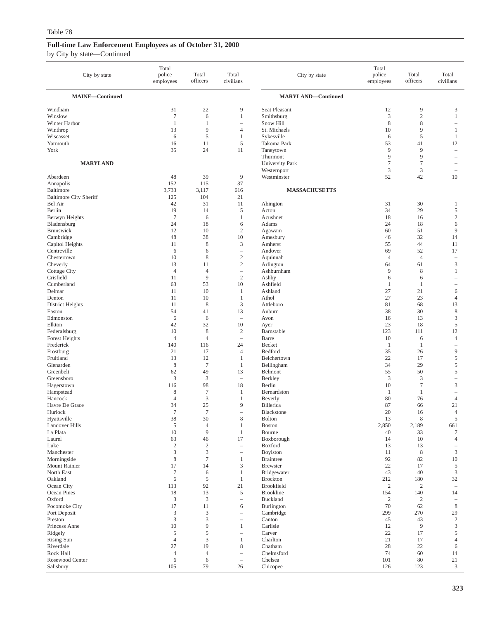| City by state                            | Total<br>police<br>employees | Total<br>officers    | Total<br>civilians                       | City by state                | Total<br>police<br>employees | Total<br>officers    | Total<br>civilians                      |
|------------------------------------------|------------------------------|----------------------|------------------------------------------|------------------------------|------------------------------|----------------------|-----------------------------------------|
| MAINE-Continued                          |                              |                      |                                          | <b>MARYLAND-Continued</b>    |                              |                      |                                         |
| Windham                                  | 31                           | 22                   | 9                                        | Seat Pleasant                | 12                           | 9                    | 3                                       |
| Winslow                                  | $\overline{7}$               | 6                    | $\mathbf{1}$                             | Smithsburg                   | 3                            | $\mathbf{2}$         | $\mathbf{1}$                            |
| Winter Harbor                            | 1                            | 1                    | $\overline{\phantom{a}}$                 | Snow Hill                    | 8                            | 8                    | $\overline{\phantom{a}}$                |
| Winthrop                                 | 13                           | 9                    | 4                                        | St. Michaels                 | 10                           | 9                    | 1                                       |
| Wiscasset                                | 6                            | 5                    | $\mathbf{1}$                             | Sykesville                   | 6                            | 5                    | 1                                       |
| Yarmouth<br>York                         | 16<br>35                     | 11<br>24             | $\mathfrak s$<br>11                      | Takoma Park                  | 53<br>9                      | 41<br>9              | 12<br>$\hspace{1.0cm} - \hspace{1.0cm}$ |
|                                          |                              |                      |                                          | Taneytown<br>Thurmont        | 9                            | 9                    | $\overline{\phantom{a}}$                |
| <b>MARYLAND</b>                          |                              |                      |                                          | <b>University Park</b>       | 7                            | $\tau$               | $\overline{\phantom{a}}$                |
|                                          |                              |                      |                                          | Westernport                  | 3                            | 3                    | ۰                                       |
| Aberdeen                                 | 48                           | 39                   | 9                                        | Westminster                  | 52                           | 42                   | 10                                      |
| Annapolis                                | 152                          | 115                  | 37                                       |                              |                              |                      |                                         |
| Baltimore                                | 3,733                        | 3,117                | 616                                      | <b>MASSACHUSETTS</b>         |                              |                      |                                         |
| <b>Baltimore City Sheriff</b><br>Bel Air | 125<br>42                    | 104<br>31            | 21<br>11                                 | Abington                     | 31                           | 30                   | 1                                       |
| Berlin                                   | 19                           | 14                   | 5                                        | Acton                        | 34                           | 29                   | $\mathfrak s$                           |
| Berwyn Heights                           | $\overline{7}$               | 6                    | $\mathbf{1}$                             | Acushnet                     | 18                           | 16                   | $\sqrt{2}$                              |
| Bladensburg                              | 24                           | 18                   | 6                                        | Adams                        | 24                           | 18                   | 6                                       |
| <b>Brunswick</b>                         | 12                           | 10                   | $\sqrt{2}$                               | Agawam                       | 60                           | 51                   | 9                                       |
| Cambridge                                | 48                           | 38                   | 10                                       | Amesbury                     | 46                           | 32                   | 14                                      |
| Capitol Heights                          | 11                           | 8                    | 3                                        | Amherst                      | 55                           | 44                   | 11                                      |
| Centreville<br>Chestertown               | 6<br>10                      | 6<br>8               | $\qquad \qquad -$<br>$\overline{c}$      | Andover<br>Aquinnah          | 69<br>4                      | 52<br>$\overline{4}$ | 17<br>$\overline{\phantom{a}}$          |
| Cheverly                                 | 13                           | 11                   | $\sqrt{2}$                               | Arlington                    | 64                           | 61                   | $\mathfrak z$                           |
| <b>Cottage City</b>                      | $\overline{4}$               | $\overline{4}$       | $\qquad \qquad -$                        | Ashburnham                   | 9                            | 8                    | $\mathbf{1}$                            |
| Crisfield                                | 11                           | 9                    | $\sqrt{2}$                               | Ashby                        | 6                            | 6                    |                                         |
| Cumberland                               | 63                           | 53                   | 10                                       | Ashfield                     | 1                            | $\mathbf{1}$         | $\overline{\phantom{m}}$                |
| Delmar                                   | 11                           | 10                   | 1                                        | Ashland                      | 27                           | 21                   | 6                                       |
| Denton                                   | 11<br>11                     | 10<br>8              | 1<br>3                                   | Athol                        | 27<br>81                     | 23<br>68             | $\overline{4}$                          |
| District Heights<br>Easton               | 54                           | 41                   | 13                                       | Attleboro<br>Auburn          | 38                           | 30                   | 13<br>$\,$ 8 $\,$                       |
| Edmonston                                | 6                            | 6                    | $\overline{\phantom{a}}$                 | Avon                         | 16                           | 13                   | $\mathfrak z$                           |
| Elkton                                   | 42                           | 32                   | 10                                       | Ayer                         | 23                           | 18                   | 5                                       |
| Federalsburg                             | 10                           | 8                    | $\overline{c}$                           | Barnstable                   | 123                          | 111                  | 12                                      |
| Forest Heights                           | $\overline{4}$               | $\overline{4}$       | $\overline{\phantom{a}}$                 | Barre                        | 10                           | 6                    | $\overline{4}$                          |
| Frederick                                | 140                          | 116                  | 24                                       | Becket                       | 1                            | 1                    | $\overline{\phantom{a}}$                |
| Frostburg<br>Fruitland                   | 21<br>13                     | 17<br>12             | $\overline{4}$<br>1                      | Bedford                      | 35<br>22                     | 26<br>17             | 9<br>5                                  |
| Glenarden                                | $\,$ 8 $\,$                  | $\overline{7}$       | 1                                        | Belchertown<br>Bellingham    | 34                           | 29                   | $\mathfrak s$                           |
| Greenbelt                                | 62                           | 49                   | 13                                       | Belmont                      | 55                           | 50                   | 5                                       |
| Greensboro                               | 3                            | $\mathfrak{Z}$       | $\equiv$                                 | Berkley                      | 3                            | 3                    | $\overline{\phantom{a}}$                |
| Hagerstown                               | 116                          | 98                   | 18                                       | Berlin                       | 10                           | $\boldsymbol{7}$     | $\mathfrak z$                           |
| Hampstead                                | 8                            | $\tau$               | 1                                        | Bernardston                  | 1                            | 1                    | $\overline{\phantom{0}}$                |
| Hancock                                  | $\overline{4}$               | 3                    | 1                                        | Beverly                      | 80                           | 76                   | $\overline{4}$                          |
| Havre De Grace<br>Hurlock                | 34<br>$\tau$                 | 25<br>$\overline{7}$ | 9<br>$\sim$                              | Billerica<br>Blackstone      | 87<br>20                     | 66<br>16             | 21<br>$\overline{4}$                    |
| Hyattsville                              | 38                           | 30                   | 8                                        | Bolton                       | 13                           | 8                    | 5                                       |
| <b>Landover Hills</b>                    | $\mathfrak s$                | $\overline{4}$       | $\mathbf{1}$                             | Boston                       | 2,850                        | 2,189                | 661                                     |
| La Plata                                 | 10                           | 9                    | $\mathbf{1}$                             | Bourne                       | 40                           | 33                   | $\boldsymbol{7}$                        |
| Laurel                                   | 63                           | 46                   | 17                                       | Boxborough                   | 14                           | 10                   | $\overline{4}$                          |
| Luke                                     | $\sqrt{2}$                   | $\sqrt{2}$           | $\equiv$                                 | Boxford                      | 13                           | 13                   | $\overline{\phantom{a}}$                |
| Manchester<br>Morningside                | 3<br>$\,$ 8 $\,$             | 3<br>$\tau$          | $\overline{\phantom{a}}$<br>$\mathbf{1}$ | Boylston<br><b>Braintree</b> | 11<br>92                     | $\,$ 8 $\,$<br>82    | $\mathfrak{Z}$<br>$10\,$                |
| Mount Rainier                            | 17                           | 14                   | 3                                        | <b>Brewster</b>              | $22\,$                       | 17                   | $\mathfrak s$                           |
| North East                               | $\tau$                       | 6                    | $\mathbf{1}$                             | Bridgewater                  | 43                           | 40                   | $\mathfrak{Z}$                          |
| Oakland                                  | 6                            | $\sqrt{5}$           | $\mathbf{1}$                             | <b>Brockton</b>              | 212                          | 180                  | 32                                      |
| Ocean City                               | 113                          | 92                   | 21                                       | Brookfield                   | $\sqrt{2}$                   | $\mathbf{2}$         | $\overline{\phantom{a}}$                |
| Ocean Pines                              | 18                           | 13                   | $\mathfrak s$                            | <b>Brookline</b>             | 154                          | 140                  | 14                                      |
| Oxford                                   | $\mathfrak 3$                | $\mathfrak{Z}$       | $\overline{\phantom{a}}$                 | Buckland                     | $\boldsymbol{2}$             | $\boldsymbol{2}$     | $\equiv$                                |
| Pocomoke City<br>Port Deposit            | 17<br>$\mathfrak z$          | 11<br>$\mathfrak{Z}$ | 6<br>$\overline{\phantom{a}}$            | Burlington<br>Cambridge      | 70<br>299                    | 62<br>270            | $\,$ 8 $\,$<br>29                       |
| Preston                                  | $\mathfrak 3$                | 3                    | $\overline{\phantom{a}}$                 | Canton                       | 45                           | 43                   | $\sqrt{2}$                              |
| Princess Anne                            | 10                           | 9                    | $\mathbf{1}$                             | Carlisle                     | 12                           | 9                    | $\mathfrak{Z}$                          |
| Ridgely                                  | $\sqrt{5}$                   | 5                    | $\overline{\phantom{a}}$                 | Carver                       | 22                           | 17                   | $\sqrt{5}$                              |
| <b>Rising Sun</b>                        | $\overline{4}$               | 3                    | $\mathbf{1}$                             | Charlton                     | 21                           | 17                   | $\overline{4}$                          |
| Riverdale                                | 27                           | 19                   | $\,$ 8 $\,$                              | Chatham                      | 28                           | $22\,$               | 6                                       |
| Rock Hall                                | $\overline{4}$               | $\overline{4}$       | $\overline{\phantom{a}}$                 | Chelmsford                   | 74                           | 60                   | 14                                      |
| Rosewood Center<br>Salisbury             | 6<br>105                     | 6<br>79              | $\overline{\phantom{a}}$<br>26           | Chelsea<br>Chicopee          | 101<br>126                   | 80<br>123            | 21<br>$\mathfrak{Z}$                    |
|                                          |                              |                      |                                          |                              |                              |                      |                                         |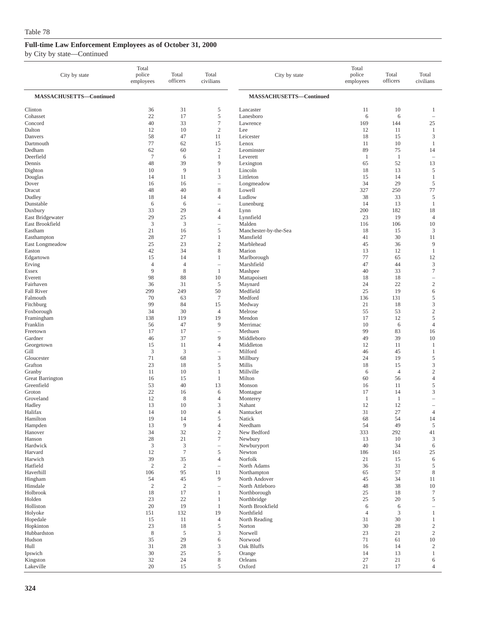| City by state           | Total<br>police<br>employees | Total<br>officers   | Total<br>civilians                                | City by state                  | Total<br>police<br>employees | Total<br>officers | Total<br>civilians                |
|-------------------------|------------------------------|---------------------|---------------------------------------------------|--------------------------------|------------------------------|-------------------|-----------------------------------|
| MASSACHUSETTS-Continued |                              |                     |                                                   | MASSACHUSETTS-Continued        |                              |                   |                                   |
| Clinton                 | 36                           | 31                  | 5                                                 | Lancaster                      | 11                           | 10                | 1                                 |
| Cohasset                | 22                           | 17                  | $\mathfrak s$                                     | Lanesboro                      | 6                            | 6                 | $\overline{\phantom{a}}$          |
| Concord                 | 40                           | 33                  | $\tau$                                            | Lawrence                       | 169                          | 144               | 25                                |
| Dalton                  | 12                           | 10                  | $\mathbf{2}$                                      | Lee                            | 12                           | 11                | $\mathbf{1}$                      |
| Danvers<br>Dartmouth    | 58<br>77                     | 47<br>62            | 11<br>15                                          | Leicester                      | 18                           | 15<br>10          | $\mathfrak z$<br>$\mathbf{1}$     |
| Dedham                  | 62                           | 60                  | $\boldsymbol{2}$                                  | Lenox<br>Leominster            | 11<br>89                     | 75                | 14                                |
| Deerfield               | $\overline{7}$               | 6                   | 1                                                 | Leverett                       | 1                            | $\mathbf{1}$      | $\overline{\phantom{a}}$          |
| Dennis                  | 48                           | 39                  | 9                                                 | Lexington                      | 65                           | 52                | 13                                |
| Dighton                 | 10                           | 9                   | $\mathbf{1}$                                      | Lincoln                        | 18                           | 13                | $\sqrt{5}$                        |
| Douglas                 | 14                           | 11                  | 3                                                 | Littleton                      | 15                           | 14                | $\mathbf{1}$                      |
| Dover                   | 16                           | 16                  | $\hspace{1.0cm} - \hspace{1.0cm}$                 | Longmeadow                     | 34                           | 29                | 5                                 |
| Dracut                  | 48                           | 40                  | $\,$ 8 $\,$                                       | Lowell                         | 327                          | 250               | 77                                |
| Dudley                  | 18                           | 14<br>6             | $\overline{4}$<br>$\overline{\phantom{m}}$        | Ludlow                         | 38<br>14                     | 33<br>13          | 5<br>$\mathbf{1}$                 |
| Dunstable<br>Duxbury    | 6<br>33                      | 29                  | $\overline{4}$                                    | Lunenburg<br>Lynn              | 200                          | 182               | 18                                |
| East Bridgewater        | 29                           | 25                  | $\overline{4}$                                    | Lynnfield                      | 23                           | 19                | $\overline{4}$                    |
| East Brookfield         | $\mathfrak z$                | 3                   | $\hspace{1.0cm} - \hspace{1.0cm}$                 | Malden                         | 116                          | 106               | 10                                |
| Eastham                 | 21                           | 16                  | 5                                                 | Manchester-by-the-Sea          | 18                           | 15                | 3                                 |
| Easthampton             | 28                           | 27                  | 1                                                 | Mansfield                      | 41                           | 30                | 11                                |
| East Longmeadow         | 25                           | 23                  | $\boldsymbol{2}$                                  | Marblehead                     | 45                           | 36                | 9                                 |
| Easton                  | 42                           | 34                  | $\,$ 8 $\,$                                       | Marion                         | 13                           | 12                | $\mathbf{1}$                      |
| Edgartown               | 15                           | 14                  | 1                                                 | Marlborough                    | 77                           | 65                | 12                                |
| Erving<br>Essex         | $\overline{4}$<br>9          | $\overline{4}$<br>8 | $\hspace{1.0cm} - \hspace{1.0cm}$<br>$\mathbf{1}$ | Marshfield<br>Mashpee          | 47<br>40                     | 44<br>33          | $\mathfrak z$<br>$\boldsymbol{7}$ |
| Everett                 | 98                           | 88                  | 10                                                | Mattapoisett                   | 18                           | 18                | $\hspace{1.0cm} - \hspace{1.0cm}$ |
| Fairhaven               | 36                           | 31                  | 5                                                 | Maynard                        | 24                           | 22                | $\mathbf{2}$                      |
| <b>Fall River</b>       | 299                          | 249                 | 50                                                | Medfield                       | 25                           | 19                | 6                                 |
| Falmouth                | 70                           | 63                  | $\overline{7}$                                    | Medford                        | 136                          | 131               | 5                                 |
| Fitchburg               | 99                           | 84                  | 15                                                | Medway                         | 21                           | 18                | 3                                 |
| Foxborough              | 34                           | 30                  | $\overline{4}$                                    | Melrose                        | 55                           | 53                | $\mathbf{2}$                      |
| Framingham              | 138                          | 119                 | 19                                                | Mendon                         | 17                           | 12                | $\sqrt{5}$                        |
| Franklin<br>Freetown    | 56<br>17                     | 47<br>17            | 9<br>$\hspace{1.0cm} - \hspace{1.0cm}$            | Merrimac<br>Methuen            | 10<br>99                     | 6<br>83           | $\overline{4}$<br>16              |
| Gardner                 | 46                           | 37                  | 9                                                 | Middleboro                     | 49                           | 39                | 10                                |
| Georgetown              | 15                           | 11                  | $\overline{4}$                                    | Middleton                      | 12                           | 11                | 1                                 |
| Gill                    | $\mathfrak z$                | 3                   | $\hspace{1.0cm} - \hspace{1.0cm}$                 | Milford                        | 46                           | 45                | $\mathbf{1}$                      |
| Gloucester              | 71                           | 68                  | $\mathfrak{Z}$                                    | Millbury                       | 24                           | 19                | 5                                 |
| Grafton                 | 23                           | 18                  | 5                                                 | Millis                         | 18                           | 15                | 3                                 |
| Granby                  | 11                           | 10                  | 1                                                 | Millville                      | 6                            | $\overline{4}$    | $\sqrt{2}$                        |
| <b>Great Barrington</b> | 16                           | 15                  | $\mathbf{1}$                                      | Milton                         | 60                           | 56                | $\overline{4}$                    |
| Greenfield<br>Groton    | 53<br>22                     | 40<br>16            | 13<br>6                                           | Monson<br>Montague             | 16<br>17                     | 11<br>14          | 5<br>$\mathfrak z$                |
| Groveland               | 12                           | 8                   | $\overline{4}$                                    | Monterey                       | $\mathbf{1}$                 | $\mathbf{1}$      | ÷,                                |
| Hadley                  | 13                           | 10                  | 3                                                 | Nahant                         | 12                           | 12                | $\overline{\phantom{a}}$          |
| Halifax                 | 14                           | 10                  | $\overline{4}$                                    | Nantucket                      | 31                           | 27                | $\overline{4}$                    |
| Hamilton                | 19                           | 14                  | 5                                                 | Natick                         | 68                           | 54                | 14                                |
| Hampden                 | 13                           | $\overline{9}$      | $\overline{4}$                                    | Needham                        | 54                           | 49                | $\sqrt{5}$                        |
| Hanover                 | 34                           | 32                  | $\mathfrak{2}$                                    | New Bedford                    | 333                          | 292               | 41                                |
| Hanson<br>Hardwick      | 28<br>3                      | 21<br>3             | $\boldsymbol{7}$                                  | Newbury                        | 13<br>40                     | 10<br>34          | 3                                 |
| Harvard                 | 12                           | $\overline{7}$      | $\hspace{1.0cm} - \hspace{1.0cm}$<br>$\sqrt{5}$   | Newburyport<br>Newton          | 186                          | 161               | 6<br>25                           |
| Harwich                 | 39                           | 35                  | $\overline{4}$                                    | Norfolk                        | 21                           | 15                | 6                                 |
| Hatfield                | $\mathfrak{2}$               | $\sqrt{2}$          | $\overline{\phantom{a}}$                          | North Adams                    | 36                           | 31                | 5                                 |
| Haverhill               | 106                          | 95                  | 11                                                | Northampton                    | 65                           | 57                | $\,$ 8 $\,$                       |
| Hingham                 | 54                           | 45                  | 9                                                 | North Andover                  | 45                           | 34                | 11                                |
| Hinsdale                | $\overline{2}$               | $\overline{c}$      | $\qquad \qquad -$                                 | North Attleboro                | 48                           | 38                | 10                                |
| Holbrook                | 18                           | 17                  | 1                                                 | Northborough                   | 25                           | 18                | $\tau$                            |
| Holden                  | 23<br>20                     | 22<br>19            | 1                                                 | Northbridge                    | 25                           | 20                | 5                                 |
| Holliston<br>Holyoke    | 151                          | 132                 | 1<br>19                                           | North Brookfield<br>Northfield | 6<br>$\overline{4}$          | 6<br>3            | $\overline{\phantom{a}}$<br>1     |
| Hopedale                | 15                           | 11                  | $\overline{4}$                                    | North Reading                  | 31                           | 30                | 1                                 |
| Hopkinton               | 23                           | 18                  | 5                                                 | Norton                         | 30                           | 28                | $\sqrt{2}$                        |
| Hubbardston             | $\,$ 8 $\,$                  | 5                   | $\mathfrak{Z}$                                    | Norwell                        | 23                           | 21                | $\sqrt{2}$                        |
| Hudson                  | 35                           | 29                  | 6                                                 | Norwood                        | 71                           | 61                | 10                                |
| Hull                    | 31                           | 28                  | 3                                                 | Oak Bluffs                     | 16                           | 14                | $\overline{c}$                    |
| Ipswich                 | 30                           | 25                  | $\sqrt{5}$                                        | Orange                         | 14                           | 13                | $\mathbf{1}$                      |
| Kingston                | 32<br>20                     | 24                  | $\,$ 8 $\,$<br>5                                  | Orleans                        | 27<br>21                     | 21                | 6<br>$\overline{4}$               |
| Lakeville               |                              | 15                  |                                                   | Oxford                         |                              | 17                |                                   |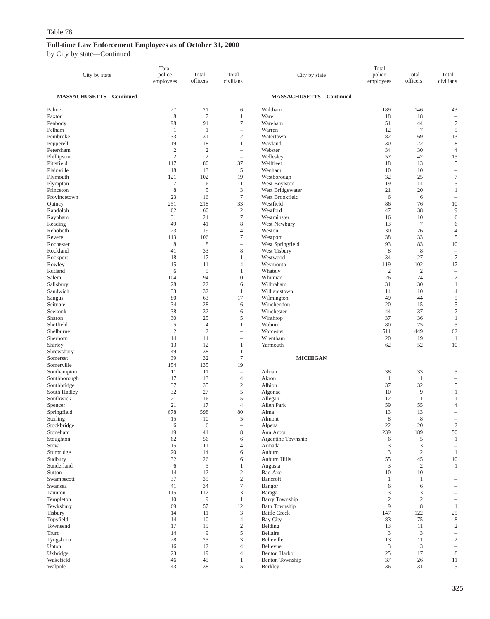| City by state               | Total<br>police<br>employees | Total<br>officers    | Total<br>civilians                     | City by state                   | Total<br>police<br>employees | Total<br>officers    | Total<br>civilians                    |
|-----------------------------|------------------------------|----------------------|----------------------------------------|---------------------------------|------------------------------|----------------------|---------------------------------------|
| MASSACHUSETTS-Continued     |                              |                      |                                        | MASSACHUSETTS-Continued         |                              |                      |                                       |
| Palmer                      | 27                           | 21                   | 6                                      | Waltham                         | 189                          | 146                  | 43                                    |
| Paxton                      | 8                            | $\tau$               | $\mathbf{1}$                           | Ware                            | 18                           | 18                   | $\hspace{1.0cm} - \hspace{1.0cm}$     |
| Peabody                     | 98                           | 91                   | $\tau$                                 | Wareham                         | 51                           | 44                   | $\tau$                                |
| Pelham                      | 1                            | 1                    | $\qquad \qquad -$                      | Warren                          | 12                           | $\overline{7}$       | 5                                     |
| Pembroke                    | 33                           | 31                   | $\mathbf{2}$                           | Watertown                       | 82                           | 69                   | 13                                    |
| Pepperell                   | 19                           | 18                   | 1                                      | Wayland                         | 30                           | 22                   | $\,$ 8 $\,$                           |
| Petersham                   | $\sqrt{2}$                   | $\sqrt{2}$           | $\qquad \qquad -$                      | Webster                         | 34                           | 30                   | $\overline{4}$                        |
| Phillipston<br>Pittsfield   | $\overline{2}$<br>117        | $\overline{2}$<br>80 | $\qquad \qquad -$<br>37                | Wellesley<br>Wellfleet          | 57<br>18                     | 42<br>13             | 15<br>5                               |
| Plainville                  | 18                           | 13                   | 5                                      | Wenham                          | 10                           | 10                   | $\hspace{0.1in} - \hspace{0.1in}$     |
| Plymouth                    | 121                          | 102                  | 19                                     | Westborough                     | 32                           | 25                   | $\boldsymbol{7}$                      |
| Plympton                    | $\tau$                       | 6                    | $\mathbf{1}$                           | West Boylston                   | 19                           | 14                   | 5                                     |
| Princeton                   | 8                            | 5                    | 3                                      | West Bridgewater                | 21                           | 20                   | 1                                     |
| Provincetown                | 23                           | 16                   | $\tau$                                 | West Brookfield                 | 6                            | 6                    | $\overline{\phantom{m}}$              |
| Quincy                      | 251                          | 218                  | 33                                     | Westfield                       | 86                           | 76                   | 10                                    |
| Randolph                    | 62                           | 60                   | $\sqrt{2}$                             | Westford                        | 47                           | 38                   | 9                                     |
| Raynham                     | 31                           | 24                   | $\tau$                                 | Westminster                     | 16                           | 10<br>$\overline{7}$ | 6                                     |
| Reading<br>Rehoboth         | 49<br>23                     | 41<br>19             | $\,$ 8 $\,$<br>$\overline{4}$          | West Newbury<br>Weston          | 13<br>30                     | 26                   | 6<br>4                                |
| Revere                      | 113                          | 106                  | $\tau$                                 | Westport                        | 38                           | 33                   | 5                                     |
| Rochester                   | 8                            | 8                    | $\overline{\phantom{0}}$               | West Springfield                | 93                           | 83                   | 10                                    |
| Rockland                    | 41                           | 33                   | 8                                      | West Tisbury                    | 8                            | 8                    | $\hspace{1.0cm} - \hspace{1.0cm}$     |
| Rockport                    | 18                           | 17                   | 1                                      | Westwood                        | 34                           | 27                   | $\boldsymbol{7}$                      |
| Rowley                      | 15                           | 11                   | $\overline{4}$                         | Weymouth                        | 119                          | 102                  | 17                                    |
| Rutland                     | 6                            | 5                    | $\mathbf{1}$                           | Whately                         | $\overline{2}$               | $\overline{2}$       | $\hspace{1.0cm} - \hspace{1.0cm}$     |
| Salem<br>Salisbury          | 104<br>28                    | 94<br>22             | 10<br>6                                | Whitman<br>Wilbraham            | 26<br>31                     | 24<br>30             | $\sqrt{2}$<br>$\mathbf{1}$            |
| Sandwich                    | 33                           | 32                   | 1                                      | Williamstown                    | 14                           | 10                   | $\overline{4}$                        |
| Saugus                      | 80                           | 63                   | 17                                     | Wilmington                      | 49                           | 44                   | 5                                     |
| Scituate                    | 34                           | 28                   | 6                                      | Winchendon                      | 20                           | 15                   | 5                                     |
| Seekonk                     | 38                           | 32                   | 6                                      | Winchester                      | 44                           | 37                   | $\boldsymbol{7}$                      |
| Sharon                      | 30                           | 25                   | 5                                      | Winthrop                        | 37                           | 36                   | $\mathbf{1}$                          |
| Sheffield                   | 5                            | $\overline{4}$       | $\mathbf{1}$                           | Woburn                          | 80                           | 75                   | 5                                     |
| Shelburne<br>Sherborn       | $\overline{2}$<br>14         | $\overline{2}$<br>14 | $\qquad \qquad -$<br>$\qquad \qquad -$ | Worcester<br>Wrentham           | 511<br>20                    | 449<br>19            | 62<br>$\mathbf{1}$                    |
| Shirley                     | 13                           | 12                   | $\mathbf{1}$                           | Yarmouth                        | 62                           | 52                   | 10                                    |
| Shrewsbury                  | 49                           | 38                   | 11                                     |                                 |                              |                      |                                       |
| Somerset                    | 39                           | 32                   | $\tau$                                 | <b>MICHIGAN</b>                 |                              |                      |                                       |
| Somerville                  | 154                          | 135                  | 19                                     |                                 |                              |                      |                                       |
| Southampton                 | 11                           | 11                   | $\overline{\phantom{0}}$               | Adrian                          | 38                           | 33                   | 5                                     |
| Southborough                | 17<br>37                     | 13                   | $\overline{4}$                         | Akron<br>Albion                 | 1                            | $\mathbf{1}$         | ÷                                     |
| Southbridge<br>South Hadley | 32                           | 35<br>27             | $\sqrt{2}$<br>5                        | Algonac                         | 37<br>10                     | 32<br>9              | 5<br>1                                |
| Southwick                   | 21                           | 16                   | 5                                      | Allegan                         | 12                           | 11                   | $\mathbf{1}$                          |
| Spencer                     | 21                           | 17                   | $\overline{4}$                         | Allen Park                      | 59                           | 55                   | $\overline{4}$                        |
| Springfield                 | 678                          | 598                  | 80                                     | Alma                            | 13                           | 13                   | $\overline{\phantom{a}}$              |
| Sterling                    | 15                           | 10                   | 5                                      | Almont                          | $\,$ 8 $\,$                  | 8                    |                                       |
| Stockbridge                 | 6                            | 6                    | $\qquad \qquad -$                      | Alpena                          | $22\,$                       | 20                   | $\sqrt{2}$                            |
| Stoneham<br>Stoughton       | 49<br>62                     | 41<br>56             | $\,$ 8 $\,$<br>6                       | Ann Arbor<br>Argentine Township | 239<br>6                     | 189<br>5             | $50\,$<br>$\mathbf{1}$                |
| Stow                        | 15                           | 11                   | 4                                      | Armada                          | 3                            | 3                    | $\overline{\phantom{0}}$              |
| Sturbridge                  | 20                           | 14                   | 6                                      | Auburn                          | $\mathfrak{Z}$               | $\sqrt{2}$           | 1                                     |
| Sudbury                     | 32                           | 26                   | 6                                      | Auburn Hills                    | 55                           | 45                   | 10                                    |
| Sunderland                  | 6                            | $\sqrt{5}$           | 1                                      | Augusta                         | 3                            | $\overline{c}$       | $\mathbf{1}$                          |
| Sutton                      | 14                           | 12                   | $\sqrt{2}$                             | <b>Bad Axe</b>                  | 10                           | 10                   |                                       |
| Swampscott<br>Swansea       | 37<br>41                     | 35<br>34             | $\sqrt{2}$<br>$\tau$                   | Bancroft                        | -1<br>6                      | 1<br>6               |                                       |
| Taunton                     | 115                          | 112                  | 3                                      | Bangor<br>Baraga                | 3                            | 3                    |                                       |
| Templeton                   | 10                           | $\overline{9}$       | $\mathbf{1}$                           | <b>Barry Township</b>           | $\sqrt{2}$                   | $\sqrt{2}$           |                                       |
| Tewksbury                   | 69                           | 57                   | 12                                     | <b>Bath Township</b>            | 9                            | $\,8\,$              | $\mathbf{1}$                          |
| Tisbury                     | 14                           | 11                   | 3                                      | <b>Battle Creek</b>             | 147                          | 122                  | 25                                    |
| Topsfield                   | 14                           | 10                   | $\overline{4}$                         | <b>Bay City</b>                 | 83                           | 75                   | $\,$ 8 $\,$                           |
| Townsend                    | 17                           | 15                   | $\sqrt{2}$                             | Belding                         | 13                           | 11                   | $\overline{c}$                        |
| Truro<br>Tyngsboro          | 14<br>28                     | $\overline{9}$<br>25 | 5<br>3                                 | Bellaire<br>Belleville          | 3<br>13                      | 3<br>11              | $\qquad \qquad -$<br>$\boldsymbol{2}$ |
| Upton                       | 16                           | 12                   | $\overline{4}$                         | Bellevue                        | 3                            | 3                    | $\overline{\phantom{0}}$              |
| Uxbridge                    | 23                           | 19                   | $\overline{4}$                         | Benton Harbor                   | 25                           | 17                   | 8                                     |
| Wakefield                   | 46                           | 45                   | $\mathbf{1}$                           | Benton Township                 | 37                           | 26                   | 11                                    |
| Walpole                     | 43                           | 38                   | 5                                      | Berkley                         | 36                           | 31                   | 5                                     |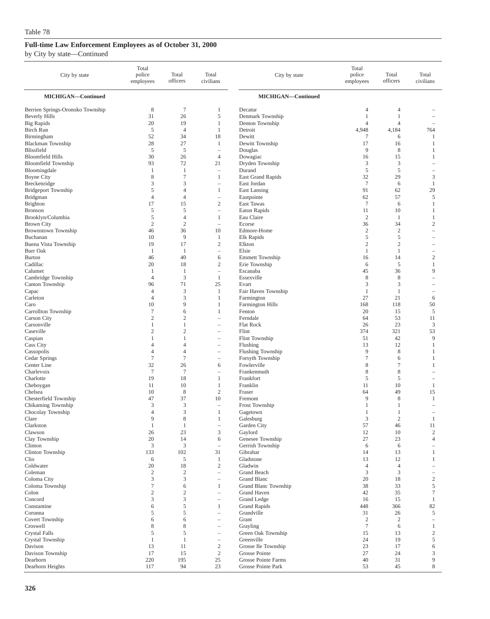| City by state                           | Total<br>police<br>employees | Total<br>officers                | Total<br>civilians                                    | City by state                              | Total<br>police<br>employees | Total<br>officers   | Total<br>civilians       |
|-----------------------------------------|------------------------------|----------------------------------|-------------------------------------------------------|--------------------------------------------|------------------------------|---------------------|--------------------------|
| MICHIGAN-Continued                      |                              |                                  |                                                       | MICHIGAN-Continued                         |                              |                     |                          |
| Berrien Springs-Oronoko Township        | 8                            | $\tau$                           | 1                                                     | Decatur                                    | 4                            | 4                   |                          |
| <b>Beverly Hills</b>                    | 31                           | 26                               | 5                                                     | Denmark Township                           | 1                            | 1                   |                          |
| <b>Big Rapids</b>                       | 20                           | 19                               | 1                                                     | Denton Township                            | $\overline{4}$               | $\overline{4}$      | ۰                        |
| <b>Birch Run</b>                        | 5                            | $\overline{4}$                   | 1                                                     | Detroit                                    | 4,948                        | 4,184               | 764                      |
| Birmingham<br>Blackman Township         | 52<br>28                     | 34<br>27                         | 18<br>1                                               | Dewitt<br>Dewitt Township                  | 7<br>17                      | 6<br>16             | 1<br>-1                  |
| Blissfield                              | 5                            | 5                                | $\hspace{1.0cm} - \hspace{1.0cm}$                     | Douglas                                    | 9                            | $\,$ 8 $\,$         | -1                       |
| <b>Bloomfield Hills</b>                 | 30                           | 26                               | $\overline{4}$                                        | Dowagiac                                   | 16                           | 15                  | 1                        |
| <b>Bloomfield Township</b>              | 93                           | 72                               | 21                                                    | Dryden Township                            | 3                            | 3                   |                          |
| Bloomingdale                            | 1                            | $\mathbf{1}$                     | $\hspace{1.0cm} - \hspace{1.0cm}$                     | Durand                                     | 5                            | 5                   |                          |
| <b>Boyne City</b>                       | $\,$ 8 $\,$                  | $\tau$                           | $\mathbf{1}$                                          | <b>East Grand Rapids</b>                   | 32                           | 29                  | 3                        |
| Breckenridge                            | 3                            | 3                                | $\overline{\phantom{a}}$                              | East Jordan                                | $7\phantom{.0}$              | 6                   | $\mathbf{1}$             |
| <b>Bridgeport Township</b><br>Bridgman  | 5<br>$\overline{4}$          | $\overline{4}$<br>$\overline{4}$ | 1<br>$\overline{\phantom{a}}$                         | East Lansing<br>Eastpointe                 | 91<br>62                     | 62<br>57            | 29<br>5                  |
| Brighton                                | 17                           | 15                               | $\mathfrak{2}$                                        | East Tawas                                 | $\overline{7}$               | 6                   | $\mathbf{1}$             |
| <b>Bronson</b>                          | 5                            | 5                                | $\overline{\phantom{a}}$                              | Eaton Rapids                               | 11                           | 10                  | 1                        |
| Brooklyn/Columbia                       | 5                            | $\overline{4}$                   | $\mathbf{1}$                                          | Eau Claire                                 | $\overline{2}$               | -1                  | 1                        |
| <b>Brown City</b>                       | $\mathfrak{2}$               | $\overline{2}$                   | $\equiv$                                              | Ecorse                                     | 36                           | 34                  | $\mathfrak{2}$           |
| <b>Brownstown Township</b>              | 46                           | 36                               | 10                                                    | Edmore-Home                                | $\sqrt{2}$                   | $\boldsymbol{2}$    | $\overline{\phantom{a}}$ |
| Buchanan                                | 10<br>19                     | 9                                | $\mathbf{1}$                                          | Elk Rapids                                 | 5<br>$\mathfrak{2}$          | 5<br>$\mathfrak{2}$ |                          |
| Buena Vista Township<br><b>Burr Oak</b> | 1                            | 17<br>$\mathbf{1}$               | $\boldsymbol{2}$<br>$\hspace{1.0cm} - \hspace{1.0cm}$ | Elkton<br>Elsie                            | 1                            | 1                   | $\overline{\phantom{a}}$ |
| <b>Burton</b>                           | 46                           | 40                               | 6                                                     | <b>Emmett Township</b>                     | 16                           | 14                  | $\mathfrak{2}$           |
| Cadillac                                | 20                           | 18                               | $\sqrt{2}$                                            | Erie Township                              | 6                            | 5                   | 1                        |
| Calumet                                 | 1                            | $\mathbf{1}$                     | $\hspace{1.0cm} - \hspace{1.0cm}$                     | Escanaba                                   | 45                           | 36                  | 9                        |
| Cambridge Township                      | $\overline{4}$               | 3                                | 1                                                     | Essexville                                 | 8                            | 8                   | ۰                        |
| Canton Township                         | 96                           | 71                               | 25                                                    | Evart                                      | 3                            | 3                   | ۰                        |
| Capac                                   | 4<br>$\overline{4}$          | 3                                | 1<br>1                                                | Fair Haven Township                        | 1<br>27                      | 1<br>21             | $\overline{\phantom{a}}$ |
| Carleton<br>Caro                        | 10                           | 3<br>9                           | $\mathbf{1}$                                          | Farmington<br>Farmington Hills             | 168                          | 118                 | 6<br>50                  |
| Carrollton Township                     | $\tau$                       | 6                                | 1                                                     | Fenton                                     | 20                           | 15                  | 5                        |
| <b>Carson City</b>                      | $\mathfrak{2}$               | $\overline{c}$                   | i.                                                    | Ferndale                                   | 64                           | 53                  | 11                       |
| Carsonville                             | 1                            | 1                                | $\overline{\phantom{a}}$                              | Flat Rock                                  | 26                           | 23                  | 3                        |
| Caseville                               | $\overline{c}$               | $\overline{c}$                   | $\overline{\phantom{0}}$                              | Flint                                      | 374                          | 321                 | 53                       |
| Caspian                                 | 1                            | $\mathbf{1}$                     | ÷                                                     | Flint Township                             | 51                           | 42                  | 9                        |
| Cass City<br>Cassopolis                 | 4<br>4                       | $\overline{4}$<br>$\overline{4}$ | $\overline{\phantom{m}}$<br>$\overline{\phantom{m}}$  | Flushing<br>Flushing Township              | 13<br>9                      | 12<br>$\,$ 8 $\,$   | 1<br>1                   |
| Cedar Springs                           | $\tau$                       | $\tau$                           | $\overline{\phantom{m}}$                              | Forsyth Township                           | 7                            | 6                   | 1                        |
| Center Line                             | 32                           | 26                               | 6                                                     | Fowlerville                                | 8                            | $\overline{7}$      | 1                        |
| Charlevoix                              | $\tau$                       | $\overline{7}$                   |                                                       | Frankenmuth                                | 8                            | 8                   |                          |
| Charlotte                               | 19                           | 18                               | $\mathbf{1}$                                          | Frankfort                                  | 5                            | $\mathfrak s$       |                          |
| Cheboygan                               | 11                           | 10                               | 1                                                     | Franklin                                   | 11                           | 10                  | 1                        |
| Chelsea<br>Chesterfield Township        | 10<br>47                     | 8<br>37                          | $\overline{c}$<br>10                                  | Fraser<br>Fremont                          | 64<br>9                      | 49<br>8             | 15<br>1                  |
| Chikaming Township                      | 3                            | 3                                |                                                       | Frost Township                             | 1                            | 1                   |                          |
| Chocolay Township                       | $\overline{4}$               | 3                                | $\mathbf{1}$                                          | Gagetown                                   | 1                            | 1                   | $\overline{\phantom{a}}$ |
| Clare                                   | $\mathbf Q$                  | 8                                | 1                                                     | Galesburg                                  | 3                            | $\overline{c}$      |                          |
| Clarkston                               | $\mathbf{1}$                 | $\mathbf{1}$                     | $\overline{\phantom{a}}$                              | Garden City                                | 57                           | 46                  | 11                       |
| Clawson                                 | 26                           | 23                               | $\mathfrak{Z}$                                        | Gaylord                                    | 12                           | 10                  | $\mathfrak{2}$           |
| Clay Township<br>Clinton                | 20<br>3                      | 14<br>3                          | 6<br>$\overline{\phantom{a}}$                         | Genesee Township<br>Gerrish Township       | 27<br>6                      | 23<br>6             | $\overline{4}$<br>i.     |
| Clinton Township                        | 133                          | 102                              | 31                                                    | Gibraltar                                  | 14                           | 13                  | 1                        |
| Clio                                    | 6                            | 5                                | 1                                                     | Gladstone                                  | 13                           | 12                  | 1                        |
| Coldwater                               | 20                           | 18                               | $\mathbf{2}$                                          | Gladwin                                    | $\overline{4}$               | $\overline{4}$      | -                        |
| Coleman                                 | $\overline{c}$               | $\overline{c}$                   | $\overline{\phantom{m}}$                              | <b>Grand Beach</b>                         | 3                            | 3                   | $\qquad \qquad -$        |
| Coloma City                             | 3                            | 3                                | $\overline{\phantom{a}}$                              | Grand Blanc                                | 20                           | 18                  | $\sqrt{2}$               |
| Coloma Township<br>Colon                | $\tau$<br>$\sqrt{2}$         | 6<br>$\overline{2}$              | $\mathbf{1}$<br>$\overline{\phantom{a}}$              | <b>Grand Blanc Township</b><br>Grand Haven | 38<br>42                     | 33<br>35            | 5<br>$\boldsymbol{7}$    |
| Concord                                 | 3                            | 3                                | $\overline{\phantom{a}}$                              | Grand Ledge                                | 16                           | 15                  | $\mathbf{1}$             |
| Constantine                             | 6                            | 5                                | $\mathbf{1}$                                          | <b>Grand Rapids</b>                        | 448                          | 366                 | 82                       |
| Corunna                                 | 5                            | 5                                | $\overline{\phantom{a}}$                              | Grandville                                 | 31                           | 26                  | 5                        |
| Covert Township                         | 6                            | 6                                | $\overline{\phantom{0}}$                              | Grant                                      | $\overline{2}$               | $\overline{2}$      | $\qquad \qquad -$        |
| Croswell                                | 8                            | 8                                | $\overline{\phantom{m}}$                              | Grayling                                   | $\tau$                       | 6                   | $\mathbf{1}$             |
| <b>Crystal Falls</b>                    | 5                            | 5                                | $\overline{\phantom{m}}$                              | Green Oak Township                         | 15                           | 13                  | $\sqrt{2}$               |
| Crystal Township<br>Davison             | $\mathbf{1}$<br>13           | $\mathbf{1}$<br>11               | $\overline{\phantom{0}}$<br>$\boldsymbol{2}$          | Greenville<br>Grosse Ile Township          | 24<br>23                     | 19<br>17            | 5<br>6                   |
| Davison Township                        | 17                           | 15                               | $\sqrt{2}$                                            | Grosse Pointe                              | 27                           | 24                  | 3                        |
| Dearborn                                | 220                          | 195                              | 25                                                    | Grosse Pointe Farms                        | 40                           | 31                  | 9                        |
| Dearborn Heights                        | 117                          | 94                               | 23                                                    | Grosse Pointe Park                         | 53                           | 45                  | $\,$ 8 $\,$              |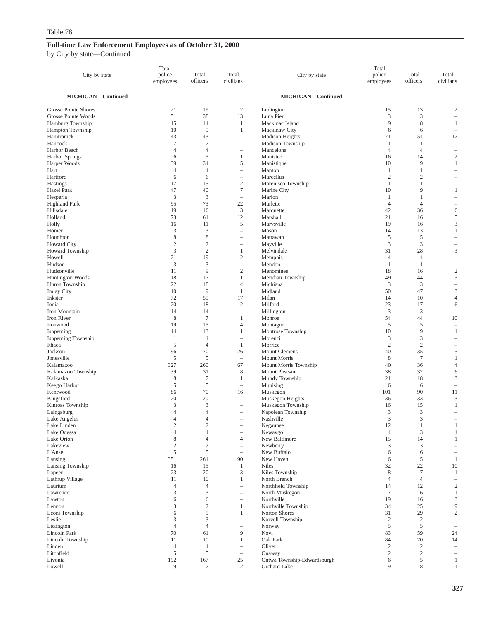| City by state                                      | Total<br>police<br>employees | Total<br>officers                | Total<br>civilians                                  | City by state                          | Total<br>police<br>employees | Total<br>officers              | Total<br>civilians                                   |
|----------------------------------------------------|------------------------------|----------------------------------|-----------------------------------------------------|----------------------------------------|------------------------------|--------------------------------|------------------------------------------------------|
| MICHIGAN-Continued                                 |                              |                                  |                                                     | MICHIGAN-Continued                     |                              |                                |                                                      |
| <b>Grosse Pointe Shores</b><br>Grosse Pointe Woods | 21<br>51                     | 19<br>38                         | $\mathfrak{2}$<br>13                                | Ludington<br>Luna Pier                 | 15<br>3                      | 13<br>3                        | 2<br>$\qquad \qquad -$                               |
| Hamburg Township<br>Hampton Township               | 15<br>10                     | 14<br>9                          | 1<br>$\mathbf{1}$                                   | Mackinac Island<br>Mackinaw City       | 9<br>6                       | 8<br>6                         | $\mathbf{1}$<br>$\hspace{1.0cm} - \hspace{1.0cm}$    |
| Hamtramck                                          | 43                           | 43                               | $\qquad \qquad -$                                   | <b>Madison Heights</b>                 | 71                           | 54                             | 17                                                   |
| Hancock<br>Harbor Beach                            | $\tau$<br>$\overline{4}$     | $\overline{7}$<br>$\overline{4}$ | $\qquad \qquad -$<br>$\qquad \qquad -$              | Madison Township<br>Mancelona          | 1<br>$\overline{4}$          | 1<br>$\overline{4}$            | ÷<br>$\overline{\phantom{0}}$                        |
| <b>Harbor Springs</b>                              | 6                            | $\mathfrak s$                    | 1                                                   | Manistee                               | 16                           | 14                             | $\boldsymbol{2}$                                     |
| Harper Woods                                       | 39                           | 34                               | 5                                                   | Manistique                             | 10                           | 9                              | $\mathbf{1}$                                         |
| Hart<br>Hartford                                   | $\overline{4}$<br>6          | $\overline{4}$<br>6              | $\overline{\phantom{0}}$<br>$\qquad \qquad -$       | Manton<br>Marcellus                    | 1<br>$\overline{2}$          | $\mathbf{1}$<br>$\overline{2}$ | ÷<br>$\equiv$                                        |
| Hastings                                           | 17                           | 15                               | $\sqrt{2}$                                          | Marenisco Township                     | $\mathbf{1}$                 | $\mathbf{1}$                   |                                                      |
| Hazel Park                                         | 47<br>$\mathfrak{Z}$         | 40<br>3                          | $\boldsymbol{7}$                                    | Marine City<br>Marion                  | 10<br>1                      | 9<br>1                         | $\mathbf{1}$                                         |
| Hesperia<br><b>Highland Park</b>                   | 95                           | 73                               | $\qquad \qquad -$<br>22                             | Marlette                               | $\overline{4}$               | $\overline{4}$                 | $\overline{\phantom{0}}$<br>$\overline{\phantom{0}}$ |
| Hillsdale                                          | 19                           | 16                               | $\mathfrak z$                                       | Marquette                              | 42                           | 36                             | 6                                                    |
| Holland                                            | 73<br>16                     | 61<br>11                         | 12<br>5                                             | Marshall                               | 21<br>19                     | 16<br>16                       | 5<br>3                                               |
| Holly<br>Homer                                     | 3                            | 3                                | $\qquad \qquad -$                                   | Marysville<br>Mason                    | 14                           | 13                             | 1                                                    |
| Houghton                                           | 8                            | $\,$ 8 $\,$                      | $\overline{\phantom{a}}$                            | Mattawan                               | 5                            | 5                              | $\overline{\phantom{0}}$                             |
| <b>Howard City</b><br>Howard Township              | $\mathfrak{2}$<br>3          | $\mathfrak{2}$<br>$\mathfrak{2}$ | $\qquad \qquad -$<br>$\mathbf{1}$                   | Mayville<br>Melvindale                 | 3<br>31                      | 3<br>28                        | $\qquad \qquad -$<br>3                               |
| Howell                                             | 21                           | 19                               | $\sqrt{2}$                                          | Memphis                                | 4                            | $\overline{4}$                 | $\overline{\phantom{0}}$                             |
| Hudson                                             | 3                            | 3                                | $\qquad \qquad -$                                   | Mendon                                 | $\mathbf{1}$                 | $\mathbf{1}$                   | $\qquad \qquad -$                                    |
| Hudsonville<br>Huntington Woods                    | 11<br>18                     | 9<br>17                          | $\mathfrak{2}$<br>1                                 | Menominee<br>Meridian Township         | 18<br>49                     | 16<br>44                       | $\boldsymbol{2}$<br>5                                |
| Huron Township                                     | 22                           | 18                               | $\overline{4}$                                      | Michiana                               | 3                            | 3                              | $\qquad \qquad -$                                    |
| <b>Imlay City</b>                                  | 10                           | 9                                | 1                                                   | Midland                                | 50                           | 47                             | 3                                                    |
| Inkster<br>Ionia                                   | 72<br>20                     | 55<br>18                         | 17<br>$\mathfrak{2}$                                | Milan<br>Milford                       | 14<br>23                     | 10<br>17                       | $\overline{4}$<br>6                                  |
| Iron Mountain                                      | 14                           | 14                               | $\qquad \qquad -$                                   | Millington                             | 3                            | 3                              | $\overline{\phantom{m}}$                             |
| Iron River                                         | 8                            | $\tau$                           | 1                                                   | Monroe                                 | 54                           | 44                             | 10                                                   |
| Ironwood<br>Ishpeming                              | 19<br>14                     | 15<br>13                         | $\overline{4}$<br>$\mathbf{1}$                      | Montague<br>Montrose Township          | 5<br>10                      | $\sqrt{5}$<br>9                | $\overline{\phantom{a}}$<br>1                        |
| Ishpeming Township                                 | 1                            | 1                                | $\overline{\phantom{0}}$                            | Morenci                                | 3                            | 3                              | $\overline{\phantom{0}}$                             |
| Ithaca                                             | 5                            | $\overline{4}$                   | 1                                                   | Morrice                                | $\overline{2}$               | $\overline{2}$                 | $\qquad \qquad -$                                    |
| Jackson<br>Jonesville                              | 96<br>5                      | 70<br>5                          | 26<br>÷,                                            | Mount Clemens<br>Mount Morris          | 40<br>8                      | 35<br>$\overline{7}$           | 5<br>$\mathbf{1}$                                    |
| Kalamazoo                                          | 327                          | $260\,$                          | 67                                                  | Mount Morris Township                  | 40                           | 36                             | $\overline{4}$                                       |
| Kalamazoo Township                                 | 39                           | 31                               | 8                                                   | Mount Pleasant                         | 38                           | 32                             | 6                                                    |
| Kalkaska<br>Keego Harbor                           | 8<br>5                       | $\overline{7}$<br>5              | 1<br>$\qquad \qquad -$                              | Mundy Township<br>Munising             | 21<br>6                      | 18<br>6                        | 3<br>÷                                               |
| Kentwood                                           | 86                           | 70                               | 16                                                  | Muskegon                               | 101                          | 90                             | 11                                                   |
| Kingsford                                          | 20                           | 20                               | $\qquad \qquad -$                                   | Muskegon Heights                       | 36                           | 33                             | $\mathfrak{Z}$                                       |
| Kinross Township<br>Laingsburg                     | 3<br>$\overline{4}$          | 3<br>$\overline{4}$              | $\overline{\phantom{a}}$<br>$\qquad \qquad -$       | Muskegon Township<br>Napolean Township | 16<br>3                      | 15<br>3                        | 1                                                    |
| Lake Angelus                                       | $\overline{\mathcal{A}}$     | $\Lambda$                        |                                                     | Nashville                              | 3                            | 3                              |                                                      |
| Lake Linden                                        | $\sqrt{2}$                   | $\sqrt{2}$                       | $\overline{\phantom{m}}$                            | Negaunee                               | 12                           | 11                             | $\mathbf{1}$                                         |
| Lake Odessa<br>Lake Orion                          | $\overline{4}$<br>8          | $\overline{4}$<br>$\overline{4}$ | $\hspace{1.0cm} - \hspace{1.0cm}$<br>$\overline{4}$ | Newaygo<br>New Baltimore               | $\overline{4}$<br>15         | $\mathfrak{Z}$<br>14           | $\mathbf{1}$<br>$\mathbf{1}$                         |
| Lakeview                                           | $\mathfrak{2}$               | $\overline{2}$                   | $\qquad \qquad -$                                   | Newberry                               | 3                            | 3                              | $\qquad \qquad -$                                    |
| L'Anse                                             | 5                            | 5                                | $\qquad \qquad -$                                   | New Buffalo                            | 6                            | 6                              |                                                      |
| Lansing<br>Lansing Township                        | 351<br>16                    | 261<br>15                        | 90<br>1                                             | New Haven<br><b>Niles</b>              | 6<br>32                      | 5<br>22                        | $\mathbf{1}$<br>10                                   |
| Lapeer                                             | 23                           | 20                               | 3                                                   | Niles Township                         | 8                            | $\overline{7}$                 | $\mathbf{1}$                                         |
| Lathrup Village                                    | 11                           | 10                               | 1                                                   | North Branch                           | 4                            | $\overline{4}$                 | $\overline{\phantom{0}}$                             |
| Laurium<br>Lawrence                                | $\overline{4}$<br>3          | $\overline{4}$<br>3              | $\qquad \qquad -$<br>$\overline{\phantom{m}}$       | Northfield Township<br>North Muskegon  | 14<br>$\tau$                 | 12<br>6                        | $\boldsymbol{2}$<br>$\mathbf{1}$                     |
| Lawton                                             | 6                            | 6                                | $\hspace{1.0cm} - \hspace{1.0cm}$                   | Northville                             | 19                           | 16                             | $\ensuremath{\mathsf{3}}$                            |
| Lennon                                             | 3                            | $\sqrt{2}$                       | $\mathbf{1}$                                        | Northville Township                    | 34                           | 25                             | 9                                                    |
| Leoni Township<br>Leslie                           | 6<br>3                       | $\mathfrak s$<br>3               | 1<br>$\qquad \qquad -$                              | Norton Shores<br>Norvell Township      | 31<br>$\overline{c}$         | 29<br>$\overline{2}$           | $\sqrt{2}$<br>$\qquad \qquad -$                      |
| Lexington                                          | $\overline{4}$               | $\overline{4}$                   | $\qquad \qquad -$                                   | Norway                                 | 5                            | 5                              | $\overline{\phantom{0}}$                             |
| Lincoln Park                                       | 70                           | 61                               | 9                                                   | Novi                                   | 83                           | 59                             | 24                                                   |
| Lincoln Township<br>Linden                         | 11<br>$\overline{4}$         | 10<br>$\overline{4}$             | $\mathbf{1}$<br>$\qquad \qquad -$                   | Oak Park<br>Olivet                     | 84<br>$\overline{c}$         | 70<br>$\overline{2}$           | 14<br>$\overline{\phantom{a}}$                       |
| Litchfield                                         | 5                            | 5                                | $\qquad \qquad -$                                   | Onaway                                 | $\mathfrak{2}$               | 2                              | $\qquad \qquad -$                                    |
| Livonia                                            | 192                          | 167                              | 25                                                  | Ontwa Township-Edwardsburgh            | 6                            | 5                              | $\mathbf{1}$                                         |
| Lowell                                             | $\overline{9}$               | $\tau$                           | $\sqrt{2}$                                          | Orchard Lake                           | 9                            | $\,$ 8 $\,$                    | $\mathbf{1}$                                         |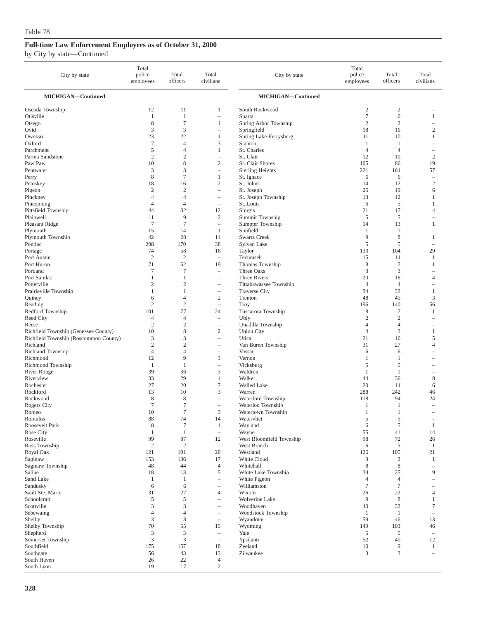| City by state                                     | Total<br>police<br>employees | Total<br>officers    | Total<br>civilians                                   | City by state                           | Total<br>police<br>employees | Total<br>officers       | Total<br>civilians            |
|---------------------------------------------------|------------------------------|----------------------|------------------------------------------------------|-----------------------------------------|------------------------------|-------------------------|-------------------------------|
| MICHIGAN-Continued                                |                              |                      |                                                      | MICHIGAN-Continued                      |                              |                         |                               |
| Oscoda Township                                   | 12                           | 11                   | 1                                                    | South Rockwood                          | $\boldsymbol{2}$             | $\overline{\mathbf{c}}$ |                               |
| Otisville                                         | $\mathbf{1}$                 | $\mathbf{1}$         | $\hspace{1.0cm} - \hspace{1.0cm}$                    | Sparta                                  | $\tau$                       | 6                       | 1                             |
| Otsego                                            | $\,$ 8 $\,$                  | $\tau$               | 1                                                    | Spring Arbor Township                   | $\overline{2}$               | $\overline{2}$          |                               |
| Ovid<br>Owosso                                    | 3<br>23                      | 3<br>22              | $\hspace{1.0cm} - \hspace{1.0cm}$<br>$\mathbf{1}$    | Springfield<br>Spring Lake-Ferrysburg   | 18<br>11                     | 16<br>10                | $\sqrt{2}$<br>1               |
| Oxford                                            | $\tau$                       | $\overline{4}$       | 3                                                    | Stanton                                 | 1                            | 1                       |                               |
| Parchment                                         | 5                            | $\overline{4}$       | $\mathbf{1}$                                         | St. Charles                             | 4                            | $\overline{4}$          |                               |
| Parma Sandstone                                   | $\sqrt{2}$                   | $\mathbf{2}$         | $\overline{\phantom{m}}$                             | St. Clair                               | 12                           | 10                      | $\sqrt{2}$                    |
| Paw Paw                                           | 10                           | 8                    | $\sqrt{2}$                                           | St. Clair Shores                        | 105                          | 86                      | 19                            |
| Pentwater                                         | 3                            | 3                    | $\hspace{1.0cm} - \hspace{1.0cm}$                    | <b>Sterling Heights</b>                 | 221                          | 164                     | 57                            |
| Perry                                             | $\,$ 8 $\,$                  | $\overline{7}$       | 1                                                    | St. Ignace                              | 6                            | 6                       | $\overline{\phantom{0}}$      |
| Petoskey<br>Pigeon                                | 18<br>$\sqrt{2}$             | 16<br>$\mathbf{2}$   | $\mathfrak{2}$<br>$\overline{\phantom{a}}$           | St. Johns<br>St. Joseph                 | 14<br>25                     | 12<br>19                | $\overline{2}$<br>6           |
| Pinckney                                          | $\overline{4}$               | $\overline{4}$       | $\overline{\phantom{0}}$                             | St. Joseph Township                     | 13                           | 12                      | 1                             |
| Pinconning                                        | $\overline{4}$               | $\overline{4}$       | $\overline{\phantom{m}}$                             | St. Louis                               | 6                            | 5                       | 1                             |
| Pittsfield Township                               | 44                           | 32                   | 12                                                   | Sturgis                                 | 21                           | 17                      | $\overline{4}$                |
| Plainwell                                         | 11                           | 9                    | $\overline{c}$                                       | Summit Township                         | 5                            | 5                       | $\overline{\phantom{a}}$      |
| Pleasant Ridge                                    | $\tau$                       | $\overline{7}$       | $\sim$                                               | Sumpter Township                        | 14                           | 13                      | $\mathbf{1}$                  |
| Plymouth                                          | 15                           | 14                   | 1                                                    | Sunfield                                | 1                            | 1                       | $\overline{\phantom{0}}$      |
| Plymouth Township<br>Pontiac                      | 42<br>208                    | 28<br>170            | 14<br>38                                             | <b>Swartz Creek</b><br>Sylvan Lake      | 9<br>5                       | 8<br>5                  | 1<br>$\overline{\phantom{a}}$ |
| Portage                                           | 74                           | 58                   | 16                                                   | Taylor                                  | 133                          | 104                     | 29                            |
| Port Austin                                       | $\sqrt{2}$                   | $\overline{c}$       | $\overline{\phantom{a}}$                             | Tecumseh                                | 15                           | 14                      | 1                             |
| Port Huron                                        | 71                           | 52                   | 19                                                   | Thomas Township                         | 8                            | $\tau$                  | 1                             |
| Portland                                          | $\tau$                       | $\overline{7}$       | $\overline{\phantom{a}}$                             | Three Oaks                              | 3                            | 3                       | ÷                             |
| Port Sanilac                                      | 1                            | $\mathbf{1}$         | $\overline{\phantom{m}}$                             | Three Rivers                            | 20                           | 16                      | $\overline{4}$                |
| Potterville                                       | $\mathfrak{2}$<br>1          | $\overline{c}$<br>1  |                                                      | Tittabawassee Township                  | $\overline{4}$<br>34         | $\overline{4}$<br>33    | 1                             |
| Prairieville Township<br>Quincy                   | 6                            | $\overline{4}$       | $\overline{\phantom{0}}$<br>$\sqrt{2}$               | <b>Traverse City</b><br>Trenton         | 48                           | 45                      | 3                             |
| Reading                                           | $\mathfrak{2}$               | $\overline{2}$       | $\overline{\phantom{m}}$                             | Troy                                    | 196                          | 140                     | 56                            |
| Redford Township                                  | 101                          | 77                   | 24                                                   | Tuscarora Township                      | 8                            | 7                       | 1                             |
| Reed City                                         | $\overline{4}$               | $\overline{4}$       | $\overline{\phantom{0}}$                             | Ubly                                    | $\mathfrak{2}$               | $\overline{2}$          |                               |
| Reese                                             | $\mathfrak{2}$               | $\overline{c}$       | $\overline{\phantom{0}}$                             | Unadilla Township                       | 4                            | 4                       | $\overline{\phantom{a}}$      |
| Richfield Township (Genessee County)              | 10                           | 8                    | $\sqrt{2}$                                           | <b>Union City</b>                       | 4                            | 3                       | 1                             |
| Richfield Township (Roscommon County)<br>Richland | 3<br>$\mathfrak{2}$          | 3<br>$\overline{2}$  | $\overline{\phantom{a}}$<br>$\overline{\phantom{m}}$ | Utica<br>Van Buren Township             | 21<br>31                     | 16<br>27                | 5<br>$\overline{4}$           |
| Richland Township                                 | $\overline{4}$               | $\overline{4}$       | $\overline{\phantom{0}}$                             | Vassar                                  | 6                            | 6                       |                               |
| Richmond                                          | 12                           | 9                    | $\mathfrak{Z}$                                       | Vernon                                  | 1                            | 1                       |                               |
| Richmond Township                                 | $\mathbf{1}$                 | 1                    | $\hspace{1.0cm} - \hspace{1.0cm}$                    | Vicksburg                               | 5                            | 5                       |                               |
| <b>River Rouge</b>                                | 39                           | 36                   | 3                                                    | Waldron                                 | 1                            | 1                       | ۰                             |
| Riverview                                         | 33                           | 29                   | $\overline{4}$                                       | Walker                                  | 44                           | 36                      | 8                             |
| Rochester                                         | 27                           | 20<br>10             | 7                                                    | <b>Walled Lake</b>                      | 20                           | 14                      | 6                             |
| Rockford<br>Rockwood                              | 13<br>8                      | 8                    | 3<br>$\overline{\phantom{m}}$                        | Warren<br>Waterford Township            | 288<br>118                   | 242<br>94               | 46<br>24                      |
| Rogers City                                       | $\tau$                       | $\tau$               | $\overline{\phantom{0}}$                             | Waterloo Township                       | 1                            | 1                       | $\overline{\phantom{a}}$      |
| Romeo                                             | 10                           | $\overline{7}$       | 3                                                    | Watertown Township                      | $\mathbf{1}$                 | 1                       |                               |
| <b>Romulus</b>                                    | 88                           | 74                   | 14                                                   | Watervliet                              | 5                            | 5                       |                               |
| Roosevelt Park                                    | $\,$ 8 $\,$                  | $\boldsymbol{7}$     | $\mathbf{1}$                                         | Wayland                                 | 6                            | $\mathfrak s$           | $\mathbf{1}$                  |
| Rose City                                         | 1                            | $\mathbf{1}$         | $\overline{\phantom{m}}$                             | Wayne                                   | 55                           | 41                      | 14                            |
| Roseville<br>Ross Township                        | 99<br>$\mathbf{2}$           | 87<br>$\overline{c}$ | 12<br>$\overline{\phantom{m}}$                       | West Bloomfield Township<br>West Branch | 98<br>6                      | 72<br>5                 | 26<br>$\mathbf{1}$            |
| Royal Oak                                         | 121                          | 101                  | 20                                                   | Westland                                | 126                          | 105                     | 21                            |
| Saginaw                                           | 153                          | 136                  | 17                                                   | White Cloud                             | 3                            | $\boldsymbol{2}$        | $\mathbf{1}$                  |
| Saginaw Township                                  | 48                           | 44                   | $\overline{4}$                                       | Whitehall                               | 8                            | $\,$ 8 $\,$             | $\overline{\phantom{a}}$      |
| Saline                                            | 18                           | 13                   | 5                                                    | White Lake Township                     | 34                           | 25                      | 9                             |
| Sand Lake                                         | $\mathbf{1}$                 | -1                   | $\overline{\phantom{0}}$                             | White Pigeon                            | $\overline{4}$               | $\overline{4}$          | $\qquad \qquad -$             |
| Sandusky<br>Sault Ste. Marie                      | 6<br>31                      | 6<br>27              | $\overline{\phantom{0}}$<br>$\overline{4}$           | Williamston<br>Wixom                    | $\tau$<br>26                 | $\tau$<br>22            | $\qquad \qquad -$<br>4        |
| Schoolcraft                                       | 5                            | 5                    | $\overline{\phantom{0}}$                             | Wolverine Lake                          | 9                            | $\,$ 8 $\,$             | $\mathbf{1}$                  |
| Scottville                                        | 3                            | 3                    | $\overline{\phantom{a}}$                             | Woodhaven                               | 40                           | 33                      | $\tau$                        |
| Sebewaing                                         | $\overline{4}$               | $\overline{4}$       | $\overline{\phantom{0}}$                             | Woodstock Township                      | 1                            | $\mathbf{1}$            | $\overline{\phantom{a}}$      |
| Shelby                                            | 3                            | 3                    | $\overline{\phantom{a}}$                             | Wyandotte                               | 59                           | 46                      | 13                            |
| Shelby Township                                   | 70                           | 55                   | 15                                                   | Wyoming                                 | 149                          | 103                     | 46                            |
| Shepherd                                          | 3                            | 3                    | $\overline{\phantom{m}}$                             | Yale                                    | 5                            | 5                       | $\overline{\phantom{a}}$      |
| Somerset Township<br>Southfield                   | 3<br>175                     | 3<br>157             | $\overline{\phantom{m}}$<br>18                       | Ypsilanti<br>Zeeland                    | 52<br>10                     | 40<br>9                 | 12<br>1                       |
| Southgate                                         | 56                           | 43                   | 13                                                   | Zilwaukee                               | 3                            | 3                       | $\qquad \qquad -$             |
| South Haven                                       | 26                           | 22                   | $\overline{4}$                                       |                                         |                              |                         |                               |
| South Lyon                                        | 19                           | 17                   | $\sqrt{2}$                                           |                                         |                              |                         |                               |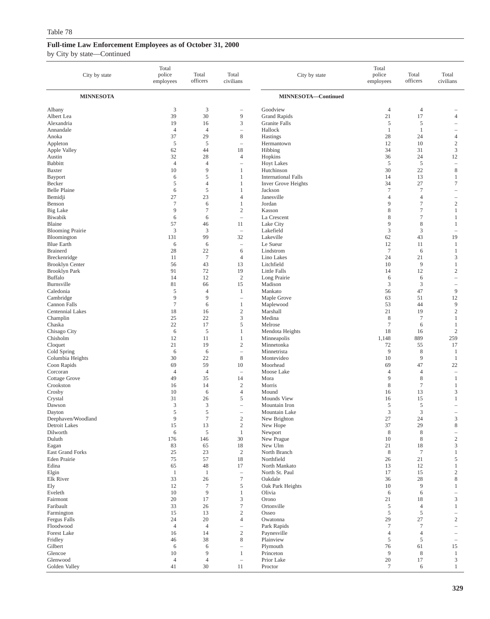| City by state                    | Total<br>police<br>employees | Total<br>officers      | Total<br>civilians                      | City by state                   | Total<br>police<br>employees | Total<br>officers             | Total<br>civilians                         |
|----------------------------------|------------------------------|------------------------|-----------------------------------------|---------------------------------|------------------------------|-------------------------------|--------------------------------------------|
| <b>MINNESOTA</b>                 |                              |                        |                                         | MINNESOTA-Continued             |                              |                               |                                            |
| Albany                           | $\mathfrak{Z}$               | $\mathfrak z$          | $\overline{\phantom{0}}$                | Goodview                        | $\overline{4}$               | $\overline{4}$                |                                            |
| Albert Lea                       | 39                           | 30                     | 9                                       | <b>Grand Rapids</b>             | 21                           | 17                            | $\overline{4}$                             |
| Alexandria<br>Annandale          | 19<br>$\overline{4}$         | 16<br>$\overline{4}$   | 3<br>$\overline{a}$                     | Granite Falls<br>Hallock        | 5<br>$\mathbf{1}$            | 5<br>$\mathbf{1}$             | -<br>-                                     |
| Anoka                            | 37                           | 29                     | 8                                       | Hastings                        | 28                           | 24                            | $\overline{4}$                             |
| Appleton                         | 5                            | 5                      | $\overline{a}$                          | Hermantown                      | 12                           | 10                            | $\sqrt{2}$                                 |
| Apple Valley                     | 62                           | 44                     | 18                                      | Hibbing                         | 34                           | 31                            | 3                                          |
| Austin                           | 32                           | 28                     | 4                                       | Hopkins                         | 36                           | 24                            | 12                                         |
| <b>Babbitt</b><br>Baxter         | $\overline{4}$<br>10         | $\overline{4}$<br>9    | $\overline{\phantom{0}}$<br>1           | <b>Hoyt Lakes</b><br>Hutchinson | $\sqrt{5}$<br>30             | $\sqrt{5}$<br>22              | $\overline{\phantom{0}}$<br>8              |
| Bayport                          | 6                            | 5                      | 1                                       | <b>International Falls</b>      | 14                           | 13                            | 1                                          |
| Becker                           | 5                            | $\overline{4}$         | 1                                       | Inver Grove Heights             | 34                           | 27                            | $\tau$                                     |
| <b>Belle Plaine</b>              | 6                            | $\mathfrak s$          | 1                                       | Jackson                         | $\tau$                       | $\tau$                        | -                                          |
| Bemidji                          | 27                           | 23                     | $\overline{4}$                          | Janesville                      | $\overline{4}$               | $\overline{4}$                | $\overline{\phantom{0}}$                   |
| Benson<br><b>Big Lake</b>        | $\overline{7}$<br>9          | 6<br>$\overline{7}$    | 1<br>$\mathfrak{2}$                     | Jordan<br>Kasson                | 9<br>8                       | $\tau$<br>$\tau$              | $\boldsymbol{2}$<br>$\mathbf{1}$           |
| Biwabik                          | 6                            | 6                      | $\hspace{1.0cm} \rule{1.5cm}{0.15cm}$   | La Crescent                     | 8                            | $\tau$                        | 1                                          |
| Blaine                           | 57                           | 46                     | 11                                      | Lake City                       | 9                            | $\,$ 8 $\,$                   | 1                                          |
| <b>Blooming Prairie</b>          | 3                            | 3                      | $\hspace{1.0cm} \rule{1.5cm}{0.15cm}$   | Lakefield                       | 3                            | 3                             | -                                          |
| Bloomington                      | 131                          | 99                     | 32                                      | Lakeville                       | 62                           | 43                            | 19                                         |
| <b>Blue Earth</b>                | 6                            | 6                      | $\hspace{1.0cm} \rule{1.5cm}{0.15cm}$   | Le Sueur                        | 12                           | 11                            | 1                                          |
| <b>Brainerd</b><br>Breckenridge  | 28<br>11                     | 22<br>$\boldsymbol{7}$ | 6<br>$\overline{4}$                     | Lindstrom<br>Lino Lakes         | $\tau$<br>24                 | 6<br>21                       | $\mathbf{1}$<br>3                          |
| <b>Brooklyn Center</b>           | 56                           | 43                     | 13                                      | Litchfield                      | 10                           | 9                             | $\mathbf{1}$                               |
| <b>Brooklyn Park</b>             | 91                           | 72                     | 19                                      | Little Falls                    | 14                           | 12                            | $\overline{\mathbf{c}}$                    |
| Buffalo                          | 14                           | 12                     | $\sqrt{2}$                              | Long Prairie                    | 6                            | 6                             | L,                                         |
| Burnsville                       | 81                           | 66                     | 15                                      | Madison                         | 3                            | 3                             |                                            |
| Caledonia<br>Cambridge           | 5<br>9                       | $\overline{4}$<br>9    | 1<br>$\overline{a}$                     | Mankato<br>Maple Grove          | 56<br>63                     | 47<br>51                      | 9<br>12                                    |
| Cannon Falls                     | $\overline{7}$               | 6                      | 1                                       | Maplewood                       | 53                           | 44                            | 9                                          |
| Centennial Lakes                 | 18                           | 16                     | $\mathbf{2}$                            | Marshall                        | 21                           | 19                            | $\sqrt{2}$                                 |
| Champlin                         | 25                           | 22                     | 3                                       | Medina                          | 8                            | $\tau$                        | 1                                          |
| Chaska                           | 22                           | 17                     | 5                                       | Melrose                         | $\boldsymbol{7}$             | 6                             | 1                                          |
| Chisago City<br>Chisholm         | 6<br>12                      | $\sqrt{5}$<br>11       | 1<br>1                                  | Mendota Heights<br>Minneapolis  | 18<br>1,148                  | 16<br>889                     | $\sqrt{2}$<br>259                          |
| Cloquet                          | 21                           | 19                     | $\mathfrak{2}$                          | Minnetonka                      | 72                           | 55                            | 17                                         |
| Cold Spring                      | 6                            | 6                      | $\overline{\phantom{0}}$                | Minnetrista                     | 9                            | 8                             | $\mathbf{1}$                               |
| Columbia Heights                 | 30                           | 22                     | 8                                       | Montevideo                      | 10                           | 9                             | 1                                          |
| Coon Rapids                      | 69                           | 59                     | 10                                      | Moorhead                        | 69                           | 47                            | 22                                         |
| Corcoran<br><b>Cottage Grove</b> | $\overline{4}$<br>49         | $\overline{4}$<br>35   | $\hspace{1.0cm} - \hspace{1.0cm}$<br>14 | Moose Lake<br>Mora              | $\overline{4}$<br>9          | $\overline{4}$<br>$\,$ 8 $\,$ | $\overline{\phantom{0}}$<br>1              |
| Crookston                        | 16                           | 14                     | $\overline{2}$                          | Morris                          | 8                            | $\tau$                        | $\mathbf{1}$                               |
| Crosby                           | 10                           | 6                      | $\overline{4}$                          | Mound                           | 16                           | 13                            | 3                                          |
| Crystal                          | 31                           | 26                     | 5                                       | Mounds View                     | 16                           | 15                            | 1                                          |
| Dawson                           | 3                            | 3                      | $\overline{\phantom{0}}$                | Mountain Iron                   | 5                            | 5                             |                                            |
| Dayton<br>Deephaven/Woodland     | 5                            | 5<br>7                 | L,                                      | Mountain Lake                   | 3                            | 3                             |                                            |
| Detroit Lakes                    | 9<br>15                      | 13                     | $\mathbf{2}$<br>$\sqrt{2}$              | New Brighton<br>New Hope        | 27<br>37                     | 24<br>29                      | 3<br>$\,$ 8 $\,$                           |
| Dilworth                         | $\sqrt{6}$                   | 5                      | $\mathbf{1}$                            | Newport                         | $\,$ 8 $\,$                  | $\,$ 8 $\,$                   | $\overline{\phantom{0}}$                   |
| Duluth                           | 176                          | 146                    | 30                                      | New Prague                      | 10                           | $\,$ 8 $\,$                   | $\sqrt{2}$                                 |
| Eagan                            | 83                           | 65                     | 18                                      | New Ulm                         | 21                           | 18                            | 3                                          |
| East Grand Forks<br>Eden Prairie | 25<br>75                     | 23<br>57               | $\sqrt{2}$<br>18                        | North Branch<br>Northfield      | $\,8\,$<br>26                | $\tau$<br>21                  | $\mathbf{1}$<br>5                          |
| Edina                            | 65                           | 48                     | 17                                      | North Mankato                   | 13                           | 12                            | $\mathbf{1}$                               |
| Elgin                            | $\mathbf{1}$                 | $\mathbf{1}$           | $\overline{\phantom{m}}$                | North St. Paul                  | 17                           | 15                            | $\mathbf{2}$                               |
| Elk River                        | 33                           | 26                     | $\boldsymbol{7}$                        | Oakdale                         | 36                           | 28                            | 8                                          |
| Ely                              | 12                           | $\tau$                 | $\mathfrak s$                           | Oak Park Heights                | 10                           | 9                             | 1                                          |
| Eveleth<br>Fairmont              | 10<br>20                     | 9<br>17                | $\mathbf{1}$<br>$\mathfrak z$           | Olivia<br>Orono                 | 6<br>21                      | 6<br>18                       | $\overline{\phantom{0}}$<br>$\mathfrak{Z}$ |
| Faribault                        | 33                           | 26                     | $\boldsymbol{7}$                        | Ortonville                      | 5                            | $\overline{4}$                | $\mathbf{1}$                               |
| Farmington                       | 15                           | 13                     | $\sqrt{2}$                              | Osseo                           | 5                            | 5                             | $\overline{\phantom{0}}$                   |
| Fergus Falls                     | 24                           | 20                     | $\overline{4}$                          | Owatonna                        | 29                           | 27                            | $\overline{c}$                             |
| Floodwood                        | $\overline{4}$               | $\overline{4}$         | $\overline{\phantom{0}}$                | Park Rapids                     | $\tau$                       | $\boldsymbol{7}$              | $\equiv$                                   |
| <b>Forest Lake</b><br>Fridley    | 16<br>46                     | 14<br>38               | $\sqrt{2}$<br>$\,$ 8 $\,$               | Paynesville<br>Plainview        | $\overline{4}$<br>5          | $\overline{4}$<br>5           | $\overline{\phantom{0}}$                   |
| Gilbert                          | 6                            | 6                      | $\overline{\phantom{0}}$                | Plymouth                        | 76                           | 61                            | $\overline{\phantom{a}}$<br>15             |
| Glencoe                          | $10\,$                       | 9                      | 1                                       | Princeton                       | 9                            | $\,$ 8 $\,$                   | $\mathbf{1}$                               |
| Glenwood                         | $\overline{4}$               | $\overline{4}$         | $\overline{\phantom{0}}$                | Prior Lake                      | 20                           | 17                            | 3                                          |
| Golden Valley                    | 41                           | 30                     | 11                                      | Proctor                         | $\tau$                       | 6                             | $\mathbf{1}$                               |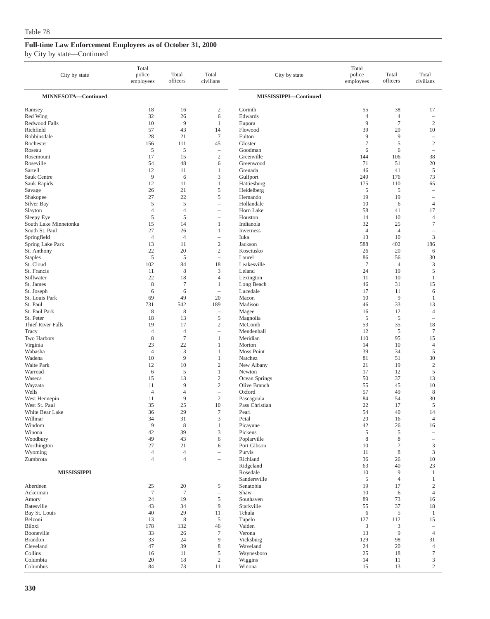| City by state             | Total<br>police<br>employees | Total<br>officers | Total<br>civilians       | City by state           | Total<br>police<br>employees | Total<br>officers    | Total<br>civilians                            |
|---------------------------|------------------------------|-------------------|--------------------------|-------------------------|------------------------------|----------------------|-----------------------------------------------|
| MINNESOTA-Continued       |                              |                   |                          | MISSISSIPPI-Continued   |                              |                      |                                               |
| Ramsey<br>Red Wing        | 18<br>32                     | 16<br>26          | $\boldsymbol{2}$<br>6    | Corinth<br>Edwards      | 55<br>$\overline{4}$         | 38<br>$\overline{4}$ | 17<br>$\overline{\phantom{a}}$                |
| Redwood Falls             | 10                           | 9                 | 1                        | Eupora                  | 9                            | $\tau$               | $\sqrt{2}$                                    |
| Richfield                 | 57                           | 43                | 14                       | Flowood                 | 39                           | 29                   | 10                                            |
| Robbinsdale               | 28                           | 21                | $\boldsymbol{7}$         | Fulton                  | 9                            | 9                    | $\overline{\phantom{a}}$                      |
| Rochester                 | 156                          | 111               | 45                       | Gloster                 | $\tau$                       | 5                    | $\overline{c}$                                |
| Roseau                    | 5                            | 5                 | $\overline{\phantom{a}}$ | Goodman                 | 6                            | 6                    | $\overline{\phantom{0}}$                      |
| Rosemount                 | 17                           | 15                | $\sqrt{2}$               | Greenville              | 144                          | 106                  | 38                                            |
| Roseville                 | 54                           | 48                | 6                        | Greenwood               | 71                           | 51                   | 20                                            |
| Sartell                   | 12                           | 11                | 1                        | Grenada                 | 46                           | 41                   | 5                                             |
| Sauk Centre               | 9                            | 6                 | 3                        | Gulfport                | 249                          | 176                  | 73                                            |
| Sauk Rapids               | 12                           | 11                | $\mathbf{1}$             | Hattiesburg             | 175                          | 110                  | 65                                            |
| Savage                    | 26                           | 21                | $\mathfrak s$            | Heidelberg              | 5                            | 5                    | i.                                            |
| Shakopee                  | 27                           | 22                | 5                        | Hernando                | 19                           | 19                   | $\overline{\phantom{a}}$                      |
| Silver Bay                | 5                            | $\sqrt{5}$        | ÷,                       | Hollandale              | 10                           | 6                    | $\overline{4}$                                |
| Slayton                   | $\overline{4}$               | $\overline{4}$    | $\overline{\phantom{0}}$ | Horn Lake               | 58                           | 41                   | 17                                            |
| Sleepy Eye                | 5                            | 5                 | $\overline{\phantom{a}}$ | Houston                 | 14                           | 10                   | $\overline{4}$                                |
| South Lake Minnetonka     | 15                           | 14                | 1                        | Indianola               | 32                           | 25                   | $\tau$                                        |
| South St. Paul            | 27                           | 26                | 1                        | Inverness               | $\overline{4}$               | $\overline{4}$       | $\overline{\phantom{a}}$                      |
| Springfield               | $\overline{4}$               | $\overline{4}$    | $\overline{\phantom{0}}$ | Iuka                    | 13                           | 10                   | $\mathfrak z$                                 |
| Spring Lake Park          | 13                           | 11                | $\mathbf{2}$             | Jackson                 | 588                          | 402                  | 186                                           |
| St. Anthony               | 22                           | 20                | $\sqrt{2}$               | Kosciusko               | 26                           | 20                   | 6                                             |
| <b>Staples</b>            | 5                            | 5                 | $\overline{\phantom{0}}$ | Laurel                  | 86                           | 56                   | 30                                            |
| St. Cloud                 | 102                          | 84                | 18                       | Leakesville             | $\overline{7}$               | $\overline{4}$       | 3                                             |
| St. Francis<br>Stillwater | 11<br>22                     | $\,8\,$<br>18     | 3<br>$\overline{4}$      | Leland                  | 24<br>11                     | 19<br>10             | $\sqrt{5}$<br>$\mathbf{1}$                    |
| St. James                 | 8                            | $\tau$            | $\mathbf{1}$             | Lexington<br>Long Beach | 46                           | 31                   | 15                                            |
| St. Joseph                | 6                            | 6                 | $\overline{\phantom{0}}$ | Lucedale                | 17                           | 11                   | 6                                             |
| St. Louis Park            | 69                           | 49                | 20                       | Macon                   | 10                           | 9                    | $\mathbf{1}$                                  |
| St. Paul                  | 731                          | 542               | 189                      | Madison                 | 46                           | 33                   | 13                                            |
| St. Paul Park             | 8                            | 8                 | $\overline{\phantom{0}}$ | Magee                   | 16                           | 12                   | $\overline{4}$                                |
| St. Peter                 | 18                           | 13                | $\mathfrak s$            | Magnolia                | 5                            | 5                    | $\overline{\phantom{0}}$                      |
| Thief River Falls         | 19                           | 17                | $\overline{c}$           | McComb                  | 53                           | 35                   | 18                                            |
| Tracy                     | $\overline{4}$               | $\overline{4}$    | $\overline{\phantom{0}}$ | Mendenhall              | 12                           | 5                    | $\tau$                                        |
| Two Harbors               | 8                            | $\overline{7}$    | $\mathbf{1}$             | Meridian                | 110                          | 95                   | 15                                            |
| Virginia                  | 23                           | 22                | $\mathbf{1}$             | Morton                  | 14                           | 10                   | $\overline{4}$                                |
| Wabasha                   | $\overline{4}$               | 3                 | 1                        | Moss Point              | 39                           | 34                   | $\sqrt{5}$                                    |
| Wadena                    | 10                           | 9                 | 1                        | Natchez                 | 81                           | 51                   | 30                                            |
| Waite Park                | 12                           | 10                | $\mathfrak{2}$           | New Albany              | 21                           | 19                   | $\sqrt{2}$                                    |
| Warroad                   | 6                            | $\sqrt{5}$        | $\mathbf{1}$             | Newton                  | 17                           | 12                   | $\sqrt{5}$                                    |
| Waseca                    | 15                           | 13                | $\mathfrak{2}$           | Ocean Springs           | 50                           | 37                   | 13                                            |
| Wayzata                   | 11                           | 9                 | $\sqrt{2}$               | Olive Branch            | 55                           | 45                   | 10                                            |
| Wells                     | $\overline{4}$               | $\overline{4}$    | $\overline{\phantom{0}}$ | Oxford                  | 57                           | 49                   | $\,$ 8 $\,$                                   |
| West Hennepin             | 11                           | 9                 | $\mathbf{2}$             | Pascagoula              | 84                           | 54                   | 30                                            |
| West St. Paul             | 35                           | 25                | 10                       | Pass Christian          | 22                           | 17                   | 5                                             |
| White Bear Lake           | 36                           | 29                | $\tau$                   | Pearl                   | 54                           | 40                   | 14                                            |
| Willmar                   | 34<br>9                      | 31                | 3                        | Petal                   | 20<br>$42\,$                 | 16<br>$26\,$         | $\overline{4}$                                |
| Windom<br>Winona          | 42                           | $\,$ 8 $\,$<br>39 | $\mathbf{1}$<br>3        | Picayune<br>Pickens     | 5                            | 5                    | 16                                            |
| Woodbury                  | 49                           | 43                | 6                        | Poplarville             | 8                            | 8                    | $\qquad \qquad -$<br>$\overline{\phantom{m}}$ |
| Worthington               | 27                           | 21                | 6                        | Port Gibson             | 10                           | 7                    | 3                                             |
| Wyoming                   | $\overline{4}$               | $\overline{4}$    | L.                       | Purvis                  | 11                           | 8                    | 3                                             |
| Zumbrota                  | $\overline{4}$               | $\overline{4}$    | ÷,                       | Richland                | 36                           | 26                   | $10\,$                                        |
|                           |                              |                   |                          | Ridgeland               | 63                           | 40                   | 23                                            |
| <b>MISSISSIPPI</b>        |                              |                   |                          | Rosedale                | 10                           | 9                    | $\mathbf{1}$                                  |
|                           |                              |                   |                          | Sandersville            | 5                            | $\overline{4}$       | 1                                             |
| Aberdeen                  | 25                           | 20                | 5                        | Senatobia               | 19                           | 17                   | $\overline{c}$                                |
| Ackerman                  | $\overline{7}$               | $7\phantom{.0}$   | $\overline{\phantom{m}}$ | Shaw                    | 10                           | 6                    | $\overline{4}$                                |
| Amory                     | 24                           | 19                | $\mathfrak s$            | Southaven               | 89                           | 73                   | 16                                            |
| Batesville                | 43                           | 34                | 9                        | Starkville              | 55                           | 37                   | 18                                            |
| Bay St. Louis             | 40                           | 29                | 11                       | Tchula                  | 6                            | 5                    | $\mathbf{1}$                                  |
| Belzoni                   | 13                           | $\,$ 8 $\,$       | 5                        | Tupelo                  | 127                          | 112                  | 15                                            |
| Biloxi                    | 178                          | 132               | 46                       | Vaiden                  | 3                            | 3                    | $\overline{\phantom{a}}$                      |
| Booneville                | 33                           | 26                | $\tau$                   | Verona                  | 13                           | 9                    | $\overline{4}$                                |
| <b>Brandon</b>            | 33                           | 24                | 9                        | Vicksburg               | 129                          | 98                   | 31                                            |
| Cleveland                 | 47                           | 39                | 8                        | Waveland                | 24                           | 20                   | $\overline{4}$                                |
| Collins                   | 16                           | 11                | 5                        | Waynesboro              | 25                           | 18                   | $\boldsymbol{7}$                              |
| Columbia                  | 20                           | 18                | $\overline{c}$           | Wiggins                 | 14                           | 11                   | $\ensuremath{\mathfrak{Z}}$                   |
| Columbus                  | 84                           | 73                | 11                       | Winona                  | 15                           | 13                   | $\mathbf{2}$                                  |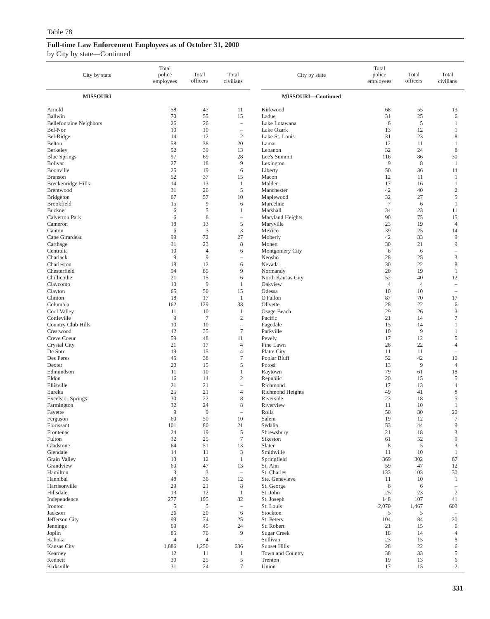| City by state                    | Total<br>police<br>employees | Total<br>officers    | Total<br>civilians                     | City by state                  | Total<br>police<br>employees | Total<br>officers | Total<br>civilians                                  |
|----------------------------------|------------------------------|----------------------|----------------------------------------|--------------------------------|------------------------------|-------------------|-----------------------------------------------------|
| <b>MISSOURI</b>                  |                              |                      |                                        | MISSOURI-Continued             |                              |                   |                                                     |
| Arnold<br>Ballwin                | 58<br>70                     | 47<br>55             | 11<br>15                               | Kirkwood<br>Ladue              | 68<br>31                     | 55<br>25          | 13<br>6                                             |
| <b>Bellefontaine Neighbors</b>   | 26                           | 26                   | $\overline{\phantom{a}}$               | Lake Lotawana                  | 6                            | $\sqrt{5}$        | -1                                                  |
| Bel-Nor<br>Bel-Ridge             | 10<br>14                     | 10<br>12             | $\overline{\phantom{a}}$<br>$\sqrt{2}$ | Lake Ozark<br>Lake St. Louis   | 13<br>31                     | 12<br>23          | $\mathbf{1}$<br>8                                   |
| Belton                           | 58                           | 38                   | 20                                     | Lamar                          | 12                           | 11                | $\mathbf{1}$                                        |
| Berkeley                         | 52                           | 39                   | 13                                     | Lebanon                        | 32                           | 24                | 8                                                   |
| <b>Blue Springs</b>              | 97                           | 69                   | 28                                     | Lee's Summit                   | 116                          | 86                | 30                                                  |
| Bolivar                          | 27                           | 18                   | 9                                      | Lexington                      | 9                            | 8                 | $\mathbf{1}$                                        |
| Boonville<br><b>Branson</b>      | 25<br>52                     | 19<br>37             | 6<br>15                                | Liberty<br>Macon               | 50<br>12                     | 36<br>11          | 14<br>-1                                            |
| Breckenridge Hills               | 14                           | 13                   | 1                                      | Malden                         | 17                           | 16                | $\mathbf{1}$                                        |
| Brentwood                        | 31                           | 26                   | $\mathfrak s$                          | Manchester                     | 42                           | 40                | $\sqrt{2}$                                          |
| <b>Bridgeton</b>                 | 67                           | 57                   | 10                                     | Maplewood                      | 32                           | 27                | 5                                                   |
| Brookfield                       | 15                           | 9                    | 6                                      | Marceline                      | $\overline{7}$               | 6                 | -1                                                  |
| Buckner<br><b>Calverton Park</b> | 6<br>6                       | 5<br>6               | 1                                      | Marshall<br>Maryland Heights   | 34<br>90                     | 23<br>75          | 11<br>15                                            |
| Cameron                          | 18                           | 13                   | $\sqrt{5}$                             | Maryville                      | 23                           | 19                | $\overline{4}$                                      |
| Canton                           | 6                            | 3                    | 3                                      | Mexico                         | 39                           | 25                | 14                                                  |
| Cape Girardeau                   | 99                           | 72                   | 27                                     | Moberly                        | 42                           | 33                | 9                                                   |
| Carthage                         | 31                           | 23                   | 8                                      | Monett                         | 30                           | 21                | 9                                                   |
| Centralia<br>Charlack            | 10<br>9                      | $\overline{4}$<br>9  | 6<br>$\overline{\phantom{0}}$          | Montgomery City<br>Neosho      | 6<br>28                      | 6<br>25           | $\hspace{1.0cm} - \hspace{1.0cm}$<br>$\mathfrak{Z}$ |
| Charleston                       | 18                           | 12                   | 6                                      | Nevada                         | 30                           | 22                | 8                                                   |
| Chesterfield                     | 94                           | 85                   | 9                                      | Normandy                       | 20                           | 19                | -1                                                  |
| Chillicothe                      | 21                           | 15                   | 6                                      | North Kansas City              | 52                           | 40                | 12                                                  |
| Claycomo                         | 10                           | 9                    | 1                                      | Oakview                        | $\overline{4}$               | $\overline{4}$    | $\overline{\phantom{a}}$                            |
| Clayton                          | 65                           | 50                   | 15                                     | Odessa                         | 10                           | 10                | $\hspace{1.0cm} - \hspace{1.0cm}$                   |
| Clinton<br>Columbia              | 18<br>162                    | 17<br>129            | 1<br>33                                | <b>O'Fallon</b><br>Olivette    | 87<br>28                     | 70<br>22          | 17<br>6                                             |
| Cool Valley                      | 11                           | 10                   | 1                                      | Osage Beach                    | 29                           | 26                | 3                                                   |
| Cottleville                      | 9                            | $\tau$               | $\sqrt{2}$                             | Pacific                        | 21                           | 14                | $\tau$                                              |
| Country Club Hills               | 10                           | 10                   | $\overline{\phantom{a}}$               | Pagedale                       | 15                           | 14                | $\mathbf{1}$                                        |
| Crestwood                        | 42                           | 35                   | $\tau$                                 | Parkville                      | 10                           | 9                 | $\mathbf{1}$                                        |
| Creve Coeur<br>Crystal City      | 59<br>21                     | 48<br>17             | 11<br>$\overline{4}$                   | Pevely<br>Pine Lawn            | 17<br>26                     | 12<br>22          | 5<br>$\overline{4}$                                 |
| De Soto                          | 19                           | 15                   | $\overline{4}$                         | Platte City                    | 11                           | 11                | ۰                                                   |
| Des Peres                        | 45                           | 38                   | $\tau$                                 | Poplar Bluff                   | 52                           | 42                | 10                                                  |
| Dexter                           | 20                           | 15                   | 5                                      | Potosi                         | 13                           | 9                 | $\overline{4}$                                      |
| Edmundson<br>Eldon               | 11<br>16                     | 10<br>14             | $\mathbf{1}$<br>$\mathfrak{2}$         | Raytown                        | 79<br>20                     | 61<br>15          | 18<br>5                                             |
| Ellisville                       | 21                           | 21                   | $\overline{\phantom{a}}$               | Republic<br>Richmond           | 17                           | 13                | $\overline{4}$                                      |
| Eureka                           | 25                           | 21                   | $\overline{4}$                         | Richmond Heights               | 49                           | 41                | $\,8\,$                                             |
| <b>Excelsior Springs</b>         | 30                           | 22                   | 8                                      | Riverside                      | 23                           | 18                | 5                                                   |
| Farmington                       | 32                           | 24                   | 8                                      | Riverview                      | 11                           | 10                | -1                                                  |
| Fayette                          | 9<br>60                      | 9<br>50              | $\qquad \qquad -$<br>10                | Rolla<br>Salem                 | 50<br>19                     | 30<br>12          | 20<br>$\tau$                                        |
| Ferguson<br>Florissant           | 101                          | 80                   | 21                                     | Sedalia                        | 53                           | 44                | 9                                                   |
| Frontenac                        | 24                           | 19                   | $\mathfrak s$                          | Shrewsbury                     | 21                           | 18                | $\mathfrak{Z}$                                      |
| Fulton                           | 32                           | 25                   | $\boldsymbol{7}$                       | Sikeston                       | 61                           | 52                | $\overline{9}$                                      |
| Gladstone                        | 64                           | 51                   | 13                                     | Slater                         | 8                            | 5                 | $\mathfrak{Z}$                                      |
| Glendale<br>Grain Valley         | 14<br>13                     | 11<br>12             | 3<br>$\mathbf{1}$                      | Smithville<br>Springfield      | 11<br>369                    | 10<br>302         | -1<br>67                                            |
| Grandview                        | 60                           | 47                   | 13                                     | St. Ann                        | 59                           | 47                | 12                                                  |
| Hamilton                         | $\mathfrak z$                | $\mathfrak z$        | $\overline{\phantom{a}}$               | St. Charles                    | 133                          | 103               | 30                                                  |
| Hannibal                         | 48                           | 36                   | 12                                     | Ste. Genevieve                 | 11                           | 10                | 1                                                   |
| Harrisonville<br>Hillsdale       | 29                           | 21                   | $\,$ 8 $\,$                            | St. George                     | 6                            | 6                 | $\overline{\phantom{a}}$                            |
| Independence                     | 13<br>277                    | 12<br>195            | $\mathbf{1}$<br>82                     | St. John<br>St. Joseph         | 25<br>148                    | 23<br>107         | $\overline{c}$<br>41                                |
| Ironton                          | 5                            | 5                    | $\overline{\phantom{a}}$               | St. Louis                      | 2,070                        | 1,467             | 603                                                 |
| Jackson                          | 26                           | 20                   | 6                                      | Stockton                       | 5                            | 5                 |                                                     |
| Jefferson City                   | 99                           | 74                   | 25                                     | St. Peters                     | 104                          | 84                | 20                                                  |
| Jennings                         | 69                           | 45                   | 24                                     | St. Robert                     | 21                           | 15                | 6                                                   |
| Joplin<br>Kahoka                 | 85<br>$\overline{4}$         | 76<br>$\overline{4}$ | 9<br>$\overline{\phantom{a}}$          | <b>Sugar Creek</b><br>Sullivan | 18<br>23                     | 14<br>15          | $\overline{4}$<br>8                                 |
| Kansas City                      | 1,886                        | 1,250                | 636                                    | Sunset Hills                   | 28                           | 22                | 6                                                   |
| Kearney                          | 12                           | 11                   | $\mathbf{1}$                           | Town and Country               | 38                           | 33                | 5                                                   |
| Kennett                          | 30                           | $25\,$               | $\sqrt{5}$                             | Trenton                        | 19                           | 13                | 6                                                   |
| Kirksville                       | 31                           | 24                   | $\boldsymbol{7}$                       | Union                          | 17                           | 15                | $\overline{c}$                                      |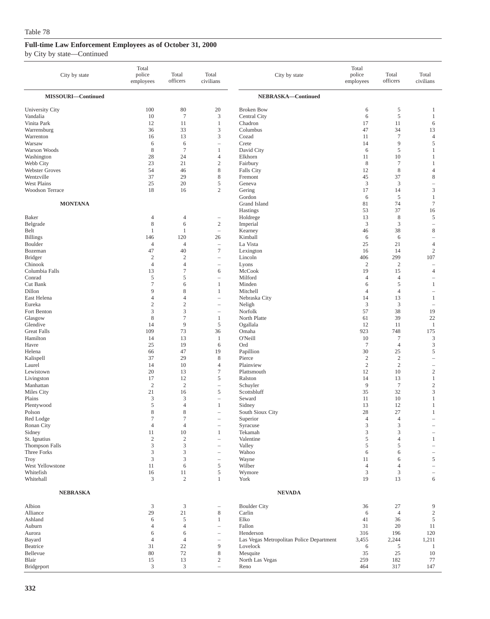| City by state           | Total<br>police<br>employees  | Total<br>officers           | Total<br>civilians       | City by state                            | Total<br>police<br>employees | Total<br>officers         | Total<br>civilians            |
|-------------------------|-------------------------------|-----------------------------|--------------------------|------------------------------------------|------------------------------|---------------------------|-------------------------------|
| MISSOURI-Continued      |                               |                             |                          | NEBRASKA-Continued                       |                              |                           |                               |
| University City         | 100                           | 80                          | 20                       | <b>Broken Bow</b>                        | 6                            | 5                         | 1                             |
| Vandalia                | 10                            | $\tau$                      | 3                        | Central City                             | 6                            | 5                         | 1                             |
| Vinita Park             | 12                            | 11                          | $\mathbf{1}$             | Chadron                                  | 17                           | 11                        | 6                             |
| Warrensburg             | 36                            | 33                          | 3                        | Columbus                                 | 47                           | 34                        | 13                            |
| Warrenton               | 16                            | 13                          | 3                        | Cozad                                    | 11                           | $\sqrt{ }$                | 4                             |
| Warsaw                  | 6                             | 6                           | $\overline{\phantom{0}}$ | Crete                                    | 14                           | 9                         | 5                             |
| Warson Woods            | 8<br>28                       | $\tau$<br>24                | $\mathbf{1}$<br>4        | David City<br>Elkhorn                    | 6<br>11                      | 5<br>10                   | 1<br>1                        |
| Washington<br>Webb City | 23                            | 21                          | $\mathbf{2}$             | Fairbury                                 | 8                            | $\tau$                    | 1                             |
| <b>Webster Groves</b>   | 54                            | 46                          | 8                        | Falls City                               | 12                           | 8                         | 4                             |
| Wentzville              | 37                            | 29                          | 8                        | Fremont                                  | 45                           | 37                        | 8                             |
| West Plains             | 25                            | 20                          | 5                        | Geneva                                   | $\mathfrak z$                | 3                         | $\overline{\phantom{0}}$      |
| Woodson Terrace         | 18                            | 16                          | $\overline{2}$           | Gering                                   | 17                           | 14                        | 3                             |
|                         |                               |                             |                          | Gordon                                   | 6                            | 5                         | 1                             |
| <b>MONTANA</b>          |                               |                             |                          | Grand Island                             | 81                           | 74                        | $\tau$                        |
|                         |                               |                             |                          | Hastings                                 | 53                           | 37                        | 16                            |
| Baker<br>Belgrade       | $\overline{4}$<br>$\,$ 8 $\,$ | $\overline{4}$<br>6         | -<br>$\mathbf{2}$        | Holdrege                                 | 13<br>$\mathfrak{Z}$         | 8<br>3                    | 5                             |
| Belt                    | $\mathbf{1}$                  | 1                           | $\overline{\phantom{0}}$ | Imperial<br>Kearney                      | 46                           | 38                        | $\overline{\phantom{0}}$<br>8 |
| <b>Billings</b>         | 146                           | 120                         | 26                       | Kimball                                  | 6                            | 6                         | ÷,                            |
| Boulder                 | $\overline{4}$                | $\overline{4}$              | $\overline{\phantom{0}}$ | La Vista                                 | 25                           | 21                        | 4                             |
| Bozeman                 | 47                            | 40                          | $\tau$                   | Lexington                                | 16                           | 14                        | $\mathfrak{2}$                |
| <b>Bridger</b>          | $\mathfrak{2}$                | $\mathfrak{2}$              | $\overline{\phantom{0}}$ | Lincoln                                  | 406                          | 299                       | 107                           |
| Chinook                 | $\overline{4}$                | $\overline{4}$              | $\qquad \qquad -$        | Lyons                                    | $\overline{c}$               | $\mathfrak{2}$            | $\overline{\phantom{0}}$      |
| Columbia Falls          | 13                            | $\boldsymbol{7}$            | 6                        | McCook                                   | 19                           | 15                        | 4                             |
| Conrad                  | 5                             | 5                           | L,                       | Milford                                  | $\overline{4}$               | $\overline{4}$            | $\overline{\phantom{0}}$      |
| Cut Bank                | $\overline{\mathcal{I}}$      | 6                           | 1                        | Minden                                   | 6                            | 5                         | 1                             |
| Dillon                  | 9                             | 8                           | 1                        | Mitchell                                 | 4                            | $\overline{4}$            | ÷,                            |
| East Helena             | $\overline{4}$                | $\overline{4}$              | L,                       | Nebraska City                            | 14                           | 13                        | 1                             |
| Eureka                  | $\sqrt{2}$                    | $\sqrt{2}$                  | $\overline{\phantom{0}}$ | Neligh                                   | $\mathfrak z$                | 3                         | -                             |
| Fort Benton             | 3<br>8                        | 3<br>$\tau$                 | L,                       | Norfolk                                  | 57                           | 38<br>39                  | 19                            |
| Glasgow<br>Glendive     | 14                            | 9                           | $\mathbf{1}$<br>5        | North Platte<br>Ogallala                 | 61<br>12                     | 11                        | 22<br>1                       |
| <b>Great Falls</b>      | 109                           | 73                          | 36                       | Omaha                                    | 923                          | 748                       | 175                           |
| Hamilton                | 14                            | 13                          | $\mathbf{1}$             | O'Neill                                  | 10                           | $\boldsymbol{7}$          | 3                             |
| Havre                   | 25                            | 19                          | 6                        | Ord                                      | $\tau$                       | $\overline{4}$            | 3                             |
| Helena                  | 66                            | 47                          | 19                       | Papillion                                | 30                           | 25                        | 5                             |
| Kalispell               | 37                            | 29                          | 8                        | Pierce                                   | $\sqrt{2}$                   | $\overline{2}$            | ÷,                            |
| Laurel                  | 14                            | 10                          | $\overline{4}$           | Plainview                                | $\mathbf{2}$                 | $\mathfrak{2}$            | $\overline{\phantom{0}}$      |
| Lewistown               | 20                            | 13                          | $\tau$                   | Plattsmouth                              | 12                           | 10                        | $\sqrt{2}$                    |
| Livingston              | 17                            | 12                          | 5                        | Ralston                                  | 14                           | 13                        | $\mathbf{1}$                  |
| Manhattan               | $\sqrt{2}$                    | $\overline{c}$              | $\overline{\phantom{0}}$ | Schuyler                                 | 9                            | $\tau$                    | $\mathfrak{2}$                |
| Miles City              | 21                            | 16                          | 5                        | Scottsbluff                              | 35                           | 32                        | 3                             |
| Plains                  | 3<br>5                        | 3<br>$\overline{4}$         | $\qquad \qquad -$        | Seward                                   | 11                           | 10                        | 1                             |
| Plentywood<br>Polson    | 8                             | 8                           | $\mathbf{1}$<br>L,       | Sidney<br>South Sioux City               | 13<br>28                     | 12<br>27                  | 1<br>1                        |
| Red Lodge               | $\overline{7}$                | $\tau$                      |                          | Superior                                 | 4                            | $\overline{4}$            |                               |
| Ronan City              | $\overline{4}$                | $\overline{4}$              | $\overline{\phantom{0}}$ | Syracuse                                 | $\ensuremath{\mathfrak{Z}}$  | $\ensuremath{\mathsf{3}}$ |                               |
| Sidney                  | 11                            | 10                          | $\mathbf{1}$             | Tekamah                                  | $\mathfrak{Z}$               | 3                         |                               |
| St. Ignatius            | $\sqrt{2}$                    | $\sqrt{2}$                  | $\overline{\phantom{0}}$ | Valentine                                | 5                            | $\overline{4}$            | $\mathbf{1}$                  |
| <b>Thompson Falls</b>   | 3                             | 3                           | $\overline{\phantom{0}}$ | Valley                                   | 5                            | 5                         | $\overline{\phantom{0}}$      |
| Three Forks             | 3                             | 3                           | $\qquad \qquad -$        | Wahoo                                    | 6                            | 6                         | $\qquad \qquad -$             |
| Troy                    | 3                             | 3                           | $\overline{\phantom{0}}$ | Wayne                                    | 11                           | 6                         | 5                             |
| West Yellowstone        | 11                            | 6                           | 5                        | Wilber                                   | $\overline{4}$               | $\overline{4}$            |                               |
| Whitefish               | 16                            | 11                          | 5                        | Wymore                                   | 3                            | $\mathfrak z$             | -                             |
| Whitehall               | 3                             | $\overline{c}$              | $\mathbf{1}$             | York                                     | 19                           | 13                        | 6                             |
| <b>NEBRASKA</b>         |                               |                             |                          | <b>NEVADA</b>                            |                              |                           |                               |
| Albion                  | 3                             | $\ensuremath{\mathsf{3}}$   | -                        | <b>Boulder City</b>                      | 36                           | 27                        | 9                             |
| Alliance                | 29                            | 21                          | 8                        | Carlin                                   | 6                            | $\overline{4}$            | $\overline{c}$                |
| Ashland                 | 6                             | 5                           | $\mathbf{1}$             | Elko                                     | 41                           | 36                        | 5                             |
| Auburn                  | 4                             | $\overline{4}$              |                          | Fallon                                   | 31                           | 20                        | 11                            |
| Aurora                  | 6                             | 6                           | $\overline{\phantom{0}}$ | Henderson                                | 316                          | 196                       | 120                           |
| Bayard                  | 4                             | 4                           |                          | Las Vegas Metropolitan Police Department | 3,455                        | 2,244                     | 1,211                         |
| Beatrice                | 31                            | $22\,$                      | 9                        | Lovelock                                 | 6                            | 5                         | $\mathbf{1}$                  |
| Bellevue                | 80                            | 72                          | 8                        | Mesquite                                 | 35                           | 25                        | 10                            |
| Blair                   | 15                            | 13                          | $\overline{c}$           | North Las Vegas                          | 259                          | 182                       | 77                            |
| Bridgeport              | $\ensuremath{\mathfrak{Z}}$   | $\ensuremath{\mathfrak{Z}}$ | L,                       | Reno                                     | 464                          | 317                       | 147                           |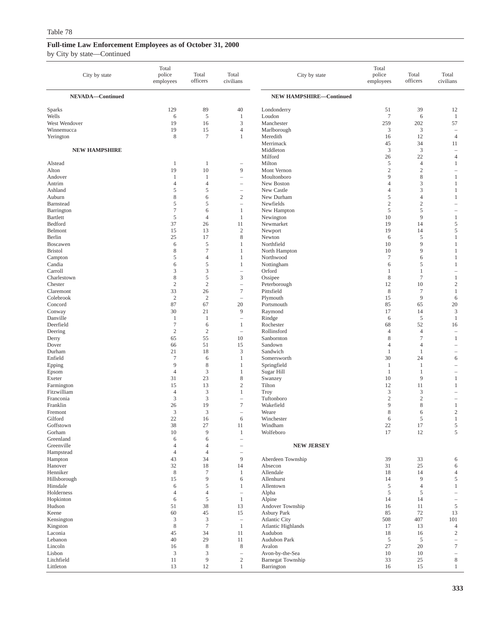| City by state                 | Total<br>police<br>employees   | Total<br>officers                | Total<br>civilians                            | City by state                               | Total<br>police<br>employees | Total<br>officers        | Total<br>civilians                                                        |
|-------------------------------|--------------------------------|----------------------------------|-----------------------------------------------|---------------------------------------------|------------------------------|--------------------------|---------------------------------------------------------------------------|
| NEVADA-Continued              |                                |                                  |                                               | <b>NEW HAMPSHIRE-Continued</b>              |                              |                          |                                                                           |
| Sparks                        | 129                            | 89                               | 40                                            | Londonderry                                 | 51                           | 39                       | 12                                                                        |
| Wells                         | 6                              | 5                                | 1                                             | Loudon                                      | $\overline{7}$               | 6                        | $\mathbf{1}$                                                              |
| West Wendover                 | 19                             | 16                               | 3                                             | Manchester                                  | 259                          | 202                      | 57                                                                        |
| Winnemucca                    | 19                             | 15                               | $\overline{4}$                                | Marlborough                                 | 3                            | 3                        | $\overline{\phantom{a}}$                                                  |
| Yerington                     | 8                              | $7\phantom{.0}$                  | 1                                             | Meredith<br>Merrimack                       | 16<br>45                     | 12<br>34                 | $\overline{4}$<br>11                                                      |
| <b>NEW HAMPSHIRE</b>          |                                |                                  |                                               | Middleton                                   | 3                            | 3                        |                                                                           |
|                               |                                |                                  |                                               | Milford                                     | 26                           | 22                       | $\overline{4}$                                                            |
| Alstead                       | 1                              | $\mathbf{1}$                     |                                               | Milton                                      | 5                            | $\overline{4}$           | 1                                                                         |
| Alton<br>Andover              | 19<br>1                        | 10<br>1                          | 9<br>$\qquad \qquad -$                        | Mont Vernon<br>Moultonboro                  | $\mathfrak{2}$<br>9          | $\mathbf{2}$<br>8        | $\overline{\phantom{a}}$<br>1                                             |
| Antrim                        | $\overline{4}$                 | $\overline{4}$                   | ÷,                                            | New Boston                                  | $\overline{4}$               | 3                        | 1                                                                         |
| Ashland                       | 5                              | 5                                | $\overline{\phantom{a}}$                      | New Castle                                  | $\overline{4}$               | 3                        | 1                                                                         |
| Auburn                        | 8                              | 6                                | $\sqrt{2}$                                    | New Durham                                  | 5                            | $\overline{4}$           | 1                                                                         |
| Barnstead                     | 5<br>$\tau$                    | 5<br>6                           | $\qquad \qquad -$<br>1                        | Newfields                                   | $\mathfrak{2}$<br>5          | $\mathbf{2}$<br>5        | ÷                                                                         |
| Barrington<br><b>Bartlett</b> | 5                              | $\overline{4}$                   | 1                                             | New Hampton<br>Newington                    | 10                           | 9                        | ۰<br>1                                                                    |
| Bedford                       | 37                             | 26                               | 11                                            | Newmarket                                   | 19                           | 14                       | 5                                                                         |
| Belmont                       | 15                             | 13                               | $\sqrt{2}$                                    | Newport                                     | 19                           | 14                       | 5                                                                         |
| Berlin                        | 25                             | 17                               | $\,$ 8 $\,$                                   | Newton                                      | 6                            | 5                        | 1                                                                         |
| Boscawen                      | 6                              | 5                                | 1                                             | Northfield                                  | 10                           | 9                        | -1                                                                        |
| <b>Bristol</b><br>Campton     | 8<br>5                         | $\overline{7}$<br>$\overline{4}$ | 1<br>1                                        | North Hampton<br>Northwood                  | 10<br>$\overline{7}$         | 9<br>6                   | 1<br>1                                                                    |
| Candia                        | 6                              | 5                                | 1                                             | Nottingham                                  | 6                            | 5                        | 1                                                                         |
| Carroll                       | 3                              | 3                                |                                               | Orford                                      | 1                            | 1                        | ۰                                                                         |
| Charlestown                   | 8                              | 5                                | 3                                             | Ossipee                                     | 8                            | $\tau$                   | 1                                                                         |
| Chester                       | $\mathfrak{2}$                 | $\overline{c}$                   | $\qquad \qquad -$<br>$\tau$                   | Peterborough                                | 12                           | 10                       | $\overline{2}$                                                            |
| Claremont<br>Colebrook        | 33<br>$\sqrt{2}$               | 26<br>$\overline{2}$             | $\qquad \qquad -$                             | Pittsfield<br>Plymouth                      | 8<br>15                      | 7<br>9                   | $\mathbf{1}$<br>6                                                         |
| Concord                       | 87                             | 67                               | 20                                            | Portsmouth                                  | 85                           | 65                       | 20                                                                        |
| Conway                        | 30                             | 21                               | 9                                             | Raymond                                     | 17                           | 14                       | $\mathfrak{Z}$                                                            |
| Danville                      | $\mathbf{1}$                   | $\mathbf{1}$                     | $\qquad \qquad -$                             | Rindge                                      | 6                            | 5                        | $\mathbf{1}$                                                              |
| Deerfield                     | $\boldsymbol{7}$<br>$\sqrt{2}$ | 6<br>$\sqrt{2}$                  | $\mathbf{1}$                                  | Rochester<br>Rollinsford                    | 68<br>$\overline{4}$         | 52<br>$\overline{4}$     | 16                                                                        |
| Deering<br>Derry              | 65                             | 55                               | $\overline{\phantom{a}}$<br>10                | Sanbornton                                  | 8                            | $\overline{\mathcal{I}}$ | $\overline{\phantom{0}}$<br>1                                             |
| Dover                         | 66                             | 51                               | 15                                            | Sandown                                     | $\overline{4}$               | $\overline{4}$           | $\overline{\phantom{a}}$                                                  |
| Durham                        | 21                             | 18                               | 3                                             | Sandwich                                    | $\mathbf{1}$                 | $\mathbf{1}$             |                                                                           |
| Enfield                       | $\boldsymbol{7}$               | 6                                | 1                                             | Somersworth                                 | 30                           | 24                       | 6                                                                         |
| Epping<br>Epsom               | 9<br>$\overline{4}$            | 8<br>3                           | 1<br>1                                        | Springfield<br>Sugar Hill                   | 1<br>$\mathbf{1}$            | 1<br>1                   | $\overline{\phantom{m}}$<br>$\overline{\phantom{a}}$                      |
| Exeter                        | 31                             | 23                               | $\,$ 8 $\,$                                   | Swanzey                                     | 10                           | 9                        | 1                                                                         |
| Farmington                    | 15                             | 13                               | $\mathfrak{2}$                                | Tilton                                      | 12                           | 11                       | 1                                                                         |
| Fitzwilliam                   | 4                              | 3                                | 1                                             | <b>Troy</b>                                 | 3                            | 3                        | $\overline{\phantom{a}}$                                                  |
| Franconia<br>Franklin         | 3<br>26                        | 3<br>19                          | $\qquad \qquad -$<br>$\tau$                   | Tuftonboro<br>Wakefield                     | $\overline{2}$<br>9          | $\overline{c}$<br>8      | $\overline{\phantom{a}}$                                                  |
| Fremont                       | 3                              | 3                                | i.                                            | Weare                                       | 8                            | 6                        | 1<br>$\overline{2}$                                                       |
| Gilford                       | 22                             | 16                               | 6                                             | Winchester                                  | 6                            | 5                        | 1                                                                         |
| Goffstown                     | 38                             | 27                               | 11                                            | Windham                                     | 22                           | 17                       | 5                                                                         |
| Gorham                        | 10                             | 9                                | $\mathbf{1}$                                  | Wolfeboro                                   | 17                           | 12                       | 5                                                                         |
| Greenland<br>Greenville       | 6<br>4                         | 6<br>$\overline{4}$              | $\overline{\phantom{0}}$<br>$\qquad \qquad -$ | <b>NEW JERSEY</b>                           |                              |                          |                                                                           |
| Hampstead                     | $\overline{4}$                 | $\overline{4}$                   |                                               |                                             |                              |                          |                                                                           |
| Hampton                       | 43                             | 34                               | 9                                             | Aberdeen Township                           | 39                           | 33                       | 6                                                                         |
| Hanover                       | 32                             | 18                               | 14                                            | Absecon                                     | 31                           | 25                       | 6                                                                         |
| Henniker                      | $\,$ 8 $\,$<br>15              | $\overline{7}$<br>9              | 1                                             | Allendale                                   | 18<br>14                     | 14<br>9                  | 4                                                                         |
| Hillsborough<br>Hinsdale      | 6                              | 5                                | 6<br>1                                        | Allenhurst<br>Allentown                     | 5                            | 4                        | 5<br>1                                                                    |
| Holderness                    | 4                              | $\overline{4}$                   | $\overline{\phantom{a}}$                      | Alpha                                       | 5                            | 5                        |                                                                           |
| Hopkinton                     | 6                              | 5                                | $\mathbf{1}$                                  | Alpine                                      | 14                           | 14                       | $\hspace{1.0cm} \rule{1.5cm}{0.15cm} \hspace{1.0cm} \rule{1.5cm}{0.15cm}$ |
| Hudson                        | 51                             | 38                               | 13                                            | Andover Township                            | 16                           | 11                       | 5                                                                         |
| Keene                         | 60                             | 45<br>3                          | 15                                            | Asbury Park                                 | 85                           | 72                       | 13                                                                        |
| Kensington<br>Kingston        | 3<br>8                         | $\tau$                           | $\overline{\phantom{a}}$<br>$\mathbf{1}$      | <b>Atlantic City</b><br>Atlantic Highlands  | 508<br>17                    | 407<br>13                | 101<br>$\overline{4}$                                                     |
| Laconia                       | 45                             | 34                               | 11                                            | Audubon                                     | 18                           | 16                       | $\overline{c}$                                                            |
| Lebanon                       | 40                             | 29                               | 11                                            | Audubon Park                                | 5                            | 5                        | $\hspace{1.0cm} - \hspace{1.0cm}$                                         |
| Lincoln                       | 16                             | $\,$ 8 $\,$                      | 8                                             | Avalon                                      | 27                           | 20                       | $\tau$                                                                    |
| Lisbon<br>Litchfield          | 3<br>11                        | 3<br>9                           | $\qquad \qquad -$<br>$\sqrt{2}$               | Avon-by-the-Sea<br><b>Barnegat Township</b> | 10<br>33                     | 10<br>25                 | 8                                                                         |
| Littleton                     | 13                             | 12                               | $\mathbf{1}$                                  | Barrington                                  | 16                           | 15                       | $\mathbf{1}$                                                              |
|                               |                                |                                  |                                               |                                             |                              |                          |                                                                           |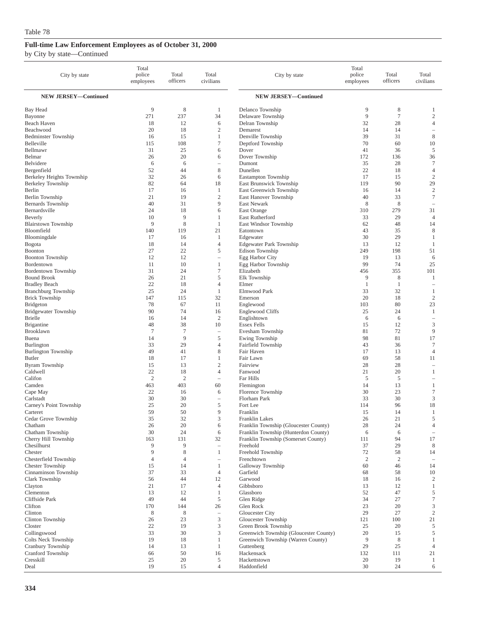| City by state                    | Total<br>police<br>employees | Total<br>officers   | Total<br>civilians                     | City by state                                  | Total<br>police<br>employees | Total<br>officers    | Total<br>civilians               |
|----------------------------------|------------------------------|---------------------|----------------------------------------|------------------------------------------------|------------------------------|----------------------|----------------------------------|
| <b>NEW JERSEY-Continued</b>      |                              |                     |                                        | <b>NEW JERSEY-Continued</b>                    |                              |                      |                                  |
| Bay Head                         | 9                            | 8                   | 1                                      | Delanco Township                               | 9                            | 8                    | 1                                |
| Bayonne                          | 271                          | 237                 | 34                                     | Delaware Township                              | 9                            | $\tau$               | $\mathfrak{2}$                   |
| Beach Haven                      | 18                           | 12                  | 6                                      | Delran Township                                | 32                           | 28                   | $\overline{4}$                   |
| Beachwood                        | 20                           | 18                  | $\mathfrak{2}$                         | Demarest                                       | 14                           | 14                   | $\overline{\phantom{a}}$         |
| <b>Bedminster Township</b>       | 16                           | 15                  | 1                                      | Denville Township                              | 39                           | 31                   | $\,$ 8 $\,$                      |
| Belleville                       | 115                          | 108                 | 7                                      | Deptford Township                              | 70                           | 60                   | 10                               |
| Bellmawr                         | 31                           | 25                  | 6                                      | Dover                                          | 41                           | 36                   | 5                                |
| Belmar                           | 26                           | 20                  | 6                                      | Dover Township                                 | 172                          | 136                  | 36                               |
| Belvidere                        | 6                            | 6                   | $\overline{\phantom{a}}$               | Dumont                                         | 35                           | 28                   | $\tau$                           |
| Bergenfield                      | 52<br>32                     | 44<br>26            | $\,$ 8 $\,$<br>6                       | Dunellen                                       | 22<br>17                     | 18<br>15             | $\overline{4}$<br>$\mathfrak{2}$ |
| Berkeley Heights Township        | 82                           | 64                  | 18                                     | Eastampton Township<br>East Brunswick Township | 119                          | 90                   | 29                               |
| Berkeley Township<br>Berlin      | 17                           | 16                  | 1                                      | East Greenwich Township                        | 16                           | 14                   | $\sqrt{2}$                       |
| Berlin Township                  | 21                           | 19                  | $\mathfrak{2}$                         | East Hanover Township                          | 40                           | 33                   | $\tau$                           |
| <b>Bernards</b> Township         | 40                           | 31                  | 9                                      | East Newark                                    | 8                            | 8                    |                                  |
| Bernardsville                    | 24                           | 18                  | 6                                      | East Orange                                    | 310                          | 279                  | 31                               |
| Beverly                          | 10                           | 9                   | 1                                      | East Rutherford                                | 33                           | 29                   | $\overline{4}$                   |
| <b>Blairstown Township</b>       | 9                            | 8                   | 1                                      | <b>East Windsor Township</b>                   | 62                           | 48                   | 14                               |
| Bloomfield                       | 140                          | 119                 | 21                                     | Eatontown                                      | 43                           | 35                   | 8                                |
| Bloomingdale                     | 17                           | 16                  | 1                                      | Edgewater                                      | 30                           | 29                   | 1                                |
| Bogota                           | 18                           | 14                  | $\overline{4}$                         | <b>Edgewater Park Township</b>                 | 13                           | 12                   | 1                                |
| Boonton                          | 27                           | 22                  | 5                                      | <b>Edison Township</b>                         | 249                          | 198                  | 51                               |
| <b>Boonton Township</b>          | 12                           | 12                  | $\overline{\phantom{0}}$               | Egg Harbor City                                | 19                           | 13                   | 6                                |
| Bordentown                       | 11                           | 10                  | 1                                      | Egg Harbor Township                            | 99                           | 74                   | 25                               |
| Bordentown Township              | 31                           | 24                  | $\tau$                                 | Elizabeth                                      | 456                          | 355                  | 101                              |
| <b>Bound Brook</b>               | 26                           | 21                  | 5                                      | Elk Township                                   | 9                            | 8                    | 1                                |
| <b>Bradley Beach</b>             | 22                           | 18                  | $\overline{4}$                         | Elmer                                          | -1                           | 1                    |                                  |
| <b>Branchburg Township</b>       | 25                           | 24                  | 1                                      | Elmwood Park                                   | 33                           | 32                   | 1                                |
| <b>Brick Township</b>            | 147                          | 115                 | 32                                     | Emerson                                        | 20                           | 18                   | $\mathfrak{2}$                   |
| <b>Bridgeton</b>                 | 78                           | 67                  | 11                                     | Englewood                                      | 103                          | 80                   | 23                               |
| <b>Bridgewater Township</b>      | 90                           | 74                  | 16                                     | <b>Englewood Cliffs</b>                        | 25                           | 24                   | 1                                |
| <b>Brielle</b>                   | 16                           | 14                  | $\overline{c}$                         | Englishtown                                    | 6                            | 6                    | $\overline{\phantom{a}}$         |
| <b>Brigantine</b><br>Brooklawn   | 48<br>7                      | 38<br>$\tau$        | 10                                     | <b>Essex Fells</b>                             | 15<br>81                     | 12<br>72             | 3<br>9                           |
| Buena                            | 14                           | 9                   | $\hspace{1.0cm} - \hspace{1.0cm}$<br>5 | Evesham Township<br>Ewing Township             | 98                           | 81                   | 17                               |
| <b>Burlington</b>                | 33                           | 29                  | $\overline{4}$                         | Fairfield Township                             | 43                           | 36                   | $\tau$                           |
| <b>Burlington Township</b>       | 49                           | 41                  | 8                                      | Fair Haven                                     | 17                           | 13                   | $\overline{4}$                   |
| <b>Butler</b>                    | 18                           | 17                  | 1                                      | Fair Lawn                                      | 69                           | 58                   | 11                               |
| Byram Township                   | 15                           | 13                  | $\mathfrak{2}$                         | Fairview                                       | 28                           | 28                   |                                  |
| Caldwell                         | 22                           | 18                  | $\overline{4}$                         | Fanwood                                        | 21                           | 20                   | 1                                |
| Califon                          | $\mathfrak{2}$               | $\overline{2}$      | $\overline{\phantom{0}}$               | Far Hills                                      | 5                            | 5                    | $\overline{\phantom{a}}$         |
| Camden                           | 463                          | 403                 | 60                                     | Flemington                                     | 14                           | 13                   | $\mathbf{1}$                     |
| Cape May                         | 22                           | 16                  | 6                                      | Florence Township                              | 30                           | 23                   | $\tau$                           |
| Carlstadt                        | 30                           | 30                  | ÷                                      | Florham Park                                   | 33                           | 30                   | 3                                |
| Carney's Point Township          | 25                           | 20                  | 5                                      | Fort Lee                                       | 114                          | 96                   | 18                               |
| Carteret                         | 59                           | 50                  | 9                                      | Franklin                                       | 15                           | 14                   | 1                                |
| Cedar Grove Township             | 35                           | 32                  | 3                                      | Franklin Lakes                                 | 26                           | 21                   | 5                                |
| Chatham                          | 26                           | 20                  | 6                                      | Franklin Township (Gloucester County)          | $28\,$                       | 24                   | $\overline{4}$                   |
| Chatham Township                 | 30                           | 24                  | 6                                      | Franklin Township (Hunterdon County)           | 6                            | 6                    | $\overline{\phantom{a}}$         |
| Cherry Hill Township             | 163                          | 131                 | 32                                     | Franklin Township (Somerset County)            | 111                          | 94                   | 17                               |
| Chesilhurst                      | 9                            | 9                   | $\hspace{1.0cm} - \hspace{1.0cm}$      | Freehold                                       | 37                           | 29                   | 8                                |
| Chester<br>Chesterfield Township | 9<br>4                       | 8<br>$\overline{4}$ | 1                                      | Freehold Township<br>Frenchtown                | 72<br>2                      | 58<br>$\overline{c}$ | 14                               |
| Chester Township                 | 15                           | 14                  | $\overline{\phantom{0}}$<br>1          | Galloway Township                              | 60                           | 46                   | 14                               |
| Cinnaminson Township             | 37                           | 33                  | $\overline{4}$                         | Garfield                                       | 68                           | 58                   | 10                               |
| Clark Township                   | 56                           | 44                  | 12                                     | Garwood                                        | 18                           | 16                   | 2                                |
| Clayton                          | 21                           | 17                  | $\overline{4}$                         | Gibbsboro                                      | 13                           | 12                   | 1                                |
| Clementon                        | 13                           | 12                  | 1                                      | Glassboro                                      | 52                           | 47                   | 5                                |
| Cliffside Park                   | 49                           | 44                  | 5                                      | Glen Ridge                                     | 34                           | 27                   | $\tau$                           |
| Clifton                          | 170                          | 144                 | 26                                     | Glen Rock                                      | 23                           | 20                   | 3                                |
| Clinton                          | 8                            | 8                   | $\overline{\phantom{0}}$               | Gloucester City                                | 29                           | 27                   | $\mathfrak{2}$                   |
| Clinton Township                 | 26                           | 23                  | 3                                      | Gloucester Township                            | 121                          | 100                  | 21                               |
| Closter                          | 22                           | 19                  | 3                                      | Green Brook Township                           | 25                           | 20                   | 5                                |
| Collingswood                     | 33                           | 30                  | 3                                      | Greenwich Township (Gloucester County)         | 20                           | 15                   | 5                                |
| Colts Neck Township              | 19                           | 18                  | 1                                      | Greenwich Township (Warren County)             | 9                            | 8                    | 1                                |
| Cranbury Township                | 14                           | 13                  | 1                                      | Guttenberg                                     | 29                           | 25                   | 4                                |
| Cranford Township                | 66                           | 50                  | 16                                     | Hackensack                                     | 132                          | 111                  | 21                               |
| Cresskill                        | 25                           | 20                  | 5                                      | Hackettstown                                   | 20                           | 19                   | 1                                |
| Deal                             | 19                           | 15                  | $\overline{4}$                         | Haddonfield                                    | 30                           | 24                   | 6                                |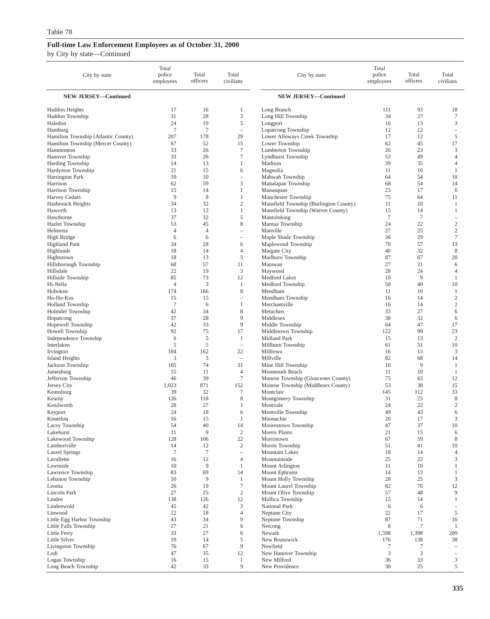| City by state                                                            | Total<br>police<br>employees | Total<br>officers | Total<br>civilians     | City by state                                   | Total<br>police<br>employees | Total<br>officers    | Total<br>civilians       |
|--------------------------------------------------------------------------|------------------------------|-------------------|------------------------|-------------------------------------------------|------------------------------|----------------------|--------------------------|
| <b>NEW JERSEY-Continued</b>                                              |                              |                   |                        | <b>NEW JERSEY-Continued</b>                     |                              |                      |                          |
| <b>Haddon Heights</b>                                                    | 17                           | 16                | 1                      | Long Branch                                     | 111                          | 93                   | 18                       |
| Haddon Township                                                          | 31                           | 28                | 3                      | Long Hill Township                              | 34                           | 27                   | 7                        |
| Haledon                                                                  | 24                           | 19                | 5                      | Longport                                        | 16                           | 13                   | 3                        |
| Hamburg                                                                  | $\tau$                       | $\tau$            | $\qquad \qquad -$      | Lopatcong Township                              | 12                           | 12                   | $\qquad \qquad -$        |
| Hamilton Township (Atlantic County)<br>Hamilton Township (Mercer County) | 207<br>67                    | 178<br>52         | 29<br>15               | Lower Alloways Creek Township<br>Lower Township | 17<br>62                     | 12<br>45             | 5<br>17                  |
| Hammonton                                                                | 33                           | 26                | $\tau$                 | Lumberton Township                              | 26                           | 23                   | 3                        |
| Hanover Township                                                         | 33                           | 26                | $\tau$                 | Lyndhurst Township                              | 53                           | 49                   | $\overline{4}$           |
| Harding Township                                                         | 14                           | 13                | $\mathbf{1}$           | Madison                                         | 39                           | 35                   | $\overline{4}$           |
| Hardyston Township                                                       | 21                           | 15                | 6                      | Magnolia                                        | 11                           | 10                   | 1                        |
| Harrington Park                                                          | 10                           | 10                | $\qquad \qquad -$      | Mahwah Township                                 | 64                           | 54                   | 10                       |
| Harrison<br>Harrison Township                                            | 62<br>15                     | 59<br>14          | 3<br>1                 | Manalapan Township<br>Manasquan                 | 68<br>23                     | 54<br>17             | 14<br>6                  |
| <b>Harvey Cedars</b>                                                     | 9                            | 8                 | $\mathbf{1}$           | Manchester Township                             | 75                           | 64                   | 11                       |
| Hasbrouck Heights                                                        | 34                           | 32                | $\mathfrak{2}$         | Mansfield Township (Burlington County)          | 11                           | 10                   | 1                        |
| Haworth                                                                  | 13                           | 12                | $\mathbf{1}$           | Mansfield Township (Warren County)              | 15                           | 14                   | $\mathbf{1}$             |
| Hawthorne                                                                | 37                           | 32                | 5                      | Mantoloking                                     | $7\phantom{.0}$              | $\overline{7}$       | $\overline{\phantom{a}}$ |
| <b>Hazlet Township</b>                                                   | 53                           | 45                | 8                      | Mantua Township                                 | 24                           | 22                   | $\sqrt{2}$               |
| Helmetta                                                                 | $\overline{4}$               | $\overline{4}$    | $\qquad \qquad -$      | Manville                                        | 27                           | 25                   | $\sqrt{2}$               |
| High Bridge<br><b>Highland Park</b>                                      | 6<br>34                      | 6<br>28           | ÷,<br>6                | Maple Shade Township<br>Maplewood Township      | 36<br>70                     | 29<br>57             | $\tau$<br>13             |
| Highlands                                                                | 18                           | 14                | $\overline{4}$         | Margate City                                    | 40                           | 32                   | 8                        |
| Hightstown                                                               | 18                           | 13                | 5                      | Marlboro Township                               | 87                           | 67                   | 20                       |
| Hillsborough Township                                                    | 68                           | 57                | 11                     | Matawan                                         | 27                           | 21                   | 6                        |
| Hillsdale                                                                | 22                           | 19                | 3                      | Maywood                                         | 28                           | 24                   | $\overline{4}$           |
| Hillside Township                                                        | 85                           | 73                | 12                     | Medford Lakes                                   | 10                           | 9                    | 1                        |
| Hi-Nella<br>Hoboken                                                      | $\overline{4}$<br>174        | 3<br>166          | 1<br>8                 | Medford Township<br>Mendham                     | 50<br>11                     | 40<br>10             | 10<br>$\mathbf{1}$       |
| Ho-Ho-Kus                                                                | 15                           | 15                | $\qquad \qquad -$      | Mendham Township                                | 16                           | 14                   | $\sqrt{2}$               |
| <b>Holland Township</b>                                                  | $\tau$                       | 6                 | 1                      | Merchantville                                   | 16                           | 14                   | $\sqrt{2}$               |
| Holmdel Township                                                         | 42                           | 34                | 8                      | Metuchen                                        | 33                           | 27                   | 6                        |
| Hopatcong                                                                | 37                           | 28                | 9                      | Middlesex                                       | 38                           | 32                   | 6                        |
| Hopewell Township                                                        | 42                           | 33                | 9                      | Middle Township                                 | 64                           | 47                   | 17                       |
| Howell Township                                                          | 92                           | 75                | 17                     | Middletown Township                             | 122                          | 99                   | 23                       |
| Independence Township<br>Interlaken                                      | 6<br>5                       | 5<br>5            | 1<br>$\qquad \qquad -$ | Midland Park<br>Millburn Township               | 15<br>61                     | 13<br>51             | $\overline{c}$<br>10     |
| Irvington                                                                | 184                          | 162               | 22                     | Milltown                                        | 16                           | 13                   | 3                        |
| Island Heights                                                           | 3                            | 3                 | ÷,                     | Millville                                       | 82                           | 68                   | 14                       |
| Jackson Township                                                         | 105                          | 74                | 31                     | Mine Hill Township                              | 10                           | 9                    | $\mathbf{1}$             |
| Jamesburg                                                                | 15                           | 11                | 4                      | Monmouth Beach                                  | 11                           | 10                   | 1                        |
| Jefferson Township                                                       | 46                           | 39                | $\tau$                 | Monroe Township (Gloucester County)             | 75                           | 63                   | 12                       |
| Jersey City<br>Keansburg                                                 | 1,023<br>39                  | 871<br>32         | 152<br>$\tau$          | Monroe Township (Middlesex County)<br>Montclair | 53<br>145                    | 38<br>112            | 15<br>33                 |
| Kearny                                                                   | 126                          | 118               | 8                      | Montgomery Township                             | 31                           | 23                   | 8                        |
| Kenilworth                                                               | 28                           | 27                | 1                      | Montvale                                        | 24                           | 22                   | $\sqrt{2}$               |
| Keyport                                                                  | 24                           | 18                | 6                      | Montville Township                              | 49                           | 43                   | 6                        |
| Kinnelon                                                                 | 16                           | 15                |                        | Moonachie                                       | 20                           | 17                   | 3                        |
| Lacey Township<br>Lakehurst                                              | 54<br>11                     | 40<br>9           | 14<br>$\sqrt{2}$       | Moorestown Township<br>Morris Plains            | 47<br>21                     | 37<br>15             | 10<br>6                  |
| Lakewood Township                                                        | 128                          | 106               | 22                     | Morristown                                      | 67                           | 59                   | 8                        |
| Lambertville                                                             | 14                           | 12                | $\sqrt{2}$             | Morris Township                                 | 51                           | 41                   | 10                       |
| <b>Laurel Springs</b>                                                    | $\tau$                       | $\tau$            | $\bar{ }$              | Mountain Lakes                                  | 18                           | 14                   | $\overline{4}$           |
| Lavallette                                                               | 16                           | 12                | $\overline{4}$         | Mountainside                                    | 25                           | 22                   | $\mathfrak{Z}$           |
| Lawnside<br>Lawrence Township                                            | 10                           | 9                 | $\mathbf{1}$           | Mount Arlington                                 | 11                           | 10                   | $\mathbf{1}$             |
| Lebanon Township                                                         | 83<br>10                     | 69<br>9           | 14<br>$\mathbf{1}$     | Mount Ephraim<br>Mount Holly Township           | 14<br>28                     | 13<br>25             | $\mathbf{1}$<br>3        |
| Leonia                                                                   | 26                           | 19                | $\tau$                 | Mount Laurel Township                           | 82                           | 70                   | 12                       |
| Lincoln Park                                                             | 27                           | 25                | $\mathbf{2}$           | Mount Olive Township                            | 57                           | 48                   | 9                        |
| Linden                                                                   | 138                          | 126               | 12                     | Mullica Township                                | 15                           | 14                   | $\mathbf{1}$             |
| Lindenwold                                                               | 45                           | 42                | 3                      | National Park                                   | 6                            | 6                    | $\overline{\phantom{a}}$ |
| Linwood                                                                  | 22                           | 18                | $\overline{4}$         | Neptune City                                    | 22                           | 17                   | 5                        |
| Little Egg Harbor Township<br>Little Falls Township                      | 43<br>27                     | 34<br>21          | 9<br>6                 | Neptune Township<br>Netcong                     | 87<br>$\,$ 8 $\,$            | 71<br>$\overline{7}$ | 16<br>$\mathbf{1}$       |
| Little Ferry                                                             | 33                           | 27                | 6                      | Newark                                          | 1,598                        | 1,398                | 200                      |
| Little Silver                                                            | 19                           | 14                | 5                      | New Brunswick                                   | 176                          | 138                  | 38                       |
| Livingston Township                                                      | 76                           | 67                | 9                      | Newfield                                        | $\tau$                       | $7\phantom{.0}$      | $\overline{\phantom{a}}$ |
| Lodi                                                                     | 47                           | 35                | 12                     | New Hanover Township                            | 3                            | 3                    | $\qquad \qquad -$        |
| Logan Township                                                           | 16                           | 15                | $\mathbf{1}$           | New Milford                                     | 36                           | 33                   | 3                        |
| Long Beach Township                                                      | 42                           | 33                | 9                      | New Providence                                  | 30                           | 25                   | 5                        |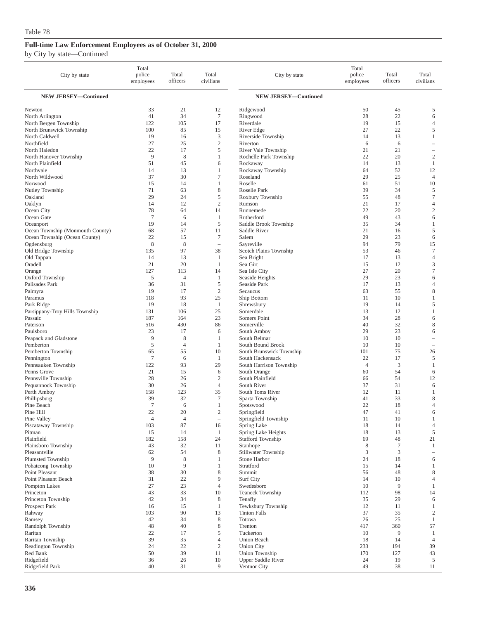| City by state                           | Total<br>police<br>employees | Total<br>officers    | Total<br>civilians                 | City by state                                 | Total<br>police<br>employees | Total<br>officers | Total<br>civilians                       |
|-----------------------------------------|------------------------------|----------------------|------------------------------------|-----------------------------------------------|------------------------------|-------------------|------------------------------------------|
| <b>NEW JERSEY-Continued</b>             |                              |                      |                                    | <b>NEW JERSEY-Continued</b>                   |                              |                   |                                          |
| Newton                                  | 33                           | 21                   | 12                                 | Ridgewood                                     | 50                           | 45                | 5                                        |
| North Arlington                         | 41                           | 34                   | $7\phantom{.0}$                    | Ringwood                                      | 28                           | 22                | 6                                        |
| North Bergen Township                   | 122                          | 105                  | 17                                 | Riverdale                                     | 19                           | 15                | $\overline{4}$                           |
| North Brunswick Township                | 100                          | 85                   | 15                                 | River Edge                                    | 27                           | 22                | 5                                        |
| North Caldwell<br>Northfield            | 19<br>27                     | 16<br>25             | 3<br>$\mathfrak{2}$                | Riverside Township<br>Riverton                | 14<br>6                      | 13<br>6           | $\mathbf{1}$<br>$\overline{\phantom{a}}$ |
| North Haledon                           | 22                           | 17                   | 5                                  | River Vale Township                           | 21                           | 21                | $\overline{\phantom{a}}$                 |
| North Hanover Township                  | 9                            | 8                    | 1                                  | Rochelle Park Township                        | 22                           | 20                | $\mathfrak{2}$                           |
| North Plainfield                        | 51                           | 45                   | 6                                  | Rockaway                                      | 14                           | 13                | 1                                        |
| Northvale                               | 14                           | 13                   | $\mathbf{1}$                       | Rockaway Township                             | 64                           | 52                | 12                                       |
| North Wildwood                          | 37                           | 30                   | 7                                  | Roseland                                      | 29                           | 25                | 4                                        |
| Norwood                                 | 15                           | 14                   | $\mathbf{1}$                       | Roselle                                       | 61                           | 51                | 10                                       |
| Nutley Township<br>Oakland              | 71<br>29                     | 63<br>24             | 8<br>5                             | Roselle Park<br>Roxbury Township              | 39<br>55                     | 34<br>48          | 5<br>$\tau$                              |
| Oaklyn                                  | 14                           | 12                   | $\mathfrak{2}$                     | Rumson                                        | 21                           | 17                | $\overline{4}$                           |
| Ocean City                              | 78                           | 64                   | 14                                 | Runnemede                                     | 22                           | 20                | $\mathfrak{2}$                           |
| Ocean Gate                              | $\overline{7}$               | 6                    | $\mathbf{1}$                       | Rutherford                                    | 49                           | 43                | 6                                        |
| Oceanport                               | 19                           | 14                   | 5                                  | Saddle Brook Township                         | 35                           | 34                | 1                                        |
| Ocean Township (Monmouth County)        | 68                           | 57                   | 11                                 | Saddle River                                  | 21                           | 16                | 5                                        |
| Ocean Township (Ocean County)           | 22<br>8                      | 15                   | $\tau$<br>$\overline{\phantom{0}}$ | Salem                                         | 29<br>94                     | 23<br>79          | 6<br>15                                  |
| Ogdensburg<br>Old Bridge Township       | 135                          | 8<br>97              | 38                                 | Sayreville<br>Scotch Plains Township          | 53                           | 46                | $\overline{7}$                           |
| Old Tappan                              | 14                           | 13                   | 1                                  | Sea Bright                                    | 17                           | 13                | $\overline{4}$                           |
| Oradell                                 | 21                           | 20                   | 1                                  | Sea Girt                                      | 15                           | 12                | 3                                        |
| Orange                                  | 127                          | 113                  | 14                                 | Sea Isle City                                 | 27                           | 20                | $\tau$                                   |
| Oxford Township                         | 5                            | $\overline{4}$       | 1                                  | Seaside Heights                               | 29                           | 23                | 6                                        |
| Palisades Park                          | 36                           | 31                   | 5                                  | Seaside Park                                  | 17                           | 13                | $\overline{4}$                           |
| Palmyra<br>Paramus                      | 19<br>118                    | 17<br>93             | $\overline{c}$<br>25               | Secaucus<br>Ship Bottom                       | 63<br>11                     | 55<br>10          | 8<br>1                                   |
| Park Ridge                              | 19                           | 18                   | 1                                  | Shrewsbury                                    | 19                           | 14                | 5                                        |
| Parsippany-Troy Hills Township          | 131                          | 106                  | 25                                 | Somerdale                                     | 13                           | 12                | 1                                        |
| Passaic                                 | 187                          | 164                  | 23                                 | Somers Point                                  | 34                           | 28                | 6                                        |
| Paterson                                | 516                          | 430                  | 86                                 | Somerville                                    | 40                           | 32                | 8                                        |
| Paulsboro                               | 23                           | 17                   | 6                                  | South Amboy                                   | 29                           | 23                | 6                                        |
| Peapack and Gladstone                   | 9<br>$\sqrt{5}$              | 8                    | 1                                  | South Belmar                                  | 10                           | 10                |                                          |
| Pemberton<br>Pemberton Township         | 65                           | $\overline{4}$<br>55 | 1<br>10                            | South Bound Brook<br>South Brunswick Township | 10<br>101                    | 10<br>75          | $\overline{\phantom{a}}$<br>26           |
| Pennington                              | $\tau$                       | 6                    | 1                                  | South Hackensack                              | 22                           | 17                | 5                                        |
| Pennsauken Township                     | 122                          | 93                   | 29                                 | South Harrison Township                       | $\overline{4}$               | 3                 | 1                                        |
| Penns Grove                             | 21                           | 15                   | 6                                  | South Orange                                  | 60                           | 54                | 6                                        |
| Pennsville Township                     | 28                           | 26                   | $\mathfrak{2}$                     | South Plainfield                              | 66                           | 54                | 12                                       |
| Pequannock Township                     | 30                           | 26                   | $\overline{4}$                     | South River                                   | 37                           | 31                | 6                                        |
| Perth Amboy<br>Phillipsburg             | 158<br>39                    | 123<br>32            | 35<br>7                            | South Toms River<br>Sparta Township           | 12<br>41                     | 11<br>33          | 1<br>8                                   |
| Pine Beach                              | $\tau$                       | 6                    | 1                                  | Spotswood                                     | 22                           | 18                | $\overline{4}$                           |
| Pine Hill                               | 22                           | 20                   | $\mathfrak{2}$                     | Springfield                                   | 47                           | 41                | 6                                        |
| Pine Valley                             | $\overline{4}$               | $\overline{4}$       | -                                  | Springfield Township                          | 11                           | 10                | $\mathbf{1}$                             |
| Piscataway Township                     | 103                          | 87                   | 16                                 | Spring Lake                                   | 18                           | 14                | $\overline{4}$                           |
| Pitman                                  | 15                           | 14                   | 1                                  | Spring Lake Heights                           | 18                           | 13                | 5                                        |
| Plainfield<br>Plainsboro Township       | 182<br>43                    | 158<br>32            | 24<br>11                           | <b>Stafford Township</b><br>Stanhope          | 69<br>8                      | 48<br>$\tau$      | 21<br>$\mathbf{1}$                       |
| Pleasantville                           | 62                           | 54                   | 8                                  | Stillwater Township                           | 3                            | 3                 | $\qquad \qquad -$                        |
| Plumsted Township                       | 9                            | 8                    | 1                                  | Stone Harbor                                  | 24                           | 18                | 6                                        |
| Pohatcong Township                      | 10                           | 9                    | 1                                  | Stratford                                     | 15                           | 14                | 1                                        |
| Point Pleasant                          | 38                           | 30                   | 8                                  | Summit                                        | 56                           | 48                | 8                                        |
| Point Pleasant Beach                    | 31                           | 22                   | 9                                  | Surf City                                     | 14                           | 10                | 4                                        |
| Pompton Lakes<br>Princeton              | 27<br>43                     | 23<br>33             | $\overline{4}$<br>10               | Swedesboro<br>Teaneck Township                | 10<br>112                    | 9<br>98           | 1<br>14                                  |
| Princeton Township                      | 42                           | 34                   | 8                                  | Tenafly                                       | 35                           | 29                | 6                                        |
| Prospect Park                           | 16                           | 15                   | $\mathbf{1}$                       | Tewksbury Township                            | 12                           | 11                | 1                                        |
| Rahway                                  | 103                          | 90                   | 13                                 | <b>Tinton Falls</b>                           | 37                           | 35                | $\mathfrak{2}$                           |
| Ramsey                                  | 42                           | 34                   | $\,$ 8 $\,$                        | Totowa                                        | 26                           | 25                | 1                                        |
| Randolph Township                       | 48                           | 40                   | 8                                  | Trenton                                       | 417                          | 360               | 57                                       |
| Raritan                                 | 22                           | 17                   | 5                                  | Tuckerton                                     | 10                           | 9                 | 1                                        |
| Raritan Township<br>Readington Township | 39<br>24                     | 35<br>22             | $\overline{4}$<br>$\boldsymbol{2}$ | Union Beach<br><b>Union City</b>              | 18<br>233                    | 14<br>194         | $\overline{4}$<br>39                     |
| Red Bank                                | 50                           | 39                   | 11                                 | Union Township                                | 170                          | 127               | 43                                       |
| Ridgefield                              | 36                           | 26                   | 10                                 | <b>Upper Saddle River</b>                     | 24                           | 19                | 5                                        |
| Ridgefield Park                         | 40                           | 31                   | 9                                  | Ventnor City                                  | 49                           | 38                | 11                                       |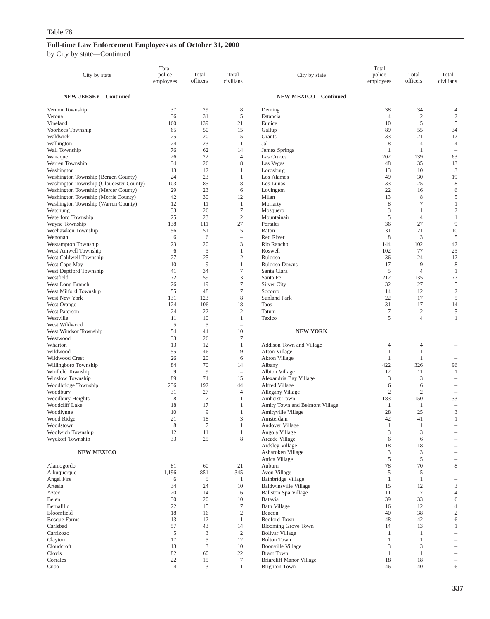| City by state                                                              | Total<br>police<br>employees | Total<br>officers    | Total<br>civilians                    | City by state                                  | Total<br>police<br>employees | Total<br>officers              | Total<br>civilians             |
|----------------------------------------------------------------------------|------------------------------|----------------------|---------------------------------------|------------------------------------------------|------------------------------|--------------------------------|--------------------------------|
| <b>NEW JERSEY-Continued</b>                                                |                              |                      |                                       | <b>NEW MEXICO-Continued</b>                    |                              |                                |                                |
| Vernon Township                                                            | 37                           | 29                   | 8                                     | Deming                                         | 38                           | 34                             | 4                              |
| Verona                                                                     | 36                           | 31                   | 5                                     | Estancia                                       | $\overline{4}$               | $\overline{2}$                 | $\overline{2}$                 |
| Vineland                                                                   | 160                          | 139                  | 21                                    | Eunice                                         | 10                           | 5                              | 5                              |
| Voorhees Township                                                          | 65                           | 50                   | 15                                    | Gallup                                         | 89                           | 55                             | 34                             |
| Waldwick                                                                   | 25<br>24                     | 20<br>23             | 5<br>$\mathbf{1}$                     | Grants                                         | 33                           | 21                             | 12<br>$\overline{4}$           |
| Wallington<br>Wall Township                                                | 76                           | 62                   | 14                                    | Jal<br>Jemez Springs                           | 8<br>1                       | $\overline{4}$<br>$\mathbf{1}$ | $\overline{\phantom{a}}$       |
| Wanaque                                                                    | 26                           | 22                   | $\overline{4}$                        | Las Cruces                                     | 202                          | 139                            | 63                             |
| Warren Township                                                            | 34                           | 26                   | $\,$ 8 $\,$                           | Las Vegas                                      | 48                           | 35                             | 13                             |
| Washington                                                                 | 13                           | 12                   | 1                                     | Lordsburg                                      | 13                           | 10                             | 3                              |
| Washington Township (Bergen County)                                        | 24                           | 23                   | 1                                     | Los Alamos                                     | 49                           | 30                             | 19                             |
| Washington Township (Gloucester County)                                    | 103                          | 85                   | 18                                    | Los Lunas                                      | 33                           | 25                             | $\,$ 8 $\,$                    |
| Washington Township (Mercer County)                                        | 29                           | 23<br>30             | 6<br>12                               | Lovington<br>Milan                             | 22<br>13                     | 16<br>8                        | 6<br>5                         |
| Washington Township (Morris County)<br>Washington Township (Warren County) | 42<br>12                     | 11                   | 1                                     | Moriarty                                       | 8                            | $\overline{7}$                 | 1                              |
| Watchung                                                                   | 33                           | 26                   | $\boldsymbol{7}$                      | Mosquero                                       | 3                            | 1                              | $\mathfrak{2}$                 |
| Waterford Township                                                         | 25                           | 23                   | $\mathfrak{2}$                        | Mountainair                                    | 5                            | $\overline{4}$                 | 1                              |
| Wayne Township                                                             | 138                          | 111                  | 27                                    | Portales                                       | 36                           | 27                             | 9                              |
| Weehawken Township                                                         | 56                           | 51                   | 5                                     | Raton                                          | 31                           | 21                             | 10                             |
| Wenonah                                                                    | 6                            | 6                    | $\overline{\phantom{0}}$              | Red River                                      | 8                            | 3                              | 5                              |
| Westampton Township                                                        | 23<br>6                      | 20<br>5              | 3<br>$\mathbf{1}$                     | Rio Rancho<br>Roswell                          | 144<br>102                   | 102<br>77                      | 42<br>25                       |
| West Amwell Township<br>West Caldwell Township                             | 27                           | 25                   | $\sqrt{2}$                            | Ruidoso                                        | 36                           | 24                             | 12                             |
| West Cape May                                                              | 10                           | 9                    | $\mathbf{1}$                          | <b>Ruidoso Downs</b>                           | 17                           | 9                              | $\,$ 8 $\,$                    |
| West Deptford Township                                                     | 41                           | 34                   | $\tau$                                | Santa Clara                                    | 5                            | $\overline{4}$                 | 1                              |
| Westfield                                                                  | 72                           | 59                   | 13                                    | Santa Fe                                       | 212                          | 135                            | 77                             |
| West Long Branch                                                           | 26                           | 19                   | $\tau$                                | <b>Silver City</b>                             | 32                           | 27                             | 5                              |
| West Milford Township                                                      | 55                           | 48                   | $\boldsymbol{7}$                      | Socorro                                        | 14                           | 12                             | $\sqrt{2}$                     |
| West New York<br>West Orange                                               | 131<br>124                   | 123<br>106           | $\,$ 8 $\,$<br>18                     | <b>Sunland Park</b><br>Taos                    | 22<br>31                     | 17<br>17                       | $\sqrt{5}$<br>14               |
| <b>West Paterson</b>                                                       | 24                           | 22                   | $\sqrt{2}$                            | Tatum                                          | $\tau$                       | $\overline{c}$                 | 5                              |
| Westville                                                                  | 11                           | 10                   | $\mathbf{1}$                          | Texico                                         | 5                            | $\overline{4}$                 | $\mathbf{1}$                   |
| West Wildwood                                                              | 5                            | 5                    | i.                                    |                                                |                              |                                |                                |
| West Windsor Township                                                      | 54                           | 44                   | 10                                    | <b>NEW YORK</b>                                |                              |                                |                                |
| Westwood                                                                   | 33                           | 26                   | 7                                     |                                                |                              |                                |                                |
| Wharton                                                                    | 13<br>55                     | 12<br>46             | 1<br>9                                | Addison Town and Village                       | 4<br>1                       | $\overline{4}$<br>$\mathbf{1}$ |                                |
| Wildwood<br>Wildwood Crest                                                 | 26                           | 20                   | 6                                     | Afton Village<br>Akron Village                 | 1                            | 1                              | $\overline{\phantom{m}}$       |
| Willingboro Township                                                       | 84                           | 70                   | 14                                    | Albany                                         | 422                          | 326                            | 96                             |
| Winfield Township                                                          | 9                            | 9                    | $\hspace{1.0cm} \rule{1.5cm}{0.15cm}$ | Albion Village                                 | 12                           | 11                             | 1                              |
| Winslow Township                                                           | 89                           | 74                   | 15                                    | Alexandria Bay Village                         | 3                            | 3                              | $\overline{\phantom{a}}$       |
| Woodbridge Township                                                        | 236                          | 192                  | 44                                    | Alfred Village                                 | 6                            | 6                              |                                |
| Woodbury                                                                   | 31                           | 27                   | $\overline{4}$                        | Allegany Village                               | 2                            | $\overline{2}$                 | $\overline{\phantom{0}}$       |
| Woodbury Heights<br>Woodcliff Lake                                         | 8<br>18                      | $\overline{7}$<br>17 | 1<br>1                                | Amherst Town<br>Amity Town and Belmont Village | 183<br>1                     | 150<br>1                       | 33<br>$\overline{\phantom{0}}$ |
| Woodlynne                                                                  | 10                           | 9                    | 1                                     | Amityville Village                             | 28                           | 25                             | 3                              |
| Wood Ridge                                                                 | 21                           | 18                   | 3                                     | Amsterdam                                      | 42                           | 41                             | 1                              |
| Woodstown                                                                  | 8                            | $\tau$               | $\mathbf{1}$                          | Andover Village                                | 1                            | 1                              |                                |
| Woolwich Township                                                          | 12                           | 11                   | $\mathbf{1}$                          | Angola Village                                 | 3                            | 3                              |                                |
| Wyckoff Township                                                           | 33                           | 25                   | 8                                     | Arcade Village                                 | 6                            | 6                              |                                |
| <b>NEW MEXICO</b>                                                          |                              |                      |                                       | Ardsley Village<br>Asharoken Village           | 18<br>3                      | 18<br>3                        |                                |
|                                                                            |                              |                      |                                       | Attica Village                                 | 5                            | 5                              | $\overline{\phantom{a}}$       |
| Alamogordo                                                                 | 81                           | 60                   | 21                                    | Auburn                                         | 78                           | 70                             | 8                              |
| Albuquerque                                                                | 1,196                        | 851                  | 345                                   | Avon Village                                   | 5                            | 5                              |                                |
| Angel Fire                                                                 | 6                            | 5                    | 1                                     | Bainbridge Village                             | 1                            | $\mathbf{1}$                   | $\overline{\phantom{0}}$       |
| Artesia                                                                    | 34                           | 24                   | 10                                    | <b>Baldwinsville Village</b>                   | 15                           | 12                             | 3                              |
| Aztec                                                                      | 20                           | 14                   | 6                                     | <b>Ballston Spa Village</b>                    | 11                           | $\overline{7}$                 | 4                              |
| Belen<br>Bernalillo                                                        | 30<br>22                     | 20<br>15             | 10<br>7                               | Batavia<br><b>Bath Village</b>                 | 39<br>16                     | 33<br>12                       | 6<br>4                         |
| Bloomfield                                                                 | 18                           | 16                   | $\sqrt{2}$                            | Beacon                                         | 40                           | 38                             | $\mathbf{2}$                   |
| <b>Bosque Farms</b>                                                        | 13                           | 12                   | $\mathbf{1}$                          | <b>Bedford Town</b>                            | 48                           | 42                             | 6                              |
| Carlsbad                                                                   | 57                           | 43                   | 14                                    | <b>Blooming Grove Town</b>                     | 14                           | 13                             | 1                              |
| Carrizozo                                                                  | $\sqrt{5}$                   | 3                    | $\overline{2}$                        | <b>Bolivar Village</b>                         | 1                            | $\mathbf{1}$                   |                                |
| Clayton                                                                    | 17                           | 5                    | 12                                    | <b>Bolton Town</b>                             | 1                            | 1                              |                                |
| Cloudcroft<br>Clovis                                                       | 13<br>82                     | 3<br>60              | 10<br>22                              | <b>Boonville Village</b><br><b>Brant Town</b>  | 3<br>1                       | 3<br>$\mathbf{1}$              |                                |
| Corrales                                                                   | 22                           | 15                   | $\boldsymbol{7}$                      | <b>Briarcliff Manor Village</b>                | 18                           | 18                             | $\qquad \qquad -$              |
| Cuba                                                                       | $\overline{4}$               | 3                    | 1                                     | Brighton Town                                  | 46                           | 40                             | 6                              |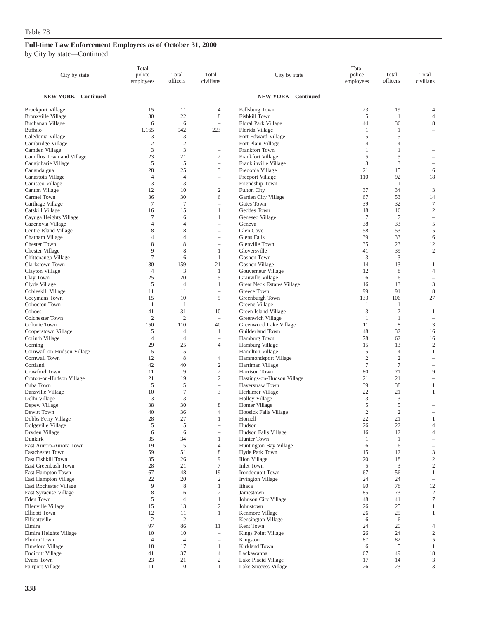| City by state                                 | Total<br>police<br>employees | Total<br>officers   | Total<br>civilians                         | City by state                             | Total<br>police<br>employees | Total<br>officers                | Total<br>civilians                |
|-----------------------------------------------|------------------------------|---------------------|--------------------------------------------|-------------------------------------------|------------------------------|----------------------------------|-----------------------------------|
| <b>NEW YORK-Continued</b>                     |                              |                     |                                            | <b>NEW YORK-Continued</b>                 |                              |                                  |                                   |
| <b>Brockport Village</b>                      | 15                           | 11                  | 4                                          | Fallsburg Town                            | 23                           | 19                               | $\overline{4}$                    |
| <b>Bronxville Village</b>                     | 30                           | 22                  | 8                                          | Fishkill Town                             | 5                            | 1                                | $\overline{4}$                    |
| Buchanan Village                              | 6                            | 6                   | $\overline{\phantom{m}}$                   | Floral Park Village                       | 44                           | 36                               | 8                                 |
| <b>Buffalo</b>                                | 1,165                        | 942                 | 223                                        | Florida Village                           | 1                            | 1                                |                                   |
| Caledonia Village<br>Cambridge Village        | 3<br>$\overline{c}$          | 3<br>$\mathfrak{2}$ | ÷,<br>$\overline{\phantom{0}}$             | Fort Edward Village<br>Fort Plain Village | 5<br>4                       | 5<br>4                           | $\overline{\phantom{a}}$          |
| Camden Village                                | 3                            | 3                   | $\overline{\phantom{m}}$                   | Frankfort Town                            | 1                            | 1                                |                                   |
| Camillus Town and Village                     | 23                           | 21                  | $\sqrt{2}$                                 | Frankfort Village                         | 5                            | 5                                | $\overline{\phantom{a}}$          |
| Canajoharie Village                           | 5                            | 5                   | $\qquad \qquad -$                          | Franklinville Village                     | 3                            | 3                                | $\overline{\phantom{0}}$          |
| Canandaigua                                   | 28                           | 25                  | 3                                          | Fredonia Village                          | 21                           | 15                               | 6                                 |
| Canastota Village                             | $\overline{4}$               | $\overline{4}$      | $\overline{\phantom{0}}$                   | Freeport Village                          | 110                          | 92                               | 18                                |
| Canisteo Village                              | 3                            | 3                   | $\overline{\phantom{m}}$                   | Friendship Town                           | 1                            | -1                               | $\overline{\phantom{a}}$          |
| Canton Village<br>Carmel Town                 | 12<br>36                     | 10<br>30            | $\sqrt{2}$<br>6                            | <b>Fulton City</b><br>Garden City Village | 37<br>67                     | 34<br>53                         | $\mathfrak z$<br>14               |
| Carthage Village                              | $\overline{7}$               | $\tau$              | $\overline{\phantom{a}}$                   | Gates Town                                | 39                           | 32                               | $\boldsymbol{7}$                  |
| Catskill Village                              | 16                           | 15                  | 1                                          | Geddes Town                               | 18                           | 16                               | $\overline{2}$                    |
| Cayuga Heights Village                        | 7                            | 6                   | 1                                          | Geneseo Village                           | $\tau$                       | $\overline{7}$                   | $\hspace{1.0cm} - \hspace{1.0cm}$ |
| Cazenovia Village                             | $\overline{4}$               | $\overline{4}$      | ÷,                                         | Geneva                                    | 38                           | 33                               | $\sqrt{5}$                        |
| Centre Island Village                         | 8                            | 8                   | $\qquad \qquad -$                          | Glen Cove                                 | 58                           | 53                               | 5                                 |
| Chatham Village                               | 4                            | 4                   | $\overline{\phantom{a}}$                   | Glens Falls                               | 39                           | 33                               | 6                                 |
| <b>Chester Town</b><br><b>Chester Village</b> | 8<br>9                       | 8<br>8              | $\qquad \qquad -$<br>1                     | Glenville Town<br>Gloversville            | 35<br>41                     | 23<br>39                         | 12<br>$\overline{c}$              |
| Chittenango Village                           | 7                            | 6                   | $\mathbf{1}$                               | Goshen Town                               | 3                            | 3                                | $\overline{\phantom{a}}$          |
| Clarkstown Town                               | 180                          | 159                 | 21                                         | Goshen Village                            | 14                           | 13                               | 1                                 |
| Clayton Village                               | $\overline{4}$               | 3                   | -1                                         | Gouverneur Village                        | 12                           | 8                                | $\overline{4}$                    |
| Clay Town                                     | 25                           | 20                  | 5                                          | Granville Village                         | 6                            | 6                                | $\overline{\phantom{0}}$          |
| Clyde Village                                 | 5                            | $\overline{4}$      | $\mathbf{1}$                               | <b>Great Neck Estates Village</b>         | 16                           | 13                               | 3                                 |
| Cobleskill Village                            | 11                           | 11                  | $\overline{\phantom{0}}$                   | Greece Town                               | 99                           | 91                               | $\,$ 8 $\,$                       |
| Coeymans Town                                 | 15<br>1                      | 10<br>1             | 5<br>$\overline{\phantom{a}}$              | Greenburgh Town                           | 133                          | 106<br>1                         | 27<br>$\overline{\phantom{a}}$    |
| Cohocton Town<br>Cohoes                       | 41                           | 31                  | 10                                         | Greene Village<br>Green Island Village    | $\mathbf{1}$<br>3            | $\overline{c}$                   | $\mathbf{1}$                      |
| Colchester Town                               | $\overline{2}$               | $\overline{2}$      | ۰                                          | Greenwich Village                         | 1                            | 1                                | $\overline{\phantom{0}}$          |
| Colonie Town                                  | 150                          | 110                 | 40                                         | Greenwood Lake Village                    | 11                           | 8                                | $\mathfrak z$                     |
| Cooperstown Village                           | 5                            | $\overline{4}$      | 1                                          | Guilderland Town                          | 48                           | 32                               | 16                                |
| Corinth Village                               | $\overline{4}$               | $\overline{4}$      | $\overline{\phantom{a}}$                   | Hamburg Town                              | 78                           | 62                               | 16                                |
| Corning                                       | 29                           | 25                  | 4                                          | Hamburg Village                           | 15                           | 13                               | $\overline{2}$                    |
| Cornwall-on-Hudson Village<br>Cornwall Town   | 5<br>12                      | 5<br>8              | $\overline{\phantom{m}}$<br>$\overline{4}$ | Hamilton Village<br>Hammondsport Village  | 5<br>$\overline{c}$          | $\overline{4}$<br>$\overline{2}$ | 1                                 |
| Cortland                                      | 42                           | 40                  | $\mathfrak{2}$                             | Harriman Village                          | $\tau$                       | $\tau$                           | $\qquad \qquad -$                 |
| Crawford Town                                 | 11                           | 9                   | $\mathbf{2}$                               | Harrison Town                             | 80                           | 71                               | 9                                 |
| Croton-on-Hudson Village                      | 21                           | 19                  | $\mathfrak{2}$                             | Hastings-on-Hudson Village                | 21                           | 21                               | i.                                |
| Cuba Town                                     | 5                            | 5                   | $\overline{\phantom{0}}$                   | Haverstraw Town                           | 39                           | 38                               | 1                                 |
| Dansville Village                             | 10                           | $\tau$              | 3                                          | Herkimer Village                          | 22                           | 21                               | 1                                 |
| Delhi Village                                 | 3                            | 3                   | Ē,                                         | <b>Holley Village</b>                     | 3                            | 3                                |                                   |
| Depew Village<br>Dewitt Town                  | 38<br>40                     | 30<br>36            | 8<br>$\overline{4}$                        | Homer Village<br>Hoosick Falls Village    | 5<br>$\overline{2}$          | 5<br>$\overline{2}$              | $\overline{\phantom{a}}$          |
| Dobbs Ferry Village                           | 28                           | 27                  | 1                                          | Hornell                                   | 22                           | 21                               |                                   |
| Dolgeville Village                            | $\sqrt{5}$                   | 5                   | $\qquad \qquad -$                          | Hudson                                    | 26                           | 22                               | $\overline{4}$                    |
| Dryden Village                                | 6                            | 6                   | $\qquad \qquad -$                          | Hudson Falls Village                      | 16                           | 12                               | 4                                 |
| Dunkirk                                       | 35                           | 34                  | $\mathbf{1}$                               | Hunter Town                               | $\mathbf{1}$                 | $\mathbf{1}$                     | $\overline{\phantom{m}}$          |
| East Aurora-Aurora Town                       | 19                           | 15                  | 4                                          | Huntington Bay Village                    | 6                            | 6                                | $\overline{\phantom{a}}$          |
| Eastchester Town<br>East Fishkill Town        | 59<br>35                     | 51<br>26            | 8<br>9                                     | Hyde Park Town<br>Ilion Village           | 15<br>20                     | 12<br>18                         | 3<br>$\sqrt{2}$                   |
| East Greenbush Town                           | 28                           | 21                  | 7                                          | <b>Inlet Town</b>                         | 5                            | 3                                | $\sqrt{2}$                        |
| East Hampton Town                             | 67                           | 48                  | 19                                         | Irondequoit Town                          | 67                           | 56                               | 11                                |
| East Hampton Village                          | 22                           | 20                  | $\boldsymbol{2}$                           | Irvington Village                         | 24                           | 24                               | $\overline{\phantom{a}}$          |
| East Rochester Village                        | 9                            | 8                   | $\mathbf{1}$                               | Ithaca                                    | 90                           | 78                               | 12                                |
| East Syracuse Village                         | 8                            | 6                   | $\sqrt{2}$                                 | Jamestown                                 | 85                           | 73                               | 12                                |
| Eden Town                                     | $\mathfrak s$                | $\overline{4}$      | $\mathbf{1}$                               | Johnson City Village                      | 48                           | 41                               | $\tau$                            |
| Ellenville Village<br><b>Ellicott Town</b>    | 15<br>12                     | 13<br>11            | $\overline{c}$<br>$\mathbf{1}$             | Johnstown<br>Kenmore Village              | 26<br>26                     | 25<br>25                         | 1<br>1                            |
| Ellicottville                                 | $\sqrt{2}$                   | $\mathbf{2}$        | $\overline{\phantom{a}}$                   | Kensington Village                        | 6                            | 6                                | $\overline{\phantom{a}}$          |
| Elmira                                        | 97                           | 86                  | 11                                         | Kent Town                                 | 24                           | 20                               | $\overline{4}$                    |
| Elmira Heights Village                        | 10                           | 10                  | $\overline{\phantom{0}}$                   | Kings Point Village                       | 26                           | 24                               | $\sqrt{2}$                        |
| Elmira Town                                   | 4                            | $\overline{4}$      | $\overline{\phantom{m}}$                   | Kingston                                  | 87                           | 82                               | 5                                 |
| Elmsford Village                              | 18                           | 17                  | 1                                          | Kirkland Town                             | 6                            | 5                                | $\mathbf{1}$                      |
| <b>Endicott Village</b><br>Evans Town         | 41<br>23                     | 37<br>21            | $\overline{4}$<br>$\sqrt{2}$               | Lackawanna<br>Lake Placid Village         | 67<br>17                     | 49<br>14                         | 18<br>3                           |
| Fairport Village                              | 11                           | 10                  | $\mathbf{1}$                               | Lake Success Village                      | 26                           | 23                               | $\mathfrak z$                     |
|                                               |                              |                     |                                            |                                           |                              |                                  |                                   |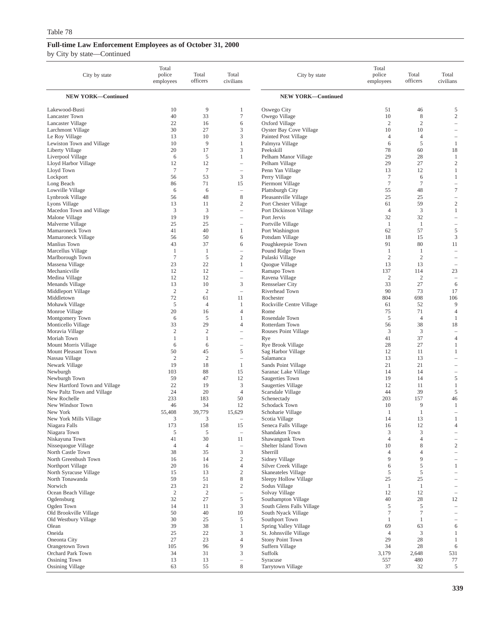| City by state                               | Total<br>police<br>employees | Total<br>officers | Total<br>civilians       | City by state                                 | Total<br>police<br>employees | Total<br>officers            | Total<br>civilians           |
|---------------------------------------------|------------------------------|-------------------|--------------------------|-----------------------------------------------|------------------------------|------------------------------|------------------------------|
| <b>NEW YORK-Continued</b>                   |                              |                   |                          | <b>NEW YORK-Continued</b>                     |                              |                              |                              |
| Lakewood-Busti                              | 10                           | 9                 | 1                        | Oswego City                                   | 51                           | 46                           | 5                            |
| <b>Lancaster Town</b>                       | 40                           | 33                | $\tau$                   | Owego Village                                 | 10                           | $\,$ 8 $\,$                  | $\sqrt{2}$                   |
| Lancaster Village                           | 22                           | 16                | 6                        | Oxford Village                                | $\overline{2}$               | $\overline{2}$               | $\overline{\phantom{0}}$     |
| Larchmont Village                           | 30                           | 27                | 3                        | Oyster Bay Cove Village                       | 10                           | 10                           |                              |
| Le Roy Village<br>Lewiston Town and Village | 13<br>10                     | 10<br>9           | 3<br>1                   | Painted Post Village                          | 4<br>6                       | $\overline{4}$<br>$\sqrt{5}$ | $\mathbf{1}$                 |
| Liberty Village                             | 20                           | 17                | 3                        | Palmyra Village<br>Peekskill                  | 78                           | 60                           | 18                           |
| Liverpool Village                           | 6                            | 5                 | 1                        | Pelham Manor Village                          | 29                           | 28                           | $\mathbf{1}$                 |
| Lloyd Harbor Village                        | 12                           | 12                | i.                       | Pelham Village                                | 29                           | 27                           | $\sqrt{2}$                   |
| Lloyd Town                                  | $\tau$                       | $\tau$            | $\qquad \qquad -$        | Penn Yan Village                              | 13                           | 12                           | $\mathbf{1}$                 |
| Lockport                                    | 56                           | 53                | 3                        | Perry Village                                 | $\tau$                       | 6                            | $\mathbf{1}$                 |
| Long Beach                                  | 86                           | 71                | 15                       | Piermont Village                              | $\overline{7}$               | $\overline{7}$               | ÷                            |
| Lowville Village                            | 6                            | 6                 | i.                       | Plattsburgh City                              | 55                           | 48                           | 7                            |
| Lynbrook Village<br>Lyons Village           | 56<br>13                     | 48<br>11          | 8<br>$\overline{2}$      | Pleasantville Village<br>Port Chester Village | 25<br>61                     | 25<br>59                     | $\overline{c}$               |
| Macedon Town and Village                    | 3                            | 3                 | $\overline{\phantom{0}}$ | Port Dickinson Village                        | $\overline{4}$               | 3                            | $\mathbf{1}$                 |
| Malone Village                              | 19                           | 19                | $\qquad \qquad -$        | Port Jervis                                   | 32                           | 32                           | $\qquad \qquad -$            |
| Malverne Village                            | 25                           | 25                |                          | Portville Village                             | -1                           | 1                            | $\qquad \qquad -$            |
| Mamaroneck Town                             | 41                           | 40                | 1                        | Port Washington                               | 62                           | 57                           | 5                            |
| Mamaroneck Village                          | 56                           | 50                | 6                        | Potsdam Village                               | 18                           | 15                           | 3                            |
| Manlius Town                                | 43                           | 37                | 6                        | Poughkeepsie Town                             | 91                           | 80                           | 11                           |
| Marcellus Village                           | $\mathbf{1}$                 | 1                 | $\overline{\phantom{0}}$ | Pound Ridge Town                              | 1                            | 1                            | ÷                            |
| Marlborough Town<br>Massena Village         | $\tau$<br>23                 | 5<br>22           | $\mathfrak{2}$<br>1      | Pulaski Village<br>Quogue Village             | $\overline{2}$<br>13         | $\overline{2}$<br>13         | $\overline{\phantom{m}}$     |
| Mechanicville                               | 12                           | 12                | $\overline{\phantom{0}}$ | Ramapo Town                                   | 137                          | 114                          | 23                           |
| Medina Village                              | 12                           | 12                | $\overline{\phantom{0}}$ | Ravena Village                                | $\overline{c}$               | $\overline{c}$               | $\overline{\phantom{a}}$     |
| Menands Village                             | 13                           | 10                | 3                        | Rensselaer City                               | 33                           | 27                           | 6                            |
| Middleport Village                          | $\mathfrak{2}$               | $\mathfrak{2}$    | $\qquad \qquad -$        | Riverhead Town                                | 90                           | 73                           | 17                           |
| Middletown                                  | 72                           | 61                | 11                       | Rochester                                     | 804                          | 698                          | 106                          |
| Mohawk Village                              | 5                            | $\overline{4}$    | 1                        | Rockville Centre Village                      | 61                           | 52                           | 9                            |
| Monroe Village                              | 20                           | 16                | $\overline{4}$           | Rome                                          | 75                           | 71                           | 4                            |
| Montgomery Town<br>Monticello Village       | 6<br>33                      | 5<br>29           | 1<br>$\overline{4}$      | Rosendale Town<br>Rotterdam Town              | 5<br>56                      | $\overline{4}$<br>38         | $\mathbf{1}$<br>18           |
| Moravia Village                             | $\overline{c}$               | $\mathfrak{2}$    |                          | Rouses Point Village                          | 3                            | 3                            | $\overline{\phantom{m}}$     |
| Moriah Town                                 | $\mathbf{1}$                 | $\mathbf{1}$      | $\qquad \qquad -$        | Rye                                           | 41                           | 37                           | $\overline{4}$               |
| Mount Morris Village                        | 6                            | 6                 | $\qquad \qquad -$        | Rye Brook Village                             | 28                           | 27                           | $\mathbf{1}$                 |
| Mount Pleasant Town                         | 50                           | 45                | 5                        | Sag Harbor Village                            | 12                           | 11                           | $\mathbf{1}$                 |
| Nassau Village                              | $\overline{c}$               | $\mathfrak{2}$    | $\qquad \qquad -$        | Salamanca                                     | 13                           | 13                           | $\overline{\phantom{0}}$     |
| Newark Village                              | 19                           | 18                | 1                        | Sands Point Village                           | 21                           | 21                           | $\overline{\phantom{a}}$     |
| Newburgh<br>Newburgh Town                   | 103<br>59                    | 88<br>47          | 15<br>12                 | Saranac Lake Village<br>Saugerties Town       | 14<br>19                     | 14<br>14                     | 5                            |
| New Hartford Town and Village               | 22                           | 19                | 3                        | Saugerties Village                            | 12                           | 11                           | $\mathbf{1}$                 |
| New Paltz Town and Village                  | 24                           | 20                | $\overline{4}$           | Scarsdale Village                             | 44                           | 39                           | 5                            |
| New Rochelle                                | 233                          | 183               | 50                       | Schenectady                                   | 203                          | 157                          | 46                           |
| New Windsor Town                            | 46                           | 34                | 12                       | Schodack Town                                 | 10                           | 9                            | $\mathbf{1}$                 |
| New York                                    | 55,408                       | 39,779            | 15,629                   | Schoharie Village                             | -1                           | -1                           | $\equiv$                     |
| New York Mills Village                      | 3                            | 3                 | 15                       | Scotia Village                                | 14                           | 13                           | $\overline{4}$               |
| Niagara Falls<br>Niagara Town               | 173<br>5                     | 158<br>5          | $\overline{\phantom{0}}$ | Seneca Falls Village<br>Shandaken Town        | 16<br>3                      | 12<br>3                      | $\qquad \qquad -$            |
| Niskayuna Town                              | 41                           | 30                | 11                       | Shawangunk Town                               | 4                            | $\overline{4}$               | $\qquad \qquad -$            |
| Nissequogue Village                         | $\overline{4}$               | 4                 | $\overline{\phantom{0}}$ | Shelter Island Town                           | 10                           | 8                            | 2                            |
| North Castle Town                           | 38                           | 35                | 3                        | Sherrill                                      | 4                            | 4                            | $\overline{\phantom{0}}$     |
| North Greenbush Town                        | 16                           | 14                | $\overline{c}$           | Sidney Village                                | 9                            | 9                            | $\qquad \qquad -$            |
| Northport Village                           | 20                           | 16                | $\overline{4}$           | Silver Creek Village                          | 6                            | 5                            | $\mathbf{1}$                 |
| North Syracuse Village<br>North Tonawanda   | 15<br>59                     | 13<br>51          | $\overline{c}$<br>8      | Skaneateles Village                           | 5<br>25                      | 5<br>25                      |                              |
| Norwich                                     | 23                           | 21                | $\mathbf{2}$             | Sleepy Hollow Village<br>Sodus Village        | $\mathbf{1}$                 | $\mathbf{1}$                 |                              |
| Ocean Beach Village                         | $\sqrt{2}$                   | $\boldsymbol{2}$  | $\overline{\phantom{0}}$ | Solvay Village                                | 12                           | 12                           | $\overline{\phantom{a}}$     |
| Ogdensburg                                  | 32                           | 27                | 5                        | Southampton Village                           | 40                           | 28                           | 12                           |
| Ogden Town                                  | 14                           | 11                | 3                        | South Glens Falls Village                     | 5                            | 5                            | $\overline{\phantom{0}}$     |
| Old Brookville Village                      | 50                           | 40                | 10                       | South Nyack Village                           | $\boldsymbol{7}$             | $\overline{7}$               | $\overline{\phantom{0}}$     |
| Old Westbury Village                        | 30                           | 25                | 5                        | Southport Town                                | $\mathbf{1}$                 | 1                            | $\qquad \qquad -$            |
| Olean                                       | 39                           | 38                | 1                        | Spring Valley Village                         | 69                           | 63                           | 6                            |
| Oneida<br>Oneonta City                      | 25<br>27                     | 22<br>23          | 3<br>$\overline{4}$      | St. Johnsville Village<br>Stony Point Town    | $\overline{4}$<br>29         | 3<br>28                      | $\mathbf{1}$<br>$\mathbf{1}$ |
| Orangetown Town                             | 105                          | 96                | 9                        | Suffern Village                               | 34                           | 28                           | 6                            |
| Orchard Park Town                           | 34                           | 31                | 3                        | Suffolk                                       | 3,179                        | 2,648                        | 531                          |
| <b>Ossining Town</b>                        | 13                           | 13                | $\qquad \qquad -$        | Syracuse                                      | 557                          | 480                          | 77                           |
| <b>Ossining Village</b>                     | 63                           | 55                | $\,$ 8 $\,$              | Tarrytown Village                             | 37                           | 32                           | 5                            |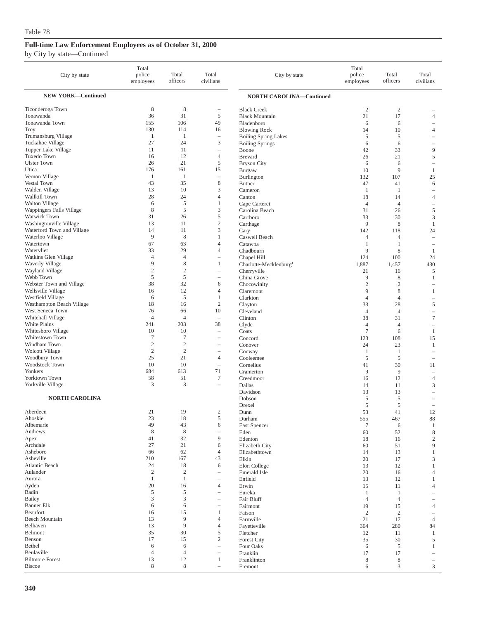| City by state                                  | Total<br>police<br>employees   | Total<br>officers            | Total<br>civilians                            | City by state                                         | Total<br>police<br>employees | Total<br>officers    | Total<br>civilians                                   |
|------------------------------------------------|--------------------------------|------------------------------|-----------------------------------------------|-------------------------------------------------------|------------------------------|----------------------|------------------------------------------------------|
| <b>NEW YORK-Continued</b>                      |                                |                              |                                               | <b>NORTH CAROLINA-Continued</b>                       |                              |                      |                                                      |
| Ticonderoga Town                               | 8                              | 8                            | $\hspace{1.0cm} - \hspace{1.0cm}$             | <b>Black Creek</b>                                    | $\mathfrak{2}$               | $\overline{2}$       |                                                      |
| Tonawanda                                      | 36                             | 31                           | 5                                             | <b>Black Mountain</b>                                 | 21                           | 17                   | $\overline{4}$                                       |
| Tonawanda Town                                 | 155                            | 106                          | 49                                            | Bladenboro                                            | 6                            | 6                    |                                                      |
| Troy                                           | 130                            | 114                          | 16                                            | <b>Blowing Rock</b>                                   | 14                           | 10                   | $\overline{4}$                                       |
| Trumansburg Village<br>Tuckahoe Village        | 1<br>27                        | 1<br>24                      | $\hspace{1.0cm} - \hspace{1.0cm}$<br>3        | <b>Boiling Spring Lakes</b><br><b>Boiling Springs</b> | 5<br>6                       | 5<br>6               | $\overline{\phantom{a}}$                             |
| Tupper Lake Village                            | 11                             | 11                           | $\overline{\phantom{0}}$                      | Boone                                                 | 42                           | 33                   | $\overline{9}$                                       |
| Tuxedo Town                                    | 16                             | 12                           | $\overline{4}$                                | <b>Brevard</b>                                        | 26                           | 21                   | 5                                                    |
| <b>Ulster Town</b>                             | 26                             | 21                           | $\sqrt{5}$                                    | <b>Bryson City</b>                                    | 6                            | 6                    | $\overline{\phantom{a}}$                             |
| Utica                                          | 176                            | 161                          | 15                                            | Burgaw                                                | 10                           | 9                    | $\mathbf{1}$                                         |
| Vernon Village                                 | 1                              | 1                            | $\overline{\phantom{a}}$                      | Burlington                                            | 132                          | 107                  | 25                                                   |
| Vestal Town                                    | 43                             | 35                           | $\,$ 8 $\,$                                   | <b>Butner</b>                                         | 47                           | 41                   | 6                                                    |
| Walden Village<br>Wallkill Town                | 13<br>28                       | 10<br>24                     | 3<br>$\overline{4}$                           | Cameron<br>Canton                                     | $\mathbf{1}$<br>18           | 1<br>14              | ÷,<br>$\overline{4}$                                 |
| Walton Village                                 | 6                              | 5                            | 1                                             | Cape Carteret                                         | $\overline{4}$               | $\overline{4}$       | $\overline{\phantom{a}}$                             |
| Wappingers Falls Village                       | 8                              | 5                            | 3                                             | Carolina Beach                                        | 31                           | 26                   | 5                                                    |
| Warwick Town                                   | 31                             | 26                           | 5                                             | Carrboro                                              | 33                           | 30                   | 3                                                    |
| Washingtonville Village                        | 13                             | 11                           | $\mathbf{2}$                                  | Carthage                                              | 9                            | 8                    | $\mathbf{1}$                                         |
| Waterford Town and Village                     | 14                             | 11                           | 3                                             | Cary                                                  | 142                          | 118                  | 24                                                   |
| Waterloo Village                               | 9                              | 8                            | 1                                             | Caswell Beach                                         | 4                            | 4                    | $\overline{\phantom{a}}$                             |
| Watertown<br>Watervliet                        | 67<br>33                       | 63<br>29                     | 4<br>$\overline{4}$                           | Catawba<br>Chadbourn                                  | 1<br>9                       | 1<br>8               | $\overline{\phantom{a}}$<br>1                        |
| Watkins Glen Village                           | $\overline{4}$                 | $\overline{4}$               | $\overline{\phantom{m}}$                      | Chapel Hill                                           | 124                          | 100                  | 24                                                   |
| Waverly Village                                | 9                              | 8                            | 1                                             | Charlotte-Mecklenburg <sup>1</sup>                    | 1,887                        | 1,457                | 430                                                  |
| Wayland Village                                | $\overline{c}$                 | $\mathfrak{2}$               | $\qquad \qquad -$                             | Cherryville                                           | 21                           | 16                   | 5                                                    |
| Webb Town                                      | 5                              | 5                            | $\overline{\phantom{a}}$                      | China Grove                                           | 9                            | 8                    | 1                                                    |
| Webster Town and Village                       | 38                             | 32                           | 6                                             | Chocowinity                                           | $\sqrt{2}$                   | $\overline{c}$       | $\overline{\phantom{a}}$                             |
| Wellsville Village                             | 16                             | 12                           | 4                                             | Claremont                                             | 9                            | 8                    | 1                                                    |
| Westfield Village<br>Westhampton Beach Village | 6<br>18                        | 5<br>16                      | 1<br>$\mathfrak{2}$                           | Clarkton<br>Clayton                                   | 4<br>33                      | $\overline{4}$<br>28 | $\overline{\phantom{0}}$<br>$\sqrt{5}$               |
| West Seneca Town                               | 76                             | 66                           | 10                                            | Cleveland                                             | $\overline{4}$               | $\overline{4}$       | $\hspace{1.0cm} - \hspace{1.0cm}$                    |
| Whitehall Village                              | $\overline{4}$                 | $\overline{4}$               | $\hspace{1.0cm} - \hspace{1.0cm}$             | Clinton                                               | 38                           | 31                   | $\boldsymbol{7}$                                     |
| White Plains                                   | 241                            | 203                          | 38                                            | Clyde                                                 | $\overline{4}$               | $\overline{4}$       |                                                      |
| Whitesboro Village                             | 10                             | 10                           | $\overline{\phantom{0}}$                      | Coats                                                 | $\tau$                       | 6                    | 1                                                    |
| Whitestown Town                                | $\tau$                         | $\tau$                       | $\overline{\phantom{m}}$                      | Concord                                               | 123                          | 108                  | 15                                                   |
| Windham Town                                   | $\mathbf{2}$<br>$\overline{2}$ | $\sqrt{2}$<br>$\mathfrak{2}$ | $\overline{\phantom{m}}$                      | Conover                                               | 24                           | 23                   | 1                                                    |
| Wolcott Village<br>Woodbury Town               | 25                             | 21                           | $\overline{\phantom{0}}$<br>$\overline{4}$    | Conway<br>Cooleemee                                   | $\mathbf{1}$<br>5            | $\mathbf{1}$<br>5    | ÷,<br>$\sim$                                         |
| Woodstock Town                                 | 10                             | 10                           | $\overline{\phantom{a}}$                      | Cornelius                                             | 41                           | 30                   | 11                                                   |
| Yonkers                                        | 684                            | 613                          | 71                                            | Cramerton                                             | 9                            | 9                    | $\overline{\phantom{a}}$                             |
| Yorktown Town                                  | 58                             | 51                           | $\tau$                                        | Creedmoor                                             | 16                           | 12                   | $\overline{4}$                                       |
| Yorkville Village                              | 3                              | 3                            | $\overline{\phantom{0}}$                      | Dallas                                                | 14                           | 11                   | $\mathfrak z$                                        |
| <b>NORTH CAROLINA</b>                          |                                |                              |                                               | Davidson                                              | 13                           | 13                   | i.                                                   |
|                                                |                                |                              |                                               | Dobson<br>Drexel                                      | 5<br>5                       | 5<br>5               | $\overline{\phantom{a}}$<br>$\overline{\phantom{a}}$ |
| Aberdeen                                       | 21                             | 19                           | 2                                             | Dunn                                                  | 53                           | 41                   | 12                                                   |
| Ahoskie                                        | 23                             | 18                           | 5                                             | Durham                                                | 555                          | 467                  | 88                                                   |
| Albemarle                                      | 49                             | 43                           | 6                                             | East Spencer                                          | $\tau$                       | 6                    | $\mathbf{1}$                                         |
| Andrews                                        | 8                              | $\,8\,$                      | $\overline{\phantom{0}}$                      | Eden                                                  | 60                           | 52                   | 8                                                    |
| Apex                                           | 41                             | 32                           | 9                                             | Edenton                                               | 18                           | 16                   | $\sqrt{2}$                                           |
| Archdale<br>Asheboro                           | 27<br>66                       | 21<br>62                     | 6<br>$\overline{4}$                           | Elizabeth City<br>Elizabethtown                       | 60                           | 51<br>13             | 9<br>1                                               |
| Asheville                                      | 210                            | 167                          | 43                                            | Elkin                                                 | 14<br>20                     | 17                   | 3                                                    |
| Atlantic Beach                                 | 24                             | 18                           | 6                                             | Elon College                                          | 13                           | 12                   | 1                                                    |
| Aulander                                       | $\overline{c}$                 | $\overline{c}$               | L.                                            | Emerald Isle                                          | 20                           | 16                   | $\overline{4}$                                       |
| Aurora                                         | 1                              | 1                            |                                               | Enfield                                               | 13                           | 12                   | 1                                                    |
| Ayden                                          | 20                             | 16                           | 4                                             | Erwin                                                 | 15                           | 11                   | 4                                                    |
| Badin<br>Bailey                                | 5<br>3                         | 5<br>3                       | $\qquad \qquad -$                             | Eureka                                                | $\mathbf{1}$                 | 1                    |                                                      |
| <b>Banner Elk</b>                              | 6                              | 6                            | $\qquad \qquad -$<br>$\qquad \qquad -$        | Fair Bluff<br>Fairmont                                | $\overline{4}$<br>19         | $\overline{4}$<br>15 | $\overline{4}$                                       |
| Beaufort                                       | 16                             | 15                           | $\mathbf{1}$                                  | Faison                                                | $\boldsymbol{2}$             | $\overline{c}$       |                                                      |
| <b>Beech Mountain</b>                          | 13                             | 9                            | $\overline{4}$                                | Farmville                                             | 21                           | 17                   | $\overline{4}$                                       |
| Belhaven                                       | 13                             | 9                            | $\overline{4}$                                | Fayetteville                                          | 364                          | 280                  | 84                                                   |
| Belmont                                        | 35                             | 30                           | 5                                             | Fletcher                                              | 12                           | 11                   | 1                                                    |
| Benson                                         | 17                             | 15                           | $\overline{c}$                                | <b>Forest City</b>                                    | 35                           | 30                   | 5                                                    |
| Bethel<br>Beulaville                           | 6<br>$\overline{4}$            | 6<br>$\overline{4}$          | $\overline{\phantom{0}}$<br>$\qquad \qquad -$ | Four Oaks                                             | 6                            | 5                    | 1                                                    |
| <b>Biltmore Forest</b>                         | 13                             | 12                           | $\mathbf{1}$                                  | Franklin<br>Franklinton                               | 17<br>8                      | 17<br>8              |                                                      |
| <b>Biscoe</b>                                  | 8                              | $\,$ 8 $\,$                  | $\qquad \qquad -$                             | Fremont                                               | 6                            | 3                    | 3                                                    |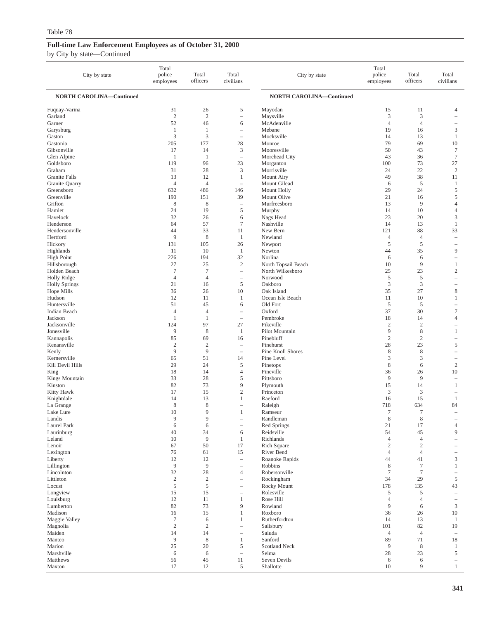| City by state                     | Total<br>police<br>employees | Total<br>officers    | Total<br>civilians                                   | City by state                   | Total<br>police<br>employees | Total<br>officers      | Total<br>civilians            |
|-----------------------------------|------------------------------|----------------------|------------------------------------------------------|---------------------------------|------------------------------|------------------------|-------------------------------|
| <b>NORTH CAROLINA-Continued</b>   |                              |                      |                                                      | <b>NORTH CAROLINA-Continued</b> |                              |                        |                               |
| Fuquay-Varina                     | 31                           | 26                   | 5                                                    | Mayodan                         | 15                           | 11                     | 4                             |
| Garland                           | $\mathfrak{2}$               | $\mathfrak{2}$       | $\overline{a}$                                       | Maysville                       | 3                            | 3                      |                               |
| Garner                            | 52                           | 46                   | 6                                                    | McAdenville                     | $\overline{4}$               | $\overline{4}$         | -                             |
| Garysburg<br>Gaston               | $\mathbf{1}$<br>3            | 1<br>3               | $\overline{\phantom{0}}$<br>$\overline{\phantom{0}}$ | Mebane<br>Mocksville            | 19<br>14                     | 16<br>13               | 3<br>1                        |
| Gastonia                          | 205                          | 177                  | 28                                                   | Monroe                          | 79                           | 69                     | 10                            |
| Gibsonville                       | 17                           | 14                   | 3                                                    | Mooresville                     | 50                           | 43                     | $\tau$                        |
| Glen Alpine                       | $\mathbf{1}$                 | 1                    | $\overline{\phantom{a}}$                             | Morehead City                   | 43                           | 36                     | $\tau$                        |
| Goldsboro                         | 119                          | 96                   | 23                                                   | Morganton                       | 100                          | 73                     | 27                            |
| Graham<br>Granite Falls           | 31<br>13                     | 28<br>12             | 3<br>$\mathbf{1}$                                    | Morrisville<br>Mount Airy       | 24<br>49                     | 22<br>38               | $\overline{2}$<br>11          |
| Granite Quarry                    | $\overline{4}$               | $\overline{4}$       | L,                                                   | Mount Gilead                    | 6                            | 5                      | $\mathbf{1}$                  |
| Greensboro                        | 632                          | 486                  | 146                                                  | Mount Holly                     | 29                           | 24                     | 5                             |
| Greenville                        | 190                          | 151                  | 39                                                   | Mount Olive                     | 21                           | 16                     | 5                             |
| Grifton                           | 8                            | 8                    | $\overline{\phantom{0}}$                             | Murfreesboro                    | 13                           | 9                      | $\overline{4}$                |
| Hamlet<br>Havelock                | 24<br>32                     | 19<br>26             | 5<br>6                                               | Murphy<br>Nags Head             | 14<br>23                     | 10<br>20               | $\overline{4}$<br>3           |
| Henderson                         | 64                           | 57                   | $\tau$                                               | Nashville                       | 14                           | 13                     | 1                             |
| Hendersonville                    | 44                           | 33                   | 11                                                   | New Bern                        | 121                          | 88                     | 33                            |
| Hertford                          | 9                            | 8                    | 1                                                    | Newland                         | $\overline{4}$               | $\overline{4}$         | ÷                             |
| Hickory                           | 131                          | 105                  | 26                                                   | Newport                         | 5                            | 5                      | $\overline{\phantom{0}}$      |
| Highlands                         | 11                           | 10                   | 1                                                    | Newton                          | 44                           | 35                     | 9                             |
| <b>High Point</b><br>Hillsborough | 226<br>27                    | 194<br>25            | 32<br>$\sqrt{2}$                                     | Norlina<br>North Topsail Beach  | 6<br>10                      | 6<br>9                 | -<br>$\mathbf{1}$             |
| Holden Beach                      | $\overline{7}$               | $\overline{7}$       | $\overline{a}$                                       | North Wilkesboro                | 25                           | 23                     | $\overline{c}$                |
| Holly Ridge                       | $\overline{4}$               | $\overline{4}$       | $\overline{a}$                                       | Norwood                         | $\sqrt{5}$                   | 5                      | L,                            |
| <b>Holly Springs</b>              | 21                           | 16                   | 5                                                    | Oakboro                         | 3                            | 3                      |                               |
| Hope Mills                        | 36                           | 26                   | 10                                                   | Oak Island                      | 35                           | 27                     | 8                             |
| Hudson<br>Huntersville            | 12<br>51                     | 11<br>45             | 1<br>6                                               | Ocean Isle Beach<br>Old Fort    | 11<br>5                      | 10<br>5                | 1<br>$\overline{\phantom{0}}$ |
| Indian Beach                      | $\overline{4}$               | $\overline{4}$       | $\overline{\phantom{0}}$                             | Oxford                          | 37                           | 30                     | $\overline{7}$                |
| Jackson                           | $\mathbf{1}$                 | $\mathbf{1}$         | L,                                                   | Pembroke                        | 18                           | 14                     | $\overline{4}$                |
| Jacksonville                      | 124                          | 97                   | 27                                                   | Pikeville                       | $\overline{c}$               | $\sqrt{2}$             | -                             |
| Jonesville                        | 9                            | $\,$ 8 $\,$          | 1                                                    | Pilot Mountain                  | 9                            | $\,$ 8 $\,$            | 1                             |
| Kannapolis<br>Kenansville         | 85<br>$\mathfrak{2}$         | 69<br>$\overline{c}$ | 16<br>$\overline{\phantom{0}}$                       | Pinebluff<br>Pinehurst          | $\mathfrak{2}$<br>28         | $\overline{2}$<br>23   | $\overline{\phantom{0}}$<br>5 |
| Kenly                             | 9                            | 9                    | $\overline{\phantom{0}}$                             | Pine Knoll Shores               | 8                            | 8                      | ÷                             |
| Kernersville                      | 65                           | 51                   | 14                                                   | Pine Level                      | 3                            | 3                      | -                             |
| Kill Devil Hills                  | 29                           | 24                   | 5                                                    | Pinetops                        | $\,$ 8 $\,$                  | 6                      | $\sqrt{2}$                    |
| King                              | 18                           | 14                   | $\overline{4}$                                       | Pineville                       | 36                           | 26                     | 10                            |
| Kings Mountain<br>Kinston         | 33<br>82                     | 28<br>73             | 5<br>9                                               | Pittsboro<br>Plymouth           | 9<br>15                      | 9<br>14                | $\overline{\phantom{0}}$<br>1 |
| Kitty Hawk                        | 17                           | 15                   | $\mathbf{2}$                                         | Princeton                       | 3                            | 3                      | -                             |
| Knightdale                        | 14                           | 13                   | $\mathbf{1}$                                         | Raeford                         | 16                           | 15                     | 1                             |
| La Grange                         | 8                            | 8                    | $\overline{\phantom{0}}$                             | Raleigh                         | 718                          | 634                    | 84                            |
| Lake Lure                         | 10                           | 9                    | 1                                                    | Ramseur                         | 7                            | 7                      |                               |
| Landis<br>Laurel Park             | 9<br>6                       | 9<br>6               | $\overline{\phantom{a}}$                             | Randleman<br>Red Springs        | 8<br>21                      | 8<br>17                | $\overline{4}$                |
| Laurinburg                        | 40                           | 34                   | 6                                                    | Reidsville                      | 54                           | 45                     | 9                             |
| Leland                            | 10                           | 9                    | 1                                                    | Richlands                       | $\overline{4}$               | $\overline{4}$         |                               |
| Lenoir                            | 67                           | 50                   | 17                                                   | Rich Square                     | 2                            | $\mathbf{2}$           |                               |
| Lexington                         | 76                           | 61                   | 15                                                   | River Bend                      | $\overline{4}$               | $\overline{4}$         |                               |
| Liberty<br>Lillington             | 12<br>$\overline{9}$         | 12<br>$\overline{9}$ | $\overline{\phantom{0}}$<br>$\overline{\phantom{0}}$ | Roanoke Rapids<br>Robbins       | 44<br>8                      | 41<br>$\boldsymbol{7}$ | 3<br>$\mathbf{1}$             |
| Lincolnton                        | 32                           | 28                   | $\overline{4}$                                       | Robersonville                   | 7                            | $\tau$                 | $\overline{\phantom{0}}$      |
| Littleton                         | $\sqrt{2}$                   | $\sqrt{2}$           | $\overline{\phantom{0}}$                             | Rockingham                      | 34                           | 29                     | 5                             |
| Locust                            | $\sqrt{5}$                   | 5                    | $\overline{\phantom{0}}$                             | Rocky Mount                     | 178                          | 135                    | 43                            |
| Longview                          | 15                           | 15                   | $\overline{\phantom{0}}$                             | Rolesville                      | 5                            | 5                      | $\overline{\phantom{0}}$      |
| Louisburg<br>Lumberton            | 12<br>82                     | 11<br>73             | $\mathbf{1}$<br>9                                    | Rose Hill<br>Rowland            | $\overline{4}$<br>9          | $\overline{4}$<br>6    | $\overline{\phantom{0}}$<br>3 |
| Madison                           | 16                           | 15                   | $\mathbf{1}$                                         | Roxboro                         | 36                           | 26                     | $10\,$                        |
| Maggie Valley                     | $\boldsymbol{7}$             | 6                    | 1                                                    | Rutherfordton                   | 14                           | 13                     | $\mathbf{1}$                  |
| Magnolia                          | $\sqrt{2}$                   | $\sqrt{2}$           | $\overline{\phantom{0}}$                             | Salisbury                       | 101                          | 82                     | 19                            |
| Maiden                            | 14                           | 14                   | $\overline{a}$                                       | Saluda                          | $\overline{4}$               | $\overline{4}$         | $\overline{\phantom{a}}$      |
| Manteo                            | 9                            | 8                    | $\mathbf{1}$                                         | Sanford                         | 89                           | 71                     | 18                            |
| Marion<br>Marshville              | $25\,$<br>6                  | 20<br>6              | $\mathfrak s$<br>$\overline{a}$                      | Scotland Neck<br>Selma          | $\overline{9}$<br>28         | $\,$ 8 $\,$<br>23      | $\mathbf{1}$<br>5             |
| Matthews                          | 56                           | 45                   | 11                                                   | Seven Devils                    | 6                            | 6                      | $\overline{\phantom{0}}$      |
| Maxton                            | 17                           | 12                   | 5                                                    | Shallotte                       | 10                           | 9                      | $\mathbf{1}$                  |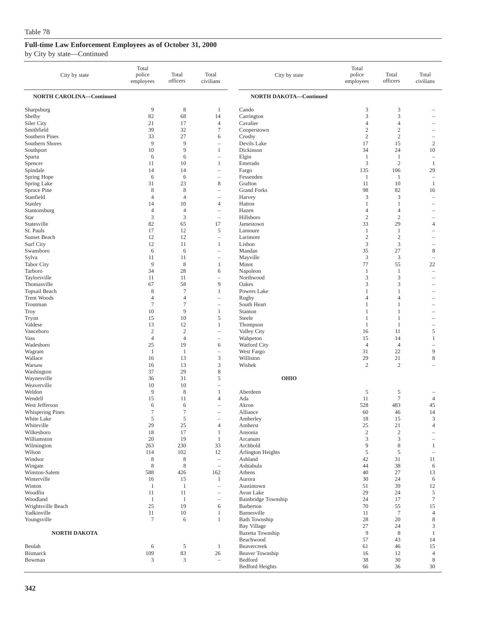| City by state                   | Total<br>police<br>employees | Total<br>officers              | Total<br>civilians                | City by state                 | Total<br>police<br>employees | Total<br>officers   | Total<br>civilians                |
|---------------------------------|------------------------------|--------------------------------|-----------------------------------|-------------------------------|------------------------------|---------------------|-----------------------------------|
| <b>NORTH CAROLINA-Continued</b> |                              |                                |                                   | NORTH DAKOTA-Continued        |                              |                     |                                   |
| Sharpsburg<br>Shelby            | 9<br>82                      | 8<br>68                        | 1<br>14                           | Cando<br>Carrington           | 3<br>3                       | 3<br>3              |                                   |
| Siler City                      | 21                           | 17                             | $\overline{4}$                    | Cavalier                      | 4                            | $\overline{4}$      |                                   |
| Smithfield                      | 39                           | 32                             | $\tau$                            | Cooperstown                   | $\mathfrak{2}$               | $\overline{c}$      |                                   |
| Southern Pines                  | 33                           | 27                             | 6                                 | Crosby                        | $\sqrt{2}$                   | $\sqrt{2}$          | $\overline{\phantom{a}}$          |
| Southern Shores                 | 9                            | 9                              |                                   | Devils Lake                   | 17                           | 15                  | $\sqrt{2}$                        |
| Southport                       | 10                           | 9                              | $\mathbf{1}$                      | Dickinson                     | 34                           | 24                  | 10                                |
| Sparta                          | 6                            | 6                              |                                   | Elgin                         | $\mathbf{1}$                 | 1                   | $\hspace{1.0cm} - \hspace{1.0cm}$ |
| Spencer                         | 11                           | 10                             | 1                                 | Emerado                       | 3                            | $\overline{c}$      | $\mathbf{1}$                      |
| Spindale                        | 14                           | 14                             | i.                                | Fargo                         | 135                          | 106                 | 29                                |
| Spring Hope                     | 6                            | 6                              |                                   | Fessenden                     | 1                            | 1                   | $\overline{\phantom{0}}$          |
| Spring Lake                     | 31                           | 23                             | 8                                 | Grafton                       | 11                           | 10                  | $\mathbf{1}$                      |
| Spruce Pine                     | 8                            | 8                              |                                   | <b>Grand Forks</b>            | 98                           | 82                  | 16                                |
| Stanfield                       | $\overline{4}$               | $\overline{4}$                 | $\overline{4}$                    | Harvey                        | 3                            | 3<br>1              | ÷,                                |
| Stanley<br>Stantonsburg         | 14<br>$\overline{4}$         | 10<br>$\overline{4}$           |                                   | Hatton<br>Hazen               | 1<br>4                       | $\overline{4}$      |                                   |
| Star                            | 3                            | 3                              | $\overline{\phantom{m}}$          | Hillsboro                     | $\mathfrak{2}$               | $\overline{c}$      | $\overline{\phantom{a}}$          |
| Statesville                     | 82                           | 65                             | 17                                | Jamestown                     | 33                           | 29                  | $\overline{4}$                    |
| St. Pauls                       | 17                           | 12                             | 5                                 | Lamoure                       | $\mathbf{1}$                 | $\mathbf{1}$        |                                   |
| Sunset Beach                    | 12                           | 12                             | $\overline{\phantom{m}}$          | Larimore                      | $\sqrt{2}$                   | $\sqrt{2}$          |                                   |
| Surf City                       | 12                           | 11                             | $\mathbf{1}$                      | Lisbon                        | 3                            | 3                   |                                   |
| Swansboro                       | 6                            | 6                              | i.                                | Mandan                        | 35                           | 27                  | 8                                 |
| Sylva                           | 11                           | 11                             | $\hspace{1.0cm} - \hspace{1.0cm}$ | Mayville                      | $\mathfrak z$                | $\mathfrak{Z}$      | $\overline{\phantom{a}}$          |
| <b>Tabor City</b>               | 9                            | 8                              | 1                                 | Minot                         | 77                           | 55                  | 22                                |
| Tarboro                         | 34                           | 28                             | 6                                 | Napoleon                      | 1                            | 1                   | $\overline{\phantom{m}}$          |
| Taylorsville                    | 11                           | 11                             |                                   | Northwood                     | 3                            | 3                   | $\overline{\phantom{a}}$          |
| Thomasville                     | 67                           | 58                             | 9                                 | Oakes                         | 3                            | 3                   | $\overline{\phantom{a}}$          |
| Topsail Beach                   | 8                            | $\overline{7}$                 | 1                                 | Powers Lake                   | 1                            | $\mathbf{1}$        |                                   |
| <b>Trent Woods</b>              | $\overline{4}$               | $\overline{4}$                 |                                   | Rugby                         | 4                            | $\overline{4}$      |                                   |
| Troutman                        | $\boldsymbol{7}$             | $\tau$                         | $\overline{\phantom{0}}$          | South Heart                   | 1                            | 1                   | $\overline{\phantom{a}}$          |
| Troy                            | 10                           | 9                              | $\mathbf{1}$                      | Stanton                       | 1                            | $\mathbf{1}$        |                                   |
| Tryon                           | 15                           | 10                             | 5                                 | Steele                        | 1                            | 1                   | $\overline{\phantom{a}}$          |
| Valdese                         | 13                           | 12                             | 1                                 | Thompson                      | $\mathbf{1}$                 | $\mathbf{1}$        |                                   |
| Vanceboro<br><b>Vass</b>        | $\sqrt{2}$<br>$\overline{4}$ | $\mathbf{2}$<br>$\overline{4}$ | $\overline{\phantom{0}}$          | Valley City<br>Wahpeton       | 16<br>15                     | 11<br>14            | 5<br>$\mathbf{1}$                 |
| Wadesboro                       | 25                           | 19                             | 6                                 | Watford City                  | $\overline{4}$               | $\overline{4}$      |                                   |
| Wagram                          | $\mathbf{1}$                 | 1                              | $\qquad \qquad -$                 | West Fargo                    | 31                           | 22                  | 9                                 |
| Wallace                         | 16                           | 13                             | 3                                 | Williston                     | 29                           | 21                  | $\,$ 8 $\,$                       |
| Warsaw                          | 16                           | 13                             | 3                                 | Wishek                        | $\overline{c}$               | $\overline{c}$      |                                   |
| Washington                      | 37                           | 29                             | 8                                 |                               |                              |                     |                                   |
| Waynesville                     | 36                           | 31                             | 5                                 | <b>OHIO</b>                   |                              |                     |                                   |
| Weaverville                     | 10                           | 10                             | ÷                                 |                               |                              |                     |                                   |
| Weldon                          | 9                            | 8                              | $\mathbf{1}$                      | Aberdeen                      | 5                            | 5                   |                                   |
| Wendell                         | 15                           | 11                             | 4                                 | Ada                           | 11                           | $\tau$              | $\overline{4}$                    |
| West Jefferson                  | 6                            | 6                              | $\overline{\phantom{a}}$          | Akron                         | 528                          | 483                 | 45                                |
| Whispering Pines                | $\tau$                       | 7                              | i.                                | Alliance                      | 60                           | 46                  | 14                                |
| White Lake                      | 5                            | 5                              |                                   | Amberley                      | 18                           | 15                  | 3                                 |
| Whiteville<br>Wilkesboro        | 29                           | 25                             | 4<br>$\mathbf{1}$                 | Amherst<br>Ansonia            | 25<br>$\sqrt{2}$             | $21\,$              | $\overline{4}$                    |
| Williamston                     | 18<br>20                     | 17<br>19                       | $\mathbf{1}$                      | Arcanum                       | 3                            | $\overline{c}$<br>3 |                                   |
| Wilmington                      | 263                          | 230                            | 33                                | Archbold                      | 9                            | 8                   | 1                                 |
| Wilson                          | 114                          | 102                            | 12                                | Arlington Heights             | 5                            | 5                   | $\overline{\phantom{a}}$          |
| Windsor                         | 8                            | 8                              | $\overline{\phantom{a}}$          | Ashland                       | 42                           | 31                  | 11                                |
| Wingate                         | 8                            | 8                              | $\overline{\phantom{a}}$          | Ashtabula                     | 44                           | 38                  | 6                                 |
| Winston-Salem                   | 588                          | 426                            | 162                               | Athens                        | 40                           | 27                  | 13                                |
| Winterville                     | 16                           | 15                             | $\mathbf{1}$                      | Aurora                        | 30                           | 24                  | 6                                 |
| Winton                          | 1                            | 1                              | $\overline{\phantom{0}}$          | Austintown                    | 51                           | 39                  | 12                                |
| Woodfin                         | 11                           | 11                             |                                   | Avon Lake                     | 29                           | 24                  | $\mathfrak s$                     |
| Woodland                        | $\mathbf{1}$                 | 1                              | $\overline{\phantom{0}}$          | Bainbridge Township           | 24                           | 17                  | $\boldsymbol{7}$                  |
| Wrightsville Beach              | 25                           | 19                             | 6                                 | Barberton                     | 70                           | 55                  | 15                                |
| Yadkinville                     | 11                           | 10                             | $\mathbf{1}$                      | Barnesville                   | 11                           | $\overline{7}$      | $\overline{4}$                    |
| Youngsville                     | $\tau$                       | 6                              | $\mathbf{1}$                      | <b>Bath Township</b>          | 28                           | 20                  | $\,$ 8 $\,$                       |
|                                 |                              |                                |                                   | <b>Bay Village</b>            | $27\,$                       | 24                  | 3                                 |
| <b>NORTH DAKOTA</b>             |                              |                                |                                   | Bazetta Township<br>Beachwood | 9<br>57                      | $\,$ 8 $\,$         | $\mathbf{1}$                      |
| Beulah                          | 6                            | 5                              | $\mathbf{1}$                      | Beavercreek                   | 61                           | 43<br>46            | 14<br>15                          |
| <b>Bismarck</b>                 | 109                          | 83                             | 26                                | Beaver Township               | 16                           | 12                  | $\overline{4}$                    |
| Bowman                          | 3                            | $\mathfrak z$                  | $\overline{\phantom{a}}$          | Bedford                       | 38                           | 30                  | $\,$ 8 $\,$                       |
|                                 |                              |                                |                                   | <b>Bedford Heights</b>        | 66                           | 36                  | 30                                |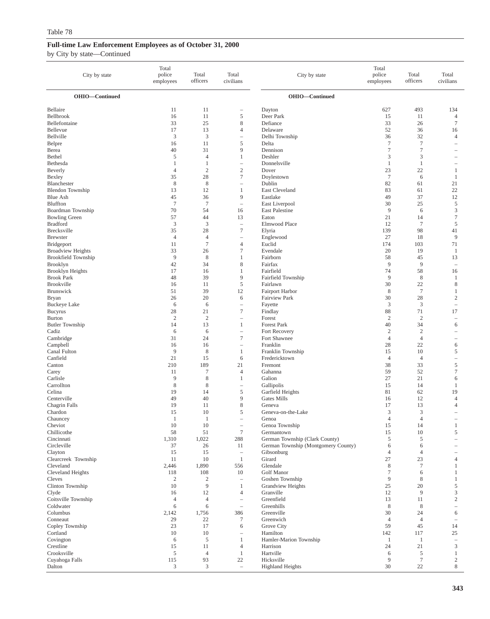| City by state                              | Total<br>police<br>employees | Total<br>officers     | Total<br>civilians                           | City by state                                | Total<br>police<br>employees | Total<br>officers    | Total<br>civilians                |
|--------------------------------------------|------------------------------|-----------------------|----------------------------------------------|----------------------------------------------|------------------------------|----------------------|-----------------------------------|
| OHIO-Continued                             |                              |                       |                                              | OHIO-Continued                               |                              |                      |                                   |
| Bellaire                                   | 11                           | 11                    | -                                            | Dayton                                       | 627                          | 493                  | 134                               |
| Bellbrook                                  | 16                           | 11                    | 5                                            | Deer Park                                    | 15                           | 11                   | $\overline{4}$                    |
| Bellefontaine                              | 33                           | 25                    | 8                                            | Defiance                                     | 33                           | 26                   | $\overline{7}$                    |
| Bellevue                                   | 17                           | 13                    | 4                                            | Delaware                                     | 52                           | 36                   | 16                                |
| Bellville<br>Belpre                        | 3<br>16                      | 3<br>11               | L,<br>5                                      | Delhi Township<br>Delta                      | 36<br>$\boldsymbol{7}$       | 32<br>$\overline{7}$ | $\overline{4}$<br>$\equiv$        |
| Berea                                      | 40                           | 31                    | 9                                            | Dennison                                     | $\tau$                       | 7                    |                                   |
| Bethel                                     | 5                            | $\overline{4}$        | 1                                            | Deshler                                      | 3                            | 3                    | $\overline{\phantom{a}}$          |
| Bethesda                                   | 1                            | 1                     | $\overline{\phantom{m}}$                     | Donnelsville                                 | 1                            | 1                    | $\overline{\phantom{m}}$          |
| Beverly                                    | $\overline{4}$               | $\overline{2}$        | $\mathfrak{2}$                               | Dover                                        | 23                           | 22                   | $\mathbf{1}$                      |
| Bexley                                     | 35                           | 28                    | $\tau$                                       | Doylestown                                   | $7\phantom{.0}$              | 6                    | -1                                |
| Blanchester                                | $\,$ 8 $\,$                  | $\,$ 8 $\,$           | $\qquad \qquad -$                            | Dublin                                       | 82                           | 61                   | 21                                |
| <b>Blendon</b> Township                    | 13                           | 12                    | 1                                            | East Cleveland                               | 83                           | 61                   | 22                                |
| Blue Ash<br>Bluffton                       | 45<br>$\overline{7}$         | 36<br>$\overline{7}$  | 9<br>$\qquad \qquad -$                       | Eastlake                                     | 49<br>30                     | 37<br>25             | 12<br>$\overline{5}$              |
| Boardman Township                          | 70                           | 54                    | 16                                           | East Liverpool<br>East Palestine             | 9                            | 6                    | $\mathfrak{Z}$                    |
| <b>Bowling Green</b>                       | 57                           | 44                    | 13                                           | Eaton                                        | 21                           | 14                   | $\tau$                            |
| <b>Bradford</b>                            | 3                            | 3                     | $\overline{\phantom{a}}$                     | Elmwood Place                                | 12                           | $7\phantom{.0}$      | 5                                 |
| Brecksville                                | 35                           | 28                    | $\boldsymbol{7}$                             | Elyria                                       | 139                          | 98                   | 41                                |
| <b>Brewster</b>                            | $\overline{4}$               | $\overline{4}$        | -                                            | Englewood                                    | 27                           | 18                   | 9                                 |
| Bridgeport                                 | 11                           | $\tau$                | 4                                            | Euclid                                       | 174                          | 103                  | 71                                |
| <b>Broadview Heights</b>                   | 33                           | 26                    | $\overline{7}$                               | Evendale                                     | 20                           | 19                   | -1                                |
| <b>Brookfield Township</b>                 | 9                            | 8<br>34               | 1                                            | Fairborn<br>Fairfax                          | 58<br>9                      | 45<br>9              | 13                                |
| <b>Brooklyn</b><br><b>Brooklyn Heights</b> | 42<br>17                     | 16                    | 8<br>$\mathbf{1}$                            | Fairfield                                    | 74                           | 58                   | $\sim$<br>16                      |
| <b>Brook Park</b>                          | 48                           | 39                    | 9                                            | Fairfield Township                           | 9                            | 8                    | -1                                |
| <b>Brookville</b>                          | 16                           | 11                    | 5                                            | Fairlawn                                     | 30                           | 22                   | $\,8\,$                           |
| <b>Brunswick</b>                           | 51                           | 39                    | 12                                           | <b>Fairport Harbor</b>                       | 8                            | $\overline{7}$       | -1                                |
| <b>Bryan</b>                               | 26                           | 20                    | 6                                            | Fairview Park                                | 30                           | 28                   | $\sqrt{2}$                        |
| <b>Buckeye Lake</b>                        | 6                            | 6                     | $\qquad \qquad -$                            | Fayette                                      | 3                            | 3                    | $\hspace{1.0cm} - \hspace{1.0cm}$ |
| <b>Bucyrus</b>                             | 28                           | 21                    | $\tau$                                       | Findlay                                      | 88                           | 71                   | 17                                |
| <b>Burton</b><br><b>Butler Township</b>    | $\overline{2}$<br>14         | $\sqrt{2}$<br>13      | $\equiv$<br>1                                | Forest<br>Forest Park                        | $\mathbf{2}$<br>40           | $\overline{2}$<br>34 | $\overline{\phantom{a}}$<br>6     |
| Cadiz                                      | 6                            | 6                     | $\qquad \qquad -$                            | Fort Recovery                                | $\mathbf{2}$                 | $\sqrt{2}$           | $\overline{\phantom{0}}$          |
| Cambridge                                  | 31                           | 24                    | $\overline{7}$                               | Fort Shawnee                                 | $\overline{4}$               | $\overline{4}$       |                                   |
| Campbell                                   | 16                           | 16                    | $\equiv$                                     | Franklin                                     | 28                           | 22                   | 6                                 |
| Canal Fulton                               | 9                            | $\,$ 8 $\,$           | $\mathbf{1}$                                 | Franklin Township                            | 15                           | 10                   | $\mathfrak s$                     |
| Canfield                                   | 21                           | 15                    | 6                                            | Fredericktown                                | $\overline{4}$               | $\overline{4}$       | $\overline{\phantom{m}}$          |
| Canton                                     | 210                          | 189                   | 21                                           | Fremont                                      | 38                           | 33                   | 5                                 |
| Carey<br>Carlisle                          | 11<br>9                      | $\tau$<br>$\,$ 8 $\,$ | $\overline{4}$                               | Gahanna                                      | 59<br>27                     | 52<br>21             | $\boldsymbol{7}$<br>6             |
| Carrollton                                 | $\,$ 8 $\,$                  | $\,$ 8 $\,$           | $\mathbf{1}$<br>i.                           | Galion<br>Gallipolis                         | 15                           | 14                   | -1                                |
| Celina                                     | 19                           | 14                    | 5                                            | Garfield Heights                             | 81                           | 62                   | 19                                |
| Centerville                                | 49                           | 40                    | 9                                            | Gates Mills                                  | 16                           | 12                   | 4                                 |
| Chagrin Falls                              | 19                           | 11                    | 8                                            | Geneva                                       | 17                           | 13                   | 4                                 |
| Chardon                                    | 15                           | 10                    | 5                                            | Geneva-on-the-Lake                           | 3                            | 3                    |                                   |
| Chauncey                                   | $\mathbf{1}$                 | -1                    |                                              | Genoa                                        | 4                            | $\overline{4}$       |                                   |
| Cheviot                                    | 10                           | 10                    | $\overline{\phantom{a}}$<br>$\boldsymbol{7}$ | Genoa Township                               | 15                           | 14                   | -1                                |
| Chillicothe<br>Cincinnati                  | 58<br>1,310                  | 51<br>1,022           | 288                                          | Germantown<br>German Township (Clark County) | 15<br>5                      | 10<br>5              | 5                                 |
| Circleville                                | 37                           | 26                    | 11                                           | German Township (Montgomery County)          | 6                            | 6                    |                                   |
| Clayton                                    | 15                           | 15                    | $\overline{\phantom{a}}$                     | Gibsonburg                                   | $\overline{4}$               | $\overline{4}$       |                                   |
| Clearcreek Township                        | 11                           | 10                    | $\mathbf{1}$                                 | Girard                                       | 27                           | 23                   | $\overline{4}$                    |
| Cleveland                                  | 2,446                        | 1,890                 | 556                                          | Glendale                                     | 8                            | $\boldsymbol{7}$     | $\mathbf{1}$                      |
| Cleveland Heights                          | 118                          | 108                   | 10                                           | Golf Manor                                   | $\tau$                       | 6                    | $\mathbf{1}$                      |
| Cleves                                     | $\overline{c}$<br>10         | 2<br>9                | $\overline{\phantom{a}}$                     | Goshen Township                              | 9<br>25                      | 8                    | -1                                |
| Clinton Township<br>Clyde                  | 16                           | 12                    | 1<br>$\overline{4}$                          | Grandview Heights<br>Granville               | 12                           | 20<br>9              | $\sqrt{5}$<br>$\mathfrak{Z}$      |
| Coitsville Township                        | $\overline{4}$               | $\overline{4}$        | $\overline{\phantom{a}}$                     | Greenfield                                   | 13                           | 11                   | $\overline{2}$                    |
| Coldwater                                  | 6                            | 6                     | $\qquad \qquad -$                            | Greenhills                                   | 8                            | 8                    |                                   |
| Columbus                                   | 2,142                        | 1,756                 | 386                                          | Greenville                                   | 30                           | 24                   | 6                                 |
| Conneaut                                   | 29                           | 22                    | $\tau$                                       | Greenwich                                    | $\overline{4}$               | $\overline{4}$       |                                   |
| Copley Township                            | 23                           | 17                    | 6                                            | Grove City                                   | 59                           | 45                   | 14                                |
| Cortland                                   | 10                           | 10                    | $\equiv$                                     | Hamilton                                     | 142                          | 117                  | 25                                |
| Covington                                  | 6                            | 5                     | $\mathbf{1}$                                 | Hamler-Marion Township                       | -1                           | $\mathbf{1}$         | $\hspace{1.0cm} - \hspace{1.0cm}$ |
| Crestline<br>Crooksville                   | 15<br>5                      | 11<br>$\overline{4}$  | 4<br>$\mathbf{1}$                            | Harrison<br>Hartville                        | 24<br>6                      | 21<br>$\mathfrak s$  | 3<br>$\mathbf{1}$                 |
| Cuyahoga Falls                             | 115                          | 93                    | 22                                           | Hicksville                                   | 9                            | $\boldsymbol{7}$     | $\overline{2}$                    |
| Dalton                                     | 3                            | 3                     | $\overline{\phantom{a}}$                     | <b>Highland Heights</b>                      | 30                           | $22\,$               | 8                                 |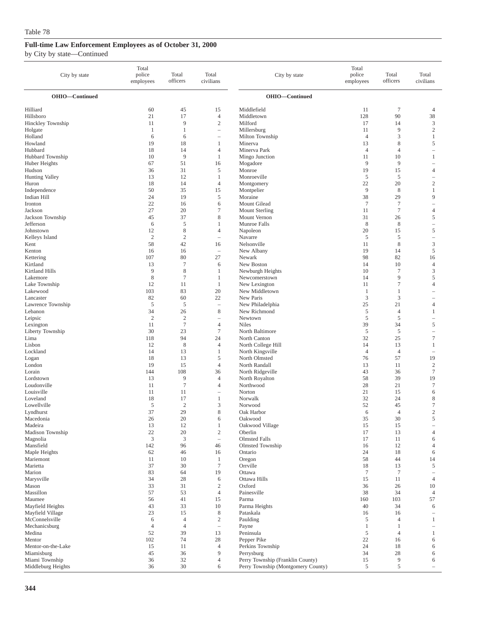| City by state                   | Total<br>police<br>employees | Total<br>officers                | Total<br>civilians                                | City by state                      | Total<br>police<br>employees | Total<br>officers | Total<br>civilians            |
|---------------------------------|------------------------------|----------------------------------|---------------------------------------------------|------------------------------------|------------------------------|-------------------|-------------------------------|
| OHIO-Continued                  |                              |                                  |                                                   | OHIO-Continued                     |                              |                   |                               |
| Hilliard                        | 60                           | 45                               | 15                                                | Middlefield                        | 11                           | 7                 | $\overline{4}$                |
| Hillsboro                       | 21                           | 17                               | $\overline{4}$                                    | Middletown                         | 128                          | 90                | 38                            |
| Hinckley Township               | 11                           | 9                                | $\mathfrak{2}$                                    | Milford                            | 17                           | 14                | 3                             |
| Holgate<br>Holland              | 1<br>6                       | 1<br>6                           | $\hspace{1.0cm} - \hspace{1.0cm}$                 | Millersburg<br>Milton Township     | 11<br>$\overline{4}$         | 9<br>3            | $\mathfrak{2}$<br>1           |
| Howland                         | 19                           | 18                               | 1                                                 | Minerva                            | 13                           | 8                 | 5                             |
| Hubbard                         | 18                           | 14                               | 4                                                 | Minerva Park                       | $\overline{4}$               | $\overline{4}$    | i.                            |
| Hubbard Township                | 10                           | 9                                | 1                                                 | Mingo Junction                     | 11                           | 10                | 1                             |
| Huber Heights                   | 67                           | 51                               | 16                                                | Mogadore                           | 9                            | 9                 |                               |
| Hudson                          | 36                           | 31                               | 5                                                 | Monroe                             | 19                           | 15                | 4                             |
| <b>Hunting Valley</b>           | 13<br>18                     | 12<br>14                         | 1<br>$\overline{4}$                               | Monroeville                        | 5<br>22                      | 5<br>20           | $\overline{c}$                |
| Huron<br>Independence           | 50                           | 35                               | 15                                                | Montgomery<br>Montpelier           | 9                            | 8                 | $\mathbf{1}$                  |
| Indian Hill                     | 24                           | 19                               | 5                                                 | Moraine                            | 38                           | 29                | 9                             |
| Ironton                         | 22                           | 16                               | 6                                                 | Mount Gilead                       | $\overline{7}$               | $\tau$            | $\qquad \qquad -$             |
| Jackson                         | 27                           | 20                               | 7                                                 | <b>Mount Sterling</b>              | 11                           | $\tau$            | $\overline{4}$                |
| Jackson Township                | 45                           | 37                               | 8                                                 | <b>Mount Vernon</b>                | 31                           | 26                | 5                             |
| Jefferson                       | 6                            | 5                                | 1                                                 | Munroe Falls                       | 8                            | 8                 | $\qquad \qquad -$             |
| Johnstown<br>Kelleys Island     | 12<br>$\mathbf{2}$           | 8<br>$\sqrt{2}$                  | 4<br>$\hspace{1.0cm} - \hspace{1.0cm}$            | Napoleon<br>Navarre                | 20<br>5                      | 15<br>5           | 5<br>$\qquad \qquad -$        |
| Kent                            | 58                           | 42                               | 16                                                | Nelsonville                        | 11                           | 8                 | 3                             |
| Kenton                          | 16                           | 16                               | $\equiv$                                          | New Albany                         | 19                           | 14                | 5                             |
| Kettering                       | 107                          | 80                               | 27                                                | Newark                             | 98                           | 82                | 16                            |
| Kirtland                        | 13                           | $\tau$                           | 6                                                 | New Boston                         | 14                           | 10                | 4                             |
| Kirtland Hills                  | 9                            | 8                                | 1                                                 | Newburgh Heights                   | 10                           | $\tau$            | 3                             |
| Lakemore                        | $\,$ 8 $\,$<br>12            | $\tau$                           | 1                                                 | Newcomerstown                      | 14<br>11                     | 9<br>$\tau$       | 5<br>$\overline{4}$           |
| Lake Township<br>Lakewood       | 103                          | 11<br>83                         | 1<br>20                                           | New Lexington<br>New Middletown    | $\mathbf{1}$                 | 1                 |                               |
| Lancaster                       | 82                           | 60                               | 22                                                | New Paris                          | 3                            | 3                 | $\overline{\phantom{a}}$      |
| Lawrence Township               | $\sqrt{5}$                   | 5                                | $\hspace{1.0cm} - \hspace{1.0cm}$                 | New Philadelphia                   | 25                           | 21                | $\overline{4}$                |
| Lebanon                         | 34                           | 26                               | 8                                                 | New Richmond                       | 5                            | $\overline{4}$    | 1                             |
| Leipsic                         | $\mathfrak{2}$               | $\overline{2}$                   | $\overline{\phantom{a}}$                          | Newtown                            | 5                            | $\mathfrak s$     | i.                            |
| Lexington                       | 11                           | $\overline{7}$                   | 4                                                 | <b>Niles</b>                       | 39                           | 34                | 5                             |
| Liberty Township<br>Lima        | 30<br>118                    | 23<br>94                         | $\tau$<br>24                                      | North Baltimore<br>North Canton    | 5<br>32                      | 5<br>25           | $\tau$                        |
| Lisbon                          | 12                           | 8                                | 4                                                 | North College Hill                 | 14                           | 13                | 1                             |
| Lockland                        | 14                           | 13                               | $\mathbf{1}$                                      | North Kingsville                   | $\overline{4}$               | $\overline{4}$    | $\overline{\phantom{a}}$      |
| Logan                           | 18                           | 13                               | 5                                                 | North Olmsted                      | 76                           | 57                | 19                            |
| London                          | 19                           | 15                               | $\overline{4}$                                    | North Randall                      | 13                           | 11                | $\overline{c}$                |
| Lorain                          | 144                          | 108                              | 36                                                | North Ridgeville                   | 43                           | 36                | $\tau$                        |
| Lordstown<br>Loudonville        | 13<br>11                     | 9<br>$\tau$                      | 4<br>4                                            | North Royalton<br>Northwood        | 58<br>28                     | 39<br>21          | 19<br>$\tau$                  |
| Louisville                      | 11                           | 11                               | ÷                                                 | Norton                             | 21                           | 15                | 6                             |
| Loveland                        | 18                           | 17                               | 1                                                 | Norwalk                            | 32                           | 24                | 8                             |
| Lowellville                     | 5                            | $\overline{2}$                   | 3                                                 | Norwood                            | 52                           | 45                | $\tau$                        |
| Lyndhurst                       | 37                           | 29                               | 8                                                 | Oak Harbor                         | 6                            | $\overline{4}$    | $\mathfrak{2}$                |
| Macedonia                       | 26                           | 20<br>12                         | 6<br>$\mathbf{1}$                                 | Oakwood                            | 35                           | 30                | 5                             |
| Madeira<br>Madison Township     | 13<br>22                     | 20                               | $\boldsymbol{2}$                                  | Oakwood Village<br>Oberlin         | 15<br>17                     | 15<br>13          | $\overline{4}$                |
| Magnolia                        | $\mathfrak z$                | $\mathfrak z$                    | $\qquad \qquad -$                                 | <b>Olmsted Falls</b>               | 17                           | 11                | 6                             |
| Mansfield                       | 142                          | 96                               | 46                                                | <b>Olmsted Township</b>            | 16                           | 12                | 4                             |
| Maple Heights                   | 62                           | 46                               | 16                                                | Ontario                            | 24                           | 18                | 6                             |
| Mariemont                       | 11                           | 10                               | 1                                                 | Oregon                             | 58                           | 44                | 14                            |
| Marietta<br>Marion              | 37<br>83                     | 30<br>64                         | $\tau$<br>19                                      | Orrville<br>Ottawa                 | 18<br>$\tau$                 | 13<br>$\tau$      | 5<br>$\overline{\phantom{a}}$ |
| Marysville                      | 34                           | 28                               | 6                                                 | Ottawa Hills                       | 15                           | 11                | $\overline{4}$                |
| Mason                           | 33                           | 31                               | $\sqrt{2}$                                        | Oxford                             | 36                           | 26                | 10                            |
| Massillon                       | 57                           | 53                               | $\overline{4}$                                    | Painesville                        | 38                           | 34                | 4                             |
| Maumee                          | 56                           | 41                               | 15                                                | Parma                              | 160                          | 103               | 57                            |
| Mayfield Heights                | 43                           | 33                               | 10                                                | Parma Heights                      | 40                           | 34                | 6                             |
| Mayfield Village                | 23                           | 15                               | 8                                                 | Pataskala                          | 16                           | 16                | $\overline{\phantom{0}}$      |
| McConnelsville<br>Mechanicsburg | 6<br>$\overline{4}$          | $\overline{4}$<br>$\overline{4}$ | $\mathbf{2}$<br>$\hspace{1.0cm} - \hspace{1.0cm}$ | Paulding<br>Payne                  | 5<br>$\mathbf{1}$            | 4<br>$\mathbf{1}$ | 1                             |
| Medina                          | 52                           | 39                               | 13                                                | Peninsula                          | 5                            | $\overline{4}$    | $\mathbf{1}$                  |
| Mentor                          | 102                          | 74                               | 28                                                | Pepper Pike                        | 22                           | 16                | 6                             |
| Mentor-on-the-Lake              | 15                           | 11                               | 4                                                 | Perkins Township                   | 24                           | 18                | 6                             |
| Miamisburg                      | 45                           | 36                               | 9                                                 | Perrysburg                         | 34                           | 28                | 6                             |
| Miami Township                  | 36                           | 32                               | 4                                                 | Perry Township (Franklin County)   | 15                           | $\overline{9}$    | 6                             |
| Middleburg Heights              | 36                           | 30                               | 6                                                 | Perry Township (Montgomery County) | 5                            | 5                 | $\qquad \qquad -$             |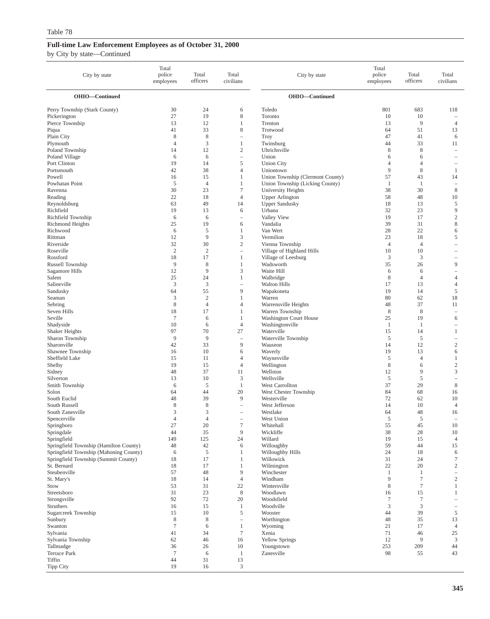| City by state                                                                  | Total<br>police<br>employees | Total<br>officers | Total<br>civilians                | City by state                                   | Total<br>police<br>employees | Total<br>officers | Total<br>civilians                       |
|--------------------------------------------------------------------------------|------------------------------|-------------------|-----------------------------------|-------------------------------------------------|------------------------------|-------------------|------------------------------------------|
| OHIO-Continued                                                                 |                              |                   |                                   | OHIO-Continued                                  |                              |                   |                                          |
| Perry Township (Stark County)                                                  | 30                           | 24                | 6                                 | Toledo                                          | 801                          | 683               | 118                                      |
| Pickerington                                                                   | 27                           | 19                | 8                                 | Toronto                                         | 10                           | 10                |                                          |
| Pierce Township                                                                | 13                           | 12                | 1                                 | Trenton                                         | 13                           | 9                 | $\overline{4}$                           |
| Piqua                                                                          | 41                           | 33                | 8                                 | Trotwood                                        | 64                           | 51                | 13                                       |
| Plain City<br>Plymouth                                                         | 8<br>$\overline{4}$          | 8<br>3            | $\equiv$<br>1                     | <b>Troy</b><br>Twinsburg                        | 47<br>44                     | 41<br>33          | 6<br>11                                  |
| Poland Township                                                                | 14                           | 12                | $\mathfrak{2}$                    | Uhrichsville                                    | 8                            | 8                 | $\overline{\phantom{a}}$                 |
| Poland Village                                                                 | 6                            | 6                 | L.                                | Union                                           | 6                            | 6                 | $\overline{\phantom{0}}$                 |
| Port Clinton                                                                   | 19                           | 14                | 5                                 | <b>Union City</b>                               | $\overline{4}$               | $\overline{4}$    | $\qquad \qquad -$                        |
| Portsmouth                                                                     | 42                           | 38                | $\overline{4}$                    | Uniontown                                       | 9                            | 8                 | -1                                       |
| Powell                                                                         | 16                           | 15                | 1                                 | Union Township (Clermont County)                | 57                           | 43                | 14                                       |
| Powhatan Point                                                                 | 5                            | $\overline{4}$    | $\mathbf{1}$                      | Union Township (Licking County)                 | $\mathbf{1}$                 | -1                | ۰                                        |
| Ravenna                                                                        | 30                           | 23<br>18          | $\tau$<br>$\overline{4}$          | University Heights                              | 38<br>58                     | 30<br>48          | $\,8\,$                                  |
| Reading<br>Reynoldsburg                                                        | 22<br>63                     | 49                | 14                                | <b>Upper Arlington</b><br><b>Upper Sandusky</b> | 18                           | 13                | 10<br>5                                  |
| Richfield                                                                      | 19                           | 13                | 6                                 | Urbana                                          | 32                           | 23                | 9                                        |
| Richfield Township                                                             | 6                            | 6                 | $\qquad \qquad -$                 | Valley View                                     | 19                           | 17                | $\sqrt{2}$                               |
| Richmond Heights                                                               | 25                           | 19                | 6                                 | Vandalia                                        | 39                           | 31                | $\,$ 8 $\,$                              |
| Richwood                                                                       | 6                            | 5                 | 1                                 | Van Wert                                        | 28                           | 22                | 6                                        |
| Rittman                                                                        | 12                           | 9                 | 3                                 | Vermilion                                       | 23                           | 18                | 5                                        |
| Riverside                                                                      | 32                           | 30                | $\mathfrak{2}$                    | Vienna Township                                 | $\overline{4}$               | $\overline{4}$    | $\overline{\phantom{0}}$                 |
| Roseville                                                                      | $\overline{2}$               | $\overline{2}$    | $\qquad \qquad -$                 | Village of Highland Hills                       | 10                           | 10                |                                          |
| Rossford                                                                       | 18<br>9                      | 17<br>$\,$ 8 $\,$ | 1<br>$\mathbf{1}$                 | Village of Leesburg                             | $\mathfrak{Z}$<br>35         | 3<br>26           | 9                                        |
| Russell Township<br>Sagamore Hills                                             | 12                           | 9                 | 3                                 | Wadsworth<br>Waite Hill                         | 6                            | 6                 | $\hspace{1.0cm} - \hspace{1.0cm}$        |
| Salem                                                                          | 25                           | 24                | 1                                 | Walbridge                                       | 8                            | $\overline{4}$    | $\overline{4}$                           |
| Salineville                                                                    | 3                            | 3                 |                                   | <b>Walton Hills</b>                             | 17                           | 13                | $\overline{4}$                           |
| Sandusky                                                                       | 64                           | 55                | 9                                 | Wapakoneta                                      | 19                           | 14                | 5                                        |
| Seaman                                                                         | 3                            | $\overline{2}$    | $\mathbf{1}$                      | Warren                                          | 80                           | 62                | 18                                       |
| Sebring                                                                        | 8                            | $\overline{4}$    | $\overline{4}$                    | Warrensville Heights                            | 48                           | 37                | 11                                       |
| Seven Hills                                                                    | 18                           | 17                | 1                                 | Warren Township                                 | $\,$ 8 $\,$                  | $\,$ 8 $\,$       | $\overline{\phantom{a}}$                 |
| Seville                                                                        | $\overline{7}$               | 6                 | 1                                 | <b>Washington Court House</b>                   | 25                           | 19                | 6                                        |
| Shadyside                                                                      | 10<br>97                     | 6<br>70           | $\overline{4}$<br>27              | Washingtonville<br>Waterville                   | -1<br>15                     | -1<br>14          | $\overline{\phantom{0}}$<br>$\mathbf{1}$ |
| Shaker Heights<br>Sharon Township                                              | 9                            | 9                 | i.                                | Waterville Township                             | 5                            | 5                 | $\hspace{1.0cm} - \hspace{1.0cm}$        |
| Sharonville                                                                    | 42                           | 33                | 9                                 | Wauseon                                         | 14                           | 12                | $\overline{c}$                           |
| Shawnee Township                                                               | 16                           | 10                | 6                                 | Waverly                                         | 19                           | 13                | 6                                        |
| Sheffield Lake                                                                 | 15                           | 11                | $\overline{4}$                    | Waynesville                                     | 5                            | $\overline{4}$    | -1                                       |
| Shelby                                                                         | 19                           | 15                | $\overline{4}$                    | Wellington                                      | 8                            | 6                 | $\overline{c}$                           |
| Sidney                                                                         | 48                           | 37                | 11                                | Wellston                                        | 12                           | 9                 | 3                                        |
| Silverton                                                                      | 13                           | 10                | 3                                 | Wellsville                                      | 5                            | 5                 | $\overline{\phantom{a}}$                 |
| Smith Township                                                                 | 6                            | 5                 | $\mathbf{1}$                      | West Carrollton                                 | 37                           | 29                | 8                                        |
| Solon<br>South Euclid                                                          | 64<br>48                     | 44<br>39          | 20<br>9                           | West Chester Township<br>Westerville            | 84<br>72                     | 68<br>62          | 16<br>10                                 |
| South Russell                                                                  | 8                            | 8                 | $\overline{\phantom{a}}$          | West Jefferson                                  | 14                           | 10                | $\overline{4}$                           |
| South Zanesville                                                               | 3                            | 3                 | $\overline{\phantom{a}}$          | Westlake                                        | 64                           | 48                | 16                                       |
| Spencerville                                                                   | $\overline{4}$               | $\overline{4}$    |                                   | West Union                                      | 5                            | 5                 |                                          |
| Springboro                                                                     | 27                           | 20                | $\boldsymbol{7}$                  | Whitehall                                       | 55                           | 45                | 10                                       |
| Springdale                                                                     | 44                           | 35                | 9                                 | Wickliffe                                       | 38                           | 28                | $10\,$                                   |
| Springfield                                                                    | 149                          | 125               | 24                                | Willard                                         | 19                           | 15                | $\overline{4}$                           |
| Springfield Township (Hamilton County)                                         | 48                           | 42                | 6                                 | Willoughby                                      | 59                           | 44                | 15                                       |
| Springfield Township (Mahoning County)<br>Springfield Township (Summit County) | 6<br>18                      | 5<br>17           | 1<br>1                            | Willoughby Hills<br>Willowick                   | 24<br>31                     | 18<br>24          | 6<br>$\tau$                              |
| St. Bernard                                                                    | 18                           | 17                | $\mathbf{1}$                      | Wilmington                                      | 22                           | 20                | $\overline{2}$                           |
| Steubenville                                                                   | 57                           | 48                | 9                                 | Winchester                                      | -1                           | -1                | $\overline{\phantom{a}}$                 |
| St. Mary's                                                                     | 18                           | 14                | $\overline{4}$                    | Windham                                         | 9                            | $\boldsymbol{7}$  | $\sqrt{2}$                               |
| Stow                                                                           | 53                           | 31                | 22                                | Wintersville                                    | 8                            | $7\phantom{.0}$   | $\mathbf{1}$                             |
| Streetsboro                                                                    | 31                           | 23                | $\,8\,$                           | Woodlawn                                        | 16                           | 15                | -1                                       |
| Strongsville                                                                   | 92                           | 72                | 20                                | Woodsfield                                      | $\tau$                       | 7                 | $\hspace{1.0cm} - \hspace{1.0cm}$        |
| Struthers                                                                      | 16                           | 15                | $\mathbf{1}$                      | Woodville                                       | 3                            | 3                 | $\hspace{1.0cm} - \hspace{1.0cm}$        |
| Sugarcreek Township                                                            | 15                           | 10                | 5                                 | Wooster                                         | 44                           | 39                | 5                                        |
| Sunbury<br>Swanton                                                             | 8<br>$\tau$                  | 8<br>6            | $\qquad \qquad -$<br>$\mathbf{1}$ | Worthington                                     | 48<br>21                     | 35<br>17          | 13<br>$\overline{4}$                     |
| Sylvania                                                                       | 41                           | 34                | $\boldsymbol{7}$                  | Wyoming<br>Xenia                                | 71                           | 46                | 25                                       |
| Sylvania Township                                                              | 62                           | 46                | 16                                | <b>Yellow Springs</b>                           | 12                           | 9                 | 3                                        |
| Tallmadge                                                                      | 36                           | 26                | 10                                | Youngstown                                      | 253                          | 209               | 44                                       |
| Terrace Park                                                                   | $\tau$                       | 6                 | $\mathbf{1}$                      | Zanesville                                      | 98                           | 55                | 43                                       |
| Tiffin                                                                         | 44                           | 31                | 13                                |                                                 |                              |                   |                                          |
| <b>Tipp City</b>                                                               | 19                           | 16                | 3                                 |                                                 |                              |                   |                                          |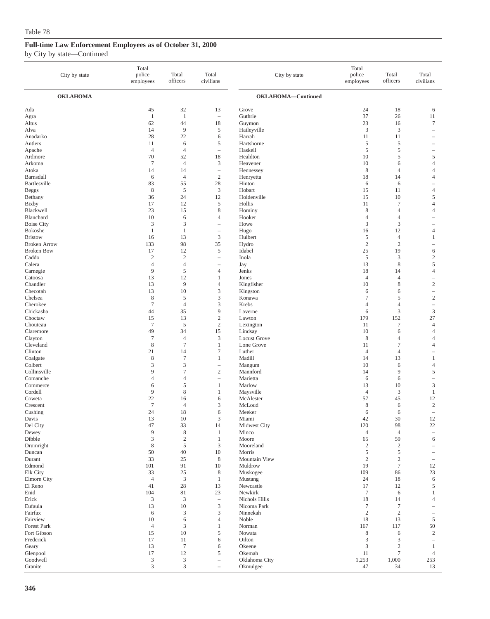| City by state                  | Total<br>police<br>employees | Total<br>officers           | Total<br>civilians                                    | City by state         | Total<br>police<br>employees | Total<br>officers | Total<br>civilians                |
|--------------------------------|------------------------------|-----------------------------|-------------------------------------------------------|-----------------------|------------------------------|-------------------|-----------------------------------|
| <b>OKLAHOMA</b>                |                              |                             |                                                       | OKLAHOMA-Continued    |                              |                   |                                   |
| Ada                            | 45                           | 32                          | 13                                                    | Grove                 | 24                           | 18                | 6                                 |
| Agra                           | $\mathbf{1}$                 | $\mathbf{1}$                | $\overline{\phantom{a}}$                              | Guthrie               | 37                           | 26                | 11                                |
| Altus                          | 62                           | 44                          | 18                                                    | Guymon                | 23                           | 16                | $\boldsymbol{7}$                  |
| Alva                           | 14                           | 9                           | $\sqrt{5}$                                            | Haileyville           | 3                            | 3                 |                                   |
| Anadarko                       | 28<br>11                     | 22<br>6                     | 6<br>5                                                | Harrah<br>Hartshorne  | 11<br>5                      | 11<br>5           | $\overline{\phantom{a}}$          |
| Antlers<br>Apache              | $\overline{4}$               | $\overline{4}$              | $\overline{\phantom{0}}$                              | Haskell               | 5                            | 5                 |                                   |
| Ardmore                        | 70                           | 52                          | 18                                                    | Healdton              | 10                           | 5                 | 5                                 |
| Arkoma                         | $\tau$                       | $\overline{4}$              | 3                                                     | Heavener              | 10                           | 6                 | $\overline{4}$                    |
| Atoka                          | 14                           | 14                          | $\hspace{1.0cm} - \hspace{1.0cm}$                     | Hennessey             | 8                            | $\overline{4}$    | $\overline{4}$                    |
| Barnsdall                      | 6                            | $\overline{4}$              | $\sqrt{2}$                                            | Henryetta             | 18                           | 14                | $\overline{4}$                    |
| Bartlesville                   | 83                           | 55                          | 28                                                    | Hinton                | 6                            | 6                 | ÷,                                |
| <b>Beggs</b>                   | $\,$ 8 $\,$                  | $\sqrt{5}$                  | $\mathfrak{Z}$                                        | Hobart                | 15                           | 11                | $\overline{4}$                    |
| Bethany<br>Bixby               | 36<br>17                     | 24<br>12                    | 12<br>5                                               | Holdenville<br>Hollis | 15<br>11                     | 10<br>$\tau$      | 5<br>$\overline{4}$               |
| Blackwell                      | 23                           | 15                          | $\,$ 8 $\,$                                           | Hominy                | $\,$ 8 $\,$                  | 4                 | $\overline{4}$                    |
| Blanchard                      | 10                           | 6                           | $\overline{4}$                                        | Hooker                | 4                            | 4                 | ÷                                 |
| <b>Boise City</b>              | 3                            | $\mathfrak z$               | $\overline{\phantom{a}}$                              | Howe                  | 3                            | $\mathfrak{Z}$    |                                   |
| Bokoshe                        | $\mathbf{1}$                 | $\mathbf{1}$                | $\overline{\phantom{a}}$                              | Hugo                  | 16                           | 12                | $\overline{4}$                    |
| <b>Bristow</b>                 | 16                           | 13                          | $\mathfrak{Z}$                                        | Hulbert               | 5                            | $\overline{4}$    | 1                                 |
| <b>Broken Arrow</b>            | 133                          | 98                          | 35                                                    | Hydro                 | $\mathfrak{2}$               | $\overline{2}$    | $\overline{\phantom{a}}$          |
| <b>Broken Bow</b>              | 17                           | 12<br>$\overline{c}$        | 5                                                     | Idabel                | 25                           | 19                | 6                                 |
| Caddo<br>Calera                | $\sqrt{2}$<br>$\overline{4}$ | $\overline{4}$              | $\overline{\phantom{m}}$<br>$\overline{\phantom{0}}$  | Inola<br>Jay          | $\sqrt{5}$<br>13             | 3<br>$\,$ 8 $\,$  | $\sqrt{2}$<br>5                   |
| Carnegie                       | 9                            | 5                           | $\overline{4}$                                        | Jenks                 | 18                           | 14                | $\overline{4}$                    |
| Catoosa                        | 13                           | 12                          | 1                                                     | Jones                 | $\overline{4}$               | $\overline{4}$    | $\hspace{1.0cm} - \hspace{1.0cm}$ |
| Chandler                       | 13                           | 9                           | $\overline{4}$                                        | Kingfisher            | 10                           | 8                 | $\sqrt{2}$                        |
| Checotah                       | 13                           | 10                          | 3                                                     | Kingston              | 6                            | 6                 | $\overline{\phantom{a}}$          |
| Chelsea                        | $\,$ 8 $\,$                  | 5                           | 3                                                     | Konawa                | $\tau$                       | 5                 | $\sqrt{2}$                        |
| Cherokee                       | $\tau$                       | $\overline{4}$              | $\mathfrak{Z}$                                        | Krebs                 | 4                            | $\overline{4}$    | $\hspace{1.0cm} - \hspace{1.0cm}$ |
| Chickasha<br>Choctaw           | 44<br>15                     | 35<br>13                    | 9<br>$\mathbf{2}$                                     | Laverne<br>Lawton     | 6<br>179                     | 3<br>152          | $\ensuremath{\mathsf{3}}$<br>27   |
| Chouteau                       | $\boldsymbol{7}$             | 5                           | $\sqrt{2}$                                            | Lexington             | 11                           | 7                 | $\overline{4}$                    |
| Claremore                      | 49                           | 34                          | 15                                                    | Lindsay               | 10                           | 6                 | $\overline{4}$                    |
| Clayton                        | $\tau$                       | $\overline{4}$              | 3                                                     | <b>Locust Grove</b>   | 8                            | $\overline{4}$    | $\overline{4}$                    |
| Cleveland                      | $\,$ 8 $\,$                  | $\overline{7}$              | 1                                                     | Lone Grove            | 11                           | 7                 | $\overline{4}$                    |
| Clinton                        | 21                           | 14                          | $\tau$                                                | Luther                | $\overline{4}$               | 4                 |                                   |
| Coalgate                       | 8                            | $\tau$                      | 1                                                     | Madill                | 14                           | 13                | $\mathbf{1}$                      |
| Colbert<br>Collinsville        | 3<br>9                       | 3<br>$\tau$                 | $\hspace{1.0cm} - \hspace{1.0cm}$<br>$\boldsymbol{2}$ | Mangum<br>Mannford    | 10<br>14                     | 6<br>9            | $\overline{4}$<br>5               |
| Comanche                       | $\overline{4}$               | $\overline{4}$              | $\hspace{1.0cm} - \hspace{1.0cm}$                     | Marietta              | 6                            | 6                 | $\overline{\phantom{a}}$          |
| Commerce                       | 6                            | 5                           | 1                                                     | Marlow                | 13                           | 10                | $\mathfrak z$                     |
| Cordell                        | 9                            | 8                           | 1                                                     | Maysville             | $\overline{4}$               | 3                 | $\mathbf{1}$                      |
| Coweta                         | 22                           | 16                          | 6                                                     | McAlester             | 57                           | 45                | 12                                |
| Crescent                       | $\overline{7}$               | $\overline{4}$              | 3                                                     | McLoud                | 8                            | 6                 | $\sqrt{2}$                        |
| Cushing                        | 24                           | 18                          | 6                                                     | Meeker                | 6                            | 6                 | $\overline{\phantom{a}}$          |
| Davis<br>Del City              | 13<br>47                     | 10<br>33                    | 3<br>14                                               | Miami<br>Midwest City | 42<br>120                    | 30<br>98          | 12<br>$22\,$                      |
| Dewey                          | 9                            | $\,8\,$                     | $\mathbf{1}$                                          | Minco                 | $\overline{4}$               | $\overline{4}$    | $\overline{\phantom{a}}$          |
| Dibble                         | 3                            | $\overline{c}$              | $\mathbf{1}$                                          | Moore                 | 65                           | 59                | 6                                 |
| Drumright                      | $\,$ 8 $\,$                  | $\sqrt{5}$                  | $\mathfrak{Z}$                                        | Mooreland             | $\sqrt{2}$                   | $\overline{c}$    | $\qquad \qquad -$                 |
| Duncan                         | 50                           | 40                          | 10                                                    | Morris                | 5                            | 5                 | $\overline{\phantom{a}}$          |
| Durant                         | 33                           | 25                          | $\,$ 8 $\,$                                           | Mountain View         | $\sqrt{2}$                   | $\sqrt{2}$        | $\overline{\phantom{m}}$          |
| Edmond                         | 101                          | 91                          | 10                                                    | Muldrow               | 19                           | $\boldsymbol{7}$  | 12                                |
| Elk City<br><b>Elmore City</b> | 33<br>$\overline{4}$         | 25<br>$\mathfrak{Z}$        | 8<br>1                                                | Muskogee<br>Mustang   | 109<br>24                    | 86<br>18          | 23<br>6                           |
| El Reno                        | 41                           | 28                          | 13                                                    | Newcastle             | 17                           | 12                | 5                                 |
| Enid                           | 104                          | 81                          | 23                                                    | Newkirk               | $\boldsymbol{7}$             | 6                 | 1                                 |
| Erick                          | 3                            | 3                           | $\overline{\phantom{a}}$                              | Nichols Hills         | 18                           | 14                | $\overline{4}$                    |
| Eufaula                        | 13                           | 10                          | $\mathfrak{Z}$                                        | Nicoma Park           | $\tau$                       | $\tau$            | $\overline{\phantom{a}}$          |
| Fairfax                        | 6                            | 3                           | $\mathfrak{Z}$                                        | Ninnekah              | $\sqrt{2}$                   | $\sqrt{2}$        | $\overline{\phantom{a}}$          |
| Fairview                       | 10                           | 6                           | $\overline{4}$                                        | Noble                 | 18                           | 13                | 5                                 |
| Forest Park<br>Fort Gibson     | $\overline{4}$<br>15         | 3<br>$10\,$                 | $\mathbf{1}$<br>5                                     | Norman<br>Nowata      | 167<br>8                     | 117<br>6          | 50<br>$\sqrt{2}$                  |
| Frederick                      | 17                           | 11                          | 6                                                     | Oilton                | 3                            | 3                 | $\overline{\phantom{a}}$          |
| Geary                          | 13                           | $\overline{7}$              | 6                                                     | Okeene                | 3                            | $\sqrt{2}$        | $\mathbf{1}$                      |
| Glenpool                       | 17                           | 12                          | 5                                                     | Okemah                | 11                           | $\tau$            | $\overline{4}$                    |
| Goodwell                       | 3                            | $\ensuremath{\mathfrak{Z}}$ | $\overline{\phantom{m}}$                              | Oklahoma City         | 1,253                        | 1,000             | 253                               |
| Granite                        | $\ensuremath{\mathfrak{Z}}$  | $\ensuremath{\mathfrak{Z}}$ | $\overline{\phantom{a}}$                              | Okmulgee              | 47                           | 34                | 13                                |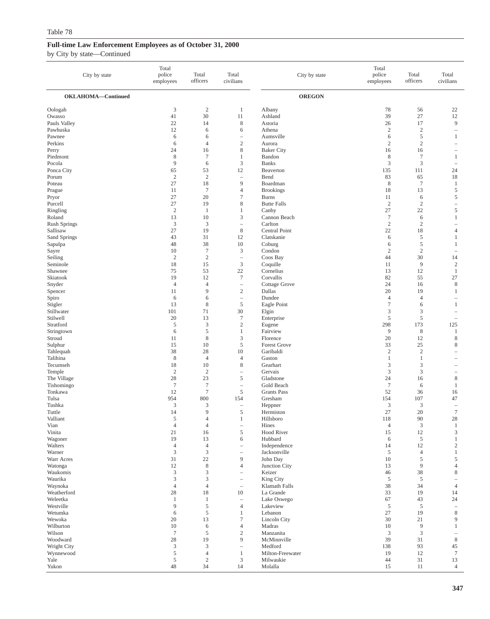| City by state           | Total<br>police<br>employees | Total<br>officers      | Total<br>civilians                                   | City by state                    | Total<br>police<br>employees | Total<br>officers   | Total<br>civilians             |
|-------------------------|------------------------------|------------------------|------------------------------------------------------|----------------------------------|------------------------------|---------------------|--------------------------------|
| OKLAHOMA-Continued      |                              |                        |                                                      | <b>OREGON</b>                    |                              |                     |                                |
| Oologah                 | 3                            | $\sqrt{2}$             | 1                                                    | Albany                           | 78                           | 56                  | 22                             |
| Owasso                  | 41                           | 30                     | 11                                                   | Ashland                          | 39                           | 27                  | 12                             |
| Pauls Valley            | 22                           | 14                     | $\,$ 8 $\,$                                          | Astoria                          | 26                           | 17                  | 9                              |
| Pawhuska                | 12                           | 6                      | 6                                                    | Athena                           | $\overline{c}$               | $\overline{c}$      | $\overline{\phantom{a}}$       |
| Pawnee<br>Perkins       | 6<br>6                       | 6<br>$\overline{4}$    | $\sim$<br>$\mathbf{2}$                               | Aumsville<br>Aurora              | 6<br>$\overline{2}$          | 5<br>$\mathbf{2}$   | $\mathbf{1}$<br>÷              |
| Perry                   | 24                           | 16                     | 8                                                    | <b>Baker City</b>                | 16                           | 16                  | ۰                              |
| Piedmont                | 8                            | $\tau$                 | 1                                                    | Bandon                           | $\,$ 8 $\,$                  | $\boldsymbol{7}$    | $\mathbf{1}$                   |
| Pocola                  | 9                            | 6                      | 3                                                    | <b>Banks</b>                     | 3                            | 3                   |                                |
| Ponca City              | 65                           | 53                     | 12                                                   | Beaverton                        | 135                          | 111                 | 24                             |
| Porum                   | $\overline{2}$               | $\overline{2}$         |                                                      | Bend                             | 83                           | 65                  | 18                             |
| Poteau<br>Prague        | 27<br>11                     | 18<br>$\boldsymbol{7}$ | 9<br>$\overline{4}$                                  | Boardman<br><b>Brookings</b>     | $\,$ 8 $\,$<br>18            | $\tau$<br>13        | $\mathbf{1}$<br>$\mathfrak s$  |
| Pryor                   | 27                           | 20                     | $\tau$                                               | <b>Burns</b>                     | 11                           | 6                   | 5                              |
| Purcell                 | 27                           | 19                     | $\,$ 8 $\,$                                          | <b>Butte Falls</b>               | $\sqrt{2}$                   | $\mathbf{2}$        | $\overline{\phantom{a}}$       |
| Ringling                | $\sqrt{2}$                   | 1                      | 1                                                    | Canby                            | 27                           | 22                  | $\sqrt{5}$                     |
| Roland                  | 13                           | 10                     | 3                                                    | Cannon Beach                     | $7\phantom{.0}$              | 6                   | $\mathbf{1}$                   |
| <b>Rush Springs</b>     | 3                            | $\mathfrak z$          | $\hspace{1.0cm} - \hspace{1.0cm}$                    | Carlton                          | $\sqrt{2}$                   | $\sqrt{2}$          | $\overline{\phantom{a}}$       |
| Sallisaw                | 27                           | 19                     | 8                                                    | Central Point                    | 22                           | 18                  | $\overline{4}$                 |
| Sand Springs<br>Sapulpa | 43<br>48                     | 31<br>38               | 12<br>10                                             | Clatskanie<br>Coburg             | 6<br>6                       | $\sqrt{5}$<br>5     | $\mathbf{1}$<br>$\mathbf{1}$   |
| Sayre                   | 10                           | $\tau$                 | 3                                                    | Condon                           | $\overline{c}$               | $\overline{c}$      | $\overline{\phantom{a}}$       |
| Seiling                 | $\sqrt{2}$                   | $\sqrt{2}$             | $\overline{\phantom{a}}$                             | Coos Bay                         | 44                           | 30                  | 14                             |
| Seminole                | 18                           | 15                     | $\mathfrak{Z}$                                       | Coquille                         | 11                           | 9                   | $\sqrt{2}$                     |
| Shawnee                 | 75                           | 53                     | 22                                                   | Cornelius                        | 13                           | 12                  | $\mathbf{1}$                   |
| Skiatook                | 19                           | 12                     | $7\phantom{.0}$                                      | Corvallis                        | 82                           | 55                  | 27                             |
| Snyder                  | $\overline{4}$<br>11         | $\overline{4}$<br>9    | $\overline{\phantom{a}}$<br>$\sqrt{2}$               | Cottage Grove<br>Dallas          | 24<br>20                     | 16<br>19            | $\,$ 8 $\,$<br>$\mathbf{1}$    |
| Spencer<br>Spiro        | 6                            | 6                      | $\hspace{1.0cm} - \hspace{1.0cm}$                    | Dundee                           | $\overline{4}$               | $\overline{4}$      |                                |
| Stigler                 | 13                           | 8                      | $\sqrt{5}$                                           | Eagle Point                      | $\tau$                       | 6                   | $\mathbf{1}$                   |
| Stillwater              | 101                          | 71                     | 30                                                   | Elgin                            | 3                            | 3                   |                                |
| Stilwell                | 20                           | 13                     | $\boldsymbol{7}$                                     | Enterprise                       | 5                            | 5                   | $\sim$                         |
| Stratford               | 5                            | 3                      | $\sqrt{2}$                                           | Eugene                           | 298                          | 173                 | 125                            |
| Stringtown              | 6                            | 5                      | $\mathbf{1}$                                         | Fairview                         | 9                            | $\,$ 8 $\,$         | $\mathbf{1}$                   |
| Stroud<br>Sulphur       | 11<br>15                     | 8<br>10                | $\mathfrak z$<br>5                                   | Florence<br>Forest Grove         | 20<br>33                     | 12<br>25            | $\,$ 8 $\,$<br>8               |
| Tahlequah               | 38                           | 28                     | 10                                                   | Garibaldi                        | $\overline{2}$               | $\overline{c}$      | $\overline{\phantom{a}}$       |
| Talihina                | $\,$ 8 $\,$                  | $\overline{4}$         | $\overline{4}$                                       | Gaston                           | 1                            | $\mathbf{1}$        | ۰                              |
| Tecumseh                | 18                           | 10                     | 8                                                    | Gearhart                         | 3                            | 3                   |                                |
| Temple                  | $\sqrt{2}$                   | $\boldsymbol{2}$       | $\equiv$                                             | Gervais                          | $\mathfrak{Z}$               | $\mathfrak{Z}$      | $\overline{\phantom{0}}$       |
| The Village             | 28                           | 23                     | 5                                                    | Gladstone                        | 24                           | 16                  | $\,$ 8 $\,$                    |
| Tishomingo<br>Tonkawa   | $\overline{7}$<br>12         | $\tau$<br>$\tau$       | $\overline{\phantom{a}}$<br>$\sqrt{5}$               | Gold Beach<br><b>Grants Pass</b> | $7\phantom{.0}$<br>52        | 6<br>36             | $\mathbf{1}$<br>16             |
| Tulsa                   | 954                          | 800                    | 154                                                  | Gresham                          | 154                          | 107                 | 47                             |
| Tushka                  | 3                            | 3                      | ÷,                                                   | Heppner                          | 3                            | 3                   | $\overline{\phantom{a}}$       |
| Tuttle                  | 14                           | 9                      | 5                                                    | Hermiston                        | 27                           | 20                  | $\tau$                         |
| Valliant                | 5                            | $\overline{4}$         | 1                                                    | Hillsboro                        | 118                          | 90                  | 28                             |
| Vian                    | $\overline{4}$               | $\overline{4}$         | $\overline{\phantom{a}}$                             | Hines                            | $\overline{4}$               | 3                   | $\mathbf{1}$                   |
| Vinita<br>Wagoner       | 21<br>19                     | 16<br>13               | 5<br>6                                               | <b>Hood River</b><br>Hubbard     | 15<br>6                      | 12<br>5             | $\mathfrak{Z}$<br>$\mathbf{1}$ |
| Walters                 | $\overline{4}$               | $\overline{4}$         | i.                                                   | Independence                     | 14                           | 12                  | $\sqrt{2}$                     |
| Warner                  | $\mathfrak z$                | $\mathfrak z$          | $\overline{\phantom{0}}$                             | Jacksonville                     | 5                            | $\overline{4}$      | $\mathbf{1}$                   |
| Warr Acres              | 31                           | 22                     | 9                                                    | John Day                         | 10                           | $\sqrt{5}$          | $\mathfrak s$                  |
| Watonga                 | 12                           | $\,$ 8 $\,$            | $\overline{4}$                                       | Junction City                    | 13                           | 9                   | $\overline{4}$                 |
| Waukomis                | $\mathfrak{Z}$               | 3                      | $\sim$                                               | Keizer                           | 46                           | 38                  | $\,$ 8 $\,$                    |
| Waurika<br>Waynoka      | 3<br>$\overline{4}$          | 3<br>$\overline{4}$    | $\overline{\phantom{a}}$<br>$\overline{\phantom{a}}$ | King City<br>Klamath Falls       | 5<br>38                      | 5<br>34             | $\overline{4}$                 |
| Weatherford             | 28                           | 18                     | 10                                                   | La Grande                        | 33                           | 19                  | 14                             |
| Weleetka                | $\mathbf{1}$                 | $\mathbf{1}$           | $\overline{\phantom{a}}$                             | Lake Oswego                      | 67                           | 43                  | 24                             |
| Westville               | 9                            | 5                      | $\overline{4}$                                       | Lakeview                         | 5                            | 5                   | $\overline{\phantom{a}}$       |
| Wetumka                 | 6                            | $\mathfrak s$          | 1                                                    | Lebanon                          | 27                           | 19                  | $\,$ 8 $\,$                    |
| Wewoka                  | 20                           | 13                     | $\tau$                                               | Lincoln City                     | 30                           | 21                  | 9                              |
| Wilburton<br>Wilson     | 10<br>$7\phantom{.0}$        | 6<br>5                 | $\overline{4}$<br>$\sqrt{2}$                         | Madras<br>Manzanita              | 10<br>3                      | $\overline{9}$<br>3 | $\mathbf{1}$                   |
| Woodward                | 28                           | 19                     | 9                                                    | McMinnville                      | 39                           | 31                  | $\,$ 8 $\,$                    |
| Wright City             | $\mathfrak{Z}$               | 3                      | $\overline{\phantom{a}}$                             | Medford                          | 138                          | 93                  | 45                             |
| Wynnewood               | 5                            | $\overline{4}$         | $\mathbf{1}$                                         | Milton-Freewater                 | 19                           | 12                  | $\tau$                         |
| Yale                    | $\sqrt{5}$                   | $\sqrt{2}$             | $\boldsymbol{\beta}$                                 | Milwaukie                        | 44                           | 31                  | 13                             |
| Yukon                   | $48\,$                       | 34                     | 14                                                   | Molalla                          | 15                           | 11                  | $\overline{4}$                 |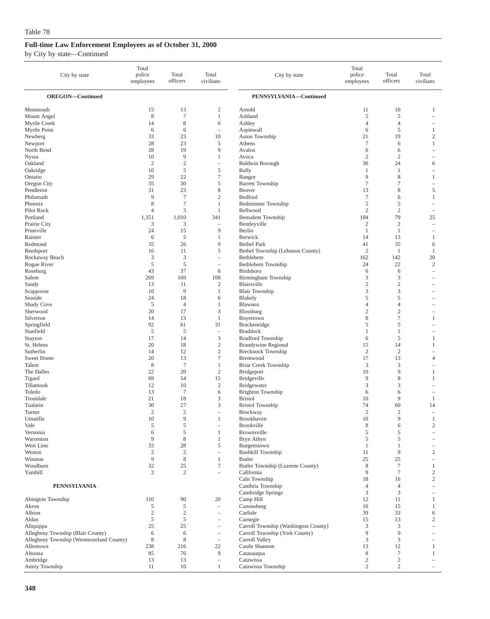| City by state                            | Total<br>police<br>employees | Total<br>officers   | Total<br>civilians                                   | City by state                                          | Total<br>police<br>employees | Total<br>officers   | Total<br>civilians                       |
|------------------------------------------|------------------------------|---------------------|------------------------------------------------------|--------------------------------------------------------|------------------------------|---------------------|------------------------------------------|
| <b>OREGON-Continued</b>                  |                              |                     |                                                      | PENNSYLVANIA-Continued                                 |                              |                     |                                          |
| Monmouth                                 | 15                           | 13                  | 2                                                    | Arnold                                                 | 11                           | 10                  | 1                                        |
| Mount Angel                              | 8                            | $\overline{7}$      | $\mathbf{1}$                                         | Ashland                                                | 5                            | $\mathfrak s$       | i.                                       |
| Myrtle Creek                             | 14                           | 8                   | 6                                                    | Ashley                                                 | $\overline{4}$               | $\overline{4}$      | ۰                                        |
| Myrtle Point                             | 6                            | 6                   | $\overline{\phantom{a}}$                             | Aspinwall                                              | 6                            | $\mathfrak s$       | 1                                        |
| Newberg                                  | 33                           | 23                  | 10                                                   | Aston Township                                         | 21                           | 19                  | $\mathfrak{2}$                           |
| Newport<br>North Bend                    | 28<br>28                     | 23<br>19            | 5<br>9                                               | Athens<br>Avalon                                       | $\tau$<br>6                  | 6<br>6              | 1<br>$\overline{\phantom{a}}$            |
| Nyssa                                    | 10                           | 9                   | 1                                                    | Avoca                                                  | $\overline{2}$               | $\mathfrak{2}$      | ۰                                        |
| Oakland                                  | $\mathbf{2}$                 | $\overline{c}$      | $\overline{\phantom{a}}$                             | <b>Baldwin Borough</b>                                 | 30                           | 24                  | 6                                        |
| Oakridge                                 | 10                           | 5                   | 5                                                    | Bally                                                  | $\mathbf{1}$                 | $\mathbf{1}$        | $\qquad \qquad -$                        |
| Ontario                                  | 29                           | 22                  | 7                                                    | Bangor                                                 | 9                            | 8                   | 1                                        |
| Oregon City                              | 35                           | 30                  | 5                                                    | <b>Barrett Township</b>                                | $\overline{7}$               | $\overline{7}$      | i.                                       |
| Pendleton                                | 31                           | 23                  | 8                                                    | Beaver                                                 | 13                           | 8                   | 5                                        |
| Philomath                                | 9                            | $\tau$              | $\mathbf{2}$                                         | Bedford                                                | $\tau$                       | 6                   | 1                                        |
| Phoenix<br>Pilot Rock                    | 8<br>$\overline{4}$          | $\tau$<br>3         | $\mathbf{1}$<br>1                                    | <b>Bedminster Township</b><br>Bellwood                 | 5<br>$\overline{2}$          | 5<br>$\overline{c}$ |                                          |
| Portland                                 | 1,351                        | 1,010               | 341                                                  | <b>Bensalem Township</b>                               | 104                          | 79                  | 25                                       |
| Prairie City                             | 3                            | 3                   | ÷                                                    | Bentleyville                                           | $\overline{2}$               | $\overline{c}$      | $\overline{\phantom{a}}$                 |
| Prineville                               | 24                           | 15                  | 9                                                    | Berlin                                                 | 1                            | 1                   |                                          |
| Rainier                                  | 6                            | 5                   | $\mathbf{1}$                                         | Berwick                                                | 14                           | 13                  | $\mathbf{1}$                             |
| Redmond                                  | 35                           | 26                  | 9                                                    | <b>Bethel Park</b>                                     | 41                           | 35                  | 6                                        |
| Reedsport                                | 16                           | 11                  | 5                                                    | Bethel Township (Lebanon County)                       | $\overline{2}$               | 1                   | 1                                        |
| Rockaway Beach                           | 3                            | 3                   | $\overline{\phantom{0}}$                             | Bethlehem                                              | 162                          | 142                 | 20                                       |
| Rogue River                              | 5                            | 5                   | $\overline{\phantom{a}}$                             | Bethlehem Township                                     | 24                           | 22                  | $\overline{c}$                           |
| Roseburg<br>Salem                        | 43<br>269                    | 37<br>169           | 6<br>100                                             | Birdsboro<br>Birmingham Township                       | 6<br>3                       | 6<br>3              | i.<br>÷                                  |
| Sandy                                    | 13                           | 11                  | $\mathbf{2}$                                         | Blairsville                                            | $\overline{2}$               | $\overline{c}$      |                                          |
| Scappoose                                | 10                           | 9                   | 1                                                    | <b>Blair Township</b>                                  | 3                            | 3                   | ÷                                        |
| Seaside                                  | 24                           | 18                  | 6                                                    | Blakely                                                | 5                            | 5                   | -                                        |
| Shady Cove                               | 5                            | $\overline{4}$      | $\mathbf{1}$                                         | Blawnox                                                | 4                            | $\overline{4}$      |                                          |
| Sherwood                                 | 20                           | 17                  | 3                                                    | Blossburg                                              | $\overline{c}$               | $\overline{c}$      |                                          |
| Silverton                                | 14                           | 13                  | $\mathbf{1}$                                         | Boyertown                                              | 8                            | $\tau$              | 1                                        |
| Springfield                              | 92                           | 61                  | 31                                                   | <b>Brackenridge</b>                                    | 5                            | 5                   | $\overline{\phantom{a}}$                 |
| Stanfield                                | 5<br>17                      | 5<br>14             | $\overline{\phantom{a}}$<br>3                        | <b>Braddock</b>                                        | 1                            | 1<br>5              | $\overline{\phantom{a}}$<br>$\mathbf{1}$ |
| Stayton<br>St. Helens                    | 20                           | 18                  | $\boldsymbol{2}$                                     | <b>Bradford Township</b><br><b>Brandywine Regional</b> | 6<br>15                      | 14                  | 1                                        |
| Sutherlin                                | 14                           | 12                  | $\sqrt{2}$                                           | <b>Brecknock Township</b>                              | $\overline{2}$               | $\overline{2}$      | $\overline{\phantom{a}}$                 |
| Sweet Home                               | 20                           | 13                  | 7                                                    | Brentwood                                              | 17                           | 13                  | $\overline{4}$                           |
| Talent                                   | 8                            | $\tau$              | 1                                                    | Briar Creek Township                                   | 3                            | 3                   |                                          |
| The Dalles                               | 22                           | 20                  | $\sqrt{2}$                                           | Bridgeport                                             | 10                           | 9                   | $\mathbf{1}$                             |
| Tigard                                   | 69                           | 54                  | 15                                                   | <b>Bridgeville</b>                                     | 9                            | 8                   | 1                                        |
| Tillamook                                | 12                           | 10                  | $\mathbf{2}$                                         | Bridgewater                                            | 3                            | 3                   |                                          |
| Toledo                                   | 13                           | $\tau$              | 6                                                    | <b>Brighton Township</b>                               | 6                            | 6<br>9              |                                          |
| Troutdale<br>Tualatin                    | 21<br>30                     | 18<br>27            | 3<br>3                                               | <b>Bristol</b><br><b>Bristol Township</b>              | 10<br>74                     | 60                  | 1<br>14                                  |
| Turner                                   | $\mathbf{2}$                 | $\overline{2}$      | $\overline{\phantom{a}}$                             | <b>Brockway</b>                                        | $\overline{2}$               | $\overline{c}$      | $\overline{\phantom{a}}$                 |
| Umatilla                                 | $10\,$                       | $\mathbf Q$         | 1                                                    | Brookhaven                                             | 10                           | 9                   | 1                                        |
| Vale                                     | 5                            | 5                   | $\overline{\phantom{a}}$                             | <b>Brookville</b>                                      | $\,$ 8 $\,$                  | 6                   | $\overline{c}$                           |
| Vernonia                                 | 6                            | 5                   | 1                                                    | Brownsville                                            | 5                            | 5                   | $\qquad \qquad -$                        |
| Warrenton                                | 9                            | 8                   | $\mathbf{1}$                                         | Bryn Athyn                                             | 5                            | 5                   |                                          |
| West Linn                                | 33                           | 28                  | 5                                                    | Burgettstown                                           | 1                            | 1                   | $\qquad \qquad -$                        |
| Weston<br>Winston                        | $\mathbf{2}$<br>9            | $\mathfrak{2}$<br>8 | $\overline{\phantom{0}}$<br>1                        | <b>Bushkill Township</b><br><b>Butler</b>              | 11<br>25                     | 9<br>25             | $\overline{c}$<br>$\qquad \qquad -$      |
| Woodburn                                 | 32                           | 25                  | $\tau$                                               | Butler Township (Luzerne County)                       | 8                            | $\tau$              | $\mathbf{1}$                             |
| Yamhill                                  | $\mathfrak{2}$               | $\mathfrak{2}$      | Ē,                                                   | California                                             | 9                            | $\tau$              | $\sqrt{2}$                               |
|                                          |                              |                     |                                                      | Caln Township                                          | 18                           | 16                  | $\sqrt{2}$                               |
| <b>PENNSYLVANIA</b>                      |                              |                     |                                                      | Cambria Township                                       | $\overline{4}$               | $\overline{4}$      | $\qquad \qquad -$                        |
|                                          |                              |                     |                                                      | Cambridge Springs                                      | 3                            | 3                   | $\qquad \qquad -$                        |
| Abington Township                        | 110                          | 90                  | 20                                                   | Camp Hill                                              | 12                           | 11                  | $\mathbf{1}$                             |
| Akron                                    | 5                            | 5                   | $\qquad \qquad -$                                    | Canonsburg                                             | 16                           | 15                  | $\mathbf{1}$                             |
| Albion<br>Aldan                          | $\sqrt{2}$<br>5              | $\mathfrak{2}$<br>5 | $\overline{\phantom{a}}$                             | Carlisle<br>Carnegie                                   | 39<br>15                     | 33<br>13            | 6<br>$\overline{c}$                      |
| Aliquippa                                | 25                           | 25                  | $\overline{\phantom{a}}$<br>$\overline{\phantom{a}}$ | Carroll Township (Washington County)                   | 3                            | 3                   | $\overline{\phantom{m}}$                 |
| Allegheny Township (Blair County)        | 6                            | 6                   | $\overline{\phantom{a}}$                             | Carroll Township (York County)                         | 9                            | 9                   | $\qquad \qquad -$                        |
| Allegheny Township (Westmoreland County) | 8                            | 8                   | $\qquad \qquad -$                                    | Carroll Valley                                         | 3                            | 3                   | $\qquad \qquad -$                        |
| Allentown                                | 238                          | 216                 | 22                                                   | Castle Shannon                                         | 13                           | 12                  | $\mathbf{1}$                             |
| Altoona                                  | 85                           | 76                  | 9                                                    | Catasauqua                                             | $\,$ 8 $\,$                  | $\tau$              | $\mathbf{1}$                             |
| Ambridge                                 | 13                           | 13                  | $\overline{\phantom{a}}$                             | Catawissa                                              | $\boldsymbol{2}$             | $\boldsymbol{2}$    | $\qquad \qquad -$                        |
| Amity Township                           | 11                           | 10                  | 1                                                    | Catawissa Township                                     | $\mathfrak{2}$               | $\mathbf{2}$        | $\overline{\phantom{m}}$                 |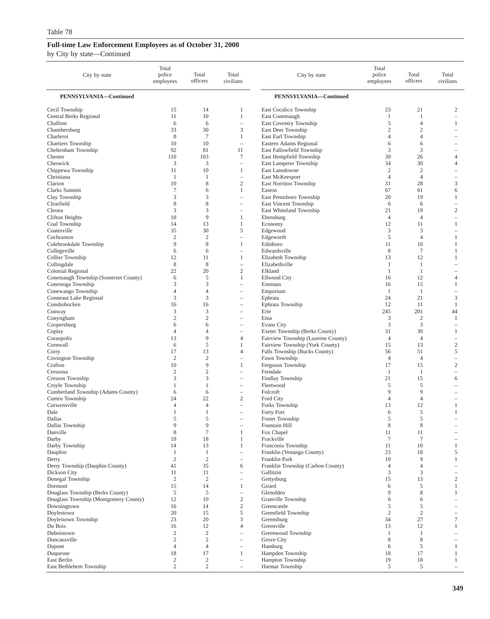| PENNSYLVANIA-Continued<br>PENNSYLVANIA-Continued<br>14<br>21<br>$\boldsymbol{2}$<br>Cecil Township<br>15<br>East Cocalico Township<br>23<br>1<br><b>Central Berks Regional</b><br>11<br>10<br>1<br>East Conemaugh<br>$\mathbf{1}$<br>$\mathbf{1}$<br>East Coventry Township<br>5<br>Chalfont<br>6<br>6<br>$\overline{4}$<br>1<br>$\qquad \qquad -$<br>3<br>$\overline{2}$<br>33<br>30<br>East Deer Township<br>$\mathfrak{2}$<br>Chambersburg<br>8<br>East Earl Township<br>$\overline{4}$<br>Charleroi<br>7<br>1<br>$\overline{4}$<br>10<br>10<br>Eastern Adams Regional<br>6<br><b>Chartiers Township</b><br>6<br>$\qquad \qquad -$<br>Cheltenham Township<br>92<br>81<br>East Fallowfield Township<br>3<br>3<br>11<br>103<br>7<br>East Hempfield Township<br>Chester<br>110<br>30<br>26<br>4<br>3<br>3<br>Cheswick<br>East Lampeter Township<br>34<br>30<br>4<br>L,<br>10<br>East Lansdowne<br>$\overline{c}$<br>$\overline{2}$<br>Chippewa Township<br>11<br>1<br>$\overline{\phantom{0}}$<br>Christiana<br>$\overline{4}$<br>$\overline{4}$<br>East McKeesport<br>1<br>-1<br>$\qquad \qquad -$<br>-<br>10<br>8<br>$\mathfrak{2}$<br>East Norriton Township<br>31<br>28<br>3<br>Clarion<br>$\tau$<br>Clarks Summit<br>6<br>1<br>Easton<br>67<br>61<br>6<br>3<br>3<br>East Pennsboro Township<br>19<br>Clay Township<br>20<br>1<br>L,<br>8<br>Clearfield<br>8<br>East Vincent Township<br>6<br>6<br>÷,<br>$\overline{\phantom{0}}$<br>3<br>3<br>$\mathfrak{2}$<br>21<br>19<br>Cleona<br>East Whiteland Township<br>÷,<br>10<br>9<br>Ebensburg<br>$\overline{4}$<br>$\overline{4}$<br>Clifton Heights<br>1<br>÷<br>Economy<br>12<br>Coal Township<br>14<br>13<br>1<br>11<br>1<br>30<br>5<br>3<br>3<br>Coatesville<br>35<br>Edgewood<br>$\overline{\phantom{0}}$<br>$\overline{2}$<br>$\overline{2}$<br>Edgeworth<br>5<br>$\overline{4}$<br>Cochranton<br>1<br>$\overline{\phantom{0}}$<br>9<br>8<br>10<br>Colebrookdale Township<br>1<br>Edinboro<br>11<br>1<br>6<br>6<br>8<br>$\overline{7}$<br>Collegeville<br>Edwardsville<br>1<br>L,<br>Collier Township<br>12<br>11<br>1<br>Elizabeth Township<br>13<br>12<br>1<br>8<br>8<br>Collingdale<br>$\mathbf{1}$<br>Elizabethville<br>1<br>$\qquad \qquad -$<br>-<br>22<br>20<br>$\mathfrak{2}$<br>Colonial Regional<br>Elkland<br>1<br>1<br>Conemaugh Township (Somerset County)<br>6<br>5<br>12<br>1<br><b>Ellwood City</b><br>16<br>4<br>Conestoga Township<br>3<br>3<br>15<br>Emmaus<br>16<br>1<br>L,<br>Conewango Township<br>$\overline{4}$<br>$\overline{4}$<br>Emporium<br>1<br>1<br>-<br>3<br>3<br>21<br>Conneaut Lake Regional<br>24<br>3<br>Ephrata<br>$\overline{\phantom{0}}$<br>12<br>Conshohocken<br>16<br>16<br>Ephrata Township<br>11<br>1<br>$\overline{\phantom{0}}$<br>3<br>3<br>Erie<br>245<br>201<br>Conway<br>44<br>÷,<br>$\overline{2}$<br>$\overline{2}$<br>3<br>$\overline{2}$<br>$\mathbf{1}$<br>Conyngham<br>Etna<br>÷,<br>3<br>3<br>Coopersburg<br>6<br>6<br>Evans City<br>-<br>$\overline{4}$<br>Exeter Township (Berks County)<br>31<br>30<br>Coplay<br>$\overline{4}$<br>1<br>$\overline{\phantom{0}}$<br>13<br>9<br>Fairview Township (Luzerne County)<br>Coraopolis<br>4<br>$\overline{4}$<br>$\overline{4}$<br>-<br>5<br>$\mathfrak{2}$<br>Cornwall<br>Fairview Township (York County)<br>15<br>13<br>6<br>1<br>17<br>13<br>$\overline{4}$<br>Falls Township (Bucks County)<br>56<br>51<br>5<br>Corry<br>$\overline{2}$<br>$\overline{c}$<br>Fawn Township<br>Covington Township<br>$\overline{4}$<br>$\overline{4}$<br>$\equiv$<br>$\overline{\phantom{0}}$<br>9<br>Ferguson Township<br>$\sqrt{2}$<br>Crafton<br>10<br>$\mathbf{1}$<br>17<br>15<br>$\overline{2}$<br>$\overline{2}$<br>Ferndale<br>Cressona<br>1<br>1<br>L,<br>$\overline{\phantom{0}}$<br>3<br>3<br>Findlay Township<br>21<br>15<br>Cresson Township<br>6<br>÷,<br>Fleetwood<br>5<br>5<br>Croyle Township<br>$\mathbf{1}$<br>$\mathbf{1}$<br>÷,<br>9<br>9<br>Cumberland Township (Adams County)<br>6<br>6<br>Folcroft<br>$\overline{\phantom{m}}$<br>$\overline{\phantom{0}}$<br>$\mathfrak{2}$<br>Cumru Township<br>22<br>Ford City<br>24<br>$\overline{4}$<br>$\overline{4}$<br>-<br>12<br>Curwensville<br>$\overline{4}$<br>$\overline{4}$<br>Forks Township<br>13<br>1<br>$\overline{\phantom{0}}$<br>5<br>1<br>$\mathbf{1}$<br>Forty Fort<br>6<br>1<br>Dale<br>L,<br>Dallas<br>5<br>5<br>Foster Township<br>$\overline{5}$<br>5<br>9<br>9<br>$\,$ 8 $\,$<br>$\,$ 8 $\,$<br>Dallas Township<br>Fountain Hill<br>$\qquad \qquad -$<br>$\overline{\phantom{0}}$<br>$\,$ 8 $\,$<br>Danville<br>$\tau$<br>1<br>Fox Chapel<br>11<br>11<br>Darby<br>19<br>18<br>Frackville<br>$\tau$<br>$\tau$<br>1<br>$\overline{\phantom{0}}$<br>Darby Township<br>14<br>13<br>$\mathbf{1}$<br>11<br>10<br>Franconia Township<br>$\mathbf{1}$<br>Dauphin<br>$\mathbf{1}$<br>$\mathbf{1}$<br>Franklin (Venango County)<br>23<br>18<br>5<br>$\overline{\phantom{0}}$<br>$\sqrt{2}$<br>$\sqrt{2}$<br>9<br>Derry<br>Franklin Park<br>10<br>$\mathbf{1}$<br>$\qquad \qquad -$<br>$\overline{4}$<br>Derry Township (Dauphin County)<br>35<br>Franklin Township (Carbon County)<br>$\overline{4}$<br>41<br>6<br>$\overline{\phantom{0}}$<br>Dickson City<br>3<br>3<br>11<br>11<br>Gallitzin<br>$\overline{\phantom{0}}$<br>$\overline{\phantom{0}}$<br>13<br>$\sqrt{2}$<br>Donegal Township<br>$\overline{c}$<br>2<br>15<br>Gettysburg<br>$\overline{\phantom{0}}$<br>Girard<br>5<br>Dormont<br>15<br>14<br>6<br>1<br>$\mathbf{1}$<br>$\,$ 8 $\,$<br>Douglass Township (Berks County)<br>5<br>5<br>Glenolden<br>9<br>$\mathbf{1}$<br>$\qquad \qquad -$<br>Douglass Township (Montgomery County)<br>$\sqrt{2}$<br>12<br>10<br>Granville Township<br>6<br>6<br>$\overline{\phantom{0}}$<br>$\sqrt{2}$<br>Downingtown<br>Greencastle<br>5<br>5<br>16<br>14<br>-<br>5<br>$\mathfrak{2}$<br>$\overline{c}$<br>Doylestown<br>20<br>15<br>Greenfield Township<br>$\overline{\phantom{0}}$<br>23<br>3<br>27<br>Doylestown Township<br>20<br>Greensburg<br>34<br>7<br>Du Bois<br>12<br>$\overline{4}$<br>Greenville<br>16<br>13<br>12<br>$\mathbf{1}$<br>$\mathfrak{2}$<br>$\mathfrak{2}$<br>Duboistown<br>Greenwood Township<br>$\mathbf{1}$<br>$\mathbf{1}$<br>$\qquad \qquad -$<br>-<br>$\overline{c}$<br>2<br>Grove City<br>8<br>8<br>Duncansville<br>$\qquad \qquad -$<br>$\overline{\phantom{0}}$<br>5<br>Dupont<br>$\overline{4}$<br>$\overline{4}$<br>Hamburg<br>6<br>$\mathbf{1}$<br>$\qquad \qquad -$<br>Hampden Township<br>Duquesne<br>18<br>17<br>18<br>17<br>$\mathbf{1}$<br>1<br>East Berlin<br>$\boldsymbol{2}$<br>$\overline{c}$<br>Hampton Township<br>19<br>18<br>$\mathbf{1}$<br>$\overline{\phantom{0}}$<br>$\overline{\phantom{0}}$<br>$\overline{\phantom{0}}$ | City by state           | Total<br>police<br>employees | Total<br>officers | Total<br>civilians | City by state   | Total<br>police<br>employees | Total<br>officers | Total<br>civilians |
|------------------------------------------------------------------------------------------------------------------------------------------------------------------------------------------------------------------------------------------------------------------------------------------------------------------------------------------------------------------------------------------------------------------------------------------------------------------------------------------------------------------------------------------------------------------------------------------------------------------------------------------------------------------------------------------------------------------------------------------------------------------------------------------------------------------------------------------------------------------------------------------------------------------------------------------------------------------------------------------------------------------------------------------------------------------------------------------------------------------------------------------------------------------------------------------------------------------------------------------------------------------------------------------------------------------------------------------------------------------------------------------------------------------------------------------------------------------------------------------------------------------------------------------------------------------------------------------------------------------------------------------------------------------------------------------------------------------------------------------------------------------------------------------------------------------------------------------------------------------------------------------------------------------------------------------------------------------------------------------------------------------------------------------------------------------------------------------------------------------------------------------------------------------------------------------------------------------------------------------------------------------------------------------------------------------------------------------------------------------------------------------------------------------------------------------------------------------------------------------------------------------------------------------------------------------------------------------------------------------------------------------------------------------------------------------------------------------------------------------------------------------------------------------------------------------------------------------------------------------------------------------------------------------------------------------------------------------------------------------------------------------------------------------------------------------------------------------------------------------------------------------------------------------------------------------------------------------------------------------------------------------------------------------------------------------------------------------------------------------------------------------------------------------------------------------------------------------------------------------------------------------------------------------------------------------------------------------------------------------------------------------------------------------------------------------------------------------------------------------------------------------------------------------------------------------------------------------------------------------------------------------------------------------------------------------------------------------------------------------------------------------------------------------------------------------------------------------------------------------------------------------------------------------------------------------------------------------------------------------------------------------------------------------------------------------------------------------------------------------------------------------------------------------------------------------------------------------------------------------------------------------------------------------------------------------------------------------------------------------------------------------------------------------------------------------------------------------------------------------------------------------------------------------------------------------------------------------------------------------------------------------------------------------------------------------------------------------------------------------------------------------------------------------------------------------------------------------------------------------------------------------------------------------------------------------------------------------------------------------------------------------------------------------------------------------------------------------------------------------------------------------------------------------------------------------------------------------------------------------------------------------------------------------------------------------------------------------------------------------------------------------------------------------------------------------------------------------------------------------------------------------------------------------------------------------------------------------------------------------------------------------------------------------------------------------------------------------------------------------------------------------------------------------------------------------------------------------------------------------------------------------------------------------------------------------------------------------------------------------------------------------------------------------------------------------------------------------------------------------------------------------------------------------------------------------------------------------------------------------------------------------------------------------------------------------------------------------------------------------------------------------------------------------------------------------------------------|-------------------------|------------------------------|-------------------|--------------------|-----------------|------------------------------|-------------------|--------------------|
|                                                                                                                                                                                                                                                                                                                                                                                                                                                                                                                                                                                                                                                                                                                                                                                                                                                                                                                                                                                                                                                                                                                                                                                                                                                                                                                                                                                                                                                                                                                                                                                                                                                                                                                                                                                                                                                                                                                                                                                                                                                                                                                                                                                                                                                                                                                                                                                                                                                                                                                                                                                                                                                                                                                                                                                                                                                                                                                                                                                                                                                                                                                                                                                                                                                                                                                                                                                                                                                                                                                                                                                                                                                                                                                                                                                                                                                                                                                                                                                                                                                                                                                                                                                                                                                                                                                                                                                                                                                                                                                                                                                                                                                                                                                                                                                                                                                                                                                                                                                                                                                                                                                                                                                                                                                                                                                                                                                                                                                                                                                                                                                                                                                                                                                                                                                                                                                                                                                                                                                                                                                                                                                                                                                                                                                                                                                                                                                                                                                                                                                                                                                                                                                                                                            |                         |                              |                   |                    |                 |                              |                   |                    |
|                                                                                                                                                                                                                                                                                                                                                                                                                                                                                                                                                                                                                                                                                                                                                                                                                                                                                                                                                                                                                                                                                                                                                                                                                                                                                                                                                                                                                                                                                                                                                                                                                                                                                                                                                                                                                                                                                                                                                                                                                                                                                                                                                                                                                                                                                                                                                                                                                                                                                                                                                                                                                                                                                                                                                                                                                                                                                                                                                                                                                                                                                                                                                                                                                                                                                                                                                                                                                                                                                                                                                                                                                                                                                                                                                                                                                                                                                                                                                                                                                                                                                                                                                                                                                                                                                                                                                                                                                                                                                                                                                                                                                                                                                                                                                                                                                                                                                                                                                                                                                                                                                                                                                                                                                                                                                                                                                                                                                                                                                                                                                                                                                                                                                                                                                                                                                                                                                                                                                                                                                                                                                                                                                                                                                                                                                                                                                                                                                                                                                                                                                                                                                                                                                                            |                         |                              |                   |                    |                 |                              |                   |                    |
|                                                                                                                                                                                                                                                                                                                                                                                                                                                                                                                                                                                                                                                                                                                                                                                                                                                                                                                                                                                                                                                                                                                                                                                                                                                                                                                                                                                                                                                                                                                                                                                                                                                                                                                                                                                                                                                                                                                                                                                                                                                                                                                                                                                                                                                                                                                                                                                                                                                                                                                                                                                                                                                                                                                                                                                                                                                                                                                                                                                                                                                                                                                                                                                                                                                                                                                                                                                                                                                                                                                                                                                                                                                                                                                                                                                                                                                                                                                                                                                                                                                                                                                                                                                                                                                                                                                                                                                                                                                                                                                                                                                                                                                                                                                                                                                                                                                                                                                                                                                                                                                                                                                                                                                                                                                                                                                                                                                                                                                                                                                                                                                                                                                                                                                                                                                                                                                                                                                                                                                                                                                                                                                                                                                                                                                                                                                                                                                                                                                                                                                                                                                                                                                                                                            |                         |                              |                   |                    |                 |                              |                   |                    |
|                                                                                                                                                                                                                                                                                                                                                                                                                                                                                                                                                                                                                                                                                                                                                                                                                                                                                                                                                                                                                                                                                                                                                                                                                                                                                                                                                                                                                                                                                                                                                                                                                                                                                                                                                                                                                                                                                                                                                                                                                                                                                                                                                                                                                                                                                                                                                                                                                                                                                                                                                                                                                                                                                                                                                                                                                                                                                                                                                                                                                                                                                                                                                                                                                                                                                                                                                                                                                                                                                                                                                                                                                                                                                                                                                                                                                                                                                                                                                                                                                                                                                                                                                                                                                                                                                                                                                                                                                                                                                                                                                                                                                                                                                                                                                                                                                                                                                                                                                                                                                                                                                                                                                                                                                                                                                                                                                                                                                                                                                                                                                                                                                                                                                                                                                                                                                                                                                                                                                                                                                                                                                                                                                                                                                                                                                                                                                                                                                                                                                                                                                                                                                                                                                                            |                         |                              |                   |                    |                 |                              |                   |                    |
|                                                                                                                                                                                                                                                                                                                                                                                                                                                                                                                                                                                                                                                                                                                                                                                                                                                                                                                                                                                                                                                                                                                                                                                                                                                                                                                                                                                                                                                                                                                                                                                                                                                                                                                                                                                                                                                                                                                                                                                                                                                                                                                                                                                                                                                                                                                                                                                                                                                                                                                                                                                                                                                                                                                                                                                                                                                                                                                                                                                                                                                                                                                                                                                                                                                                                                                                                                                                                                                                                                                                                                                                                                                                                                                                                                                                                                                                                                                                                                                                                                                                                                                                                                                                                                                                                                                                                                                                                                                                                                                                                                                                                                                                                                                                                                                                                                                                                                                                                                                                                                                                                                                                                                                                                                                                                                                                                                                                                                                                                                                                                                                                                                                                                                                                                                                                                                                                                                                                                                                                                                                                                                                                                                                                                                                                                                                                                                                                                                                                                                                                                                                                                                                                                                            |                         |                              |                   |                    |                 |                              |                   |                    |
|                                                                                                                                                                                                                                                                                                                                                                                                                                                                                                                                                                                                                                                                                                                                                                                                                                                                                                                                                                                                                                                                                                                                                                                                                                                                                                                                                                                                                                                                                                                                                                                                                                                                                                                                                                                                                                                                                                                                                                                                                                                                                                                                                                                                                                                                                                                                                                                                                                                                                                                                                                                                                                                                                                                                                                                                                                                                                                                                                                                                                                                                                                                                                                                                                                                                                                                                                                                                                                                                                                                                                                                                                                                                                                                                                                                                                                                                                                                                                                                                                                                                                                                                                                                                                                                                                                                                                                                                                                                                                                                                                                                                                                                                                                                                                                                                                                                                                                                                                                                                                                                                                                                                                                                                                                                                                                                                                                                                                                                                                                                                                                                                                                                                                                                                                                                                                                                                                                                                                                                                                                                                                                                                                                                                                                                                                                                                                                                                                                                                                                                                                                                                                                                                                                            |                         |                              |                   |                    |                 |                              |                   |                    |
|                                                                                                                                                                                                                                                                                                                                                                                                                                                                                                                                                                                                                                                                                                                                                                                                                                                                                                                                                                                                                                                                                                                                                                                                                                                                                                                                                                                                                                                                                                                                                                                                                                                                                                                                                                                                                                                                                                                                                                                                                                                                                                                                                                                                                                                                                                                                                                                                                                                                                                                                                                                                                                                                                                                                                                                                                                                                                                                                                                                                                                                                                                                                                                                                                                                                                                                                                                                                                                                                                                                                                                                                                                                                                                                                                                                                                                                                                                                                                                                                                                                                                                                                                                                                                                                                                                                                                                                                                                                                                                                                                                                                                                                                                                                                                                                                                                                                                                                                                                                                                                                                                                                                                                                                                                                                                                                                                                                                                                                                                                                                                                                                                                                                                                                                                                                                                                                                                                                                                                                                                                                                                                                                                                                                                                                                                                                                                                                                                                                                                                                                                                                                                                                                                                            |                         |                              |                   |                    |                 |                              |                   |                    |
|                                                                                                                                                                                                                                                                                                                                                                                                                                                                                                                                                                                                                                                                                                                                                                                                                                                                                                                                                                                                                                                                                                                                                                                                                                                                                                                                                                                                                                                                                                                                                                                                                                                                                                                                                                                                                                                                                                                                                                                                                                                                                                                                                                                                                                                                                                                                                                                                                                                                                                                                                                                                                                                                                                                                                                                                                                                                                                                                                                                                                                                                                                                                                                                                                                                                                                                                                                                                                                                                                                                                                                                                                                                                                                                                                                                                                                                                                                                                                                                                                                                                                                                                                                                                                                                                                                                                                                                                                                                                                                                                                                                                                                                                                                                                                                                                                                                                                                                                                                                                                                                                                                                                                                                                                                                                                                                                                                                                                                                                                                                                                                                                                                                                                                                                                                                                                                                                                                                                                                                                                                                                                                                                                                                                                                                                                                                                                                                                                                                                                                                                                                                                                                                                                                            |                         |                              |                   |                    |                 |                              |                   |                    |
|                                                                                                                                                                                                                                                                                                                                                                                                                                                                                                                                                                                                                                                                                                                                                                                                                                                                                                                                                                                                                                                                                                                                                                                                                                                                                                                                                                                                                                                                                                                                                                                                                                                                                                                                                                                                                                                                                                                                                                                                                                                                                                                                                                                                                                                                                                                                                                                                                                                                                                                                                                                                                                                                                                                                                                                                                                                                                                                                                                                                                                                                                                                                                                                                                                                                                                                                                                                                                                                                                                                                                                                                                                                                                                                                                                                                                                                                                                                                                                                                                                                                                                                                                                                                                                                                                                                                                                                                                                                                                                                                                                                                                                                                                                                                                                                                                                                                                                                                                                                                                                                                                                                                                                                                                                                                                                                                                                                                                                                                                                                                                                                                                                                                                                                                                                                                                                                                                                                                                                                                                                                                                                                                                                                                                                                                                                                                                                                                                                                                                                                                                                                                                                                                                                            |                         |                              |                   |                    |                 |                              |                   |                    |
|                                                                                                                                                                                                                                                                                                                                                                                                                                                                                                                                                                                                                                                                                                                                                                                                                                                                                                                                                                                                                                                                                                                                                                                                                                                                                                                                                                                                                                                                                                                                                                                                                                                                                                                                                                                                                                                                                                                                                                                                                                                                                                                                                                                                                                                                                                                                                                                                                                                                                                                                                                                                                                                                                                                                                                                                                                                                                                                                                                                                                                                                                                                                                                                                                                                                                                                                                                                                                                                                                                                                                                                                                                                                                                                                                                                                                                                                                                                                                                                                                                                                                                                                                                                                                                                                                                                                                                                                                                                                                                                                                                                                                                                                                                                                                                                                                                                                                                                                                                                                                                                                                                                                                                                                                                                                                                                                                                                                                                                                                                                                                                                                                                                                                                                                                                                                                                                                                                                                                                                                                                                                                                                                                                                                                                                                                                                                                                                                                                                                                                                                                                                                                                                                                                            |                         |                              |                   |                    |                 |                              |                   |                    |
|                                                                                                                                                                                                                                                                                                                                                                                                                                                                                                                                                                                                                                                                                                                                                                                                                                                                                                                                                                                                                                                                                                                                                                                                                                                                                                                                                                                                                                                                                                                                                                                                                                                                                                                                                                                                                                                                                                                                                                                                                                                                                                                                                                                                                                                                                                                                                                                                                                                                                                                                                                                                                                                                                                                                                                                                                                                                                                                                                                                                                                                                                                                                                                                                                                                                                                                                                                                                                                                                                                                                                                                                                                                                                                                                                                                                                                                                                                                                                                                                                                                                                                                                                                                                                                                                                                                                                                                                                                                                                                                                                                                                                                                                                                                                                                                                                                                                                                                                                                                                                                                                                                                                                                                                                                                                                                                                                                                                                                                                                                                                                                                                                                                                                                                                                                                                                                                                                                                                                                                                                                                                                                                                                                                                                                                                                                                                                                                                                                                                                                                                                                                                                                                                                                            |                         |                              |                   |                    |                 |                              |                   |                    |
|                                                                                                                                                                                                                                                                                                                                                                                                                                                                                                                                                                                                                                                                                                                                                                                                                                                                                                                                                                                                                                                                                                                                                                                                                                                                                                                                                                                                                                                                                                                                                                                                                                                                                                                                                                                                                                                                                                                                                                                                                                                                                                                                                                                                                                                                                                                                                                                                                                                                                                                                                                                                                                                                                                                                                                                                                                                                                                                                                                                                                                                                                                                                                                                                                                                                                                                                                                                                                                                                                                                                                                                                                                                                                                                                                                                                                                                                                                                                                                                                                                                                                                                                                                                                                                                                                                                                                                                                                                                                                                                                                                                                                                                                                                                                                                                                                                                                                                                                                                                                                                                                                                                                                                                                                                                                                                                                                                                                                                                                                                                                                                                                                                                                                                                                                                                                                                                                                                                                                                                                                                                                                                                                                                                                                                                                                                                                                                                                                                                                                                                                                                                                                                                                                                            |                         |                              |                   |                    |                 |                              |                   |                    |
|                                                                                                                                                                                                                                                                                                                                                                                                                                                                                                                                                                                                                                                                                                                                                                                                                                                                                                                                                                                                                                                                                                                                                                                                                                                                                                                                                                                                                                                                                                                                                                                                                                                                                                                                                                                                                                                                                                                                                                                                                                                                                                                                                                                                                                                                                                                                                                                                                                                                                                                                                                                                                                                                                                                                                                                                                                                                                                                                                                                                                                                                                                                                                                                                                                                                                                                                                                                                                                                                                                                                                                                                                                                                                                                                                                                                                                                                                                                                                                                                                                                                                                                                                                                                                                                                                                                                                                                                                                                                                                                                                                                                                                                                                                                                                                                                                                                                                                                                                                                                                                                                                                                                                                                                                                                                                                                                                                                                                                                                                                                                                                                                                                                                                                                                                                                                                                                                                                                                                                                                                                                                                                                                                                                                                                                                                                                                                                                                                                                                                                                                                                                                                                                                                                            |                         |                              |                   |                    |                 |                              |                   |                    |
|                                                                                                                                                                                                                                                                                                                                                                                                                                                                                                                                                                                                                                                                                                                                                                                                                                                                                                                                                                                                                                                                                                                                                                                                                                                                                                                                                                                                                                                                                                                                                                                                                                                                                                                                                                                                                                                                                                                                                                                                                                                                                                                                                                                                                                                                                                                                                                                                                                                                                                                                                                                                                                                                                                                                                                                                                                                                                                                                                                                                                                                                                                                                                                                                                                                                                                                                                                                                                                                                                                                                                                                                                                                                                                                                                                                                                                                                                                                                                                                                                                                                                                                                                                                                                                                                                                                                                                                                                                                                                                                                                                                                                                                                                                                                                                                                                                                                                                                                                                                                                                                                                                                                                                                                                                                                                                                                                                                                                                                                                                                                                                                                                                                                                                                                                                                                                                                                                                                                                                                                                                                                                                                                                                                                                                                                                                                                                                                                                                                                                                                                                                                                                                                                                                            |                         |                              |                   |                    |                 |                              |                   |                    |
|                                                                                                                                                                                                                                                                                                                                                                                                                                                                                                                                                                                                                                                                                                                                                                                                                                                                                                                                                                                                                                                                                                                                                                                                                                                                                                                                                                                                                                                                                                                                                                                                                                                                                                                                                                                                                                                                                                                                                                                                                                                                                                                                                                                                                                                                                                                                                                                                                                                                                                                                                                                                                                                                                                                                                                                                                                                                                                                                                                                                                                                                                                                                                                                                                                                                                                                                                                                                                                                                                                                                                                                                                                                                                                                                                                                                                                                                                                                                                                                                                                                                                                                                                                                                                                                                                                                                                                                                                                                                                                                                                                                                                                                                                                                                                                                                                                                                                                                                                                                                                                                                                                                                                                                                                                                                                                                                                                                                                                                                                                                                                                                                                                                                                                                                                                                                                                                                                                                                                                                                                                                                                                                                                                                                                                                                                                                                                                                                                                                                                                                                                                                                                                                                                                            |                         |                              |                   |                    |                 |                              |                   |                    |
|                                                                                                                                                                                                                                                                                                                                                                                                                                                                                                                                                                                                                                                                                                                                                                                                                                                                                                                                                                                                                                                                                                                                                                                                                                                                                                                                                                                                                                                                                                                                                                                                                                                                                                                                                                                                                                                                                                                                                                                                                                                                                                                                                                                                                                                                                                                                                                                                                                                                                                                                                                                                                                                                                                                                                                                                                                                                                                                                                                                                                                                                                                                                                                                                                                                                                                                                                                                                                                                                                                                                                                                                                                                                                                                                                                                                                                                                                                                                                                                                                                                                                                                                                                                                                                                                                                                                                                                                                                                                                                                                                                                                                                                                                                                                                                                                                                                                                                                                                                                                                                                                                                                                                                                                                                                                                                                                                                                                                                                                                                                                                                                                                                                                                                                                                                                                                                                                                                                                                                                                                                                                                                                                                                                                                                                                                                                                                                                                                                                                                                                                                                                                                                                                                                            |                         |                              |                   |                    |                 |                              |                   |                    |
|                                                                                                                                                                                                                                                                                                                                                                                                                                                                                                                                                                                                                                                                                                                                                                                                                                                                                                                                                                                                                                                                                                                                                                                                                                                                                                                                                                                                                                                                                                                                                                                                                                                                                                                                                                                                                                                                                                                                                                                                                                                                                                                                                                                                                                                                                                                                                                                                                                                                                                                                                                                                                                                                                                                                                                                                                                                                                                                                                                                                                                                                                                                                                                                                                                                                                                                                                                                                                                                                                                                                                                                                                                                                                                                                                                                                                                                                                                                                                                                                                                                                                                                                                                                                                                                                                                                                                                                                                                                                                                                                                                                                                                                                                                                                                                                                                                                                                                                                                                                                                                                                                                                                                                                                                                                                                                                                                                                                                                                                                                                                                                                                                                                                                                                                                                                                                                                                                                                                                                                                                                                                                                                                                                                                                                                                                                                                                                                                                                                                                                                                                                                                                                                                                                            |                         |                              |                   |                    |                 |                              |                   |                    |
|                                                                                                                                                                                                                                                                                                                                                                                                                                                                                                                                                                                                                                                                                                                                                                                                                                                                                                                                                                                                                                                                                                                                                                                                                                                                                                                                                                                                                                                                                                                                                                                                                                                                                                                                                                                                                                                                                                                                                                                                                                                                                                                                                                                                                                                                                                                                                                                                                                                                                                                                                                                                                                                                                                                                                                                                                                                                                                                                                                                                                                                                                                                                                                                                                                                                                                                                                                                                                                                                                                                                                                                                                                                                                                                                                                                                                                                                                                                                                                                                                                                                                                                                                                                                                                                                                                                                                                                                                                                                                                                                                                                                                                                                                                                                                                                                                                                                                                                                                                                                                                                                                                                                                                                                                                                                                                                                                                                                                                                                                                                                                                                                                                                                                                                                                                                                                                                                                                                                                                                                                                                                                                                                                                                                                                                                                                                                                                                                                                                                                                                                                                                                                                                                                                            |                         |                              |                   |                    |                 |                              |                   |                    |
|                                                                                                                                                                                                                                                                                                                                                                                                                                                                                                                                                                                                                                                                                                                                                                                                                                                                                                                                                                                                                                                                                                                                                                                                                                                                                                                                                                                                                                                                                                                                                                                                                                                                                                                                                                                                                                                                                                                                                                                                                                                                                                                                                                                                                                                                                                                                                                                                                                                                                                                                                                                                                                                                                                                                                                                                                                                                                                                                                                                                                                                                                                                                                                                                                                                                                                                                                                                                                                                                                                                                                                                                                                                                                                                                                                                                                                                                                                                                                                                                                                                                                                                                                                                                                                                                                                                                                                                                                                                                                                                                                                                                                                                                                                                                                                                                                                                                                                                                                                                                                                                                                                                                                                                                                                                                                                                                                                                                                                                                                                                                                                                                                                                                                                                                                                                                                                                                                                                                                                                                                                                                                                                                                                                                                                                                                                                                                                                                                                                                                                                                                                                                                                                                                                            |                         |                              |                   |                    |                 |                              |                   |                    |
|                                                                                                                                                                                                                                                                                                                                                                                                                                                                                                                                                                                                                                                                                                                                                                                                                                                                                                                                                                                                                                                                                                                                                                                                                                                                                                                                                                                                                                                                                                                                                                                                                                                                                                                                                                                                                                                                                                                                                                                                                                                                                                                                                                                                                                                                                                                                                                                                                                                                                                                                                                                                                                                                                                                                                                                                                                                                                                                                                                                                                                                                                                                                                                                                                                                                                                                                                                                                                                                                                                                                                                                                                                                                                                                                                                                                                                                                                                                                                                                                                                                                                                                                                                                                                                                                                                                                                                                                                                                                                                                                                                                                                                                                                                                                                                                                                                                                                                                                                                                                                                                                                                                                                                                                                                                                                                                                                                                                                                                                                                                                                                                                                                                                                                                                                                                                                                                                                                                                                                                                                                                                                                                                                                                                                                                                                                                                                                                                                                                                                                                                                                                                                                                                                                            |                         |                              |                   |                    |                 |                              |                   |                    |
|                                                                                                                                                                                                                                                                                                                                                                                                                                                                                                                                                                                                                                                                                                                                                                                                                                                                                                                                                                                                                                                                                                                                                                                                                                                                                                                                                                                                                                                                                                                                                                                                                                                                                                                                                                                                                                                                                                                                                                                                                                                                                                                                                                                                                                                                                                                                                                                                                                                                                                                                                                                                                                                                                                                                                                                                                                                                                                                                                                                                                                                                                                                                                                                                                                                                                                                                                                                                                                                                                                                                                                                                                                                                                                                                                                                                                                                                                                                                                                                                                                                                                                                                                                                                                                                                                                                                                                                                                                                                                                                                                                                                                                                                                                                                                                                                                                                                                                                                                                                                                                                                                                                                                                                                                                                                                                                                                                                                                                                                                                                                                                                                                                                                                                                                                                                                                                                                                                                                                                                                                                                                                                                                                                                                                                                                                                                                                                                                                                                                                                                                                                                                                                                                                                            |                         |                              |                   |                    |                 |                              |                   |                    |
|                                                                                                                                                                                                                                                                                                                                                                                                                                                                                                                                                                                                                                                                                                                                                                                                                                                                                                                                                                                                                                                                                                                                                                                                                                                                                                                                                                                                                                                                                                                                                                                                                                                                                                                                                                                                                                                                                                                                                                                                                                                                                                                                                                                                                                                                                                                                                                                                                                                                                                                                                                                                                                                                                                                                                                                                                                                                                                                                                                                                                                                                                                                                                                                                                                                                                                                                                                                                                                                                                                                                                                                                                                                                                                                                                                                                                                                                                                                                                                                                                                                                                                                                                                                                                                                                                                                                                                                                                                                                                                                                                                                                                                                                                                                                                                                                                                                                                                                                                                                                                                                                                                                                                                                                                                                                                                                                                                                                                                                                                                                                                                                                                                                                                                                                                                                                                                                                                                                                                                                                                                                                                                                                                                                                                                                                                                                                                                                                                                                                                                                                                                                                                                                                                                            |                         |                              |                   |                    |                 |                              |                   |                    |
|                                                                                                                                                                                                                                                                                                                                                                                                                                                                                                                                                                                                                                                                                                                                                                                                                                                                                                                                                                                                                                                                                                                                                                                                                                                                                                                                                                                                                                                                                                                                                                                                                                                                                                                                                                                                                                                                                                                                                                                                                                                                                                                                                                                                                                                                                                                                                                                                                                                                                                                                                                                                                                                                                                                                                                                                                                                                                                                                                                                                                                                                                                                                                                                                                                                                                                                                                                                                                                                                                                                                                                                                                                                                                                                                                                                                                                                                                                                                                                                                                                                                                                                                                                                                                                                                                                                                                                                                                                                                                                                                                                                                                                                                                                                                                                                                                                                                                                                                                                                                                                                                                                                                                                                                                                                                                                                                                                                                                                                                                                                                                                                                                                                                                                                                                                                                                                                                                                                                                                                                                                                                                                                                                                                                                                                                                                                                                                                                                                                                                                                                                                                                                                                                                                            |                         |                              |                   |                    |                 |                              |                   |                    |
|                                                                                                                                                                                                                                                                                                                                                                                                                                                                                                                                                                                                                                                                                                                                                                                                                                                                                                                                                                                                                                                                                                                                                                                                                                                                                                                                                                                                                                                                                                                                                                                                                                                                                                                                                                                                                                                                                                                                                                                                                                                                                                                                                                                                                                                                                                                                                                                                                                                                                                                                                                                                                                                                                                                                                                                                                                                                                                                                                                                                                                                                                                                                                                                                                                                                                                                                                                                                                                                                                                                                                                                                                                                                                                                                                                                                                                                                                                                                                                                                                                                                                                                                                                                                                                                                                                                                                                                                                                                                                                                                                                                                                                                                                                                                                                                                                                                                                                                                                                                                                                                                                                                                                                                                                                                                                                                                                                                                                                                                                                                                                                                                                                                                                                                                                                                                                                                                                                                                                                                                                                                                                                                                                                                                                                                                                                                                                                                                                                                                                                                                                                                                                                                                                                            |                         |                              |                   |                    |                 |                              |                   |                    |
|                                                                                                                                                                                                                                                                                                                                                                                                                                                                                                                                                                                                                                                                                                                                                                                                                                                                                                                                                                                                                                                                                                                                                                                                                                                                                                                                                                                                                                                                                                                                                                                                                                                                                                                                                                                                                                                                                                                                                                                                                                                                                                                                                                                                                                                                                                                                                                                                                                                                                                                                                                                                                                                                                                                                                                                                                                                                                                                                                                                                                                                                                                                                                                                                                                                                                                                                                                                                                                                                                                                                                                                                                                                                                                                                                                                                                                                                                                                                                                                                                                                                                                                                                                                                                                                                                                                                                                                                                                                                                                                                                                                                                                                                                                                                                                                                                                                                                                                                                                                                                                                                                                                                                                                                                                                                                                                                                                                                                                                                                                                                                                                                                                                                                                                                                                                                                                                                                                                                                                                                                                                                                                                                                                                                                                                                                                                                                                                                                                                                                                                                                                                                                                                                                                            |                         |                              |                   |                    |                 |                              |                   |                    |
|                                                                                                                                                                                                                                                                                                                                                                                                                                                                                                                                                                                                                                                                                                                                                                                                                                                                                                                                                                                                                                                                                                                                                                                                                                                                                                                                                                                                                                                                                                                                                                                                                                                                                                                                                                                                                                                                                                                                                                                                                                                                                                                                                                                                                                                                                                                                                                                                                                                                                                                                                                                                                                                                                                                                                                                                                                                                                                                                                                                                                                                                                                                                                                                                                                                                                                                                                                                                                                                                                                                                                                                                                                                                                                                                                                                                                                                                                                                                                                                                                                                                                                                                                                                                                                                                                                                                                                                                                                                                                                                                                                                                                                                                                                                                                                                                                                                                                                                                                                                                                                                                                                                                                                                                                                                                                                                                                                                                                                                                                                                                                                                                                                                                                                                                                                                                                                                                                                                                                                                                                                                                                                                                                                                                                                                                                                                                                                                                                                                                                                                                                                                                                                                                                                            |                         |                              |                   |                    |                 |                              |                   |                    |
|                                                                                                                                                                                                                                                                                                                                                                                                                                                                                                                                                                                                                                                                                                                                                                                                                                                                                                                                                                                                                                                                                                                                                                                                                                                                                                                                                                                                                                                                                                                                                                                                                                                                                                                                                                                                                                                                                                                                                                                                                                                                                                                                                                                                                                                                                                                                                                                                                                                                                                                                                                                                                                                                                                                                                                                                                                                                                                                                                                                                                                                                                                                                                                                                                                                                                                                                                                                                                                                                                                                                                                                                                                                                                                                                                                                                                                                                                                                                                                                                                                                                                                                                                                                                                                                                                                                                                                                                                                                                                                                                                                                                                                                                                                                                                                                                                                                                                                                                                                                                                                                                                                                                                                                                                                                                                                                                                                                                                                                                                                                                                                                                                                                                                                                                                                                                                                                                                                                                                                                                                                                                                                                                                                                                                                                                                                                                                                                                                                                                                                                                                                                                                                                                                                            |                         |                              |                   |                    |                 |                              |                   |                    |
|                                                                                                                                                                                                                                                                                                                                                                                                                                                                                                                                                                                                                                                                                                                                                                                                                                                                                                                                                                                                                                                                                                                                                                                                                                                                                                                                                                                                                                                                                                                                                                                                                                                                                                                                                                                                                                                                                                                                                                                                                                                                                                                                                                                                                                                                                                                                                                                                                                                                                                                                                                                                                                                                                                                                                                                                                                                                                                                                                                                                                                                                                                                                                                                                                                                                                                                                                                                                                                                                                                                                                                                                                                                                                                                                                                                                                                                                                                                                                                                                                                                                                                                                                                                                                                                                                                                                                                                                                                                                                                                                                                                                                                                                                                                                                                                                                                                                                                                                                                                                                                                                                                                                                                                                                                                                                                                                                                                                                                                                                                                                                                                                                                                                                                                                                                                                                                                                                                                                                                                                                                                                                                                                                                                                                                                                                                                                                                                                                                                                                                                                                                                                                                                                                                            |                         |                              |                   |                    |                 |                              |                   |                    |
|                                                                                                                                                                                                                                                                                                                                                                                                                                                                                                                                                                                                                                                                                                                                                                                                                                                                                                                                                                                                                                                                                                                                                                                                                                                                                                                                                                                                                                                                                                                                                                                                                                                                                                                                                                                                                                                                                                                                                                                                                                                                                                                                                                                                                                                                                                                                                                                                                                                                                                                                                                                                                                                                                                                                                                                                                                                                                                                                                                                                                                                                                                                                                                                                                                                                                                                                                                                                                                                                                                                                                                                                                                                                                                                                                                                                                                                                                                                                                                                                                                                                                                                                                                                                                                                                                                                                                                                                                                                                                                                                                                                                                                                                                                                                                                                                                                                                                                                                                                                                                                                                                                                                                                                                                                                                                                                                                                                                                                                                                                                                                                                                                                                                                                                                                                                                                                                                                                                                                                                                                                                                                                                                                                                                                                                                                                                                                                                                                                                                                                                                                                                                                                                                                                            |                         |                              |                   |                    |                 |                              |                   |                    |
|                                                                                                                                                                                                                                                                                                                                                                                                                                                                                                                                                                                                                                                                                                                                                                                                                                                                                                                                                                                                                                                                                                                                                                                                                                                                                                                                                                                                                                                                                                                                                                                                                                                                                                                                                                                                                                                                                                                                                                                                                                                                                                                                                                                                                                                                                                                                                                                                                                                                                                                                                                                                                                                                                                                                                                                                                                                                                                                                                                                                                                                                                                                                                                                                                                                                                                                                                                                                                                                                                                                                                                                                                                                                                                                                                                                                                                                                                                                                                                                                                                                                                                                                                                                                                                                                                                                                                                                                                                                                                                                                                                                                                                                                                                                                                                                                                                                                                                                                                                                                                                                                                                                                                                                                                                                                                                                                                                                                                                                                                                                                                                                                                                                                                                                                                                                                                                                                                                                                                                                                                                                                                                                                                                                                                                                                                                                                                                                                                                                                                                                                                                                                                                                                                                            |                         |                              |                   |                    |                 |                              |                   |                    |
|                                                                                                                                                                                                                                                                                                                                                                                                                                                                                                                                                                                                                                                                                                                                                                                                                                                                                                                                                                                                                                                                                                                                                                                                                                                                                                                                                                                                                                                                                                                                                                                                                                                                                                                                                                                                                                                                                                                                                                                                                                                                                                                                                                                                                                                                                                                                                                                                                                                                                                                                                                                                                                                                                                                                                                                                                                                                                                                                                                                                                                                                                                                                                                                                                                                                                                                                                                                                                                                                                                                                                                                                                                                                                                                                                                                                                                                                                                                                                                                                                                                                                                                                                                                                                                                                                                                                                                                                                                                                                                                                                                                                                                                                                                                                                                                                                                                                                                                                                                                                                                                                                                                                                                                                                                                                                                                                                                                                                                                                                                                                                                                                                                                                                                                                                                                                                                                                                                                                                                                                                                                                                                                                                                                                                                                                                                                                                                                                                                                                                                                                                                                                                                                                                                            |                         |                              |                   |                    |                 |                              |                   |                    |
|                                                                                                                                                                                                                                                                                                                                                                                                                                                                                                                                                                                                                                                                                                                                                                                                                                                                                                                                                                                                                                                                                                                                                                                                                                                                                                                                                                                                                                                                                                                                                                                                                                                                                                                                                                                                                                                                                                                                                                                                                                                                                                                                                                                                                                                                                                                                                                                                                                                                                                                                                                                                                                                                                                                                                                                                                                                                                                                                                                                                                                                                                                                                                                                                                                                                                                                                                                                                                                                                                                                                                                                                                                                                                                                                                                                                                                                                                                                                                                                                                                                                                                                                                                                                                                                                                                                                                                                                                                                                                                                                                                                                                                                                                                                                                                                                                                                                                                                                                                                                                                                                                                                                                                                                                                                                                                                                                                                                                                                                                                                                                                                                                                                                                                                                                                                                                                                                                                                                                                                                                                                                                                                                                                                                                                                                                                                                                                                                                                                                                                                                                                                                                                                                                                            |                         |                              |                   |                    |                 |                              |                   |                    |
|                                                                                                                                                                                                                                                                                                                                                                                                                                                                                                                                                                                                                                                                                                                                                                                                                                                                                                                                                                                                                                                                                                                                                                                                                                                                                                                                                                                                                                                                                                                                                                                                                                                                                                                                                                                                                                                                                                                                                                                                                                                                                                                                                                                                                                                                                                                                                                                                                                                                                                                                                                                                                                                                                                                                                                                                                                                                                                                                                                                                                                                                                                                                                                                                                                                                                                                                                                                                                                                                                                                                                                                                                                                                                                                                                                                                                                                                                                                                                                                                                                                                                                                                                                                                                                                                                                                                                                                                                                                                                                                                                                                                                                                                                                                                                                                                                                                                                                                                                                                                                                                                                                                                                                                                                                                                                                                                                                                                                                                                                                                                                                                                                                                                                                                                                                                                                                                                                                                                                                                                                                                                                                                                                                                                                                                                                                                                                                                                                                                                                                                                                                                                                                                                                                            |                         |                              |                   |                    |                 |                              |                   |                    |
|                                                                                                                                                                                                                                                                                                                                                                                                                                                                                                                                                                                                                                                                                                                                                                                                                                                                                                                                                                                                                                                                                                                                                                                                                                                                                                                                                                                                                                                                                                                                                                                                                                                                                                                                                                                                                                                                                                                                                                                                                                                                                                                                                                                                                                                                                                                                                                                                                                                                                                                                                                                                                                                                                                                                                                                                                                                                                                                                                                                                                                                                                                                                                                                                                                                                                                                                                                                                                                                                                                                                                                                                                                                                                                                                                                                                                                                                                                                                                                                                                                                                                                                                                                                                                                                                                                                                                                                                                                                                                                                                                                                                                                                                                                                                                                                                                                                                                                                                                                                                                                                                                                                                                                                                                                                                                                                                                                                                                                                                                                                                                                                                                                                                                                                                                                                                                                                                                                                                                                                                                                                                                                                                                                                                                                                                                                                                                                                                                                                                                                                                                                                                                                                                                                            |                         |                              |                   |                    |                 |                              |                   |                    |
|                                                                                                                                                                                                                                                                                                                                                                                                                                                                                                                                                                                                                                                                                                                                                                                                                                                                                                                                                                                                                                                                                                                                                                                                                                                                                                                                                                                                                                                                                                                                                                                                                                                                                                                                                                                                                                                                                                                                                                                                                                                                                                                                                                                                                                                                                                                                                                                                                                                                                                                                                                                                                                                                                                                                                                                                                                                                                                                                                                                                                                                                                                                                                                                                                                                                                                                                                                                                                                                                                                                                                                                                                                                                                                                                                                                                                                                                                                                                                                                                                                                                                                                                                                                                                                                                                                                                                                                                                                                                                                                                                                                                                                                                                                                                                                                                                                                                                                                                                                                                                                                                                                                                                                                                                                                                                                                                                                                                                                                                                                                                                                                                                                                                                                                                                                                                                                                                                                                                                                                                                                                                                                                                                                                                                                                                                                                                                                                                                                                                                                                                                                                                                                                                                                            |                         |                              |                   |                    |                 |                              |                   |                    |
|                                                                                                                                                                                                                                                                                                                                                                                                                                                                                                                                                                                                                                                                                                                                                                                                                                                                                                                                                                                                                                                                                                                                                                                                                                                                                                                                                                                                                                                                                                                                                                                                                                                                                                                                                                                                                                                                                                                                                                                                                                                                                                                                                                                                                                                                                                                                                                                                                                                                                                                                                                                                                                                                                                                                                                                                                                                                                                                                                                                                                                                                                                                                                                                                                                                                                                                                                                                                                                                                                                                                                                                                                                                                                                                                                                                                                                                                                                                                                                                                                                                                                                                                                                                                                                                                                                                                                                                                                                                                                                                                                                                                                                                                                                                                                                                                                                                                                                                                                                                                                                                                                                                                                                                                                                                                                                                                                                                                                                                                                                                                                                                                                                                                                                                                                                                                                                                                                                                                                                                                                                                                                                                                                                                                                                                                                                                                                                                                                                                                                                                                                                                                                                                                                                            |                         |                              |                   |                    |                 |                              |                   |                    |
|                                                                                                                                                                                                                                                                                                                                                                                                                                                                                                                                                                                                                                                                                                                                                                                                                                                                                                                                                                                                                                                                                                                                                                                                                                                                                                                                                                                                                                                                                                                                                                                                                                                                                                                                                                                                                                                                                                                                                                                                                                                                                                                                                                                                                                                                                                                                                                                                                                                                                                                                                                                                                                                                                                                                                                                                                                                                                                                                                                                                                                                                                                                                                                                                                                                                                                                                                                                                                                                                                                                                                                                                                                                                                                                                                                                                                                                                                                                                                                                                                                                                                                                                                                                                                                                                                                                                                                                                                                                                                                                                                                                                                                                                                                                                                                                                                                                                                                                                                                                                                                                                                                                                                                                                                                                                                                                                                                                                                                                                                                                                                                                                                                                                                                                                                                                                                                                                                                                                                                                                                                                                                                                                                                                                                                                                                                                                                                                                                                                                                                                                                                                                                                                                                                            |                         |                              |                   |                    |                 |                              |                   |                    |
|                                                                                                                                                                                                                                                                                                                                                                                                                                                                                                                                                                                                                                                                                                                                                                                                                                                                                                                                                                                                                                                                                                                                                                                                                                                                                                                                                                                                                                                                                                                                                                                                                                                                                                                                                                                                                                                                                                                                                                                                                                                                                                                                                                                                                                                                                                                                                                                                                                                                                                                                                                                                                                                                                                                                                                                                                                                                                                                                                                                                                                                                                                                                                                                                                                                                                                                                                                                                                                                                                                                                                                                                                                                                                                                                                                                                                                                                                                                                                                                                                                                                                                                                                                                                                                                                                                                                                                                                                                                                                                                                                                                                                                                                                                                                                                                                                                                                                                                                                                                                                                                                                                                                                                                                                                                                                                                                                                                                                                                                                                                                                                                                                                                                                                                                                                                                                                                                                                                                                                                                                                                                                                                                                                                                                                                                                                                                                                                                                                                                                                                                                                                                                                                                                                            |                         |                              |                   |                    |                 |                              |                   |                    |
|                                                                                                                                                                                                                                                                                                                                                                                                                                                                                                                                                                                                                                                                                                                                                                                                                                                                                                                                                                                                                                                                                                                                                                                                                                                                                                                                                                                                                                                                                                                                                                                                                                                                                                                                                                                                                                                                                                                                                                                                                                                                                                                                                                                                                                                                                                                                                                                                                                                                                                                                                                                                                                                                                                                                                                                                                                                                                                                                                                                                                                                                                                                                                                                                                                                                                                                                                                                                                                                                                                                                                                                                                                                                                                                                                                                                                                                                                                                                                                                                                                                                                                                                                                                                                                                                                                                                                                                                                                                                                                                                                                                                                                                                                                                                                                                                                                                                                                                                                                                                                                                                                                                                                                                                                                                                                                                                                                                                                                                                                                                                                                                                                                                                                                                                                                                                                                                                                                                                                                                                                                                                                                                                                                                                                                                                                                                                                                                                                                                                                                                                                                                                                                                                                                            |                         |                              |                   |                    |                 |                              |                   |                    |
|                                                                                                                                                                                                                                                                                                                                                                                                                                                                                                                                                                                                                                                                                                                                                                                                                                                                                                                                                                                                                                                                                                                                                                                                                                                                                                                                                                                                                                                                                                                                                                                                                                                                                                                                                                                                                                                                                                                                                                                                                                                                                                                                                                                                                                                                                                                                                                                                                                                                                                                                                                                                                                                                                                                                                                                                                                                                                                                                                                                                                                                                                                                                                                                                                                                                                                                                                                                                                                                                                                                                                                                                                                                                                                                                                                                                                                                                                                                                                                                                                                                                                                                                                                                                                                                                                                                                                                                                                                                                                                                                                                                                                                                                                                                                                                                                                                                                                                                                                                                                                                                                                                                                                                                                                                                                                                                                                                                                                                                                                                                                                                                                                                                                                                                                                                                                                                                                                                                                                                                                                                                                                                                                                                                                                                                                                                                                                                                                                                                                                                                                                                                                                                                                                                            |                         |                              |                   |                    |                 |                              |                   |                    |
|                                                                                                                                                                                                                                                                                                                                                                                                                                                                                                                                                                                                                                                                                                                                                                                                                                                                                                                                                                                                                                                                                                                                                                                                                                                                                                                                                                                                                                                                                                                                                                                                                                                                                                                                                                                                                                                                                                                                                                                                                                                                                                                                                                                                                                                                                                                                                                                                                                                                                                                                                                                                                                                                                                                                                                                                                                                                                                                                                                                                                                                                                                                                                                                                                                                                                                                                                                                                                                                                                                                                                                                                                                                                                                                                                                                                                                                                                                                                                                                                                                                                                                                                                                                                                                                                                                                                                                                                                                                                                                                                                                                                                                                                                                                                                                                                                                                                                                                                                                                                                                                                                                                                                                                                                                                                                                                                                                                                                                                                                                                                                                                                                                                                                                                                                                                                                                                                                                                                                                                                                                                                                                                                                                                                                                                                                                                                                                                                                                                                                                                                                                                                                                                                                                            |                         |                              |                   |                    |                 |                              |                   |                    |
|                                                                                                                                                                                                                                                                                                                                                                                                                                                                                                                                                                                                                                                                                                                                                                                                                                                                                                                                                                                                                                                                                                                                                                                                                                                                                                                                                                                                                                                                                                                                                                                                                                                                                                                                                                                                                                                                                                                                                                                                                                                                                                                                                                                                                                                                                                                                                                                                                                                                                                                                                                                                                                                                                                                                                                                                                                                                                                                                                                                                                                                                                                                                                                                                                                                                                                                                                                                                                                                                                                                                                                                                                                                                                                                                                                                                                                                                                                                                                                                                                                                                                                                                                                                                                                                                                                                                                                                                                                                                                                                                                                                                                                                                                                                                                                                                                                                                                                                                                                                                                                                                                                                                                                                                                                                                                                                                                                                                                                                                                                                                                                                                                                                                                                                                                                                                                                                                                                                                                                                                                                                                                                                                                                                                                                                                                                                                                                                                                                                                                                                                                                                                                                                                                                            |                         |                              |                   |                    |                 |                              |                   |                    |
|                                                                                                                                                                                                                                                                                                                                                                                                                                                                                                                                                                                                                                                                                                                                                                                                                                                                                                                                                                                                                                                                                                                                                                                                                                                                                                                                                                                                                                                                                                                                                                                                                                                                                                                                                                                                                                                                                                                                                                                                                                                                                                                                                                                                                                                                                                                                                                                                                                                                                                                                                                                                                                                                                                                                                                                                                                                                                                                                                                                                                                                                                                                                                                                                                                                                                                                                                                                                                                                                                                                                                                                                                                                                                                                                                                                                                                                                                                                                                                                                                                                                                                                                                                                                                                                                                                                                                                                                                                                                                                                                                                                                                                                                                                                                                                                                                                                                                                                                                                                                                                                                                                                                                                                                                                                                                                                                                                                                                                                                                                                                                                                                                                                                                                                                                                                                                                                                                                                                                                                                                                                                                                                                                                                                                                                                                                                                                                                                                                                                                                                                                                                                                                                                                                            |                         |                              |                   |                    |                 |                              |                   |                    |
|                                                                                                                                                                                                                                                                                                                                                                                                                                                                                                                                                                                                                                                                                                                                                                                                                                                                                                                                                                                                                                                                                                                                                                                                                                                                                                                                                                                                                                                                                                                                                                                                                                                                                                                                                                                                                                                                                                                                                                                                                                                                                                                                                                                                                                                                                                                                                                                                                                                                                                                                                                                                                                                                                                                                                                                                                                                                                                                                                                                                                                                                                                                                                                                                                                                                                                                                                                                                                                                                                                                                                                                                                                                                                                                                                                                                                                                                                                                                                                                                                                                                                                                                                                                                                                                                                                                                                                                                                                                                                                                                                                                                                                                                                                                                                                                                                                                                                                                                                                                                                                                                                                                                                                                                                                                                                                                                                                                                                                                                                                                                                                                                                                                                                                                                                                                                                                                                                                                                                                                                                                                                                                                                                                                                                                                                                                                                                                                                                                                                                                                                                                                                                                                                                                            |                         |                              |                   |                    |                 |                              |                   |                    |
|                                                                                                                                                                                                                                                                                                                                                                                                                                                                                                                                                                                                                                                                                                                                                                                                                                                                                                                                                                                                                                                                                                                                                                                                                                                                                                                                                                                                                                                                                                                                                                                                                                                                                                                                                                                                                                                                                                                                                                                                                                                                                                                                                                                                                                                                                                                                                                                                                                                                                                                                                                                                                                                                                                                                                                                                                                                                                                                                                                                                                                                                                                                                                                                                                                                                                                                                                                                                                                                                                                                                                                                                                                                                                                                                                                                                                                                                                                                                                                                                                                                                                                                                                                                                                                                                                                                                                                                                                                                                                                                                                                                                                                                                                                                                                                                                                                                                                                                                                                                                                                                                                                                                                                                                                                                                                                                                                                                                                                                                                                                                                                                                                                                                                                                                                                                                                                                                                                                                                                                                                                                                                                                                                                                                                                                                                                                                                                                                                                                                                                                                                                                                                                                                                                            |                         |                              |                   |                    |                 |                              |                   |                    |
|                                                                                                                                                                                                                                                                                                                                                                                                                                                                                                                                                                                                                                                                                                                                                                                                                                                                                                                                                                                                                                                                                                                                                                                                                                                                                                                                                                                                                                                                                                                                                                                                                                                                                                                                                                                                                                                                                                                                                                                                                                                                                                                                                                                                                                                                                                                                                                                                                                                                                                                                                                                                                                                                                                                                                                                                                                                                                                                                                                                                                                                                                                                                                                                                                                                                                                                                                                                                                                                                                                                                                                                                                                                                                                                                                                                                                                                                                                                                                                                                                                                                                                                                                                                                                                                                                                                                                                                                                                                                                                                                                                                                                                                                                                                                                                                                                                                                                                                                                                                                                                                                                                                                                                                                                                                                                                                                                                                                                                                                                                                                                                                                                                                                                                                                                                                                                                                                                                                                                                                                                                                                                                                                                                                                                                                                                                                                                                                                                                                                                                                                                                                                                                                                                                            |                         |                              |                   |                    |                 |                              |                   |                    |
|                                                                                                                                                                                                                                                                                                                                                                                                                                                                                                                                                                                                                                                                                                                                                                                                                                                                                                                                                                                                                                                                                                                                                                                                                                                                                                                                                                                                                                                                                                                                                                                                                                                                                                                                                                                                                                                                                                                                                                                                                                                                                                                                                                                                                                                                                                                                                                                                                                                                                                                                                                                                                                                                                                                                                                                                                                                                                                                                                                                                                                                                                                                                                                                                                                                                                                                                                                                                                                                                                                                                                                                                                                                                                                                                                                                                                                                                                                                                                                                                                                                                                                                                                                                                                                                                                                                                                                                                                                                                                                                                                                                                                                                                                                                                                                                                                                                                                                                                                                                                                                                                                                                                                                                                                                                                                                                                                                                                                                                                                                                                                                                                                                                                                                                                                                                                                                                                                                                                                                                                                                                                                                                                                                                                                                                                                                                                                                                                                                                                                                                                                                                                                                                                                                            |                         |                              |                   |                    |                 |                              |                   |                    |
|                                                                                                                                                                                                                                                                                                                                                                                                                                                                                                                                                                                                                                                                                                                                                                                                                                                                                                                                                                                                                                                                                                                                                                                                                                                                                                                                                                                                                                                                                                                                                                                                                                                                                                                                                                                                                                                                                                                                                                                                                                                                                                                                                                                                                                                                                                                                                                                                                                                                                                                                                                                                                                                                                                                                                                                                                                                                                                                                                                                                                                                                                                                                                                                                                                                                                                                                                                                                                                                                                                                                                                                                                                                                                                                                                                                                                                                                                                                                                                                                                                                                                                                                                                                                                                                                                                                                                                                                                                                                                                                                                                                                                                                                                                                                                                                                                                                                                                                                                                                                                                                                                                                                                                                                                                                                                                                                                                                                                                                                                                                                                                                                                                                                                                                                                                                                                                                                                                                                                                                                                                                                                                                                                                                                                                                                                                                                                                                                                                                                                                                                                                                                                                                                                                            |                         |                              |                   |                    |                 |                              |                   |                    |
|                                                                                                                                                                                                                                                                                                                                                                                                                                                                                                                                                                                                                                                                                                                                                                                                                                                                                                                                                                                                                                                                                                                                                                                                                                                                                                                                                                                                                                                                                                                                                                                                                                                                                                                                                                                                                                                                                                                                                                                                                                                                                                                                                                                                                                                                                                                                                                                                                                                                                                                                                                                                                                                                                                                                                                                                                                                                                                                                                                                                                                                                                                                                                                                                                                                                                                                                                                                                                                                                                                                                                                                                                                                                                                                                                                                                                                                                                                                                                                                                                                                                                                                                                                                                                                                                                                                                                                                                                                                                                                                                                                                                                                                                                                                                                                                                                                                                                                                                                                                                                                                                                                                                                                                                                                                                                                                                                                                                                                                                                                                                                                                                                                                                                                                                                                                                                                                                                                                                                                                                                                                                                                                                                                                                                                                                                                                                                                                                                                                                                                                                                                                                                                                                                                            |                         |                              |                   |                    |                 |                              |                   |                    |
|                                                                                                                                                                                                                                                                                                                                                                                                                                                                                                                                                                                                                                                                                                                                                                                                                                                                                                                                                                                                                                                                                                                                                                                                                                                                                                                                                                                                                                                                                                                                                                                                                                                                                                                                                                                                                                                                                                                                                                                                                                                                                                                                                                                                                                                                                                                                                                                                                                                                                                                                                                                                                                                                                                                                                                                                                                                                                                                                                                                                                                                                                                                                                                                                                                                                                                                                                                                                                                                                                                                                                                                                                                                                                                                                                                                                                                                                                                                                                                                                                                                                                                                                                                                                                                                                                                                                                                                                                                                                                                                                                                                                                                                                                                                                                                                                                                                                                                                                                                                                                                                                                                                                                                                                                                                                                                                                                                                                                                                                                                                                                                                                                                                                                                                                                                                                                                                                                                                                                                                                                                                                                                                                                                                                                                                                                                                                                                                                                                                                                                                                                                                                                                                                                                            |                         |                              |                   |                    |                 |                              |                   |                    |
|                                                                                                                                                                                                                                                                                                                                                                                                                                                                                                                                                                                                                                                                                                                                                                                                                                                                                                                                                                                                                                                                                                                                                                                                                                                                                                                                                                                                                                                                                                                                                                                                                                                                                                                                                                                                                                                                                                                                                                                                                                                                                                                                                                                                                                                                                                                                                                                                                                                                                                                                                                                                                                                                                                                                                                                                                                                                                                                                                                                                                                                                                                                                                                                                                                                                                                                                                                                                                                                                                                                                                                                                                                                                                                                                                                                                                                                                                                                                                                                                                                                                                                                                                                                                                                                                                                                                                                                                                                                                                                                                                                                                                                                                                                                                                                                                                                                                                                                                                                                                                                                                                                                                                                                                                                                                                                                                                                                                                                                                                                                                                                                                                                                                                                                                                                                                                                                                                                                                                                                                                                                                                                                                                                                                                                                                                                                                                                                                                                                                                                                                                                                                                                                                                                            |                         |                              |                   |                    |                 |                              |                   |                    |
|                                                                                                                                                                                                                                                                                                                                                                                                                                                                                                                                                                                                                                                                                                                                                                                                                                                                                                                                                                                                                                                                                                                                                                                                                                                                                                                                                                                                                                                                                                                                                                                                                                                                                                                                                                                                                                                                                                                                                                                                                                                                                                                                                                                                                                                                                                                                                                                                                                                                                                                                                                                                                                                                                                                                                                                                                                                                                                                                                                                                                                                                                                                                                                                                                                                                                                                                                                                                                                                                                                                                                                                                                                                                                                                                                                                                                                                                                                                                                                                                                                                                                                                                                                                                                                                                                                                                                                                                                                                                                                                                                                                                                                                                                                                                                                                                                                                                                                                                                                                                                                                                                                                                                                                                                                                                                                                                                                                                                                                                                                                                                                                                                                                                                                                                                                                                                                                                                                                                                                                                                                                                                                                                                                                                                                                                                                                                                                                                                                                                                                                                                                                                                                                                                                            |                         |                              |                   |                    |                 |                              |                   |                    |
|                                                                                                                                                                                                                                                                                                                                                                                                                                                                                                                                                                                                                                                                                                                                                                                                                                                                                                                                                                                                                                                                                                                                                                                                                                                                                                                                                                                                                                                                                                                                                                                                                                                                                                                                                                                                                                                                                                                                                                                                                                                                                                                                                                                                                                                                                                                                                                                                                                                                                                                                                                                                                                                                                                                                                                                                                                                                                                                                                                                                                                                                                                                                                                                                                                                                                                                                                                                                                                                                                                                                                                                                                                                                                                                                                                                                                                                                                                                                                                                                                                                                                                                                                                                                                                                                                                                                                                                                                                                                                                                                                                                                                                                                                                                                                                                                                                                                                                                                                                                                                                                                                                                                                                                                                                                                                                                                                                                                                                                                                                                                                                                                                                                                                                                                                                                                                                                                                                                                                                                                                                                                                                                                                                                                                                                                                                                                                                                                                                                                                                                                                                                                                                                                                                            |                         |                              |                   |                    |                 |                              |                   |                    |
|                                                                                                                                                                                                                                                                                                                                                                                                                                                                                                                                                                                                                                                                                                                                                                                                                                                                                                                                                                                                                                                                                                                                                                                                                                                                                                                                                                                                                                                                                                                                                                                                                                                                                                                                                                                                                                                                                                                                                                                                                                                                                                                                                                                                                                                                                                                                                                                                                                                                                                                                                                                                                                                                                                                                                                                                                                                                                                                                                                                                                                                                                                                                                                                                                                                                                                                                                                                                                                                                                                                                                                                                                                                                                                                                                                                                                                                                                                                                                                                                                                                                                                                                                                                                                                                                                                                                                                                                                                                                                                                                                                                                                                                                                                                                                                                                                                                                                                                                                                                                                                                                                                                                                                                                                                                                                                                                                                                                                                                                                                                                                                                                                                                                                                                                                                                                                                                                                                                                                                                                                                                                                                                                                                                                                                                                                                                                                                                                                                                                                                                                                                                                                                                                                                            |                         |                              |                   |                    |                 |                              |                   |                    |
|                                                                                                                                                                                                                                                                                                                                                                                                                                                                                                                                                                                                                                                                                                                                                                                                                                                                                                                                                                                                                                                                                                                                                                                                                                                                                                                                                                                                                                                                                                                                                                                                                                                                                                                                                                                                                                                                                                                                                                                                                                                                                                                                                                                                                                                                                                                                                                                                                                                                                                                                                                                                                                                                                                                                                                                                                                                                                                                                                                                                                                                                                                                                                                                                                                                                                                                                                                                                                                                                                                                                                                                                                                                                                                                                                                                                                                                                                                                                                                                                                                                                                                                                                                                                                                                                                                                                                                                                                                                                                                                                                                                                                                                                                                                                                                                                                                                                                                                                                                                                                                                                                                                                                                                                                                                                                                                                                                                                                                                                                                                                                                                                                                                                                                                                                                                                                                                                                                                                                                                                                                                                                                                                                                                                                                                                                                                                                                                                                                                                                                                                                                                                                                                                                                            |                         |                              |                   |                    |                 |                              |                   |                    |
|                                                                                                                                                                                                                                                                                                                                                                                                                                                                                                                                                                                                                                                                                                                                                                                                                                                                                                                                                                                                                                                                                                                                                                                                                                                                                                                                                                                                                                                                                                                                                                                                                                                                                                                                                                                                                                                                                                                                                                                                                                                                                                                                                                                                                                                                                                                                                                                                                                                                                                                                                                                                                                                                                                                                                                                                                                                                                                                                                                                                                                                                                                                                                                                                                                                                                                                                                                                                                                                                                                                                                                                                                                                                                                                                                                                                                                                                                                                                                                                                                                                                                                                                                                                                                                                                                                                                                                                                                                                                                                                                                                                                                                                                                                                                                                                                                                                                                                                                                                                                                                                                                                                                                                                                                                                                                                                                                                                                                                                                                                                                                                                                                                                                                                                                                                                                                                                                                                                                                                                                                                                                                                                                                                                                                                                                                                                                                                                                                                                                                                                                                                                                                                                                                                            |                         |                              |                   |                    |                 |                              |                   |                    |
|                                                                                                                                                                                                                                                                                                                                                                                                                                                                                                                                                                                                                                                                                                                                                                                                                                                                                                                                                                                                                                                                                                                                                                                                                                                                                                                                                                                                                                                                                                                                                                                                                                                                                                                                                                                                                                                                                                                                                                                                                                                                                                                                                                                                                                                                                                                                                                                                                                                                                                                                                                                                                                                                                                                                                                                                                                                                                                                                                                                                                                                                                                                                                                                                                                                                                                                                                                                                                                                                                                                                                                                                                                                                                                                                                                                                                                                                                                                                                                                                                                                                                                                                                                                                                                                                                                                                                                                                                                                                                                                                                                                                                                                                                                                                                                                                                                                                                                                                                                                                                                                                                                                                                                                                                                                                                                                                                                                                                                                                                                                                                                                                                                                                                                                                                                                                                                                                                                                                                                                                                                                                                                                                                                                                                                                                                                                                                                                                                                                                                                                                                                                                                                                                                                            |                         |                              |                   |                    |                 |                              |                   |                    |
|                                                                                                                                                                                                                                                                                                                                                                                                                                                                                                                                                                                                                                                                                                                                                                                                                                                                                                                                                                                                                                                                                                                                                                                                                                                                                                                                                                                                                                                                                                                                                                                                                                                                                                                                                                                                                                                                                                                                                                                                                                                                                                                                                                                                                                                                                                                                                                                                                                                                                                                                                                                                                                                                                                                                                                                                                                                                                                                                                                                                                                                                                                                                                                                                                                                                                                                                                                                                                                                                                                                                                                                                                                                                                                                                                                                                                                                                                                                                                                                                                                                                                                                                                                                                                                                                                                                                                                                                                                                                                                                                                                                                                                                                                                                                                                                                                                                                                                                                                                                                                                                                                                                                                                                                                                                                                                                                                                                                                                                                                                                                                                                                                                                                                                                                                                                                                                                                                                                                                                                                                                                                                                                                                                                                                                                                                                                                                                                                                                                                                                                                                                                                                                                                                                            |                         |                              |                   |                    |                 |                              |                   |                    |
|                                                                                                                                                                                                                                                                                                                                                                                                                                                                                                                                                                                                                                                                                                                                                                                                                                                                                                                                                                                                                                                                                                                                                                                                                                                                                                                                                                                                                                                                                                                                                                                                                                                                                                                                                                                                                                                                                                                                                                                                                                                                                                                                                                                                                                                                                                                                                                                                                                                                                                                                                                                                                                                                                                                                                                                                                                                                                                                                                                                                                                                                                                                                                                                                                                                                                                                                                                                                                                                                                                                                                                                                                                                                                                                                                                                                                                                                                                                                                                                                                                                                                                                                                                                                                                                                                                                                                                                                                                                                                                                                                                                                                                                                                                                                                                                                                                                                                                                                                                                                                                                                                                                                                                                                                                                                                                                                                                                                                                                                                                                                                                                                                                                                                                                                                                                                                                                                                                                                                                                                                                                                                                                                                                                                                                                                                                                                                                                                                                                                                                                                                                                                                                                                                                            | East Bethlehem Township | $\sqrt{2}$                   | $\mathfrak{2}$    |                    | Harmar Township | 5                            | 5                 |                    |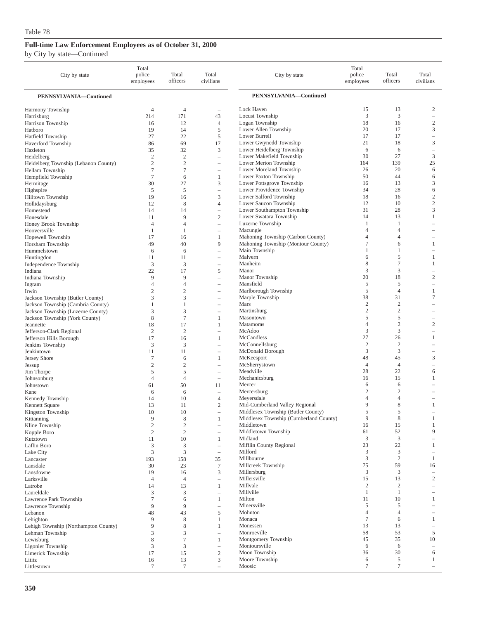| City by state                               | Total<br>police<br>employees | Total<br>officers    | Total<br>civilians                                   | City by state                                       | Total<br>police<br>employees | Total<br>officers   | Total<br>civilians            |
|---------------------------------------------|------------------------------|----------------------|------------------------------------------------------|-----------------------------------------------------|------------------------------|---------------------|-------------------------------|
| PENNSYLVANIA-Continued                      |                              |                      |                                                      | PENNSYLVANIA-Continued                              |                              |                     |                               |
| Harmony Township                            | $\overline{4}$               | $\overline{4}$       | $\overline{\phantom{a}}$                             | Lock Haven                                          | 15                           | 13                  | 2                             |
| Harrisburg                                  | 214                          | 171                  | 43                                                   | Locust Township                                     | 3                            | 3                   | $\overline{\phantom{a}}$      |
| Harrison Township                           | 16                           | 12                   | $\overline{4}$                                       | Logan Township                                      | 18                           | 16                  | $\overline{2}$                |
| Hatboro                                     | 19                           | 14                   | 5<br>5                                               | Lower Allen Township<br>Lower Burrell               | 20<br>17                     | 17<br>17            | 3<br>$\overline{\phantom{a}}$ |
| Hatfield Township<br>Haverford Township     | 27<br>86                     | 22<br>69             | 17                                                   | Lower Gwynedd Township                              | 21                           | 18                  | 3                             |
| Hazleton                                    | 35                           | 32                   | 3                                                    | Lower Heidelberg Township                           | 6                            | 6                   | $\overline{\phantom{a}}$      |
| Heidelberg                                  | $\overline{2}$               | $\mathfrak{2}$       | i.                                                   | Lower Makefield Township                            | 30                           | 27                  | 3                             |
| Heidelberg Township (Lebanon County)        | $\overline{2}$               | $\mathfrak{2}$       | $\overline{\phantom{0}}$                             | Lower Merion Township                               | 164                          | 139                 | 25                            |
| Hellam Township                             | $\overline{7}$               | $\overline{7}$       | $\overline{\phantom{0}}$                             | Lower Moreland Township                             | 26                           | 20                  | 6                             |
| Hempfield Township                          | 7                            | 6                    | 1                                                    | Lower Paxton Township                               | 50                           | 44                  | 6                             |
| Hermitage                                   | 30                           | 27                   | 3                                                    | Lower Pottsgrove Township                           | 16<br>34                     | 13<br>28            | 3                             |
| Highspire<br>Hilltown Township              | 5<br>19                      | 5<br>16              | 3                                                    | Lower Providence Township<br>Lower Salford Township | 18                           | 16                  | 6<br>$\sqrt{2}$               |
| Hollidaysburg                               | 12                           | 8                    | $\overline{4}$                                       | Lower Saucon Township                               | 12                           | 10                  | $\mathbf{2}$                  |
| Homestead                                   | 14                           | 14                   | $\hspace{1.0cm} - \hspace{1.0cm}$                    | Lower Southampton Township                          | 31                           | 28                  | 3                             |
| Honesdale                                   | 11                           | 9                    | $\mathfrak{2}$                                       | Lower Swatara Township                              | 14                           | 13                  | 1                             |
| Honey Brook Township                        | $\overline{4}$               | $\overline{4}$       |                                                      | Luzerne Township                                    | 1                            | 1                   |                               |
| Hooversville                                | 1                            | 1                    | $\overline{\phantom{0}}$                             | Macungie                                            | 4                            | $\overline{4}$      |                               |
| Hopewell Township                           | 17                           | 16                   | $\mathbf{1}$                                         | Mahoning Township (Carbon County)                   | 4                            | 4                   | $\overline{\phantom{a}}$      |
| Horsham Township                            | 49                           | 40                   | 9                                                    | Mahoning Township (Montour County)                  | $\tau$                       | 6                   | $\mathbf{1}$                  |
| Hummelstown                                 | 6                            | 6                    | i.                                                   | Main Township<br>Malvern                            | 1<br>6                       | 1<br>5              | 1                             |
| Huntingdon<br>Independence Township         | 11<br>3                      | 11<br>3              | $\overline{\phantom{0}}$<br>$\overline{\phantom{0}}$ | Manheim                                             | 8                            | $\overline{7}$      | 1                             |
| Indiana                                     | 22                           | 17                   | 5                                                    | Manor                                               | 3                            | 3                   | $\overline{\phantom{a}}$      |
| Indiana Township                            | 9                            | 9                    | $\overline{\phantom{a}}$                             | Manor Township                                      | 20                           | 18                  | $\overline{c}$                |
| Ingram                                      | $\overline{4}$               | 4                    | i.                                                   | Mansfield                                           | 5                            | 5                   |                               |
| Irwin                                       | $\overline{2}$               | $\overline{c}$       | $\overline{\phantom{0}}$                             | Marlborough Township                                | 5                            | $\overline{4}$      | 1                             |
| Jackson Township (Butler County)            | 3                            | 3                    | $\overline{\phantom{0}}$                             | Marple Township                                     | 38                           | 31                  | $\overline{7}$                |
| Jackson Township (Cambria County)           | 1                            | 1                    | $\overline{\phantom{0}}$                             | Mars                                                | $\overline{2}$               | $\mathfrak{2}$      | $\overline{\phantom{a}}$      |
| Jackson Township (Luzerne County)           | 3                            | 3                    |                                                      | Martinsburg                                         | $\mathfrak{2}$               | $\overline{c}$      | $\overline{\phantom{a}}$      |
| Jackson Township (York County)<br>Jeannette | 8<br>18                      | $\overline{7}$<br>17 | 1<br>1                                               | Masontown<br>Matamoras                              | 5<br>4                       | 5<br>$\overline{c}$ | $\overline{c}$                |
| Jefferson-Clark Regional                    | $\overline{2}$               | $\mathfrak{2}$       | $\overline{\phantom{a}}$                             | McAdoo                                              | 3                            | 3                   | $\overline{\phantom{m}}$      |
| Jefferson Hills Borough                     | 17                           | 16                   | $\mathbf{1}$                                         | McCandless                                          | 27                           | 26                  | 1                             |
| Jenkins Township                            | 3                            | 3                    | i.                                                   | McConnellsburg                                      | $\overline{c}$               | $\overline{c}$      | $\overline{\phantom{a}}$      |
| Jenkintown                                  | 11                           | 11                   | $\overline{\phantom{a}}$                             | McDonald Borough                                    | 3                            | 3                   |                               |
| Jersey Shore                                | 7                            | 6                    | 1                                                    | McKeesport                                          | 48                           | 45                  | 3                             |
| Jessup                                      | $\overline{2}$               | $\overline{c}$       | $\overline{\phantom{0}}$                             | McSherrystown                                       | $\overline{4}$               | $\overline{4}$      | $\overline{\phantom{m}}$      |
| Jim Thorpe                                  | 5                            | 5                    | $\overline{\phantom{0}}$                             | Meadville                                           | 28                           | 22                  | 6                             |
| Johnsonburg                                 | $\overline{4}$               | $\overline{4}$       | $\overline{\phantom{a}}$                             | Mechanicsburg<br>Mercer                             | 16<br>6                      | 15<br>6             | 1                             |
| Johnstown<br>Kane                           | 61<br>6                      | 50<br>6              | 11<br>$\overline{\phantom{0}}$                       | Mercersburg                                         | 2                            | $\overline{2}$      |                               |
| Kennedy Township                            | 14                           | 10                   | $\overline{4}$                                       | Meyersdale                                          | $\overline{4}$               | 4                   | $\qquad \qquad -$             |
| Kennett Square                              | 13                           | 11                   | $\overline{2}$                                       | Mid-Cumberland Valley Regional                      | 9                            | 8                   | 1                             |
| Kingston Township                           | 10                           | 10                   | $\overline{\phantom{a}}$                             | Middlesex Township (Butler County)                  | 5                            | 5                   |                               |
| Kittanning                                  | 9                            | 8                    | 1                                                    | Middlesex Township (Cumberland County)              | $\Omega$                     | 8                   |                               |
| Kline Township                              | $\sqrt{2}$                   | $\sqrt{2}$           |                                                      | Middletown                                          | 16                           | 15                  | $\mathbf{1}$                  |
| Kopple Boro                                 | $\mathfrak{2}$               | $\mathfrak{2}$       | $\overline{\phantom{m}}$                             | Middletown Township                                 | 61                           | 52                  | 9                             |
| Kutztown                                    | 11                           | 10                   | $\mathbf{1}$<br>$\overline{\phantom{a}}$             | Midland<br>Mifflin County Regional                  | 3<br>23                      | 3<br>22             | $\mathbf{1}$                  |
| Laflin Boro<br>Lake City                    | 3<br>3                       | 3<br>3               | $\overline{\phantom{a}}$                             | Milford                                             | 3                            | 3                   |                               |
| Lancaster                                   | 193                          | 158                  | 35                                                   | Millbourne                                          | 3                            | $\sqrt{2}$          | 1                             |
| Lansdale                                    | 30                           | 23                   | $\tau$                                               | Millcreek Township                                  | 75                           | 59                  | 16                            |
| Lansdowne                                   | 19                           | 16                   | 3                                                    | Millersburg                                         | 3                            | 3                   | $\overline{\phantom{a}}$      |
| Larksville                                  | $\overline{4}$               | $\overline{4}$       | i.                                                   | Millersville                                        | 15                           | 13                  | $\overline{c}$                |
| Latrobe                                     | 14                           | 13                   | 1                                                    | Millvale                                            | $\boldsymbol{2}$             | $\boldsymbol{2}$    | $\equiv$                      |
| Laureldale                                  | 3                            | 3                    | i.                                                   | Millville                                           | 1                            | 1                   |                               |
| Lawrence Park Township                      | $\tau$<br>9                  | 6<br>9               | 1                                                    | Milton<br>Minersville                               | 11<br>5                      | 10<br>5             | 1<br>$\overline{\phantom{a}}$ |
| Lawrence Township<br>Lebanon                | 48                           | 43                   | $\overline{\phantom{0}}$<br>5                        | Mohnton                                             | 4                            | $\overline{4}$      |                               |
| Lehighton                                   | 9                            | 8                    | 1                                                    | Monaca                                              | $\tau$                       | 6                   | 1                             |
| Lehigh Township (Northampton County)        | 9                            | 8                    | 1                                                    | Monessen                                            | 13                           | 13                  | $\overline{\phantom{a}}$      |
| Lehman Township                             | 3                            | 3                    | i.                                                   | Monroeville                                         | 58                           | 53                  | 5                             |
| Lewisburg                                   | 8                            | $\overline{7}$       | $\mathbf{1}$                                         | Montgomery Township                                 | 45                           | 35                  | 10                            |
| Ligonier Township                           | 3                            | 3                    | $\hspace{1.0cm} - \hspace{1.0cm}$                    | Montoursville                                       | 6                            | 6                   |                               |
| Limerick Township                           | 17                           | 15                   | $\mathfrak{2}$                                       | Moon Township                                       | 36                           | 30                  | 6                             |
| Lititz                                      | 16                           | 13                   | 3                                                    | Moore Township<br>Moosic                            | 6<br>$\tau$                  | 5<br>$\tau$         | $\mathbf{1}$                  |
| Littlestown                                 | $\tau$                       | 7                    | i.                                                   |                                                     |                              |                     | $\overline{\phantom{a}}$      |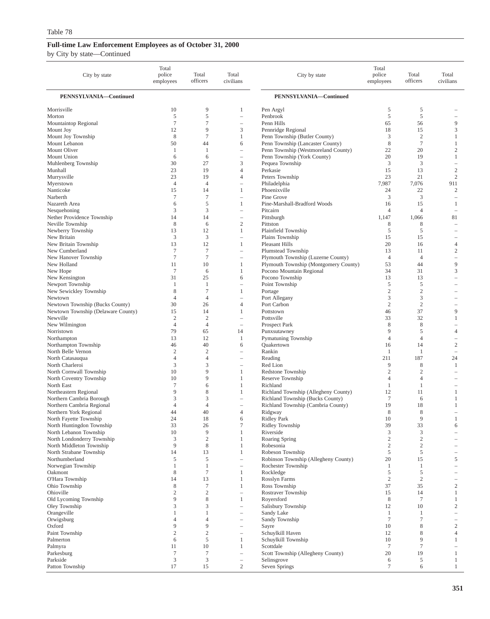| City by state                                       | Total<br>police<br>employees     | Total<br>officers                | Total<br>civilians                                   | City by state                                                           | Total<br>police<br>employees | Total<br>officers                | Total<br>civilians                     |
|-----------------------------------------------------|----------------------------------|----------------------------------|------------------------------------------------------|-------------------------------------------------------------------------|------------------------------|----------------------------------|----------------------------------------|
| PENNSYLVANIA-Continued                              |                                  |                                  |                                                      | PENNSYLVANIA-Continued                                                  |                              |                                  |                                        |
| Morrisville                                         | 10                               | 9                                | 1                                                    | Pen Argyl                                                               | 5                            | 5                                |                                        |
| Morton                                              | 5                                | 5                                | $\overline{\phantom{0}}$                             | Penbrook                                                                | 5                            | 5                                |                                        |
| Mountaintop Regional                                | $\tau$                           | $\tau$                           |                                                      | Penn Hills                                                              | 65                           | 56                               | 9                                      |
| Mount Joy                                           | 12                               | 9                                | 3                                                    | Pennridge Regional                                                      | 18                           | 15                               | 3                                      |
| Mount Joy Township                                  | 8<br>50                          | $\tau$<br>44                     | $\mathbf{1}$<br>6                                    | Penn Township (Butler County)                                           | 3<br>8                       | $\overline{2}$<br>$\overline{7}$ | 1                                      |
| Mount Lebanon<br>Mount Oliver                       | 1                                | 1                                | $\qquad \qquad -$                                    | Penn Township (Lancaster County)<br>Penn Township (Westmoreland County) | 22                           | 20                               | $\mathbf{1}$<br>$\overline{c}$         |
| Mount Union                                         | 6                                | 6                                | $\overline{\phantom{a}}$                             | Penn Township (York County)                                             | 20                           | 19                               | $\mathbf{1}$                           |
| Muhlenberg Township                                 | 30                               | 27                               | 3                                                    | Pequea Township                                                         | 3                            | 3                                | $\qquad \qquad -$                      |
| Munhall                                             | 23                               | 19                               | $\overline{4}$                                       | Perkasie                                                                | 15                           | 13                               | $\overline{c}$                         |
| Murrysville                                         | 23                               | 19                               | $\overline{4}$                                       | Peters Township                                                         | 23                           | 21                               | $\mathbf{2}$                           |
| Myerstown                                           | $\overline{4}$                   | $\overline{4}$                   | $\qquad \qquad -$                                    | Philadelphia                                                            | 7,987                        | 7,076                            | 911                                    |
| Nanticoke                                           | 15                               | 14                               | 1                                                    | Phoenixville                                                            | 24                           | 22                               | 2                                      |
| Narberth                                            | $\tau$                           | 7                                | $\qquad \qquad -$                                    | Pine Grove                                                              | 3                            | 3                                | $\qquad \qquad -$                      |
| Nazareth Area                                       | 6                                | 5                                | 1                                                    | Pine-Marshall-Bradford Woods                                            | 16                           | 15                               | 1                                      |
| Nesquehoning                                        | 3                                | 3                                | i.                                                   | Pitcairn                                                                | $\overline{4}$               | $\overline{4}$                   | $\overline{\phantom{a}}$               |
| Nether Providence Township                          | 14                               | 14                               | $\qquad \qquad -$                                    | Pittsburgh                                                              | 1,147                        | 1,066                            | 81                                     |
| Neville Township                                    | 8                                | 6                                | $\sqrt{2}$                                           | Pittston                                                                | 8                            | 8                                |                                        |
| Newberry Township<br>New Britain                    | 13<br>3                          | 12<br>3                          | $\mathbf{1}$<br>$\overline{\phantom{0}}$             | Plainfield Township<br>Plains Township                                  | 5<br>15                      | 5<br>15                          | $\qquad \qquad$                        |
| New Britain Township                                | 13                               | 12                               | 1                                                    | Pleasant Hills                                                          | 20                           | 16                               | 4                                      |
| New Cumberland                                      | $\tau$                           | 7                                | $\overline{\phantom{0}}$                             | Plumstead Township                                                      | 13                           | 11                               | $\overline{c}$                         |
| New Hanover Township                                | $\tau$                           | $\tau$                           | $\overline{\phantom{a}}$                             | Plymouth Township (Luzerne County)                                      | $\overline{4}$               | $\overline{4}$                   | $\overline{\phantom{0}}$               |
| New Holland                                         | 11                               | 10                               | 1                                                    | Plymouth Township (Montgomery County)                                   | 53                           | 44                               | 9                                      |
| New Hope                                            | $\tau$                           | 6                                | 1                                                    | Pocono Mountain Regional                                                | 34                           | 31                               | 3                                      |
| New Kensington                                      | 31                               | 25                               | 6                                                    | Pocono Township                                                         | 13                           | 13                               | $\equiv$                               |
| Newport Township                                    | 1                                | 1                                | i.                                                   | Point Township                                                          | 5                            | 5                                |                                        |
| New Sewickley Township                              | 8                                | $\tau$                           | 1                                                    | Portage                                                                 | $\mathbf{2}$                 | $\overline{2}$                   |                                        |
| Newtown                                             | $\overline{4}$                   | $\overline{4}$                   | $\qquad \qquad -$                                    | Port Allegany                                                           | 3                            | 3                                |                                        |
| Newtown Township (Bucks County)                     | 30                               | 26                               | $\overline{4}$                                       | Port Carbon                                                             | $\mathfrak{2}$               | $\overline{2}$                   |                                        |
| Newtown Township (Delaware County)                  | 15                               | 14                               | 1                                                    | Pottstown                                                               | 46                           | 37                               | 9                                      |
| Newville<br>New Wilmington                          | $\overline{c}$<br>$\overline{4}$ | $\mathfrak{2}$<br>$\overline{4}$ | i.<br>$\overline{\phantom{a}}$                       | Pottsville                                                              | 33<br>8                      | 32<br>8                          | $\mathbf{1}$                           |
| Norristown                                          | 79                               | 65                               | 14                                                   | Prospect Park<br>Punxsutawney                                           | 9                            | 5                                | $\overline{4}$                         |
| Northampton                                         | 13                               | 12                               | 1                                                    | Pymatuning Township                                                     | $\overline{4}$               | $\overline{4}$                   | $\overline{\phantom{0}}$               |
| Northampton Township                                | 46                               | 40                               | 6                                                    | <b>Quakertown</b>                                                       | 16                           | 14                               | $\overline{c}$                         |
| North Belle Vernon                                  | $\overline{c}$                   | $\mathfrak{2}$                   | i.                                                   | Rankin                                                                  | 1                            | $\mathbf{1}$                     | $\overline{\phantom{a}}$               |
| North Catasauqua                                    | $\overline{4}$                   | 4                                | $\overline{\phantom{a}}$                             | Reading                                                                 | 211                          | 187                              | 24                                     |
| North Charleroi                                     | 3                                | 3                                | $\qquad \qquad -$                                    | Red Lion                                                                | 9                            | 8                                | 1                                      |
| North Cornwall Township                             | 10                               | 9                                | 1                                                    | Redstone Township                                                       | $\mathfrak{2}$               | $\overline{2}$                   | $\equiv$                               |
| North Coventry Township                             | 10                               | 9                                | 1                                                    | Reserve Township                                                        | $\overline{4}$               | $\overline{4}$                   |                                        |
| North East                                          | $\tau$                           | 6                                | 1                                                    | Richland                                                                | 1                            | $\mathbf{1}$                     |                                        |
| Northeastern Regional                               | 9                                | 8                                | 1                                                    | Richland Township (Allegheny County)                                    | 12                           | 11                               | $\mathbf{1}$                           |
| Northern Cambria Borough                            | 3<br>$\overline{4}$              | 3<br>$\overline{4}$              | $\overline{\phantom{a}}$<br>$\overline{\phantom{a}}$ | Richland Township (Bucks County)<br>Richland Township (Cambria County)  | $\tau$<br>19                 | 6<br>18                          | 1<br>1                                 |
| Northern Cambria Regional<br>Northern York Regional | 44                               | 40                               | $\overline{4}$                                       | Ridgway                                                                 | 8                            | 8                                |                                        |
| North Fayette Township                              | 24                               | 18                               | 6                                                    | Ridley Park                                                             | 10                           | $\mathbf Q$                      |                                        |
| North Huntingdon Township                           | 33                               | 26                               | $\tau$                                               | Ridley Township                                                         | 39                           | 33                               | 6                                      |
| North Lebanon Township                              | 10                               | 9                                | 1                                                    | Riverside                                                               | 3                            | 3                                | $\overline{\phantom{0}}$               |
| North Londonderry Township                          | 3                                | $\overline{c}$                   | 1                                                    | Roaring Spring                                                          | $\boldsymbol{2}$             | $\overline{2}$                   |                                        |
| North Middleton Township                            | 9                                | $\,$ 8 $\,$                      | 1                                                    | Robesonia                                                               | $\sqrt{2}$                   | $\overline{2}$                   | $\overline{\phantom{0}}$               |
| North Strabane Township                             | 14                               | 13                               | 1                                                    | Robeson Township                                                        | 5                            | 5                                | $\qquad \qquad -$                      |
| Northumberland                                      | 5                                | 5                                | i.                                                   | Robinson Township (Allegheny County)                                    | 20                           | 15                               | 5                                      |
| Norwegian Township                                  | $\mathbf{1}$                     | $\mathbf{1}$                     | $\qquad \qquad -$                                    | Rochester Township                                                      | 1                            | $\mathbf{1}$                     | $\overline{\phantom{0}}$               |
| Oakmont<br>O'Hara Township                          | 8<br>14                          | 7<br>13                          | 1<br>1                                               | Rockledge<br>Rosslyn Farms                                              | 5<br>$\mathbf{2}$            | 5<br>$\overline{2}$              | $\qquad \qquad -$<br>$\qquad \qquad -$ |
| Ohio Township                                       | 8                                | $\tau$                           | 1                                                    | Ross Township                                                           | 37                           | 35                               | $\mathbf{2}$                           |
| Ohioville                                           | $\sqrt{2}$                       | $\sqrt{2}$                       | i.                                                   | Rostraver Township                                                      | 15                           | 14                               | $\mathbf{1}$                           |
| Old Lycoming Township                               | 9                                | 8                                | 1                                                    | Royersford                                                              | $\,$ 8 $\,$                  | $\overline{7}$                   | $\mathbf{1}$                           |
| Oley Township                                       | 3                                | 3                                | $\overline{\phantom{0}}$                             | Salisbury Township                                                      | 12                           | 10                               | $\mathbf{2}$                           |
| Orangeville                                         | $\mathbf{1}$                     | 1                                | $\qquad \qquad -$                                    | Sandy Lake                                                              | -1                           | 1                                | $\overline{\phantom{0}}$               |
| Orwigsburg                                          | $\overline{4}$                   | $\overline{4}$                   |                                                      | Sandy Township                                                          | $\tau$                       | $\tau$                           | $\qquad \qquad -$                      |
| Oxford                                              | 9                                | 9                                | $\overline{\phantom{m}}$                             | Sayre                                                                   | 10                           | 8                                | $\mathbf{2}$                           |
| Paint Township                                      | $\sqrt{2}$                       | $\mathbf{2}$                     | $\qquad \qquad -$                                    | Schuylkill Haven                                                        | 12                           | 8                                | $\overline{4}$                         |
| Palmerton                                           | 6                                | 5                                | 1                                                    | Schuylkill Township                                                     | 10                           | 9                                | $\mathbf{1}$                           |
| Palmyra                                             | 11                               | 10                               | 1                                                    | Scottdale                                                               | $7\phantom{.0}$              | $\tau$                           | $\overline{\phantom{0}}$               |
| Parkesburg<br>Parkside                              | $\tau$<br>$\mathfrak{Z}$         | $\tau$<br>3                      | $\qquad \qquad -$<br>$\qquad \qquad -$               | Scott Township (Allegheny County)<br>Selinsgrove                        | 20<br>6                      | 19<br>5                          | $\mathbf{1}$<br>$\mathbf{1}$           |
| Patton Township                                     | 17                               | 15                               | $\overline{c}$                                       | Seven Springs                                                           | 7                            | 6                                | $\mathbf{1}$                           |
|                                                     |                                  |                                  |                                                      |                                                                         |                              |                                  |                                        |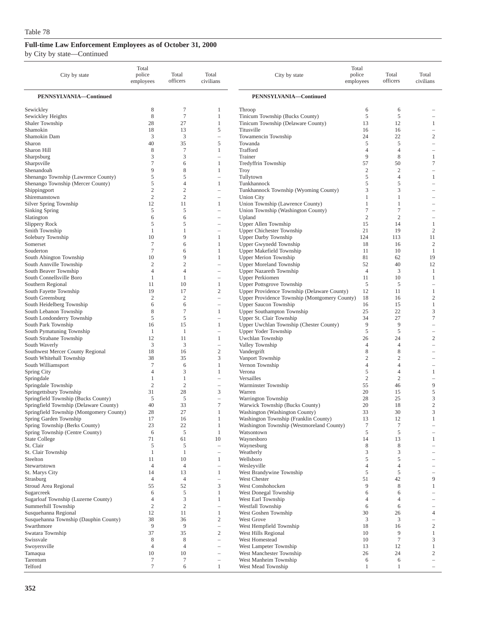| City by state                                                      | Total<br>police<br>employees | Total<br>officers    | Total<br>civilians                       | City by state                                                           | Total<br>police<br>employees | Total<br>officers                | Total<br>civilians       |
|--------------------------------------------------------------------|------------------------------|----------------------|------------------------------------------|-------------------------------------------------------------------------|------------------------------|----------------------------------|--------------------------|
| PENNSYLVANIA-Continued                                             |                              |                      |                                          | PENNSYLVANIA-Continued                                                  |                              |                                  |                          |
| Sewickley                                                          | 8                            | 7                    | 1                                        | Throop                                                                  | 6                            | 6                                |                          |
| Sewickley Heights                                                  | 8                            | $\overline{7}$       | 1                                        | Tinicum Township (Bucks County)                                         | 5                            | 5                                |                          |
| Shaler Township                                                    | 28                           | 27                   | 1                                        | Tinicum Township (Delaware County)                                      | 13                           | 12                               | 1                        |
| Shamokin                                                           | 18                           | 13                   | 5                                        | Titusville                                                              | 16                           | 16                               |                          |
| Shamokin Dam                                                       | 3<br>40                      | 3                    |                                          | Towamencin Township<br>Towanda                                          | 24<br>5                      | 22                               | $\mathfrak{2}$<br>i.     |
| Sharon<br>Sharon Hill                                              | 8                            | 35<br>$\overline{7}$ | 5<br>1                                   | Trafford                                                                | $\overline{4}$               | 5<br>4                           |                          |
| Sharpsburg                                                         | 3                            | 3                    | ÷                                        | Trainer                                                                 | 9                            | 8                                | 1                        |
| Sharpsville                                                        | $\tau$                       | 6                    | 1                                        | Tredyffrin Township                                                     | 57                           | 50                               | $\tau$                   |
| Shenandoah                                                         | 9                            | 8                    | 1                                        | Troy                                                                    | $\overline{2}$               | $\mathfrak{2}$                   | $\overline{\phantom{a}}$ |
| Shenango Township (Lawrence County)                                | 5                            | 5                    | ÷,                                       | Tullytown                                                               | 5                            | $\overline{4}$                   | 1                        |
| Shenango Township (Mercer County)                                  | 5                            | $\overline{4}$       | 1                                        | Tunkhannock                                                             | 5                            | 5                                | ÷,                       |
| Shippingport                                                       | $\mathfrak{2}$               | $\mathfrak{2}$       | $\equiv$                                 | Tunkhannock Township (Wyoming County)                                   | 3                            | 3                                | $\overline{\phantom{a}}$ |
| Shiremanstown<br>Silver Spring Township                            | $\overline{c}$<br>12         | $\mathfrak{2}$<br>11 | $\overline{\phantom{a}}$<br>1            | <b>Union City</b><br>Union Township (Lawrence County)                   | 1<br>1                       | 1<br>1                           | -                        |
| Sinking Spring                                                     | 5                            | 5                    | ÷,                                       | Union Township (Washington County)                                      | 7                            | 7                                |                          |
| Slatington                                                         | 6                            | 6                    | ÷,                                       | Upland                                                                  | $\overline{2}$               | $\overline{c}$                   |                          |
| Slippery Rock                                                      | 5                            | 5                    | ÷                                        | Upper Allen Township                                                    | 15                           | 14                               | 1                        |
| Smith Township                                                     | 1                            | 1                    | ۰                                        | Upper Chichester Township                                               | 21                           | 19                               | $\mathfrak{2}$           |
| Solebury Township                                                  | 10                           | 9                    | 1                                        | <b>Upper Darby Township</b>                                             | 124                          | 113                              | 11                       |
| Somerset                                                           | $\tau$                       | 6                    | 1                                        | Upper Gwynedd Township                                                  | 18                           | 16                               | $\overline{c}$           |
| Souderton<br>South Abington Township                               | 7<br>10                      | 6<br>9               | 1<br>1                                   | Upper Makefield Township<br><b>Upper Merion Township</b>                | 11<br>81                     | 10<br>62                         | 1<br>19                  |
| South Annville Township                                            | $\mathbf{2}$                 | $\overline{2}$       | ÷,                                       | <b>Upper Moreland Township</b>                                          | 52                           | 40                               | 12                       |
| South Beaver Township                                              | $\overline{4}$               | $\overline{4}$       | L,                                       | <b>Upper Nazareth Township</b>                                          | $\overline{4}$               | 3                                | $\mathbf{1}$             |
| South Connellsville Boro                                           | 1                            | 1                    | $\overline{\phantom{a}}$                 | <b>Upper Perkiomen</b>                                                  | 11                           | 10                               | 1                        |
| Southern Regional                                                  | 11                           | 10                   | 1                                        | <b>Upper Pottsgrove Township</b>                                        | 5                            | 5                                | $\overline{\phantom{a}}$ |
| South Fayette Township                                             | 19                           | 17                   | $\mathfrak{2}$                           | Upper Providence Township (Delaware County)                             | 12                           | 11                               | 1                        |
| South Greensburg                                                   | $\overline{c}$               | $\overline{2}$       | ÷,                                       | Upper Providence Township (Montgomery County)                           | 18                           | 16                               | $\overline{c}$           |
| South Heidelberg Township                                          | 6<br>8                       | 6<br>7               | $\overline{\phantom{0}}$<br>$\mathbf{1}$ | <b>Upper Saucon Township</b>                                            | 16<br>25                     | 15<br>22                         | $\mathbf{1}$<br>3        |
| South Lebanon Township<br>South Londonderry Township               | 5                            | 5                    | ÷,                                       | <b>Upper Southampton Township</b><br>Upper St. Clair Township           | 34                           | 27                               | $\overline{7}$           |
| South Park Township                                                | 16                           | 15                   | 1                                        | Upper Uwchlan Township (Chester County)                                 | 9                            | 9                                | $\overline{\phantom{a}}$ |
| South Pymatuning Township                                          | 1                            | 1                    | $\overline{\phantom{a}}$                 | Upper Yoder Township                                                    | 5                            | 5                                |                          |
| South Strabane Township                                            | 12                           | 11                   | 1                                        | Uwchlan Township                                                        | 26                           | 24                               | $\mathfrak{2}$           |
| South Waverly                                                      | 3                            | 3                    | $\overline{\phantom{a}}$                 | Valley Township                                                         | $\overline{4}$               | $\overline{4}$                   | i.                       |
| Southwest Mercer County Regional                                   | 18                           | 16                   | $\overline{c}$                           | Vandergrift                                                             | 8                            | 8                                | $\overline{\phantom{a}}$ |
| South Whitehall Township                                           | 38<br>$\tau$                 | 35                   | 3                                        | Vanport Township                                                        | $\overline{c}$<br>4          | $\mathfrak{2}$<br>$\overline{4}$ |                          |
| South Williamsport<br>Spring City                                  | $\overline{4}$               | 6<br>3               | 1<br>$\mathbf{1}$                        | Vernon Township<br>Verona                                               | 5                            | $\overline{4}$                   | 1                        |
| Springdale                                                         | 1                            | 1                    | ÷,                                       | Versailles                                                              | $\overline{2}$               | $\mathfrak{2}$                   | $\overline{\phantom{a}}$ |
| Springdale Township                                                | $\mathfrak{2}$               | $\overline{2}$       | $\qquad \qquad -$                        | Warminster Township                                                     | 55                           | 46                               | 9                        |
| Springettsbury Township                                            | 31                           | 28                   | 3                                        | Warren                                                                  | 20                           | 15                               | 5                        |
| Springfield Township (Bucks County)                                | 5                            | 5                    | $\overline{\phantom{a}}$                 | Warrington Township                                                     | 28                           | 25                               | 3                        |
| Springfield Township (Delaware County)                             | 40                           | 33                   | $\tau$                                   | Warwick Township (Bucks County)                                         | 20                           | 18                               | $\mathbf{2}$             |
| Springfield Township (Montgomery County)<br>Spring Garden Township | 28<br>17                     | 27<br>16             | 1<br>1                                   | Washington (Washington County)<br>Washington Township (Franklin County) | 33<br>13                     | 30<br>12                         | 3<br>$\mathbf{1}$        |
| Spring Township (Berks County)                                     | 23                           | 22                   | $\mathbf{1}$                             | Washington Township (Westmoreland County)                               | $\tau$                       | $\tau$                           |                          |
| Spring Township (Centre County)                                    | 6                            | 5                    | 1                                        | Watsontown                                                              | 5                            | 5                                |                          |
| <b>State College</b>                                               | 71                           | 61                   | 10                                       | Waynesboro                                                              | 14                           | 13                               | 1                        |
| St. Clair                                                          | 5                            | 5                    | ÷,                                       | Waynesburg                                                              | 8                            | 8                                |                          |
| St. Clair Township                                                 | 1                            | -1                   | $\overline{\phantom{a}}$                 | Weatherly                                                               | 3                            | 3                                |                          |
| Steelton<br>Stewartstown                                           | 11<br>$\overline{4}$         | 10<br>$\overline{4}$ | 1<br>÷,                                  | Wellsboro<br>Wesleyville                                                | 5<br>4                       | 5<br>4                           |                          |
| St. Marys City                                                     | 14                           | 13                   | 1                                        | West Brandywine Township                                                | 5                            | 5                                |                          |
| Strasburg                                                          | $\overline{4}$               | $\overline{4}$       | ÷,                                       | West Chester                                                            | 51                           | 42                               | 9                        |
| Stroud Area Regional                                               | 55                           | 52                   | 3                                        | West Conshohocken                                                       | 9                            | 8                                | 1                        |
| Sugarcreek                                                         | 6                            | 5                    | 1                                        | West Donegal Township                                                   | 6                            | 6                                |                          |
| Sugarloaf Township (Luzerne County)                                | $\overline{4}$               | 3                    | 1                                        | West Earl Township                                                      | 4                            | 4                                |                          |
| Summerhill Township                                                | $\overline{2}$               | $\mathfrak{2}$       |                                          | Westfall Township                                                       | 6                            | 6                                |                          |
| Susquehanna Regional<br>Susquehanna Township (Dauphin County)      | 12<br>38                     | 11<br>36             | 1<br>$\overline{c}$                      | West Goshen Township<br><b>West Grove</b>                               | 30<br>3                      | 26<br>3                          | 4                        |
| Swarthmore                                                         | 9                            | 9                    | $\overline{\phantom{0}}$                 | West Hempfield Township                                                 | 18                           | 16                               | $\mathfrak{2}$           |
| Swatara Township                                                   | 37                           | 35                   | 2                                        | West Hills Regional                                                     | 10                           | 9                                | 1                        |
| Swissvale                                                          | 8                            | 8                    |                                          | West Homestead                                                          | 10                           | $\tau$                           | 3                        |
| Swoyersville                                                       | $\overline{4}$               | $\overline{4}$       | $\overline{\phantom{0}}$                 | West Lampeter Township                                                  | 13                           | 12                               | 1                        |
| Tamaqua                                                            | 10                           | 10                   | $\qquad \qquad -$                        | West Manchester Township                                                | 26                           | 24                               | $\overline{c}$           |
| Tarentum                                                           | $\tau$<br>$\tau$             | 7                    | -                                        | West Manheim Township                                                   | 6                            | 6                                |                          |
| Telford                                                            |                              | 6                    | 1                                        | West Mead Township                                                      | 1                            | $\mathbf{1}$                     | $\overline{\phantom{m}}$ |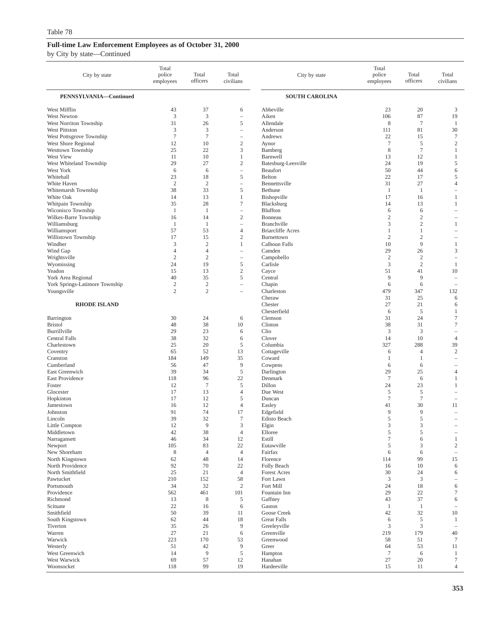| City by state                             | Total<br>police<br>employees | Total<br>officers    | Total<br>civilians                     | City by state                     | Total<br>police<br>employees | Total<br>officers                | Total<br>civilians                         |
|-------------------------------------------|------------------------------|----------------------|----------------------------------------|-----------------------------------|------------------------------|----------------------------------|--------------------------------------------|
| PENNSYLVANIA-Continued                    |                              |                      |                                        | <b>SOUTH CAROLINA</b>             |                              |                                  |                                            |
| West Mifflin                              | 43                           | 37                   | 6                                      | Abbeville                         | 23                           | 20                               | 3                                          |
| West Newton                               | $\mathfrak{Z}$               | $\mathfrak z$        | $\overline{\phantom{0}}$               | Aiken                             | 106                          | 87                               | 19                                         |
| West Norriton Township                    | 31                           | 26                   | 5                                      | Allendale                         | 8                            | $7\phantom{.0}$                  | $\mathbf{1}$                               |
| West Pittston<br>West Pottsgrove Township | 3<br>$\tau$                  | 3<br>$\tau$          | $\qquad \qquad -$<br>$\qquad \qquad -$ | Anderson<br>Andrews               | 111<br>22                    | 81<br>15                         | 30<br>$\tau$                               |
| West Shore Regional                       | 12                           | 10                   | $\overline{c}$                         | Aynor                             | $7\phantom{.0}$              | 5                                | $\boldsymbol{2}$                           |
| Westtown Township                         | 25                           | 22                   | 3                                      | Bamberg                           | 8                            | $\overline{7}$                   | $\mathbf{1}$                               |
| West View                                 | 11                           | 10                   | $\mathbf{1}$                           | Barnwell                          | 13                           | 12                               | $\mathbf{1}$                               |
| West Whiteland Township                   | 29                           | 27                   | $\overline{c}$                         | Batesburg-Leesville               | 24                           | 19                               | 5                                          |
| West York                                 | 6                            | 6                    | $\overline{\phantom{0}}$               | Beaufort                          | 50                           | 44                               | 6                                          |
| Whitehall                                 | 23                           | 18                   | 5                                      | Belton                            | 22                           | 17                               | 5                                          |
| White Haven                               | $\overline{2}$               | $\sqrt{2}$           | $\overline{\phantom{0}}$               | Bennettsville                     | 31                           | 27                               | $\overline{4}$                             |
| Whitemarsh Township<br>White Oak          | 38<br>14                     | 33<br>13             | 5<br>1                                 | Bethune<br>Bishopville            | -1<br>17                     | $\mathbf{1}$<br>16               | 1                                          |
| Whitpain Township                         | 35                           | 28                   | $\tau$                                 | Blacksburg                        | 14                           | 13                               | 1                                          |
| Wiconisco Township                        | $\mathbf{1}$                 | 1                    | $\overline{\phantom{0}}$               | Bluffton                          | 6                            | 6                                | $\equiv$                                   |
| Wilkes-Barre Township                     | 16                           | 14                   | $\mathfrak{2}$                         | Bonneau                           | $\mathbf{2}$                 | $\overline{2}$                   | $\overline{\phantom{a}}$                   |
| Williamsburg                              | $\mathbf{1}$                 | $\mathbf{1}$         | $\qquad \qquad -$                      | Branchville                       | 3                            | $\mathfrak{2}$                   | 1                                          |
| Williamsport                              | 57                           | 53                   | $\overline{4}$                         | <b>Briarcliffe Acres</b>          | 1                            | 1                                | $\equiv$                                   |
| Willistown Township                       | 17                           | 15                   | $\mathfrak{2}$                         | Burnettown                        | $\overline{2}$               | $\overline{2}$                   | $\overline{\phantom{0}}$                   |
| Windber                                   | 3                            | $\mathfrak{2}$       | 1                                      | Calhoun Falls                     | 10                           | 9                                | $\mathbf{1}$                               |
| Wind Gap                                  | $\overline{4}$               | $\overline{4}$       | $\overline{\phantom{0}}$               | Camden                            | 29                           | 26                               | 3                                          |
| Wrightsville                              | $\overline{2}$<br>24         | $\mathfrak{2}$<br>19 | $\qquad \qquad -$<br>5                 | Campobello                        | $\overline{c}$<br>3          | $\overline{2}$<br>$\overline{2}$ | $\overline{\phantom{0}}$                   |
| Wyomissing<br>Yeadon                      | 15                           | 13                   | $\mathfrak{2}$                         | Carlisle<br>Cayce                 | 51                           | 41                               | $\mathbf{1}$<br>10                         |
| York Area Regional                        | 40                           | 35                   | 5                                      | Central                           | 9                            | 9                                | $\equiv$                                   |
| York Springs-Latimore Township            | $\sqrt{2}$                   | $\sqrt{2}$           | $\overline{\phantom{0}}$               | Chapin                            | 6                            | 6                                | $\overline{\phantom{m}}$                   |
| Youngsville                               | $\mathfrak{2}$               | $\mathfrak{2}$       | $\overline{\phantom{a}}$               | Charleston                        | 479                          | 347                              | 132                                        |
|                                           |                              |                      |                                        | Cheraw                            | 31                           | 25                               | 6                                          |
| <b>RHODE ISLAND</b>                       |                              |                      |                                        | Chester                           | 27                           | 21                               | 6                                          |
|                                           |                              |                      |                                        | Chesterfield                      | 6                            | 5                                | 1                                          |
| Barrington<br><b>Bristol</b>              | 30<br>48                     | 24<br>38             | 6<br>10                                | Clemson<br>Clinton                | 31<br>38                     | 24<br>31                         | $\boldsymbol{7}$<br>$\tau$                 |
| Burrillville                              | 29                           | 23                   | 6                                      | Clio                              | 3                            | 3                                | $\overline{\phantom{0}}$                   |
| Central Falls                             | 38                           | 32                   | 6                                      | Clover                            | 14                           | 10                               | $\overline{4}$                             |
| Charlestown                               | 25                           | 20                   | 5                                      | Columbia                          | 327                          | 288                              | 39                                         |
| Coventry                                  | 65                           | 52                   | 13                                     | Cottageville                      | 6                            | $\overline{4}$                   | $\sqrt{2}$                                 |
| Cranston                                  | 184                          | 149                  | 35                                     | Coward                            | 1                            | -1                               | ÷,                                         |
| Cumberland                                | 56                           | 47                   | 9                                      | Cowpens                           | 6                            | 6                                |                                            |
| East Greenwich                            | 39                           | 34                   | $\sqrt{5}$                             | Darlington                        | 29                           | 25                               | $\overline{4}$                             |
| East Providence                           | 118                          | 96                   | 22                                     | Denmark                           | $7\phantom{.0}$              | 6                                | 1                                          |
| Foster<br>Glocester                       | 12<br>17                     | $\tau$<br>13         | 5<br>$\overline{4}$                    | Dillon<br>Due West                | 24<br>5                      | 23<br>5                          | $\mathbf{1}$                               |
| Hopkinton                                 | 17                           | 12                   | 5                                      | Duncan                            | $\tau$                       | $7\phantom{.0}$                  | $\overline{\phantom{m}}$                   |
| Jamestown                                 | 16                           | 12                   | $\overline{4}$                         | Easley                            | 41                           | 30                               | 11                                         |
| Johnston                                  | 91                           | 74                   | 17                                     | Edgefield                         | 9                            | 9                                | $\equiv$                                   |
| Lincoln                                   | 39                           | 32                   | $\tau$                                 | Edisto Beach                      | 5                            | 5                                |                                            |
| Little Compton                            | 12                           | 9                    | 3                                      | Elgin                             | $\ensuremath{\mathfrak{Z}}$  | $\ensuremath{\mathsf{3}}$        |                                            |
| Middletown                                | 42                           | 38                   | $\overline{4}$                         | Elloree                           | 5                            | 5                                |                                            |
| Narragansett                              | 46                           | 34                   | 12                                     | Estill                            | $\boldsymbol{7}$             | 6                                | $\mathbf{1}$                               |
| Newport<br>New Shoreham                   | 105<br>$\,$ 8 $\,$           | 83<br>$\overline{4}$ | 22<br>$\overline{4}$                   | Eutawville<br>Fairfax             | 5                            | 3                                | $\overline{c}$<br>$\overline{\phantom{a}}$ |
| North Kingstown                           | 62                           | 48                   | 14                                     | Florence                          | 6<br>114                     | 6<br>99                          | 15                                         |
| North Providence                          | 92                           | 70                   | 22                                     | Folly Beach                       | 16                           | 10                               | 6                                          |
| North Smithfield                          | 25                           | 21                   | $\overline{4}$                         | <b>Forest Acres</b>               | 30                           | 24                               | 6                                          |
| Pawtucket                                 | 210                          | 152                  | 58                                     | Fort Lawn                         | 3                            | 3                                | $\qquad \qquad -$                          |
| Portsmouth                                | 34                           | 32                   | $\sqrt{2}$                             | Fort Mill                         | 24                           | 18                               | 6                                          |
| Providence                                | 562                          | 461                  | 101                                    | Fountain Inn                      | 29                           | 22                               | 7                                          |
| Richmond                                  | 13                           | 8                    | 5                                      | Gaffney                           | 43                           | 37                               | 6                                          |
| Scituate                                  | 22                           | 16                   | 6                                      | Gaston                            | $\mathbf{1}$                 | 1                                | $\overline{\phantom{a}}$                   |
| Smithfield<br>South Kingstown             | 50<br>62                     | 39<br>44             | 11<br>18                               | Goose Creek<br><b>Great Falls</b> | 42<br>6                      | 32<br>5                          | 10<br>$\mathbf{1}$                         |
| Tiverton                                  | 35                           | 26                   | $\overline{9}$                         | Greeleyville                      | 3                            | 3                                | $\overline{\phantom{a}}$                   |
| Warren                                    | 27                           | 21                   | 6                                      | Greenville                        | 219                          | 179                              | 40                                         |
| Warwick                                   | 223                          | 170                  | 53                                     | Greenwood                         | 58                           | 51                               | 7                                          |
| Westerly                                  | 51                           | 42                   | 9                                      | Greer                             | 64                           | 53                               | 11                                         |
| West Greenwich                            | 14                           | 9                    | $\sqrt{5}$                             | Hampton                           | $\overline{7}$               | 6                                | $\mathbf{1}$                               |
| West Warwick                              | 69                           | 57                   | 12                                     | Hanahan                           | 27                           | 20                               | $\tau$                                     |
| Woonsocket                                | 118                          | 99                   | 19                                     | Hardeeville                       | 15                           | 11                               | $\overline{4}$                             |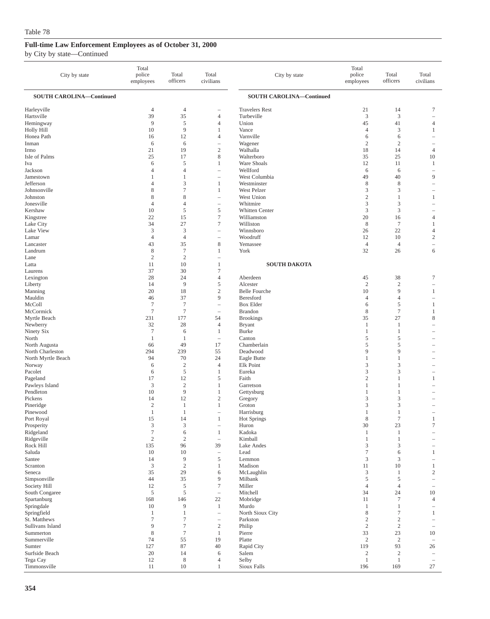| City by state                    | Total<br>police<br>employees | Total<br>officers    | Total<br>civilians                                  | City by state                       | Total<br>police<br>employees   | Total<br>officers            | Total<br>civilians                                   |
|----------------------------------|------------------------------|----------------------|-----------------------------------------------------|-------------------------------------|--------------------------------|------------------------------|------------------------------------------------------|
| <b>SOUTH CAROLINA-Continued</b>  |                              |                      |                                                     | <b>SOUTH CAROLINA-Continued</b>     |                                |                              |                                                      |
| Harleyville<br>Hartsville        | $\overline{4}$<br>39         | $\overline{4}$<br>35 | $\overline{\phantom{0}}$<br>$\overline{4}$          | <b>Travelers Rest</b><br>Turbeville | 21<br>$\mathfrak z$            | 14<br>3                      | $\tau$<br>÷,                                         |
| Hemingway                        | 9                            | 5                    | 4                                                   | Union                               | 45                             | 41                           | $\overline{4}$                                       |
| Holly Hill                       | 10                           | 9                    | 1                                                   | Vance                               | 4                              | 3                            | 1                                                    |
| Honea Path<br>Inman              | 16<br>6                      | 12<br>6              | $\overline{4}$<br>$\hspace{1.0cm} - \hspace{1.0cm}$ | Varnville<br>Wagener                | 6<br>$\sqrt{2}$                | 6<br>$\sqrt{2}$              | $\overline{\phantom{a}}$<br>$\overline{\phantom{0}}$ |
| Irmo                             | 21                           | 19                   | $\mathbf{2}$                                        | Walhalla                            | 18                             | 14                           | $\overline{4}$                                       |
| Isle of Palms                    | 25                           | 17                   | 8                                                   | Walterboro                          | 35                             | 25                           | 10                                                   |
| Iva                              | 6                            | 5                    | $\mathbf{1}$                                        | Ware Shoals                         | 12                             | 11                           | 1                                                    |
| Jackson                          | $\overline{4}$               | $\overline{4}$       | $\equiv$                                            | Wellford                            | 6                              | 6                            | $\sim$                                               |
| Jamestown                        | $\mathbf{1}$                 | 1                    |                                                     | West Columbia                       | 49                             | 40                           | 9                                                    |
| Jefferson<br>Johnsonville        | $\overline{4}$<br>8          | 3<br>7               | $\mathbf{1}$<br>1                                   | Westminster<br>West Pelzer          | 8<br>3                         | 8<br>3                       | $\overline{\phantom{a}}$                             |
| Johnston                         | 8                            | 8                    |                                                     | West Union                          | $\sqrt{2}$                     | $\mathbf{1}$                 | 1                                                    |
| Jonesville                       | $\overline{4}$               | $\overline{4}$       |                                                     | Whitmire                            | 3                              | 3                            |                                                      |
| Kershaw                          | 10                           | 5                    | $\mathfrak s$                                       | Whitten Center                      | 3                              | 3                            | -                                                    |
| Kingstree                        | 22                           | 15                   | $\tau$                                              | Williamston                         | 20                             | 16                           | $\overline{4}$                                       |
| Lake City                        | 34                           | 27                   | 7                                                   | Williston                           | $\,$ 8 $\,$                    | $\tau$                       | 1                                                    |
| Lake View                        | 3                            | 3                    |                                                     | Winnsboro                           | 26                             | 22                           | $\overline{4}$                                       |
| Lamar<br>Lancaster               | $\overline{4}$<br>43         | $\overline{4}$<br>35 | $\overline{\phantom{0}}$<br>8                       | Woodruff<br>Yemassee                | 12<br>$\overline{4}$           | 10<br>$\overline{4}$         | $\overline{c}$<br>$\qquad \qquad -$                  |
| Landrum                          | 8                            | $\tau$               | $\mathbf{1}$                                        | York                                | 32                             | 26                           | 6                                                    |
| Lane                             | $\mathbf{2}$                 | $\overline{c}$       | i.                                                  |                                     |                                |                              |                                                      |
| Latta                            | 11                           | 10                   | 1                                                   | <b>SOUTH DAKOTA</b>                 |                                |                              |                                                      |
| Laurens                          | 37                           | 30                   | 7                                                   |                                     |                                |                              |                                                      |
| Lexington                        | 28                           | 24                   | $\overline{4}$                                      | Aberdeen                            | 45                             | 38                           | $\tau$                                               |
| Liberty<br>Manning               | 14<br>20                     | 9<br>18              | 5<br>$\boldsymbol{2}$                               | Alcester<br><b>Belle Fourche</b>    | $\mathfrak{2}$<br>10           | $\overline{2}$<br>9          | 1                                                    |
| Mauldin                          | 46                           | 37                   | 9                                                   | Beresford                           | 4                              | $\overline{4}$               | $\overline{\phantom{a}}$                             |
| McColl                           | $\tau$                       | $\tau$               | $\overline{\phantom{a}}$                            | <b>Box Elder</b>                    | 6                              | 5                            | 1                                                    |
| McCormick                        | $\overline{7}$               | $\tau$               | $\overline{\phantom{a}}$                            | <b>Brandon</b>                      | 8                              | $\tau$                       | 1                                                    |
| Myrtle Beach                     | 231                          | 177                  | 54                                                  | <b>Brookings</b>                    | 35                             | 27                           | 8                                                    |
| Newberry                         | 32                           | 28                   | 4                                                   | <b>Bryant</b>                       | 1                              | 1                            | ÷                                                    |
| Ninety Six<br>North              | $\tau$<br>$\mathbf{1}$       | 6<br>1               | 1<br>$\overline{\phantom{m}}$                       | <b>Burke</b><br>Canton              | 1<br>5                         | $\mathbf{1}$<br>5            |                                                      |
| North Augusta                    | 66                           | 49                   | 17                                                  | Chamberlain                         | 5                              | 5                            |                                                      |
| North Charleston                 | 294                          | 239                  | 55                                                  | Deadwood                            | 9                              | 9                            |                                                      |
| North Myrtle Beach               | 94                           | 70                   | 24                                                  | Eagle Butte                         | 1                              | 1                            |                                                      |
| Norway                           | 6                            | $\overline{2}$       | $\overline{4}$                                      | Elk Point                           | 3                              | 3                            |                                                      |
| Pacolet                          | 6                            | 5                    | 1                                                   | Eureka                              | 3                              | 3                            | ۰                                                    |
| Pageland                         | 17<br>3                      | 12<br>$\overline{2}$ | 5<br>$\mathbf{1}$                                   | Faith                               | $\mathfrak{2}$                 | $\mathbf{1}$<br>$\mathbf{1}$ | 1                                                    |
| Pawleys Island<br>Pendleton      | 10                           | 9                    | 1                                                   | Garretson<br>Gettysburg             | 1<br>1                         | 1                            |                                                      |
| Pickens                          | 14                           | 12                   | $\mathbf{2}$                                        | Gregory                             | 3                              | 3                            |                                                      |
| Pineridge                        | $\mathfrak{2}$               | 1                    | 1                                                   | Groton                              | 3                              | 3                            |                                                      |
| Pinewood                         | $\mathbf{1}$                 | 1                    | $\overline{\phantom{a}}$                            | Harrisburg                          | 1                              | 1                            |                                                      |
| Port Royal                       | 15                           | 14                   | 1                                                   | Hot Springs                         | 8                              | 7                            | 1                                                    |
| Prosperity<br>Ridgeland          | 3<br>$\tau$                  | 3<br>$\sqrt{6}$      | $\overline{\phantom{0}}$<br>$\mathbf{1}$            | Huron<br>Kadoka                     | 30<br>1                        | 23<br>$\mathbf{1}$           | $\boldsymbol{7}$                                     |
| Ridgeville                       | $\sqrt{2}$                   | $\sqrt{2}$           | $\hspace{1.0cm} - \hspace{1.0cm}$                   | Kimball                             | $\mathbf{1}$                   | 1                            |                                                      |
| Rock Hill                        | 135                          | 96                   | 39                                                  | Lake Andes                          | 3                              | 3                            | $\qquad \qquad -$                                    |
| Saluda                           | 10                           | 10                   | $\overline{\phantom{0}}$                            | Lead                                | $\tau$                         | 6                            | $\mathbf{1}$                                         |
| Santee                           | 14                           | 9                    | $\mathfrak s$                                       | Lemmon                              | 3                              | 3                            | $\overline{\phantom{a}}$                             |
| Scranton                         | $\ensuremath{\mathsf{3}}$    | $\sqrt{2}$           | $\mathbf{1}$                                        | Madison                             | 11                             | 10                           | $\mathbf{1}$                                         |
| Seneca<br>Simpsonville           | 35<br>44                     | 29<br>35             | 6<br>9                                              | McLaughlin<br>Milbank               | $\mathfrak z$<br>5             | 1<br>5                       | $\overline{c}$<br>$\qquad \qquad -$                  |
| Society Hill                     | 12                           | $\mathfrak s$        | $\boldsymbol{7}$                                    | Miller                              | $\overline{4}$                 | $\overline{4}$               |                                                      |
| South Congaree                   | $\mathfrak s$                | 5                    | $\overline{\phantom{m}}$                            | Mitchell                            | 34                             | 24                           | 10                                                   |
| Spartanburg                      | 168                          | 146                  | $22\,$                                              | Mobridge                            | 11                             | $\tau$                       | $\overline{4}$                                       |
| Springdale                       | 10                           | 9                    | $\mathbf{1}$                                        | Murdo                               | $\mathbf{1}$                   | $\mathbf{1}$                 | $\overline{\phantom{a}}$                             |
| Springfield                      | $\mathbf{1}$                 | 1                    | $\overline{\phantom{m}}$                            | North Sioux City                    | 8                              | $\boldsymbol{7}$             | $\mathbf{1}$                                         |
| St. Matthews<br>Sullivans Island | $\tau$<br>9                  | $\tau$<br>$\tau$     | $\boldsymbol{2}$                                    | Parkston                            | $\boldsymbol{2}$<br>$\sqrt{2}$ | $\sqrt{2}$<br>$\sqrt{2}$     |                                                      |
| Summerton                        | $\,$ 8 $\,$                  | $\tau$               | $\mathbf{1}$                                        | Philip<br>Pierre                    | 33                             | 23                           | $\overline{\phantom{a}}$<br>10                       |
| Summerville                      | 74                           | 55                   | 19                                                  | Platte                              | $\overline{c}$                 | $\overline{2}$               | $\overline{\phantom{a}}$                             |
| Sumter                           | 127                          | 87                   | 40                                                  | Rapid City                          | 119                            | 93                           | 26                                                   |
| Surfside Beach                   | 20                           | 14                   | 6                                                   | Salem                               | $\sqrt{2}$                     | $\sqrt{2}$                   | $\overline{\phantom{a}}$                             |
| Tega Cay                         | 12                           | 8                    | 4                                                   | Selby                               | $\mathbf{1}$                   | $\mathbf{1}$                 | $\overline{\phantom{a}}$                             |
| Timmonsville                     | 11                           | 10                   | 1                                                   | Sioux Falls                         | 196                            | 169                          | 27                                                   |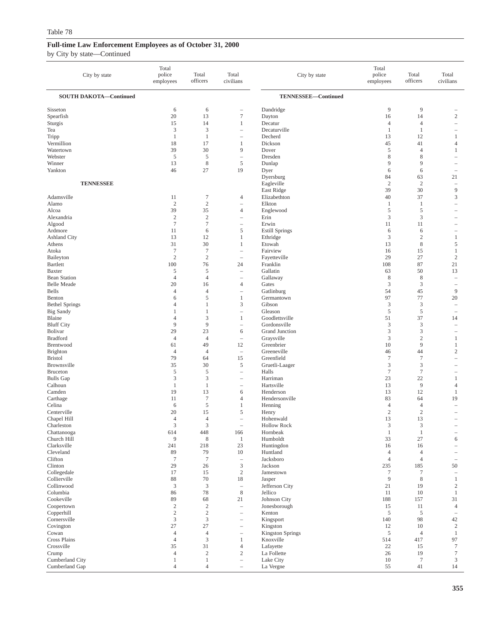| City by state                             | Total<br>police<br>employees | Total<br>officers              | Total<br>civilians                                   | City by state              | Total<br>police<br>employees     | Total<br>officers                | Total<br>civilians                                   |
|-------------------------------------------|------------------------------|--------------------------------|------------------------------------------------------|----------------------------|----------------------------------|----------------------------------|------------------------------------------------------|
| <b>SOUTH DAKOTA-Continued</b>             |                              |                                |                                                      | TENNESSEE-Continued        |                                  |                                  |                                                      |
| Sisseton                                  | 6                            | 6                              | $\overline{\phantom{0}}$                             | Dandridge                  | 9                                | 9                                |                                                      |
| Spearfish                                 | 20                           | 13                             | $\tau$                                               | Dayton                     | 16                               | 14                               | $\mathbf{2}$                                         |
| Sturgis                                   | 15                           | 14                             | $\mathbf{1}$                                         | Decatur                    | $\overline{4}$                   | $\overline{4}$                   | $\overline{\phantom{0}}$                             |
| Tea                                       | 3<br>$\mathbf{1}$            | 3<br>$\mathbf{1}$              | $\qquad \qquad -$<br>$\qquad \qquad -$               | Decaturville<br>Decherd    | $\mathbf{1}$<br>13               | $\mathbf{1}$<br>12               | $\mathbf{1}$                                         |
| Tripp<br>Vermillion                       | 18                           | 17                             | 1                                                    | Dickson                    | 45                               | 41                               | 4                                                    |
| Watertown                                 | 39                           | 30                             | 9                                                    | Dover                      | 5                                | $\overline{4}$                   | $\mathbf{1}$                                         |
| Webster                                   | $\sqrt{5}$                   | 5                              | $\qquad \qquad -$                                    | Dresden                    | 8                                | 8                                |                                                      |
| Winner                                    | 13                           | $\,$ 8 $\,$                    | $\mathfrak s$                                        | Dunlap                     | 9                                | 9                                | ۰                                                    |
| Yankton                                   | 46                           | 27                             | 19                                                   | Dyer                       | 6                                | 6                                |                                                      |
|                                           |                              |                                |                                                      | Dyersburg                  | 84                               | 63                               | 21                                                   |
| <b>TENNESSEE</b>                          |                              |                                |                                                      | Eagleville                 | $\overline{2}$<br>39             | $\overline{2}$<br>30             | $\hspace{1.0cm} - \hspace{1.0cm}$<br>9               |
| Adamsville                                | 11                           | $\tau$                         | 4                                                    | East Ridge<br>Elizabethton | 40                               | 37                               | 3                                                    |
| Alamo                                     | $\mathfrak{2}$               | $\sqrt{2}$                     | $\overline{\phantom{a}}$                             | Elkton                     | $\mathbf{1}$                     | $\mathbf{1}$                     | ÷                                                    |
| Alcoa                                     | 39                           | 35                             | 4                                                    | Englewood                  | $\,$ 5 $\,$                      | $\sqrt{5}$                       | $\overline{\phantom{a}}$                             |
| Alexandria                                | $\sqrt{2}$                   | $\sqrt{2}$                     | $\qquad \qquad -$                                    | Erin                       | 3                                | 3                                |                                                      |
| Algood                                    | $\tau$                       | $\tau$                         |                                                      | Erwin                      | 11                               | 11                               |                                                      |
| Ardmore                                   | 11                           | 6                              | 5                                                    | <b>Estill Springs</b>      | 6                                | 6                                | $\overline{\phantom{a}}$                             |
| <b>Ashland City</b>                       | 13                           | 12                             | $\mathbf{1}$                                         | Ethridge                   | 3                                | $\overline{2}$                   | $\mathbf{1}$                                         |
| Athens<br>Atoka                           | 31<br>$\tau$                 | 30<br>$\tau$                   | 1<br>$\qquad \qquad -$                               | Etowah<br>Fairview         | 13<br>16                         | $\,$ 8 $\,$<br>15                | 5<br>$\mathbf{1}$                                    |
| Baileyton                                 | $\mathfrak{2}$               | $\mathfrak{2}$                 |                                                      | Fayetteville               | 29                               | 27                               | $\overline{c}$                                       |
| <b>Bartlett</b>                           | 100                          | 76                             | 24                                                   | Franklin                   | 108                              | 87                               | 21                                                   |
| <b>Baxter</b>                             | 5                            | 5                              | $\overline{\phantom{a}}$                             | Gallatin                   | 63                               | 50                               | 13                                                   |
| <b>Bean Station</b>                       | $\overline{4}$               | $\overline{4}$                 | i.                                                   | Gallaway                   | 8                                | 8                                | ÷                                                    |
| <b>Belle Meade</b>                        | 20                           | 16                             | $\overline{4}$                                       | Gates                      | 3                                | 3                                | $\overline{\phantom{0}}$                             |
| Bells                                     | $\overline{4}$               | $\overline{4}$                 | $\overline{\phantom{a}}$                             | Gatlinburg                 | 54                               | 45                               | 9                                                    |
| Benton                                    | 6<br>$\overline{4}$          | 5<br>$\mathbf{1}$              | 1<br>3                                               | Germantown<br>Gibson       | 97<br>3                          | 77<br>3                          | 20                                                   |
| <b>Bethel Springs</b><br><b>Big Sandy</b> | $\mathbf{1}$                 | 1                              | $\overline{\phantom{0}}$                             | Gleason                    | $\mathfrak{s}$                   | $\sqrt{5}$                       | $\overline{\phantom{0}}$<br>$\overline{\phantom{m}}$ |
| Blaine                                    | $\overline{4}$               | 3                              | 1                                                    | Goodlettsville             | 51                               | 37                               | 14                                                   |
| <b>Bluff City</b>                         | 9                            | 9                              | i.                                                   | Gordonsville               | 3                                | 3                                | $\overline{\phantom{a}}$                             |
| Bolivar                                   | 29                           | 23                             | 6                                                    | Grand Junction             | 3                                | 3                                |                                                      |
| <b>Bradford</b>                           | $\overline{4}$               | $\overline{4}$                 | $\qquad \qquad -$                                    | Graysville                 | 3                                | $\overline{2}$                   | $\mathbf{1}$                                         |
| Brentwood                                 | 61                           | 49                             | 12                                                   | Greenbrier                 | 10                               | 9                                | $\mathbf{1}$                                         |
| <b>Brighton</b><br><b>Bristol</b>         | $\overline{4}$<br>79         | $\overline{4}$<br>64           | $\overline{\phantom{a}}$<br>15                       | Greeneville<br>Greenfield  | 46<br>$\tau$                     | 44<br>$\overline{7}$             | $\sqrt{2}$<br>L.                                     |
| Brownsville                               | 35                           | 30                             | 5                                                    | Gruetli-Laager             | 3                                | $\mathfrak{Z}$                   |                                                      |
| <b>Bruceton</b>                           | 5                            | 5                              | $\qquad \qquad -$                                    | Halls                      | $\tau$                           | $\overline{7}$                   |                                                      |
| <b>Bulls Gap</b>                          | 3                            | $\mathfrak z$                  | i.                                                   | Harriman                   | 23                               | 22                               | $\mathbf{1}$                                         |
| Calhoun                                   | $\mathbf{1}$                 | $\mathbf{1}$                   | $\qquad \qquad -$                                    | Hartsville                 | 13                               | 9                                | $\overline{4}$                                       |
| Camden                                    | 19                           | 13                             | 6                                                    | Henderson                  | 13                               | 12                               | $\mathbf{1}$                                         |
| Carthage                                  | 11                           | $\tau$                         | $\overline{4}$                                       | Hendersonville             | 83                               | 64                               | 19                                                   |
| Celina<br>Centerville                     | 6<br>20                      | 5<br>15                        | $\mathbf{1}$<br>5                                    | Henning<br>Henry           | $\overline{4}$<br>$\overline{2}$ | $\overline{4}$<br>$\overline{2}$ |                                                      |
| Chapel Hill                               | $\overline{4}$               | $\overline{4}$                 |                                                      | Hohenwald                  | 13                               | 13                               |                                                      |
| Charleston                                | $\mathfrak{Z}$               | $\mathfrak 3$                  | $\overline{\phantom{a}}$                             | <b>Hollow Rock</b>         | $\ensuremath{\mathfrak{Z}}$      | $\ensuremath{\mathfrak{Z}}$      |                                                      |
| Chattanooga                               | 614                          | 448                            | 166                                                  | Hornbeak                   | $\mathbf{1}$                     | $\mathbf{1}$                     |                                                      |
| Church Hill                               | $\overline{9}$               | 8                              | $\mathbf{1}$                                         | Humboldt                   | 33                               | 27                               | 6                                                    |
| Clarksville                               | 241                          | 218                            | 23                                                   | Huntingdon                 | 16                               | 16                               | $\overline{\phantom{0}}$                             |
| Cleveland<br>Clifton                      | 89<br>$\boldsymbol{7}$       | 79<br>$\tau$                   | $10\,$<br>$\qquad \qquad -$                          | Huntland<br>Jacksboro      | $\overline{4}$<br>$\overline{4}$ | $\overline{4}$<br>$\overline{4}$ | $\overline{\phantom{a}}$                             |
| Clinton                                   | 29                           | 26                             | $\ensuremath{\mathfrak{Z}}$                          | Jackson                    | 235                              | 185                              | 50                                                   |
| Collegedale                               | 17                           | 15                             | $\sqrt{2}$                                           | Jamestown                  | $\tau$                           | $\overline{7}$                   | $\overline{\phantom{a}}$                             |
| Collierville                              | $88\,$                       | 70                             | 18                                                   | Jasper                     | $\overline{9}$                   | 8                                | $\mathbf{1}$                                         |
| Collinwood                                | $\mathfrak{Z}$               | $\mathfrak{Z}$                 | $\overline{\phantom{0}}$                             | Jefferson City             | $21\,$                           | 19                               | $\sqrt{2}$                                           |
| Columbia                                  | 86                           | 78                             | $\,$ 8 $\,$                                          | Jellico                    | 11                               | 10                               | $\mathbf{1}$                                         |
| Cookeville                                | 89                           | 68                             | 21                                                   | Johnson City               | 188                              | 157                              | 31                                                   |
| Coopertown<br>Copperhill                  | $\sqrt{2}$<br>$\sqrt{2}$     | $\sqrt{2}$<br>$\sqrt{2}$       | $\overline{\phantom{0}}$<br>$\overline{\phantom{0}}$ | Jonesborough<br>Kenton     | 15<br>$\sqrt{5}$                 | 11<br>5                          | $\overline{4}$<br>$\overline{\phantom{a}}$           |
| Cornersville                              | $\ensuremath{\mathfrak{Z}}$  | $\mathfrak{Z}$                 | $\qquad \qquad -$                                    | Kingsport                  | 140                              | 98                               | 42                                                   |
| Covington                                 | 27                           | 27                             | $\qquad \qquad -$                                    | Kingston                   | 12                               | 10                               | $\overline{c}$                                       |
| Cowan                                     | $\overline{4}$               | $\overline{4}$                 | $\qquad \qquad -$                                    | <b>Kingston Springs</b>    | $\sqrt{5}$                       | $\overline{4}$                   | $\mathbf{1}$                                         |
| Cross Plains                              | $\overline{4}$               | $\mathfrak{Z}$                 | $\mathbf{1}$                                         | Knoxville                  | 514                              | 417                              | 97                                                   |
| Crossville                                | 35                           | 31                             | $\overline{4}$                                       | Lafayette                  | 22                               | 15                               | $\tau$                                               |
| Crump                                     | $\overline{4}$               | $\sqrt{2}$                     | $\mathfrak{2}$                                       | La Follette                | 26                               | 19                               | 7                                                    |
| Cumberland City<br>Cumberland Gap         | 1<br>$\overline{4}$          | $\mathbf{1}$<br>$\overline{4}$ | $\qquad \qquad -$<br>$\qquad \qquad -$               | Lake City<br>La Vergne     | 10<br>55                         | $\tau$<br>41                     | $\mathfrak{Z}$<br>14                                 |
|                                           |                              |                                |                                                      |                            |                                  |                                  |                                                      |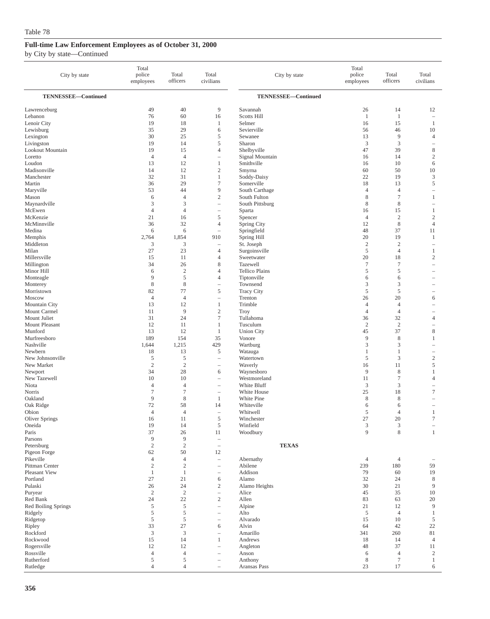| City by state                  | Total<br>police<br>employees | Total<br>officers   | Total<br>civilians                     | City by state                | Total<br>police<br>employees | Total<br>officers                | Total<br>civilians                       |
|--------------------------------|------------------------------|---------------------|----------------------------------------|------------------------------|------------------------------|----------------------------------|------------------------------------------|
| TENNESSEE-Continued            |                              |                     |                                        | TENNESSEE-Continued          |                              |                                  |                                          |
| Lawrenceburg                   | 49                           | 40                  | 9                                      | Savannah                     | 26                           | 14                               | 12                                       |
| Lebanon                        | 76                           | 60                  | 16                                     | <b>Scotts Hill</b>           | $\mathbf{1}$                 | $\mathbf{1}$                     | $\equiv$                                 |
| Lenoir City                    | 19                           | 18                  | 1                                      | Selmer                       | 16                           | 15                               | $\mathbf{1}$                             |
| Lewisburg                      | 35<br>30                     | 29<br>25            | 6<br>5                                 | Sevierville<br>Sewanee       | 56<br>13                     | 46<br>9                          | 10<br>$\overline{4}$                     |
| Lexington<br>Livingston        | 19                           | 14                  | 5                                      | Sharon                       | 3                            | 3                                | $\overline{\phantom{0}}$                 |
| Lookout Mountain               | 19                           | 15                  | $\overline{4}$                         | Shelbyville                  | 47                           | 39                               | $\,$ 8 $\,$                              |
| Loretto                        | $\overline{4}$               | $\overline{4}$      | $\overline{\phantom{0}}$               | Signal Mountain              | 16                           | 14                               | $\mathfrak{2}$                           |
| Loudon                         | 13                           | 12                  | $\mathbf{1}$                           | Smithville                   | 16                           | 10                               | 6                                        |
| Madisonville                   | 14                           | 12                  | $\mathbf{2}$                           | Smyrna                       | 60                           | 50                               | 10                                       |
| Manchester                     | 32                           | 31                  | $\mathbf{1}$                           | Soddy-Daisy                  | 22                           | 19                               | 3                                        |
| Martin                         | 36                           | 29                  | $\tau$                                 | Somerville                   | 18                           | 13                               | $\sqrt{5}$                               |
| Maryville                      | 53                           | 44                  | 9                                      | South Carthage               | $\overline{4}$               | $\overline{4}$                   | ÷,                                       |
| Mason                          | 6<br>3                       | $\overline{4}$<br>3 | $\boldsymbol{2}$                       | South Fulton                 | 8                            | $\overline{\mathcal{I}}$<br>8    | $\mathbf{1}$                             |
| Maynardville<br>McEwen         | $\overline{4}$               | $\overline{4}$      | $\qquad \qquad -$<br>$\qquad \qquad -$ | South Pittsburg<br>Sparta    | 8<br>16                      | 15                               | $\qquad \qquad -$<br>1                   |
| McKenzie                       | 21                           | 16                  | 5                                      | Spencer                      | 4                            | $\sqrt{2}$                       | $\sqrt{2}$                               |
| McMinnville                    | 36                           | 32                  | $\overline{4}$                         | Spring City                  | 12                           | 8                                | $\overline{4}$                           |
| Medina                         | 6                            | 6                   | $\hspace{1.0cm} - \hspace{1.0cm}$      | Springfield                  | 48                           | 37                               | 11                                       |
| Memphis                        | 2,764                        | 1,854               | 910                                    | Spring Hill                  | 20                           | 19                               | 1                                        |
| Middleton                      | 3                            | 3                   | $\overline{\phantom{0}}$               | St. Joseph                   | $\overline{c}$               | $\mathbf{2}$                     | ÷,                                       |
| Milan                          | 27                           | 23                  | 4                                      | Surgoinsville                | 5                            | $\overline{4}$                   | 1                                        |
| Millersville                   | 15                           | 11                  | $\overline{4}$                         | Sweetwater                   | 20                           | 18                               | $\overline{c}$                           |
| Millington                     | 34                           | 26                  | 8                                      | <b>Tazewell</b>              | $\tau$                       | $\tau$                           | $\overline{\phantom{a}}$                 |
| Minor Hill                     | 6                            | $\sqrt{2}$          | $\overline{4}$                         | <b>Tellico Plains</b>        | 5                            | 5                                | -                                        |
| Monteagle                      | 9                            | 5                   | $\overline{4}$                         | Tiptonville                  | 6                            | 6                                |                                          |
| Monterey<br>Morristown         | 8<br>82                      | $\,$ 8 $\,$<br>77   | $\overline{\phantom{0}}$<br>5          | Townsend                     | 3<br>5                       | 3<br>5                           | $\overline{\phantom{a}}$                 |
| Moscow                         | $\overline{4}$               | $\overline{4}$      |                                        | <b>Tracy City</b><br>Trenton | 26                           | 20                               | 6                                        |
| Mountain City                  | 13                           | 12                  | $\mathbf{1}$                           | Trimble                      | $\overline{4}$               | $\overline{4}$                   |                                          |
| Mount Carmel                   | 11                           | 9                   | $\boldsymbol{2}$                       | Troy                         | 4                            | $\overline{4}$                   | $\overline{\phantom{a}}$                 |
| Mount Juliet                   | 31                           | 24                  | $\tau$                                 | Tullahoma                    | 36                           | 32                               | $\overline{4}$                           |
| Mount Pleasant                 | 12                           | 11                  | $\mathbf{1}$                           | Tusculum                     | $\sqrt{2}$                   | $\sqrt{2}$                       | $\overline{\phantom{a}}$                 |
| Munford                        | 13                           | 12                  | 1                                      | <b>Union City</b>            | 45                           | 37                               | 8                                        |
| Murfreesboro                   | 189                          | 154                 | 35                                     | Vonore                       | 9                            | 8                                | 1                                        |
| Nashville                      | 1,644                        | 1,215               | 429                                    | Wartburg                     | 3                            | 3                                | ÷                                        |
| Newbern                        | 18                           | 13                  | 5                                      | Watauga                      | 1                            | $\mathbf{1}$<br>3                | $\overline{\phantom{a}}$<br>$\mathbf{2}$ |
| New Johnsonville<br>New Market | 5<br>$\overline{2}$          | 5<br>$\sqrt{2}$     | $\overline{\phantom{0}}$               | Watertown<br>Waverly         | 5<br>16                      | 11                               | 5                                        |
| Newport                        | 34                           | 28                  | $\qquad \qquad -$<br>6                 | Waynesboro                   | 9                            | 8                                | $\mathbf{1}$                             |
| New Tazewell                   | 10                           | 10                  |                                        | Westmoreland                 | 11                           | $\tau$                           | $\overline{4}$                           |
| Niota                          | $\overline{4}$               | $\overline{4}$      | i.                                     | White Bluff                  | 3                            | 3                                | $\overline{\phantom{a}}$                 |
| Norris                         | $\tau$                       | $\tau$              |                                        | White House                  | 25                           | 18                               | $\tau$                                   |
| Oakland                        | 9                            | 8                   | 1                                      | White Pine                   | 8                            | 8                                |                                          |
| Oak Ridge                      | 72                           | 58                  | 14                                     | Whiteville                   | 6                            | 6                                | $\overline{\phantom{a}}$                 |
| Obion                          | $\overline{4}$               | 4                   | $\hspace{1.0cm} - \hspace{1.0cm}$      | Whitwell                     | 5                            | 4                                | 1                                        |
| Oliver Springs                 | 16                           | 11                  | 5                                      | Winchester                   | 27                           | 20                               | $\tau$                                   |
| Oneida<br>Paris                | 19<br>37                     | 14<br>26            | $\mathfrak s$<br>11                    | Winfield<br>Woodbury         | 3<br>9                       | $\ensuremath{\mathfrak{Z}}$<br>8 | $\mathbf{1}$                             |
| Parsons                        | $\overline{9}$               | $\overline{9}$      | $\qquad \qquad -$                      |                              |                              |                                  |                                          |
| Petersburg                     | $\sqrt{2}$                   | $\overline{c}$      | $\qquad \qquad -$                      | <b>TEXAS</b>                 |                              |                                  |                                          |
| Pigeon Forge                   | 62                           | 50                  | 12                                     |                              |                              |                                  |                                          |
| Pikeville                      | $\overline{4}$               | $\overline{4}$      | $\qquad \qquad -$                      | Abernathy                    | $\overline{4}$               | $\overline{4}$                   |                                          |
| Pittman Center                 | $\sqrt{2}$                   | $\sqrt{2}$          | $\qquad \qquad -$                      | Abilene                      | 239                          | 180                              | 59                                       |
| Pleasant View                  | $\mathbf{1}$                 | $\mathbf{1}$        | $\qquad \qquad -$                      | Addison                      | 79                           | 60                               | 19                                       |
| Portland                       | 27                           | 21                  | 6                                      | Alamo                        | 32                           | 24                               | 8                                        |
| Pulaski                        | 26                           | 24                  | $\mathfrak{2}$                         | Alamo Heights                | 30                           | 21                               | 9                                        |
| Puryear<br>Red Bank            | $\overline{c}$<br>24         | $\sqrt{2}$<br>22    | $\qquad \qquad -$<br>$\mathbf{2}$      | Alice<br>Allen               | 45<br>83                     | 35<br>63                         | 10<br>20                                 |
| Red Boiling Springs            | $\sqrt{5}$                   | $\sqrt{5}$          | $\overline{\phantom{0}}$               | Alpine                       | 21                           | 12                               | $\overline{9}$                           |
| Ridgely                        | $\sqrt{5}$                   | 5                   | $\qquad \qquad -$                      | Alto                         | 5                            | $\overline{4}$                   | $\mathbf{1}$                             |
| Ridgetop                       | $\mathfrak s$                | 5                   | $\overline{\phantom{0}}$               | Alvarado                     | 15                           | 10                               | 5                                        |
| Ripley                         | 33                           | 27                  | 6                                      | Alvin                        | 64                           | 42                               | 22                                       |
| Rockford                       | 3                            | $\mathfrak z$       | $\qquad \qquad -$                      | Amarillo                     | 341                          | 260                              | 81                                       |
| Rockwood                       | 15                           | 14                  | $\mathbf{1}$                           | Andrews                      | 18                           | 14                               | $\overline{4}$                           |
| Rogersville                    | 12                           | 12                  | $\qquad \qquad -$                      | Angleton                     | 48                           | 37                               | 11                                       |
| Rossville                      | $\overline{4}$               | $\overline{4}$      | i.                                     | Anson                        | 6                            | $\overline{4}$                   | $\overline{c}$                           |
| Rutherford                     | 5                            | 5                   | $\overline{\phantom{0}}$               | Anthony                      | 8                            | $\tau$                           | $\mathbf{1}$                             |
| Rutledge                       | $\overline{4}$               | $\overline{4}$      | $\overline{\phantom{0}}$               | Aransas Pass                 | 23                           | 17                               | 6                                        |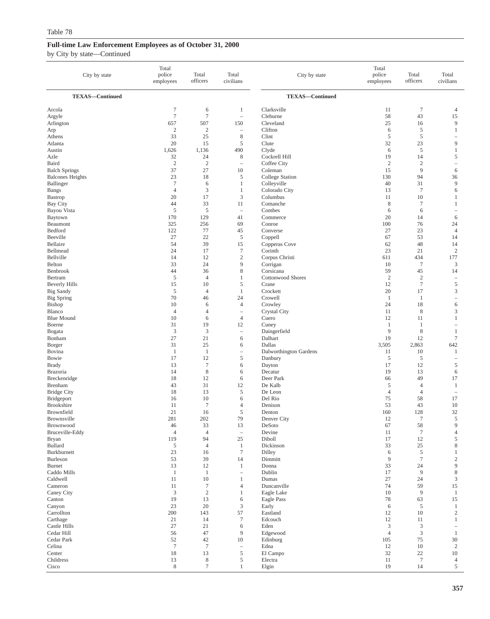| City by state                  | Total<br>police<br>employees      | Total<br>officers      | Total<br>civilians                      | City by state                         | Total<br>police<br>employees | Total<br>officers          | Total<br>civilians       |
|--------------------------------|-----------------------------------|------------------------|-----------------------------------------|---------------------------------------|------------------------------|----------------------------|--------------------------|
| <b>TEXAS-Continued</b>         |                                   |                        |                                         | <b>TEXAS-Continued</b>                |                              |                            |                          |
| Arcola                         | $\tau$                            | 6                      | $\mathbf{1}$                            | Clarksville                           | 11                           | $\tau$                     | $\overline{4}$           |
| Argyle                         | $7\phantom{.0}$                   | $\tau$                 | $\overline{\phantom{a}}$                | Cleburne                              | 58                           | 43                         | 15                       |
| Arlington                      | 657                               | 507                    | 150                                     | Cleveland                             | 25                           | 16                         | 9                        |
| Arp<br>Athens                  | $\boldsymbol{2}$<br>33            | $\boldsymbol{2}$<br>25 | $\overline{\phantom{a}}$<br>$\,$ 8 $\,$ | Clifton<br>Clint                      | 6<br>5                       | 5<br>5                     | $\mathbf{1}$             |
| Atlanta                        | 20                                | 15                     | 5                                       | Clute                                 | 32                           | 23                         | 9                        |
| Austin                         | 1,626                             | 1,136                  | 490                                     | Clyde                                 | 6                            | 5                          | $\mathbf{1}$             |
| Azle                           | 32                                | 24                     | 8                                       | Cockrell Hill                         | 19                           | 14                         | 5                        |
| Baird                          | $\overline{2}$                    | $\sqrt{2}$             | $\sim$                                  | Coffee City                           | $\sqrt{2}$                   | $\sqrt{2}$                 | $\overline{\phantom{0}}$ |
| <b>Balch Springs</b>           | 37                                | 27                     | 10                                      | Coleman                               | 15                           | 9                          | 6                        |
| <b>Balcones Heights</b>        | 23                                | 18                     | 5                                       | College Station                       | 130                          | 94                         | 36                       |
| Ballinger                      | $7\phantom{.0}$<br>$\overline{4}$ | 6                      | $\mathbf{1}$                            | Colleyville                           | 40                           | 31<br>$\tau$               | 9                        |
| <b>Bangs</b><br><b>Bastrop</b> | 20                                | 3<br>17                | 1<br>$\mathfrak z$                      | Colorado City<br>Columbus             | 13<br>11                     | 10                         | 6<br>1                   |
| Bay City                       | 44                                | 33                     | 11                                      | Comanche                              | 8                            | $\overline{7}$             | $\mathbf{1}$             |
| Bayou Vista                    | $\overline{5}$                    | $\mathfrak s$          | $\equiv$                                | Combes                                | 6                            | 6                          | ۰                        |
| Baytown                        | 170                               | 129                    | 41                                      | Commerce                              | 20                           | 14                         | 6                        |
| Beaumont                       | 325                               | 256                    | 69                                      | Conroe                                | 100                          | 76                         | 24                       |
| Bedford                        | 122                               | 77                     | 45                                      | Converse                              | 27                           | 23                         | $\overline{4}$           |
| Beeville                       | 27                                | 22                     | $\mathfrak s$                           | Coppell                               | 67                           | 53                         | 14                       |
| Bellaire                       | 54                                | 39                     | 15                                      | Copperas Cove                         | 62                           | 48                         | 14                       |
| Bellmead                       | 24                                | 17                     | $\tau$                                  | Corinth                               | 23                           | 21                         | $\sqrt{2}$               |
| Bellville                      | 14                                | 12                     | $\sqrt{2}$                              | Corpus Christi                        | 611                          | 434                        | 177                      |
| Belton                         | 33                                | 24                     | 9<br>8                                  | Corrigan                              | 10                           | $\boldsymbol{7}$           | 3                        |
| Benbrook<br>Bertram            | 44<br>$\mathfrak{s}$              | 36<br>4                | 1                                       | Corsicana<br><b>Cottonwood Shores</b> | 59<br>$\sqrt{2}$             | 45<br>$\sqrt{2}$           | 14<br>÷                  |
| <b>Beverly Hills</b>           | 15                                | 10                     | 5                                       | Crane                                 | 12                           | $\tau$                     | 5                        |
| <b>Big Sandy</b>               | 5                                 | $\overline{4}$         | $\mathbf{1}$                            | Crockett                              | 20                           | 17                         | 3                        |
| Big Spring                     | 70                                | 46                     | 24                                      | Crowell                               | $\mathbf{1}$                 | 1                          | ۰                        |
| <b>Bishop</b>                  | 10                                | 6                      | $\overline{4}$                          | Crowley                               | 24                           | 18                         | 6                        |
| Blanco                         | 4                                 | 4                      | $\overline{\phantom{a}}$                | Crystal City                          | 11                           | 8                          | $\mathfrak z$            |
| <b>Blue Mound</b>              | 10                                | 6                      | $\overline{4}$                          | Cuero                                 | 12                           | 11                         | $\mathbf{1}$             |
| Boerne                         | 31                                | 19                     | 12                                      | Cuney                                 | 1                            | 1                          | ۰                        |
| Bogata                         | $\mathfrak{Z}$                    | 3                      | $\overline{\phantom{a}}$                | Daingerfield                          | 9                            | $\,$ 8 $\,$                | $\mathbf{1}$             |
| Bonham                         | 27                                | 21                     | 6                                       | Dalhart                               | 19                           | 12                         | $\tau$                   |
| Borger<br>Bovina               | 31<br>$\mathbf{1}$                | 25<br>$\mathbf{1}$     | 6<br>$\overline{\phantom{a}}$           | Dallas                                | 3,505<br>11                  | 2,863<br>10                | 642<br>$\mathbf{1}$      |
| Bowie                          | 17                                | 12                     | $\sqrt{5}$                              | Dalworthington Gardens<br>Danbury     | 5                            | 5                          | ۰                        |
| <b>Brady</b>                   | 13                                | $\tau$                 | 6                                       | Dayton                                | 17                           | 12                         | 5                        |
| <b>Brazoria</b>                | 14                                | $\,$ 8 $\,$            | 6                                       | Decatur                               | 19                           | 13                         | 6                        |
| Breckenridge                   | 18                                | 12                     | 6                                       | Deer Park                             | 66                           | 49                         | 17                       |
| Brenham                        | 43                                | 31                     | 12                                      | De Kalb                               | 5                            | $\overline{4}$             | 1                        |
| <b>Bridge City</b>             | 18                                | 13                     | 5                                       | De Leon                               | $\overline{4}$               | 4                          | ۰                        |
| Bridgeport                     | 16                                | 10                     | 6                                       | Del Rio                               | 75                           | 58                         | 17                       |
| <b>Brookshire</b>              | 11                                | $\tau$                 | $\overline{4}$                          | Denison                               | 53                           | 43                         | 10                       |
| Brownfield                     | 21                                | 16                     | $\sqrt{5}$                              | Denton                                | 160                          | 128                        | 32                       |
| Brownsville<br>Brownwood       | 281                               | 202                    | 79                                      | Denver City<br>DeSoto                 | 12<br>67                     | $\overline{7}$             | 5<br>9                   |
| Bruceville-Eddy                | 46<br>$\overline{4}$              | 33<br>$\overline{4}$   | 13<br>$\overline{\phantom{a}}$          | Devine                                | 11                           | $58\,$<br>$\boldsymbol{7}$ | $\overline{4}$           |
| Bryan                          | 119                               | 94                     | 25                                      | Diboll                                | 17                           | 12                         | 5                        |
| <b>Bullard</b>                 | 5                                 | $\overline{4}$         | $\mathbf{1}$                            | Dickinson                             | 33                           | 25                         | 8                        |
| Burkburnett                    | 23                                | 16                     | $\tau$                                  | Dilley                                | 6                            | $\mathfrak s$              | $\mathbf{1}$             |
| Burleson                       | 53                                | 39                     | 14                                      | Dimmitt                               | 9                            | $\boldsymbol{7}$           | $\sqrt{2}$               |
| <b>Burnet</b>                  | 13                                | 12                     | $\mathbf{1}$                            | Donna                                 | 33                           | 24                         | 9                        |
| Caddo Mills                    | $\mathbf{1}$                      | $\mathbf{1}$           | $\overline{\phantom{a}}$                | Dublin                                | 17                           | 9                          | $\,$ 8 $\,$              |
| Caldwell                       | 11                                | 10                     | $\mathbf{1}$                            | Dumas                                 | 27                           | 24                         | $\mathfrak{Z}$           |
| Cameron                        | 11<br>$\sqrt{3}$                  | $\boldsymbol{7}$       | $\overline{4}$<br>$\mathbf{1}$          | Duncanville                           | 74                           | 59<br>$\overline{9}$       | 15                       |
| Caney City<br>Canton           | 19                                | $\overline{c}$<br>13   | 6                                       | Eagle Lake<br>Eagle Pass              | 10<br>78                     | 63                         | $\mathbf{1}$<br>15       |
| Canyon                         | 23                                | 20                     | $\mathfrak z$                           | Early                                 | 6                            | 5                          | $\mathbf{1}$             |
| Carrollton                     | 200                               | 143                    | 57                                      | Eastland                              | 12                           | 10                         | $\sqrt{2}$               |
| Carthage                       | 21                                | 14                     | $\boldsymbol{7}$                        | Edcouch                               | $12\,$                       | 11                         | $\mathbf{1}$             |
| Castle Hills                   | 27                                | 21                     | 6                                       | Eden                                  | $\mathfrak{Z}$               | 3                          | $\overline{\phantom{0}}$ |
| Cedar Hill                     | 56                                | 47                     | 9                                       | Edgewood                              | $\overline{4}$               | 3                          | -1                       |
| Cedar Park                     | 52                                | 42                     | 10                                      | Edinburg                              | 105                          | 75                         | 30                       |
| Celina                         | $\tau$                            | $\tau$                 | $\overline{\phantom{a}}$                | Edna                                  | 12                           | 10                         | $\overline{2}$           |
| Center                         | $18\,$                            | 13                     | $\mathfrak s$                           | El Campo                              | 32                           | $22\,$                     | 10                       |
| Childress                      | 13                                | $\,$ 8 $\,$            | $\mathfrak s$                           | Electra                               | 11                           | $\tau$                     | $\overline{4}$           |
| Cisco                          | $\,$ 8 $\,$                       | $\tau$                 | $\mathbf{1}$                            | Elgin                                 | 19                           | 14                         | 5                        |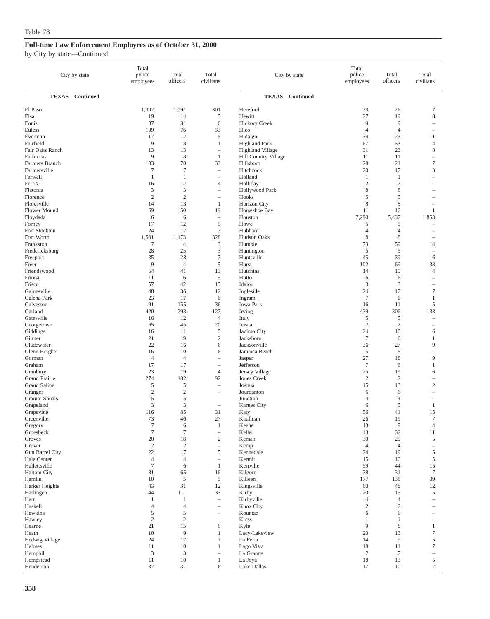| City by state                       | Total<br>police<br>employees | Total<br>officers       | Total<br>civilians            | City by state                     | Total<br>police<br>employees   | Total<br>officers    | Total<br>civilians                     |
|-------------------------------------|------------------------------|-------------------------|-------------------------------|-----------------------------------|--------------------------------|----------------------|----------------------------------------|
| <b>TEXAS-Continued</b>              |                              |                         |                               | <b>TEXAS-Continued</b>            |                                |                      |                                        |
| El Paso                             | 1,392                        | 1,091                   | 301                           | Hereford                          | 33                             | 26                   | $\tau$                                 |
| Elsa                                | 19                           | 14                      | 5                             | Hewitt                            | 27                             | 19                   | $\,$ 8 $\,$                            |
| Ennis                               | 37                           | 31                      | 6                             | <b>Hickory Creek</b>              | 9                              | 9                    | $\overline{\phantom{a}}$               |
| Euless                              | 109                          | 76                      | 33                            | Hico                              | $\overline{4}$                 | $\overline{4}$       |                                        |
| Everman                             | 17                           | 12                      | 5                             | Hidalgo                           | 34                             | 23                   | 11                                     |
| Fairfield                           | 9                            | 8                       | 1                             | <b>Highland Park</b>              | 67                             | 53                   | 14                                     |
| Fair Oaks Ranch                     | 13                           | 13                      | $\overline{\phantom{m}}$      | <b>Highland Village</b>           | 31                             | 23                   | 8                                      |
| Falfurrias                          | 9                            | $\,$ 8 $\,$             | $\mathbf{1}$                  | Hill Country Village              | 11                             | 11                   | $\overline{\phantom{a}}$               |
| Farmers Branch                      | 103                          | 70                      | 33                            | Hillsboro                         | 28                             | 21                   | $\tau$                                 |
| Farmersville                        | $\tau$                       | $\tau$                  | $\overline{\phantom{a}}$      | Hitchcock<br>Holland              | 20                             | 17                   | $\mathfrak z$                          |
| Farwell<br>Ferris                   | $\mathbf{1}$                 | $\mathbf{1}$<br>12      |                               |                                   | $\mathbf{1}$<br>$\mathfrak{2}$ | 1<br>$\overline{c}$  | $\overline{\phantom{a}}$<br>÷          |
| Flatonia                            | 16<br>3                      | $\mathfrak z$           | 4<br>$\overline{\phantom{0}}$ | Holliday<br><b>Hollywood Park</b> | 8                              | 8                    |                                        |
| Florence                            | $\overline{2}$               | $\mathfrak{2}$          |                               | Hooks                             | 5                              | 5                    |                                        |
| Floresville                         | 14                           | 13                      | 1                             | Horizon City                      | 8                              | 8                    |                                        |
| <b>Flower Mound</b>                 | 69                           | 50                      | 19                            | Horseshoe Bay                     | 11                             | 10                   | $\mathbf{1}$                           |
| Floydada                            | 6                            | 6                       | $\overline{\phantom{a}}$      | Houston                           | 7,290                          | 5,437                | 1,853                                  |
| Forney                              | 17                           | 12                      | $\mathfrak s$                 | Howe                              | 5                              | 5                    |                                        |
| Fort Stockton                       | 24                           | 17                      | $7\phantom{.0}$               | Hubbard                           | 4                              | 4                    |                                        |
| Fort Worth                          | 1,501                        | 1,173                   | 328                           | <b>Hudson Oaks</b>                | 8                              | $\,$ 8 $\,$          | $\overline{\phantom{a}}$               |
| Frankston                           | 7                            | $\overline{4}$          | 3                             | Humble                            | 73                             | 59                   | 14                                     |
| Fredericksburg                      | 28                           | 25                      | $\mathfrak{Z}$                | Huntington                        | 5                              | 5                    | $\hspace{1.0cm} - \hspace{1.0cm}$      |
| Freeport                            | 35                           | 28                      | $\tau$                        | Huntsville                        | 45                             | 39                   | 6                                      |
| Freer                               | 9                            | $\overline{4}$          | 5                             | Hurst                             | 102                            | 69                   | 33                                     |
| Friendswood                         | 54                           | 41                      | 13                            | Hutchins                          | 14                             | 10                   | $\overline{4}$                         |
| Friona                              | 11<br>57                     | 6                       | 5                             | Hutto<br>Idalou                   | 6                              | 6                    | $\overline{\phantom{a}}$               |
| Frisco<br>Gainesville               | 48                           | 42<br>36                | 15<br>12                      | Ingleside                         | 3<br>24                        | 3<br>17              | $\overline{\phantom{0}}$<br>$\tau$     |
| Galena Park                         | 23                           | 17                      | 6                             | Ingram                            | $\overline{7}$                 | 6                    | $\mathbf{1}$                           |
| Galveston                           | 191                          | 155                     | 36                            | <b>Iowa Park</b>                  | 16                             | 11                   | $\mathfrak s$                          |
| Garland                             | 420                          | 293                     | 127                           | Irving                            | 439                            | 306                  | 133                                    |
| Gatesville                          | 16                           | 12                      | $\overline{4}$                | Italy                             | 5                              | 5                    | $\overline{\phantom{a}}$               |
| Georgetown                          | 65                           | 45                      | 20                            | Itasca                            | $\mathfrak{2}$                 | $\mathfrak{2}$       | $\overline{\phantom{a}}$               |
| Giddings                            | 16                           | 11                      | 5                             | Jacinto City                      | 24                             | 18                   | 6                                      |
| Gilmer                              | 21                           | 19                      | $\sqrt{2}$                    | Jacksboro                         | $\tau$                         | 6                    | $\mathbf{1}$                           |
| Gladewater                          | 22                           | 16                      | 6                             | Jacksonville                      | 36                             | 27                   | 9                                      |
| Glenn Heights                       | 16                           | 10                      | 6                             | Jamaica Beach                     | 5                              | 5                    | $\overline{\phantom{a}}$               |
| Gorman                              | $\overline{4}$               | $\overline{4}$          | ÷,                            | Jasper                            | 27                             | 18                   | $\overline{9}$                         |
| Graham                              | 17                           | 17                      |                               | Jefferson                         | $\overline{7}$                 | 6                    | $\mathbf{1}$                           |
| Granbury<br>Grand Prairie           | 23<br>274                    | 19<br>182               | $\overline{4}$<br>92          | Jersey Village                    | 25<br>$\overline{2}$           | 19<br>$\overline{2}$ | 6                                      |
| <b>Grand Saline</b>                 | 5                            | 5                       | ÷                             | Jones Creek<br>Joshua             | 15                             | 13                   | $\overline{\phantom{0}}$<br>$\sqrt{2}$ |
| Granger                             | $\mathbf{2}$                 | $\sqrt{2}$              | $\overline{\phantom{m}}$      | Jourdanton                        | 6                              | 6                    | ÷,                                     |
| Granite Shoals                      | 5                            | 5                       |                               | Junction                          | 4                              | 4                    |                                        |
| Grapeland                           | 3                            | 3                       | $\overline{\phantom{a}}$      | Karnes City                       | 6                              | 5                    | $\mathbf{1}$                           |
| Grapevine                           | 116                          | 85                      | 31                            | Katy                              | 56                             | 41                   | 15                                     |
| Greenville                          | 73                           | 46                      | 27                            | Kaufman                           | 26                             | 19                   | 7                                      |
| Gregory                             | $\tau$                       | 6                       | $\mathbf{1}$                  | Keene                             | 13                             | $\overline{9}$       | $\overline{4}$                         |
| Groesbeck                           | $\tau$                       | $\tau$                  | $\overline{\phantom{m}}$      | Keller                            | 43                             | 32                   | 11                                     |
| Groves                              | $20\,$                       | 18                      | $\mathbf{2}$                  | Kemah                             | 30                             | 25                   | $\mathfrak s$                          |
| Gruver                              | $\sqrt{2}$                   | $\overline{\mathbf{c}}$ | $\overline{\phantom{0}}$      | Kemp                              | $\overline{4}$                 | $\overline{4}$       | $\qquad \qquad -$                      |
| Gun Barrel City                     | 22                           | 17                      | 5                             | Kennedale                         | 24                             | 19                   | $\mathfrak s$                          |
| Hale Center                         | $\overline{4}$               | $\overline{4}$          | $\overline{\phantom{a}}$      | Kermit                            | 15                             | 10                   | $\mathfrak s$                          |
| Hallettsville<br><b>Haltom City</b> | $\tau$<br>81                 | 6<br>65                 | $\mathbf{1}$<br>16            | Kerrville<br>Kilgore              | 59<br>38                       | 44<br>31             | $15\,$<br>$\boldsymbol{7}$             |
| Hamlin                              | 10                           | 5                       | 5                             | Killeen                           | 177                            | 138                  | 39                                     |
| Harker Heights                      | 43                           | 31                      | 12                            | Kingsville                        | 60                             | 48                   | 12                                     |
| Harlingen                           | 144                          | 111                     | 33                            | Kirby                             | 20                             | 15                   | $\sqrt{5}$                             |
| Hart                                | $\mathbf{1}$                 | 1                       | $\overline{\phantom{0}}$      | Kirbyville                        | $\overline{4}$                 | 4                    | $\qquad \qquad -$                      |
| Haskell                             | $\overline{4}$               | $\overline{4}$          | $\overline{\phantom{0}}$      | Knox City                         | $\boldsymbol{2}$               | $\overline{c}$       |                                        |
| Hawkins                             | 5                            | 5                       | $\overline{\phantom{0}}$      | Kountze                           | 6                              | 6                    |                                        |
| Hawley                              | $\mathbf{2}$                 | $\sqrt{2}$              | $\overline{\phantom{0}}$      | Kress                             | $\mathbf{1}$                   | $\mathbf{1}$         |                                        |
| Hearne                              | $21\,$                       | 15                      | 6                             | Kyle                              | 9                              | $\,$ 8 $\,$          | $\mathbf{1}$                           |
| Heath                               | 10                           | 9                       | $\mathbf{1}$                  | Lacy-Lakeview                     | 20                             | 13                   | $\boldsymbol{7}$                       |
| Hedwig Village                      | 24                           | 17                      | $\boldsymbol{7}$              | La Feria                          | 14                             | $\overline{9}$       | $\mathfrak s$                          |
| Helotes                             | 11                           | 10                      | $\mathbf{1}$                  | Lago Vista                        | 18                             | 11                   | $\boldsymbol{7}$                       |
| Hemphill                            | 3                            | 3                       | $\overline{\phantom{0}}$      | La Grange                         | $\tau$                         | $\tau$               | $\overline{\phantom{a}}$               |
| Hempstead                           | 11                           | $10\,$                  | $\mathbf{1}$                  | La Joya                           | 18                             | 13                   | $\sqrt{5}$                             |
| Henderson                           | 37                           | $31\,$                  | 6                             | Lake Dallas                       | 17                             | $10\,$               | $\tau$                                 |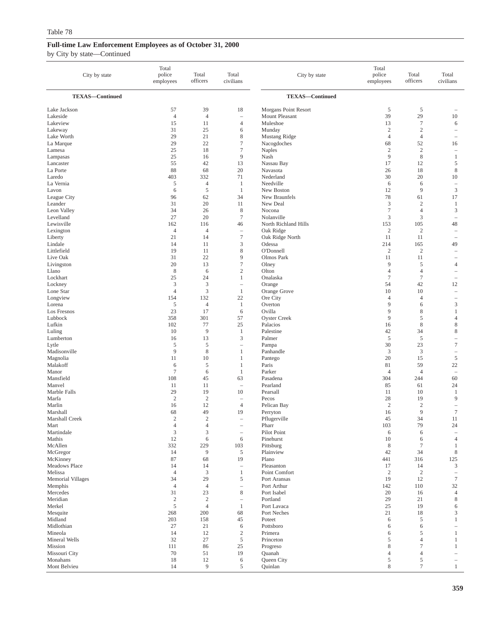| City by state            | Total<br>police<br>employees | Total<br>officers    | Total<br>civilians             | City by state             | Total<br>police<br>employees       | Total<br>officers                  | Total<br>civilians                                   |
|--------------------------|------------------------------|----------------------|--------------------------------|---------------------------|------------------------------------|------------------------------------|------------------------------------------------------|
| <b>TEXAS-Continued</b>   |                              |                      |                                | <b>TEXAS-Continued</b>    |                                    |                                    |                                                      |
| Lake Jackson             | 57                           | 39                   | 18                             | Morgans Point Resort      | 5                                  | 5                                  |                                                      |
| Lakeside                 | $\overline{4}$               | $\overline{4}$       | $\sim$                         | Mount Pleasant            | 39                                 | 29                                 | 10                                                   |
| Lakeview                 | 15                           | 11                   | $\overline{4}$                 | Muleshoe                  | 13                                 | $\tau$                             | 6                                                    |
| Lakeway<br>Lake Worth    | 31<br>29                     | 25<br>21             | 6<br>$\,$ 8 $\,$               | Munday<br>Mustang Ridge   | $\boldsymbol{2}$<br>$\overline{4}$ | $\boldsymbol{2}$<br>$\overline{4}$ | $\overline{\phantom{a}}$<br>$\overline{\phantom{a}}$ |
| La Marque                | 29                           | 22                   | $\tau$                         | Nacogdoches               | 68                                 | 52                                 | 16                                                   |
| Lamesa                   | 25                           | 18                   | $\tau$                         | <b>Naples</b>             | $\mathbf{2}$                       | $\mathbf{2}$                       | $\overline{\phantom{a}}$                             |
| Lampasas                 | 25                           | 16                   | 9                              | Nash                      | 9                                  | 8                                  | $\mathbf{1}$                                         |
| Lancaster                | 55                           | 42                   | 13                             | Nassau Bay                | 17                                 | 12                                 | 5                                                    |
| La Porte                 | 88                           | 68                   | 20                             | Navasota                  | 26                                 | 18                                 | $\,$ 8 $\,$                                          |
| Laredo                   | 403                          | 332                  | 71                             | Nederland                 | 30                                 | 20                                 | 10                                                   |
| La Vernia                | 5                            | $\overline{4}$       | 1                              | Needville                 | 6                                  | 6                                  | $\overline{\phantom{a}}$                             |
| Lavon                    | 6                            | 5                    | $\mathbf{1}$                   | New Boston                | 12                                 | 9                                  | $\mathfrak{Z}$                                       |
| League City<br>Leander   | 96<br>31                     | 62<br>20             | 34<br>11                       | New Braunfels<br>New Deal | 78<br>3                            | 61<br>$\mathbf{2}$                 | 17<br>$\mathbf{1}$                                   |
| Leon Valley              | 34                           | 26                   | 8                              | Nocona                    | $7\phantom{.0}$                    | $\overline{4}$                     | 3                                                    |
| Levelland                | 27                           | 20                   | $\tau$                         | Nolanville                | $\mathfrak{Z}$                     | 3                                  | $\overline{\phantom{a}}$                             |
| Lewisville               | 162                          | 116                  | 46                             | North Richland Hills      | 153                                | 105                                | 48                                                   |
| Lexington                | $\overline{4}$               | $\overline{4}$       | $\overline{\phantom{a}}$       | Oak Ridge                 | $\mathfrak{2}$                     | $\overline{c}$                     | $\overline{\phantom{a}}$                             |
| Liberty                  | 21                           | 14                   | $\tau$                         | Oak Ridge North           | 11                                 | 11                                 | $\overline{\phantom{a}}$                             |
| Lindale                  | 14                           | 11                   | 3                              | Odessa                    | 214                                | 165                                | 49                                                   |
| Littlefield              | 19                           | 11                   | $\,$ 8 $\,$                    | O'Donnell                 | $\sqrt{2}$                         | $\sqrt{2}$                         | ÷                                                    |
| Live Oak                 | 31                           | 22                   | 9<br>$\tau$                    | Olmos Park                | 11<br>9                            | 11                                 | $\overline{\phantom{0}}$                             |
| Livingston<br>Llano      | 20<br>$\,$ 8 $\,$            | 13<br>6              | $\mathfrak{2}$                 | Olney<br>Olton            | $\overline{4}$                     | 5<br>$\overline{4}$                | $\overline{4}$<br>$\overline{\phantom{a}}$           |
| Lockhart                 | 25                           | 24                   | $\mathbf{1}$                   | Onalaska                  | $\tau$                             | $\tau$                             | $\overline{\phantom{a}}$                             |
| Lockney                  | 3                            | 3                    | $\sim$                         | Orange                    | 54                                 | 42                                 | 12                                                   |
| Lone Star                | $\overline{4}$               | 3                    | $\mathbf{1}$                   | Orange Grove              | 10                                 | 10                                 | ÷                                                    |
| Longview                 | 154                          | 132                  | 22                             | Ore City                  | $\overline{4}$                     | $\overline{4}$                     | $\overline{\phantom{a}}$                             |
| Lorena                   | 5                            | $\overline{4}$       | $\mathbf{1}$                   | Overton                   | 9                                  | 6                                  | $\mathfrak{Z}$                                       |
| Los Fresnos              | 23                           | 17                   | 6                              | Ovilla                    | 9                                  | 8                                  | $\mathbf{1}$                                         |
| Lubbock                  | 358                          | 301                  | 57                             | <b>Oyster Creek</b>       | 9                                  | 5                                  | $\overline{4}$                                       |
| Lufkin<br>Luling         | 102<br>10                    | 77<br>9              | 25<br>$\mathbf{1}$             | Palacios<br>Palestine     | 16<br>42                           | 8<br>34                            | $\,$ 8 $\,$<br>8                                     |
| Lumberton                | 16                           | 13                   | 3                              | Palmer                    | 5                                  | 5                                  | $\overline{\phantom{a}}$                             |
| Lytle                    | 5                            | 5                    | $\overline{\phantom{a}}$       | Pampa                     | 30                                 | 23                                 | $\boldsymbol{7}$                                     |
| Madisonville             | 9                            | 8                    | $\mathbf{1}$                   | Panhandle                 | $\mathfrak{Z}$                     | $\mathfrak{Z}$                     | $\overline{\phantom{a}}$                             |
| Magnolia                 | 11                           | 10                   | $\mathbf{1}$                   | Pantego                   | 20                                 | 15                                 | $\sqrt{5}$                                           |
| Malakoff                 | 6                            | 5                    | 1                              | Paris                     | 81                                 | 59                                 | 22                                                   |
| Manor                    | $\overline{7}$               | 6                    | $\mathbf{1}$                   | Parker                    | $\overline{4}$                     | $\overline{4}$                     | $\overline{\phantom{a}}$                             |
| Mansfield                | 108                          | 45                   | 63                             | Pasadena                  | 304                                | 244                                | 60                                                   |
| Manvel                   | 11<br>29                     | 11                   | $\sim$                         | Pearland                  | 85                                 | 61                                 | 24                                                   |
| Marble Falls<br>Marfa    | $\overline{2}$               | 19<br>$\mathfrak{2}$ | 10<br>$\overline{\phantom{a}}$ | Pearsall<br>Pecos         | 11<br>28                           | 10<br>19                           | $\mathbf{1}$<br>9                                    |
| Marlin                   | 16                           | 12                   | $\overline{4}$                 | Pelican Bay               | $\sqrt{2}$                         | $\sqrt{2}$                         | $\overline{\phantom{a}}$                             |
| Marshall                 | 68                           | 49                   | 19                             | Perryton                  | 16                                 | 9                                  | $\boldsymbol{7}$                                     |
| Marshall Creek           | $\overline{2}$               | $\overline{c}$       |                                | Pflugerville              | 45                                 | 34                                 | 11                                                   |
| Mart                     | $\overline{4}$               | $\overline{4}$       | $\qquad \qquad -$              | Pharr                     | 103                                | 79                                 | 24                                                   |
| Martindale               | 3                            | 3                    | $\overline{\phantom{a}}$       | Pilot Point               | 6                                  | 6                                  | $\overline{\phantom{a}}$                             |
| Mathis                   | 12                           | 6                    | 6                              | Pinehurst                 | 10                                 | 6                                  | $\overline{4}$                                       |
| McAllen                  | 332                          | 229                  | 103                            | Pittsburg                 | 8                                  | $\tau$                             | 1                                                    |
| McGregor<br>McKinney     | 14<br>87                     | $\overline{9}$<br>68 | $\sqrt{5}$<br>19               | Plainview<br>Plano        | 42<br>441                          | 34<br>316                          | 8<br>125                                             |
| Meadows Place            | 14                           | 14                   | $\overline{\phantom{a}}$       | Pleasanton                | 17                                 | 14                                 | 3                                                    |
| Melissa                  | $\overline{4}$               | $\mathfrak z$        | $\mathbf{1}$                   | Point Comfort             | $\sqrt{2}$                         | $\sqrt{2}$                         | $\overline{\phantom{a}}$                             |
| <b>Memorial Villages</b> | 34                           | 29                   | 5                              | Port Aransas              | 19                                 | 12                                 | $\tau$                                               |
| Memphis                  | $\overline{4}$               | $\overline{4}$       | $\equiv$                       | Port Arthur               | 142                                | 110                                | $32\,$                                               |
| Mercedes                 | 31                           | 23                   | 8                              | Port Isabel               | 20                                 | 16                                 | $\overline{4}$                                       |
| Meridian                 | $\boldsymbol{2}$             | $\boldsymbol{2}$     | $\overline{\phantom{a}}$       | Portland                  | 29                                 | 21                                 | $\,$ 8 $\,$                                          |
| Merkel                   | $\sqrt{5}$                   | $\overline{4}$       | $\mathbf{1}$                   | Port Lavaca               | 25                                 | 19                                 | 6                                                    |
| Mesquite                 | 268                          | 200                  | 68                             | Port Neches               | 21                                 | 18                                 | 3                                                    |
| Midland<br>Midlothian    | 203<br>27                    | 158<br>21            | 45<br>6                        | Poteet<br>Pottsboro       | 6<br>6                             | $\sqrt{5}$<br>6                    | $\mathbf{1}$                                         |
| Mineola                  | 14                           | 12                   | $\overline{c}$                 | Primera                   | 6                                  | 5                                  | $\mathbf{1}$                                         |
| Mineral Wells            | 32                           | 27                   | $\sqrt{5}$                     | Princeton                 | 5                                  | $\overline{4}$                     | $\mathbf{1}$                                         |
| Mission                  | 111                          | 86                   | 25                             | Progreso                  | 8                                  | 7                                  | 1                                                    |
| Missouri City            | 70                           | 51                   | 19                             | Quanah                    | 4                                  | 4                                  |                                                      |
| Monahans                 | 18                           | 12                   | 6                              | Queen City                | 5                                  | 5                                  |                                                      |
| Mont Belvieu             | 14                           | 9                    | 5                              | Quinlan                   | 8                                  | 7                                  | $\mathbf{1}$                                         |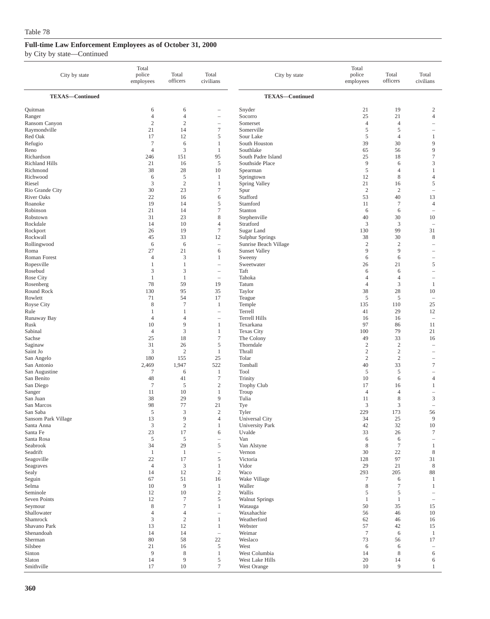| City by state          | Total<br>police<br>employees | Total<br>officers   | Total<br>civilians                | City by state                     | Total<br>police<br>employees | Total<br>officers | Total<br>civilians                    |
|------------------------|------------------------------|---------------------|-----------------------------------|-----------------------------------|------------------------------|-------------------|---------------------------------------|
| <b>TEXAS-Continued</b> |                              |                     |                                   | <b>TEXAS-Continued</b>            |                              |                   |                                       |
| Quitman                | 6                            | 6                   |                                   | Snyder                            | 21                           | 19                | $\overline{c}$                        |
| Ranger                 | $\overline{4}$               | $\overline{4}$      | ÷                                 | Socorro                           | 25                           | 21                | $\overline{4}$                        |
| Ransom Canyon          | $\sqrt{2}$                   | $\sqrt{2}$          | $\hspace{1.0cm} - \hspace{1.0cm}$ | Somerset                          | $\overline{4}$               | $\overline{4}$    | $\overline{\phantom{a}}$              |
| Raymondville           | 21                           | 14                  | $\tau$                            | Somerville                        | 5                            | 5                 |                                       |
| Red Oak                | 17                           | 12                  | $\sqrt{5}$                        | Sour Lake                         | 5                            | $\overline{4}$    | 1                                     |
| Refugio                | $\tau$                       | 6                   | $\mathbf{1}$                      | South Houston                     | 39                           | 30                | 9                                     |
| Reno<br>Richardson     | $\overline{4}$<br>246        | 3<br>151            | 1<br>95                           | Southlake<br>South Padre Island   | 65<br>25                     | 56<br>18          | 9<br>$\tau$                           |
| <b>Richland Hills</b>  | 21                           | 16                  | 5                                 | Southside Place                   | 9                            | 6                 | 3                                     |
| Richmond               | 38                           | 28                  | 10                                | Spearman                          | $\mathfrak s$                | 4                 | $\mathbf{1}$                          |
| Richwood               | 6                            | 5                   | 1                                 | Springtown                        | 12                           | 8                 | $\overline{4}$                        |
| Riesel                 | 3                            | $\overline{2}$      | 1                                 | Spring Valley                     | 21                           | 16                | 5                                     |
| Rio Grande City        | 30                           | 23                  | $\tau$                            | Spur                              | $\overline{2}$               | $\overline{2}$    | $\overline{\phantom{a}}$              |
| <b>River Oaks</b>      | 22                           | 16                  | 6                                 | Stafford                          | 53                           | 40                | 13                                    |
| Roanoke                | 19                           | 14                  | $\mathfrak s$                     | Stamford                          | 11                           | $\tau$            | $\overline{4}$                        |
| Robinson               | 21                           | 14                  | 7                                 | Stanton                           | 6                            | 6                 | $\hspace{1.0cm} \rule{1.5cm}{0.15cm}$ |
| Robstown               | 31                           | 23                  | 8                                 | Stephenville                      | 40                           | 30                | 10                                    |
| Rockdale               | 14                           | 10                  | $\overline{4}$                    | Stratford                         | 3                            | 3                 | $\overline{\phantom{a}}$              |
| Rockport               | 26                           | 19                  | $\tau$                            | Sugar Land                        | 130                          | 99                | 31                                    |
| Rockwall               | 45                           | 33                  | 12                                | <b>Sulphur Springs</b>            | 38                           | 30                | 8                                     |
| Rollingwood            | 6                            | 6                   | $\overline{\phantom{a}}$          | Sunrise Beach Village             | $\overline{2}$               | $\overline{c}$    | $\overline{\phantom{0}}$              |
| Roma                   | 27                           | 21                  | 6                                 | <b>Sunset Valley</b>              | 9                            | 9                 | $\overline{\phantom{a}}$              |
| Roman Forest           | $\overline{4}$               | 3                   | 1                                 | Sweeny                            | 6                            | 6                 | $\overline{\phantom{0}}$              |
| Ropesville             | $\mathbf{1}$                 | $\mathbf{1}$        | $\hspace{1.0cm} - \hspace{1.0cm}$ | Sweetwater                        | 26                           | 21                | 5                                     |
| Rosebud                | 3                            | 3                   | $\overline{\phantom{0}}$          | Taft                              | 6                            | 6                 | $\overline{\phantom{a}}$              |
| Rose City              | $\mathbf{1}$                 | $\mathbf{1}$        | $\overline{\phantom{a}}$          | Tahoka                            | 4                            | $\overline{4}$    | $\overline{\phantom{0}}$              |
| Rosenberg              | 78                           | 59                  | 19                                | Tatum                             | $\overline{4}$               | 3                 | 1                                     |
| Round Rock             | 130                          | 95                  | 35                                | Taylor                            | 38                           | 28                | 10                                    |
| Rowlett                | 71                           | 54                  | 17                                | Teague                            | 5                            | 5                 | ÷,                                    |
| Royse City             | 8                            | $\overline{7}$      | 1                                 | Temple                            | 135                          | 110               | 25                                    |
| Rule                   | $\mathbf{1}$                 | 1                   | $\hspace{1.0cm} - \hspace{1.0cm}$ | Terrell                           | 41                           | 29                | 12                                    |
| Runaway Bay<br>Rusk    | $\overline{4}$<br>10         | $\overline{4}$<br>9 | $\overline{\phantom{m}}$<br>1     | <b>Terrell Hills</b><br>Texarkana | 16<br>97                     | 16<br>86          | $\overline{\phantom{a}}$              |
| Sabinal                | $\overline{4}$               | 3                   | $\mathbf{1}$                      | <b>Texas City</b>                 | 100                          | 79                | 11<br>21                              |
| Sachse                 | 25                           | 18                  | $\tau$                            | The Colony                        | 49                           | 33                | 16                                    |
| Saginaw                | 31                           | 26                  | 5                                 | Thorndale                         | $\overline{2}$               | $\overline{2}$    | $\overline{\phantom{a}}$              |
| Saint Jo               | 3                            | $\overline{2}$      | $\mathbf{1}$                      | Thrall                            | $\boldsymbol{2}$             | $\sqrt{2}$        | $\overline{\phantom{a}}$              |
| San Angelo             | 180                          | 155                 | 25                                | Tolar                             | $\sqrt{2}$                   | $\sqrt{2}$        | $\overline{\phantom{0}}$              |
| San Antonio            | 2,469                        | 1,947               | 522                               | Tomball                           | 40                           | 33                | $\tau$                                |
| San Augustine          | $\tau$                       | 6                   | 1                                 | Tool                              | 5                            | 5                 | $\overline{\phantom{a}}$              |
| San Benito             | 48                           | 41                  | $\tau$                            | Trinity                           | 10                           | 6                 | $\overline{4}$                        |
| San Diego              | $\tau$                       | 5                   | $\boldsymbol{2}$                  | <b>Trophy Club</b>                | 17                           | 16                | 1                                     |
| Sanger                 | 11                           | 10                  | 1                                 | Troup                             | $\overline{4}$               | $\overline{4}$    | $\overline{\phantom{0}}$              |
| San Juan               | 38                           | 29                  | 9                                 | Tulia                             | 11                           | 8                 | 3                                     |
| San Marcos             | 98                           | 77                  | 21                                | Tye                               | 3                            | 3                 | $\sim$                                |
| San Saba               | 5                            | 3                   | $\mathfrak{2}$                    | Tyler                             | 229                          | 173               | 56                                    |
| Sansom Park Village    | 13                           | 9                   | $\overline{4}$                    | Universal City                    | 34                           | 25                | 9                                     |
| Santa Anna             | 3                            | $\sqrt{2}$          | 1                                 | <b>University Park</b>            | 42                           | 32                | $10\,$                                |
| Santa Fe               | 23                           | 17                  | 6                                 | Uvalde                            | 33                           | 26                | $\tau$                                |
| Santa Rosa             | $\sqrt{5}$                   | $\sqrt{5}$          | $\overline{\phantom{m}}$          | Van                               | 6                            | 6                 | $\overline{\phantom{a}}$              |
| Seabrook               | 34                           | 29                  | 5                                 | Van Alstyne                       | 8                            | $\tau$            | $\mathbf{1}$                          |
| Seadrift               | $\mathbf{1}$                 | $\mathbf{1}$        | $\overline{\phantom{0}}$          | Vernon                            | 30                           | 22                | 8                                     |
| Seagoville             | 22                           | 17                  | $\sqrt{5}$                        | Victoria                          | 128                          | 97                | 31                                    |
| Seagraves              | $\overline{4}$               | 3                   | $\mathbf{1}$                      | Vidor                             | 29                           | 21                | 8                                     |
| Sealy                  | 14                           | 12                  | $\sqrt{2}$                        | Waco                              | 293                          | 205               | 88                                    |
| Seguin                 | 67                           | 51<br>9             | 16                                | Wake Village                      | $\tau$                       | 6                 | 1                                     |
| Selma<br>Seminole      | 10<br>12                     | 10                  | $\mathbf{1}$<br>$\sqrt{2}$        | Waller<br>Wallis                  | 8<br>5                       | $\tau$<br>5       | 1                                     |
| <b>Seven Points</b>    | 12                           | $\tau$              | $\mathfrak s$                     | <b>Walnut Springs</b>             | 1                            | $\mathbf{1}$      | $\sim$                                |
| Seymour                | $\,$ 8 $\,$                  | $\tau$              | 1                                 | Watauga                           | 50                           | 35                | 15                                    |
| Shallowater            | $\overline{4}$               | $\overline{4}$      | $\hspace{1.0cm} - \hspace{1.0cm}$ | Waxahachie                        | 56                           | 46                | 10                                    |
| Shamrock               | 3                            | $\overline{c}$      | $\mathbf{1}$                      | Weatherford                       | 62                           | 46                | 16                                    |
| Shavano Park           | 13                           | 12                  | 1                                 | Webster                           | 57                           | 42                | 15                                    |
| Shenandoah             | 14                           | 14                  | $\overline{\phantom{a}}$          | Weimar                            | $\tau$                       | 6                 | $\mathbf{1}$                          |
| Sherman                | 80                           | 58                  | $22\,$                            | Weslaco                           | 73                           | 56                | 17                                    |
| Silsbee                | 21                           | 16                  | 5                                 | West                              | 6                            | 6                 |                                       |
| Sinton                 | $\overline{9}$               | 8                   | $\mathbf{1}$                      | West Columbia                     | 14                           | 8                 | 6                                     |
| Slaton                 | 14                           | 9                   | $\sqrt{5}$                        | West Lake Hills                   | $20\,$                       | 14                | 6                                     |
| Smithville             | 17                           | 10                  | $\tau$                            | West Orange                       | 10                           | 9                 | $\mathbf{1}$                          |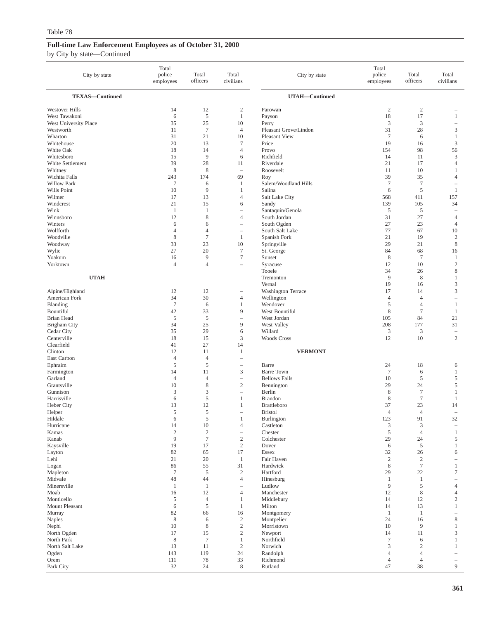| City by state                      | Total<br>police<br>employees | Total<br>officers    | Total<br>civilians                         | City by state                             | Total<br>police<br>employees     | Total<br>officers         | Total<br>civilians                                  |
|------------------------------------|------------------------------|----------------------|--------------------------------------------|-------------------------------------------|----------------------------------|---------------------------|-----------------------------------------------------|
| <b>TEXAS-Continued</b>             |                              |                      |                                            | UTAH-Continued                            |                                  |                           |                                                     |
| Westover Hills                     | 14                           | 12                   | 2                                          | Parowan                                   | $\overline{c}$                   | $\overline{c}$            |                                                     |
| West Tawakoni                      | 6                            | 5                    | $\mathbf{1}$                               | Payson                                    | 18                               | 17                        | $\mathbf{1}$                                        |
| West University Place<br>Westworth | 35<br>11                     | 25<br>$\tau$         | 10<br>$\overline{4}$                       | Perry<br>Pleasant Grove/Lindon            | 3<br>31                          | 3<br>28                   | $\qquad \qquad -$<br>$\mathfrak{Z}$                 |
| Wharton                            | 31                           | 21                   | 10                                         | Pleasant View                             | $7\phantom{.0}$                  | 6                         | $\mathbf{1}$                                        |
| Whitehouse                         | 20                           | 13                   | $\tau$                                     | Price                                     | 19                               | 16                        | $\mathfrak{Z}$                                      |
| White Oak                          | 18                           | 14                   | $\overline{4}$                             | Provo                                     | 154                              | 98                        | 56                                                  |
| Whitesboro                         | 15                           | 9                    | 6                                          | Richfield                                 | 14                               | 11                        | 3                                                   |
| White Settlement<br>Whitney        | 39<br>$\,$ 8 $\,$            | 28<br>8              | 11<br>$\overline{\phantom{0}}$             | Riverdale<br>Roosevelt                    | 21<br>11                         | 17<br>10                  | $\overline{4}$<br>$\mathbf{1}$                      |
| Wichita Falls                      | 243                          | 174                  | 69                                         | Roy                                       | 39                               | 35                        | 4                                                   |
| <b>Willow Park</b>                 | $\tau$                       | 6                    | 1                                          | Salem/Woodland Hills                      | $\tau$                           | $\overline{7}$            | $\qquad \qquad -$                                   |
| Wills Point                        | 10                           | 9                    | 1                                          | Salina                                    | 6                                | 5                         | 1                                                   |
| Wilmer                             | 17                           | 13                   | $\overline{4}$                             | Salt Lake City                            | 568                              | 411                       | 157                                                 |
| Windcrest<br>Wink                  | 21<br>$\mathbf{1}$           | 15<br>$\mathbf{1}$   | 6<br>$\overline{\phantom{0}}$              | Sandy                                     | 139<br>5                         | 105<br>5                  | 34<br>÷                                             |
| Winnsboro                          | 12                           | $\,$ 8 $\,$          | $\overline{4}$                             | Santaquin/Genola<br>South Jordan          | 31                               | 27                        | 4                                                   |
| Winters                            | 6                            | 6                    | $\overline{\phantom{a}}$                   | South Ogden                               | 27                               | 23                        | 4                                                   |
| Wolfforth                          | $\overline{4}$               | $\overline{4}$       |                                            | South Salt Lake                           | 77                               | 67                        | 10                                                  |
| Woodville                          | 8                            | $\tau$               | $\mathbf{1}$                               | Spanish Fork                              | 21                               | 19                        | $\overline{c}$                                      |
| Woodway                            | 33                           | 23                   | 10                                         | Springville                               | 29                               | 21                        | $\,$ 8 $\,$                                         |
| Wylie<br>Yoakum                    | 27<br>16                     | 20<br>9              | $\tau$<br>$\tau$                           | St. George<br>Sunset                      | 84<br>8                          | 68<br>$7\phantom{.0}$     | 16<br>$\mathbf{1}$                                  |
| Yorktown                           | $\overline{4}$               | $\overline{4}$       | $\overline{\phantom{a}}$                   | Syracuse                                  | 12                               | 10                        | $\sqrt{2}$                                          |
|                                    |                              |                      |                                            | Tooele                                    | 34                               | 26                        | $\,$ 8 $\,$                                         |
| <b>UTAH</b>                        |                              |                      |                                            | Tremonton                                 | 9                                | 8                         | $\mathbf{1}$                                        |
|                                    |                              |                      |                                            | Vernal                                    | 19                               | 16                        | 3                                                   |
| Alpine/Highland<br>American Fork   | 12<br>34                     | 12<br>30             | $\overline{\phantom{0}}$<br>$\overline{4}$ | <b>Washington Terrace</b><br>Wellington   | 17<br>$\overline{4}$             | 14<br>$\overline{4}$      | 3                                                   |
| Blanding                           | $\tau$                       | 6                    | $\mathbf{1}$                               | Wendover                                  | 5                                | $\overline{4}$            | $\mathbf{1}$                                        |
| Bountiful                          | 42                           | 33                   | 9                                          | West Bountiful                            | 8                                | $\boldsymbol{7}$          | $\mathbf{1}$                                        |
| Brian Head                         | $\sqrt{5}$                   | $\mathfrak s$        | $\overline{\phantom{0}}$                   | West Jordan                               | 105                              | 84                        | 21                                                  |
| <b>Brigham City</b>                | 34                           | 25                   | 9                                          | West Valley                               | 208                              | 177                       | 31                                                  |
| Cedar City<br>Centerville          | 35<br>18                     | 29<br>15             | 6<br>3                                     | Willard<br><b>Woods Cross</b>             | $\mathfrak{Z}$<br>12             | 3<br>10                   | $\hspace{1.0cm} - \hspace{1.0cm}$<br>$\mathfrak{2}$ |
| Clearfield                         | 41                           | 27                   | 14                                         |                                           |                                  |                           |                                                     |
| Clinton                            | 12                           | 11                   | 1                                          | <b>VERMONT</b>                            |                                  |                           |                                                     |
| East Carbon                        | $\overline{4}$               | $\overline{4}$       | ÷                                          |                                           |                                  |                           |                                                     |
| Ephraim                            | $\sqrt{5}$                   | 5                    |                                            | Barre                                     | 24                               | 18                        | 6                                                   |
| Farmington<br>Garland              | 14<br>$\overline{4}$         | 11<br>$\overline{4}$ | 3<br>$\overline{\phantom{0}}$              | <b>Barre Town</b><br><b>Bellows Falls</b> | $7\phantom{.0}$<br>10            | 6<br>$\sqrt{5}$           | $\mathbf{1}$<br>5                                   |
| Grantsville                        | 10                           | $\,$ 8 $\,$          | $\mathbf{2}$                               | Bennington                                | 29                               | 24                        | 5                                                   |
| Gunnison                           | 3                            | 3                    | i.                                         | Berlin                                    | 8                                | $\overline{7}$            | 1                                                   |
| Harrisville                        | 6                            | 5                    | 1                                          | Brandon                                   | 8                                | $\tau$                    | $\mathbf{1}$                                        |
| Heber City                         | 13                           | 12                   | $\mathbf{1}$                               | Brattleboro                               | 37                               | 23                        | 14                                                  |
| Helper<br>Hildale                  | $\sqrt{5}$<br>6              | 5<br>5               | i.                                         | <b>Bristol</b>                            | 4<br>123                         | $\overline{4}$<br>91      | $\overline{\phantom{a}}$<br>32                      |
| Hurricane                          | 14                           | $10\,$               | $\overline{4}$                             | Burlington<br>Castleton                   | $\ensuremath{\mathfrak{Z}}$      | $\ensuremath{\mathsf{3}}$ | $\qquad \qquad -$                                   |
| Kamas                              | $\sqrt{2}$                   | $\sqrt{2}$           | $\qquad \qquad -$                          | Chester                                   | $\sqrt{5}$                       | $\overline{4}$            | $\mathbf{1}$                                        |
| Kanab                              | $\overline{9}$               | $\boldsymbol{7}$     | $\sqrt{2}$                                 | Colchester                                | 29                               | 24                        | 5                                                   |
| Kaysville                          | 19                           | 17                   | $\sqrt{2}$                                 | Dover                                     | 6                                | $\sqrt{5}$                | $\mathbf{1}$                                        |
| Layton                             | $82\,$                       | 65                   | 17                                         | Essex                                     | 32                               | 26<br>$\overline{c}$      | 6                                                   |
| Lehi<br>Logan                      | 21<br>86                     | 20<br>55             | 1<br>31                                    | Fair Haven<br>Hardwick                    | $\boldsymbol{2}$<br>$\,$ 8 $\,$  | $\boldsymbol{7}$          | $\overline{\phantom{0}}$<br>$\mathbf{1}$            |
| Mapleton                           | $\tau$                       | 5                    | $\sqrt{2}$                                 | Hartford                                  | 29                               | 22                        | $\tau$                                              |
| Midvale                            | 48                           | 44                   | $\overline{4}$                             | Hinesburg                                 | 1                                | -1                        |                                                     |
| Minersville                        | $\mathbf{1}$                 | $\mathbf{1}$         | $\overline{\phantom{0}}$                   | Ludlow                                    | 9                                | $\sqrt{5}$                | $\overline{4}$                                      |
| Moab                               | 16                           | 12                   | $\overline{4}$                             | Manchester                                | 12                               | 8                         | 4                                                   |
| Monticello<br>Mount Pleasant       | 5<br>6                       | $\overline{4}$<br>5  | 1<br>$\mathbf{1}$                          | Middlebury<br>Milton                      | 14<br>14                         | 12<br>13                  | $\boldsymbol{2}$<br>$\mathbf{1}$                    |
| Murray                             | 82                           | 66                   | 16                                         | Montgomery                                | -1                               | 1                         |                                                     |
| <b>Naples</b>                      | $\,$ 8 $\,$                  | 6                    | $\sqrt{2}$                                 | Montpelier                                | 24                               | 16                        | $\,$ 8 $\,$                                         |
| Nephi                              | 10                           | 8                    | $\sqrt{2}$                                 | Morristown                                | 10                               | 9                         | $\mathbf{1}$                                        |
| North Ogden                        | 17                           | 15                   | $\sqrt{2}$                                 | Newport                                   | 14                               | 11                        | 3                                                   |
| North Park<br>North Salt Lake      | $\,$ 8 $\,$<br>13            | $\tau$<br>11         | $\mathbf{1}$<br>$\overline{c}$             | Northfield<br>Norwich                     | $\overline{7}$<br>$\mathfrak{Z}$ | 6<br>$\overline{2}$       | $\mathbf{1}$<br>$\mathbf{1}$                        |
| Ogden                              | 143                          | 119                  | 24                                         | Randolph                                  | 4                                | $\overline{4}$            |                                                     |
| Orem                               | 111                          | 78                   | 33                                         | Richmond                                  | 4                                | $\overline{4}$            | $\qquad \qquad -$                                   |
| Park City                          | 32                           | 24                   | $\,$ 8 $\,$                                | Rutland                                   | 47                               | 38                        | 9                                                   |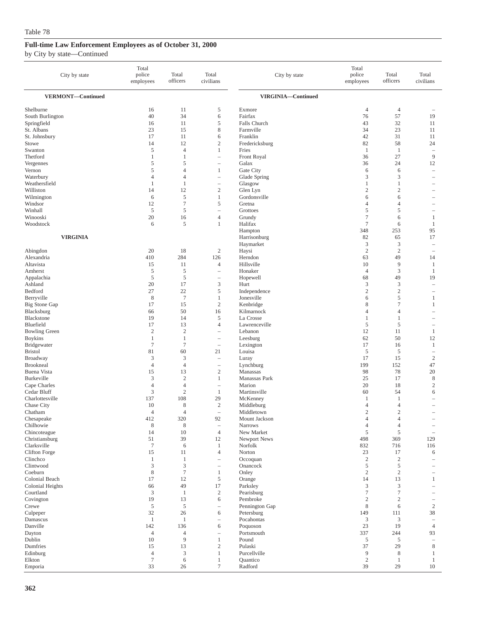| City by state                 | Total<br>police<br>employees | Total<br>officers    | Total<br>civilians                                            | City by state                | Total<br>police<br>employees | Total<br>officers   | Total<br>civilians                         |
|-------------------------------|------------------------------|----------------------|---------------------------------------------------------------|------------------------------|------------------------------|---------------------|--------------------------------------------|
| VERMONT-Continued             |                              |                      |                                                               | VIRGINIA-Continued           |                              |                     |                                            |
| Shelburne                     | 16                           | 11                   | 5                                                             | Exmore                       | 4                            | $\overline{4}$      |                                            |
| South Burlington              | 40                           | 34                   | 6                                                             | Fairfax                      | 76                           | 57                  | 19                                         |
| Springfield                   | 16                           | 11                   | 5                                                             | Falls Church                 | 43                           | 32                  | 11                                         |
| St. Albans                    | 23                           | 15                   | 8                                                             | Farmville                    | 34                           | 23                  | 11                                         |
| St. Johnsbury                 | 17                           | 11                   | 6                                                             | Franklin                     | 42                           | 31                  | 11                                         |
| Stowe                         | 14                           | 12<br>$\overline{4}$ | $\mathfrak{2}$<br>$\mathbf{1}$                                | Fredericksburg               | 82                           | 58                  | 24                                         |
| Swanton<br>Thetford           | 5<br>$\mathbf{1}$            | 1                    | $\qquad \qquad -$                                             | Fries<br>Front Royal         | $\mathbf{1}$<br>36           | $\mathbf{1}$<br>27  | $\overline{\phantom{a}}$<br>$\overline{9}$ |
| Vergennes                     | 5                            | 5                    | $\qquad \qquad -$                                             | Galax                        | 36                           | 24                  | 12                                         |
| Vernon                        | 5                            | $\overline{4}$       | $\mathbf{1}$                                                  | Gate City                    | 6                            | 6                   | $\sim$                                     |
| Waterbury                     | $\overline{4}$               | $\overline{4}$       |                                                               | Glade Spring                 | 3                            | 3                   |                                            |
| Weathersfield                 | 1                            | 1                    | $\overline{\phantom{0}}$                                      | Glasgow                      | 1                            | $\mathbf{1}$        | $\overline{\phantom{a}}$                   |
| Williston                     | 14                           | 12                   | $\sqrt{2}$                                                    | Glen Lyn                     | $\mathfrak{2}$               | $\overline{c}$      |                                            |
| Wilmington                    | 6                            | 5                    | $\mathbf{1}$                                                  | Gordonsville                 | 6                            | 6                   |                                            |
| Windsor                       | 12                           | $\overline{7}$       | $\mathfrak s$                                                 | Gretna                       | 4                            | 4                   | -                                          |
| Winhall<br>Winooski           | 5                            | 5                    | $\overline{4}$                                                | Grottoes                     | 5<br>$\tau$                  | 5                   |                                            |
| Woodstock                     | 20<br>6                      | 16<br>5              | 1                                                             | Grundy<br>Halifax            | $\overline{7}$               | 6<br>6              | 1<br>1                                     |
|                               |                              |                      |                                                               | Hampton                      | 348                          | 253                 | 95                                         |
| <b>VIRGINIA</b>               |                              |                      |                                                               | Harrisonburg                 | 82                           | 65                  | 17                                         |
|                               |                              |                      |                                                               | Haymarket                    | 3                            | 3                   | $\overline{\phantom{0}}$                   |
| Abingdon                      | 20                           | 18                   | $\boldsymbol{2}$                                              | Haysi                        | $\boldsymbol{2}$             | $\overline{2}$      | $\overline{\phantom{a}}$                   |
| Alexandria                    | 410                          | 284                  | 126                                                           | Herndon                      | 63                           | 49                  | 14                                         |
| Altavista                     | 15                           | 11                   | $\overline{4}$                                                | Hillsville                   | 10                           | 9                   | 1                                          |
| Amherst                       | 5                            | $\sqrt{5}$           | ۰                                                             | Honaker                      | $\overline{4}$               | 3                   | 1                                          |
| Appalachia<br>Ashland         | 5<br>20                      | 5<br>17              | $\hspace{1.0cm} - \hspace{1.0cm}$<br>3                        | Hopewell<br>Hurt             | 68<br>3                      | 49<br>3             | 19<br>$\overline{\phantom{a}}$             |
| Bedford                       | 27                           | 22                   | 5                                                             | Independence                 | $\mathfrak{2}$               | $\overline{c}$      |                                            |
| Berryville                    | 8                            | $\tau$               | 1                                                             | Jonesville                   | 6                            | 5                   | 1                                          |
| <b>Big Stone Gap</b>          | 17                           | 15                   | $\sqrt{2}$                                                    | Kenbridge                    | 8                            | $\overline{7}$      | 1                                          |
| Blacksburg                    | 66                           | 50                   | 16                                                            | Kilmarnock                   | 4                            | 4                   |                                            |
| Blackstone                    | 19                           | 14                   | 5                                                             | La Crosse                    | 1                            | 1                   | $\overline{\phantom{a}}$                   |
| Bluefield                     | 17                           | 13                   | $\overline{4}$                                                | Lawrenceville                | 5                            | 5                   | $\overline{\phantom{0}}$                   |
| <b>Bowling Green</b>          | $\overline{c}$               | $\sqrt{2}$           | $\qquad \qquad -$                                             | Lebanon                      | 12                           | 11                  | $\mathbf{1}$                               |
| <b>Boykins</b><br>Bridgewater | 1<br>$\overline{7}$          | 1<br>$\tau$          | $\overline{\phantom{m}}$<br>$\hspace{1.0cm} - \hspace{1.0cm}$ | Leesburg<br>Lexington        | 62<br>17                     | 50<br>16            | 12<br>$\mathbf{1}$                         |
| <b>Bristol</b>                | 81                           | 60                   | 21                                                            | Louisa                       | 5                            | 5                   | $\hspace{1.0cm} - \hspace{1.0cm}$          |
| Broadway                      | 3                            | 3                    | $\overline{\phantom{a}}$                                      | Luray                        | 17                           | 15                  | $\sqrt{2}$                                 |
| <b>Brookneal</b>              | $\overline{4}$               | $\overline{4}$       | $\overline{\phantom{0}}$                                      | Lynchburg                    | 199                          | 152                 | 47                                         |
| <b>Buena Vista</b>            | 15                           | 13                   | $\sqrt{2}$                                                    | Manassas                     | 98                           | 78                  | 20                                         |
| Burkeville                    | 3                            | $\mathfrak{2}$       | $\mathbf{1}$                                                  | Manassas Park                | 25                           | 17                  | 8                                          |
| Cape Charles                  | $\overline{4}$               | $\overline{4}$       | $\overline{\phantom{a}}$                                      | Marion                       | 20                           | 18                  | $\mathbf{2}$                               |
| Cedar Bluff                   | 3<br>137                     | $\sqrt{2}$<br>108    | 1<br>29                                                       | Martinsville                 | 60<br>1                      | 54<br>1             | 6                                          |
| Charlottesville<br>Chase City | 10                           | 8                    | $\boldsymbol{2}$                                              | McKenney<br>Middleburg       | 4                            | 4                   | $\overline{\phantom{a}}$                   |
| Chatham                       | $\overline{4}$               | $\overline{4}$       | $\overline{\phantom{0}}$                                      | Middletown                   | $\mathfrak{2}$               | $\overline{c}$      |                                            |
| Chesapeake                    | 412                          | 320                  | 92                                                            | Mount Jackson                | 4                            | 4                   |                                            |
| Chilhowie                     | 8                            | $\,$ 8 $\,$          | $\overline{\phantom{a}}$                                      | <b>Narrows</b>               | $\overline{4}$               | $\overline{4}$      |                                            |
| Chincoteague                  | 14                           | 10                   | $\overline{4}$                                                | New Market                   | 5                            | 5                   | $\overline{\phantom{0}}$                   |
| Christiansburg                | 51                           | 39                   | 12                                                            | Newport News                 | 498                          | 369                 | 129                                        |
| Clarksville<br>Clifton Forge  | $\tau$<br>15                 | 6<br>11              | $\mathbf{1}$<br>$\overline{4}$                                | Norfolk<br>Norton            | 832<br>23                    | 716<br>17           | 116<br>6                                   |
| Clinchco                      | 1                            | $\mathbf{1}$         | $\qquad \qquad -$                                             | Occoquan                     | $\sqrt{2}$                   | $\sqrt{2}$          |                                            |
| Clintwood                     | 3                            | $\mathfrak z$        | $\overline{\phantom{0}}$                                      | Onancock                     | 5                            | 5                   | $\overline{\phantom{a}}$                   |
| Coeburn                       | $\,$ 8 $\,$                  | $\boldsymbol{7}$     | $\mathbf{1}$                                                  | Onley                        | $\sqrt{2}$                   | $\sqrt{2}$          |                                            |
| Colonial Beach                | 17                           | 12                   | 5                                                             | Orange                       | 14                           | 13                  | 1                                          |
| Colonial Heights              | 66                           | 49                   | 17                                                            | Parksley                     | 3                            | $\mathfrak{Z}$      | $\overline{\phantom{a}}$                   |
| Courtland                     | $\mathfrak z$                | $\mathbf{1}$         | $\overline{c}$                                                | Pearisburg                   | 7                            | 7                   |                                            |
| Covington<br>Crewe            | 19<br>$\mathfrak s$          | 13<br>$\sqrt{5}$     | 6<br>L.                                                       | Pembroke                     | $\boldsymbol{2}$<br>8        | $\overline{c}$<br>6 | $\sqrt{2}$                                 |
| Culpeper                      | 32                           | 26                   | 6                                                             | Pennington Gap<br>Petersburg | 149                          | 111                 | 38                                         |
| Damascus                      | $\mathbf{1}$                 | 1                    | $\overline{\phantom{a}}$                                      | Pocahontas                   | 3                            | 3                   | $\overline{\phantom{a}}$                   |
| Danville                      | 142                          | 136                  | 6                                                             | Poquoson                     | 23                           | 19                  | $\overline{4}$                             |
| Dayton                        | $\overline{4}$               | $\overline{4}$       |                                                               | Portsmouth                   | 337                          | 244                 | 93                                         |
| Dublin                        | 10                           | $\overline{9}$       | $\mathbf{1}$                                                  | Pound                        | $\sqrt{5}$                   | 5                   | $\sim$                                     |
| Dumfries                      | 15                           | 13                   | $\boldsymbol{2}$                                              | Pulaski                      | 37                           | 29                  | $\,$ 8 $\,$                                |
| Edinburg<br>Elkton            | $\overline{4}$<br>$\tau$     | 3<br>6               | $\mathbf{1}$<br>1                                             | Purcellville<br>Quantico     | $\overline{9}$<br>$\sqrt{2}$ | 8<br>1              | 1<br>$\mathbf{1}$                          |
| Emporia                       | 33                           | 26                   | $\tau$                                                        | Radford                      | 39                           | 29                  | $10\,$                                     |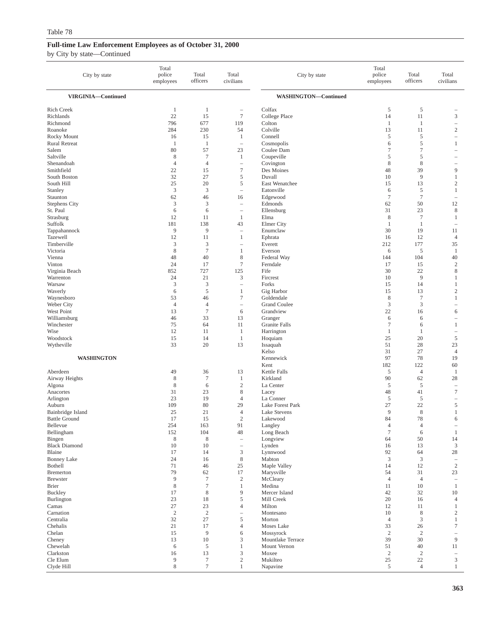| City by state                              | Total<br>police<br>employees | Total<br>officers | Total<br>civilians                     | City by state                  | Total<br>police<br>employees | Total<br>officers    | Total<br>civilians                                |
|--------------------------------------------|------------------------------|-------------------|----------------------------------------|--------------------------------|------------------------------|----------------------|---------------------------------------------------|
| VIRGINIA-Continued                         |                              |                   |                                        | <b>WASHINGTON-Continued</b>    |                              |                      |                                                   |
| Rich Creek                                 | $\mathbf{1}$                 | 1                 |                                        | Colfax                         | 5                            | 5                    |                                                   |
| Richlands                                  | 22                           | 15                | $\overline{7}$                         | College Place                  | 14                           | 11                   | $\mathfrak z$                                     |
| Richmond                                   | 796                          | 677               | 119                                    | Colton                         | $\mathbf{1}$                 | -1                   | $\hspace{1.0cm} - \hspace{1.0cm}$                 |
| Roanoke                                    | 284                          | 230               | 54                                     | Colville                       | 13                           | 11                   | $\sqrt{2}$                                        |
| <b>Rocky Mount</b><br><b>Rural Retreat</b> | 16<br>1                      | 15<br>1           | $\mathbf{1}$<br>$\equiv$               | Connell<br>Cosmopolis          | 5<br>6                       | 5<br>5               | $\hspace{1.0cm} - \hspace{1.0cm}$<br>$\mathbf{1}$ |
| Salem                                      | 80                           | 57                | 23                                     | Coulee Dam                     | $\tau$                       | $\tau$               | $\overline{\phantom{0}}$                          |
| Saltville                                  | 8                            | $\tau$            | 1                                      | Coupeville                     | 5                            | 5                    |                                                   |
| Shenandoah                                 | $\overline{4}$               | $\overline{4}$    | $\overline{\phantom{a}}$               | Covington                      | 8                            | 8                    |                                                   |
| Smithfield                                 | 22                           | 15                | $\tau$                                 | Des Moines                     | 48                           | 39                   | 9                                                 |
| South Boston                               | 32                           | 27                | 5                                      | Duvall                         | 10                           | $\overline{9}$       | $\mathbf{1}$                                      |
| South Hill<br>Stanley                      | 25<br>3                      | 20<br>3           | 5<br>$\equiv$                          | East Wenatchee<br>Eatonville   | 15<br>6                      | 13<br>5              | $\sqrt{2}$<br>$\mathbf{1}$                        |
| Staunton                                   | 62                           | 46                | 16                                     | Edgewood                       | $\tau$                       | $\tau$               | $\sim$                                            |
| <b>Stephens City</b>                       | 3                            | 3                 | $\qquad \qquad -$                      | Edmonds                        | 62                           | 50                   | 12                                                |
| St. Paul                                   | 6                            | 6                 | $\equiv$                               | Ellensburg                     | 31                           | 23                   | $\,8\,$                                           |
| Strasburg                                  | 12                           | 11                | 1                                      | Elma                           | $\,$ 8 $\,$                  | $\overline{7}$       | $\mathbf{1}$                                      |
| Suffolk                                    | 181                          | 138               | 43                                     | Elmer City                     | -1                           | 1                    | $\overline{\phantom{a}}$                          |
| Tappahannock                               | 9                            | 9                 | $\equiv$                               | Enumclaw                       | 30                           | 19                   | 11                                                |
| Tazewell<br>Timberville                    | 12<br>3                      | 11<br>3           | $\mathbf{1}$<br>$\equiv$               | Ephrata<br>Everett             | 16<br>212                    | 12<br>177            | $\overline{4}$<br>35                              |
| Victoria                                   | $\,$ 8 $\,$                  | $\overline{7}$    | 1                                      | Everson                        | 6                            | 5                    | $\mathbf{1}$                                      |
| Vienna                                     | 48                           | 40                | 8                                      | Federal Way                    | 144                          | 104                  | 40                                                |
| Vinton                                     | 24                           | 17                | $\boldsymbol{7}$                       | Ferndale                       | 17                           | 15                   | $\overline{c}$                                    |
| Virginia Beach                             | 852                          | 727               | 125                                    | Fife                           | 30                           | 22                   | $\,8\,$                                           |
| Warrenton                                  | 24                           | 21                | 3                                      | Fircrest                       | 10                           | 9                    | $\mathbf{1}$                                      |
| Warsaw                                     | 3                            | 3<br>5            | $\overline{\phantom{a}}$               | Forks                          | 15<br>15                     | 14                   | $\mathbf{1}$<br>$\overline{c}$                    |
| Waverly<br>Waynesboro                      | 6<br>53                      | 46                | 1<br>$\tau$                            | Gig Harbor<br>Goldendale       | $\,$ 8 $\,$                  | 13<br>$\tau$         | $\mathbf{1}$                                      |
| Weber City                                 | $\overline{4}$               | $\overline{4}$    | $\qquad \qquad -$                      | <b>Grand Coulee</b>            | 3                            | 3                    | $\qquad \qquad -$                                 |
| West Point                                 | 13                           | $\tau$            | 6                                      | Grandview                      | 22                           | 16                   | 6                                                 |
| Williamsburg                               | 46                           | 33                | 13                                     | Granger                        | 6                            | 6                    | $\hspace{1.0cm} - \hspace{1.0cm}$                 |
| Winchester                                 | 75                           | 64                | 11                                     | Granite Falls                  | $\overline{7}$               | 6                    | $\mathbf{1}$                                      |
| Wise                                       | 12                           | 11                | 1                                      | Harrington                     | 1                            | 1                    | $\overline{\phantom{m}}$                          |
| Woodstock<br>Wytheville                    | 15<br>33                     | 14<br>20          | $\mathbf{1}$<br>13                     | Hoquiam<br>Issaquah            | 25<br>51                     | 20<br>28             | 5<br>23                                           |
|                                            |                              |                   |                                        | Kelso                          | 31                           | 27                   | $\overline{4}$                                    |
| <b>WASHINGTON</b>                          |                              |                   |                                        | Kennewick                      | 97                           | 78                   | 19                                                |
|                                            |                              |                   |                                        | Kent                           | 182                          | 122                  | 60                                                |
| Aberdeen                                   | 49                           | 36                | 13                                     | Kettle Falls                   | 5                            | $\overline{4}$       | $\mathbf{1}$                                      |
| Airway Heights                             | $\,$ 8 $\,$                  | $\tau$            | 1                                      | Kirkland                       | 90                           | 62                   | 28                                                |
| Algona<br>Anacortes                        | 8<br>31                      | 6<br>23           | $\sqrt{2}$<br>8                        | La Center                      | 5<br>48                      | 5<br>41              | $\overline{\phantom{a}}$<br>$7\phantom{.0}$       |
| Arlington                                  | 23                           | 19                | $\overline{4}$                         | Lacey<br>La Conner             | 5                            | 5                    | $\overline{\phantom{0}}$                          |
| Auburn                                     | 109                          | 80                | 29                                     | Lake Forest Park               | 27                           | 22                   | 5                                                 |
| Bainbridge Island                          | 25                           | 21                | 4                                      | Lake Stevens                   | 9                            | 8                    | $\mathbf{1}$                                      |
| <b>Battle Ground</b>                       | 17                           | 15                | $\overline{2}$                         | Lakewood                       | 84                           | $78\,$               | 6                                                 |
| Bellevue                                   | 254                          | 163               | 91                                     | Langley                        | $\overline{4}$               | $\overline{4}$       | $\hspace{0.1mm}-\hspace{0.1mm}$                   |
| Bellingham<br>Bingen                       | 152<br>8                     | 104<br>8          | 48                                     | Long Beach<br>Longview         | $\tau$<br>64                 | 6<br>50              | $\mathbf{1}$<br>14                                |
| <b>Black Diamond</b>                       | 10                           | 10                | $\qquad \qquad -$<br>$\qquad \qquad -$ | Lynden                         | 16                           | 13                   | 3                                                 |
| Blaine                                     | 17                           | 14                | 3                                      | Lynnwood                       | 92                           | 64                   | $28\,$                                            |
| <b>Bonney Lake</b>                         | 24                           | 16                | 8                                      | Mabton                         | $\mathfrak{Z}$               | 3                    | $\overline{\phantom{a}}$                          |
| Bothell                                    | 71                           | 46                | 25                                     | Maple Valley                   | 14                           | 12                   | $\overline{2}$                                    |
| Bremerton                                  | 79                           | 62                | 17                                     | Marysville                     | 54                           | 31                   | 23                                                |
| <b>Brewster</b><br><b>Brier</b>            | 9<br>$\,$ 8 $\,$             | $\tau$<br>$\tau$  | $\overline{c}$<br>$\mathbf{1}$         | McCleary<br>Medina             | $\overline{4}$               | $\overline{4}$<br>10 | $\sim$                                            |
| Buckley                                    | 17                           | $\,$ 8 $\,$       | 9                                      | Mercer Island                  | 11<br>42                     | 32                   | $\mathbf{1}$<br>10                                |
| Burlington                                 | 23                           | 18                | 5                                      | Mill Creek                     | 20                           | 16                   | $\overline{4}$                                    |
| Camas                                      | 27                           | 23                | $\overline{4}$                         | Milton                         | 12                           | 11                   | $\mathbf{1}$                                      |
| Carnation                                  | $\sqrt{2}$                   | $\sqrt{2}$        | $\equiv$                               | Montesano                      | 10                           | 8                    | $\overline{2}$                                    |
| Centralia                                  | 32                           | 27                | 5                                      | Morton                         | $\overline{4}$               | $\mathfrak{Z}$       | $\mathbf{1}$                                      |
| Chehalis                                   | 21                           | 17                | 4                                      | Moses Lake                     | 33                           | 26                   | $\tau$                                            |
| Chelan<br>Cheney                           | 15<br>13                     | 9<br>10           | 6<br>3                                 | Mossyrock<br>Mountlake Terrace | $\sqrt{2}$<br>39             | $\sqrt{2}$<br>30     | $\overline{\phantom{a}}$<br>9                     |
| Chewelah                                   | 6                            | $\mathfrak s$     | 1                                      | Mount Vernon                   | 51                           | 40                   | 11                                                |
| Clarkston                                  | 16                           | 13                | 3                                      | Moxee                          | $\sqrt{2}$                   | $\overline{2}$       | $\hspace{0.1mm}-\hspace{0.1mm}$                   |
| Cle Elum                                   | 9                            | $\tau$            | $\overline{c}$                         | Mukilteo                       | 25                           | 22                   | 3                                                 |
| Clyde Hill                                 | $\,$ 8 $\,$                  | $\boldsymbol{7}$  | $\mathbf{1}$                           | Napavine                       | 5                            | $\overline{4}$       | $\mathbf{1}$                                      |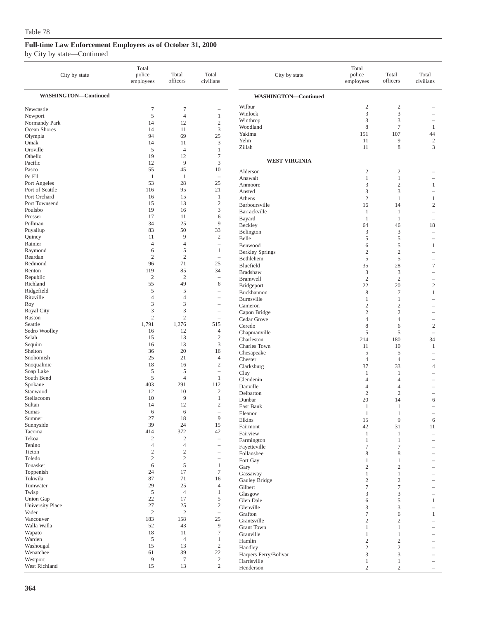### by City by state—Continued

| City by state                 | Total<br>police<br>employees | Total<br>officers            | Total<br>civilians                                    | City by state               | Total<br>police<br>employees     | Total<br>officers              | Total<br>civilians       |
|-------------------------------|------------------------------|------------------------------|-------------------------------------------------------|-----------------------------|----------------------------------|--------------------------------|--------------------------|
| <b>WASHINGTON-Continued</b>   |                              |                              |                                                       | <b>WASHINGTON-Continued</b> |                                  |                                |                          |
| Newcastle<br>Newport          | 7<br>5                       | $\tau$<br>$\overline{4}$     | 1                                                     | Wilbur<br>Winlock           | $\boldsymbol{2}$<br>3            | $\sqrt{2}$<br>3                |                          |
| Normandy Park                 | 14                           | 12                           | $\sqrt{2}$                                            | Winthrop                    | 3                                | 3                              | ۰                        |
| Ocean Shores                  | 14                           | 11                           | 3                                                     | Woodland                    | 8                                | $\tau$                         | $\mathbf{1}$             |
| Olympia                       | 94                           | 69                           | 25                                                    | Yakima                      | 151                              | 107                            | 44                       |
| Omak                          | 14                           | 11                           | 3                                                     | Yelm                        | 11                               | 9                              | $\sqrt{2}$               |
| Oroville                      | 5                            | $\overline{4}$               | $\mathbf{1}$                                          | Zillah                      | 11                               | $\,$ 8 $\,$                    | 3                        |
| Othello                       | 19                           | 12                           | $\tau$                                                |                             |                                  |                                |                          |
| Pacific                       | 12                           | 9                            | 3                                                     | <b>WEST VIRGINIA</b>        |                                  |                                |                          |
| Pasco                         | 55                           | 45                           | 10                                                    | Alderson                    | $\boldsymbol{2}$                 | $\sqrt{2}$                     |                          |
| Pe Ell                        | $\mathbf{1}$                 | $\mathbf{1}$                 | $\overline{\phantom{a}}$                              | Anawalt                     | $\mathbf{1}$                     | $\mathbf{1}$                   |                          |
| Port Angeles                  | 53                           | 28                           | 25                                                    | Anmoore                     | 3                                | $\sqrt{2}$                     | 1                        |
| Port of Seattle               | 116                          | 95                           | 21                                                    | Ansted                      | 3                                | $\mathfrak z$                  | $\overline{\phantom{a}}$ |
| Port Orchard<br>Port Townsend | 16<br>15                     | 15<br>13                     | $\mathbf{1}$<br>$\sqrt{2}$                            | Athens                      | $\overline{2}$                   | 1                              | 1                        |
| Poulsbo                       | 19                           | 16                           | $\mathfrak{Z}$                                        | Barboursville               | 16                               | 14                             | $\mathfrak{2}$           |
| Prosser                       | 17                           | 11                           | 6                                                     | Barrackville                | 1                                | 1                              | $\overline{\phantom{a}}$ |
| Pullman                       | 34                           | 25                           | 9                                                     | Bayard<br>Beckley           | $\mathbf{1}$<br>64               | $\mathbf{1}$<br>46             | 18                       |
| Puyallup                      | 83                           | 50                           | 33                                                    | Belington                   | $\mathfrak{Z}$                   | $\mathfrak z$                  | i.                       |
| Quincy                        | 11                           | 9                            | $\sqrt{2}$                                            | Belle                       | 5                                | 5                              | $\overline{\phantom{a}}$ |
| Rainier                       | $\overline{4}$               | $\overline{4}$               | $\hspace{1.0cm} - \hspace{1.0cm}$                     | Benwood                     | 6                                | 5                              | 1                        |
| Raymond                       | 6                            | 5                            | 1                                                     | <b>Berkley Springs</b>      | $\sqrt{2}$                       | $\sqrt{2}$                     |                          |
| Reardan                       | $\sqrt{2}$                   | $\overline{2}$               | $\overline{\phantom{m}}$                              | Bethlehem                   | $\sqrt{5}$                       | $\sqrt{5}$                     | $\qquad \qquad -$        |
| Redmond                       | 96                           | 71                           | 25                                                    | Bluefield                   | 35                               | 28                             | $\tau$                   |
| Renton                        | 119                          | 85                           | 34                                                    | <b>Bradshaw</b>             | 3                                | 3                              | i.                       |
| Republic<br>Richland          | $\mathfrak{2}$<br>55         | $\overline{2}$<br>49         | $\overline{\phantom{a}}$<br>6                         | Bramwell                    | $\overline{2}$                   | $\overline{2}$                 |                          |
| Ridgefield                    | 5                            | 5                            | $\overline{\phantom{m}}$                              | Bridgeport                  | 22                               | 20                             | $\mathbf{2}$             |
| Ritzville                     | $\overline{4}$               | $\overline{4}$               |                                                       | Buckhannon                  | 8                                | $\overline{7}$                 | 1                        |
| Roy                           | 3                            | 3                            | $\overline{\phantom{0}}$                              | Burnsville<br>Cameron       | 1<br>$\overline{c}$              | $\mathbf{1}$<br>$\overline{c}$ | $\overline{\phantom{a}}$ |
| Royal City                    | 3                            | 3                            | $\overline{\phantom{0}}$                              | Capon Bridge                | $\mathfrak{2}$                   | $\overline{c}$                 | ۰                        |
| Ruston                        | $\mathfrak{2}$               | $\overline{2}$               | $\overline{\phantom{a}}$                              | Cedar Grove                 | $\overline{4}$                   | $\overline{4}$                 | $\overline{\phantom{0}}$ |
| Seattle                       | 1,791                        | 1,276                        | 515                                                   | Ceredo                      | 8                                | 6                              | $\overline{c}$           |
| Sedro Woolley                 | 16                           | 12                           | $\overline{4}$                                        | Chapmanville                | 5                                | $\mathfrak s$                  | i.                       |
| Selah                         | 15<br>16                     | 13<br>13                     | $\sqrt{2}$<br>$\mathfrak{Z}$                          | Charleston                  | 214                              | 180                            | 34                       |
| Sequim<br>Shelton             | 36                           | 20                           | 16                                                    | Charles Town                | 11                               | 10                             | 1                        |
| Snohomish                     | 25                           | 21                           | $\overline{4}$                                        | Chesapeake                  | $\overline{5}$<br>$\overline{4}$ | 5<br>$\overline{4}$            | $\qquad \qquad -$        |
| Snoqualmie                    | 18                           | 16                           | $\mathfrak{2}$                                        | Chester<br>Clarksburg       | 37                               | 33                             | ۰<br>$\overline{4}$      |
| Soap Lake                     | 5                            | 5                            | $\overline{\phantom{a}}$                              | Clay                        | $\mathbf{1}$                     | 1                              |                          |
| South Bend                    | 5                            | $\overline{4}$               | 1                                                     | Clendenin                   | $\overline{4}$                   | $\overline{4}$                 |                          |
| Spokane                       | 403                          | 291                          | 112                                                   | Danville                    | $\overline{4}$                   | $\overline{4}$                 | -                        |
| Stanwood                      | 12                           | 10                           | $\sqrt{2}$                                            | Delbarton                   | $\overline{c}$                   | $\mathfrak{2}$                 | $\overline{\phantom{0}}$ |
| Steilacoom                    | 10                           | 9                            | $\mathbf{1}$                                          | Dunbar                      | 20                               | 14                             | 6                        |
| Sultan<br><b>Sumas</b>        | 14<br>6                      | 12<br>6                      | $\boldsymbol{2}$<br>$\hspace{1.0cm} - \hspace{1.0cm}$ | East Bank                   | $\mathbf{1}$                     | -1                             | $\overline{\phantom{a}}$ |
| Sumner                        | 27                           | 18                           | 9                                                     | Eleanor<br>Elkins           | $\mathbf{1}$<br>15               | 1<br>$\overline{9}$            | ۰                        |
| Sunnyside                     | 39                           | 24                           | 15                                                    | Fairmont                    | 42                               | 31                             | 6<br>11                  |
| Tacoma                        | 414                          | 372                          | $42\,$                                                | Fairview                    | $\mathbf{1}$                     | $\mathbf{1}$                   | i.                       |
| Tekoa                         | $\sqrt{2}$                   | $\sqrt{2}$                   | $\qquad \qquad -$                                     | Farmington                  | $\mathbf{1}$                     | $\mathbf{1}$                   |                          |
| Tenino                        | $\overline{4}$               | $\overline{4}$               | $\overline{\phantom{0}}$                              | Fayetteville                | $\tau$                           | 7                              |                          |
| Tieton                        | $\sqrt{2}$                   | $\sqrt{2}$<br>$\overline{c}$ | $\overline{\phantom{a}}$                              | Follansbee                  | 8                                | 8                              |                          |
| Toledo<br>Tonasket            | $\sqrt{2}$<br>6              | 5                            | $\overline{\phantom{m}}$<br>$\mathbf{1}$              | Fort Gay                    | $\mathbf{1}$                     | $\mathbf{1}$                   | ÷                        |
| Toppenish                     | 24                           | 17                           | $\boldsymbol{7}$                                      | Gary<br>Gassaway            | $\mathbf{2}$<br>$\mathbf{1}$     | $\sqrt{2}$<br>$\mathbf{1}$     |                          |
| Tukwila                       | 87                           | $71\,$                       | 16                                                    | Gauley Bridge               | $\sqrt{2}$                       | $\sqrt{2}$                     | $\overline{\phantom{a}}$ |
| Tumwater                      | 29                           | 25                           | $\overline{4}$                                        | Gilbert                     | $\tau$                           | $\boldsymbol{7}$               | ÷,                       |
| Twisp                         | $\sqrt{5}$                   | $\overline{4}$               | $\mathbf{1}$                                          | Glasgow                     | 3                                | 3                              |                          |
| <b>Union Gap</b>              | 22                           | 17                           | 5                                                     | Glen Dale                   | 6                                | 5                              | $\mathbf{1}$             |
| University Place              | $27\,$                       | 25                           | $\sqrt{2}$                                            | Glenville                   | 3                                | 3                              | i.                       |
| Vader                         | $\sqrt{2}$                   | $\overline{c}$               | $\overline{\phantom{m}}$                              | Grafton                     | $\tau$                           | 6                              | $\mathbf{1}$             |
| Vancouver                     | 183                          | 158                          | 25                                                    | Grantsville                 | $\sqrt{2}$                       | $\sqrt{2}$                     | $\qquad \qquad -$        |
| Walla Walla<br>Wapato         | 52<br>18                     | 43<br>11                     | $\overline{9}$<br>$\tau$                              | <b>Grant Town</b>           | $\mathbf{1}$                     | $\mathbf{1}$                   |                          |
| Warden                        | 5                            | $\overline{4}$               | $\mathbf{1}$                                          | Granville                   | $\mathbf{1}$                     | $\mathbf{1}$                   |                          |
| Washougal                     | 15                           | 13                           | $\sqrt{2}$                                            | Hamlin<br>Handley           | $\sqrt{2}$                       | $\sqrt{2}$                     |                          |
| Wenatchee                     | 61                           | 39                           | 22                                                    | Harpers Ferry/Bolivar       | $\mathfrak{2}$<br>$\mathfrak{Z}$ | $\sqrt{2}$<br>$\mathfrak{Z}$   |                          |
| Westport                      | $\overline{9}$               | $\tau$                       | $\sqrt{2}$                                            | Harrisville                 | $\mathbf{1}$                     | $\mathbf{1}$                   |                          |
| West Richland                 | 15                           | 13                           | $\sqrt{2}$                                            | Henderson                   | $\sqrt{2}$                       | $\sqrt{2}$                     |                          |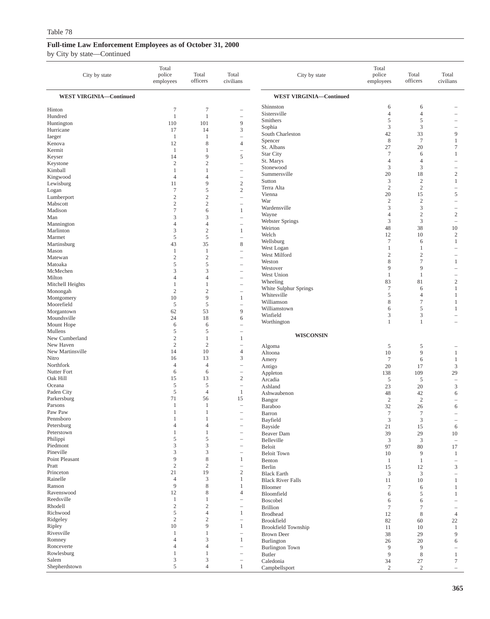| City by state                  | Total<br>police<br>employees   | Total<br>officers              | Total<br>civilians                            | City by state                      | Total<br>police<br>employees | Total<br>officers     | Total<br>civilians                         |
|--------------------------------|--------------------------------|--------------------------------|-----------------------------------------------|------------------------------------|------------------------------|-----------------------|--------------------------------------------|
| <b>WEST VIRGINIA-Continued</b> |                                |                                |                                               | <b>WEST VIRGINIA-Continued</b>     |                              |                       |                                            |
| Hinton                         | $\tau$                         | $\overline{7}$                 | -                                             | Shinnston                          | 6                            | 6                     |                                            |
| Hundred                        | $\mathbf{1}$                   | $\mathbf{1}$                   | L.                                            | Sistersville                       | $\overline{4}$               | $\overline{4}$        |                                            |
| Huntington                     | 110                            | 101                            | 9                                             | Smithers<br>Sophia                 | 5<br>3                       | 5<br>3                |                                            |
| Hurricane                      | 17                             | 14                             | 3                                             | South Charleston                   | 42                           | 33                    | 9                                          |
| Iaeger                         | $\mathbf{1}$                   | $\mathbf{1}$                   | L,                                            | Spencer                            | 8                            | $\tau$                | $\mathbf{1}$                               |
| Kenova<br>Kermit               | 12<br>$\mathbf{1}$             | 8<br>$\mathbf{1}$              | $\overline{4}$<br>L,                          | St. Albans                         | 27                           | 20                    | $\tau$                                     |
| Keyser                         | 14                             | 9                              | 5                                             | <b>Star City</b>                   | $\overline{7}$               | 6                     | 1                                          |
| Keystone                       | $\overline{2}$                 | $\overline{2}$                 | -                                             | St. Marys                          | $\overline{4}$               | $\overline{4}$        | $\equiv$                                   |
| Kimball                        | $\mathbf{1}$                   | 1                              | $\overline{\phantom{a}}$                      | Stonewood                          | 3                            | 3                     | $\overline{\phantom{m}}$                   |
| Kingwood                       | $\overline{4}$                 | $\overline{4}$                 | $\qquad \qquad -$                             | Summersville<br>Sutton             | 20<br>3                      | 18<br>$\overline{c}$  | $\overline{2}$<br>1                        |
| Lewisburg                      | 11                             | 9                              | $\sqrt{2}$                                    | Terra Alta                         | $\sqrt{2}$                   | $\sqrt{2}$            | $\hspace{1.0cm} - \hspace{1.0cm}$          |
| Logan                          | $\tau$<br>$\overline{c}$       | 5                              | $\sqrt{2}$                                    | Vienna                             | 20                           | 15                    | 5                                          |
| Lumberport<br>Mabscott         | $\overline{2}$                 | $\mathbf{2}$<br>$\mathbf{2}$   | $\overline{\phantom{0}}$<br>i.                | War                                | $\sqrt{2}$                   | $\overline{c}$        | ÷                                          |
| Madison                        | $\tau$                         | 6                              | 1                                             | Wardensville                       | 3                            | 3                     | ۰                                          |
| Man                            | 3                              | 3                              | L.                                            | Wayne                              | 4                            | $\sqrt{2}$            | $\sqrt{2}$                                 |
| Mannington                     | $\overline{4}$                 | $\overline{4}$                 |                                               | <b>Webster Springs</b><br>Weirton  | 3                            | 3                     | $\overline{\phantom{a}}$                   |
| Marlinton                      | 3                              | $\sqrt{2}$                     | 1                                             | Welch                              | 48<br>12                     | 38<br>10              | 10<br>$\overline{2}$                       |
| Marmet                         | 5                              | $\sqrt{5}$                     | $\qquad \qquad -$                             | Wellsburg                          | $\tau$                       | 6                     | 1                                          |
| Martinsburg                    | 43                             | 35                             | $\,$ 8 $\,$                                   | West Logan                         | 1                            | 1                     | $\overline{\phantom{a}}$                   |
| Mason<br>Matewan               | $\mathbf{1}$<br>$\sqrt{2}$     | $\mathbf{1}$<br>$\sqrt{2}$     | L,<br>$\overline{\phantom{a}}$                | West Milford                       | $\overline{c}$               | $\overline{c}$        |                                            |
| Matoaka                        | 5                              | 5                              | $\overline{\phantom{0}}$                      | Weston                             | 8                            | $\tau$                | 1                                          |
| McMechen                       | 3                              | 3                              | L.                                            | Westover                           | 9                            | 9                     | $\equiv$                                   |
| Milton                         | $\overline{4}$                 | $\overline{4}$                 | L,                                            | West Union                         | 1                            | $\mathbf{1}$          |                                            |
| Mitchell Heights               | $\mathbf{1}$                   | $\mathbf{1}$                   | L.                                            | Wheeling<br>White Sulphur Springs  | 83<br>$\overline{7}$         | 81<br>6               | $\overline{c}$<br>1                        |
| Monongah                       | $\sqrt{2}$                     | $\sqrt{2}$                     |                                               | Whitesville                        | 5                            | $\overline{4}$        | 1                                          |
| Montgomery                     | 10                             | 9                              | 1                                             | Williamson                         | 8                            | $\tau$                | -1                                         |
| Moorefield<br>Morgantown       | 5<br>62                        | 5<br>53                        | $\overline{\phantom{a}}$<br>9                 | Williamstown                       | 6                            | 5                     | 1                                          |
| Moundsville                    | 24                             | 18                             | 6                                             | Winfield                           | 3                            | 3                     | $\overline{\phantom{a}}$                   |
| Mount Hope                     | 6                              | 6                              | $\overline{\phantom{a}}$                      | Worthington                        | $\mathbf{1}$                 | $\mathbf{1}$          |                                            |
| Mullens                        | 5                              | 5                              | $\overline{\phantom{0}}$                      |                                    |                              |                       |                                            |
| New Cumberland                 | $\overline{2}$                 | 1                              | 1                                             | <b>WISCONSIN</b>                   |                              |                       |                                            |
| New Haven                      | $\overline{c}$                 | $\mathbf{2}$                   | $\qquad \qquad -$                             | Algoma                             | 5                            | $\mathfrak s$         |                                            |
| New Martinsville<br>Nitro      | 14<br>16                       | 10<br>13                       | $\overline{4}$<br>3                           | Altoona                            | 10                           | 9                     | 1                                          |
| Northfork                      | $\overline{4}$                 | $\overline{4}$                 | -                                             | Amery<br>Antigo                    | $\tau$<br>20                 | 6<br>17               | $\mathbf{1}$<br>$\mathfrak{Z}$             |
| Nutter Fort                    | 6                              | 6                              | $\qquad \qquad -$                             | Appleton                           | 138                          | 109                   | 29                                         |
| Oak Hill                       | 15                             | 13                             | $\sqrt{2}$                                    | Arcadia                            | 5                            | $\sqrt{5}$            | $\overline{\phantom{a}}$                   |
| Oceana                         | 5                              | 5                              | $\qquad \qquad -$                             | Ashland                            | 23                           | 20                    | 3                                          |
| Paden City                     | 5                              | $\overline{4}$                 | $\mathbf{1}$                                  | Ashwaubenon                        | 48                           | 42                    | 6                                          |
| Parkersburg<br>Parsons         | 71<br>$\mathbf{1}$             | 56<br>1                        | 15                                            | Bangor                             | $\overline{c}$               | $\sqrt{2}$            | $\overline{\phantom{a}}$                   |
| Paw Paw                        | 1                              | $\mathbf{1}$                   | $\overline{\phantom{a}}$                      | Baraboo                            | 32<br>$\tau$                 | 26<br>$\tau$          | 6                                          |
| Pennsboro                      |                                |                                |                                               | Barron<br>Bayfield                 | 3                            | 3                     |                                            |
| Petersburg                     | $\overline{4}$                 | 4                              | $\qquad \qquad -$                             | Bayside                            | 21                           | 15                    | 6                                          |
| Peterstown                     | $\mathbf{1}$                   | $\mathbf{1}$                   |                                               | Beaver Dam                         | 39                           | 29                    | $10\,$                                     |
| Philippi                       | 5                              | 5                              | $\overline{\phantom{0}}$                      | Belleville                         | $\mathfrak{Z}$               | 3                     | $\overline{\phantom{a}}$                   |
| Piedmont<br>Pineville          | 3<br>3                         | 3<br>3                         | $\qquad \qquad -$                             | Beloit                             | 97                           | 80                    | 17                                         |
| Point Pleasant                 | 9                              | 8                              | $\qquad \qquad -$<br>$\mathbf{1}$             | <b>Beloit Town</b>                 | 10                           | 9                     | 1                                          |
| Pratt                          | $\sqrt{2}$                     | $\mathbf{2}$                   | $\qquad \qquad -$                             | Benton<br>Berlin                   | $\mathbf{1}$<br>15           | $\mathbf{1}$<br>12    | $\overline{\phantom{a}}$<br>$\mathfrak{Z}$ |
| Princeton                      | 21                             | 19                             | $\sqrt{2}$                                    | <b>Black Earth</b>                 | 3                            | $\mathfrak{Z}$        | $\overline{\phantom{0}}$                   |
| Rainelle                       | $\overline{4}$                 | 3                              | $\mathbf{1}$                                  | <b>Black River Falls</b>           | 11                           | 10                    | $\mathbf{1}$                               |
| Ranson                         | 9                              | 8                              | 1                                             | Bloomer                            | $\tau$                       | 6                     | 1                                          |
| Ravenswood                     | 12                             | 8                              | 4                                             | Bloomfield                         | 6                            | 5                     | 1                                          |
| Reedsville<br>Rhodell          | $\mathbf{1}$<br>$\mathfrak{2}$ | $\mathbf{1}$<br>$\overline{c}$ | $\overline{\phantom{0}}$                      | Boscobel                           | 6                            | 6                     |                                            |
| Richwood                       | $\mathfrak s$                  | $\overline{4}$                 | $\qquad \qquad -$<br>$\mathbf{1}$             | <b>Brillion</b><br><b>Brodhead</b> | $\tau$<br>12                 | $\tau$<br>$\,$ 8 $\,$ | $\overline{\phantom{m}}$<br>$\overline{4}$ |
| Ridgeley                       | $\sqrt{2}$                     | $\mathbf{2}$                   | -                                             | Brookfield                         | 82                           | 60                    | 22                                         |
| Ripley                         | 10                             | 9                              | $\mathbf{1}$                                  | <b>Brookfield Township</b>         | 11                           | 10                    | -1                                         |
| Rivesville                     | $\mathbf{1}$                   | $\mathbf{1}$                   | $\qquad \qquad -$                             | <b>Brown Deer</b>                  | 38                           | 29                    | 9                                          |
| Romney                         | $\overline{4}$                 | 3                              | $\mathbf{1}$                                  | Burlington                         | 26                           | 20                    | 6                                          |
| Ronceverte                     | $\overline{4}$                 | $\overline{4}$                 | $\qquad \qquad -$                             | <b>Burlington Town</b>             | 9                            | 9                     | $\overline{\phantom{0}}$                   |
| Rowlesburg<br>Salem            | $\mathbf{1}$<br>$\mathfrak z$  | $\mathbf{1}$<br>3              | $\overline{\phantom{0}}$<br>$\qquad \qquad -$ | <b>Butler</b>                      | 9                            | $\,$ 8 $\,$           | $\mathbf{1}$                               |
| Shepherdstown                  | 5                              | $\overline{4}$                 | $\mathbf{1}$                                  | Caledonia<br>Campbellsport         | 34<br>$\overline{c}$         | 27<br>$\mathfrak{2}$  | $\tau$<br>$\overline{\phantom{a}}$         |
|                                |                                |                                |                                               |                                    |                              |                       |                                            |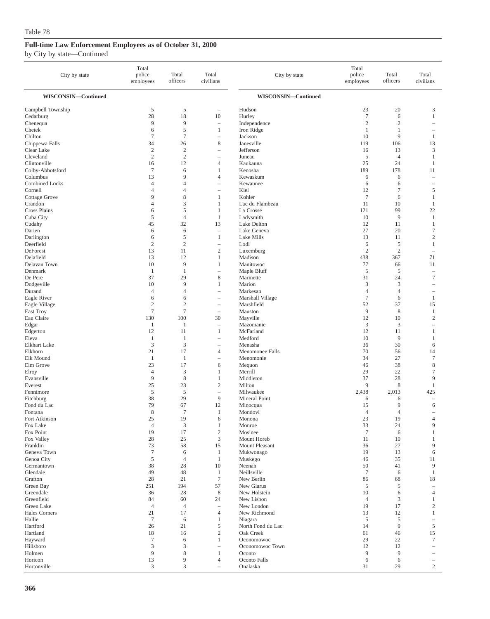### by City by state—Continued

| City by state             | Total<br>police<br>employees | Total<br>officers              | Total<br>civilians             | City by state              | Total<br>police<br>employees | Total<br>officers | Total<br>civilians                  |
|---------------------------|------------------------------|--------------------------------|--------------------------------|----------------------------|------------------------------|-------------------|-------------------------------------|
| WISCONSIN-Continued       |                              |                                |                                | WISCONSIN-Continued        |                              |                   |                                     |
| Campbell Township         | 5                            | 5                              |                                | Hudson                     | 23                           | 20                | 3                                   |
| Cedarburg                 | 28                           | 18                             | 10                             | Hurley                     | $\overline{7}$               | 6                 | $\mathbf{1}$                        |
| Chenequa                  | 9                            | 9                              | $\overline{\phantom{a}}$       | Independence               | $\overline{2}$               | $\mathfrak{2}$    | $\overline{\phantom{a}}$            |
| Chetek                    | 6                            | 5                              | 1                              | Iron Ridge                 | $\mathbf{1}$                 | $\mathbf{1}$      |                                     |
| Chilton<br>Chippewa Falls | $\tau$<br>34                 | $\overline{\mathcal{I}}$<br>26 | $\overline{\phantom{0}}$<br>8  | Jackson<br>Janesville      | 10<br>119                    | 9<br>106          | 1<br>13                             |
| Clear Lake                | $\overline{2}$               | $\mathbf{2}$                   | Ē,                             | Jefferson                  | 16                           | 13                | 3                                   |
| Cleveland                 | $\mathfrak{2}$               | $\mathbf{2}$                   | $\qquad \qquad -$              | Juneau                     | 5                            | $\overline{4}$    | 1                                   |
| Clintonville              | 16                           | 12                             | $\overline{4}$                 | Kaukauna                   | 25                           | 24                | 1                                   |
| Colby-Abbotsford          | $\tau$                       | 6                              | 1                              | Kenosha                    | 189                          | 178               | 11                                  |
| Columbus                  | 13                           | 9                              | $\overline{4}$                 | Kewaskum                   | 6                            | 6                 |                                     |
| <b>Combined Locks</b>     | $\overline{4}$               | $\overline{4}$                 | L.                             | Kewaunee                   | 6                            | 6                 | $\overline{\phantom{a}}$            |
| Cornell                   | $\overline{4}$               | $\overline{4}$                 | $\qquad \qquad -$              | Kiel                       | 12                           | $\tau$            | 5                                   |
| Cottage Grove<br>Crandon  | 9<br>$\overline{4}$          | 8<br>3                         | 1<br>1                         | Kohler<br>Lac du Flambeau  | $\overline{7}$<br>11         | 6<br>10           | $\mathbf{1}$<br>1                   |
| <b>Cross Plains</b>       | 6                            | 5                              | $\mathbf{1}$                   | La Crosse                  | 121                          | 99                | 22                                  |
| Cuba City                 | 5                            | $\overline{4}$                 | 1                              | Ladysmith                  | 10                           | 9                 | 1                                   |
| Cudahy                    | 45                           | 32                             | 13                             | Lake Delton                | 12                           | 11                | 1                                   |
| Darien                    | 6                            | 6                              | $\overline{\phantom{a}}$       | Lake Geneva                | 27                           | 20                | $\tau$                              |
| Darlington                | 6                            | 5                              | 1                              | Lake Mills                 | 13                           | 11                | $\sqrt{2}$                          |
| Deerfield                 | $\overline{2}$               | $\mathfrak{2}$                 |                                | Lodi                       | 6                            | 5                 | $\mathbf{1}$                        |
| DeForest                  | 13                           | 11                             | $\overline{c}$                 | Luxemburg                  | $\overline{2}$               | $\overline{c}$    | $\qquad \qquad -$                   |
| Delafield<br>Delavan Town | 13<br>10                     | 12<br>9                        | 1<br>1                         | Madison<br>Manitowoc       | 438<br>77                    | 367               | 71<br>11                            |
| Denmark                   | 1                            | $\mathbf{1}$                   | L.                             | Maple Bluff                | 5                            | 66<br>5           | $\overline{\phantom{a}}$            |
| De Pere                   | 37                           | 29                             | 8                              | Marinette                  | 31                           | 24                | $\tau$                              |
| Dodgeville                | 10                           | 9                              | $\mathbf{1}$                   | Marion                     | 3                            | 3                 | $\overline{\phantom{a}}$            |
| Durand                    | $\overline{4}$               | $\overline{4}$                 | ÷,                             | Markesan                   | $\overline{4}$               | $\overline{4}$    |                                     |
| Eagle River               | 6                            | 6                              | $\overline{\phantom{0}}$       | Marshall Village           | $\overline{7}$               | 6                 | 1                                   |
| Eagle Village             | $\mathbf{2}$                 | $\mathfrak{2}$                 |                                | Marshfield                 | 52                           | 37                | 15                                  |
| East Troy                 | $\overline{7}$               | $\overline{7}$                 |                                | Mauston                    | 9                            | 8                 | 1                                   |
| Eau Claire                | 130<br>1                     | 100<br>1                       | 30<br>$\overline{\phantom{a}}$ | Mayville<br>Mazomanie      | 12<br>3                      | 10<br>3           | $\mathfrak{2}$<br>$\qquad \qquad -$ |
| Edgar<br>Edgerton         | 12                           | 11                             | 1                              | McFarland                  | 12                           | 11                | 1                                   |
| Eleva                     | 1                            | 1                              | $\overline{\phantom{0}}$       | Medford                    | 10                           | 9                 | 1                                   |
| Elkhart Lake              | 3                            | 3                              | $\qquad \qquad -$              | Menasha                    | 36                           | 30                | 6                                   |
| Elkhorn                   | 21                           | 17                             | $\overline{4}$                 | Menomonee Falls            | 70                           | 56                | 14                                  |
| Elk Mound                 | 1                            | $\mathbf{1}$                   | $\qquad \qquad -$              | Menomonie                  | 34                           | 27                | $\tau$                              |
| Elm Grove                 | 23                           | 17                             | 6                              | Mequon                     | 46                           | 38                | 8                                   |
| Elroy                     | $\overline{4}$<br>9          | $\mathfrak z$                  | 1                              | Merrill                    | 29                           | 22                | $\boldsymbol{7}$                    |
| Evansville<br>Everest     | 25                           | 8<br>23                        | 1<br>2                         | Middleton<br>Milton        | 37<br>9                      | 28<br>8           | 9<br>1                              |
| Fennimore                 | 5                            | 5                              | $\overline{\phantom{a}}$       | Milwaukee                  | 2,438                        | 2,013             | 425                                 |
| Fitchburg                 | 38                           | 29                             | 9                              | Mineral Point              | 6                            | 6                 |                                     |
| Fond du Lac               | 79                           | 67                             | 12                             | Minocqua                   | 15                           | 9                 | 6                                   |
| Fontana                   | 8                            | 7                              | -1                             | Mondovi                    | $\overline{4}$               | $\overline{4}$    |                                     |
| Fort Atkinson             | 25                           | 19                             | 6                              | Monona                     | 23                           | 19                | $\Lambda$                           |
| Fox Lake                  | $\overline{4}$               | $\ensuremath{\mathsf{3}}$      | $\mathbf{1}$                   | Monroe                     | 33                           | 24                | 9                                   |
| Fox Point<br>Fox Valley   | 19<br>28                     | 17<br>25                       | $\sqrt{2}$<br>$\mathfrak{Z}$   | Mosinee<br>Mount Horeb     | $\tau$<br>11                 | 6<br>10           | 1<br>1                              |
| Franklin                  | 73                           | 58                             | 15                             | Mount Pleasant             | 36                           | 27                | 9                                   |
| Geneva Town               | $\tau$                       | 6                              | $\mathbf{1}$                   | Mukwonago                  | 19                           | 13                | 6                                   |
| Genoa City                | $\mathfrak s$                | 4                              | -1                             | Muskego                    | 46                           | 35                | 11                                  |
| Germantown                | 38                           | 28                             | 10                             | Neenah                     | 50                           | 41                | 9                                   |
| Glendale                  | 49                           | 48                             | 1                              | Neillsville                | $\overline{7}$               | 6                 | $\mathbf{1}$                        |
| Grafton                   | 28                           | 21                             | $\tau$                         | New Berlin                 | 86                           | 68                | 18                                  |
| Green Bay<br>Greendale    | 251<br>36                    | 194<br>28                      | 57<br>8                        | New Glarus<br>New Holstein | 5<br>10                      | 5<br>6            | i.<br>$\overline{4}$                |
| Greenfield                | 84                           | 60                             | 24                             | New Lisbon                 | $\overline{4}$               | 3                 | 1                                   |
| Green Lake                | $\overline{4}$               | $\overline{4}$                 | Ē,                             | New London                 | 19                           | 17                | $\mathfrak{2}$                      |
| Hales Corners             | 21                           | 17                             | $\overline{4}$                 | New Richmond               | 13                           | 12                | $\mathbf{1}$                        |
| Hallie                    | $\tau$                       | 6                              | $\mathbf{1}$                   | Niagara                    | 5                            | 5                 | $\overline{\phantom{0}}$            |
| Hartford                  | 26                           | 21                             | 5                              | North Fond du Lac          | 14                           | $\overline{9}$    | 5                                   |
| Hartland                  | 18                           | 16                             | $\overline{c}$                 | Oak Creek                  | 61                           | 46                | 15                                  |
| Hayward                   | $\tau$                       | 6                              | $\mathbf{1}$                   | Oconomowoc                 | 29                           | 22                | 7                                   |
| Hillsboro                 | 3                            | 3                              | $\qquad \qquad -$              | Oconomowoc Town            | 12                           | 12                |                                     |
| Holmen<br>Horicon         | 9<br>13                      | 8<br>9                         | $\mathbf{1}$<br>$\overline{4}$ | Oconto<br>Oconto Falls     | 9<br>6                       | 9<br>6            |                                     |
| Hortonville               | 3                            | 3                              | Ē,                             | Onalaska                   | 31                           | 29                | $\overline{c}$                      |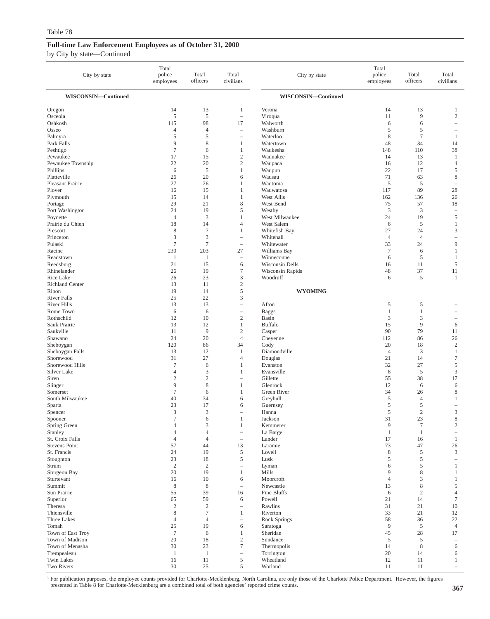| City by state                     | Total<br>police<br>employees | Total<br>officers         | Total<br>civilians                            | City by state              | Total<br>police<br>employees | Total<br>officers    | Total<br>civilians                                  |
|-----------------------------------|------------------------------|---------------------------|-----------------------------------------------|----------------------------|------------------------------|----------------------|-----------------------------------------------------|
| WISCONSIN-Continued               |                              |                           |                                               | WISCONSIN-Continued        |                              |                      |                                                     |
| Oregon                            | 14                           | 13                        | 1                                             | Verona                     | 14                           | 13                   | $\mathbf{1}$                                        |
| Osceola                           | 5                            | 5                         | $\overline{\phantom{a}}$                      | Viroqua                    | 11                           | 9                    | $\overline{c}$                                      |
| Oshkosh                           | 115                          | 98                        | 17                                            | Walworth                   | 6                            | 6                    | $\overline{\phantom{a}}$                            |
| Osseo<br>Palmyra                  | $\overline{4}$<br>5          | $\overline{4}$<br>5       | $\overline{\phantom{a}}$<br>$\qquad \qquad -$ | Washburn<br>Waterloo       | 5<br>8                       | 5<br>$7\phantom{.0}$ | $\overline{\phantom{m}}$<br>$\mathbf{1}$            |
| Park Falls                        | 9                            | $\,$ 8 $\,$               | 1                                             | Watertown                  | 48                           | 34                   | 14                                                  |
| Peshtigo                          | $\overline{7}$               | 6                         | $\mathbf{1}$                                  | Waukesha                   | 148                          | 110                  | 38                                                  |
| Pewaukee                          | 17                           | 15                        | $\mathfrak{2}$                                | Waunakee                   | 14                           | 13                   | $\mathbf{1}$                                        |
| Pewaukee Township                 | 22                           | 20                        | $\sqrt{2}$                                    | Waupaca                    | 16                           | 12                   | $\overline{4}$                                      |
| Phillips                          | 6                            | 5                         | $\mathbf{1}$                                  | Waupun                     | 22                           | 17                   | 5                                                   |
| Platteville                       | 26                           | 20                        | 6                                             | Wausau                     | 71                           | 63                   | $\,8\,$                                             |
| Pleasant Prairie<br>Plover        | 27<br>16                     | 26<br>15                  | 1<br>1                                        | Wautoma<br>Wauwatosa       | 5<br>117                     | 5<br>89              | ÷<br>28                                             |
| Plymouth                          | 15                           | 14                        | 1                                             | West Allis                 | 162                          | 136                  | 26                                                  |
| Portage                           | 29                           | 21                        | 8                                             | West Bend                  | 75                           | 57                   | 18                                                  |
| Port Washington                   | 24                           | 19                        | 5                                             | Westby                     | $\mathfrak{Z}$               | $\mathfrak{Z}$       | $\equiv$                                            |
| Poynette                          | $\overline{4}$               | 3                         | $\mathbf{1}$                                  | West Milwaukee             | 24                           | 19                   | $\overline{5}$                                      |
| Prairie du Chien                  | 18                           | 14                        | $\overline{4}$                                | West Salem                 | 6                            | 5                    | $\mathbf{1}$                                        |
| Prescott                          | 8                            | $\tau$                    | 1                                             | Whitefish Bay              | 27                           | 24                   | $\mathfrak{Z}$                                      |
| Princeton                         | 3                            | 3                         | $\qquad \qquad -$                             | Whitehall                  | $\overline{4}$               | $\overline{4}$       | $\qquad \qquad -$                                   |
| Pulaski<br>Racine                 | $\overline{7}$<br>230        | $\tau$<br>203             | $\equiv$<br>27                                | Whitewater<br>Williams Bay | 33<br>$\tau$                 | 24<br>6              | 9<br>$\mathbf{1}$                                   |
| Readstown                         | 1                            | 1                         | $\equiv$                                      | Winneconne                 | 6                            | 5                    | $\mathbf{1}$                                        |
| Reedsburg                         | 21                           | 15                        | 6                                             | Wisconsin Dells            | 16                           | 11                   | 5                                                   |
| Rhinelander                       | 26                           | 19                        | $\tau$                                        | Wisconsin Rapids           | 48                           | 37                   | 11                                                  |
| Rice Lake                         | 26                           | 23                        | 3                                             | Woodruff                   | 6                            | 5                    | -1                                                  |
| <b>Richland Center</b>            | 13                           | 11                        | $\mathfrak{2}$                                |                            |                              |                      |                                                     |
| Ripon                             | 19                           | 14                        | 5                                             | <b>WYOMING</b>             |                              |                      |                                                     |
| River Falls<br><b>River Hills</b> | 25<br>13                     | 22<br>13                  | 3                                             |                            | 5                            | 5                    |                                                     |
| Rome Town                         | 6                            | 6                         | $\qquad \qquad -$<br>$\qquad \qquad -$        | Afton<br><b>Baggs</b>      | 1                            | 1                    |                                                     |
| Rothschild                        | 12                           | 10                        | $\sqrt{2}$                                    | Basin                      | 3                            | 3                    |                                                     |
| Sauk Prairie                      | 13                           | 12                        | 1                                             | <b>Buffalo</b>             | 15                           | 9                    | 6                                                   |
| Saukville                         | 11                           | 9                         | $\sqrt{2}$                                    | Casper                     | 90                           | 79                   | 11                                                  |
| Shawano                           | 24                           | 20                        | $\overline{4}$                                | Cheyenne                   | 112                          | 86                   | 26                                                  |
| Sheboygan                         | 120                          | 86                        | 34                                            | Cody                       | 20                           | 18                   | $\overline{2}$                                      |
| Sheboygan Falls<br>Shorewood      | 13<br>31                     | 12<br>27                  | $\mathbf{1}$<br>$\overline{4}$                | Diamondville               | $\overline{4}$<br>21         | 3<br>14              | $\mathbf{1}$<br>$\boldsymbol{7}$                    |
| Shorewood Hills                   | $\overline{7}$               | 6                         | $\mathbf{1}$                                  | Douglas<br>Evanston        | 32                           | 27                   | $\overline{5}$                                      |
| Silver Lake                       | $\overline{4}$               | 3                         | $\mathbf{1}$                                  | Evansville                 | 8                            | 5                    | $\mathfrak{Z}$                                      |
| Siren                             | 2                            | $\overline{c}$            | $\equiv$                                      | Gillette                   | 55                           | 38                   | 17                                                  |
| Slinger                           | 9                            | $\,$ 8 $\,$               | 1                                             | Glenrock                   | 12                           | 6                    | 6                                                   |
| Somerset                          | $\overline{7}$               | 6                         | 1                                             | Green River                | 34                           | 26                   | 8                                                   |
| South Milwaukee                   | 40                           | 34                        | 6                                             | Greybull                   | 5                            | $\overline{4}$       | 1                                                   |
| Sparta<br>Spencer                 | 23<br>3                      | 17<br>3                   | 6<br>$\equiv$                                 | Guernsey<br>Hanna          | 5<br>5                       | 5<br>$\mathfrak{2}$  | $\hspace{1.0cm} - \hspace{1.0cm}$<br>$\mathfrak{Z}$ |
| Spooner                           | $\overline{7}$               | 6                         | 1                                             | Jackson                    | 31                           | $23\,$               | 8                                                   |
| Spring Green                      | $\overline{4}$               | $\ensuremath{\mathsf{3}}$ | $\mathbf{1}$                                  | Kemmerer                   | $\overline{9}$               | $\boldsymbol{7}$     | $\sqrt{2}$                                          |
| Stanley                           | 4                            | $\overline{4}$            | $\qquad \qquad -$                             | La Barge                   | -1                           | $\mathbf{1}$         | $\overline{\phantom{a}}$                            |
| St. Croix Falls                   | $\overline{4}$               | $\overline{4}$            | $\qquad \qquad -$                             | Lander                     | 17                           | 16                   | $\mathbf{1}$                                        |
| <b>Stevens Point</b>              | 57                           | 44                        | 13                                            | Laramie                    | 73                           | 47                   | 26                                                  |
| St. Francis                       | 24                           | 19                        | $\mathfrak s$<br>5                            | Lovell                     | $\,$ 8 $\,$                  | $\mathfrak s$        | $\mathfrak{Z}$                                      |
| Stoughton<br>Strum                | 23<br>$\sqrt{2}$             | 18<br>$\sqrt{2}$          | $\qquad \qquad -$                             | Lusk<br>Lyman              | 5<br>6                       | 5<br>5               | $\overline{\phantom{a}}$<br>$\mathbf{1}$            |
| Sturgeon Bay                      | 20                           | 19                        | $\mathbf{1}$                                  | Mills                      | 9                            | 8                    | $\mathbf{1}$                                        |
| Sturtevant                        | 16                           | 10                        | 6                                             | Moorcroft                  | $\overline{4}$               | 3                    | -1                                                  |
| Summit                            | $\,$ 8 $\,$                  | $\,$ 8 $\,$               | $\overline{\phantom{a}}$                      | Newcastle                  | 13                           | 8                    | 5                                                   |
| Sun Prairie                       | 55                           | 39                        | 16                                            | Pine Bluffs                | 6                            | $\boldsymbol{2}$     | $\overline{4}$                                      |
| Superior                          | 65                           | 59                        | 6                                             | Powell                     | 21                           | 14                   | $\tau$                                              |
| Theresa<br>Thiensville            | $\boldsymbol{2}$<br>8        | $\overline{2}$<br>$\tau$  | $\overline{\phantom{0}}$<br>1                 | Rawlins<br>Riverton        | 31<br>33                     | 21<br>21             | 10<br>12                                            |
| Three Lakes                       | $\overline{4}$               | $\overline{4}$            | $\qquad \qquad -$                             | <b>Rock Springs</b>        | 58                           | 36                   | 22                                                  |
| Tomah                             | 25                           | 19                        | 6                                             | Saratoga                   | 9                            | 5                    | $\overline{4}$                                      |
| Town of East Troy                 | $\boldsymbol{7}$             | 6                         | $\mathbf{1}$                                  | Sheridan                   | 45                           | 28                   | 17                                                  |
| Town of Madison                   | 20                           | 18                        | $\overline{c}$                                | Sundance                   | 5                            | 5                    |                                                     |
| Town of Menasha                   | 30                           | 23                        | 7                                             | Thermopolis                | 14                           | 8                    | 6                                                   |
| Trempealeau                       | $\mathbf{1}$                 | $\mathbf{1}$              | $\qquad \qquad -$                             | Torrington                 | $20\,$                       | 14                   | 6                                                   |
| Twin Lakes<br>Two Rivers          | 16<br>30                     | 11<br>25                  | 5<br>5                                        | Wheatland<br>Worland       | 12<br>11                     | 11<br>11             | $\mathbf{1}$                                        |
|                                   |                              |                           |                                               |                            |                              |                      | $\overline{\phantom{a}}$                            |

<sup>1</sup> For publication purposes, the employee counts provided for Charlotte-Mecklenburg, North Carolina, are only those of the Charlotte Police Department. However, the figures presented in Table 8 for Charlotte-Mecklenburg are a combined total of both agencies' reported crime counts.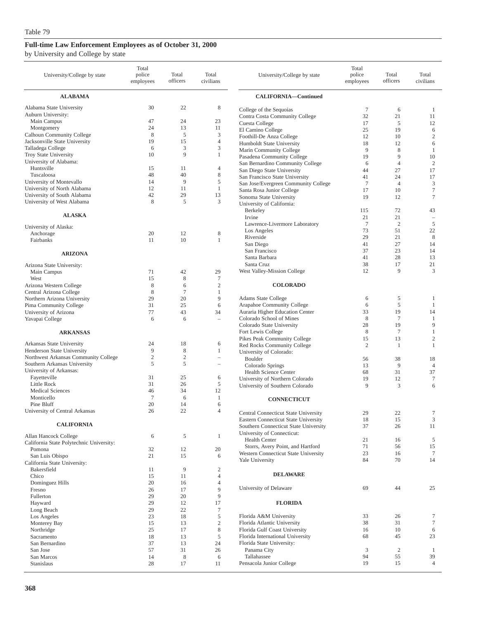by University and College by state

| University/College by state                                        | Total<br>police<br>employees | Total<br>officers   | Total<br>civilians      | University/College by state                                                  | Total<br>police<br>employees | Total<br>officers | Total<br>civilians               |
|--------------------------------------------------------------------|------------------------------|---------------------|-------------------------|------------------------------------------------------------------------------|------------------------------|-------------------|----------------------------------|
| <b>ALABAMA</b>                                                     |                              |                     |                         | <b>CALIFORNIA-Continued</b>                                                  |                              |                   |                                  |
| Alabama State University                                           | 30                           | 22                  | 8                       | College of the Sequoias                                                      | $\tau$                       | 6                 | 1                                |
| Auburn University:                                                 |                              |                     |                         | Contra Costa Community College                                               | 32                           | 21                | 11                               |
| Main Campus                                                        | 47                           | 24                  | 23                      | Cuesta College                                                               | 17                           | 5                 | 12                               |
| Montgomery                                                         | 24                           | 13                  | 11                      | El Camino College                                                            | 25                           | 19                | 6                                |
| <b>Calhoun Community College</b><br>Jacksonville State University  | 8<br>19                      | 5<br>15             | 3<br>$\overline{4}$     | Foothill-De Anza College                                                     | 12                           | 10                | $\sqrt{2}$                       |
| Talladega College                                                  | 6                            | 3                   | 3                       | Humboldt State University                                                    | 18<br>9                      | 12<br>8           | 6<br>1                           |
| Troy State University                                              | 10                           | 9                   | $\mathbf{1}$            | Marin Community College<br>Pasadena Community College                        | 19                           | 9                 | 10                               |
| University of Alabama:                                             |                              |                     |                         | San Bernardino Community College                                             | 6                            | $\overline{4}$    | $\overline{c}$                   |
| Huntsville                                                         | 15                           | 11                  | 4                       | San Diego State University                                                   | 44                           | 27                | 17                               |
| Tuscaloosa                                                         | 48                           | 40                  | $\,$ 8 $\,$             | San Francisco State University                                               | 41                           | 24                | 17                               |
| University of Montevallo                                           | 14<br>12                     | 9<br>11             | 5<br>$\mathbf{1}$       | San Jose/Evergreen Community College                                         | $\overline{7}$               | $\overline{4}$    | $\mathfrak z$                    |
| University of North Alabama<br>University of South Alabama         | 42                           | 29                  | 13                      | Santa Rosa Junior College                                                    | 17                           | 10                | $\tau$                           |
| University of West Alabama                                         | 8                            | 5                   | 3                       | Sonoma State University<br>University of California:                         | 19                           | 12                | $\tau$                           |
|                                                                    |                              |                     |                         | Berkeley                                                                     | 115                          | 72                | 43                               |
| <b>ALASKA</b>                                                      |                              |                     |                         | Irvine                                                                       | 21                           | 21                | $\sim$                           |
| University of Alaska:                                              |                              |                     |                         | Lawrence-Livermore Laboratory                                                | $7\phantom{.0}$              | $\overline{c}$    | 5                                |
| Anchorage                                                          | 20                           | 12                  | 8                       | Los Angeles                                                                  | 73                           | 51                | 22                               |
| Fairbanks                                                          | 11                           | 10                  | 1                       | Riverside                                                                    | 29                           | 21                | 8                                |
|                                                                    |                              |                     |                         | San Diego                                                                    | 41                           | 27                | 14                               |
| <b>ARIZONA</b>                                                     |                              |                     |                         | San Francisco<br>Santa Barbara                                               | 37<br>41                     | 23<br>28          | 14<br>13                         |
|                                                                    |                              |                     |                         | Santa Cruz                                                                   | 38                           | 17                | 21                               |
| Arizona State University:<br>Main Campus                           | 71                           | 42                  | 29                      | West Valley-Mission College                                                  | 12                           | 9                 | 3                                |
| West                                                               | 15                           | 8                   | $\overline{7}$          |                                                                              |                              |                   |                                  |
| Arizona Western College                                            | 8                            | 6                   | $\overline{2}$          | <b>COLORADO</b>                                                              |                              |                   |                                  |
| Central Arizona College                                            | 8                            | $\tau$              | 1                       |                                                                              |                              |                   |                                  |
| Northern Arizona University                                        | 29                           | 20                  | 9                       | <b>Adams State College</b>                                                   | 6                            | 5                 | 1                                |
| Pima Community College                                             | 31                           | 25                  | 6                       | Arapahoe Community College                                                   | 6                            | 5                 | 1                                |
| University of Arizona                                              | 77<br>6                      | 43<br>6             | 34<br>Ē,                | Auraria Higher Education Center<br>Colorado School of Mines                  | 33<br>8                      | 19<br>$\tau$      | 14<br>1                          |
| Yavapai College                                                    |                              |                     |                         | Colorado State University                                                    | 28                           | 19                | 9                                |
| <b>ARKANSAS</b>                                                    |                              |                     |                         | Fort Lewis College                                                           | 8                            | $\tau$            | $\mathbf{1}$                     |
|                                                                    |                              |                     |                         | Pikes Peak Community College                                                 | 15                           | 13                | $\mathfrak{2}$                   |
| Arkansas State University                                          | 24                           | 18                  | 6                       | Red Rocks Community College                                                  | $\overline{c}$               | 1                 | $\mathbf{1}$                     |
| Henderson State University<br>Northwest Arkansas Community College | 9<br>$\sqrt{2}$              | 8<br>$\mathfrak{2}$ | 1                       | University of Colorado:                                                      |                              |                   |                                  |
| Southern Arkansas University                                       | 5                            | 5                   |                         | Boulder                                                                      | 56<br>13                     | 38<br>9           | 18<br>$\overline{4}$             |
| University of Arkansas:                                            |                              |                     |                         | Colorado Springs<br>Health Science Center                                    | 68                           | 31                | 37                               |
| Fayetteville                                                       | 31                           | 25                  | 6                       | University of Northern Colorado                                              | 19                           | 12                | $\tau$                           |
| Little Rock                                                        | 31                           | 26                  | 5                       | University of Southern Colorado                                              | 9                            | 3                 | 6                                |
| <b>Medical Sciences</b>                                            | 46                           | 34                  | 12                      |                                                                              |                              |                   |                                  |
| Monticello<br>Pine Bluff                                           | $\tau$<br>20                 | 6<br>14             | 1<br>6                  | <b>CONNECTICUT</b>                                                           |                              |                   |                                  |
| University of Central Arkansas                                     | 26                           | 22                  | $\overline{4}$          |                                                                              |                              |                   |                                  |
|                                                                    |                              |                     |                         | Central Connecticut State University<br>Eastern Connecticut State University | 29<br>18                     | 22<br>15          | 7<br>$\ensuremath{\mathfrak{Z}}$ |
| <b>CALIFORNIA</b>                                                  |                              |                     |                         | Southern Connecticut State University                                        | 37                           | 26                | 11                               |
|                                                                    |                              | 5                   | 1                       | University of Connecticut:                                                   |                              |                   |                                  |
| Allan Hancock College<br>California State Polytechnic University:  | 6                            |                     |                         | <b>Health Center</b>                                                         | 21                           | 16                | 5                                |
| Pomona                                                             | 32                           | 12                  | 20                      | Storrs, Avery Point, and Hartford                                            | 71                           | 56                | 15                               |
| San Luis Obispo                                                    | 21                           | 15                  | 6                       | Western Connecticut State University                                         | 23                           | 16                | $\tau$                           |
| California State University:                                       |                              |                     |                         | Yale University                                                              | 84                           | 70                | 14                               |
| Bakersfield                                                        | 11                           | 9                   | $\overline{\mathbf{c}}$ | <b>DELAWARE</b>                                                              |                              |                   |                                  |
| Chico                                                              | 15                           | 11                  | $\overline{4}$          |                                                                              |                              |                   |                                  |
| Dominguez Hills<br>Fresno                                          | 20<br>26                     | 16<br>17            | $\overline{4}$<br>9     | University of Delaware                                                       | 69                           | 44                | 25                               |
| Fullerton                                                          | 29                           | 20                  | 9                       |                                                                              |                              |                   |                                  |
| Hayward                                                            | 29                           | 12                  | 17                      | <b>FLORIDA</b>                                                               |                              |                   |                                  |
| Long Beach                                                         | 29                           | 22                  | 7                       |                                                                              |                              |                   |                                  |
| Los Angeles                                                        | 23                           | 18                  | 5                       | Florida A&M University                                                       | 33                           | 26                | 7                                |
| Monterey Bay                                                       | 15                           | 13                  | $\overline{c}$          | Florida Atlantic University                                                  | 38                           | 31                | $\tau$                           |
| Northridge                                                         | 25                           | 17                  | $\,$ 8 $\,$             | Florida Gulf Coast University<br>Florida International University            | 16<br>68                     | 10<br>45          | 6<br>23                          |
| Sacramento<br>San Bernardino                                       | 18<br>37                     | 13<br>13            | 5<br>24                 | Florida State University:                                                    |                              |                   |                                  |
| San Jose                                                           | 57                           | 31                  | 26                      | Panama City                                                                  | 3                            | $\boldsymbol{2}$  | 1                                |
| San Marcos                                                         | 14                           | 8                   | 6                       | Tallahassee                                                                  | 94                           | 55                | 39                               |
| Stanislaus                                                         | 28                           | 17                  | 11                      | Pensacola Junior College                                                     | 19                           | 15                | 4                                |
|                                                                    |                              |                     |                         |                                                                              |                              |                   |                                  |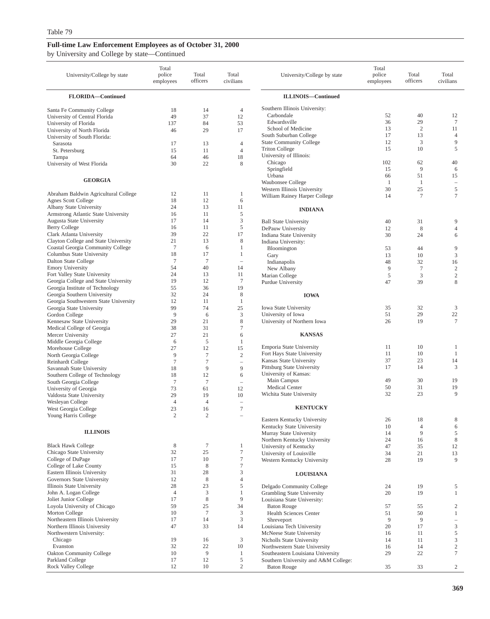### **Full-time Law Enforcement Employees as of October 31, 2000** by University and College by state—Continued

| University/College by state                                             | Total<br>police<br>employees | Total<br>officers | Total<br>civilians       | University/College by state                              | Total<br>police<br>employees | Total<br>officers    | Total<br>civilians                                    |
|-------------------------------------------------------------------------|------------------------------|-------------------|--------------------------|----------------------------------------------------------|------------------------------|----------------------|-------------------------------------------------------|
| FLORIDA-Continued                                                       |                              |                   |                          | <b>ILLINOIS-Continued</b>                                |                              |                      |                                                       |
| Santa Fe Community College                                              | 18                           | 14                | 4                        | Southern Illinois University:                            |                              |                      |                                                       |
| University of Central Florida                                           | 49                           | 37                | 12                       | Carbondale                                               | 52                           | 40                   | 12                                                    |
| University of Florida                                                   | 137                          | 84                | 53                       | Edwardsville                                             | 36                           | 29                   | $\tau$                                                |
| University of North Florida                                             | 46                           | 29                | 17                       | School of Medicine<br>South Suburban College             | 13<br>17                     | $\overline{2}$<br>13 | 11<br>4                                               |
| University of South Florida:<br>Sarasota                                | 17                           | 13                | 4                        | <b>State Community College</b>                           | 12                           | 3                    | 9                                                     |
| St. Petersburg                                                          | 15                           | 11                | $\overline{4}$           | <b>Triton College</b>                                    | 15                           | 10                   | 5                                                     |
| Tampa                                                                   | 64                           | 46                | 18                       | University of Illinois:                                  |                              |                      |                                                       |
| University of West Florida                                              | 30                           | 22                | 8                        | Chicago                                                  | 102                          | 62                   | 40                                                    |
|                                                                         |                              |                   |                          | Springfield                                              | 15                           | 9                    | 6                                                     |
| <b>GEORGIA</b>                                                          |                              |                   |                          | Urbana                                                   | 66                           | 51                   | 15                                                    |
|                                                                         |                              |                   |                          | Waubonsee College<br>Western Illinois University         | -1<br>30                     | -1<br>25             | $\qquad \qquad -$<br>5                                |
| Abraham Baldwin Agricultural College                                    | 12                           | 11                | 1                        | William Rainey Harper College                            | 14                           | $\overline{7}$       | $\tau$                                                |
| <b>Agnes Scott College</b>                                              | 18                           | 12                | 6                        |                                                          |                              |                      |                                                       |
| Albany State University                                                 | 24                           | 13                | 11                       | <b>INDIANA</b>                                           |                              |                      |                                                       |
| Armstrong Atlantic State University                                     | 16                           | 11                | 5                        |                                                          |                              |                      |                                                       |
| Augusta State University<br><b>Berry College</b>                        | 17<br>16                     | 14<br>11          | 3<br>5                   | <b>Ball State University</b>                             | 40                           | 31                   | 9                                                     |
| Clark Atlanta University                                                | 39                           | 22                | 17                       | DePauw University<br>Indiana State University            | 12<br>30                     | 8<br>24              | $\overline{4}$<br>6                                   |
| Clayton College and State University                                    | 21                           | 13                | 8                        | Indiana University:                                      |                              |                      |                                                       |
| Coastal Georgia Community College                                       | $\tau$                       | 6                 | $\mathbf{1}$             | Bloomington                                              | 53                           | 44                   | 9                                                     |
| Columbus State University                                               | 18                           | 17                | 1                        | Gary                                                     | 13                           | 10                   | $\mathfrak{Z}$                                        |
| Dalton State College                                                    | $\tau$                       | $\tau$            | $\qquad \qquad -$        | Indianapolis                                             | 48                           | 32                   | 16                                                    |
| <b>Emory University</b>                                                 | 54                           | 40                | 14                       | New Albany                                               | 9                            | $\overline{7}$       | $\sqrt{2}$                                            |
| Fort Valley State University                                            | 24<br>19                     | 13<br>12          | 11<br>$\tau$             | Marian College                                           | 5                            | 3                    | $\sqrt{2}$                                            |
| Georgia College and State University<br>Georgia Institute of Technology | 55                           | 36                | 19                       | Purdue University                                        | 47                           | 39                   | 8                                                     |
| Georgia Southern University                                             | 32                           | 24                | $\,$ 8 $\,$              | <b>IOWA</b>                                              |                              |                      |                                                       |
| Georgia Southwestern State University                                   | 12                           | 11                | $\mathbf{1}$             |                                                          |                              |                      |                                                       |
| Georgia State University                                                | 99                           | 74                | 25                       | <b>Iowa State University</b>                             | 35                           | 32                   | 3                                                     |
| Gordon College                                                          | 9                            | 6                 | 3                        | University of Iowa                                       | 51                           | 29                   | 22                                                    |
| Kennesaw State University                                               | 29                           | 21                | $\,$ 8 $\,$              | University of Northern Iowa                              | 26                           | 19                   | 7                                                     |
| Medical College of Georgia                                              | 38                           | 31                | $\overline{7}$           |                                                          |                              |                      |                                                       |
| Mercer University<br>Middle Georgia College                             | 27<br>6                      | 21<br>5           | 6<br>1                   | <b>KANSAS</b>                                            |                              |                      |                                                       |
| Morehouse College                                                       | 27                           | 12                | 15                       | Emporia State University                                 | 11                           | 10                   | $\mathbf{1}$                                          |
| North Georgia College                                                   | 9                            | $\overline{7}$    | $\sqrt{2}$               | Fort Hays State University                               | 11                           | 10                   | 1                                                     |
| Reinhardt College                                                       | $7\phantom{.0}$              | $\overline{7}$    | $\overline{\phantom{0}}$ | Kansas State University                                  | 37                           | 23                   | 14                                                    |
| Savannah State University                                               | 18                           | 9                 | 9                        | Pittsburg State University                               | 17                           | 14                   | 3                                                     |
| Southern College of Technology                                          | 18                           | 12                | 6                        | University of Kansas:<br>Main Campus                     | 49                           | 30                   | 19                                                    |
| South Georgia College                                                   | $\tau$                       | $\tau$            | $\qquad \qquad -$        | Medical Center                                           | 50                           | 31                   | 19                                                    |
| University of Georgia<br>Valdosta State University                      | 73<br>29                     | 61<br>19          | 12<br>10                 | Wichita State University                                 | 32                           | 23                   | 9                                                     |
| Wesleyan College                                                        | $\overline{4}$               | $\overline{4}$    | ÷,                       |                                                          |                              |                      |                                                       |
| West Georgia College                                                    | 23                           | 16                | $\tau$                   | <b>KENTUCKY</b>                                          |                              |                      |                                                       |
| Young Harris College                                                    | $\overline{2}$               | $\overline{2}$    | $\overline{\phantom{a}}$ |                                                          |                              |                      |                                                       |
|                                                                         |                              |                   |                          | Eastern Kentucky University<br>Kentucky State University | 26<br>10                     | 18<br>$\overline{4}$ | 8<br>6                                                |
| <b>ILLINOIS</b>                                                         |                              |                   |                          | Murray State University                                  | 14                           | 9                    | 5                                                     |
|                                                                         |                              |                   |                          | Northern Kentucky University                             | 24                           | 16                   | 8                                                     |
| <b>Black Hawk College</b>                                               | $\,$ 8 $\,$                  | $\tau$            | 1                        | University of Kentucky                                   | 47                           | 35                   | 12                                                    |
| Chicago State University                                                | 32                           | 25                | $\tau$                   | University of Louisville                                 | 34                           | 21                   | 13                                                    |
| College of DuPage                                                       | 17                           | 10                | $\boldsymbol{7}$         | Western Kentucky University                              | 28                           | 19                   | 9                                                     |
| College of Lake County<br>Eastern Illinois University                   | 15<br>31                     | 8<br>28           | $\tau$<br>3              |                                                          |                              |                      |                                                       |
| Governors State University                                              | 12                           | $\,$ 8 $\,$       | $\overline{4}$           | <b>LOUISIANA</b>                                         |                              |                      |                                                       |
| Illinois State University                                               | 28                           | 23                | 5                        | Delgado Community College                                | 24                           | 19                   | 5                                                     |
| John A. Logan College                                                   | $\overline{4}$               | $\mathfrak z$     | $\mathbf{1}$             | Grambling State University                               | 20                           | 19                   | $\mathbf{1}$                                          |
| Joliet Junior College                                                   | 17                           | $\,$ 8 $\,$       | 9                        | Louisiana State University:                              |                              |                      |                                                       |
| Loyola University of Chicago                                            | 59                           | 25                | 34                       | <b>Baton Rouge</b>                                       | 57                           | 55                   | $\boldsymbol{2}$                                      |
| Morton College                                                          | 10                           | $\tau$            | 3                        | Health Sciences Center                                   | 51                           | 50                   | $\mathbf{1}$                                          |
| Northeastern Illinois University<br>Northern Illinois University        | 17<br>47                     | 14<br>33          | 3<br>14                  | Shreveport<br>Louisiana Tech University                  | 9<br>20                      | 9<br>17              | $\overline{\phantom{a}}$<br>$\ensuremath{\mathsf{3}}$ |
| Northwestern University:                                                |                              |                   |                          | McNeese State University                                 | 16                           | 11                   | $\mathfrak s$                                         |
| Chicago                                                                 | 19                           | 16                | 3                        | Nicholls State University                                | 14                           | 11                   | $\mathfrak{Z}$                                        |
| Evanston                                                                | 32                           | 22                | 10                       | Northwestern State University                            | 16                           | 14                   | $\sqrt{2}$                                            |
| <b>Oakton Community College</b>                                         | 10                           | 9                 | $\mathbf{1}$             | Southeastern Louisiana University                        | 29                           | 22                   | $\tau$                                                |
| Parkland College                                                        | 17                           | 12                | 5                        | Southern University and A&M College:                     |                              |                      |                                                       |
| Rock Valley College                                                     | 12                           | 10                | $\mathbf{2}$             | <b>Baton Rouge</b>                                       | 35                           | 33                   | $\overline{c}$                                        |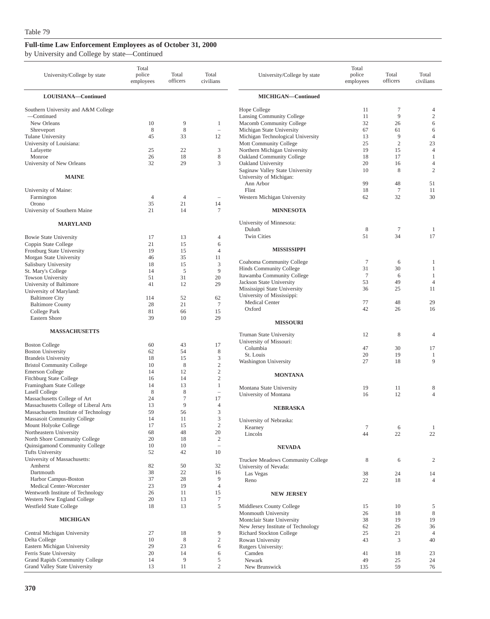|  |  |  |  |  | by University and College by state—Continued |
|--|--|--|--|--|----------------------------------------------|
|--|--|--|--|--|----------------------------------------------|

| University/College by state                         | Total<br>police<br>employees | Total<br>officers    | Total<br>civilians                      | University/College by state                                 | Total<br>police<br>employees | Total<br>officers   | Total<br>civilians   |
|-----------------------------------------------------|------------------------------|----------------------|-----------------------------------------|-------------------------------------------------------------|------------------------------|---------------------|----------------------|
| LOUISIANA-Continued                                 |                              |                      |                                         | MICHIGAN-Continued                                          |                              |                     |                      |
| Southern University and A&M College                 |                              |                      |                                         | Hope College                                                | 11                           | 7                   | 4                    |
| -Continued                                          |                              |                      |                                         | Lansing Community College                                   | 11                           | 9                   | $\mathfrak{2}$       |
| New Orleans                                         | 10                           | 9                    | 1                                       | Macomb Community College                                    | 32                           | 26                  | 6                    |
| Shreveport                                          | 8                            | 8                    | $\overline{\phantom{0}}$                | Michigan State University                                   | 67                           | 61                  | 6                    |
| Tulane University                                   | 45                           | 33                   | 12                                      | Michigan Technological University<br>Mott Community College | 13                           | 9<br>$\overline{c}$ | $\overline{4}$<br>23 |
| University of Louisiana:<br>Lafayette               | 25                           | 22                   | 3                                       | Northern Michigan University                                | 25<br>19                     | 15                  | $\overline{4}$       |
| Monroe                                              | 26                           | 18                   | $\,$ 8 $\,$                             | <b>Oakland Community College</b>                            | 18                           | 17                  | 1                    |
| University of New Orleans                           | 32                           | 29                   | 3                                       | Oakland University                                          | 20                           | 16                  | $\overline{4}$       |
| <b>MAINE</b>                                        |                              |                      |                                         | Saginaw Valley State University<br>University of Michigan:  | 10                           | 8                   | $\overline{c}$       |
|                                                     |                              |                      |                                         | Ann Arbor                                                   | 99                           | 48                  | 51                   |
| University of Maine:                                |                              |                      |                                         | Flint                                                       | 18                           | $\tau$              | 11                   |
| Farmington<br>Orono                                 | $\overline{4}$<br>35         | $\overline{4}$<br>21 | $\hspace{1.0cm} - \hspace{1.0cm}$<br>14 | Western Michigan University                                 | 62                           | 32                  | 30                   |
| University of Southern Maine                        | 21                           | 14                   | 7                                       | <b>MINNESOTA</b>                                            |                              |                     |                      |
| <b>MARYLAND</b>                                     |                              |                      |                                         | University of Minnesota:                                    |                              |                     |                      |
|                                                     |                              |                      |                                         | Duluth                                                      | 8                            | $\tau$              | 1                    |
| <b>Bowie State University</b>                       | 17                           | 13                   | $\overline{4}$                          | <b>Twin Cities</b>                                          | 51                           | 34                  | 17                   |
| Coppin State College                                | 21                           | 15                   | 6                                       | <b>MISSISSIPPI</b>                                          |                              |                     |                      |
| Frostburg State University                          | 19<br>46                     | 15<br>35             | $\overline{4}$<br>11                    |                                                             |                              |                     |                      |
| Morgan State University<br>Salisbury University     | 18                           | 15                   | 3                                       | Coahoma Community College                                   | $\tau$                       | 6                   | 1                    |
| St. Mary's College                                  | 14                           | 5                    | 9                                       | Hinds Community College                                     | 31                           | 30                  | 1                    |
| Towson University                                   | 51                           | 31                   | 20                                      | Itawamba Community College                                  | $\overline{7}$               | 6                   | 1                    |
| University of Baltimore                             | 41                           | 12                   | 29                                      | Jackson State University                                    | 53                           | 49                  | $\overline{4}$       |
| University of Maryland:                             |                              |                      |                                         | Mississippi State University<br>University of Mississippi:  | 36                           | 25                  | 11                   |
| <b>Baltimore City</b>                               | 114                          | 52                   | 62                                      | Medical Center                                              | 77                           | 48                  | 29                   |
| <b>Baltimore County</b><br>College Park             | 28<br>81                     | 21<br>66             | $7\phantom{.0}$<br>15                   | Oxford                                                      | 42                           | 26                  | 16                   |
| Eastern Shore                                       | 39                           | 10                   | 29                                      |                                                             |                              |                     |                      |
|                                                     |                              |                      |                                         | <b>MISSOURI</b>                                             |                              |                     |                      |
| <b>MASSACHUSETTS</b>                                |                              |                      |                                         | Truman State University                                     | 12                           | 8                   | $\overline{4}$       |
| <b>Boston College</b>                               | 60                           | 43                   | 17                                      | University of Missouri:                                     |                              |                     |                      |
| <b>Boston University</b>                            | 62                           | 54                   | 8                                       | Columbia                                                    | 47                           | 30                  | 17                   |
| <b>Brandeis University</b>                          | 18                           | 15                   | 3                                       | St. Louis<br>Washington University                          | 20<br>27                     | 19<br>18            | 1<br>9               |
| <b>Bristol Community College</b>                    | 10                           | 8                    | $\sqrt{2}$                              |                                                             |                              |                     |                      |
| <b>Emerson College</b>                              | 14                           | 12                   | $\sqrt{2}$                              | <b>MONTANA</b>                                              |                              |                     |                      |
| Fitchburg State College<br>Framingham State College | 16<br>14                     | 14<br>13             | $\overline{c}$<br>$\mathbf{1}$          |                                                             |                              |                     |                      |
| <b>Lasell College</b>                               | 8                            | 8                    | $\overline{\phantom{0}}$                | Montana State University                                    | 19                           | 11                  | 8                    |
| Massachusetts College of Art                        | 24                           | $\overline{7}$       | 17                                      | University of Montana                                       | 16                           | 12                  | $\overline{4}$       |
| Massachusetts College of Liberal Arts               | 13                           | 9                    | 4                                       | <b>NEBRASKA</b>                                             |                              |                     |                      |
| Massachusetts Institute of Technology               | 59                           | 56                   | 3                                       |                                                             |                              |                     |                      |
| Massasoit Community College                         | 14                           | 11                   | 3                                       | University of Nebraska:                                     |                              |                     |                      |
| Mount Holyoke College<br>Northeastern University    | 17                           | 15                   | $\sqrt{2}$                              | Kearney                                                     | $\tau$                       | 6                   | 1                    |
| North Shore Community College                       | 68<br>20                     | 48<br>18             | 20<br>$\boldsymbol{2}$                  | Lincoln                                                     | 44                           | 22                  | 22                   |
| Quinsigamond Community College                      | 10                           | 10                   | $\overline{\phantom{a}}$                | <b>NEVADA</b>                                               |                              |                     |                      |
| Tufts University                                    | 52                           | 42                   | 10                                      |                                                             |                              |                     |                      |
| University of Massachusetts:                        |                              |                      |                                         | Truckee Meadows Community College                           | 8                            | 6                   | 2                    |
| Amherst                                             | 82                           | 50                   | 32                                      | University of Nevada:                                       |                              |                     |                      |
| Dartmouth                                           | 38                           | 22                   | 16                                      | Las Vegas                                                   | 38                           | 24                  | 14                   |
| Harbor Campus-Boston<br>Medical Center-Worcester    | 37<br>23                     | 28<br>19             | 9<br>$\overline{4}$                     | Reno                                                        | 22                           | 18                  | $\overline{4}$       |
| Wentworth Institute of Technology                   | 26                           | 11                   | 15                                      | <b>NEW JERSEY</b>                                           |                              |                     |                      |
| Western New England College                         | 20                           | 13                   | $\boldsymbol{7}$                        |                                                             |                              |                     |                      |
| Westfield State College                             | 18                           | 13                   | 5                                       | Middlesex County College                                    | 15                           | 10                  | 5                    |
|                                                     |                              |                      |                                         | Monmouth University                                         | 26                           | 18                  | 8                    |
| <b>MICHIGAN</b>                                     |                              |                      |                                         | Montclair State University                                  | 38                           | 19                  | 19                   |
|                                                     |                              |                      |                                         | New Jersey Institute of Technology                          | 62                           | 26                  | 36                   |
| Central Michigan University                         | 27<br>10                     | 18<br>8              | 9<br>$\sqrt{2}$                         | Richard Stockton College                                    | 25                           | 21                  | $\overline{4}$       |
| Delta College<br>Eastern Michigan University        | 29                           | 23                   | 6                                       | Rowan University<br>Rutgers University:                     | 43                           | 3                   | 40                   |
| Ferris State University                             | 20                           | 14                   | 6                                       | Camden                                                      | 41                           | 18                  | 23                   |
| Grand Rapids Community College                      | 14                           | 9                    | 5                                       | Newark                                                      | 49                           | 25                  | 24                   |
| Grand Valley State University                       | 13                           | 11                   | $\mathbf{2}$                            | New Brunswick                                               | 135                          | 59                  | 76                   |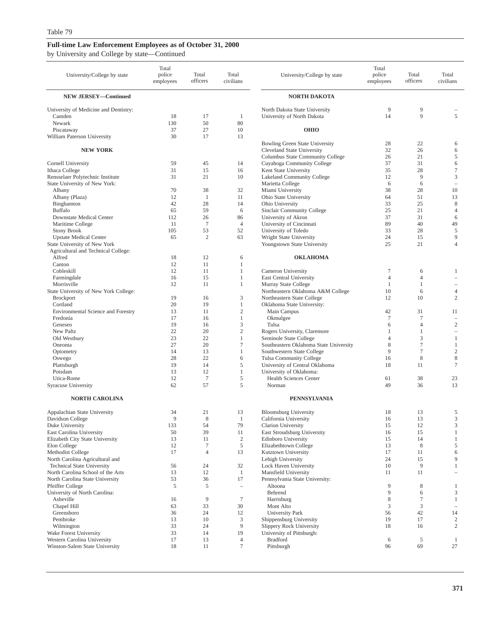by University and College by state—Continued

| University/College by state                                            | Total<br>police<br>employees | Total<br>officers | Total<br>civilians             | University/College by state                                     | Total<br>police<br>employees | Total<br>officers | Total<br>civilians                                |
|------------------------------------------------------------------------|------------------------------|-------------------|--------------------------------|-----------------------------------------------------------------|------------------------------|-------------------|---------------------------------------------------|
| <b>NEW JERSEY-Continued</b>                                            |                              |                   |                                | <b>NORTH DAKOTA</b>                                             |                              |                   |                                                   |
| University of Medicine and Dentistry:                                  |                              |                   |                                | North Dakota State University                                   | 9                            | 9                 |                                                   |
| Camden                                                                 | 18                           | 17                | 1                              | University of North Dakota                                      | 14                           | 9                 | 5                                                 |
| Newark<br>Piscataway                                                   | 130<br>37                    | 50<br>27          | 80<br>10                       | <b>OHIO</b>                                                     |                              |                   |                                                   |
| William Paterson University                                            | 30                           | 17                | 13                             |                                                                 |                              |                   |                                                   |
|                                                                        |                              |                   |                                | <b>Bowling Green State University</b>                           | 28                           | 22                | 6                                                 |
| <b>NEW YORK</b>                                                        |                              |                   |                                | Cleveland State University                                      | 32                           | 26                | 6                                                 |
| Cornell University                                                     |                              |                   |                                | Columbus State Community College                                | 26<br>37                     | 21<br>31          | 5                                                 |
| Ithaca College                                                         | 59<br>31                     | 45<br>15          | 14<br>16                       | Cuyahoga Community College<br>Kent State University             | 35                           | 28                | 6<br>$\tau$                                       |
| Rensselaer Polytechnic Institute                                       | 31                           | 21                | 10                             | Lakeland Community College                                      | 12                           | 9                 | $\mathfrak z$                                     |
| State University of New York:                                          |                              |                   |                                | Marietta College                                                | 6                            | 6                 | ÷                                                 |
| Albany                                                                 | 70                           | 38                | 32                             | Miami University                                                | 38                           | 28                | 10                                                |
| Albany (Plaza)<br>Binghamton                                           | 12<br>42                     | 1<br>28           | 11<br>14                       | Ohio State University<br>Ohio University                        | 64<br>33                     | 51<br>25          | 13<br>8                                           |
| <b>Buffalo</b>                                                         | 65                           | 59                | 6                              | Sinclair Community College                                      | 25                           | 21                | $\overline{4}$                                    |
| Downstate Medical Center                                               | 112                          | 26                | 86                             | University of Akron                                             | 37                           | 31                | 6                                                 |
| Maritime College                                                       | 11                           | $\tau$            | $\overline{4}$                 | University of Cincinnati                                        | 89                           | 40                | 49                                                |
| <b>Stony Brook</b>                                                     | 105                          | 53                | 52                             | University of Toledo                                            | 33                           | 28                | $\mathfrak s$                                     |
| <b>Upstate Medical Center</b>                                          | 65                           | $\overline{2}$    | 63                             | Wright State University                                         | 24                           | 15                | $\overline{9}$<br>$\overline{4}$                  |
| State University of New York<br>Agricultural and Technical College:    |                              |                   |                                | Youngstown State University                                     | 25                           | 21                |                                                   |
| Alfred                                                                 | 18                           | 12                | 6                              | <b>OKLAHOMA</b>                                                 |                              |                   |                                                   |
| Canton                                                                 | 12                           | 11                | 1                              |                                                                 |                              |                   |                                                   |
| Cobleskill                                                             | 12                           | 11                | $\mathbf{1}$                   | Cameron University                                              | $\tau$                       | 6                 | 1                                                 |
| Farmingdale                                                            | 16                           | 15                | 1                              | East Central University                                         | $\overline{4}$               | 4                 | ÷                                                 |
| Morrisville                                                            | 12                           | 11                | $\mathbf{1}$                   | Murray State College                                            | 1<br>10                      | 1                 | $\overline{4}$                                    |
| State University of New York College:<br><b>Brockport</b>              | 19                           | 16                | 3                              | Northeastern Oklahoma A&M College<br>Northeastern State College | 12                           | 6<br>10           | $\mathfrak{2}$                                    |
| Cortland                                                               | 20                           | 19                | $\mathbf{1}$                   | Oklahoma State University:                                      |                              |                   |                                                   |
| Environmental Science and Forestry                                     | 13                           | 11                | $\sqrt{2}$                     | Main Campus                                                     | 42                           | 31                | 11                                                |
| Fredonia                                                               | 17                           | 16                | $\mathbf{1}$                   | Okmulgee                                                        | $\overline{7}$               | 7                 | ÷                                                 |
| Geneseo                                                                | 19                           | 16                | 3                              | Tulsa                                                           | 6                            | $\overline{4}$    | $\overline{c}$                                    |
| New Paltz<br>Old Westbury                                              | 22<br>23                     | 20<br>22          | $\mathfrak{2}$<br>$\mathbf{1}$ | Rogers University, Claremore<br>Seminole State College          | 1<br>$\overline{4}$          | 1<br>3            | $\hspace{1.0cm} - \hspace{1.0cm}$<br>$\mathbf{1}$ |
| Oneonta                                                                | 27                           | 20                | $\tau$                         | Southeastern Oklahoma State University                          | 8                            | $\tau$            | $\mathbf{1}$                                      |
| Optometry                                                              | 14                           | 13                | $\mathbf{1}$                   | Southwestern State College                                      | 9                            | $\overline{7}$    | $\sqrt{2}$                                        |
| Oswego                                                                 | 28                           | 22                | 6                              | Tulsa Community College                                         | 16                           | 8                 | $\,$ 8 $\,$                                       |
| Plattsburgh                                                            | 19                           | 14                | 5                              | University of Central Oklahoma                                  | 18                           | 11                | $\tau$                                            |
| Potsdam<br>Utica-Rome                                                  | 13<br>12                     | 12<br>$\tau$      | $\mathbf{1}$<br>5              | University of Oklahoma:<br><b>Health Sciences Center</b>        | 61                           | 38                | 23                                                |
| <b>Syracuse University</b>                                             | 62                           | 57                | 5                              | Norman                                                          | 49                           | 36                | 13                                                |
|                                                                        |                              |                   |                                |                                                                 |                              |                   |                                                   |
| <b>NORTH CAROLINA</b>                                                  |                              |                   |                                | <b>PENNSYLVANIA</b>                                             |                              |                   |                                                   |
| Appalachian State University                                           | 34                           | 21                | 13                             | <b>Bloomsburg University</b>                                    | 18                           | 13                | 5                                                 |
| Davidson College                                                       | $\mathbf Q$                  | 8                 | $\mathbf{1}$                   | California University                                           | 16                           | 13                | 3                                                 |
| Duke University<br>East Carolina University                            | 133<br>50                    | 54<br>39          | 79<br>11                       | Clarion University<br>East Stroudsburg University               | 15<br>16                     | 12<br>15          | 3<br>$\mathbf{1}$                                 |
| Elizabeth City State University                                        | 13                           | 11                | $\overline{c}$                 | Edinboro University                                             | 15                           | 14                | $\mathbf{1}$                                      |
| Elon College                                                           | 12                           | 7                 | 5                              | Elizabethtown College                                           | 13                           | 8                 | 5                                                 |
| Methodist College                                                      | 17                           | 4                 | 13                             | Kutztown University                                             | 17                           | 11                | 6                                                 |
| North Carolina Agricultural and                                        |                              |                   |                                | Lehigh University                                               | 24                           | 15                | 9                                                 |
| <b>Technical State University</b><br>North Carolina School of the Arts | 56<br>13                     | 24<br>12          | 32<br>$\mathbf{1}$             | Lock Haven University<br>Mansfield University                   | 10<br>11                     | 9<br>11           | $\mathbf{1}$                                      |
| North Carolina State University                                        | 53                           | 36                | 17                             | Pennsylvania State University:                                  |                              |                   |                                                   |
| Pfeiffer College                                                       | 5                            | 5                 | $\overline{\phantom{a}}$       | Altoona                                                         | 9                            | 8                 | $\mathbf{1}$                                      |
| University of North Carolina:                                          |                              |                   |                                | Behrend                                                         | 9                            | 6                 | 3                                                 |
| Asheville                                                              | 16                           | 9                 | $\tau$                         | Harrisburg                                                      | 8                            | $\tau$            | $\mathbf{1}$                                      |
| Chapel Hill                                                            | 63                           | 33                | 30                             | Mont Alto                                                       | 3                            | 3                 |                                                   |
| Greensboro<br>Pembroke                                                 | 36<br>13                     | 24<br>10          | 12<br>3                        | University Park<br>Shippensburg University                      | 56<br>19                     | 42<br>17          | 14<br>$\overline{c}$                              |
| Wilmington                                                             | 33                           | 24                | 9                              | Slippery Rock University                                        | 18                           | 16                | 2                                                 |
| Wake Forest University                                                 | 33                           | 14                | 19                             | University of Pittsburgh:                                       |                              |                   |                                                   |
| Western Carolina University                                            | 17                           | 13                | $\overline{4}$                 | <b>Bradford</b>                                                 | 6                            | 5                 | $\mathbf{1}$                                      |
| Winston-Salem State University                                         | 18                           | 11                | 7                              | Pittsburgh                                                      | 96                           | 69                | 27                                                |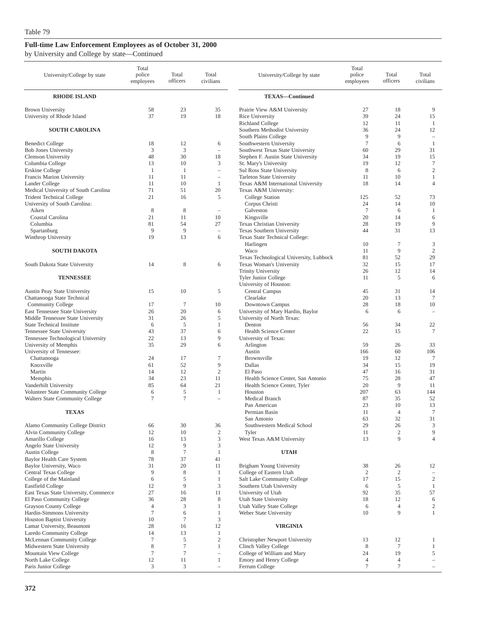|  |  |  |  |  | by University and College by state—Continued |
|--|--|--|--|--|----------------------------------------------|
|--|--|--|--|--|----------------------------------------------|

| University/College by state                                              | Total<br>police<br>employees | Total<br>officers    | Total<br>civilians             | University/College by state                                            | Total<br>police<br>employees | Total<br>officers | Total<br>civilians                |
|--------------------------------------------------------------------------|------------------------------|----------------------|--------------------------------|------------------------------------------------------------------------|------------------------------|-------------------|-----------------------------------|
| <b>RHODE ISLAND</b>                                                      |                              |                      |                                | <b>TEXAS-Continued</b>                                                 |                              |                   |                                   |
| <b>Brown University</b>                                                  | 58                           | 23                   | 35                             | Prairie View A&M University                                            | 27                           | 18                | 9                                 |
| University of Rhode Island                                               | 37                           | 19                   | 18                             | Rice University                                                        | 39                           | 24                | 15                                |
| <b>SOUTH CAROLINA</b>                                                    |                              |                      |                                | <b>Richland College</b><br>Southern Methodist University               | 12<br>36                     | 11<br>24          | 1<br>12                           |
|                                                                          |                              |                      |                                | South Plains College                                                   | 9                            | 9                 | $\qquad \qquad -$                 |
| <b>Benedict College</b>                                                  | 18                           | 12                   | 6                              | Southwestern University                                                | $\overline{7}$               | 6                 | 1                                 |
| <b>Bob Jones University</b><br><b>Clemson University</b>                 | 3<br>48                      | 3<br>30              | $\overline{\phantom{a}}$<br>18 | Southwest Texas State University<br>Stephen F. Austin State University | 60<br>34                     | 29<br>19          | 31<br>15                          |
| Columbia College                                                         | 13                           | 10                   | 3                              | St. Mary's University                                                  | 19                           | 12                | $\tau$                            |
| Erskine College                                                          | $\mathbf{1}$                 | -1                   | i.                             | Sul Ross State University                                              | 8                            | 6                 | $\mathfrak{2}$                    |
| Francis Marion University                                                | 11                           | 11                   | $\overline{\phantom{a}}$       | Tarleton State University                                              | 11                           | 10                | 1                                 |
| Lander College                                                           | 11                           | 10                   | $\mathbf{1}$                   | Texas A&M International University                                     | 18                           | 14                | $\overline{4}$                    |
| Medical University of South Carolina<br><b>Trident Technical College</b> | 71<br>21                     | 51<br>16             | 20<br>5                        | Texas A&M University:<br><b>College Station</b>                        | 125                          | 52                | 73                                |
| University of South Carolina:                                            |                              |                      |                                | Corpus Christi                                                         | 24                           | 14                | 10                                |
| Aiken                                                                    | 8                            | 8                    | $\overline{\phantom{a}}$       | Galveston                                                              | $\overline{7}$               | 6                 | 1                                 |
| Coastal Carolina                                                         | 21                           | 11                   | 10                             | Kingsville                                                             | 20                           | 14                | 6                                 |
| Columbia                                                                 | 81                           | 54                   | 27                             | Texas Christian University                                             | 28                           | 19                | 9                                 |
| Spartanburg<br>Winthrop University                                       | 9<br>19                      | 9<br>13              | $\equiv$<br>6                  | <b>Texas Southern University</b><br>Texas State Technical College:     | 44                           | 31                | 13                                |
|                                                                          |                              |                      |                                | Harlingen                                                              | 10                           | $\tau$            | 3                                 |
| <b>SOUTH DAKOTA</b>                                                      |                              |                      |                                | Waco                                                                   | 11                           | 9                 | $\mathbf{2}$                      |
|                                                                          |                              |                      |                                | Texas Technological University, Lubbock                                | 81                           | 52                | 29                                |
| South Dakota State University                                            | 14                           | 8                    | 6                              | Texas Woman's University<br><b>Trinity University</b>                  | 32<br>26                     | 15<br>12          | 17<br>14                          |
| <b>TENNESSEE</b>                                                         |                              |                      |                                | <b>Tyler Junior College</b>                                            | 11                           | 5                 | 6                                 |
|                                                                          |                              |                      |                                | University of Houston:                                                 |                              |                   |                                   |
| <b>Austin Peay State University</b>                                      | 15                           | 10                   | 5                              | Central Campus                                                         | 45                           | 31                | 14                                |
| Chattanooga State Technical                                              |                              |                      |                                | Clearlake                                                              | 20                           | 13                | $\tau$                            |
| Community College<br>East Tennessee State University                     | 17<br>26                     | $\overline{7}$<br>20 | 10<br>6                        | Downtown Campus<br>University of Mary Hardin, Baylor                   | 28<br>6                      | 18<br>6           | 10<br>$\overline{\phantom{m}}$    |
| Middle Tennessee State University                                        | 31                           | 26                   | 5                              | University of North Texas:                                             |                              |                   |                                   |
| <b>State Technical Institute</b>                                         | 6                            | 5                    | 1                              | Denton                                                                 | 56                           | 34                | 22                                |
| Tennessee State University                                               | 43                           | 37                   | 6                              | Health Science Center                                                  | 22                           | 15                | $\tau$                            |
| Tennessee Technological University                                       | 22                           | 13                   | 9                              | University of Texas:                                                   |                              |                   |                                   |
| University of Memphis<br>University of Tennessee:                        | 35                           | 29                   | 6                              | Arlington<br>Austin                                                    | 59<br>166                    | 26<br>60          | 33<br>106                         |
| Chattanooga                                                              | 24                           | 17                   | 7                              | Brownsville                                                            | 19                           | 12                | 7                                 |
| Knoxville                                                                | 61                           | 52                   | 9                              | Dallas                                                                 | 34                           | 15                | 19                                |
| Martin                                                                   | 14                           | 12                   | $\overline{c}$                 | El Paso                                                                | 47                           | 16                | 31                                |
| Memphis                                                                  | 34<br>85                     | 23<br>64             | 11<br>21                       | Health Science Center, San Antonio<br>Health Science Center, Tyler     | 75<br>20                     | 28<br>9           | 47<br>11                          |
| Vanderbilt University<br>Volunteer State Community College               | 6                            | 5                    | 1                              | Houston                                                                | 207                          | 63                | 144                               |
| Walters State Community College                                          | $\tau$                       | $\overline{7}$       | $\overline{\phantom{a}}$       | Medical Branch                                                         | 87                           | 35                | 52                                |
|                                                                          |                              |                      |                                | Pan American                                                           | 23                           | 10                | 13                                |
| <b>TEXAS</b>                                                             |                              |                      |                                | Permian Basin                                                          | 11                           | $\overline{4}$    | $\overline{7}$                    |
| Alamo Community College District                                         | 66                           | 30                   | 36                             | San Antonio<br>Southwestern Medical School                             | 63<br>29                     | 32<br>26          | $31\,$<br>3                       |
| Alvin Community College                                                  | 12                           | 10                   | $\boldsymbol{2}$               | Tyler                                                                  | 11                           | $\mathfrak{2}$    | 9                                 |
| Amarillo College                                                         | 16                           | 13                   | 3                              | West Texas A&M University                                              | 13                           | 9                 | $\overline{4}$                    |
| Angelo State University                                                  | 12                           | 9                    | 3                              |                                                                        |                              |                   |                                   |
| Austin College<br>Baylor Health Care System                              | $\,$ 8 $\,$<br>78            | $\tau$<br>37         | $\mathbf{1}$<br>41             | <b>UTAH</b>                                                            |                              |                   |                                   |
| Baylor University, Waco                                                  | 31                           | 20                   | 11                             | Brigham Young University                                               | 38                           | 26                | 12                                |
| Central Texas College                                                    | 9                            | 8                    | 1                              | College of Eastern Utah                                                | $\overline{c}$               | $\overline{c}$    | $\qquad \qquad -$                 |
| College of the Mainland                                                  | 6                            | 5                    | $\mathbf{1}$                   | Salt Lake Community College                                            | 17                           | 15                | $\overline{c}$                    |
| <b>Eastfield College</b>                                                 | 12                           | 9                    | $\mathfrak{Z}$                 | Southern Utah University                                               | 6                            | $\sqrt{5}$        | $\mathbf{1}$                      |
| East Texas State University, Commerce<br>El Paso Community College       | 27<br>36                     | 16<br>28             | 11<br>8                        | University of Utah<br>Utah State University                            | 92<br>18                     | 35<br>12          | 57<br>6                           |
| Grayson County College                                                   | 4                            | 3                    | 1                              | Utah Valley State College                                              | 6                            | $\overline{4}$    | $\overline{c}$                    |
| Hardin-Simmons University                                                | $\boldsymbol{7}$             | 6                    | $\mathbf{1}$                   | Weber State University                                                 | 10                           | 9                 | 1                                 |
| Houston Baptist University                                               | 10                           | $\tau$               | 3                              |                                                                        |                              |                   |                                   |
| Lamar University, Beaumont                                               | 28                           | 16                   | 12                             | <b>VIRGINIA</b>                                                        |                              |                   |                                   |
| Laredo Community College<br>McLennan Community College                   | 14<br>$\tau$                 | 13<br>5              | $\mathbf{1}$<br>$\mathfrak{2}$ | Christopher Newport University                                         | 13                           | 12                | 1                                 |
| Midwestern State University                                              | 8                            | $\tau$               | 1                              | Clinch Valley College                                                  | 8                            | $\tau$            | $\mathbf{1}$                      |
| Mountain View College                                                    | $\boldsymbol{7}$             | $\tau$               | $\overline{\phantom{0}}$       | College of William and Mary                                            | 24                           | 19                | 5                                 |
| North Lake College                                                       | 12                           | 11                   | $\mathbf{1}$                   | Emory and Henry College                                                | $\overline{4}$               | 4                 | $\qquad \qquad -$                 |
| Paris Junior College                                                     | 3                            | 3                    | $\overline{\phantom{m}}$       | Ferrum College                                                         | $\tau$                       | 7                 | $\hspace{1.0cm} - \hspace{1.0cm}$ |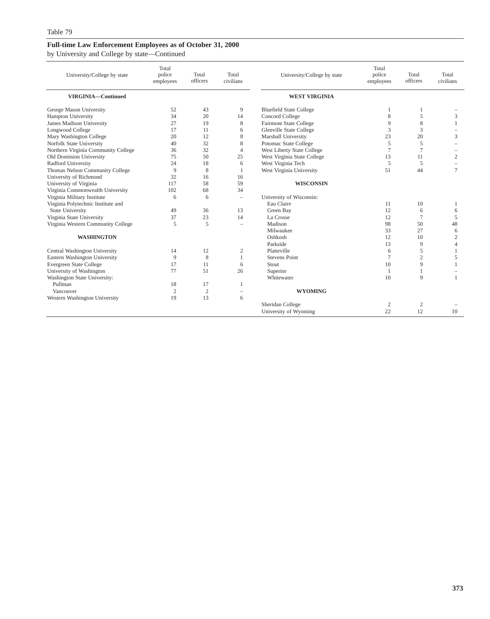### **Full-time Law Enforcement Employees as of October 31, 2000** by University and College by state—Continued

| University/College by state         | Total<br>police<br>employees | Total<br>officers | Total<br>civilians       | University/College by state    | Total<br>police<br>employees | Total<br>officers | Total<br>civilians |
|-------------------------------------|------------------------------|-------------------|--------------------------|--------------------------------|------------------------------|-------------------|--------------------|
| VIRGINIA-Continued                  |                              |                   |                          | <b>WEST VIRGINIA</b>           |                              |                   |                    |
| George Mason University             | 52                           | 43                | 9                        | <b>Bluefield State College</b> | -1                           | 1                 |                    |
| Hampton University                  | 34                           | 20                | 14                       | Concord College                | 8                            | 5                 | 3                  |
| James Madison University            | 27                           | 19                | 8                        | <b>Fairmont State College</b>  | 9                            | 8                 | $\overline{1}$     |
| Longwood College                    | 17                           | 11                | 6                        | <b>Glenville State College</b> | 3                            | 3                 |                    |
| Mary Washington College             | 20                           | 12                | 8                        | Marshall University            | 23                           | 20                | 3                  |
| Norfolk State University            | 40                           | 32                | 8                        | Potomac State College          | 5                            | 5                 |                    |
| Northern Virginia Community College | 36                           | 32                | $\overline{4}$           | West Liberty State College     | $\overline{7}$               | $\tau$            |                    |
| Old Dominion University             | 75                           | 50                | 25                       | West Virginia State College    | 13                           | 11                | 2                  |
| Radford University                  | 24                           | 18                | 6                        | West Virginia Tech             | 5                            | 5                 |                    |
| Thomas Nelson Community College     | 9                            | 8                 | 1                        | West Virginia University       | 51                           | 44                | $\tau$             |
| University of Richmond              | 32                           | 16                | 16                       |                                |                              |                   |                    |
| University of Virginia              | 117                          | 58                | 59                       | <b>WISCONSIN</b>               |                              |                   |                    |
| Virginia Commonwealth University    | 102                          | 68                | 34                       |                                |                              |                   |                    |
| Virginia Military Institute         | 6                            | 6                 | $\overline{\phantom{a}}$ | University of Wisconsin:       |                              |                   |                    |
| Virginia Polytechnic Institute and  |                              |                   |                          | Eau Claire                     | 11                           | 10                | -1                 |
| <b>State University</b>             | 49                           | 36                | 13                       | Green Bay                      | 12                           | 6                 | 6                  |
| Virginia State University           | 37                           | 23                | 14                       | La Crosse                      | 12                           | $\tau$            | 5                  |
| Virginia Western Community College  | 5                            | 5                 | $\overline{\phantom{a}}$ | Madison                        | 98                           | 50                | 48                 |
|                                     |                              |                   |                          | Milwaukee                      | 33                           | 27                | 6                  |
| <b>WASHINGTON</b>                   |                              |                   |                          | Oshkosh                        | 12                           | 10                | $\mathfrak{2}$     |
|                                     |                              |                   |                          | Parkside                       | 13                           | 9                 | $\overline{4}$     |
| Central Washington University       | 14                           | 12                | $\mathfrak{2}$           | Platteville                    | 6                            | 5                 | $\mathbf{1}$       |
| Eastern Washington University       | 9                            | 8                 | $\mathbf{1}$             | <b>Stevens Point</b>           | $\overline{7}$               | $\overline{c}$    | 5                  |
| Evergreen State College             | 17                           | 11                | 6                        | Stout                          | 10                           | 9                 | $\mathbf{1}$       |
| University of Washington            | 77                           | 51                | 26                       | Superior                       | $\overline{1}$               | 1                 |                    |
| Washington State University:        |                              |                   |                          | Whitewater                     | 10                           | 9                 | $\mathbf{1}$       |
| Pullman                             | 18                           | 17                | 1                        |                                |                              |                   |                    |
| Vancouver                           | $\overline{2}$               | $\mathfrak{2}$    | $\sim$                   | <b>WYOMING</b>                 |                              |                   |                    |
| Western Washington University       | 19                           | 13                | 6                        |                                |                              |                   |                    |
|                                     |                              |                   |                          | Sheridan College               | 2                            | $\overline{c}$    |                    |
|                                     |                              |                   |                          | University of Wyoming          | 22                           | 12                | 10                 |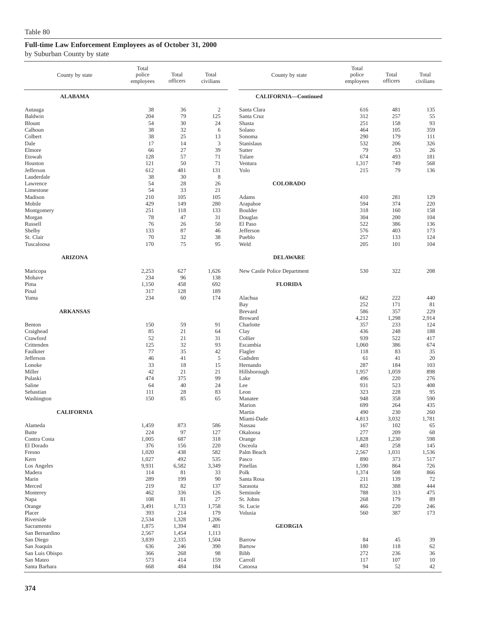### by Suburban County by state

|                                                                                                                                                                                         | County by state   | Total<br>police<br>employees                                                                                        | Total<br>officers                                                                                       | Total<br>civilians                                                                                           | County by state                                                                                                                                                                       | Total<br>police<br>employees                                                                                           | Total<br>officers                                                                                                  | Total<br>civilians                                                                                           |
|-----------------------------------------------------------------------------------------------------------------------------------------------------------------------------------------|-------------------|---------------------------------------------------------------------------------------------------------------------|---------------------------------------------------------------------------------------------------------|--------------------------------------------------------------------------------------------------------------|---------------------------------------------------------------------------------------------------------------------------------------------------------------------------------------|------------------------------------------------------------------------------------------------------------------------|--------------------------------------------------------------------------------------------------------------------|--------------------------------------------------------------------------------------------------------------|
|                                                                                                                                                                                         | <b>ALABAMA</b>    |                                                                                                                     |                                                                                                         |                                                                                                              | CALIFORNIA-Continued                                                                                                                                                                  |                                                                                                                        |                                                                                                                    |                                                                                                              |
| Autauga<br>Baldwin<br><b>Blount</b><br>Calhoun<br>Colbert<br>Dale<br>Elmore<br>Etowah<br>Houston<br>Jefferson<br>Lauderdale<br>Lawrence<br>Limestone<br>Madison<br>Mobile<br>Montgomery |                   | 38<br>204<br>54<br>38<br>38<br>17<br>66<br>128<br>121<br>612<br>38<br>54<br>54<br>210<br>429<br>251                 | 36<br>79<br>30<br>32<br>25<br>14<br>27<br>57<br>50<br>481<br>30<br>28<br>33<br>105<br>149<br>118        | $\boldsymbol{2}$<br>125<br>24<br>6<br>13<br>3<br>39<br>71<br>71<br>131<br>8<br>26<br>21<br>105<br>280<br>133 | Santa Clara<br>Santa Cruz<br>Shasta<br>Solano<br>Sonoma<br>Stanislaus<br>Sutter<br>Tulare<br>Ventura<br>Yolo<br><b>COLORADO</b><br>Adams<br>Arapahoe<br>Boulder                       | 616<br>312<br>251<br>464<br>290<br>532<br>79<br>674<br>1,317<br>215<br>410<br>594<br>318                               | 481<br>257<br>158<br>105<br>179<br>206<br>53<br>493<br>749<br>79<br>281<br>374<br>160                              | 135<br>55<br>93<br>359<br>111<br>326<br>26<br>181<br>568<br>136<br>129<br>220<br>158                         |
| Morgan<br>Russell<br>Shelby<br>St. Clair<br>Tuscaloosa                                                                                                                                  |                   | 78<br>76<br>133<br>70<br>170                                                                                        | 47<br>26<br>87<br>32<br>75                                                                              | 31<br>50<br>46<br>38<br>95                                                                                   | Douglas<br>El Paso<br>Jefferson<br>Pueblo<br>Weld                                                                                                                                     | 304<br>522<br>576<br>257<br>205                                                                                        | 200<br>386<br>403<br>133<br>101                                                                                    | 104<br>136<br>173<br>124<br>104                                                                              |
|                                                                                                                                                                                         | <b>ARIZONA</b>    |                                                                                                                     |                                                                                                         |                                                                                                              | <b>DELAWARE</b>                                                                                                                                                                       |                                                                                                                        |                                                                                                                    |                                                                                                              |
| Maricopa<br>Mohave<br>Pima<br>Pinal<br>Yuma                                                                                                                                             |                   | 2,253<br>234<br>1,150<br>317<br>234                                                                                 | 627<br>96<br>458<br>128<br>60                                                                           | 1,626<br>138<br>692<br>189<br>174                                                                            | New Castle Police Department<br><b>FLORIDA</b><br>Alachua                                                                                                                             | 530<br>662                                                                                                             | 322<br>222                                                                                                         | 208<br>440                                                                                                   |
| Benton<br>Craighead<br>Crawford<br>Crittenden<br>Faulkner<br>Jefferson<br>Lonoke<br>Miller<br>Pulaski<br>Saline<br>Sebastian<br>Washington                                              | <b>ARKANSAS</b>   | 150<br>85<br>52<br>125<br>77<br>46<br>33<br>42<br>474<br>64<br>111<br>150                                           | 59<br>21<br>21<br>32<br>35<br>41<br>18<br>21<br>375<br>40<br>28<br>85                                   | 91<br>64<br>31<br>93<br>42<br>5<br>15<br>21<br>99<br>24<br>83<br>65                                          | Bay<br><b>Brevard</b><br><b>Broward</b><br>Charlotte<br>Clay<br>Collier<br>Escambia<br>Flagler<br>Gadsden<br>Hernando<br>Hillsborough<br>Lake<br>Lee<br>Leon<br>Manatee<br>Marion     | 252<br>586<br>4,212<br>357<br>436<br>939<br>1,060<br>118<br>61<br>287<br>1,957<br>496<br>931<br>323<br>948<br>699      | 171<br>357<br>1,298<br>233<br>248<br>522<br>386<br>83<br>41<br>184<br>1,059<br>220<br>523<br>228<br>358<br>264     | 81<br>229<br>2,914<br>124<br>188<br>417<br>674<br>35<br>20<br>103<br>898<br>276<br>408<br>95<br>590<br>435   |
| Alameda<br><b>Butte</b><br>Contra Costa<br>El Dorado<br>Fresno<br>Kern<br>Los Angeles<br>Madera<br>Marin<br>Merced<br>Monterey<br>Napa<br>Orange<br>Placer<br>Riverside                 | <b>CALIFORNIA</b> | 1,459<br>224<br>1,005<br>376<br>1,020<br>1,027<br>9,931<br>114<br>289<br>219<br>462<br>108<br>3,491<br>393<br>2,534 | 873<br>97<br>687<br>156<br>438<br>492<br>6,582<br>81<br>199<br>82<br>336<br>81<br>1,733<br>214<br>1,328 | 586<br>127<br>318<br>220<br>582<br>535<br>3,349<br>33<br>90<br>137<br>126<br>27<br>1,758<br>179<br>1,206     | Martin<br>Miami-Dade<br>Nassau<br>Okaloosa<br>Orange<br>Osceola<br>Palm Beach<br>Pasco<br>Pinellas<br>Polk<br>Santa Rosa<br>Sarasota<br>Seminole<br>St. Johns<br>St. Lucie<br>Volusia | 490<br>4,813<br>167<br>277<br>1,828<br>403<br>2,567<br>890<br>1,590<br>1,374<br>211<br>832<br>788<br>268<br>466<br>560 | 230<br>3,032<br>102<br>209<br>1,230<br>258<br>1,031<br>373<br>864<br>508<br>139<br>388<br>313<br>179<br>220<br>387 | 260<br>1,781<br>65<br>68<br>598<br>145<br>1,536<br>517<br>726<br>866<br>72<br>444<br>475<br>89<br>246<br>173 |
| Sacramento<br>San Bernardino<br>San Diego<br>San Joaquin<br>San Luis Obispo<br>San Mateo<br>Santa Barbara                                                                               |                   | 1,875<br>2,567<br>3,839<br>636<br>366<br>573<br>668                                                                 | 1,394<br>1,454<br>2,335<br>246<br>268<br>414<br>484                                                     | 481<br>1,113<br>1,504<br>390<br>98<br>159<br>184                                                             | <b>GEORGIA</b><br>Barrow<br><b>Bartow</b><br>Bibb<br>Carroll<br>Catoosa                                                                                                               | 84<br>180<br>272<br>117<br>94                                                                                          | 45<br>118<br>236<br>107<br>52                                                                                      | 39<br>62<br>36<br>10<br>42                                                                                   |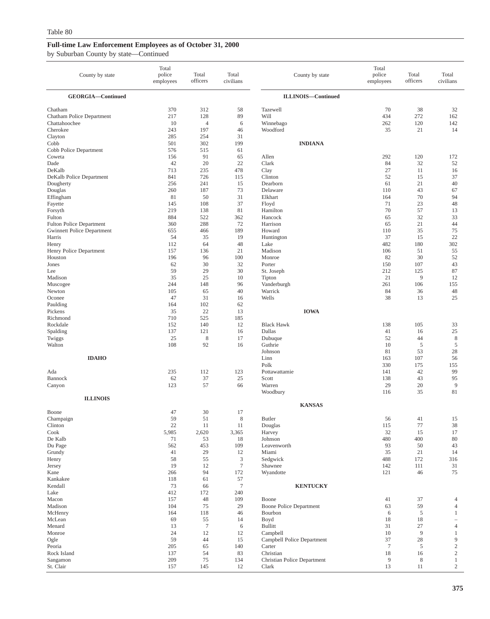| by Suburban County by state—Continued |  |
|---------------------------------------|--|
|---------------------------------------|--|

| County by state                                             | Total<br>police<br>employees         | Total<br>officers                    | Total<br>civilians                            | County by state                                       | Total<br>police<br>employees | Total<br>officers           | Total<br>civilians             |
|-------------------------------------------------------------|--------------------------------------|--------------------------------------|-----------------------------------------------|-------------------------------------------------------|------------------------------|-----------------------------|--------------------------------|
| GEORGIA-Continued                                           |                                      |                                      |                                               | <b>ILLINOIS-Continued</b>                             |                              |                             |                                |
| Chatham                                                     | 370                                  | 312                                  | 58                                            | Tazewell                                              | 70                           | 38                          | 32                             |
| Chatham Police Department                                   | 217                                  | 128                                  | 89                                            | Will                                                  | 434                          | 272                         | 162                            |
| Chattahoochee                                               | 10                                   | 4                                    | 6                                             | Winnebago                                             | 262                          | 120                         | 142                            |
| Cherokee                                                    | 243                                  | 197                                  | 46                                            | Woodford                                              | 35                           | 21                          | 14                             |
| Clayton<br>Cobb<br>Cobb Police Department                   | 285<br>501<br>576                    | 254<br>302<br>515                    | 31<br>199<br>61                               | <b>INDIANA</b>                                        |                              |                             |                                |
| Coweta                                                      | 156                                  | 91                                   | 65                                            | Allen                                                 | 292                          | 120                         | 172                            |
| Dade                                                        | 42                                   | 20                                   | 22                                            | Clark                                                 | 84                           | 32                          | 52                             |
| DeKalb                                                      | 713                                  | 235                                  | 478                                           | Clay                                                  | 27                           | 11                          | 16                             |
| DeKalb Police Department                                    | 841                                  | 726                                  | 115                                           | Clinton                                               | 52                           | 15                          | 37                             |
| Dougherty                                                   | 256                                  | 241                                  | 15                                            | Dearborn                                              | 61                           | 21                          | 40                             |
| Douglas                                                     | 260                                  | 187                                  | 73                                            | Delaware                                              | 110                          | 43                          | 67                             |
| Effingham                                                   | 81                                   | 50                                   | 31                                            | Elkhart                                               | 164                          | 70                          | 94                             |
| Fayette                                                     | 145                                  | 108                                  | 37                                            | Floyd                                                 | 71                           | 23                          | 48                             |
| Forsyth                                                     | 219                                  | 138                                  | 81                                            | Hamilton                                              | 70                           | 57                          | 13                             |
| Fulton                                                      | 884                                  | 522                                  | 362                                           | Hancock                                               | 65                           | 32                          | 33                             |
| <b>Fulton Police Department</b>                             | 360                                  | 288                                  | 72                                            | Harrison                                              | 65                           | 21                          | 44                             |
| <b>Gwinnett Police Department</b>                           | 655                                  | 466                                  | 189                                           | Howard                                                | 110                          | 35                          | 75                             |
| Harris                                                      | 54                                   | 35                                   | 19                                            | Huntington                                            | 37                           | 15                          | 22                             |
| Henry                                                       | 112                                  | 64                                   | 48                                            | Lake                                                  | 482                          | 180                         | 302                            |
| Henry Police Department                                     | 157                                  | 136                                  | 21                                            | Madison                                               | 106                          | 51                          | 55                             |
| Houston                                                     | 196                                  | 96                                   | 100                                           | Monroe                                                | 82                           | 30                          | 52                             |
| Jones                                                       | 62                                   | 30                                   | 32                                            | Porter                                                | 150                          | 107                         | 43                             |
| Lee                                                         | 59                                   | 29                                   | 30                                            | St. Joseph                                            | 212                          | 125                         | 87                             |
| Madison                                                     | 35                                   | 25                                   | 10                                            | Tipton                                                | 21                           | 9                           | 12                             |
| Muscogee                                                    | 244                                  | 148                                  | 96                                            | Vanderburgh                                           | 261                          | 106                         | 155                            |
| Newton                                                      | 105                                  | 65                                   | 40                                            | Warrick                                               | 84                           | 36                          | 48                             |
| Oconee<br>Paulding<br>Pickens<br>Richmond                   | 47<br>164<br>35<br>710               | 31<br>102<br>22<br>525               | 16<br>62<br>13<br>185                         | Wells<br><b>IOWA</b>                                  | 38                           | 13                          | 25                             |
| Rockdale                                                    | 152                                  | 140                                  | 12                                            | <b>Black Hawk</b>                                     | 138                          | 105                         | 33                             |
| Spalding                                                    | 137                                  | 121                                  | 16                                            | Dallas                                                | 41                           | 16                          | 25                             |
| Twiggs                                                      | 25                                   | 8                                    | 17                                            | Dubuque                                               | 52                           | 44                          | $\,$ 8 $\,$                    |
| Walton                                                      | 108                                  | 92                                   | 16                                            | Guthrie                                               | 10                           | 5                           | $\overline{5}$                 |
| <b>IDAHO</b>                                                |                                      |                                      |                                               | Johnson<br>Linn<br>Polk                               | 81<br>163<br>330             | 53<br>107<br>175            | 28<br>56<br>155<br>99          |
| Ada<br>Bannock<br>Canyon                                    | 235<br>62<br>123                     | 112<br>37<br>57                      | 123<br>25<br>66                               | Pottawattamie<br>Scott<br>Warren<br>Woodbury          | 141<br>138<br>29<br>116      | 42<br>43<br>20<br>35        | 95<br>9<br>81                  |
| <b>ILLINOIS</b>                                             |                                      |                                      |                                               | <b>KANSAS</b>                                         |                              |                             |                                |
| Boone<br>Champaign<br>Clinton<br>Cook<br>De Kalb<br>Du Page | 47<br>59<br>22<br>5,985<br>71<br>562 | 30<br>51<br>11<br>2,620<br>53<br>453 | 17<br>$\,$ 8 $\,$<br>11<br>3,365<br>18<br>109 | Butler<br>Douglas<br>Harvey<br>Johnson<br>Leavenworth | 56<br>115<br>32<br>480<br>93 | 41<br>77<br>15<br>400<br>50 | 15<br>$38\,$<br>17<br>80<br>43 |
| Grundy<br>Henry<br>Jersey<br>Kane<br>Kankakee               | 41<br>58<br>19<br>266<br>118         | 29<br>55<br>12<br>94<br>61           | 12<br>3<br>$\boldsymbol{7}$<br>172<br>57      | Miami<br>Sedgwick<br>Shawnee<br>Wyandotte             | 35<br>488<br>142<br>121      | 21<br>172<br>111<br>46      | 14<br>316<br>31<br>75          |
| Kendall<br>Lake<br>Macon                                    | 73<br>412<br>157                     | 66<br>172<br>48                      | $\boldsymbol{7}$<br>240<br>109                | <b>KENTUCKY</b><br>Boone                              | 41                           | 37                          | 4                              |
| Madison                                                     | 104                                  | 75                                   | 29                                            | <b>Boone Police Department</b>                        | 63                           | 59                          | $\overline{4}$                 |
| McHenry                                                     | 164                                  | 118                                  | 46                                            | Bourbon                                               | 6                            | 5                           | $\mathbf{1}$                   |
| McLean                                                      | 69                                   | 55                                   | 14                                            | Boyd                                                  | 18                           | 18                          | $\overline{\phantom{0}}$       |
| Menard                                                      | 13                                   | $\tau$                               | 6                                             | <b>Bullitt</b>                                        | 31                           | 27                          | $\overline{4}$                 |
| Monroe                                                      | 24                                   | 12                                   | 12                                            | Campbell                                              | 10                           | $\overline{9}$              | $\mathbf{1}$                   |
| Ogle                                                        | 59                                   | 44                                   | 15                                            | Campbell Police Department                            | 37                           | 28                          | 9                              |
| Peoria                                                      | 205                                  | 65                                   | 140                                           | Carter                                                | $7\phantom{.0}$              | 5                           | $\overline{2}$                 |
| Rock Island                                                 | 137                                  | 54                                   | 83                                            | Christian                                             | 18                           | 16                          | $\boldsymbol{2}$               |
| Sangamon                                                    | 209                                  | 75                                   | 134                                           | Christian Police Department                           | 9                            | 8                           | $\mathbf{1}$                   |
| St. Clair                                                   | 157                                  | 145                                  | 12                                            | Clark                                                 | 13                           | 11                          | $\overline{c}$                 |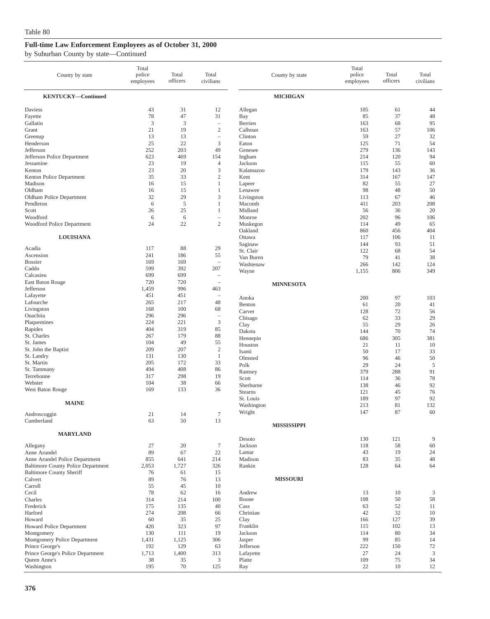| County by state                                 | Total<br>police<br>employees | Total<br>officers | Total<br>civilians                |                         | County by state    | Total<br>police<br>employees | Total<br>officers | Total<br>civilians   |
|-------------------------------------------------|------------------------------|-------------------|-----------------------------------|-------------------------|--------------------|------------------------------|-------------------|----------------------|
| <b>KENTUCKY-Continued</b>                       |                              |                   |                                   |                         | <b>MICHIGAN</b>    |                              |                   |                      |
| Daviess<br>Fayette                              | 43<br>78                     | 31<br>47          | 12<br>31                          | Allegan<br>Bay          |                    | 105<br>85                    | 61<br>37          | 44<br>48             |
| Gallatin                                        | 3                            | 3                 |                                   | Berrien                 |                    | 163                          | 68                | 95                   |
| Grant                                           | 21                           | 19                | $\sqrt{2}$                        | Calhoun                 |                    | 163                          | 57                | 106                  |
| Greenup                                         | 13                           | 13                | $\overline{\phantom{0}}$          | Clinton                 |                    | 59                           | 27                | 32                   |
| Henderson<br>Jefferson                          | 25<br>252                    | 22<br>203         | 3<br>49                           | Eaton<br>Genesee        |                    | 125<br>279                   | 71<br>136         | 54<br>143            |
| Jefferson Police Department                     | 623                          | 469               | 154                               | Ingham                  |                    | 214                          | 120               | 94                   |
| Jessamine                                       | 23                           | 19                | $\overline{4}$                    | Jackson                 |                    | 115                          | 55                | 60                   |
| Kenton                                          | 23                           | 20                | 3                                 | Kalamazoo               |                    | 179                          | 143               | 36                   |
| Kenton Police Department                        | 35                           | 33                | $\overline{c}$                    | Kent                    |                    | 314                          | 167               | 147                  |
| Madison                                         | 16                           | 15                | $\mathbf{1}$                      | Lapeer                  |                    | 82                           | 55                | 27                   |
| Oldham                                          | 16                           | 15                | 1                                 | Lenawee                 |                    | 98                           | 48                | 50                   |
| Oldham Police Department                        | 32                           | 29                | 3                                 | Livingston              |                    | 113                          | 67                | 46                   |
| Pendleton<br>Scott                              | 6<br>26                      | $\sqrt{5}$<br>25  | 1<br>1                            | Macomb<br>Midland       |                    | 411<br>56                    | 203<br>36         | 208<br>20            |
| Woodford                                        | 6                            | 6                 | $\overline{\phantom{0}}$          | Monroe                  |                    | 202                          | 96                | 106                  |
| Woodford Police Department                      | 24                           | 22                | $\mathbf{2}$                      | Muskegon                |                    | 114                          | 49                | 65                   |
|                                                 |                              |                   |                                   | Oakland                 |                    | 860                          | 456               | 404                  |
| <b>LOUISIANA</b>                                |                              |                   |                                   | Ottawa                  |                    | 117                          | 106               | 11                   |
|                                                 |                              |                   |                                   | Saginaw                 |                    | 144                          | 93                | 51                   |
| Acadia<br>Ascension                             | 117<br>241                   | 88<br>186         | 29<br>55                          | St. Clair               |                    | 122                          | 68                | 54                   |
| <b>Bossier</b>                                  | 169                          | 169               | $\hspace{1.0cm} - \hspace{1.0cm}$ | Van Buren               |                    | 79                           | 41                | 38                   |
| Caddo                                           | 599                          | 392               | 207                               | Washtenaw               |                    | 266                          | 142               | 124                  |
| Calcasieu                                       | 699                          | 699               | $\overline{\phantom{0}}$          | Wayne                   |                    | 1,155                        | 806               | 349                  |
| East Baton Rouge                                | 720                          | 720               | $\overline{\phantom{a}}$          |                         | <b>MINNESOTA</b>   |                              |                   |                      |
| Jefferson                                       | 1,459                        | 996               | 463                               |                         |                    |                              |                   |                      |
| Lafayette                                       | 451                          | 451               | $\overline{\phantom{0}}$          | Anoka                   |                    | 200                          | 97                | 103                  |
| Lafourche                                       | 265                          | 217               | 48                                | Benton                  |                    | 61                           | 20                | 41                   |
| Livingston                                      | 168                          | 100               | 68                                | Carver                  |                    | 128                          | 72                | 56                   |
| Ouachita<br>Plaquemines                         | 296<br>224                   | 296<br>221        | $\overline{\phantom{0}}$<br>3     | Chisago                 |                    | 62                           | 33                | 29                   |
| Rapides                                         | 404                          | 319               | 85                                | Clay                    |                    | 55                           | 29                | 26                   |
| St. Charles                                     | 267                          | 179               | 88                                | Dakota                  |                    | 144                          | 70                | 74                   |
| St. James                                       | 104                          | 49                | 55                                | Hennepin<br>Houston     |                    | 686<br>21                    | 305<br>11         | 381<br>10            |
| St. John the Baptist                            | 209                          | 207               | $\sqrt{2}$                        | Isanti                  |                    | 50                           | 17                | 33                   |
| St. Landry                                      | 131                          | 130               | $\mathbf{1}$                      | Olmsted                 |                    | 96                           | 46                | 50                   |
| St. Martin                                      | 205                          | 172               | 33                                | Polk                    |                    | 29                           | 24                | 5                    |
| St. Tammany                                     | 494                          | 408               | 86                                | Ramsey                  |                    | 379                          | 288               | 91                   |
| Terrebonne<br>Webster                           | 317<br>104                   | 298               | 19                                | Scott                   |                    | 114                          | 36                | 78                   |
| West Baton Rouge                                | 169                          | 38<br>133         | 66<br>36                          | Sherburne               |                    | 138                          | 46                | 92                   |
|                                                 |                              |                   |                                   | <b>Stearns</b>          |                    | 121                          | 45                | 76                   |
| <b>MAINE</b>                                    |                              |                   |                                   | St. Louis<br>Washington |                    | 189<br>213                   | 97<br>81          | 92<br>132            |
|                                                 |                              |                   |                                   | Wright                  |                    | 147                          | 87                | 60                   |
| Androscoggin                                    | 21                           | 14                | $\overline{7}$                    |                         |                    |                              |                   |                      |
| Cumberland                                      | 63                           | 50                | 13                                |                         | <b>MISSISSIPPI</b> |                              |                   |                      |
| <b>MARYLAND</b>                                 |                              |                   |                                   | Desoto                  |                    | 130                          | 121               | $\overline{9}$       |
| Allegany                                        | 27                           | 20                | $\tau$                            | Jackson                 |                    | 118                          | 58                | 60                   |
| Anne Arundel                                    | 89                           | 67                | 22                                | Lamar                   |                    | 43                           | 19                | 24                   |
| Anne Arundel Police Department                  | 855                          | 641               | 214                               | Madison                 |                    | 83                           | 35                | 48                   |
| <b>Baltimore County Police Department</b>       | 2,053                        | 1,727             | 326                               | Rankin                  |                    | 128                          | 64                | 64                   |
| <b>Baltimore County Sheriff</b><br>Calvert      | 76<br>89                     | 61<br>76          | 15<br>13                          |                         | <b>MISSOURI</b>    |                              |                   |                      |
| Carroll                                         | 55                           | 45                | 10                                |                         |                    |                              |                   |                      |
| Cecil                                           | 78                           | 62                | 16                                | Andrew                  |                    | 13                           | 10                | 3                    |
| Charles                                         | 314                          | 214               | 100                               | Boone                   |                    | 108                          | 50                | 58                   |
| Frederick                                       | 175                          | 135               | 40                                | Cass                    |                    | 63                           | 52                | 11                   |
| Harford                                         | 274                          | 208               | 66                                | Christian               |                    | 42                           | 32                | 10                   |
| Howard                                          | 60                           | 35                | 25                                | Clay                    |                    | 166                          | 127               | 39                   |
| Howard Police Department                        | 420                          | 323               | 97                                | Franklin                |                    | 115                          | 102               | 13                   |
| Montgomery                                      | 130                          | 111               | 19                                | Jackson                 |                    | 114<br>99                    | 80<br>85          | 34<br>14             |
| Montgomery Police Department<br>Prince George's | 1,431<br>192                 | 1,125<br>129      | 306<br>63                         | Jasper<br>Jefferson     |                    | 222                          | 150               | 72                   |
| Prince George's Police Department               | 1,713                        | 1,400             | 313                               | Lafayette               |                    | 27                           | 24                | $\boldsymbol{\beta}$ |
| Queen Anne's                                    | 38                           | 35                | 3                                 | Platte                  |                    | 109                          | 75                | 34                   |
| Washington                                      | 195                          | 70                | 125                               | Ray                     |                    | 22                           | 10                | 12                   |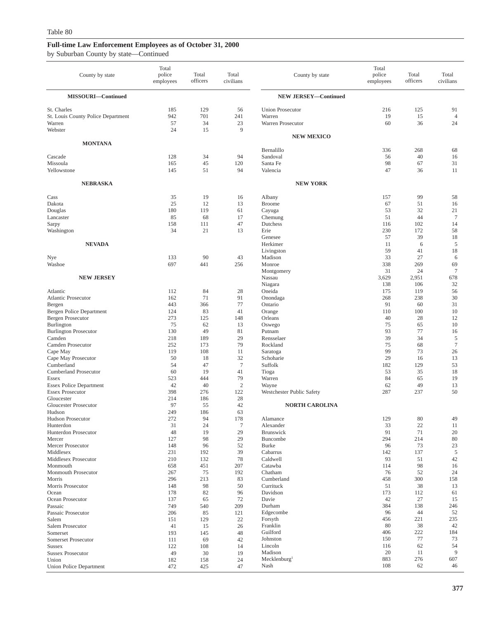| County by state                                                        | Total<br>police<br>employees | Total<br>officers      | Total<br>civilians   | County by state                                        | Total<br>police<br>employees | Total<br>officers | Total<br>civilians         |
|------------------------------------------------------------------------|------------------------------|------------------------|----------------------|--------------------------------------------------------|------------------------------|-------------------|----------------------------|
| MISSOURI-Continued                                                     |                              |                        |                      | <b>NEW JERSEY-Continued</b>                            |                              |                   |                            |
| St. Charles<br>St. Louis County Police Department<br>Warren<br>Webster | 185<br>942<br>57<br>24       | 129<br>701<br>34<br>15 | 56<br>241<br>23<br>9 | <b>Union Prosecutor</b><br>Warren<br>Warren Prosecutor | 216<br>19<br>60              | 125<br>15<br>36   | 91<br>$\overline{4}$<br>24 |
|                                                                        |                              |                        |                      | <b>NEW MEXICO</b>                                      |                              |                   |                            |
| <b>MONTANA</b>                                                         |                              |                        |                      | Bernalillo                                             | 336                          | 268               | 68                         |
| Cascade                                                                | 128<br>165                   | 34                     | 94<br>120            | Sandoval                                               | 56<br>98                     | 40<br>67          | 16<br>31                   |
| Missoula<br>Yellowstone                                                | 145                          | 45<br>51               | 94                   | Santa Fe<br>Valencia                                   | 47                           | 36                | 11                         |
| <b>NEBRASKA</b>                                                        |                              |                        |                      | <b>NEW YORK</b>                                        |                              |                   |                            |
| Cass                                                                   | 35                           | 19                     | 16                   | Albany                                                 | 157                          | 99                | 58                         |
| Dakota                                                                 | 25                           | 12                     | 13                   | <b>Broome</b>                                          | 67                           | 51                | 16                         |
| Douglas<br>Lancaster                                                   | 180<br>85                    | 119<br>68              | 61<br>17             | Cayuga                                                 | 53<br>51                     | 32<br>44          | 21<br>$\overline{7}$       |
| Sarpy                                                                  | 158                          | 111                    | 47                   | Chemung<br>Dutchess                                    | 116                          | 102               | 14                         |
| Washington                                                             | 34                           | 21                     | 13                   | Erie                                                   | 230                          | 172               | 58                         |
|                                                                        |                              |                        |                      | Genesee                                                | 57                           | 39                | 18                         |
| <b>NEVADA</b>                                                          |                              |                        |                      | Herkimer<br>Livingston                                 | 11<br>59                     | 6<br>41           | 5<br>18                    |
| Nye                                                                    | 133                          | 90                     | 43                   | Madison                                                | 33                           | 27                | 6                          |
| Washoe                                                                 | 697                          | 441                    | 256                  | Monroe                                                 | 338                          | 269               | 69                         |
|                                                                        |                              |                        |                      | Montgomery                                             | 31                           | 24                | $\tau$                     |
| <b>NEW JERSEY</b>                                                      |                              |                        |                      | Nassau<br>Niagara                                      | 3,629<br>138                 | 2,951<br>106      | 678<br>32                  |
| Atlantic                                                               | 112                          | 84                     | 28                   | Oneida                                                 | 175                          | 119               | 56                         |
| <b>Atlantic Prosecutor</b>                                             | 162                          | 71                     | 91                   | Onondaga                                               | 268                          | 238               | 30                         |
| Bergen                                                                 | 443                          | 366                    | 77                   | Ontario                                                | 91                           | 60                | 31                         |
| Bergen Police Department<br><b>Bergen Prosecutor</b>                   | 124<br>273                   | 83<br>125              | 41<br>148            | Orange<br>Orleans                                      | 110<br>40                    | 100<br>28         | 10<br>12                   |
| Burlington                                                             | 75                           | 62                     | 13                   | Oswego                                                 | 75                           | 65                | 10                         |
| <b>Burlington Prosecutor</b>                                           | 130                          | 49                     | 81                   | Putnam                                                 | 93                           | 77                | 16                         |
| Camden                                                                 | 218                          | 189                    | 29                   | Rensselaer                                             | 39                           | 34                | 5                          |
| Camden Prosecutor                                                      | 252<br>119                   | 173<br>108             | 79<br>11             | Rockland                                               | 75<br>99                     | 68<br>73          | $\tau$                     |
| Cape May<br>Cape May Prosecutor                                        | 50                           | 18                     | 32                   | Saratoga<br>Schoharie                                  | 29                           | 16                | 26<br>13                   |
| Cumberland                                                             | 54                           | 47                     | $7\phantom{.0}$      | Suffolk                                                | 182                          | 129               | 53                         |
| <b>Cumberland Prosecutor</b>                                           | 60                           | 19                     | 41                   | Tioga                                                  | 53                           | 35                | 18                         |
| Essex                                                                  | 523                          | 444                    | 79                   | Warren                                                 | 84                           | 65                | 19                         |
| <b>Essex Police Department</b><br><b>Essex Prosecutor</b>              | 42<br>398                    | 40<br>276              | 2<br>122             | Wayne<br>Westchester Public Safety                     | 62<br>287                    | 49<br>237         | 13<br>50                   |
| Gloucester                                                             | 214                          | 186                    | 28                   |                                                        |                              |                   |                            |
| Gloucester Prosecutor                                                  | 97                           | 55                     | 42                   | <b>NORTH CAROLINA</b>                                  |                              |                   |                            |
| Hudson                                                                 | 249                          | 186                    | 63                   |                                                        |                              |                   |                            |
| Hudson Prosecutor<br>Hunterdon                                         | 272<br>31                    | 94<br>24               | 178<br>$\tau$        | Alamance<br>Alexander                                  | 129<br>33                    | 80<br>22          | 49                         |
| Hunterdon Prosecutor                                                   | 48                           | 19                     | 29                   | Brunswick                                              | 91                           | 71                | 11<br>20                   |
| Mercer                                                                 | 127                          | 98                     | 29                   | Buncombe                                               | 294                          | 214               | 80                         |
| Mercer Prosecutor                                                      | 148                          | 96                     | 52                   | <b>Burke</b>                                           | 96                           | 73                | 23                         |
| Middlesex                                                              | 231                          | 192                    | 39                   | Cabarrus                                               | 142                          | 137               | 5                          |
| Middlesex Prosecutor<br>Monmouth                                       | 210<br>658                   | 132<br>451             | 78<br>207            | Caldwell<br>Catawba                                    | 93<br>114                    | 51<br>98          | 42<br>16                   |
| Monmouth Prosecutor                                                    | 267                          | 75                     | 192                  | Chatham                                                | 76                           | 52                | 24                         |
| Morris                                                                 | 296                          | 213                    | 83                   | Cumberland                                             | 458                          | 300               | 158                        |
| Morris Prosecutor                                                      | 148                          | 98                     | 50                   | Currituck                                              | 51                           | 38                | 13                         |
| Ocean<br>Ocean Prosecutor                                              | 178<br>137                   | 82<br>65               | 96<br>72             | Davidson<br>Davie                                      | 173<br>42                    | 112<br>27         | 61<br>15                   |
| Passaic                                                                | 749                          | 540                    | 209                  | Durham                                                 | 384                          | 138               | 246                        |
| Passaic Prosecutor                                                     | 206                          | 85                     | 121                  | Edgecombe                                              | 96                           | 44                | 52                         |
| Salem                                                                  | 151                          | 129                    | 22                   | Forsyth                                                | 456                          | 221               | 235                        |
| Salem Prosecutor                                                       | 41                           | 15                     | 26                   | Franklin<br>Guilford                                   | 80<br>406                    | 38<br>222         | 42<br>184                  |
| Somerset<br>Somerset Prosecutor                                        | 193<br>111                   | 145<br>69              | 48<br>42             | Johnston                                               | 150                          | 77                | 73                         |
| <b>Sussex</b>                                                          | 122                          | 108                    | 14                   | Lincoln                                                | 116                          | 62                | 54                         |
| <b>Sussex Prosecutor</b>                                               | 49                           | 30                     | 19                   | Madison                                                | 20                           | 11                | 9                          |
| Union                                                                  | 182                          | 158                    | 24                   | Mecklenburg <sup>1</sup>                               | 883                          | 276               | 607                        |
| <b>Union Police Department</b>                                         | 472                          | 425                    | 47                   | Nash                                                   | 108                          | 62                | 46                         |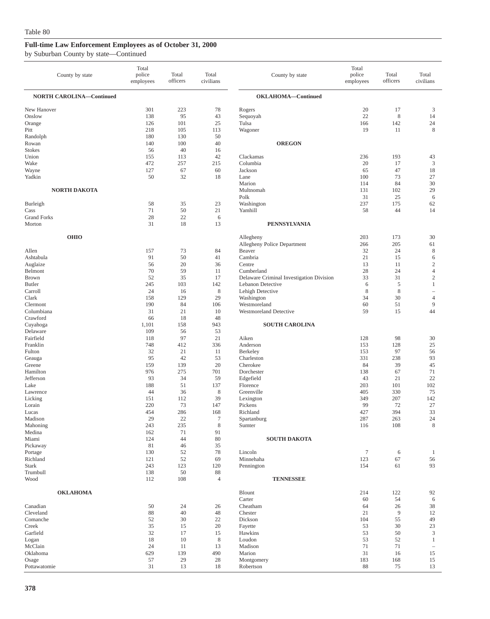| County by state                 | Total<br>police<br>employees | Total<br>officers | Total<br>civilians | County by state                                               | Total<br>police<br>employees | Total<br>officers | Total<br>civilians           |
|---------------------------------|------------------------------|-------------------|--------------------|---------------------------------------------------------------|------------------------------|-------------------|------------------------------|
| <b>NORTH CAROLINA-Continued</b> |                              |                   |                    | OKLAHOMA-Continued                                            |                              |                   |                              |
| New Hanover                     | 301                          | 223               | 78                 | Rogers                                                        | 20                           | 17                | 3                            |
| Onslow                          | 138                          | 95                | 43                 | Sequoyah                                                      | 22                           | 8                 | 14                           |
| Orange                          | 126                          | 101               | 25                 | Tulsa                                                         | 166                          | 142               | 24                           |
| Pitt                            | 218                          | 105               | 113                | Wagoner                                                       | 19                           | 11                | 8                            |
| Randolph<br>Rowan               | 180<br>140                   | 130<br>100        | 50<br>40           | <b>OREGON</b>                                                 |                              |                   |                              |
| <b>Stokes</b>                   | 56                           | 40                | 16                 |                                                               |                              |                   |                              |
| Union                           | 155                          | 113               | 42                 | Clackamas                                                     | 236                          | 193               | 43                           |
| Wake                            | 472                          | 257               | 215                | Columbia                                                      | 20                           | 17                | $\mathfrak z$                |
| Wayne                           | 127                          | 67                | 60                 | Jackson                                                       | 65                           | 47                | 18                           |
| Yadkin                          | 50                           | 32                | 18                 | Lane                                                          | 100                          | 73                | 27                           |
| <b>NORTH DAKOTA</b>             |                              |                   |                    | Marion<br>Multnomah                                           | 114<br>131                   | 84<br>102         | 30<br>29                     |
|                                 |                              |                   |                    | Polk                                                          | 31                           | 25                | 6                            |
| Burleigh                        | 58                           | 35                | 23                 | Washington                                                    | 237                          | 175               | 62                           |
| Cass                            | 71                           | 50                | 21                 | Yamhill                                                       | 58                           | 44                | 14                           |
| <b>Grand Forks</b>              | 28                           | 22                | 6                  |                                                               |                              |                   |                              |
| Morton                          | 31                           | 18                | 13                 | <b>PENNSYLVANIA</b>                                           |                              |                   |                              |
| <b>OHIO</b>                     |                              |                   |                    | Allegheny                                                     | 203                          | 173               | 30                           |
|                                 |                              |                   |                    | Allegheny Police Department                                   | 266                          | 205               | 61                           |
| Allen                           | 157                          | 73                | 84                 | Beaver                                                        | 32                           | 24                | $\,$ 8 $\,$                  |
| Ashtabula                       | 91                           | 50                | 41                 | Cambria                                                       | 21                           | 15                | 6                            |
| Auglaize                        | 56                           | 20                | 36                 | Centre                                                        | 13                           | 11                | $\sqrt{2}$                   |
| Belmont                         | 70                           | 59                | 11                 | Cumberland                                                    | 28                           | 24<br>31          | $\overline{4}$<br>$\sqrt{2}$ |
| <b>Brown</b><br><b>Butler</b>   | 52<br>245                    | 35<br>103         | 17<br>142          | Delaware Criminal Investigation Division<br>Lebanon Detective | 33<br>6                      | 5                 | $\mathbf{1}$                 |
| Carroll                         | 24                           | 16                | 8                  | Lehigh Detective                                              | 8                            | 8                 | $\overline{\phantom{a}}$     |
| Clark                           | 158                          | 129               | 29                 | Washington                                                    | 34                           | 30                | $\overline{4}$               |
| Clermont                        | 190                          | 84                | 106                | Westmoreland                                                  | 60                           | 51                | 9                            |
| Columbiana                      | 31                           | 21                | 10                 | Westmoreland Detective                                        | 59                           | 15                | 44                           |
| Crawford<br>Cuyahoga            | 66<br>1,101                  | 18<br>158         | 48<br>943          | <b>SOUTH CAROLINA</b>                                         |                              |                   |                              |
| Delaware                        | 109                          | 56                | 53                 |                                                               |                              |                   |                              |
| Fairfield                       | 118                          | 97                | 21                 | Aiken                                                         | 128                          | 98                | 30                           |
| Franklin                        | 748                          | 412               | 336                | Anderson                                                      | 153                          | 128               | 25                           |
| Fulton                          | 32                           | 21                | 11                 | Berkeley                                                      | 153                          | 97                | 56                           |
| Geauga                          | 95                           | 42                | 53                 | Charleston                                                    | 331                          | 238               | 93                           |
| Greene<br>Hamilton              | 159<br>976                   | 139<br>275        | 20<br>701          | Cherokee<br>Dorchester                                        | 84<br>138                    | 39<br>67          | 45<br>71                     |
| Jefferson                       | 93                           | 34                | 59                 | Edgefield                                                     | 43                           | 21                | 22                           |
| Lake                            | 188                          | 51                | 137                | Florence                                                      | 203                          | 101               | 102                          |
| Lawrence                        | 44                           | 36                | 8                  | Greenville                                                    | 405                          | 330               | 75                           |
| Licking                         | 151                          | 112               | 39                 | Lexington                                                     | 349                          | 207               | 142                          |
| Lorain<br>Lucas                 | 220<br>454                   | 73<br>286         | 147<br>168         | Pickens<br>Richland                                           | 99<br>427                    | 72<br>394         | 27<br>33                     |
| Madison                         | 29                           | 22                | 7                  | Spartanburg                                                   | 287                          | 263               | 24                           |
| Mahoning                        | 243                          | 235               | $\,$ 8 $\,$        | Sumter                                                        | 116                          | 108               | $\,$ 8 $\,$                  |
| Medina                          | 162                          | 71                | 91                 |                                                               |                              |                   |                              |
| Miami                           | 124                          | 44                | 80                 | <b>SOUTH DAKOTA</b>                                           |                              |                   |                              |
| Pickaway                        | 81                           | 46<br>52          | 35                 | Lincoln                                                       | $\boldsymbol{7}$             |                   |                              |
| Portage<br>Richland             | 130<br>121                   | 52                | 78<br>69           | Minnehaha                                                     | 123                          | 6<br>67           | $\mathbf{1}$<br>56           |
| <b>Stark</b>                    | 243                          | 123               | 120                | Pennington                                                    | 154                          | 61                | 93                           |
| Trumbull                        | 138                          | 50                | 88                 |                                                               |                              |                   |                              |
| Wood                            | 112                          | 108               | $\overline{4}$     | <b>TENNESSEE</b>                                              |                              |                   |                              |
| <b>OKLAHOMA</b>                 |                              |                   |                    | Blount                                                        | 214                          | 122               | 92                           |
|                                 |                              |                   |                    | Carter                                                        | 60                           | 54                | 6                            |
| Canadian                        | 50                           | 24                | 26                 | Cheatham                                                      | 64                           | 26                | 38                           |
| Cleveland<br>Comanche           | 88                           | 40                | 48                 | Chester                                                       | 21                           | 9                 | 12                           |
| Creek                           | 52<br>35                     | 30<br>15          | $22\,$<br>20       | Dickson<br>Fayette                                            | 104<br>53                    | 55<br>30          | 49<br>23                     |
| Garfield                        | 32                           | 17                | 15                 | Hawkins                                                       | 53                           | 50                | $\mathfrak z$                |
| Logan                           | 18                           | 10                | 8                  | Loudon                                                        | 53                           | 52                | $\mathbf{1}$                 |
| McClain                         | 24                           | 11                | 13                 | Madison                                                       | 71                           | 71                | $\overline{\phantom{a}}$     |
| Oklahoma                        | 629                          | 139               | 490                | Marion                                                        | 31                           | 16                | 15                           |
| Osage<br>Pottawatomie           | 57<br>31                     | 29<br>13          | 28<br>18           | Montgomery<br>Robertson                                       | 183<br>88                    | 168<br>75         | 15<br>13                     |
|                                 |                              |                   |                    |                                                               |                              |                   |                              |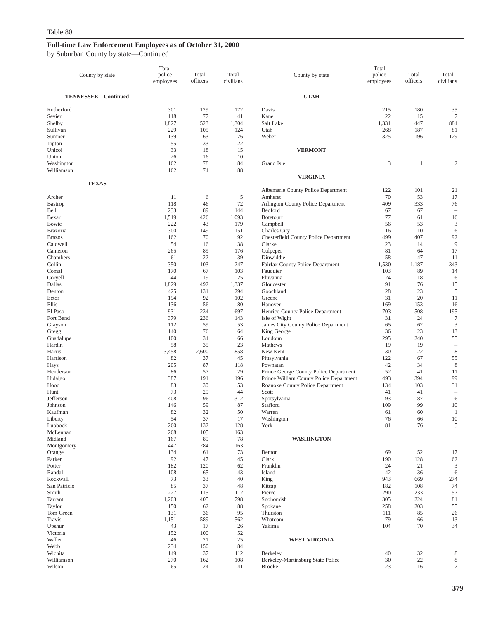| County by state                                                          | Total<br>police<br>employees                  | Total<br>officers                         | Total<br>civilians                          | County by state                                                                                      | Total<br>police<br>employees     | Total<br>officers              | Total<br>civilians                  |
|--------------------------------------------------------------------------|-----------------------------------------------|-------------------------------------------|---------------------------------------------|------------------------------------------------------------------------------------------------------|----------------------------------|--------------------------------|-------------------------------------|
| TENNESSEE-Continued                                                      |                                               |                                           |                                             | <b>UTAH</b>                                                                                          |                                  |                                |                                     |
| Rutherford<br>Sevier<br>Shelby<br>Sullivan<br>Sumner<br>Tipton<br>Unicoi | 301<br>118<br>1,827<br>229<br>139<br>55<br>33 | 129<br>77<br>523<br>105<br>63<br>33<br>18 | 172<br>41<br>1,304<br>124<br>76<br>22<br>15 | Davis<br>Kane<br>Salt Lake<br>Utah<br>Weber<br><b>VERMONT</b>                                        | 215<br>22<br>1,331<br>268<br>325 | 180<br>15<br>447<br>187<br>196 | 35<br>$\tau$<br>884<br>81<br>129    |
| Union<br>Washington                                                      | 26<br>162                                     | 16<br>78                                  | 10<br>84                                    | Grand Isle                                                                                           | 3                                | $\mathbf{1}$                   | 2                                   |
| Williamson<br><b>TEXAS</b>                                               | 162                                           | 74                                        | 88                                          | <b>VIRGINIA</b>                                                                                      |                                  |                                |                                     |
| Archer                                                                   | 11                                            | 6                                         | 5                                           | Albemarle County Police Department<br>Amherst                                                        | 122<br>70                        | 101<br>53                      | 21<br>17                            |
| Bastrop                                                                  | 118                                           | 46                                        | 72                                          | Arlington County Police Department                                                                   | 409                              | 333                            | 76                                  |
| Bell                                                                     | 233                                           | 89                                        | 144                                         | Bedford                                                                                              | 67                               | 67                             | $\overline{\phantom{a}}$            |
| Bexar                                                                    | 1,519                                         | 426                                       | 1,093                                       | <b>Botetourt</b>                                                                                     | 77                               | 61                             | 16                                  |
| Bowie                                                                    | 222                                           | 43                                        | 179                                         | Campbell                                                                                             | 56                               | 53                             | $\mathfrak{Z}$                      |
| Brazoria                                                                 | 300                                           | 149                                       | 151                                         | Charles City                                                                                         | 16                               | 10                             | 6                                   |
| <b>Brazos</b>                                                            | 162                                           | 70                                        | 92                                          | Chesterfield County Police Department                                                                | 499                              | 407                            | 92                                  |
| Caldwell                                                                 | 54                                            | 16                                        | 38                                          | Clarke                                                                                               | 23                               | 14                             | 9                                   |
| Cameron                                                                  | 265                                           | 89                                        | 176                                         | Culpeper                                                                                             | 81                               | 64                             | 17                                  |
| Chambers                                                                 | 61                                            | 22                                        | 39                                          | Dinwiddie                                                                                            | 58                               | 47                             | 11                                  |
| Collin                                                                   | 350                                           | 103                                       | 247                                         | Fairfax County Police Department                                                                     | 1,530                            | 1,187                          | 343                                 |
| Comal                                                                    | 170                                           | 67                                        | 103                                         | Fauquier                                                                                             | 103                              | 89                             | 14                                  |
| Coryell                                                                  | 44                                            | 19                                        | 25                                          | Fluvanna                                                                                             | 24                               | 18                             | 6                                   |
| Dallas                                                                   | 1,829                                         | 492                                       | 1,337                                       | Gloucester                                                                                           | 91                               | 76                             | 15                                  |
| Denton                                                                   | 425                                           | 131                                       | 294                                         | Goochland                                                                                            | 28                               | 23                             | 5                                   |
| Ector                                                                    | 194                                           | 92                                        | 102                                         | Greene                                                                                               | 31                               | 20                             | 11                                  |
| Ellis                                                                    | 136                                           | 56                                        | 80                                          | Hanover                                                                                              | 169                              | 153                            | 16                                  |
| El Paso                                                                  | 931                                           | 234                                       | 697                                         | Henrico County Police Department                                                                     | 703                              | 508                            | 195                                 |
| Fort Bend                                                                | 379                                           | 236                                       | 143                                         | Isle of Wight                                                                                        | 31                               | 24                             | $\tau$                              |
| Grayson                                                                  | 112                                           | 59                                        | 53                                          | James City County Police Department                                                                  | 65                               | 62                             | $\mathfrak{Z}$                      |
| Gregg                                                                    | 140                                           | 76                                        | 64                                          | King George                                                                                          | 36                               | 23                             | 13                                  |
| Guadalupe                                                                | 100                                           | 34                                        | 66                                          | Loudoun                                                                                              | 295                              | 240                            | 55                                  |
| Hardin                                                                   | 58                                            | 35                                        | 23                                          | Mathews                                                                                              | 19                               | 19                             | $\overline{\phantom{a}}$            |
| Harris                                                                   | 3,458                                         | 2,600                                     | 858                                         | New Kent                                                                                             | 30                               | 22                             | $\,8\,$                             |
| Harrison<br>Hays<br>Henderson                                            | 82<br>205<br>86                               | 37<br>87<br>57                            | 45<br>118<br>29                             | Pittsylvania<br>Powhatan<br>Prince George County Police Department                                   | 122<br>42<br>52                  | 67<br>34<br>41                 | 55<br>8<br>11<br>99                 |
| Hidalgo<br>Hood<br>Hunt<br>Jefferson                                     | 387<br>83<br>73<br>408                        | 191<br>30<br>29<br>96                     | 196<br>53<br>44<br>312                      | Prince William County Police Department<br>Roanoke County Police Department<br>Scott<br>Spotsylvania | 493<br>134<br>41<br>93           | 394<br>103<br>41<br>87         | 31<br>$\overline{\phantom{a}}$<br>6 |
| Johnson                                                                  | 146                                           | 59                                        | 87                                          | Stafford                                                                                             | 109                              | 99                             | 10                                  |
| Kaufman                                                                  | 82                                            | 32                                        | 50                                          | Warren                                                                                               | 61                               | 60                             | $\mathbf{1}$                        |
| Liberty                                                                  | 54                                            | 37                                        | 17                                          | Washington                                                                                           | 76                               | 66                             | 10                                  |
| Lubbock                                                                  | 260                                           | 132                                       | 128                                         | York                                                                                                 | $81\,$                           | $76\,$                         | 5                                   |
| McLennan<br>Midland<br>Montgomery                                        | 268<br>167<br>447                             | 105<br>89<br>284                          | 163<br>78<br>163                            | <b>WASHINGTON</b>                                                                                    |                                  |                                |                                     |
| Orange                                                                   | 134                                           | 61                                        | 73                                          | Benton                                                                                               | 69                               | 52                             | 17                                  |
| Parker                                                                   | 92                                            | 47                                        | 45                                          | Clark                                                                                                | 190                              | 128                            | 62                                  |
| Potter                                                                   | 182                                           | 120                                       | 62                                          | Franklin                                                                                             | 24                               | 21                             | 3                                   |
| Randall                                                                  | 108                                           | 65                                        | 43                                          | Island                                                                                               | 42                               | 36                             | 6                                   |
| Rockwall                                                                 | 73                                            | 33                                        | 40                                          | King                                                                                                 | 943                              | 669                            | 274                                 |
| San Patricio                                                             | 85                                            | 37                                        | 48                                          | Kitsap                                                                                               | 182                              | 108                            | 74                                  |
| Smith                                                                    | 227                                           | 115                                       | 112                                         | Pierce                                                                                               | 290                              | 233                            | 57                                  |
| Tarrant                                                                  | 1,203                                         | 405                                       | 798                                         | Snohomish                                                                                            | 305                              | 224                            | $81\,$                              |
| Taylor                                                                   | 150                                           | 62                                        | 88                                          | Spokane                                                                                              | 258                              | 203                            | 55                                  |
| Tom Green                                                                | 131                                           | 36                                        | 95                                          | Thurston                                                                                             | 111                              | 85                             | 26                                  |
| Travis                                                                   | 1,151                                         | 589                                       | 562                                         | Whatcom                                                                                              | 79                               | 66                             | 13                                  |
| Upshur                                                                   | 43                                            | 17                                        | 26                                          | Yakima                                                                                               | 104                              | 70                             | 34                                  |
| Victoria<br>Waller<br>Webb                                               | 152<br>46<br>234                              | 100<br>21<br>150                          | 52<br>25<br>84                              | <b>WEST VIRGINIA</b>                                                                                 |                                  |                                |                                     |
| Wichita                                                                  | 149                                           | 37                                        | 112                                         | Berkeley                                                                                             | 40                               | 32                             | 8                                   |
| Williamson                                                               | 270                                           | 162                                       | 108                                         | Berkeley-Martinsburg State Police                                                                    | 30                               | $22\,$                         | $\,$ 8 $\,$                         |
| Wilson                                                                   | 65                                            | 24                                        | 41                                          | <b>Brooke</b>                                                                                        | 23                               | 16                             | $\tau$                              |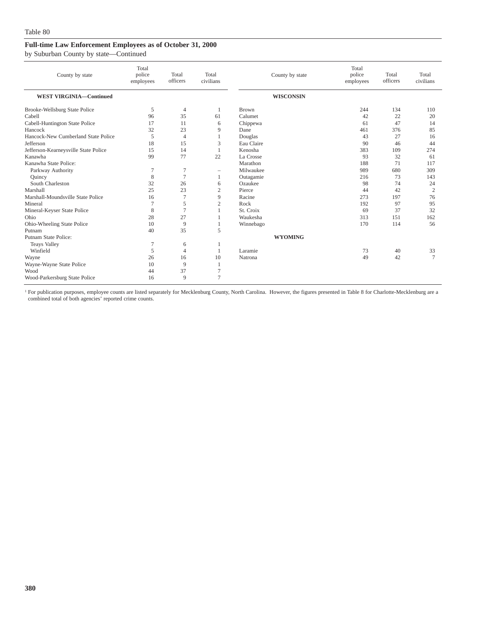by Suburban County by state—Continued

| County by state                      | Total<br>police<br>employees | Total<br>officers | Total<br>civilians       | County by state  | Total<br>police<br>employees | Total<br>officers | Total<br>civilians |
|--------------------------------------|------------------------------|-------------------|--------------------------|------------------|------------------------------|-------------------|--------------------|
| <b>WEST VIRGINIA-Continued</b>       |                              |                   |                          | <b>WISCONSIN</b> |                              |                   |                    |
| Brooke-Wellsburg State Police        | 5                            | $\overline{4}$    |                          | <b>Brown</b>     | 244                          | 134               | 110                |
| Cabell                               | 96                           | 35                | 61                       | Calumet          | 42                           | 22                | 20                 |
| Cabell-Huntington State Police       | 17                           | 11                | 6                        | Chippewa         | 61                           | 47                | 14                 |
| Hancock                              | 32                           | 23                | 9                        | Dane             | 461                          | 376               | 85                 |
| Hancock-New Cumberland State Police  | 5                            | $\overline{4}$    |                          | Douglas          | 43                           | 27                | 16                 |
| Jefferson                            | 18                           | 15                | 3                        | Eau Claire       | 90                           | 46                | 44                 |
| Jefferson-Kearneysville State Police | 15                           | 14                |                          | Kenosha          | 383                          | 109               | 274                |
| Kanawha                              | 99                           | 77                | 22                       | La Crosse        | 93                           | 32                | 61                 |
| Kanawha State Police:                |                              |                   |                          | Marathon         | 188                          | 71                | 117                |
| Parkway Authority                    | 7                            | $\overline{7}$    | $\overline{\phantom{0}}$ | Milwaukee        | 989                          | 680               | 309                |
| Quincy                               | 8                            | $\overline{7}$    |                          | Outagamie        | 216                          | 73                | 143                |
| South Charleston                     | 32                           | 26                | 6                        | Ozaukee          | 98                           | 74                | 24                 |
| Marshall                             | 25                           | 23                | $\overline{2}$           | Pierce           | 44                           | 42                | $\overline{2}$     |
| Marshall-Moundsville State Police    | 16                           | $\overline{7}$    | 9                        | Racine           | 273                          | 197               | 76                 |
| Mineral                              | 7                            | 5                 | $\mathfrak{2}$           | Rock             | 192                          | 97                | 95                 |
| Mineral-Keyser State Police          | 8                            | $\overline{7}$    |                          | St. Croix        | 69                           | 37                | 32                 |
| Ohio                                 | 28                           | 27                |                          | Waukesha         | 313                          | 151               | 162                |
| Ohio-Wheeling State Police           | 10                           | 9                 |                          | Winnebago        | 170                          | 114               | 56                 |
| Putnam                               | 40                           | 35                | 5                        |                  |                              |                   |                    |
| Putnam State Police:                 |                              |                   |                          | <b>WYOMING</b>   |                              |                   |                    |
| <b>Teays Valley</b>                  | 7                            | 6                 |                          |                  |                              |                   |                    |
| Winfield                             | 5                            | 4                 |                          | Laramie          | 73                           | 40                | 33                 |
| Wayne                                | 26                           | 16                | 10                       | Natrona          | 49                           | 42                | 7                  |
| Wayne-Wayne State Police             | 10                           | 9                 |                          |                  |                              |                   |                    |
| Wood                                 | 44                           | 37                | $\overline{7}$           |                  |                              |                   |                    |
| Wood-Parkersburg State Police        | 16                           | 9                 | $\tau$                   |                  |                              |                   |                    |

<sup>1</sup> For publication purposes, employee counts are listed separately for Mecklenburg County, North Carolina. However, the figures presented in Table 8 for Charlotte-Mecklenburg are a combined total of both agencies' reported crime counts.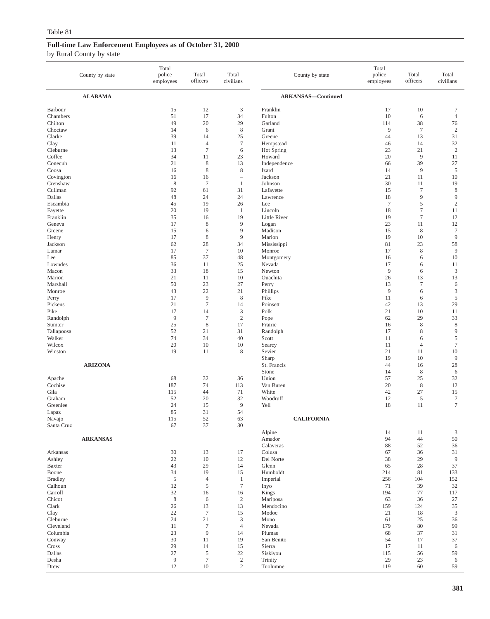|                                           | County by state | Total<br>police<br>employees | Total<br>officers                 | Total<br>civilians          | County by state                        | Total<br>police<br>employees | Total<br>officers               | Total<br>civilians                            |
|-------------------------------------------|-----------------|------------------------------|-----------------------------------|-----------------------------|----------------------------------------|------------------------------|---------------------------------|-----------------------------------------------|
|                                           | <b>ALABAMA</b>  |                              |                                   |                             | <b>ARKANSAS-Continued</b>              |                              |                                 |                                               |
| Barbour                                   |                 | 15                           | 12                                | 3                           | Franklin                               | 17                           | 10                              | $\tau$                                        |
| Chambers                                  |                 | 51                           | 17                                | 34                          | Fulton                                 | 10                           | 6                               | $\overline{4}$                                |
| Chilton                                   |                 | 49                           | 20                                | 29                          | Garland                                | 114                          | 38                              | 76                                            |
| Choctaw                                   |                 | 14                           | 6                                 | $\,8\,$                     | Grant                                  | 9                            | $\boldsymbol{7}$                | $\overline{c}$                                |
| Clarke                                    |                 | 39                           | 14                                | 25                          | Greene                                 | 44                           | 13                              | 31                                            |
| Clay                                      |                 | 11                           | $\overline{4}$                    | $\boldsymbol{7}$            | Hempstead                              | 46                           | 14                              | $32\,$                                        |
| Cleburne                                  |                 | 13                           | $\tau$                            | 6                           | Hot Spring                             | 23                           | 21                              | $\sqrt{2}$                                    |
| Coffee                                    |                 | 34                           | 11                                | 23                          | Howard                                 | 20                           | 9                               | 11                                            |
| Conecuh                                   |                 | 21                           | 8                                 | 13                          | Independence                           | 66                           | 39                              | 27                                            |
| Coosa                                     |                 | 16                           | 8                                 | 8                           | Izard                                  | 14                           | 9                               | 5                                             |
| Covington                                 |                 | 16                           | 16                                | $\sim$                      | Jackson                                | 21                           | 11                              | 10                                            |
| Crenshaw                                  |                 | 8                            | $\tau$                            | $\mathbf{1}$                | Johnson                                | 30                           | 11                              | 19                                            |
| Cullman                                   |                 | 92                           | 61                                | 31                          | Lafayette                              | 15                           | $\tau$                          | $\,$ 8 $\,$                                   |
| Dallas                                    |                 | 48                           | 24                                | 24                          | Lawrence                               | 18                           | 9                               | 9                                             |
| Escambia                                  |                 | 45                           | 19                                | 26                          | Lee                                    | $7\phantom{.0}$              | 5                               | $\sqrt{2}$                                    |
| Fayette                                   |                 | 20                           | 19                                | $\mathbf{1}$                | Lincoln                                | 18                           | $\boldsymbol{7}$                | 11                                            |
| Franklin                                  |                 | 35                           | 16                                | 19                          | Little River                           | 19                           | $7\phantom{.0}$                 | 12                                            |
| Geneva                                    |                 | 17                           | 8                                 | 9                           | Logan                                  | 23                           | 11                              | 12                                            |
| Greene                                    |                 | 15                           | 6                                 | 9                           | Madison                                | 15                           | $\,$ 8 $\,$                     | $\boldsymbol{7}$                              |
| Henry                                     |                 | 17                           | 8                                 | 9                           | Marion                                 | 19                           | 10                              | 9                                             |
| Jackson                                   |                 | 62                           | 28                                | 34                          | Mississippi                            | 81                           | 23                              | 58                                            |
| Lamar                                     |                 | 17                           | $\boldsymbol{7}$                  | 10                          | Monroe                                 | 17                           | $\,$ 8 $\,$                     | 9                                             |
| Lee                                       |                 | 85                           | 37                                | 48                          | Montgomery                             | 16                           | 6                               | 10                                            |
| Lowndes                                   |                 | 36                           | 11                                | 25                          | Nevada                                 | 17                           | 6                               | 11                                            |
| Macon                                     |                 | 33                           | 18                                | 15                          | Newton                                 | 9                            | 6                               | $\mathfrak{Z}$                                |
| Marion                                    |                 | 21                           | 11                                | 10                          | Ouachita                               | 26                           | 13                              | 13                                            |
| Marshall                                  |                 | 50                           | 23                                | 27                          | Perry                                  | 13                           | $7\phantom{.0}$                 | $\sqrt{6}$                                    |
| Monroe                                    |                 | 43                           | 22                                | 21                          | Phillips                               | 9                            | 6                               | $\mathfrak{Z}$                                |
| Perry                                     |                 | 17                           | 9                                 | $\,8\,$                     | Pike                                   | 11                           | 6                               | $\sqrt{5}$                                    |
| Pickens                                   |                 | 21                           | $\tau$                            | 14                          | Poinsett                               | 42                           | 13                              | 29                                            |
| Pike<br>Randolph<br>Sumter                |                 | 17<br>9<br>25<br>52          | 14<br>$\tau$<br>$\,$ 8 $\,$<br>21 | 3<br>$\sqrt{2}$<br>17<br>31 | Polk<br>Pope<br>Prairie                | 21<br>62<br>16<br>17         | 10<br>29<br>8<br>8              | 11<br>33<br>$\,8\,$<br>$\overline{9}$         |
| Tallapoosa<br>Walker<br>Wilcox<br>Winston |                 | 74<br>20<br>19               | 34<br>10<br>11                    | 40<br>10<br>8               | Randolph<br>Scott<br>Searcy<br>Sevier  | 11<br>11<br>21<br>19         | 6<br>$\overline{4}$<br>11<br>10 | $\sqrt{5}$<br>$\boldsymbol{7}$<br>$10\,$<br>9 |
| Apache                                    | <b>ARIZONA</b>  | 68                           | 32                                | 36                          | Sharp<br>St. Francis<br>Stone<br>Union | 44<br>14<br>57               | 16<br>8<br>25                   | $28\,$<br>6<br>32                             |
| Cochise                                   |                 | 187                          | 74                                | 113                         | Van Buren                              | 20                           | $\,$ 8 $\,$                     | 12                                            |
| Gila                                      |                 | 115                          | 44                                | 71                          | White                                  | 42                           | 27                              | 15                                            |
| Graham                                    |                 | 52                           | 20                                | 32                          | Woodruff                               | 12                           | $\sqrt{5}$                      | $\boldsymbol{7}$                              |
| Greenlee                                  |                 | 24                           | 15                                | 9                           | Yell                                   | 18                           | 11                              | $\tau$                                        |
| Lapaz<br>Navajo<br>Santa Cruz             |                 | 85<br>115<br>67              | 31<br>52<br>37                    | 54<br>63<br>30              | <b>CALIFORNIA</b><br>Alpine            | 14                           |                                 | $\sqrt{3}$                                    |
| Arkansas                                  | <b>ARKANSAS</b> | 30                           | 13                                | 17                          | Amador<br>Calaveras<br>Colusa          | 94<br>88<br>67               | 11<br>44<br>52<br>36            | $50\,$<br>36<br>$31\,$                        |
| Ashley                                    |                 | 22                           | 10                                | 12                          | Del Norte                              | 38                           | 29                              | 9                                             |
| <b>Baxter</b>                             |                 | 43                           | 29                                | 14                          | Glenn                                  | 65                           | 28                              | 37                                            |
| Boone                                     |                 | 34                           | 19                                | 15                          | Humboldt                               | 214                          | 81                              | 133                                           |
| <b>Bradley</b>                            |                 | $\sqrt{5}$                   | $\overline{4}$                    | $\mathbf{1}$                | Imperial                               | 256                          | 104                             | 152                                           |
| Calhoun                                   |                 | 12                           | $\mathfrak s$                     | $\boldsymbol{7}$            | Inyo                                   | 71                           | 39                              | 32                                            |
| Carroll                                   |                 | 32                           | 16                                | 16                          | Kings                                  | 194                          | 77                              | 117                                           |
| Chicot                                    |                 | $\,8\,$                      | 6                                 | $\sqrt{2}$                  | Mariposa                               | 63                           | 36                              | $27\,$                                        |
| Clark                                     |                 | 26                           | 13                                | 13                          | Mendocino                              | 159                          | 124                             | 35                                            |
| Clay                                      |                 | 22                           | $\boldsymbol{7}$                  | 15                          | Modoc                                  | 21                           | 18                              | $\sqrt{3}$                                    |
| Cleburne                                  |                 | 24                           | 21                                | $\sqrt{3}$                  | Mono                                   | 61                           | 25                              | 36                                            |
| Cleveland                                 |                 | 11                           | $\boldsymbol{7}$                  | $\overline{4}$              | Nevada                                 | 179                          | 80                              | 99                                            |
| Columbia                                  |                 | 23                           | $\overline{9}$                    | 14                          | Plumas                                 | 68                           | 37                              | 31                                            |
| Conway                                    |                 | 30                           | 11                                | 19                          | San Benito                             | 54                           | 17                              | 37                                            |
| Cross                                     |                 | 29                           | 14                                | 15                          | Sierra                                 | 17                           | 11                              | 6                                             |
| Dallas                                    |                 | 27                           | $\mathfrak s$                     | 22                          | Siskiyou                               | 115                          | 56                              | 59                                            |
| Desha                                     |                 | $\overline{9}$               | $\boldsymbol{7}$                  | $\sqrt{2}$                  | Trinity                                | 29                           | 23                              | 6                                             |
| Drew                                      |                 | 12                           | 10                                | $\sqrt{2}$                  | Tuolumne                               | 119                          | 60                              | 59                                            |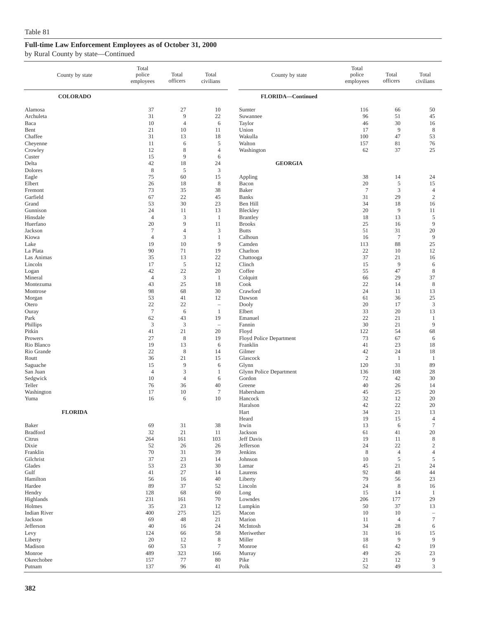|                                                               | County by state | Total<br>police<br>employees                                   | Total<br>officers                          | Total<br>civilians                                                         | County by state                                                           | Total<br>police<br>employees             | Total<br>officers                            | Total<br>civilians                                    |
|---------------------------------------------------------------|-----------------|----------------------------------------------------------------|--------------------------------------------|----------------------------------------------------------------------------|---------------------------------------------------------------------------|------------------------------------------|----------------------------------------------|-------------------------------------------------------|
|                                                               | <b>COLORADO</b> |                                                                |                                            |                                                                            | FLORIDA-Continued                                                         |                                          |                                              |                                                       |
| Alamosa<br>Archuleta<br>Baca<br>Bent<br>Chaffee<br>Cheyenne   |                 | 37<br>31<br>10<br>21<br>31<br>11                               | 27<br>9<br>$\overline{4}$<br>10<br>13<br>6 | 10<br>22<br>6<br>11<br>18<br>5                                             | Sumter<br>Suwannee<br>Taylor<br>Union<br>Wakulla<br>Walton                | 116<br>96<br>46<br>17<br>100<br>157      | 66<br>51<br>30<br>$\overline{9}$<br>47<br>81 | 50<br>45<br>16<br>8<br>53<br>76                       |
| Crowley<br>Custer<br>Delta                                    |                 | 12<br>15<br>42                                                 | 8<br>9<br>18                               | $\overline{4}$<br>6<br>24                                                  | Washington<br><b>GEORGIA</b>                                              | 62                                       | 37                                           | 25                                                    |
| Dolores<br>Eagle<br>Elbert<br>Fremont<br>Garfield<br>Grand    |                 | $\,8\,$<br>75<br>26<br>73<br>67<br>53                          | 5<br>60<br>18<br>35<br>22<br>30            | 3<br>15<br>8<br>38<br>45<br>23                                             | Appling<br>Bacon<br>Baker<br><b>Banks</b><br>Ben Hill                     | 38<br>20<br>$\overline{7}$<br>31<br>34   | 14<br>5<br>$\mathfrak z$<br>29<br>18         | 24<br>15<br>4<br>$\sqrt{2}$<br>16                     |
| Gunnison<br>Hinsdale<br>Huerfano<br>Jackson<br>Kiowa          |                 | 24<br>$\overline{4}$<br>20<br>$\overline{7}$<br>$\overline{4}$ | 11<br>3<br>9<br>$\overline{4}$<br>3        | 13<br>$\mathbf{1}$<br>11<br>3<br>1                                         | Bleckley<br><b>Brantley</b><br><b>Brooks</b><br><b>Butts</b><br>Calhoun   | 20<br>18<br>25<br>51<br>16               | 9<br>13<br>16<br>31<br>$\tau$                | 11<br>$\sqrt{5}$<br>9<br>20<br>9                      |
| Lake<br>La Plata<br>Las Animas<br>Lincoln<br>Logan<br>Mineral |                 | 19<br>90<br>35<br>17<br>42                                     | 10<br>71<br>13<br>5<br>22                  | 9<br>19<br>22<br>12<br>20                                                  | Camden<br>Charlton<br>Chattooga<br>Clinch<br>Coffee                       | 113<br>22<br>37<br>15<br>55              | 88<br>10<br>21<br>$\overline{9}$<br>47       | 25<br>12<br>16<br>6<br>$\,$ 8 $\,$                    |
| Montezuma<br>Montrose<br>Morgan<br>Otero                      |                 | $\overline{4}$<br>43<br>98<br>53<br>22<br>$\tau$               | 3<br>25<br>68<br>41<br>22<br>6             | $\mathbf{1}$<br>18<br>30<br>12<br>$\overline{\phantom{a}}$<br>$\mathbf{1}$ | Colquitt<br>Cook<br>Crawford<br>Dawson<br>Dooly<br>Elbert                 | 66<br>22<br>24<br>61<br>20<br>33         | 29<br>14<br>11<br>36<br>17<br>20             | 37<br>8<br>13<br>25<br>$\mathfrak z$<br>13            |
| Ouray<br>Park<br>Phillips<br>Pitkin<br>Prowers                |                 | 62<br>$\mathfrak{Z}$<br>41<br>27                               | 43<br>3<br>21<br>8                         | 19<br>$\overline{\phantom{a}}$<br>20<br>19                                 | Emanuel<br>Fannin<br>Floyd<br>Floyd Police Department                     | 22<br>30<br>122<br>73                    | 21<br>21<br>54<br>67                         | $\mathbf{1}$<br>9<br>68<br>6                          |
| Rio Blanco<br>Rio Grande<br>Routt<br>Saguache<br>San Juan     |                 | 19<br>22<br>36<br>15<br>$\overline{4}$                         | 13<br>8<br>21<br>9<br>3                    | 6<br>14<br>15<br>6<br>1                                                    | Franklin<br>Gilmer<br>Glascock<br>Glynn<br><b>Glynn Police Department</b> | 41<br>42<br>$\overline{2}$<br>120<br>136 | 23<br>24<br>$\mathbf{1}$<br>31<br>108        | 18<br>18<br>1<br>89<br>28                             |
| Sedgwick<br>Teller<br>Washington<br>Yuma                      |                 | 10<br>76<br>17<br>16                                           | $\overline{4}$<br>36<br>10<br>6            | 6<br>40<br>$\overline{7}$<br>10                                            | Gordon<br>Greene<br>Habersham<br>Hancock<br>Haralson                      | 72<br>40<br>45<br>32<br>42               | 42<br>26<br>25<br>12<br>22                   | 30<br>14<br>20<br>20<br>20                            |
| Baker                                                         | <b>FLORIDA</b>  | 69                                                             | 31                                         | 38                                                                         | Hart<br>Heard<br>Irwin                                                    | 34<br>19<br>13                           | 21<br>15<br>6                                | 13<br>$\overline{4}$<br>$\boldsymbol{7}$              |
| <b>Bradford</b><br>Citrus<br>Dixie<br>Franklin                |                 | 32<br>264<br>52<br>70                                          | 21<br>161<br>26<br>31                      | 11<br>103<br>26<br>39                                                      | Jackson<br>Jeff Davis<br>Jefferson<br>Jenkins                             | 61<br>19<br>24<br>8                      | 41<br>11<br>22<br>$\overline{4}$             | $20\,$<br>$\,$ 8 $\,$<br>$\sqrt{2}$<br>$\overline{4}$ |
| Gilchrist<br>Glades<br>Gulf<br>Hamilton<br>Hardee             |                 | 37<br>53<br>41<br>56<br>89                                     | 23<br>23<br>27<br>16<br>37                 | 14<br>30<br>14<br>40<br>52                                                 | Johnson<br>Lamar<br>Laurens<br>Liberty<br>Lincoln                         | 10<br>45<br>92<br>79<br>24               | $\sqrt{5}$<br>21<br>48<br>56<br>$\,$ 8 $\,$  | $\mathfrak s$<br>24<br>44<br>23<br>16                 |
| Hendry<br>Highlands<br>Holmes<br><b>Indian River</b>          |                 | 128<br>231<br>35<br>400                                        | 68<br>161<br>23<br>275                     | 60<br>70<br>12<br>125                                                      | Long<br>Lowndes<br>Lumpkin<br>Macon                                       | 15<br>206<br>50<br>10                    | 14<br>177<br>37<br>10                        | 1<br>29<br>13<br>$\qquad \qquad -$                    |
| Jackson<br>Jefferson<br>Levy<br>Liberty<br>Madison            |                 | 69<br>40<br>124<br>20<br>60                                    | 48<br>16<br>66<br>12<br>53                 | 21<br>24<br>58<br>8<br>$\tau$                                              | Marion<br>McIntosh<br>Meriwether<br>Miller<br>Monroe                      | 11<br>34<br>31<br>18<br>61               | $\overline{4}$<br>28<br>16<br>9<br>42        | $\tau$<br>6<br>15<br>9<br>19                          |
| Monroe<br>Okeechobee<br>Putnam                                |                 | 489<br>157<br>137                                              | 323<br>77<br>96                            | 166<br>80<br>41                                                            | Murray<br>Pike<br>Polk                                                    | 49<br>21<br>52                           | 26<br>12<br>49                               | 23<br>9<br>3                                          |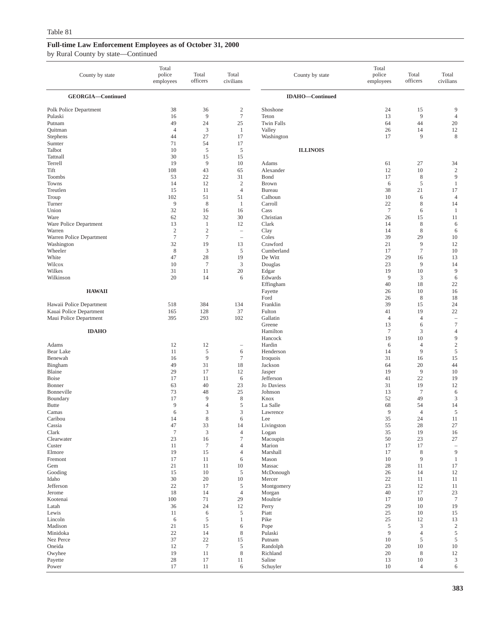| County by state          | Total<br>police<br>employees | Total<br>officers    | Total<br>civilians       | County by state        | Total<br>police<br>employees | Total<br>officers            | Total<br>civilians                          |
|--------------------------|------------------------------|----------------------|--------------------------|------------------------|------------------------------|------------------------------|---------------------------------------------|
| GEORGIA-Continued        |                              |                      |                          | <b>IDAHO-Continued</b> |                              |                              |                                             |
| Polk Police Department   | 38                           | 36                   | $\overline{\mathbf{c}}$  | Shoshone               | 24                           | 15                           | 9                                           |
| Pulaski                  | 16                           | 9                    | $\tau$                   | Teton                  | 13                           | 9                            | $\overline{4}$                              |
| Putnam                   | 49                           | 24                   | 25                       | <b>Twin Falls</b>      | 64                           | 44                           | 20                                          |
| Quitman                  | $\overline{4}$               | 3                    | 1                        | Valley                 | 26                           | 14                           | 12                                          |
| Stephens                 | 44                           | 27                   | 17                       | Washington             | 17                           | 9                            | $\,$ 8 $\,$                                 |
| Sumter                   | 71                           | 54                   | 17                       |                        |                              |                              |                                             |
| Talbot<br>Tattnall       | 10<br>30                     | 5<br>15              | 5<br>15                  | <b>ILLINOIS</b>        |                              |                              |                                             |
| Terrell                  | 19                           | 9                    | 10                       | Adams                  | 61                           | 27                           | 34                                          |
| Tift                     | 108                          | 43                   | 65                       | Alexander              | 12                           | 10                           | $\boldsymbol{2}$                            |
| <b>Toombs</b>            | 53                           | 22                   | 31                       | Bond                   | 17                           | 8                            | 9                                           |
| Towns                    | 14                           | 12                   | $\overline{c}$           | <b>Brown</b>           | 6                            | 5                            | $\mathbf{1}$                                |
| Treutlen                 | 15                           | 11                   | $\overline{4}$           | Bureau                 | 38                           | 21                           | 17                                          |
| Troup                    | 102                          | 51                   | 51                       | Calhoun                | 10                           | 6                            | $\overline{4}$                              |
| Turner<br>Union          | 9<br>32                      | 8<br>16              | $\mathbf{1}$<br>16       | Carroll<br>Cass        | 22<br>$\overline{7}$         | 8<br>6                       | 14<br>$\mathbf{1}$                          |
| Ware                     | 62                           | 32                   | 30                       | Christian              | 26                           | 15                           | 11                                          |
| Ware Police Department   | 13                           | 1                    | 12                       | Clark                  | 14                           | $\,$ 8 $\,$                  | 6                                           |
| Warren                   | $\sqrt{2}$                   | $\overline{c}$       | $\qquad \qquad -$        | Clay                   | 14                           | 8                            | 6                                           |
| Warren Police Department | $\tau$                       | $\tau$               |                          | Coles                  | 39                           | 29                           | 10                                          |
| Washington               | 32                           | 19                   | 13                       | Crawford               | 21                           | 9                            | 12                                          |
| Wheeler                  | 8                            | 3                    | 5                        | Cumberland             | 17                           | $7\phantom{.0}$              | 10                                          |
| White                    | 47                           | 28                   | 19                       | De Witt                | 29                           | 16                           | 13                                          |
| Wilcox<br>Wilkes         | 10<br>31                     | $\overline{7}$<br>11 | 3<br>20                  | Douglas<br>Edgar       | 23<br>19                     | 9<br>10                      | 14<br>9                                     |
| Wilkinson                | 20                           | 14                   | 6                        | Edwards                | 9                            | 3                            | 6                                           |
|                          |                              |                      |                          | Effingham              | 40                           | 18                           | 22                                          |
| <b>HAWAII</b>            |                              |                      |                          | Fayette                | 26                           | 10                           | 16                                          |
|                          |                              |                      |                          | Ford                   | 26                           | $\,$ 8 $\,$                  | 18                                          |
| Hawaii Police Department | 518                          | 384                  | 134                      | Franklin               | 39                           | 15                           | 24                                          |
| Kauai Police Department  | 165                          | 128                  | 37                       | Fulton                 | 41                           | 19                           | 22                                          |
| Maui Police Department   | 395                          | 293                  | 102                      | Gallatin<br>Greene     | $\overline{4}$<br>13         | $\overline{4}$<br>6          | $\hspace{1.0cm} - \hspace{1.0cm}$<br>$\tau$ |
| <b>IDAHO</b>             |                              |                      |                          | Hamilton               | $\overline{7}$               | 3                            | $\overline{4}$                              |
|                          |                              |                      |                          | Hancock                | 19                           | 10                           | 9                                           |
| Adams                    | 12                           | 12                   | $\overline{\phantom{0}}$ | Hardin                 | 6                            | $\overline{4}$               | $\sqrt{2}$                                  |
| Bear Lake                | 11                           | 5                    | 6                        | Henderson              | 14                           | 9                            | 5                                           |
| Benewah                  | 16                           | 9                    | $\tau$                   | Iroquois               | 31                           | 16                           | 15                                          |
| Bingham<br>Blaine        | 49<br>29                     | 31                   | 18                       | Jackson                | 64<br>19                     | 20<br>9                      | 44<br>10                                    |
| <b>Boise</b>             | 17                           | 17<br>11             | 12<br>6                  | Jasper<br>Jefferson    | 41                           | 22                           | 19                                          |
| Bonner                   | 63                           | 40                   | 23                       | Jo Daviess             | 31                           | 19                           | 12                                          |
| Bonneville               | 73                           | 48                   | 25                       | Johnson                | 13                           | $7\phantom{.0}$              | 6                                           |
| Boundary                 | 17                           | 9                    | 8                        | Knox                   | 52                           | 49                           | 3                                           |
| <b>Butte</b>             | 9                            | $\overline{4}$       | 5                        | La Salle               | 68                           | 54                           | 14                                          |
| Camas                    | 6                            | 3                    | 3                        | Lawrence               | 9                            | $\overline{4}$               | 5                                           |
| Caribou<br>Cassia        | 14<br>47                     | 8<br>33              | 6<br>14                  | Lee<br>Livingston      | 35<br>55                     | 24<br>$28\,$                 | 11<br>27                                    |
| Clark                    | $\boldsymbol{7}$             | 3                    | $\overline{4}$           | Logan                  | 35                           | 19                           | 16                                          |
| Clearwater               | 23                           | 16                   | $\boldsymbol{7}$         | Macoupin               | 50                           | 23                           | 27                                          |
| Custer                   | 11                           | $\boldsymbol{7}$     | $\overline{4}$           | Marion                 | 17                           | 17                           | $\hspace{0.1in} - \hspace{0.1in}$           |
| Elmore                   | 19                           | 15                   | $\overline{4}$           | Marshall               | 17                           | 8                            | 9                                           |
| Fremont                  | 17                           | 11                   | 6                        | Mason                  | $10\,$                       | 9                            | $\mathbf{1}$                                |
| Gem                      | 21                           | 11                   | 10                       | Massac                 | 28                           | 11                           | 17                                          |
| Gooding<br>Idaho         | 15<br>30                     | 10<br>20             | 5<br>10                  | McDonough<br>Mercer    | 26<br>22                     | 14<br>11                     | 12<br>11                                    |
| Jefferson                | 22                           | 17                   | 5                        | Montgomery             | 23                           | 12                           | 11                                          |
| Jerome                   | 18                           | 14                   | $\overline{4}$           | Morgan                 | 40                           | 17                           | 23                                          |
| Kootenai                 | 100                          | 71                   | 29                       | Moultrie               | 17                           | 10                           | $\tau$                                      |
| Latah                    | 36                           | 24                   | 12                       | Perry                  | 29                           | 10                           | 19                                          |
| Lewis                    | 11                           | 6                    | 5                        | Piatt                  | 25                           | 10                           | 15                                          |
| Lincoln                  | 6                            | 5                    | $\mathbf{1}$             | Pike                   | 25                           | 12                           | 13                                          |
| Madison                  | 21                           | 15                   | 6                        | Pope                   | 5                            | $\mathfrak{Z}$               | $\sqrt{2}$                                  |
| Minidoka<br>Nez Perce    | 22<br>37                     | 14<br>$22\,$         | $\,$ 8 $\,$<br>15        | Pulaski<br>Putnam      | 9<br>10                      | $\overline{4}$<br>$\sqrt{5}$ | 5<br>5                                      |
| Oneida                   | 12                           | $\tau$               | 5                        | Randolph               | 20                           | 10                           | 10                                          |
| Owyhee                   | 19                           | 11                   | $\,$ 8 $\,$              | Richland               | 20                           | 8                            | 12                                          |
| Payette                  | $28\,$                       | 17                   | 11                       | Saline                 | 13                           | 10                           | 3                                           |
| Power                    | 17                           | 11                   | 6                        | Schuyler               | $10\,$                       | $\overline{4}$               | 6                                           |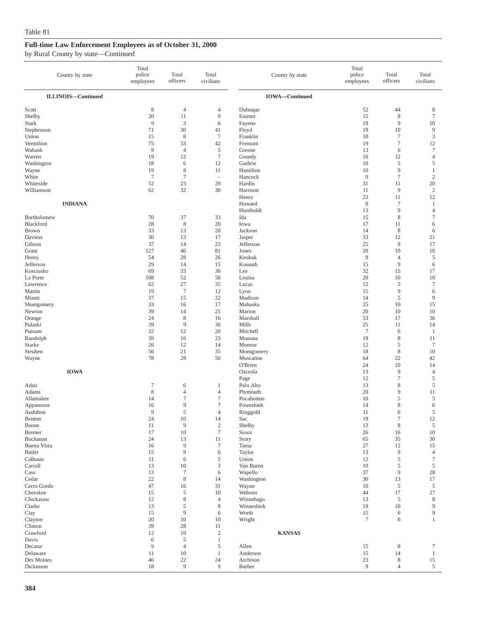| County by state           | Total<br>police<br>employees | Total<br>officers      | Total<br>civilians    | County by state       | Total<br>police<br>employees | Total<br>officers             | Total<br>civilians             |
|---------------------------|------------------------------|------------------------|-----------------------|-----------------------|------------------------------|-------------------------------|--------------------------------|
| <b>ILLINOIS-Continued</b> |                              |                        |                       | <b>IOWA-Continued</b> |                              |                               |                                |
| Scott                     | 8                            | $\overline{4}$         | 4                     | Dubuque               | 52                           | 44                            | 8                              |
| Shelby                    | 20                           | 11                     | 9                     | Emmet                 | 15                           | $\,$ 8 $\,$                   | $\tau$                         |
| <b>Stark</b>              | 9                            | 3                      | 6                     | Fayette               | 19                           | 9                             | 10                             |
| Stephenson                | 71                           | 30                     | 41                    | Floyd                 | 19                           | 10                            | $\overline{9}$                 |
| Union<br>Vermilion        | 15<br>75                     | 8<br>33                | $7\phantom{.0}$<br>42 | Franklin<br>Fremont   | 10<br>19                     | $\tau$<br>$\boldsymbol{7}$    | $\mathfrak z$<br>12            |
| Wabash                    | 9                            | $\overline{4}$         | $\mathfrak s$         | Greene                | 13                           | 6                             | $\tau$                         |
| Warren                    | 19                           | 12                     | $\tau$                | Grundy                | 16                           | 12                            | $\overline{4}$                 |
| Washington                | 18                           | 6                      | 12                    | Guthrie               | 10                           | 5                             | 5                              |
| Wayne                     | 19                           | 8                      | 11                    | Hamilton              | 10                           | 9                             | $\mathbf{1}$                   |
| White                     | $\boldsymbol{7}$             | $\tau$                 | $\sim$                | Hancock               | 9                            | $\tau$                        | $\sqrt{2}$                     |
| Whiteside<br>Williamson   | 52<br>62                     | 23<br>32               | 29<br>30              | Hardin<br>Harrison    | 31<br>11                     | 11<br>9                       | 20<br>$\sqrt{2}$               |
|                           |                              |                        |                       | Henry                 | 23                           | 11                            | 12                             |
| <b>INDIANA</b>            |                              |                        |                       | Howard                | 8                            | $\overline{7}$                | $\mathbf{1}$                   |
|                           |                              |                        |                       | Humboldt              | 13                           | 9                             | $\overline{4}$                 |
| Bartholomew               | 70                           | 37                     | 33                    | Ida                   | 15                           | $\,$ 8 $\,$                   | $\tau$                         |
| Blackford                 | 28                           | $\,$ 8 $\,$            | 20                    | Iowa                  | 17                           | 11                            | 6                              |
| Brown<br>Daviess          | 33<br>30                     | 13<br>13               | 20<br>17              | Jackson               | 14<br>33                     | $\,$ 8 $\,$<br>12             | 6<br>21                        |
| Gibson                    | 37                           | 14                     | 23                    | Jasper<br>Jefferson   | 25                           | 8                             | 17                             |
| Grant                     | 127                          | 46                     | 81                    | Jones                 | 20                           | 10                            | 10                             |
| Henry                     | 54                           | 28                     | 26                    | Keokuk                | 9                            | $\overline{4}$                | 5                              |
| Jefferson                 | 29                           | 14                     | 15                    | Kossuth               | 15                           | 9                             | 6                              |
| Kosciusko                 | 69                           | 33                     | 36                    | Lee                   | 32                           | 15                            | 17                             |
| La Porte                  | 108                          | 52                     | 56                    | Louisa                | 20                           | 10                            | 10                             |
| Lawrence<br>Martin        | 62<br>19                     | 27<br>$\overline{7}$   | 35<br>12              | Lucas<br>Lyon         | 12<br>15                     | 5<br>9                        | $\tau$<br>6                    |
| Miami                     | 37                           | 15                     | $22\,$                | Madison               | 14                           | $\mathfrak s$                 | 9                              |
| Montgomery                | 33                           | 16                     | 17                    | Mahaska               | 25                           | 10                            | 15                             |
| Newton                    | 39                           | 14                     | 25                    | Marion                | 20                           | 10                            | 10                             |
| Orange                    | 24                           | 8                      | 16                    | Marshall              | 53                           | 17                            | 36                             |
| Pulaski                   | 39                           | 9                      | 30                    | Mills                 | 25                           | 11                            | 14                             |
| Putnam<br>Randolph        | 32<br>39                     | 12<br>16               | 20<br>23              | Mitchell<br>Monona    | $\overline{7}$<br>19         | 6<br>8                        | 1<br>11                        |
| Starke                    | 26                           | 12                     | 14                    | Monroe                | 12                           | 5                             | $\tau$                         |
| Steuben                   | 56                           | 21                     | 35                    | Montgomery            | 18                           | $\,$ 8 $\,$                   | $10\,$                         |
| Wayne                     | 78                           | 28                     | 50                    | Muscatine             | 64                           | 22                            | 42                             |
|                           |                              |                        |                       | O'Brien               | 24                           | 10                            | 14                             |
| <b>IOWA</b>               |                              |                        |                       | Osceola               | 13                           | 9<br>$\sqrt{ }$               | $\overline{4}$                 |
| Adair                     | $\tau$                       | 6                      | 1                     | Page<br>Palo Alto     | 12<br>13                     | 8                             | $\sqrt{5}$<br>$\sqrt{5}$       |
| Adams                     | 8                            | $\overline{4}$         | $\overline{4}$        | Plymouth              | 20                           | 9                             | 11                             |
| Allamakee                 | 14                           | $\tau$                 | $\boldsymbol{7}$      | Pocahontas            | 10                           | 5                             | 5                              |
| Appanoose                 | 16                           | 9                      | $\tau$                | Poweshiek             | 14                           | 8                             | 6                              |
| Audubon                   | 9                            | 5                      | $\overline{4}$        | Ringgold              | 11                           | 6                             | $\sqrt{5}$                     |
| Benton<br>Boone           | 24<br>11                     | 10<br>$\overline{9}$   | 14<br>$\sqrt{2}$      | Sac<br>Shelby         | 19<br>13                     | $\overline{7}$<br>$\,$ 8 $\,$ | 12<br>$\mathfrak s$            |
| Bremer                    | 17                           | $10\,$                 | $\boldsymbol{7}$      | Sioux                 | 26                           | 16                            | 10                             |
| Buchanan                  | 24                           | 13                     | 11                    | Story                 | 65                           | 35                            | 30                             |
| Buena Vista               | 16                           | 9                      | $\tau$                | Tama                  | 27                           | 12                            | 15                             |
| <b>Butler</b>             | 15                           | 9                      | 6                     | Taylor                | 13                           | $\overline{9}$                | $\overline{4}$                 |
| Calhoun                   | 11                           | 6                      | 5                     | Union                 | 12                           | 5                             | $\boldsymbol{7}$               |
| Carroll<br>Cass           | 13<br>13                     | 10<br>$\boldsymbol{7}$ | 3<br>6                | Van Buren<br>Wapello  | 10<br>37                     | 5<br>$\overline{9}$           | $\mathfrak s$<br>28            |
| Cedar                     | 22                           | $\,$ 8 $\,$            | 14                    | Washington            | 30                           | 13                            | 17                             |
| Cerro Gordo               | 47                           | 16                     | 31                    | Wayne                 | 10                           | $\sqrt{5}$                    | $\mathfrak s$                  |
| Cherokee                  | 15                           | 5                      | 10                    | Webster               | 44                           | 17                            | 27                             |
| Chickasaw                 | 12                           | $\,$ 8 $\,$            | 4                     | Winnebago             | 13                           | 5                             | 8                              |
| Clarke                    | 13                           | 5                      | 8                     | Winneshiek            | 19                           | 10                            | 9                              |
| Clay<br>Clayton           | 15<br>20                     | 9<br>10                | 6<br>10               | Worth<br>Wright       | 15<br>$\boldsymbol{7}$       | 6<br>6                        | $\overline{9}$<br>$\mathbf{1}$ |
| Clinton                   | 39                           | 28                     | 11                    |                       |                              |                               |                                |
| Crawford                  | 12                           | 10                     | $\sqrt{2}$            | <b>KANSAS</b>         |                              |                               |                                |
| Davis                     | 6                            | 5                      | $\,1$                 |                       |                              |                               |                                |
| Decatur                   | 9                            | $\overline{4}$         | 5                     | Allen                 | 15                           | 8                             | $\tau$                         |
| Delaware<br>Des Moines    | 11<br>46                     | 10<br>22               | $\mathbf{1}$<br>24    | Anderson<br>Atchison  | 15<br>23                     | 14<br>8                       | $\mathbf{1}$<br>15             |
| Dickinson                 | $18\,$                       | 9                      | 9                     | Barber                | 9                            | $\overline{4}$                | $\sqrt{5}$                     |
|                           |                              |                        |                       |                       |                              |                               |                                |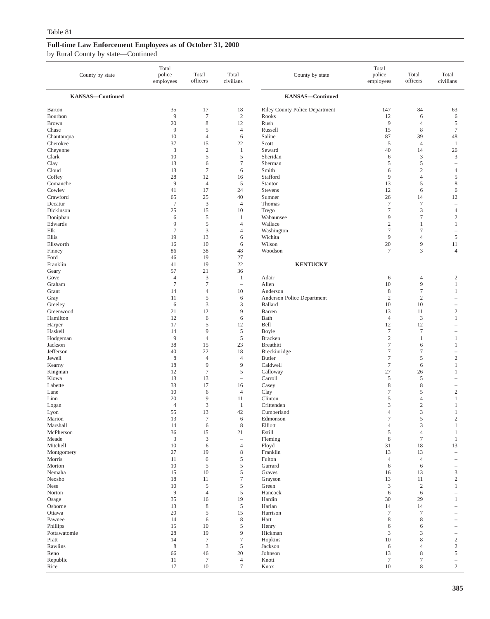| County by state         | Total<br>police<br>employees | Total<br>officers    | Total<br>civilians       | County by state                       | Total<br>police<br>employees     | Total<br>officers        | Total<br>civilians                         |
|-------------------------|------------------------------|----------------------|--------------------------|---------------------------------------|----------------------------------|--------------------------|--------------------------------------------|
| <b>KANSAS-Continued</b> |                              |                      |                          | <b>KANSAS-Continued</b>               |                                  |                          |                                            |
| Barton                  | 35                           | 17                   | 18                       | <b>Riley County Police Department</b> | 147                              | 84                       | 63                                         |
| Bourbon                 | 9                            | $\overline{7}$       | $\sqrt{2}$               | Rooks                                 | 12                               | 6                        | 6                                          |
| <b>Brown</b>            | 20                           | $\,$ 8 $\,$          | 12                       | Rush                                  | 9                                | $\overline{4}$           | 5                                          |
| Chase                   | 9                            | 5                    | $\overline{4}$           | Russell                               | 15                               | 8                        | $\boldsymbol{7}$                           |
| Chautauqua              | 10                           | $\overline{4}$       | 6                        | Saline                                | 87                               | 39                       | 48                                         |
| Cherokee<br>Cheyenne    | 37<br>$\mathfrak{Z}$         | 15<br>$\sqrt{2}$     | 22<br>$\mathbf{1}$       | Scott<br>Seward                       | $\sqrt{5}$<br>40                 | $\overline{4}$<br>14     | $\mathbf{1}$<br>26                         |
| Clark                   | 10                           | $\mathfrak s$        | 5                        | Sheridan                              | 6                                | 3                        | 3                                          |
| Clay                    | 13                           | 6                    | $\boldsymbol{7}$         | Sherman                               | 5                                | 5                        | ÷                                          |
| Cloud                   | 13                           | $\overline{7}$       | 6                        | Smith                                 | 6                                | $\mathbf{2}$             | $\overline{4}$                             |
| Coffey                  | 28                           | 12                   | 16                       | Stafford                              | 9                                | $\overline{4}$           | $\sqrt{5}$                                 |
| Comanche                | 9                            | $\overline{4}$       | 5                        | Stanton                               | 13                               | 5                        | $\,$ 8 $\,$                                |
| Cowley                  | 41                           | 17                   | 24                       | Stevens                               | 12                               | 6                        | 6                                          |
| Crawford<br>Decatur     | 65<br>$\tau$                 | 25<br>3              | 40<br>$\overline{4}$     | Sumner<br>Thomas                      | 26<br>$\tau$                     | 14<br>$\tau$             | 12<br>$\hspace{1.0cm} - \hspace{1.0cm}$    |
| Dickinson               | 25                           | 15                   | 10                       | Trego                                 | $\tau$                           | 3                        | $\overline{4}$                             |
| Doniphan                | 6                            | 5                    | 1                        | Wabaunsee                             | 9                                | $\tau$                   | $\sqrt{2}$                                 |
| Edwards                 | 9                            | 5                    | $\overline{4}$           | Wallace                               | $\mathbf{2}$                     | 1                        | $\mathbf{1}$                               |
| Elk                     | $\tau$                       | 3                    | 4                        | Washington                            | $\tau$                           | $\tau$                   | $\overline{\phantom{a}}$                   |
| Ellis                   | 19                           | 13                   | 6                        | Wichita                               | 9                                | $\overline{4}$           | 5                                          |
| Ellsworth               | 16                           | 10                   | 6                        | Wilson                                | 20                               | 9                        | 11                                         |
| Finney<br>Ford          | 86<br>46                     | 38<br>19             | 48<br>27                 | Woodson                               | $\tau$                           | 3                        | $\overline{4}$                             |
| Franklin                | 41                           | 19                   | 22                       | <b>KENTUCKY</b>                       |                                  |                          |                                            |
| Geary                   | 57                           | 21                   | 36                       |                                       |                                  |                          |                                            |
| Gove                    | $\overline{4}$               | 3                    | $\mathbf{1}$             | Adair                                 | 6                                | 4                        | $\boldsymbol{2}$                           |
| Graham                  | $\overline{7}$               | $\overline{7}$       | $\overline{\phantom{a}}$ | Allen                                 | 10                               | 9                        | $\mathbf{1}$                               |
| Grant                   | 14                           | $\overline{4}$       | 10                       | Anderson                              | 8                                | $\tau$                   | 1                                          |
| Gray                    | 11                           | 5                    | 6                        | Anderson Police Department            | $\sqrt{2}$                       | $\mathbf{2}$             | $\overline{\phantom{a}}$                   |
| Greeley<br>Greenwood    | 6<br>21                      | 3<br>12              | 3<br>9                   | Ballard<br>Barren                     | 10<br>13                         | 10<br>11                 | $\overline{\phantom{0}}$<br>$\sqrt{2}$     |
| Hamilton                | 12                           | 6                    | 6                        | Bath                                  | $\overline{4}$                   | 3                        | $\mathbf{1}$                               |
| Harper                  | 17                           | 5                    | 12                       | Bell                                  | 12                               | 12                       | $\overline{\phantom{a}}$                   |
| Haskell                 | 14                           | 9                    | $\mathfrak s$            | Boyle                                 | $\tau$                           | $\boldsymbol{7}$         | $\overline{\phantom{m}}$                   |
| Hodgeman                | 9                            | $\overline{4}$       | 5                        | <b>Bracken</b>                        | $\mathfrak{2}$                   | $\mathbf{1}$             | 1                                          |
| Jackson                 | 38                           | 15                   | 23                       | <b>Breathitt</b>                      | $\tau$                           | 6                        | $\mathbf{1}$                               |
| Jefferson               | 40                           | 22                   | 18                       | Breckinridge                          | $\overline{7}$                   | $\boldsymbol{7}$         | $\overline{\phantom{0}}$                   |
| Jewell<br>Kearny        | 8<br>18                      | $\overline{4}$<br>9  | $\overline{4}$<br>9      | <b>Butler</b><br>Caldwell             | $\tau$<br>$\tau$                 | 5<br>6                   | $\sqrt{2}$<br>1                            |
| Kingman                 | 12                           | $\overline{7}$       | 5                        | Calloway                              | 27                               | 26                       | $\mathbf{1}$                               |
| Kiowa                   | 13                           | 13                   | $\overline{\phantom{a}}$ | Carroll                               | 5                                | 5                        | $\overline{\phantom{0}}$                   |
| Labette                 | 33                           | 17                   | 16                       | Casey                                 | 8                                | 8                        | $\qquad \qquad -$                          |
| Lane                    | 10                           | 6                    | $\overline{4}$           | Clay                                  | 7                                | 5                        | $\boldsymbol{2}$                           |
| Linn                    | 20                           | 9                    | 11                       | Clinton                               | 5                                | $\overline{4}$           | 1                                          |
| Logan                   | $\overline{4}$               | 3                    | 1                        | Crittenden                            | 3                                | $\mathbf{2}$             | 1                                          |
| Lyon<br>Marion          | 55<br>13                     | 13<br>$\overline{7}$ | 42<br>6                  | Cumberland<br>Edmonson                | $\overline{4}$<br>$\overline{7}$ | 3<br>5                   | $\mathbf{1}$<br>$\overline{2}$             |
| Marshall                | 14                           | 6                    | $\,$ 8 $\,$              | Elliott                               | $\overline{4}$                   | 3                        | $\mathbf{1}$                               |
| McPherson               | 36                           | 15                   | 21                       | Estill                                | 5                                | $\overline{\mathcal{L}}$ | $\mathbf{1}$                               |
| Meade                   | $\mathfrak{Z}$               | $\mathfrak z$        | $\qquad \qquad -$        | Fleming                               | $\,$ 8 $\,$                      | $\tau$                   | $\mathbf{1}$                               |
| Mitchell                | 10                           | 6                    | 4                        | Floyd                                 | 31                               | 18                       | 13                                         |
| Montgomery              | 27                           | 19                   | 8                        | Franklin                              | 13                               | 13                       | $\hspace{1.0cm} - \hspace{1.0cm}$          |
| Morris                  | 11<br>10                     | 6<br>5               | 5<br>5                   | Fulton<br>Garrard                     | $\overline{4}$                   | $\overline{4}$<br>6      | $\overline{\phantom{a}}$                   |
| Morton<br>Nemaha        | 15                           | 10                   | 5                        | Graves                                | 6<br>16                          | 13                       | $\overline{\phantom{m}}$<br>$\mathfrak{Z}$ |
| Neosho                  | 18                           | 11                   | $\tau$                   | Grayson                               | 13                               | 11                       | $\sqrt{2}$                                 |
| <b>Ness</b>             | 10                           | 5                    | 5                        | Green                                 | 3                                | $\sqrt{2}$               | $\mathbf{1}$                               |
| Norton                  | $\overline{9}$               | $\overline{4}$       | $\sqrt{5}$               | Hancock                               | 6                                | 6                        | $\overline{\phantom{a}}$                   |
| Osage                   | 35                           | 16                   | 19                       | Hardin                                | 30                               | 29                       | $\mathbf{1}$                               |
| Osborne                 | 13                           | 8                    | $\mathfrak{S}$           | Harlan                                | 14                               | 14                       |                                            |
| Ottawa                  | 20                           | 5                    | 15                       | Harrison                              | $\tau$                           | $\boldsymbol{7}$         | $\overline{\phantom{0}}$                   |
| Pawnee<br>Phillips      | 14<br>15                     | 6<br>10              | $\,$ 8 $\,$<br>5         | Hart<br>Henry                         | 8<br>6                           | 8<br>6                   | $\overline{\phantom{a}}$                   |
| Pottawatomie            | 28                           | 19                   | 9                        | Hickman                               | 3                                | 3                        | $\overline{\phantom{m}}$                   |
| Pratt                   | 14                           | $\tau$               | $\boldsymbol{7}$         | Hopkins                               | 10                               | 8                        | $\sqrt{2}$                                 |
| Rawlins                 | $\,$ 8 $\,$                  | 3                    | 5                        | Jackson                               | 6                                | $\overline{4}$           | $\sqrt{2}$                                 |
| Reno                    | 66                           | 46                   | 20                       | Johnson                               | 13                               | 8                        | $\sqrt{5}$                                 |
| Republic                | 11                           | $\tau$               | $\overline{4}$           | Knott                                 | $\tau$                           | $\boldsymbol{7}$         | $\overline{\phantom{a}}$                   |
| Rice                    | 17                           | 10                   | $\boldsymbol{7}$         | Knox                                  | 10                               | 8                        | $\sqrt{2}$                                 |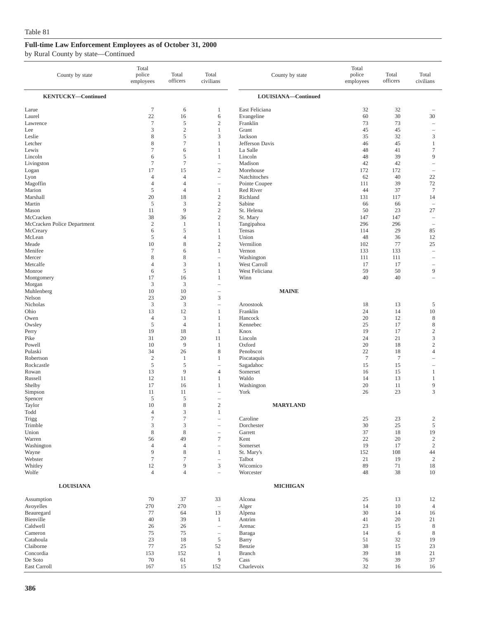| County by state                                          | Total<br>police<br>employees                                 | Total<br>officers                                         | Total<br>civilians                                                                   | County by state                                      | Total<br>police<br>employees | Total<br>officers    | Total<br>civilians                             |
|----------------------------------------------------------|--------------------------------------------------------------|-----------------------------------------------------------|--------------------------------------------------------------------------------------|------------------------------------------------------|------------------------------|----------------------|------------------------------------------------|
| <b>KENTUCKY-Continued</b>                                |                                                              |                                                           |                                                                                      | LOUISIANA-Continued                                  |                              |                      |                                                |
| Larue                                                    | $\boldsymbol{7}$                                             | 6                                                         | 1                                                                                    | East Feliciana                                       | 32                           | 32                   | $\overline{\phantom{a}}$                       |
| Laurel                                                   | 22                                                           | 16                                                        | 6                                                                                    | Evangeline                                           | 60                           | 30                   | 30                                             |
| Lawrence                                                 | $\tau$                                                       | 5                                                         | $\mathfrak{2}$                                                                       | Franklin                                             | 73                           | 73                   | $\overline{\phantom{a}}$                       |
| Lee                                                      | 3                                                            | $\sqrt{2}$                                                | $\,1$                                                                                | Grant                                                | 45                           | 45                   | $\overline{\phantom{a}}$                       |
| Leslie                                                   | 8                                                            | 5                                                         | 3                                                                                    | Jackson                                              | 35                           | 32                   | $\mathfrak z$                                  |
| Letcher                                                  | 8                                                            | $\overline{7}$                                            | $\mathbf{1}$                                                                         | Jefferson Davis                                      | 46                           | 45                   | $\mathbf{1}$                                   |
| Lewis                                                    | $\tau$                                                       | 6                                                         | $\mathbf{1}$                                                                         | La Salle                                             | 48                           | 41                   | $\tau$                                         |
| Lincoln                                                  | 6                                                            | 5                                                         | 1                                                                                    | Lincoln                                              | 48                           | 39                   | 9                                              |
| Livingston                                               | $\tau$                                                       | $\overline{7}$                                            | $\qquad \qquad -$                                                                    | Madison                                              | 42                           | 42                   | $\overline{\phantom{a}}$                       |
| Logan                                                    | 17                                                           | 15                                                        | $\overline{c}$                                                                       | Morehouse                                            | 172                          | 172                  | $\overline{\phantom{a}}$                       |
| Lyon                                                     | $\overline{4}$                                               | $\overline{4}$                                            | $\qquad \qquad -$                                                                    | Natchitoches                                         | 62                           | 40                   | 22                                             |
| Magoffin                                                 | $\overline{4}$                                               | $\overline{4}$                                            |                                                                                      | Pointe Coupee                                        | 111                          | 39                   | 72                                             |
| Marion                                                   | $\sqrt{5}$                                                   | $\overline{4}$                                            | $\mathbf{1}$                                                                         | Red River                                            | 44                           | 37                   | $\boldsymbol{7}$                               |
| Marshall                                                 | 20                                                           | 18                                                        | $\overline{c}$                                                                       | Richland                                             | 131                          | 117                  | 14                                             |
| Martin                                                   | $\sqrt{5}$                                                   | 3                                                         | $\mathfrak{2}$                                                                       | Sabine                                               | 66                           | 66                   | $\overline{\phantom{a}}$                       |
| Mason                                                    | 11                                                           | 9                                                         | $\mathfrak{2}$                                                                       | St. Helena                                           | 50                           | 23                   | 27                                             |
| McCracken                                                | 38                                                           | 36                                                        | $\overline{c}$                                                                       | St. Mary                                             | 147                          | 147                  | $\overline{\phantom{a}}$                       |
| McCracken Police Department                              | $\overline{2}$                                               | 1                                                         | 1                                                                                    | Tangipahoa                                           | 296                          | 296                  | $\sim$                                         |
| McCreary                                                 | 6                                                            | 5                                                         | $\mathbf{1}$                                                                         | Tensas                                               | 114                          | 29                   | 85                                             |
| McLean                                                   | $\sqrt{5}$                                                   | $\overline{4}$                                            | 1                                                                                    | Union                                                | 48                           | 36                   | 12                                             |
| Meade                                                    | 10                                                           | 8                                                         | $\overline{c}$                                                                       | Vermilion                                            | 102                          | 77                   | 25                                             |
| Menifee                                                  | $\tau$                                                       | 6                                                         | $\mathbf{1}$                                                                         | Vernon                                               | 133                          | 133                  | $\hspace{1.0cm} \rule{1.5cm}{0.15cm}$          |
| Mercer                                                   | 8                                                            | $\,$ 8 $\,$                                               | $\overline{\phantom{0}}$                                                             | Washington                                           | 111                          | 111                  | $\overline{\phantom{a}}$                       |
| Metcalfe                                                 | $\overline{4}$                                               | 3                                                         | 1                                                                                    | West Carroll                                         | 17                           | 17                   | $\overline{\phantom{0}}$                       |
| Monroe                                                   | 6                                                            | 5                                                         | 1                                                                                    | West Feliciana                                       | 59                           | 50                   | $\overline{9}$                                 |
| Montgomery<br>Morgan<br>Muhlenberg<br>Nelson<br>Nicholas | 17<br>3<br>10<br>23<br>3                                     | 16<br>3<br>10<br>20<br>3                                  | $\mathbf{1}$<br>$\overline{\phantom{0}}$<br>$\overline{\phantom{0}}$<br>3<br>÷,      | Winn<br><b>MAINE</b><br>Aroostook                    | 40<br>18                     | 40<br>13             | $\qquad \qquad -$<br>5                         |
| Ohio                                                     | 13                                                           | 12                                                        | $\mathbf{1}$                                                                         | Franklin                                             | 24                           | 14                   | 10                                             |
| Owen                                                     | $\overline{4}$                                               | 3                                                         | $\mathbf{1}$                                                                         | Hancock                                              | 20                           | 12                   | 8                                              |
| Owsley                                                   | $\sqrt{5}$                                                   | $\overline{4}$                                            | 1                                                                                    | Kennebec                                             | 25                           | 17                   | $\,$ 8 $\,$                                    |
| Perry                                                    | 19                                                           | 18                                                        | $\mathbf{1}$                                                                         | Knox                                                 | 19                           | 17                   | $\sqrt{2}$                                     |
| Pike                                                     | 31                                                           | 20                                                        | 11                                                                                   | Lincoln                                              | 24                           | 21                   | 3                                              |
| Powell                                                   | 10                                                           | 9                                                         | 1                                                                                    | Oxford                                               | 20                           | 18                   | $\mathfrak{2}$                                 |
| Pulaski                                                  | 34                                                           | 26                                                        | 8                                                                                    | Penobscot                                            | 22                           | 18                   | $\overline{4}$                                 |
| Robertson                                                | $\sqrt{2}$                                                   | 1                                                         | 1                                                                                    | Piscataquis                                          | $\tau$                       | $\tau$               | $\sim$                                         |
| Rockcastle                                               | $\sqrt{5}$                                                   | 5                                                         |                                                                                      | Sagadahoc                                            | 15                           | 15                   | $\overline{\phantom{a}}$                       |
| Rowan<br>Russell<br>Shelby<br>Simpson<br>Spencer         | 13<br>12<br>17<br>11<br>5                                    | 9<br>11<br>16<br>11<br>5                                  | $\overline{4}$<br>$\mathbf{1}$<br>$\mathbf{1}$<br>i.                                 | Somerset<br>Waldo<br>Washington<br>York              | 16<br>14<br>20<br>26         | 15<br>13<br>11<br>23 | 1<br>1<br>9<br>$\overline{3}$                  |
| Taylor<br>Todd<br>Trigg<br>Trimble<br>Union              | 10<br>$\overline{4}$<br>$\boldsymbol{7}$<br>3<br>$\,$ 8 $\,$ | 8<br>3<br>7<br>$\ensuremath{\mathfrak{Z}}$<br>$\,$ 8 $\,$ | $\mathbf{2}$<br>$\mathbf{1}$<br>$\overline{\phantom{0}}$<br>$\overline{\phantom{0}}$ | <b>MARYLAND</b><br>Caroline<br>Dorchester<br>Garrett | 25<br>30<br>37               | 23<br>25<br>18       | $\overline{\mathbf{c}}$<br>$\mathfrak s$<br>19 |
| Warren                                                   | 56                                                           | 49                                                        | $\tau$                                                                               | Kent                                                 | 22                           | 20                   | $\,2$                                          |
| Washington                                               | $\overline{4}$                                               | $\overline{4}$                                            | $\overline{\phantom{0}}$                                                             | Somerset                                             | 19                           | 17                   | $\sqrt{2}$                                     |
| Wayne                                                    | 9                                                            | $\,$ 8 $\,$                                               | $\mathbf{1}$                                                                         | St. Mary's                                           | 152                          | 108                  | 44                                             |
| Webster                                                  | $\boldsymbol{7}$                                             | $\tau$                                                    | $\overline{\phantom{0}}$                                                             | Talbot                                               | 21                           | 19                   | $\sqrt{2}$                                     |
| Whitley                                                  | $12\,$                                                       | 9                                                         | 3                                                                                    | Wicomico                                             | 89                           | $71\,$               | $18\,$                                         |
| Wolfe                                                    | $\overline{4}$                                               | $\overline{4}$                                            | ÷,                                                                                   | Worcester                                            | 48                           | 38                   | 10                                             |
| <b>LOUISIANA</b>                                         |                                                              |                                                           |                                                                                      | <b>MICHIGAN</b>                                      |                              |                      |                                                |
| Assumption                                               | 70                                                           | 37                                                        | 33                                                                                   | Alcona                                               | 25                           | 13                   | 12                                             |
| Avoyelles                                                | 270                                                          | 270                                                       | $\overline{\phantom{a}}$                                                             | Alger                                                | 14                           | 10                   | $\overline{4}$                                 |
| Beauregard                                               | 77                                                           | 64                                                        | 13                                                                                   | Alpena                                               | 30                           | 14                   | 16                                             |
| Bienville                                                | 40                                                           | 39                                                        | $\mathbf{1}$                                                                         | Antrim                                               | 41                           | 20                   | 21                                             |
| Caldwell                                                 | 26                                                           | 26                                                        | $\overline{\phantom{0}}$                                                             | Arenac                                               | 23                           | 15                   | $\,$ 8 $\,$                                    |
| Cameron                                                  | 75                                                           | 75                                                        | $\overline{\phantom{0}}$                                                             | Baraga                                               | 14                           | $\sqrt{6}$           | $\,$ 8 $\,$                                    |
| Catahoula                                                | 23                                                           | 18                                                        | $\sqrt{5}$                                                                           | Barry                                                | 51                           | 32                   | 19                                             |
| Claiborne                                                | 77                                                           | 25                                                        | 52                                                                                   | Benzie                                               | 38                           | 15                   | 23                                             |
| Concordia                                                | 153                                                          | 152                                                       | $\mathbf{1}$                                                                         | Branch                                               | 39                           | 18                   | 21                                             |
| De Soto                                                  | 70                                                           | 61                                                        | 9                                                                                    | Cass                                                 | 76                           | 39                   | 37                                             |
| East Carroll                                             | 167                                                          | 15                                                        | 152                                                                                  | Charlevoix                                           | 32                           | 16                   | 16                                             |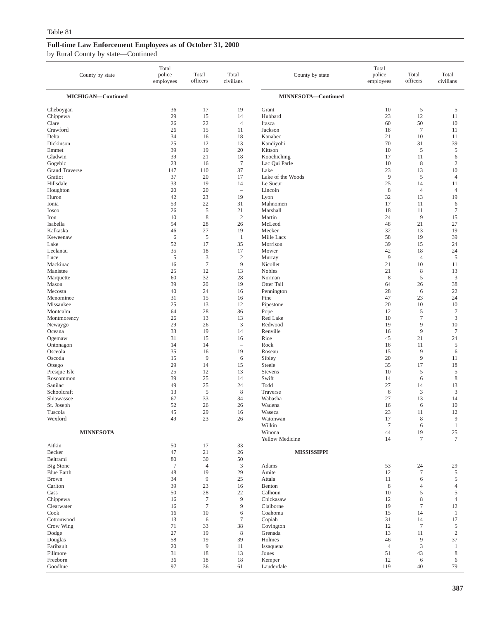| County by state           | Total<br>police<br>employees | Total<br>officers          | Total<br>civilians          | County by state        | Total<br>police<br>employees | Total<br>officers             | Total<br>civilians   |
|---------------------------|------------------------------|----------------------------|-----------------------------|------------------------|------------------------------|-------------------------------|----------------------|
| MICHIGAN-Continued        |                              |                            |                             | MINNESOTA-Continued    |                              |                               |                      |
| Cheboygan                 | 36                           | 17                         | 19                          | Grant                  | 10                           | 5                             | 5                    |
| Chippewa                  | 29                           | 15                         | 14                          | Hubbard                | 23                           | 12                            | 11                   |
| Clare<br>Crawford         | 26<br>26                     | 22<br>15                   | $\overline{4}$<br>11        | Itasca<br>Jackson      | 60<br>18                     | 50<br>$\tau$                  | 10<br>11             |
| Delta                     | 34                           | 16                         | 18                          | Kanabec                | 21                           | 10                            | 11                   |
| Dickinson                 | 25                           | 12                         | 13                          | Kandiyohi              | 70                           | 31                            | 39                   |
| Emmet                     | 39                           | 19                         | 20                          | Kittson                | 10                           | 5                             | 5                    |
| Gladwin                   | 39                           | 21                         | 18                          | Koochiching            | 17                           | 11                            | 6                    |
| Gogebic<br>Grand Traverse | 23<br>147                    | 16<br>110                  | $\boldsymbol{7}$<br>37      | Lac Qui Parle<br>Lake  | 10<br>23                     | $\,$ 8 $\,$<br>13             | $\mathfrak{2}$<br>10 |
| Gratiot                   | 37                           | 20                         | 17                          | Lake of the Woods      | 9                            | 5                             | $\overline{4}$       |
| Hillsdale                 | 33                           | 19                         | 14                          | Le Sueur               | 25                           | 14                            | 11                   |
| Houghton                  | 20                           | 20                         | $\equiv$                    | Lincoln                | $\,$ 8 $\,$                  | $\overline{4}$                | 4                    |
| Huron                     | 42                           | 23                         | 19                          | Lyon                   | 32                           | 13                            | 19                   |
| Ionia<br><b>I</b> osco    | 53<br>26                     | 22<br>$\sqrt{5}$           | 31<br>21                    | Mahnomen<br>Marshall   | 17<br>18                     | 11<br>11                      | 6<br>7               |
| Iron                      | 10                           | 8                          | $\sqrt{2}$                  | Martin                 | 24                           | 9                             | 15                   |
| Isabella                  | 54                           | 28                         | 26                          | McLeod                 | 48                           | 21                            | 27                   |
| Kalkaska                  | 46                           | 27                         | 19                          | Meeker                 | 32                           | 13                            | 19                   |
| Keweenaw                  | 6                            | 5                          | $\mathbf{1}$                | Mille Lacs             | 58                           | 19                            | 39                   |
| Lake<br>Leelanau          | 52<br>35                     | 17<br>18                   | 35<br>17                    | Morrison<br>Mower      | 39<br>42                     | 15<br>18                      | 24<br>24             |
| Luce                      | $\sqrt{5}$                   | $\mathfrak{Z}$             | $\sqrt{2}$                  | Murray                 | 9                            | $\overline{4}$                | 5                    |
| Mackinac                  | 16                           | $\tau$                     | 9                           | Nicollet               | 21                           | 10                            | 11                   |
| Manistee                  | 25                           | 12                         | 13                          | <b>Nobles</b>          | 21                           | 8                             | 13                   |
| Marquette                 | 60                           | 32                         | 28                          | Norman                 | $\,$ 8 $\,$                  | $\sqrt{5}$                    | $\mathfrak{Z}$       |
| Mason                     | 39<br>40                     | 20<br>24                   | 19                          | Otter Tail             | 64                           | 26                            | 38                   |
| Mecosta<br>Menominee      | 31                           | 15                         | 16<br>16                    | Pennington<br>Pine     | 28<br>47                     | 6<br>23                       | 22<br>24             |
| Missaukee                 | 25                           | 13                         | 12                          | Pipestone              | 20                           | 10                            | 10                   |
| Montcalm                  | 64                           | 28                         | 36                          | Pope                   | 12                           | $\sqrt{5}$                    | $\tau$               |
| Montmorency               | 26                           | 13                         | 13                          | Red Lake               | 10                           | $\overline{7}$                | 3                    |
| Newaygo                   | 29                           | 26                         | $\mathfrak z$               | Redwood                | 19                           | 9                             | 10                   |
| Oceana<br>Ogemaw          | 33<br>31                     | 19<br>15                   | 14<br>16                    | Renville<br>Rice       | 16<br>45                     | 9<br>21                       | $\tau$<br>24         |
| Ontonagon                 | 14                           | 14                         | $\qquad \qquad -$           | Rock                   | 16                           | 11                            | 5                    |
| Osceola                   | 35                           | 16                         | 19                          | Roseau                 | 15                           | 9                             | 6                    |
| Oscoda                    | 15                           | 9                          | 6                           | Sibley                 | 20                           | 9                             | 11                   |
| Otsego                    | 29                           | 14                         | 15                          | Steele                 | 35                           | 17                            | 18                   |
| Presque Isle<br>Roscommon | 25<br>39                     | 12<br>25                   | 13<br>14                    | Stevens<br>Swift       | 10<br>14                     | 5<br>6                        | 5<br>$\,$ 8 $\,$     |
| Sanilac                   | 49                           | 25                         | 24                          | Todd                   | 27                           | 14                            | 13                   |
| Schoolcraft               | 13                           | $\sqrt{5}$                 | $\,$ 8 $\,$                 | Traverse               | 6                            | $\mathfrak{Z}$                | $\mathfrak z$        |
| Shiawassee                | 67                           | 33                         | 34                          | Wabasha                | 27                           | 13                            | 14                   |
| St. Joseph                | 52                           | 26                         | 26                          | Wadena                 | 16                           | 6                             | 10                   |
| Tuscola                   | 45<br>49                     | 29<br>23                   | 16<br>26                    | Waseca<br>Watonwan     | 23<br>17                     | 11<br>8                       | 12<br>9              |
| Wexford                   |                              |                            |                             | Wilkin                 | $\boldsymbol{7}$             | 6                             | $\,1$                |
| <b>MINNESOTA</b>          |                              |                            |                             | Winona                 | 44                           | 19                            | $25\,$               |
|                           |                              |                            |                             | Yellow Medicine        | 14                           | $\tau$                        | $\tau$               |
| Aitkin                    | 50                           | 17                         | 33                          |                        |                              |                               |                      |
| Becker<br>Beltrami        | 47<br>80                     | 21<br>30                   | 26<br>50                    | <b>MISSISSIPPI</b>     |                              |                               |                      |
| <b>Big Stone</b>          | $\boldsymbol{7}$             | $\overline{4}$             | $\ensuremath{\mathfrak{Z}}$ | Adams                  | 53                           | 24                            | 29                   |
| <b>Blue Earth</b>         | 48                           | 19                         | 29                          | Amite                  | 12                           | $\overline{7}$                | 5                    |
| <b>Brown</b>              | 34                           | $\overline{9}$             | 25                          | Attala                 | 11                           | 6                             | $\mathfrak s$        |
| Carlton                   | 39                           | 23                         | 16                          | Benton                 | 8                            | 4                             | $\overline{4}$       |
| Cass                      | 50                           | 28                         | 22                          | Calhoun                | 10                           | 5                             | 5                    |
| Chippewa<br>Clearwater    | 16<br>16                     | $\boldsymbol{7}$<br>$\tau$ | 9<br>9                      | Chickasaw<br>Claiborne | 12<br>19                     | $\,$ 8 $\,$<br>$\overline{7}$ | $\overline{4}$<br>12 |
| Cook                      | 16                           | 10                         | 6                           | Coahoma                | 15                           | 14                            | $\mathbf{1}$         |
| Cottonwood                | 13                           | 6                          | $\tau$                      | Copiah                 | 31                           | 14                            | 17                   |
| Crow Wing                 | 71                           | 33                         | 38                          | Covington              | 12                           | $\overline{7}$                | 5                    |
| Dodge                     | 27                           | 19                         | $\,$ 8 $\,$                 | Grenada                | 13                           | 11                            | $\sqrt{2}$           |
| Douglas<br>Faribault      | 58<br>20                     | 19<br>$\overline{9}$       | 39<br>11                    | Holmes<br>Issaquena    | 46<br>$\overline{4}$         | 9<br>3                        | 37<br>$\mathbf{1}$   |
| Fillmore                  | 31                           | 18                         | 13                          | Jones                  | 51                           | 43                            | 8                    |
| Freeborn                  | 36                           | 18                         | 18                          | Kemper                 | 12                           | 6                             | 6                    |
| Goodhue                   | 97                           | 36                         | 61                          | Lauderdale             | 119                          | 40                            | 79                   |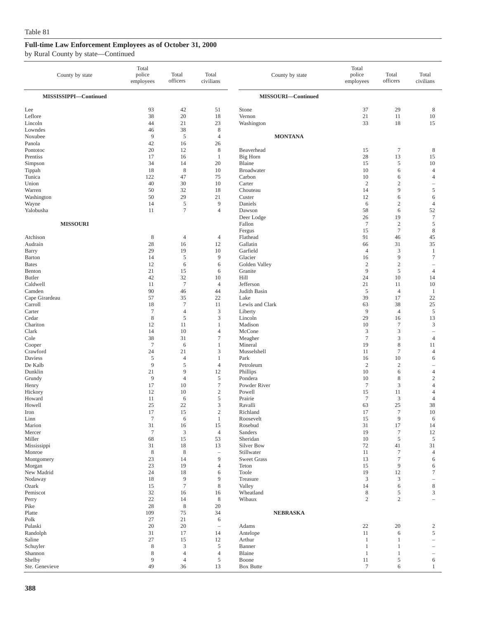| County by state           | Total<br>police<br>employees | Total<br>officers    | Total<br>civilians             | County by state             | Total<br>police<br>employees | Total<br>officers                    | Total<br>civilians                         |
|---------------------------|------------------------------|----------------------|--------------------------------|-----------------------------|------------------------------|--------------------------------------|--------------------------------------------|
| MISSISSIPPI-Continued     |                              |                      |                                | MISSOURI-Continued          |                              |                                      |                                            |
| Lee                       | 93                           | 42                   | 51                             | Stone                       | 37                           | 29                                   | 8                                          |
| Leflore                   | 38                           | 20                   | 18                             | Vernon                      | 21                           | 11                                   | $10\,$                                     |
| Lincoln                   | 44                           | 21                   | 23                             | Washington                  | 33                           | 18                                   | 15                                         |
| Lowndes<br>Noxubee        | 46<br>9                      | 38<br>5              | $\,$ 8 $\,$<br>$\overline{4}$  | <b>MONTANA</b>              |                              |                                      |                                            |
| Panola                    | 42                           | 16                   | 26                             |                             |                              |                                      |                                            |
| Pontotoc                  | 20                           | 12                   | $\,$ 8 $\,$                    | Beaverhead                  | 15                           | $\overline{7}$                       | 8                                          |
| Prentiss                  | 17                           | 16                   | 1                              | Big Horn                    | 28                           | 13                                   | 15                                         |
| Simpson                   | 34                           | 14                   | 20                             | Blaine                      | 15                           | 5                                    | 10                                         |
| Tippah<br>Tunica          | 18<br>122                    | $\,$ 8 $\,$<br>47    | 10<br>75                       | <b>Broadwater</b><br>Carbon | 10<br>10                     | 6<br>6                               | $\overline{4}$<br>4                        |
| Union                     | 40                           | 30                   | 10                             | Carter                      | $\mathfrak{2}$               | $\overline{c}$                       | $\qquad \qquad -$                          |
| Warren                    | 50                           | 32                   | 18                             | Chouteau                    | 14                           | 9                                    | 5                                          |
| Washington                | 50                           | 29                   | 21                             | Custer                      | 12                           | 6                                    | 6                                          |
| Wayne                     | 14                           | $\sqrt{5}$           | 9                              | Daniels                     | 6                            | $\boldsymbol{2}$                     | $\overline{4}$                             |
| Yalobusha                 | 11                           | $\overline{7}$       | $\overline{4}$                 | Dawson<br>Deer Lodge        | 58<br>26                     | 6<br>19                              | 52<br>$\boldsymbol{7}$                     |
| <b>MISSOURI</b>           |                              |                      |                                | Fallon                      | $7\phantom{.0}$              | $\sqrt{2}$                           | 5                                          |
|                           |                              |                      |                                | Fergus                      | 15                           | $\overline{7}$                       | $\,$ 8 $\,$                                |
| Atchison                  | 8                            | $\overline{4}$       | $\overline{4}$                 | Flathead                    | 91                           | 46                                   | 45                                         |
| Audrain                   | 28                           | 16                   | 12                             | Gallatin                    | 66                           | 31                                   | 35                                         |
| Barry<br>Barton           | 29<br>14                     | 19<br>5              | 10<br>9                        | Garfield<br>Glacier         | $\overline{4}$<br>16         | 3<br>9                               | 1<br>7                                     |
| <b>Bates</b>              | 12                           | 6                    | 6                              | Golden Valley               | $\sqrt{2}$                   | $\sqrt{2}$                           | $\overline{\phantom{0}}$                   |
| Benton                    | 21                           | 15                   | 6                              | Granite                     | 9                            | 5                                    | $\overline{4}$                             |
| Butler                    | 42                           | 32                   | 10                             | <b>Hill</b>                 | 24                           | 10                                   | 14                                         |
| Caldwell                  | 11                           | $\tau$               | $\overline{4}$                 | Jefferson                   | 21                           | 11                                   | 10                                         |
| Camden                    | 90                           | 46                   | 44                             | Judith Basin                | $\mathfrak s$                | $\overline{4}$                       | $\mathbf{1}$                               |
| Cape Girardeau<br>Carroll | 57<br>18                     | 35<br>$\tau$         | 22<br>11                       | Lake<br>Lewis and Clark     | 39<br>63                     | 17<br>38                             | 22<br>25                                   |
| Carter                    | $\tau$                       | $\overline{4}$       | 3                              | Liberty                     | $\overline{9}$               | $\overline{4}$                       | 5                                          |
| Cedar                     | 8                            | $\sqrt{5}$           | $\mathfrak{Z}$                 | Lincoln                     | 29                           | 16                                   | 13                                         |
| Chariton                  | 12                           | 11                   | 1                              | Madison                     | 10                           | $\tau$                               | 3                                          |
| Clark                     | 14<br>38                     | 10<br>31             | $\overline{4}$<br>$\tau$       | McCone                      | $\mathfrak z$<br>$\tau$      | $\mathfrak z$<br>3                   | $\overline{\phantom{0}}$<br>$\overline{4}$ |
| Cole<br>Cooper            | $\tau$                       | 6                    | 1                              | Meagher<br>Mineral          | 19                           | $\,$ 8 $\,$                          | 11                                         |
| Crawford                  | 24                           | 21                   | 3                              | Musselshell                 | 11                           | $\overline{7}$                       | 4                                          |
| Daviess                   | 5                            | $\overline{4}$       | 1                              | Park                        | 16                           | 10                                   | 6                                          |
| De Kalb                   | 9                            | 5                    | $\overline{4}$                 | Petroleum                   | $\sqrt{2}$                   | $\boldsymbol{2}$                     | -                                          |
| Dunklin<br>Grundy         | 21<br>9                      | 9<br>$\overline{4}$  | 12<br>5                        | Phillips<br>Pondera         | 10<br>10                     | 6<br>8                               | 4<br>$\mathbf{2}$                          |
| Henry                     | 17                           | 10                   | $\tau$                         | Powder River                | $\tau$                       | 3                                    | 4                                          |
| Hickory                   | 12                           | 10                   | $\boldsymbol{2}$               | Powell                      | 15                           | 11                                   | 4                                          |
| Howard                    | 11                           | 6                    | $\mathfrak s$                  | Prairie                     | $\tau$                       | 3                                    | $\overline{4}$                             |
| Howell                    | 25                           | 22                   | 3                              | Ravalli                     | 63                           | 25                                   | 38                                         |
| Iron<br>Linn              | 17<br>$\tau$                 | 15<br>6              | $\mathbf{2}$<br>1              | Richland<br>Roosevelt       | 17<br>15                     | $\tau$<br>9                          | 10<br>6                                    |
| Marion                    | 31                           | 16                   | 15                             | Rosebud                     | 31                           | 17                                   | 14                                         |
| Mercer                    | $\tau$                       | $\mathfrak{Z}$       | $\overline{4}$                 | Sanders                     | 19                           | $\boldsymbol{7}$                     | 12                                         |
| Miller                    | 68                           | 15                   | 53                             | Sheridan                    | 10                           | $\sqrt{5}$                           | 5                                          |
| Mississippi               | 31                           | 18                   | 13                             | Silver Bow<br>Stillwater    | 72                           | 41                                   | 31                                         |
| Monroe<br>Montgomery      | $\,$ 8 $\,$<br>23            | $\,$ 8 $\,$<br>14    | $\overline{\phantom{m}}$<br>9  | <b>Sweet Grass</b>          | 11<br>13                     | $\boldsymbol{7}$<br>$\boldsymbol{7}$ | $\overline{4}$<br>6                        |
| Morgan                    | 23                           | 19                   | $\overline{4}$                 | Teton                       | 15                           | 9                                    | 6                                          |
| New Madrid                | 24                           | 18                   | 6                              | Toole                       | 19                           | $12\,$                               | $\tau$                                     |
| Nodaway                   | 18                           | 9                    | 9                              | Treasure                    | $\mathfrak{Z}$               | 3                                    | -                                          |
| Ozark<br>Pemiscot         | 15<br>32                     | $\overline{7}$<br>16 | $\,$ 8 $\,$<br>16              | Valley<br>Wheatland         | 14<br>$\,$ 8 $\,$            | 6<br>5                               | 8<br>3                                     |
| Perry                     | 22                           | 14                   | $\,$ 8 $\,$                    | Wibaux                      | $\sqrt{2}$                   | $\sqrt{2}$                           | L,                                         |
| Pike                      | 28                           | $\,8\,$              | 20                             |                             |                              |                                      |                                            |
| Platte                    | 109                          | 75                   | 34                             | <b>NEBRASKA</b>             |                              |                                      |                                            |
| Polk                      | $27\,$                       | $21\,$               | 6                              |                             |                              |                                      |                                            |
| Pulaski                   | 20<br>31                     | 20<br>17             | $\overline{\phantom{a}}$<br>14 | Adams                       | 22<br>11                     | 20<br>6                              | 2<br>5                                     |
| Randolph<br>Saline        | 27                           | 15                   | 12                             | Antelope<br>Arthur          | $\mathbf{1}$                 | 1                                    |                                            |
| Schuyler                  | 8                            | 3                    | 5                              | Banner                      | $\mathbf{1}$                 | 1                                    | L.                                         |
| Shannon                   | 8                            | $\overline{4}$       | $\overline{4}$                 | Blaine                      | $\mathbf{1}$                 | 1                                    | $\overline{\phantom{0}}$                   |
| Shelby                    | 9                            | $\overline{4}$       | 5                              | Boone                       | 11                           | 5                                    | 6                                          |
| Ste. Genevieve            | 49                           | 36                   | 13                             | <b>Box Butte</b>            | $\boldsymbol{7}$             | 6                                    | 1                                          |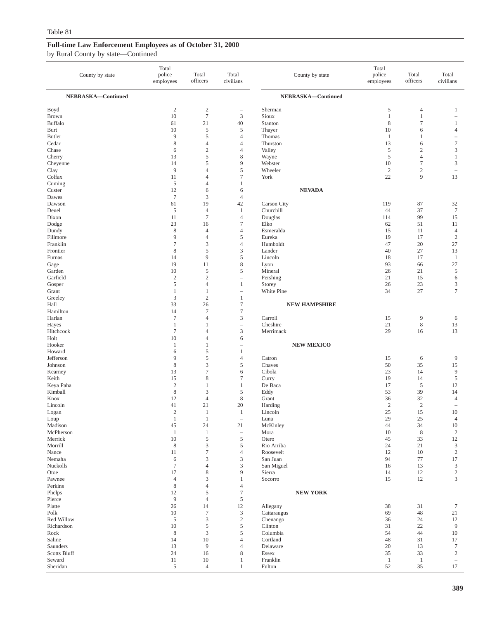| County by state        | Total<br>police<br>employees | Total<br>officers         | Total<br>civilians            | County by state          | Total<br>police<br>employees | Total<br>officers          | Total<br>civilians                         |
|------------------------|------------------------------|---------------------------|-------------------------------|--------------------------|------------------------------|----------------------------|--------------------------------------------|
| NEBRASKA-Continued     |                              |                           |                               | NEBRASKA-Continued       |                              |                            |                                            |
| Boyd<br>Brown          | $\overline{c}$<br>10         | $\sqrt{2}$<br>$\tau$      | $\qquad \qquad -$<br>3        | Sherman<br>Sioux         | 5<br>$\mathbf{1}$            | 4<br>$\mathbf{1}$          | 1<br>$\overline{\phantom{0}}$              |
| <b>Buffalo</b>         | 61<br>10                     | 21<br>5                   | 40<br>5                       | Stanton                  | 8<br>10                      | $\tau$                     | 1<br>$\overline{4}$                        |
| Burt<br><b>Butler</b>  | 9                            | 5                         | 4                             | Thayer<br>Thomas         | 1                            | 6<br>1                     | ۰                                          |
| Cedar                  | 8                            | $\overline{4}$            | 4                             | Thurston                 | 13                           | 6                          | $\boldsymbol{7}$                           |
| Chase                  | 6                            | $\overline{c}$            | 4                             | Valley                   | 5                            | $\mathfrak{2}$             | 3                                          |
| Cherry                 | 13                           | 5                         | 8                             | Wayne                    | 5                            | $\overline{4}$             | $\mathbf{1}$                               |
| Cheyenne<br>Clay       | 14<br>9                      | 5<br>$\overline{4}$       | 9<br>5                        | Webster<br>Wheeler       | 10<br>$\overline{c}$         | $\tau$<br>$\boldsymbol{2}$ | $\mathfrak{Z}$<br>$\overline{\phantom{a}}$ |
| Colfax                 | 11                           | $\overline{4}$            | $\tau$                        | York                     | 22                           | 9                          | 13                                         |
| Cuming                 | 5                            | $\overline{4}$            | $\mathbf{1}$                  |                          |                              |                            |                                            |
| Custer                 | 12                           | 6                         | 6                             | <b>NEVADA</b>            |                              |                            |                                            |
| Dawes                  | $\tau$                       | 3                         | $\overline{4}$                |                          |                              |                            |                                            |
| Dawson<br>Deuel        | 61<br>$\sqrt{5}$             | 19<br>$\overline{4}$      | 42<br>$\mathbf{1}$            | Carson City<br>Churchill | 119<br>44                    | 87<br>37                   | 32<br>$\boldsymbol{7}$                     |
| Dixon                  | 11                           | $\overline{7}$            | $\overline{4}$                | Douglas                  | 114                          | 99                         | 15                                         |
| Dodge                  | 23                           | 16                        | $\tau$                        | Elko                     | 62                           | 51                         | 11                                         |
| Dundy                  | 8                            | $\overline{4}$            | 4                             | Esmeralda                | 15                           | 11                         | $\overline{4}$                             |
| Fillmore<br>Franklin   | 9<br>$\overline{7}$          | $\overline{4}$<br>3       | 5<br>4                        | Eureka<br>Humboldt       | 19<br>47                     | 17<br>20                   | $\overline{2}$<br>27                       |
| Frontier               | 8                            | 5                         | 3                             | Lander                   | 40                           | 27                         | 13                                         |
| Furnas                 | 14                           | 9                         | 5                             | Lincoln                  | 18                           | 17                         | $\mathbf{1}$                               |
| Gage                   | 19                           | 11                        | 8                             | Lyon                     | 93                           | 66                         | 27                                         |
| Garden                 | 10                           | 5                         | 5                             | Mineral                  | 26                           | 21                         | 5                                          |
| Garfield               | $\sqrt{2}$                   | $\sqrt{2}$                | $\overline{\phantom{0}}$      | Pershing                 | 21                           | 15                         | 6                                          |
| Gosper<br>Grant        | 5<br>$\mathbf{1}$            | $\overline{4}$<br>1       | $\mathbf{1}$<br>÷,            | Storey<br>White Pine     | 26<br>34                     | 23<br>27                   | $\mathfrak{Z}$<br>$\tau$                   |
| Greeley                | $\mathfrak z$                | $\overline{2}$            | 1                             |                          |                              |                            |                                            |
| Hall                   | 33                           | 26                        | 7                             | <b>NEW HAMPSHIRE</b>     |                              |                            |                                            |
| Hamilton               | 14                           | $\overline{7}$            | $\tau$                        |                          |                              |                            |                                            |
| Harlan                 | $\tau$<br>1                  | $\overline{4}$<br>1       | 3<br>$\overline{\phantom{a}}$ | Carroll<br>Cheshire      | 15<br>21                     | 9<br>8                     | 6<br>13                                    |
| Hayes<br>Hitchcock     | $\overline{7}$               | $\overline{4}$            | 3                             | Merrimack                | 29                           | 16                         | 13                                         |
| Holt                   | 10                           | $\overline{4}$            | 6                             |                          |                              |                            |                                            |
| Hooker                 | 1                            | 1                         | $\qquad \qquad -$             | <b>NEW MEXICO</b>        |                              |                            |                                            |
| Howard                 | 6                            | 5                         | $\mathbf{1}$                  |                          |                              |                            |                                            |
| Jefferson<br>Johnson   | 9<br>8                       | 5<br>3                    | 4<br>5                        | Catron<br>Chaves         | 15<br>50                     | 6<br>35                    | 9<br>15                                    |
| Kearney                | 13                           | $\tau$                    | 6                             | Cibola                   | 23                           | 14                         | 9                                          |
| Keith                  | 15                           | 8                         | $\tau$                        | Curry                    | 19                           | 14                         | $\sqrt{5}$                                 |
| Keya Paha              | $\overline{c}$               | $\mathbf{1}$              | $\mathbf{1}$                  | De Baca                  | 17                           | 5                          | 12                                         |
| Kimball                | $\,$ 8 $\,$                  | 3                         | 5                             | Eddy                     | 53                           | 39                         | 14                                         |
| Knox<br>Lincoln        | 12<br>41                     | $\overline{4}$<br>21      | $\,$ 8 $\,$<br>20             | Grant<br>Harding         | 36<br>$\overline{c}$         | 32<br>$\sqrt{2}$           | $\overline{4}$<br>$\overline{\phantom{a}}$ |
| Logan                  | $\overline{2}$               | 1                         | 1                             | Lincoln                  | 25                           | 15                         | 10                                         |
| Loup                   | $\mathbf{1}$                 | 1                         |                               | Luna                     | 29                           | $25\,$                     | $\overline{4}$                             |
| Madison                | 45                           | 24                        | 21                            | McKinley                 | 44                           | 34                         | 10                                         |
| McPherson<br>Merrick   | $\mathbf{1}$<br>10           | $\mathbf{1}$<br>5         | $\overline{\phantom{a}}$<br>5 | Mora<br>Otero            | 10<br>45                     | $\,$ 8 $\,$<br>33          | $\sqrt{2}$<br>12                           |
| Morrill                | $\,$ 8 $\,$                  | $\ensuremath{\mathsf{3}}$ | 5                             | Rio Arriba               | 24                           | 21                         | $\ensuremath{\mathfrak{Z}}$                |
| Nance                  | 11                           | $\tau$                    | 4                             | Roosevelt                | 12                           | 10                         | $\sqrt{2}$                                 |
| Nemaha                 | 6                            | 3                         | 3                             | San Juan                 | 94                           | 77                         | 17                                         |
| Nuckolls               | $\tau$                       | $\overline{4}$            | 3<br>9                        | San Miguel               | 16                           | 13                         | $\ensuremath{\mathsf{3}}$                  |
| Otoe<br>Pawnee         | 17<br>$\overline{4}$         | $\,$ 8 $\,$<br>3          | $\mathbf{1}$                  | Sierra<br>Socorro        | 14<br>15                     | 12<br>12                   | $\sqrt{2}$<br>$\mathfrak{Z}$               |
| Perkins                | $\,$ 8 $\,$                  | $\overline{4}$            | 4                             |                          |                              |                            |                                            |
| Phelps                 | 12                           | 5                         | $\boldsymbol{7}$              | <b>NEW YORK</b>          |                              |                            |                                            |
| Pierce                 | $\overline{9}$               | $\overline{4}$            | $\mathfrak s$                 |                          |                              |                            |                                            |
| Platte                 | 26                           | 14                        | 12                            | Allegany                 | 38                           | 31                         | $\tau$                                     |
| Polk<br>Red Willow     | 10<br>$\sqrt{5}$             | $\tau$<br>$\mathfrak z$   | $\mathfrak z$<br>$\sqrt{2}$   | Cattaraugus<br>Chenango  | 69<br>36                     | 48<br>24                   | 21<br>12                                   |
| Richardson             | 10                           | $\sqrt{5}$                | $\mathfrak s$                 | Clinton                  | 31                           | $22\,$                     | 9                                          |
| Rock                   | $\,$ 8 $\,$                  | $\mathfrak z$             | 5                             | Columbia                 | 54                           | 44                         | 10                                         |
| Saline                 | 14                           | 10                        | 4                             | Cortland                 | 48                           | 31                         | 17                                         |
| Saunders               | 13                           | 9                         | 4                             | Delaware                 | 20                           | 13                         | $\boldsymbol{7}$                           |
| Scotts Bluff<br>Seward | 24<br>11                     | 16<br>10                  | 8<br>1                        | Essex<br>Franklin        | 35<br>1                      | 33<br>$\mathbf{1}$         | $\sqrt{2}$<br>$\overline{\phantom{a}}$     |
| Sheridan               | $\sqrt{5}$                   | $\overline{4}$            | $\mathbf{1}$                  | Fulton                   | 52                           | 35                         | 17                                         |
|                        |                              |                           |                               |                          |                              |                            |                                            |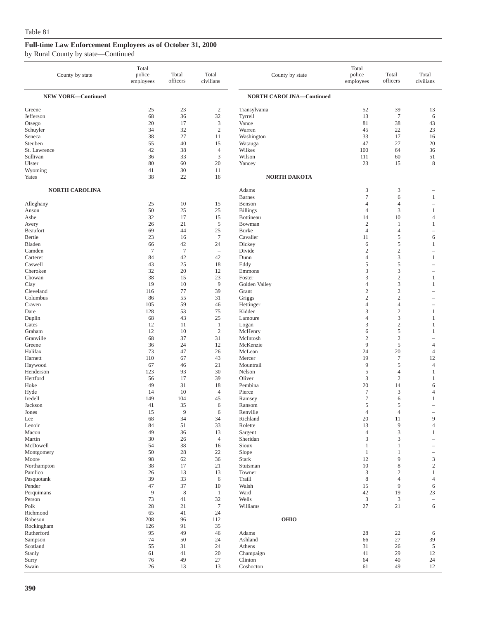|  |  | by Rural County by state—Continued |
|--|--|------------------------------------|
|--|--|------------------------------------|

| County by state                                                                | Total<br>police<br>employees           | Total<br>officers                      | Total<br>civilians                                                                     | County by state                                                               | Total<br>police<br>employees            | Total<br>officers                                  | Total<br>civilians                    |
|--------------------------------------------------------------------------------|----------------------------------------|----------------------------------------|----------------------------------------------------------------------------------------|-------------------------------------------------------------------------------|-----------------------------------------|----------------------------------------------------|---------------------------------------|
| <b>NEW YORK-Continued</b>                                                      |                                        |                                        |                                                                                        | <b>NORTH CAROLINA-Continued</b>                                               |                                         |                                                    |                                       |
| Greene<br>Jefferson<br>Otsego<br>Schuyler<br>Seneca<br>Steuben<br>St. Lawrence | 25<br>68<br>20<br>34<br>38<br>55<br>42 | 23<br>36<br>17<br>32<br>27<br>40<br>38 | $\boldsymbol{2}$<br>32<br>$\mathfrak{Z}$<br>$\mathbf{2}$<br>11<br>15<br>$\overline{4}$ | Transylvania<br>Tyrrell<br>Vance<br>Warren<br>Washington<br>Watauga<br>Wilkes | 52<br>13<br>81<br>45<br>33<br>47<br>100 | 39<br>$\overline{7}$<br>38<br>22<br>17<br>27<br>64 | 13<br>6<br>43<br>23<br>16<br>20<br>36 |
| Sullivan<br>Ulster                                                             | 36<br>80                               | 33<br>60                               | 3<br>20                                                                                | Wilson<br>Yancey                                                              | 111<br>23                               | 60<br>15                                           | 51<br>8                               |
| Wyoming<br>Yates                                                               | 41<br>38                               | 30<br>22                               | 11<br>16                                                                               | <b>NORTH DAKOTA</b>                                                           |                                         |                                                    |                                       |
| <b>NORTH CAROLINA</b>                                                          |                                        |                                        |                                                                                        | Adams                                                                         | 3                                       | 3                                                  |                                       |
| Alleghany                                                                      | 25                                     | 10                                     | 15                                                                                     | <b>Barnes</b><br>Benson                                                       | $\tau$<br>4                             | 6<br>4                                             | $\mathbf{1}$<br>÷,                    |
| Anson                                                                          | 50                                     | 25                                     | 25                                                                                     | <b>Billings</b>                                                               | 4                                       | 3                                                  | 1                                     |
| Ashe                                                                           | 32                                     | 17                                     | 15                                                                                     | Bottineau                                                                     | 14                                      | 10                                                 | $\overline{4}$                        |
| Avery<br>Beaufort                                                              | 26<br>69                               | 21<br>44                               | $\sqrt{5}$<br>25                                                                       | Bowman<br><b>Burke</b>                                                        | $\overline{c}$<br>$\overline{4}$        | 1<br>$\overline{4}$                                | 1<br>$\overline{\phantom{0}}$         |
| Bertie                                                                         | 23                                     | 16                                     | $\overline{7}$                                                                         | Cavalier                                                                      | 11                                      | 5                                                  | 6                                     |
| Bladen                                                                         | 66                                     | 42                                     | 24                                                                                     | Dickey                                                                        | 6                                       | 5                                                  | 1                                     |
| Camden                                                                         | $\tau$                                 | $\overline{7}$                         | $\overline{\phantom{a}}$                                                               | Divide                                                                        | $\mathfrak{2}$                          | $\overline{c}$                                     | $\overline{\phantom{0}}$              |
| Carteret                                                                       | 84                                     | 42                                     | 42                                                                                     | Dunn                                                                          | $\overline{4}$                          | 3                                                  | $\mathbf{1}$                          |
| Caswell                                                                        | 43                                     | 25                                     | 18                                                                                     | Eddy                                                                          | 5                                       | 5                                                  | ÷,                                    |
| Cherokee                                                                       | 32                                     | 20                                     | 12                                                                                     | Emmons                                                                        | 3                                       | 3                                                  | $\overline{\phantom{a}}$              |
| Chowan                                                                         | 38<br>19                               | 15<br>10                               | 23<br>9                                                                                | Foster<br>Golden Valley                                                       | 3<br>4                                  | $\sqrt{2}$<br>3                                    | 1<br>1                                |
| Clay<br>Cleveland                                                              | 116                                    | 77                                     | 39                                                                                     | Grant                                                                         | $\sqrt{2}$                              | $\overline{c}$                                     | $\overline{\phantom{a}}$              |
| Columbus                                                                       | 86                                     | 55                                     | 31                                                                                     | Griggs                                                                        | $\mathfrak{2}$                          | $\mathfrak{2}$                                     |                                       |
| Craven                                                                         | 105                                    | 59                                     | 46                                                                                     | Hettinger                                                                     | 4                                       | $\overline{4}$                                     | $\overline{\phantom{a}}$              |
| Dare                                                                           | 128                                    | 53                                     | 75                                                                                     | Kidder                                                                        | 3                                       | $\mathfrak{2}$                                     | $\mathbf{1}$                          |
| Duplin                                                                         | 68                                     | 43                                     | 25                                                                                     | Lamoure                                                                       | 4                                       | 3                                                  | 1                                     |
| Gates<br>Graham                                                                | 12<br>12                               | 11<br>10                               | $\mathbf{1}$<br>$\overline{c}$                                                         | Logan<br>McHenry                                                              | 3<br>6                                  | $\sqrt{2}$<br>5                                    | 1<br>$\mathbf{1}$                     |
| Granville                                                                      | 68                                     | 37                                     | 31                                                                                     | McIntosh                                                                      | $\boldsymbol{2}$                        | $\sqrt{2}$                                         | $\overline{\phantom{a}}$              |
| Greene                                                                         | 36                                     | 24                                     | 12                                                                                     | McKenzie                                                                      | 9                                       | 5                                                  | $\overline{4}$                        |
| Halifax                                                                        | 73                                     | 47                                     | 26                                                                                     | McLean                                                                        | 24                                      | 20                                                 | $\overline{4}$                        |
| Harnett                                                                        | 110                                    | 67                                     | 43                                                                                     | Mercer                                                                        | 19                                      | $\tau$                                             | 12                                    |
| Haywood                                                                        | 67                                     | 46                                     | 21                                                                                     | Mountrail                                                                     | 9                                       | 5                                                  | $\overline{4}$                        |
| Henderson                                                                      | 123                                    | 93                                     | 30<br>39                                                                               | Nelson                                                                        | 5                                       | 4                                                  | 1                                     |
| Hertford<br>Hoke                                                               | 56<br>49                               | 17<br>31                               | 18                                                                                     | Oliver<br>Pembina                                                             | 3<br>20                                 | $\sqrt{2}$<br>14                                   | 1<br>6                                |
| Hyde                                                                           | 14                                     | 10                                     | $\overline{4}$                                                                         | Pierce                                                                        | $\tau$                                  | 3                                                  | $\overline{4}$                        |
| Iredell                                                                        | 149                                    | 104                                    | 45                                                                                     | Ramsey                                                                        | 7                                       | 6                                                  | 1                                     |
| Jackson                                                                        | 41                                     | 35                                     | 6                                                                                      | Ransom                                                                        | 5                                       | 5                                                  | $\overline{\phantom{a}}$              |
| Jones                                                                          | 15                                     | 9                                      | 6                                                                                      | Renville                                                                      | $\overline{4}$                          | $\overline{4}$                                     |                                       |
| Lee                                                                            | 68<br>84                               | 34<br>51                               | 34<br>33                                                                               | Richland<br>Rolette                                                           | 20<br>13                                | 11<br>$\overline{9}$                               | $\mathbf{Q}$                          |
| Lenoir<br>Macon                                                                | 49                                     | 36                                     | 13                                                                                     | Sargent                                                                       | $\overline{4}$                          | 3                                                  | $\overline{4}$<br>$\mathbf{1}$        |
| Martin                                                                         | 30                                     | 26                                     | $\overline{4}$                                                                         | Sheridan                                                                      | 3                                       | 3                                                  | $\overline{\phantom{a}}$              |
| McDowell                                                                       | 54                                     | 38                                     | 16                                                                                     | Sioux                                                                         | $\mathbf{1}$                            | $\mathbf{1}$                                       |                                       |
| Montgomery                                                                     | 50                                     | 28                                     | 22                                                                                     | Slope                                                                         | $\mathbf{1}$                            | $\mathbf{1}$                                       | $\overline{\phantom{0}}$              |
| Moore                                                                          | 98                                     | 62                                     | 36                                                                                     | <b>Stark</b>                                                                  | 12                                      | 9                                                  | $\ensuremath{\mathsf{3}}$             |
| Northampton<br>Pamlico                                                         | 38<br>26                               | 17<br>13                               | 21<br>13                                                                               | Stutsman<br>Towner                                                            | 10<br>$\mathfrak z$                     | 8<br>$\mathfrak{2}$                                | $\sqrt{2}$<br>1                       |
| Pasquotank                                                                     | 39                                     | 33                                     | 6                                                                                      | Traill                                                                        | 8                                       | $\overline{4}$                                     | $\overline{4}$                        |
| Pender                                                                         | 47                                     | 37                                     | 10                                                                                     | Walsh                                                                         | 15                                      | 9                                                  | 6                                     |
| Perquimans                                                                     | 9                                      | 8                                      | $\mathbf{1}$                                                                           | Ward                                                                          | 42                                      | 19                                                 | $23\,$                                |
| Person                                                                         | 73                                     | 41                                     | 32                                                                                     | Wells                                                                         | $\mathbf{3}$                            | 3                                                  | $\overline{\phantom{a}}$              |
| Polk                                                                           | 28                                     | 21                                     | $\boldsymbol{7}$                                                                       | Williams                                                                      | 27                                      | 21                                                 | 6                                     |
| Richmond                                                                       | 65                                     | 41                                     | 24                                                                                     |                                                                               |                                         |                                                    |                                       |
| Robeson<br>Rockingham                                                          | 208<br>126                             | 96<br>91                               | 112<br>35                                                                              | <b>OHIO</b>                                                                   |                                         |                                                    |                                       |
| Rutherford                                                                     | 95                                     | 49                                     | 46                                                                                     | Adams                                                                         | 28                                      | 22                                                 | 6                                     |
| Sampson                                                                        | 74                                     | 50                                     | 24                                                                                     | Ashland                                                                       | 66                                      | 27                                                 | 39                                    |
| Scotland                                                                       | 55                                     | 31                                     | 24                                                                                     | Athens                                                                        | 31                                      | 26                                                 | 5                                     |
| Stanly                                                                         | 61                                     | 41                                     | 20                                                                                     | Champaign                                                                     | 41                                      | 29                                                 | 12                                    |
| Surry                                                                          | 76                                     | 49                                     | $27\,$                                                                                 | Clinton                                                                       | 64                                      | 40                                                 | 24                                    |
| Swain                                                                          | 26                                     | 13                                     | 13                                                                                     | Coshocton                                                                     | 61                                      | 49                                                 | 12                                    |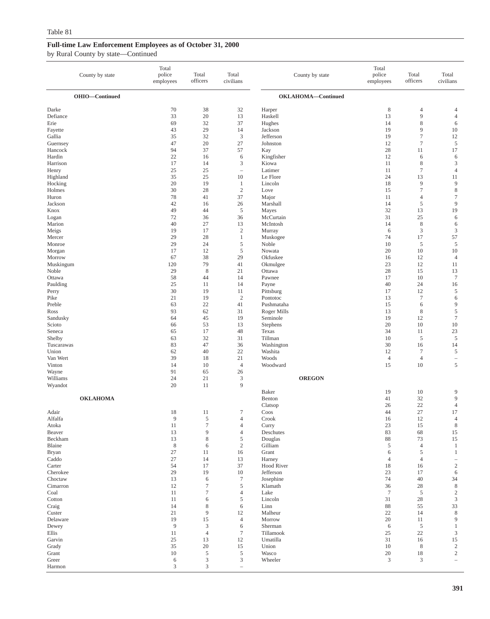| County by state      | Total<br>police<br>employees | Total<br>officers           | Total<br>civilians               | County by state             | Total<br>police<br>employees | Total<br>officers | Total<br>civilians                |
|----------------------|------------------------------|-----------------------------|----------------------------------|-----------------------------|------------------------------|-------------------|-----------------------------------|
| OHIO-Continued       |                              |                             |                                  | OKLAHOMA-Continued          |                              |                   |                                   |
| Darke                | 70                           | 38                          | 32                               | Harper                      | $\,$ 8 $\,$                  | $\overline{4}$    | $\overline{4}$                    |
| Defiance             | 33                           | 20                          | 13                               | Haskell                     | 13                           | 9                 | $\overline{4}$                    |
| Erie                 | 69                           | 32                          | 37                               | Hughes                      | 14                           | $\,$ 8 $\,$       | 6                                 |
| Fayette<br>Gallia    | 43<br>35                     | 29<br>32                    | 14<br>$\mathfrak z$              | Jackson<br>Jefferson        | 19<br>19                     | 9<br>$\tau$       | $10\,$<br>12                      |
| Guernsey             | 47                           | 20                          | 27                               | Johnston                    | 12                           | $\overline{7}$    | 5                                 |
| Hancock              | 94                           | 37                          | 57                               | Kay                         | 28                           | 11                | 17                                |
| Hardin               | 22                           | 16                          | 6                                | Kingfisher                  | 12                           | 6                 | 6                                 |
| Harrison             | 17                           | 14                          | 3                                | Kiowa                       | 11                           | $\,$ 8 $\,$       | $\mathfrak{Z}$                    |
| Henry<br>Highland    | 25<br>35                     | 25<br>25                    | $\qquad \qquad -$<br>10          | Latimer<br>Le Flore         | 11<br>24                     | $\tau$<br>13      | $\overline{4}$<br>11              |
| Hocking              | 20                           | 19                          | $\mathbf{1}$                     | Lincoln                     | 18                           | 9                 | 9                                 |
| Holmes               | 30                           | 28                          | $\sqrt{2}$                       | Love                        | 15                           | $\tau$            | $\,$ 8 $\,$                       |
| Huron                | 78                           | 41                          | 37                               | Major                       | 11                           | $\overline{4}$    | $\boldsymbol{7}$                  |
| Jackson              | 42                           | 16                          | 26                               | Marshall                    | 14                           | 5                 | 9                                 |
| Knox<br>Logan        | 49<br>72                     | 44<br>36                    | $\sqrt{5}$<br>36                 | Mayes<br>McCurtain          | 32<br>31                     | 13<br>25          | 19<br>6                           |
| Marion               | 40                           | 27                          | 13                               | McIntosh                    | 14                           | $\,$ 8 $\,$       | 6                                 |
| Meigs                | 19                           | 17                          | $\sqrt{2}$                       | Murray                      | 6                            | 3                 | $\mathbf{3}$                      |
| Mercer               | 29                           | 28                          | $\mathbf{1}$                     | Muskogee                    | 74                           | 17                | 57                                |
| Monroe               | 29                           | 24                          | 5                                | Noble                       | 10                           | 5                 | 5                                 |
| Morgan               | 17<br>67                     | 12<br>38                    | 5                                | Nowata                      | 20                           | 10                | 10<br>$\overline{4}$              |
| Morrow<br>Muskingum  | 120                          | 79                          | 29<br>41                         | Okfuskee<br>Okmulgee        | 16<br>23                     | 12<br>12          | 11                                |
| Noble                | 29                           | $\,$ 8 $\,$                 | 21                               | Ottawa                      | 28                           | 15                | 13                                |
| Ottawa               | 58                           | 44                          | 14                               | Pawnee                      | 17                           | 10                | $\tau$                            |
| Paulding             | 25                           | 11                          | 14                               | Payne                       | 40                           | 24                | 16                                |
| Perry                | 30                           | 19                          | 11                               | Pittsburg                   | 17                           | 12                | $\sqrt{5}$                        |
| Pike<br>Preble       | 21<br>63                     | 19<br>22                    | $\sqrt{2}$<br>41                 | Pontotoc<br>Pushmataha      | 13<br>15                     | $\tau$<br>6       | 6<br>9                            |
| Ross                 | 93                           | 62                          | 31                               | Roger Mills                 | 13                           | $\,$ 8 $\,$       | $\sqrt{5}$                        |
| Sandusky             | 64                           | 45                          | 19                               | Seminole                    | 19                           | 12                | $7\phantom{.0}$                   |
| Scioto               | 66                           | 53                          | 13                               | Stephens                    | 20                           | 10                | 10                                |
| Seneca               | 65                           | 17                          | 48                               | Texas                       | 34                           | 11                | 23                                |
| Shelby<br>Tuscarawas | 63<br>83                     | 32<br>47                    | 31<br>36                         | Tillman<br>Washington       | 10<br>30                     | 5<br>16           | 5<br>14                           |
| Union                | 62                           | 40                          | 22                               | Washita                     | 12                           | $\tau$            | 5                                 |
| Van Wert             | 39                           | 18                          | 21                               | Woods                       | $\overline{4}$               | $\overline{4}$    | $\overline{\phantom{a}}$          |
| Vinton               | 14                           | 10                          | $\overline{4}$                   | Woodward                    | 15                           | 10                | 5                                 |
| Wayne                | 91                           | 65                          | 26                               |                             |                              |                   |                                   |
| Williams<br>Wyandot  | 24<br>20                     | 21<br>11                    | 3<br>9                           | <b>OREGON</b>               |                              |                   |                                   |
|                      |                              |                             |                                  | Baker                       | 19                           | 10                | 9                                 |
| <b>OKLAHOMA</b>      |                              |                             |                                  | Benton                      | 41                           | 32                | 9                                 |
|                      |                              |                             |                                  | Clatsop                     | 26                           | 22                | $\overline{4}$                    |
| Adair                | 18                           | 11                          | $\tau$                           | Coos                        | 44                           | 27                | 17                                |
| Alfalfa<br>Atoka     | 9<br>11                      | 5<br>$\tau$                 | $\overline{4}$<br>$\overline{4}$ | Crook<br>Curry              | 16<br>23                     | 12<br>15          | $\overline{4}$<br>$\,8\,$         |
| Beaver               | 13                           | 9                           | $\overline{4}$                   | Deschutes                   | 83                           | 68                | 15                                |
| Beckham              | 13                           | $\,$ 8 $\,$                 | 5                                | Douglas                     | 88                           | 73                | 15                                |
| Blaine               | $\,$ 8 $\,$                  | 6                           | $\overline{c}$                   | Gilliam                     | 5                            | $\overline{4}$    | $\mathbf{1}$                      |
| <b>Bryan</b>         | 27                           | 11                          | 16                               | Grant                       | 6                            | 5                 | $\mathbf{1}$                      |
| Caddo                | 27<br>54                     | 14<br>17                    | 13<br>37                         | Harney<br><b>Hood River</b> | $\overline{4}$               | $\overline{4}$    | $\hspace{1.0cm} - \hspace{1.0cm}$ |
| Carter<br>Cherokee   | 29                           | 19                          | 10                               | Jefferson                   | 18<br>23                     | 16<br>17          | $\sqrt{2}$<br>6                   |
| Choctaw              | 13                           | $\sqrt{6}$                  | $\tau$                           | Josephine                   | 74                           | 40                | 34                                |
| Cimarron             | 12                           | $\tau$                      | 5                                | Klamath                     | 36                           | $28\,$            | $\,8\,$                           |
| Coal                 | 11                           | $\boldsymbol{7}$            | $\overline{4}$                   | Lake                        | $\overline{7}$               | 5                 | 2                                 |
| Cotton               | 11                           | 6                           | $\mathfrak s$                    | Lincoln                     | 31                           | $28\,$            | 3                                 |
| Craig<br>Custer      | 14<br>$21\,$                 | 8<br>9                      | 6<br>12                          | Linn<br>Malheur             | 88<br>$22\,$                 | 55<br>14          | 33<br>$\,8\,$                     |
| Delaware             | 19                           | 15                          | $\overline{4}$                   | Morrow                      | $20\,$                       | 11                | 9                                 |
| Dewey                | $\overline{9}$               | $\mathfrak z$               | 6                                | Sherman                     | 6                            | $\sqrt{5}$        | $\mathbf{1}$                      |
| Ellis                | 11                           | $\overline{4}$              | $\boldsymbol{7}$                 | Tillamook                   | 25                           | $22\,$            | 3                                 |
| Garvin               | 25                           | 13                          | 12                               | Umatilla                    | 31                           | 16                | 15                                |
| Grady<br>Grant       | 35<br>$10\,$                 | 20<br>5                     | 15<br>5                          | Union<br>Wasco              | 10<br>$20\,$                 | $\,$ 8 $\,$<br>18 | $\overline{c}$<br>$\overline{2}$  |
| Greer                | 6                            | $\ensuremath{\mathsf{3}}$   | 3                                | Wheeler                     | 3                            | 3                 | $\equiv$                          |
| Harmon               | $\ensuremath{\mathfrak{Z}}$  | $\ensuremath{\mathfrak{Z}}$ | $\qquad \qquad -$                |                             |                              |                   |                                   |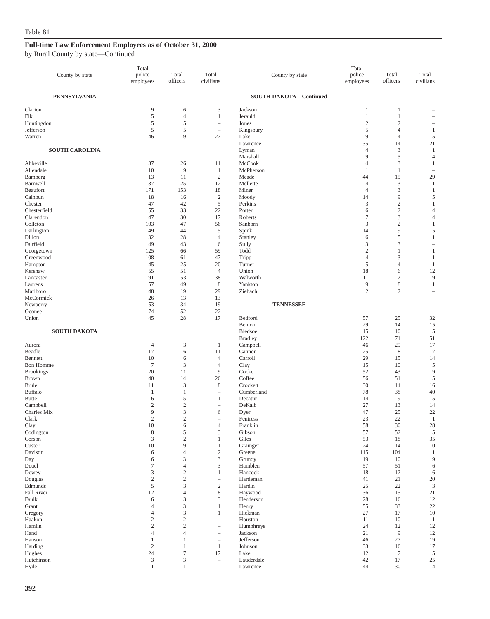| County by state                                     | Total<br>police<br>employees                | Total<br>officers                   | Total<br>civilians                                            | County by state                                  | Total<br>police<br>employees       | Total<br>officers                                                       | Total<br>civilians                |
|-----------------------------------------------------|---------------------------------------------|-------------------------------------|---------------------------------------------------------------|--------------------------------------------------|------------------------------------|-------------------------------------------------------------------------|-----------------------------------|
| <b>PENNSYLVANIA</b>                                 |                                             |                                     |                                                               | <b>SOUTH DAKOTA-Continued</b>                    |                                    |                                                                         |                                   |
| Clarion<br>Elk<br>Huntingdon<br>Jefferson<br>Warren | 9<br>$\sqrt{5}$<br>5<br>$\sqrt{5}$<br>46    | 6<br>$\overline{4}$<br>5<br>5<br>19 | 3<br>$\mathbf{1}$<br>$\overline{\phantom{0}}$<br>27           | Jackson<br>Jerauld<br>Jones<br>Kingsbury<br>Lake | 1<br>1<br>$\overline{2}$<br>5<br>9 | 1<br>$\mathbf{1}$<br>$\mathfrak{2}$<br>$\overline{4}$<br>$\overline{4}$ | 1<br>$\mathfrak s$                |
| <b>SOUTH CAROLINA</b>                               |                                             |                                     |                                                               | Lawrence<br>Lyman                                | 35<br>$\overline{4}$               | 14<br>3                                                                 | 21<br>1                           |
| Abbeville                                           | 37                                          | 26                                  | 11                                                            | Marshall<br>McCook                               | 9<br>$\overline{4}$                | 5<br>3                                                                  | $\overline{4}$<br>1               |
| Allendale<br>Bamberg                                | 10<br>13                                    | 9<br>11                             | $\mathbf{1}$<br>$\overline{c}$                                | McPherson<br>Meade                               | $\mathbf{1}$<br>44                 | $\mathbf{1}$<br>15                                                      | $\overline{\phantom{m}}$<br>29    |
| Barnwell<br>Beaufort                                | 37<br>171                                   | 25<br>153                           | 12<br>18                                                      | Mellette<br>Miner                                | $\overline{4}$<br>$\overline{4}$   | 3<br>3                                                                  | 1<br>$\mathbf{1}$                 |
| Calhoun                                             | 18                                          | 16                                  | $\sqrt{2}$                                                    | Moody                                            | 14                                 | 9                                                                       | 5                                 |
| Chester<br>Chesterfield                             | 47<br>55                                    | 42<br>33                            | $\sqrt{5}$<br>22                                              | Perkins<br>Potter                                | 3<br>6                             | $\sqrt{2}$<br>$\sqrt{2}$                                                | $\mathbf{1}$<br>$\overline{4}$    |
| Clarendon                                           | 47                                          | 30                                  | 17                                                            | Roberts                                          | $\tau$                             | 3                                                                       | $\overline{4}$                    |
| Colleton                                            | 103                                         | 47                                  | 56                                                            | Sanborn                                          | 3                                  | $\overline{c}$                                                          | $\mathbf{1}$                      |
| Darlington<br>Dillon                                | 49<br>32                                    | 44<br>28                            | 5<br>$\overline{4}$                                           | Spink<br>Stanley                                 | 14<br>6                            | 9<br>5                                                                  | 5<br>$\mathbf{1}$                 |
| Fairfield                                           | 49                                          | 43                                  | 6                                                             | Sully                                            | 3                                  | 3                                                                       | $\overline{\phantom{a}}$          |
| Georgetown                                          | 125                                         | 66                                  | 59                                                            | Todd                                             | $\overline{c}$                     | $\mathbf{1}$                                                            | 1                                 |
| Greenwood<br>Hampton                                | 108<br>45                                   | 61<br>25                            | 47<br>20                                                      | Tripp<br>Turner                                  | $\overline{4}$<br>5                | 3<br>$\overline{4}$                                                     | $\mathbf{1}$<br>1                 |
| Kershaw                                             | 55                                          | 51                                  | $\overline{4}$                                                | Union                                            | 18                                 | 6                                                                       | 12                                |
| Lancaster                                           | 91                                          | 53                                  | 38                                                            | Walworth                                         | 11                                 | $\boldsymbol{2}$                                                        | $\overline{9}$                    |
| Laurens<br>Marlboro                                 | 57<br>48                                    | 49<br>19                            | $\,$ 8 $\,$<br>29                                             | Yankton<br>Ziebach                               | 9<br>$\overline{2}$                | $\,$ 8 $\,$<br>$\overline{c}$                                           | $\mathbf{1}$                      |
| McCormick                                           | 26                                          | 13                                  | 13                                                            |                                                  |                                    |                                                                         |                                   |
| Newberry                                            | 53                                          | 34                                  | 19                                                            | <b>TENNESSEE</b>                                 |                                    |                                                                         |                                   |
| Oconee<br>Union                                     | 74<br>45                                    | 52<br>28                            | 22<br>17                                                      | Bedford                                          | 57                                 | 25                                                                      | 32                                |
|                                                     |                                             |                                     |                                                               | Benton                                           | 29                                 | 14                                                                      | 15                                |
| <b>SOUTH DAKOTA</b>                                 |                                             |                                     |                                                               | Bledsoe                                          | 15                                 | 10                                                                      | 5                                 |
| Aurora                                              | $\overline{4}$                              | 3                                   | 1                                                             | <b>Bradley</b><br>Campbell                       | 122<br>46                          | 71<br>29                                                                | 51<br>17                          |
| Beadle                                              | 17                                          | 6                                   | 11                                                            | Cannon                                           | 25                                 | $\,8\,$                                                                 | 17                                |
| Bennett                                             | 10                                          | 6                                   | $\overline{4}$                                                | Carroll                                          | 29                                 | 15                                                                      | 14                                |
| <b>Bon Homme</b><br><b>Brookings</b>                | $\tau$<br>20                                | 3<br>11                             | $\overline{4}$<br>9                                           | Clay<br>Cocke                                    | 15<br>52                           | 10<br>43                                                                | 5<br>$\overline{9}$               |
| Brown                                               | 40                                          | 14                                  | 26                                                            | Coffee                                           | 56                                 | 51                                                                      | $\mathfrak s$                     |
| <b>Brule</b>                                        | 11                                          | $\mathfrak z$                       | $\,$ 8 $\,$                                                   | Crockett                                         | 30                                 | 14                                                                      | 16                                |
| Buffalo<br><b>Butte</b>                             | $\mathbf{1}$<br>6                           | 1<br>5                              | $\overline{\phantom{0}}$<br>1                                 | Cumberland<br>Decatur                            | 78<br>14                           | 38<br>9                                                                 | 40<br>5                           |
| Campbell                                            | $\mathfrak{2}$                              | $\mathbf{2}$                        | $\hspace{1.0cm} - \hspace{1.0cm}$                             | DeKalb                                           | 27                                 | 13                                                                      | 14                                |
| Charles Mix                                         | 9                                           | 3                                   | 6                                                             | Dyer                                             | 47                                 | 25                                                                      | 22                                |
| Clark                                               | $\mathbf{2}$<br>$10\,$                      | 2<br>$\sqrt{6}$                     |                                                               | Fentress<br>Franklin                             | 23<br>58                           | 22<br>30                                                                | $\mathbf{1}$                      |
| Clay<br>Codington                                   | $\,$ 8 $\,$                                 | $\mathfrak s$                       | $\overline{4}$<br>3                                           | Gibson                                           | 57                                 | 52                                                                      | 28<br>$\sqrt{5}$                  |
| Corson                                              | $\ensuremath{\mathsf{3}}$                   | $\sqrt{2}$                          | $\mathbf{1}$                                                  | Giles                                            | 53                                 | 18                                                                      | 35                                |
| Custer                                              | 10                                          | 9                                   | $\mathbf{1}$                                                  | Grainger                                         | 24                                 | 14                                                                      | 10                                |
| Davison<br>Day                                      | 6<br>6                                      | $\overline{4}$<br>$\mathfrak{Z}$    | $\sqrt{2}$<br>3                                               | Greene<br>Grundy                                 | 115<br>19                          | 104<br>10                                                               | 11<br>$\overline{9}$              |
| Deuel                                               | $\boldsymbol{7}$                            | $\overline{4}$                      | 3                                                             | Hamblen                                          | 57                                 | 51                                                                      | 6                                 |
| Dewey                                               | $\ensuremath{\mathfrak{Z}}$<br>$\sqrt{2}$   | $\sqrt{2}$                          | $\mathbf{1}$                                                  | Hancock                                          | 18                                 | 12                                                                      | 6                                 |
| Douglas<br>Edmunds                                  | $\mathfrak s$                               | $\sqrt{2}$<br>$\mathfrak{Z}$        | $\overline{\phantom{0}}$<br>$\sqrt{2}$                        | Hardeman<br>Hardin                               | 41<br>25                           | 21<br>$22\,$                                                            | 20<br>$\ensuremath{\mathfrak{Z}}$ |
| Fall River                                          | 12                                          | $\overline{4}$                      | $\,$ 8 $\,$                                                   | Haywood                                          | 36                                 | 15                                                                      | $21\,$                            |
| Faulk                                               | 6                                           | $\mathfrak z$                       | 3                                                             | Henderson                                        | 28                                 | 16                                                                      | 12                                |
| Grant<br>Gregory                                    | $\overline{4}$<br>$\overline{4}$            | $\mathfrak z$<br>$\mathfrak z$      | $\mathbf{1}$<br>1                                             | Henry<br>Hickman                                 | 55<br>27                           | 33<br>17                                                                | 22<br>10                          |
| Haakon                                              | $\sqrt{2}$                                  | $\sqrt{2}$                          | $\overline{\phantom{0}}$                                      | Houston                                          | 11                                 | 10                                                                      | 1                                 |
| Hamlin                                              | $\mathfrak{2}$                              | $\mathbf{2}$                        | $\overline{\phantom{0}}$                                      | Humphreys                                        | 24                                 | 12                                                                      | 12                                |
| Hand<br>Hanson                                      | $\overline{4}$<br>$\mathbf{1}$              | $\overline{4}$<br>1                 | $\overline{\phantom{0}}$<br>$\hspace{1.0cm} - \hspace{1.0cm}$ | Jackson<br>Jefferson                             | 21<br>46                           | $\overline{9}$<br>$27\,$                                                | 12<br>19                          |
| Harding                                             | $\mathfrak{2}$                              | 1                                   | $\mathbf{1}$                                                  | Johnson                                          | 33                                 | 16                                                                      | 17                                |
| Hughes                                              | 24                                          | $\boldsymbol{7}$                    | 17                                                            | Lake                                             | 12                                 | $\boldsymbol{7}$                                                        | $\mathfrak s$                     |
| Hutchinson<br>Hyde                                  | $\ensuremath{\mathfrak{Z}}$<br>$\mathbf{1}$ | $\mathfrak{Z}$<br>$\mathbf{1}$      | $\hspace{1.0cm} - \hspace{1.0cm}$                             | Lauderdale<br>Lawrence                           | $42\,$<br>44                       | 17<br>30                                                                | $25\,$<br>14                      |
|                                                     |                                             |                                     | $\hspace{1.0cm} - \hspace{1.0cm}$                             |                                                  |                                    |                                                                         |                                   |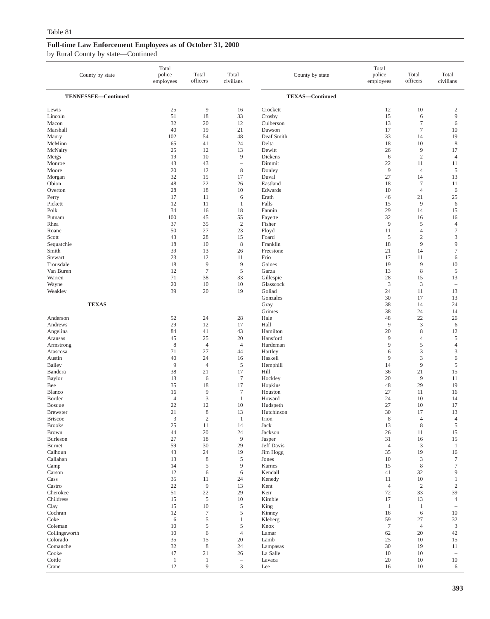| County by state                 | Total<br>police<br>employees | Total<br>officers    | Total<br>civilians       | County by state        | Total<br>police<br>employees | Total<br>officers             | Total<br>civilians             |
|---------------------------------|------------------------------|----------------------|--------------------------|------------------------|------------------------------|-------------------------------|--------------------------------|
| TENNESSEE-Continued             |                              |                      |                          | <b>TEXAS-Continued</b> |                              |                               |                                |
| Lewis<br>Lincoln                | 25<br>51                     | 9<br>18              | 16<br>33                 | Crockett<br>Crosby     | 12<br>15                     | 10<br>6                       | $\overline{c}$<br>9            |
| Macon                           | 32                           | 20                   | 12                       | Culberson              | 13                           | $\tau$                        | 6                              |
| Marshall<br>Maury               | 40<br>102                    | 19<br>54             | 21<br>48                 | Dawson<br>Deaf Smith   | 17<br>33                     | $\tau$<br>14                  | 10<br>19                       |
| McMinn                          | 65                           | 41                   | 24                       | Delta                  | 18                           | 10                            | $\,8\,$                        |
| McNairy                         | 25                           | 12                   | 13                       | Dewitt                 | 26                           | 9                             | 17                             |
| Meigs                           | 19                           | 10                   | 9                        | Dickens                | 6                            | $\sqrt{2}$                    | $\overline{4}$                 |
| Monroe                          | 43                           | 43                   | $\overline{\phantom{a}}$ | Dimmit                 | 22                           | 11                            | 11                             |
| Moore                           | 20<br>32                     | 12<br>15             | $\,$ 8 $\,$<br>17        | Donley<br>Duval        | 9<br>27                      | $\overline{4}$<br>14          | 5<br>13                        |
| Morgan<br>Obion                 | 48                           | 22                   | 26                       | Eastland               | 18                           | $\boldsymbol{7}$              | 11                             |
| Overton                         | 28                           | 18                   | 10                       | Edwards                | 10                           | $\overline{4}$                | 6                              |
| Perry                           | 17                           | 11                   | 6                        | Erath                  | 46                           | 21                            | 25                             |
| Pickett                         | 12                           | 11                   | $\mathbf{1}$             | Falls                  | 15                           | 9                             | 6                              |
| Polk                            | 34                           | 16                   | 18                       | Fannin                 | 29                           | 14                            | 15                             |
| Putnam<br>Rhea                  | 100<br>37                    | 45<br>35             | 55<br>$\overline{c}$     | Fayette<br>Fisher      | 32<br>9                      | 16<br>5                       | 16<br>$\overline{4}$           |
| Roane                           | 50                           | 27                   | 23                       | Floyd                  | 11                           | $\overline{4}$                | $\boldsymbol{7}$               |
| Scott                           | 43                           | 28                   | 15                       | Foard                  | $\sqrt{5}$                   | $\sqrt{2}$                    | $\mathfrak{Z}$                 |
| Sequatchie                      | 18                           | 10                   | 8                        | Franklin               | 18                           | 9                             | 9                              |
| Smith                           | 39                           | 13                   | 26                       | Freestone              | 21                           | 14                            | $\boldsymbol{7}$               |
| Stewart                         | 23                           | 12<br>9              | 11<br>9                  | Frio                   | 17                           | 11<br>9                       | 6                              |
| Trousdale<br>Van Buren          | 18<br>12                     | $\tau$               | $\mathfrak{S}$           | Gaines<br>Garza        | 19<br>13                     | $\,$ 8 $\,$                   | 10<br>5                        |
| Warren                          | 71                           | 38                   | 33                       | Gillespie              | 28                           | 15                            | 13                             |
| Wayne                           | 20                           | 10                   | 10                       | Glasscock              | $\mathfrak{Z}$               | $\mathfrak{Z}$                | $\equiv$                       |
| Weakley                         | 39                           | 20                   | 19                       | Goliad                 | 24                           | 11                            | 13                             |
| <b>TEXAS</b>                    |                              |                      |                          | Gonzales               | 30                           | 17<br>14                      | 13                             |
|                                 |                              |                      |                          | Gray<br>Grimes         | 38<br>38                     | 24                            | 24<br>14                       |
| Anderson                        | 52                           | 24                   | 28                       | Hale                   | 48                           | 22                            | 26                             |
| Andrews                         | 29                           | 12                   | 17                       | Hall                   | 9                            | $\mathfrak{Z}$                | 6                              |
| Angelina                        | 84                           | 41                   | 43                       | Hamilton               | 20                           | 8                             | 12                             |
| Aransas                         | 45<br>$\,$ 8 $\,$            | 25<br>$\overline{4}$ | 20<br>$\overline{4}$     | Hansford               | 9<br>9                       | $\overline{4}$<br>5           | 5<br>$\overline{4}$            |
| Armstrong<br>Atascosa           | 71                           | 27                   | 44                       | Hardeman<br>Hartley    | 6                            | 3                             | $\mathfrak z$                  |
| Austin                          | 40                           | 24                   | 16                       | Haskell                | 9                            | 3                             | 6                              |
| Bailey                          | 9                            | $\overline{4}$       | 5                        | Hemphill               | 14                           | 9                             | 5                              |
| Bandera                         | 38                           | 21                   | 17                       | Hill                   | 36                           | 21                            | 15                             |
| Baylor                          | 13                           | 6                    | $\tau$                   | Hockley                | 20                           | 9                             | 11                             |
| Bee<br>Blanco                   | 35<br>16                     | 18<br>9              | 17<br>$7\phantom{.0}$    | Hopkins<br>Houston     | 48<br>27                     | 29<br>11                      | 19<br>16                       |
| Borden                          | $\overline{4}$               | 3                    | $\mathbf{1}$             | Howard                 | 24                           | 10                            | 14                             |
| <b>Bosque</b>                   | 22                           | 12                   | $10\,$                   | Hudspeth               | 27                           | 10                            | 17                             |
| Brewster                        | 21                           | 8                    | 13                       | Hutchinson             | 30                           | 17                            | 13                             |
| <b>Briscoe</b><br><b>Brooks</b> | 3<br>$25\,$                  | $\sqrt{2}$<br>11     | 1<br>14                  | Irion<br>Jack          | $\,$ 8 $\,$<br>13            | $\overline{4}$<br>$\,$ 8 $\,$ | $\overline{4}$<br>$\sqrt{5}$   |
| Brown                           | 44                           | 20                   | 24                       | Jackson                | 26                           | 11                            | 15                             |
| Burleson                        | 27                           | 18                   | 9                        | Jasper                 | 31                           | 16                            | 15                             |
| Burnet                          | 59                           | 30                   | 29                       | Jeff Davis             | $\overline{4}$               | 3                             | $\mathbf{1}$                   |
| Calhoun                         | 43                           | 24                   | 19                       | Jim Hogg               | 35                           | 19                            | 16                             |
| Callahan<br>Camp                | 13<br>14                     | $\,$ 8 $\,$<br>5     | 5<br>9                   | Jones<br>Karnes        | 10<br>15                     | 3<br>$\,$ 8 $\,$              | $7\phantom{.0}$<br>$\tau$      |
| Carson                          | 12                           | 6                    | 6                        | Kendall                | 41                           | 32                            | $\overline{9}$                 |
| Cass                            | 35                           | 11                   | 24                       | Kenedy                 | 11                           | 10                            | -1                             |
| Castro                          | $22\,$                       | $\boldsymbol{9}$     | 13                       | Kent                   | $\overline{4}$               | $\overline{c}$                | $\overline{c}$                 |
| Cherokee                        | 51                           | $22\,$               | 29                       | Kerr                   | 72                           | 33                            | 39                             |
| Childress                       | 15<br>15                     | $\mathfrak s$<br>10  | 10<br>$\mathfrak{S}$     | Kimble                 | 17<br>$\mathbf{1}$           | 13                            | $\overline{4}$                 |
| Clay<br>Cochran                 | 12                           | $\tau$               | 5                        | King<br>Kinney         | 16                           | $\mathbf{1}$<br>6             | $\overline{\phantom{a}}$<br>10 |
| Coke                            | 6                            | 5                    | $\mathbf{1}$             | Kleberg                | 59                           | 27                            | 32                             |
| Coleman                         | 10                           | 5                    | 5                        | Knox                   | $\boldsymbol{7}$             | $\overline{4}$                | 3                              |
| Collingsworth                   | 10                           | 6                    | $\overline{4}$           | Lamar                  | 62                           | 20                            | 42                             |
| Colorado                        | 35                           | 15                   | 20                       | Lamb                   | 25                           | 10                            | 15                             |
| Comanche<br>Cooke               | 32<br>47                     | $\,$ 8 $\,$<br>21    | 24<br>26                 | Lampasas<br>La Salle   | 30<br>10                     | 19<br>10                      | 11<br>$\equiv$                 |
| Cottle                          | $\mathbf{1}$                 | $\mathbf{1}$         | $\qquad \qquad -$        | Lavaca                 | 20                           | 10                            | 10                             |
| Crane                           | 12                           | 9                    | 3                        | Lee                    | 16                           | 10                            | 6                              |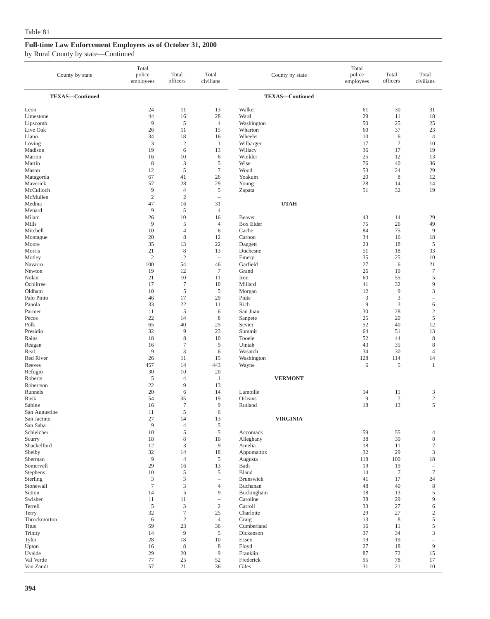| County by state              | Total<br>police<br>employees | Total<br>officers                  | Total<br>civilians                | County by state        | Total<br>police<br>employees | Total<br>officers    | Total<br>civilians  |
|------------------------------|------------------------------|------------------------------------|-----------------------------------|------------------------|------------------------------|----------------------|---------------------|
| <b>TEXAS-Continued</b>       |                              |                                    |                                   | <b>TEXAS-Continued</b> |                              |                      |                     |
| Leon<br>Limestone            | 24<br>44                     | 11<br>16                           | 13<br>28                          | Walker<br>Ward         | 61<br>29                     | 30<br>11             | 31<br>18            |
| Lipscomb                     | $\overline{9}$               | 5                                  | $\overline{4}$                    | Washington             | 50                           | 25                   | 25                  |
| Live Oak                     | 26                           | 11                                 | 15                                | Wharton                | 60                           | 37                   | 23                  |
| Llano                        | 34                           | 18                                 | 16                                | Wheeler                | 10                           | 6                    | $\overline{4}$      |
| Loving                       | 3                            | $\overline{2}$                     | $\mathbf{1}$                      | Wilbarger              | 17                           | $\tau$               | 10                  |
| Madison<br>Marion            | 19<br>16                     | 6<br>10                            | 13<br>6                           | Willacy<br>Winkler     | 36<br>25                     | 17<br>12             | 19<br>13            |
| Martin                       | 8                            | 3                                  | 5                                 | Wise                   | 76                           | 40                   | 36                  |
| Mason                        | 12                           | $\sqrt{5}$                         | $\tau$                            | Wood                   | 53                           | 24                   | 29                  |
| Matagorda                    | 67                           | 41                                 | 26                                | Yoakum                 | 20                           | 8                    | 12                  |
| Maverick                     | 57                           | 28                                 | 29                                | Young                  | 28                           | 14                   | 14                  |
| McCulloch                    | 9                            | $\overline{4}$                     | $\mathfrak s$                     | Zapata                 | 51                           | 32                   | 19                  |
| McMullen<br>Medina           | $\sqrt{2}$<br>47             | $\overline{2}$                     | ÷<br>31                           | <b>UTAH</b>            |                              |                      |                     |
| Menard                       | 9                            | 16<br>5                            | $\overline{4}$                    |                        |                              |                      |                     |
| Milam                        | 26                           | 10                                 | 16                                | Beaver                 | 43                           | 14                   | 29                  |
| Mills                        | 9                            | 5                                  | $\overline{4}$                    | <b>Box Elder</b>       | 75                           | 26                   | 49                  |
| Mitchell                     | 10                           | $\overline{4}$                     | 6                                 | Cache                  | 84                           | 75                   | 9                   |
| Montague                     | 20                           | 8                                  | 12                                | Carbon                 | 34                           | 16                   | 18                  |
| Moore                        | 35                           | 13                                 | 22                                | Daggett                | 23                           | 18                   | 5                   |
| Morris                       | 21<br>$\overline{2}$         | $\,$ 8 $\,$<br>$\overline{2}$      | 13<br>$\overline{\phantom{a}}$    | Duchesne               | 51<br>35                     | 18<br>25             | 33<br>10            |
| Motley<br>Navarro            | 100                          | 54                                 | 46                                | Emery<br>Garfield      | 27                           | 6                    | 21                  |
| Newton                       | 19                           | 12                                 | $\tau$                            | Grand                  | 26                           | 19                   | $\tau$              |
| Nolan                        | 21                           | 10                                 | 11                                | Iron                   | 60                           | 55                   | 5                   |
| Ochiltree                    | 17                           | $\tau$                             | 10                                | Millard                | 41                           | 32                   | 9                   |
| Oldham                       | 10                           | $\sqrt{5}$                         | 5                                 | Morgan                 | 12                           | $\overline{9}$       | 3                   |
| Palo Pinto                   | 46                           | 17                                 | 29                                | Piute                  | 3                            | 3                    | $\qquad \qquad -$   |
| Panola<br>Parmer             | 33<br>11                     | 22<br>5                            | 11<br>6                           | Rich<br>San Juan       | 9<br>30                      | $\mathfrak{Z}$<br>28 | 6<br>$\sqrt{2}$     |
| Pecos                        | 22                           | 14                                 | 8                                 | Sanpete                | 25                           | 20                   | $\sqrt{5}$          |
| Polk                         | 65                           | 40                                 | 25                                | Sevier                 | 52                           | 40                   | 12                  |
| Presidio                     | 32                           | 9                                  | 23                                | Summit                 | 64                           | 51                   | 13                  |
| Rains                        | 18                           | $\,8\,$                            | 10                                | Tooele                 | 52                           | 44                   | 8                   |
| Reagan                       | 16                           | $\tau$                             | 9                                 | Uintah                 | 43                           | 35                   | 8                   |
| Real                         | 9                            | 3                                  | 6                                 | Wasatch                | 34                           | 30                   | $\overline{4}$      |
| Red River<br>Reeves          | 26<br>457                    | 11<br>14                           | 15<br>443                         | Washington<br>Wayne    | 128<br>6                     | 114<br>5             | 14<br>$\mathbf{1}$  |
| Refugio                      | 30                           | 10                                 | 20                                |                        |                              |                      |                     |
| Roberts                      | 5                            | $\overline{4}$                     | $\mathbf{1}$                      | <b>VERMONT</b>         |                              |                      |                     |
| Robertson                    | 22                           | 9                                  | 13                                |                        |                              |                      |                     |
| Runnels                      | 20                           | 6                                  | 14                                | Lamoille               | 14                           | 11                   | 3                   |
| Rusk                         | 54                           | 35                                 | 19                                | Orleans                | 9                            | $\tau$               | $\sqrt{2}$          |
| Sabine                       | 16<br>11                     | $\tau$<br>5                        | 9<br>6                            | Rutland                | 18                           | 13                   | 5                   |
| San Augustine<br>San Jacinto | 27                           | 14                                 | 13                                | <b>VIRGINIA</b>        |                              |                      |                     |
| San Saba                     | $\overline{9}$               | $\overline{4}$                     | $\sqrt{5}$                        |                        |                              |                      |                     |
| Schleicher                   | $10\,$                       | $\sqrt{5}$                         | 5                                 | Accomack               | 59                           | 55                   | 4                   |
| Scurry                       | 18                           | $\,8\,$                            | 10                                | Alleghany              | 38                           | 30                   | $\,$ 8 $\,$         |
| Shackelford                  | 12                           | 3                                  | 9                                 | Amelia                 | 18                           | 11                   | 7                   |
| Shelby<br>Sherman            | 32<br>$\overline{9}$         | 14<br>$\overline{4}$               | 18<br>$\sqrt{5}$                  | Appomattox             | 32<br>118                    | 29<br>100            | 3<br>$18\,$         |
| Somervell                    | 29                           | 16                                 | 13                                | Augusta<br>Bath        | 19                           | 19                   | $\qquad \qquad -$   |
| Stephens                     | 10                           | $\sqrt{5}$                         | $\sqrt{5}$                        | Bland                  | 14                           | $\tau$               | $\boldsymbol{7}$    |
| Sterling                     | 3                            | 3                                  | $\hspace{1.0cm} - \hspace{1.0cm}$ | Brunswick              | 41                           | 17                   | 24                  |
| Stonewall                    | $\tau$                       | 3                                  | $\overline{4}$                    | Buchanan               | 48                           | 40                   | 8                   |
| Sutton                       | 14                           | $\sqrt{5}$                         | 9                                 | Buckingham             | 18                           | 13                   | 5                   |
| Swisher                      | 11                           | 11                                 | $\hspace{1.0cm} - \hspace{1.0cm}$ | Caroline               | 38                           | 29                   | 9                   |
| Terrell<br>Terry             | $\mathfrak s$<br>32          | $\mathfrak{Z}$<br>$\boldsymbol{7}$ | $\sqrt{2}$<br>25                  | Carroll<br>Charlotte   | 33<br>29                     | 27<br>27             | 6<br>$\mathfrak{2}$ |
| Throckmorton                 | 6                            | $\overline{2}$                     | $\overline{4}$                    | Craig                  | 13                           | $\,$ 8 $\,$          | 5                   |
| <b>Titus</b>                 | 59                           | 23                                 | 36                                | Cumberland             | 16                           | 11                   | $\mathfrak s$       |
| Trinity                      | 14                           | 9                                  | 5                                 | Dickenson              | 37                           | 34                   | 3                   |
| Tyler                        | 28                           | 18                                 | 10                                | Essex                  | 19                           | 19                   | $\qquad \qquad -$   |
| Upton                        | 16                           | 8                                  | 8                                 | Floyd                  | 27                           | 18                   | 9                   |
| Uvalde<br>Val Verde          | 29<br>$77\,$                 | 20<br>25                           | $\overline{9}$<br>52              | Franklin<br>Frederick  | 87<br>95                     | 72<br>78             | 15                  |
| Van Zandt                    | 57                           | 21                                 | 36                                | Giles                  | 31                           | 21                   | 17<br>10            |
|                              |                              |                                    |                                   |                        |                              |                      |                     |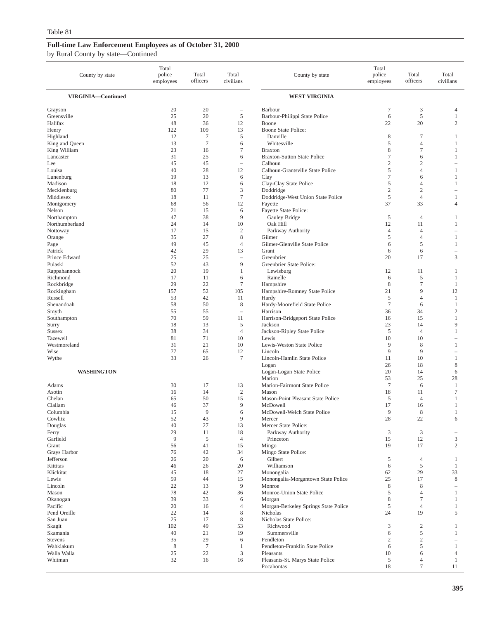| County by state           | Total<br>police<br>employees | Total<br>officers      | Total<br>civilians       | County by state                                      | Total<br>police<br>employees | Total<br>officers    | Total<br>civilians       |
|---------------------------|------------------------------|------------------------|--------------------------|------------------------------------------------------|------------------------------|----------------------|--------------------------|
| VIRGINIA-Continued        |                              |                        |                          | <b>WEST VIRGINIA</b>                                 |                              |                      |                          |
| Grayson                   | 20                           | 20                     | $\overline{\phantom{a}}$ | Barbour                                              | 7                            | 3                    | 4                        |
| Greensville               | 25                           | 20                     | 5                        | Barbour-Philippi State Police                        | 6                            | 5                    | 1                        |
| Halifax                   | 48                           | 36                     | 12                       | Boone                                                | 22                           | 20                   | $\mathfrak{2}$           |
| Henry                     | 122                          | 109                    | 13                       | Boone State Police:                                  |                              |                      |                          |
| Highland                  | 12                           | 7                      | 5                        | Danville                                             | 8                            | $\tau$               | 1                        |
| King and Queen            | 13                           | $\boldsymbol{7}$       | 6                        | Whitesville                                          | 5                            | $\overline{4}$       | 1                        |
| King William<br>Lancaster | 23<br>31                     | 16<br>25               | $\tau$<br>6              | <b>Braxton</b><br><b>Braxton-Sutton State Police</b> | 8<br>7                       | $\tau$<br>6          | 1<br>1                   |
| Lee                       | 45                           | 45                     | $\overline{\phantom{a}}$ | Calhoun                                              | $\mathfrak{2}$               | $\sqrt{2}$           | $\overline{\phantom{a}}$ |
| Louisa                    | 40                           | 28                     | 12                       | Calhoun-Grantsville State Police                     | 5                            | $\overline{4}$       | 1                        |
| Lunenburg                 | 19                           | 13                     | 6                        | Clay                                                 | 7                            | 6                    | 1                        |
| Madison                   | 18                           | 12                     | 6                        | Clay-Clay State Police                               | 5                            | $\overline{4}$       | 1                        |
| Mecklenburg               | 80                           | 77                     | 3                        | Doddridge                                            | $\mathfrak{2}$               | $\overline{c}$       | $\equiv$                 |
| Middlesex                 | 18                           | 11                     | $\tau$                   | Doddridge-West Union State Police                    | 5                            | $\overline{4}$       | 1                        |
| Montgomery                | 68<br>21                     | 56                     | 12                       | Fayette                                              | 37                           | 33                   | $\overline{4}$           |
| Nelson<br>Northampton     | 47                           | 15<br>38               | 6<br>9                   | Fayette State Police:<br>Gauley Bridge               | 5                            | $\overline{4}$       | 1                        |
| Northumberland            | 24                           | 14                     | 10                       | Oak Hill                                             | 12                           | 11                   | 1                        |
| Nottoway                  | 17                           | 15                     | $\overline{c}$           | Parkway Authority                                    | $\overline{4}$               | $\overline{4}$       |                          |
| Orange                    | 35                           | 27                     | 8                        | Gilmer                                               | 5                            | $\overline{4}$       | 1                        |
| Page                      | 49                           | 45                     | $\overline{4}$           | Gilmer-Glenville State Police                        | 6                            | 5                    | -1                       |
| Patrick                   | 42                           | 29                     | 13                       | Grant                                                | 6                            | 6                    | $\qquad \qquad -$        |
| Prince Edward             | 25                           | 25                     | $\overline{\phantom{0}}$ | Greenbrier                                           | 20                           | 17                   | 3                        |
| Pulaski                   | 52                           | 43                     | 9                        | Greenbrier State Police:                             |                              |                      |                          |
| Rappahannock              | 20<br>17                     | 19                     | $\mathbf{1}$<br>6        | Lewisburg<br>Rainelle                                | 12                           | 11                   | 1                        |
| Richmond<br>Rockbridge    | 29                           | 11<br>22               | $\tau$                   | Hampshire                                            | 6<br>8                       | 5<br>$\tau$          | 1<br>1                   |
| Rockingham                | 157                          | 52                     | 105                      | Hampshire-Romney State Police                        | 21                           | 9                    | 12                       |
| Russell                   | 53                           | 42                     | 11                       | Hardy                                                | 5                            | $\overline{4}$       | 1                        |
| Shenandoah                | 58                           | 50                     | 8                        | Hardy-Moorefield State Police                        | 7                            | 6                    | 1                        |
| Smyth                     | 55                           | 55                     | i.                       | Harrison                                             | 36                           | 34                   | $\overline{c}$           |
| Southampton               | 70                           | 59                     | 11                       | Harrison-Bridgeport State Police                     | 16                           | 15                   | 1                        |
| Surry                     | 18                           | 13                     | 5                        | Jackson                                              | 23                           | 14                   | 9                        |
| <b>Sussex</b>             | 38                           | 34                     | $\overline{4}$           | Jackson-Ripley State Police                          | 5                            | $\overline{4}$       | 1                        |
| Tazewell<br>Westmoreland  | 81<br>31                     | 71<br>21               | 10<br>10                 | Lewis<br>Lewis-Weston State Police                   | 10<br>9                      | 10<br>8              | 1                        |
| Wise                      | 77                           | 65                     | 12                       | Lincoln                                              | 9                            | 9                    |                          |
| Wythe                     | 33                           | 26                     | $\tau$                   | Lincoln-Hamlin State Police                          | 11                           | 10                   | 1                        |
|                           |                              |                        |                          | Logan                                                | 26                           | 18                   | 8                        |
| <b>WASHINGTON</b>         |                              |                        |                          | Logan-Logan State Police                             | 20                           | 14                   | 6                        |
|                           |                              |                        |                          | Marion                                               | 53                           | 25                   | 28                       |
| Adams                     | 30                           | 17                     | 13                       | Marion-Fairmont State Police                         | $\overline{7}$               | 6                    | 1                        |
| Asotin                    | 16                           | 14                     | $\overline{2}$           | Mason                                                | 18                           | 11                   | $\tau$                   |
| Chelan<br>Clallam         | 65<br>46                     | 50<br>37               | 15<br>9                  | Mason-Point Pleasant State Police<br>McDowell        | 5<br>17                      | $\overline{4}$<br>16 | -1<br>1                  |
| Columbia                  | 15                           | 9                      | 6                        | McDowell-Welch State Police                          | 9                            | 8                    | -1                       |
| Cowlitz                   | 52                           | 43                     | 9                        | Mercer                                               | 28                           | 22                   | 6                        |
| Douglas                   | 40                           | 27                     | 13                       | Mercer State Police:                                 |                              |                      |                          |
| Ferry                     | 29                           | 11                     | 18                       | Parkway Authority                                    | 3                            | 3                    |                          |
| Garfield                  | 9                            | 5                      | $\overline{4}$           | Princeton                                            | 15                           | 12                   | 3                        |
| Grant                     | 56                           | 41                     | 15                       | Mingo                                                | 19                           | 17                   | 2                        |
| Grays Harbor              | 76                           | 42                     | 34                       | Mingo State Police:                                  |                              |                      |                          |
| Jefferson                 | 26                           | 20                     | 6                        | Gilbert                                              | 5                            | 4                    | 1                        |
| Kittitas<br>Klickitat     | 46<br>45                     | 26<br>18               | 20<br>27                 | Williamson<br>Monongalia                             | 6<br>62                      | 5<br>29              | $\mathbf{1}$<br>33       |
| Lewis                     | 59                           | 44                     | 15                       | Monongalia-Morgantown State Police                   | 25                           | 17                   | 8                        |
| Lincoln                   | 22                           | 13                     | 9                        | Monroe                                               | 8                            | 8                    | $\overline{\phantom{a}}$ |
| Mason                     | 78                           | 42                     | 36                       | Monroe-Union State Police                            | 5                            | $\overline{4}$       | 1                        |
| Okanogan                  | 39                           | 33                     | 6                        | Morgan                                               | 8                            | $\tau$               | 1                        |
| Pacific                   | 20                           | 16                     | $\overline{4}$           | Morgan-Berkeley Springs State Police                 | 5                            | $\overline{4}$       | 1                        |
| Pend Oreille              | 22                           | 14                     | 8                        | Nicholas                                             | 24                           | 19                   | 5                        |
| San Juan                  | 25                           | 17                     | $\,$ 8 $\,$              | Nicholas State Police:                               |                              |                      |                          |
| Skagit                    | 102                          | 49                     | 53                       | Richwood                                             | 3                            | $\overline{c}$       | 1                        |
| Skamania                  | 40                           | 21                     | 19                       | Summersville                                         | 6                            | 5                    | 1                        |
| Stevens<br>Wahkiakum      | 35<br>8                      | 29<br>$\boldsymbol{7}$ | 6<br>1                   | Pendleton<br>Pendleton-Franklin State Police         | $\mathfrak{2}$<br>6          | $\sqrt{2}$<br>5      | $\mathbf{1}$             |
| Walla Walla               | 25                           | 22                     | 3                        | Pleasants                                            | 10                           | 6                    | $\overline{4}$           |
| Whitman                   | 32                           | 16                     | 16                       | Pleasants-St. Marys State Police                     | 5                            | $\overline{4}$       | 1                        |
|                           |                              |                        |                          | Pocahontas                                           | 18                           | $\overline{7}$       | 11                       |